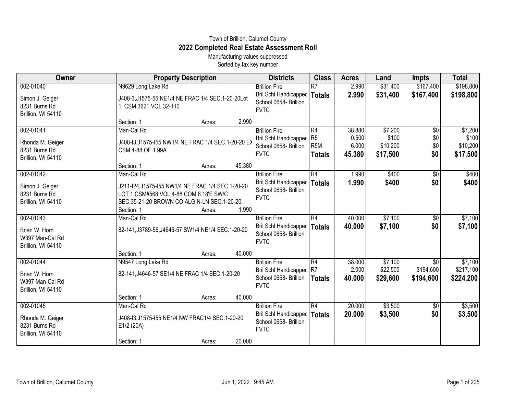## Town of Brillion, Calumet County **2022 Completed Real Estate Assessment Roll**

Manufacturing values suppressed Sorted by tax key number

| Owner                                                                | <b>Property Description</b>                                                                                                                                                               | <b>Districts</b>                                                                         | <b>Class</b>                                              | <b>Acres</b>                       | Land                                     | Impts                                | <b>Total</b>                             |
|----------------------------------------------------------------------|-------------------------------------------------------------------------------------------------------------------------------------------------------------------------------------------|------------------------------------------------------------------------------------------|-----------------------------------------------------------|------------------------------------|------------------------------------------|--------------------------------------|------------------------------------------|
| 002-01040                                                            | N9629 Long Lake Rd                                                                                                                                                                        | <b>Brillion Fire</b>                                                                     | R7                                                        | 2.990                              | \$31,400                                 | \$167,400                            | \$198,800                                |
| Simon J. Geiger<br>8231 Burns Rd<br>Brillion, WI 54110               | J408-3, J1575-55 NE1/4 NE FRAC 1/4 SEC.1-20-20Lot<br>1, CSM 3621 VOL.32-110                                                                                                               | Bril Schl Handicapped<br>School 0658- Brillion<br><b>FVTC</b>                            | <b>Totals</b>                                             | 2.990                              | \$31,400                                 | \$167,400                            | \$198,800                                |
|                                                                      | 2.990<br>Section: 1<br>Acres:                                                                                                                                                             |                                                                                          |                                                           |                                    |                                          |                                      |                                          |
| 002-01041<br>Rhonda M. Geiger<br>8231 Burns Rd<br>Brillion, WI 54110 | Man-Cal Rd<br>J408-13, J1575-155 NW1/4 NE FRAC 1/4 SEC.1-20-20 EX<br>CSM 4-88 OF 1.99A                                                                                                    | <b>Brillion Fire</b><br>Bril Schl Handicapped<br>School 0658- Brillion<br><b>FVTC</b>    | R4<br>R <sub>5</sub><br>R <sub>5</sub> M<br><b>Totals</b> | 38.880<br>0.500<br>6.000<br>45.380 | \$7,200<br>\$100<br>\$10,200<br>\$17,500 | $\overline{50}$<br>\$0<br>\$0<br>\$0 | \$7,200<br>\$100<br>\$10,200<br>\$17,500 |
|                                                                      | 45.380<br>Section: 1<br>Acres:                                                                                                                                                            |                                                                                          |                                                           |                                    |                                          |                                      |                                          |
| 002-01042<br>Simon J. Geiger<br>8231 Burns Rd<br>Brillion, WI 54110  | Man-Cal Rd<br>J211-I24, J1575-I55 NW1/4 NE FRAC 1/4 SEC.1-20-20<br>LOT 1 CSM#568 VOL.4-88 COM 6.18'E SW/C<br>SEC.35-21-20 BROWN CO ALG N-LN SEC.1-20-20,<br>1.990<br>Section: 1<br>Acres: | <b>Brillion Fire</b><br>Bril Schl Handicapped<br>School 0658- Brillion<br><b>FVTC</b>    | R4<br><b>Totals</b>                                       | 1.990<br>1.990                     | \$400<br>\$400                           | $\overline{60}$<br>\$0               | \$400<br>\$400                           |
| 002-01043                                                            | Man-Cal Rd                                                                                                                                                                                | <b>Brillion Fire</b>                                                                     | R4                                                        | 40.000                             | \$7,100                                  | \$0                                  | \$7,100                                  |
| Brian W. Horn<br>W397 Man-Cal Rd<br>Brillion, WI 54110               | 82-141, J3789-56, J4646-57 SW1/4 NE1/4 SEC. 1-20-20                                                                                                                                       | Bril Schl Handicapped<br>School 0658- Brillion<br><b>FVTC</b>                            | <b>Totals</b>                                             | 40.000                             | \$7,100                                  | \$0                                  | \$7,100                                  |
|                                                                      | 40.000<br>Section: 1<br>Acres:                                                                                                                                                            |                                                                                          |                                                           |                                    |                                          |                                      |                                          |
| 002-01044<br>Brian W. Horn<br>W397 Man-Cal Rd<br>Brillion, WI 54110  | N9547 Long Lake Rd<br>82-141, J4646-57 SE1/4 NE FRAC 1/4 SEC.1-20-20                                                                                                                      | <b>Brillion Fire</b><br>Bril Schl Handicapped R7<br>School 0658- Brillion<br><b>FVTC</b> | R4<br><b>Totals</b>                                       | 38.000<br>2.000<br>40.000          | \$7,100<br>\$22,500<br>\$29,600          | \$0<br>\$194,600<br>\$194,600        | \$7,100<br>\$217,100<br>\$224,200        |
|                                                                      | 40.000<br>Section: 1<br>Acres:                                                                                                                                                            |                                                                                          |                                                           |                                    |                                          |                                      |                                          |
| 002-01045<br>Rhonda M. Geiger<br>8231 Burns Rd<br>Brillion, WI 54110 | Man-Cal Rd<br>J408-13, J1575-155 NE1/4 NW FRAC1/4 SEC.1-20-20<br>E1/2 (20A)<br>20.000<br>Section: 1<br>Acres:                                                                             | <b>Brillion Fire</b><br>Bril Schl Handicapped<br>School 0658- Brillion<br><b>FVTC</b>    | R4<br><b>Totals</b>                                       | 20.000<br>20.000                   | \$3,500<br>\$3,500                       | \$0<br>\$0                           | \$3,500<br>\$3,500                       |
|                                                                      |                                                                                                                                                                                           |                                                                                          |                                                           |                                    |                                          |                                      |                                          |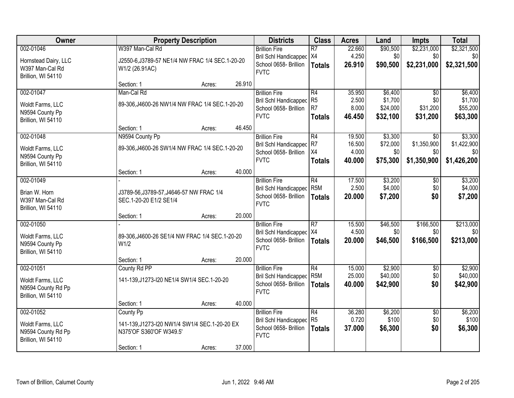| Owner                | <b>Property Description</b>                     |        |        | <b>Districts</b>             | <b>Class</b>    | <b>Acres</b> | Land     | <b>Impts</b>    | <b>Total</b> |
|----------------------|-------------------------------------------------|--------|--------|------------------------------|-----------------|--------------|----------|-----------------|--------------|
| 002-01046            | W397 Man-Cal Rd                                 |        |        | <b>Brillion Fire</b>         | $\overline{R7}$ | 22.660       | \$90,500 | \$2,231,000     | \$2,321,500  |
| Hornstead Dairy, LLC | J2550-6, J3789-57 NE1/4 NW FRAC 1/4 SEC.1-20-20 |        |        | Bril Schl Handicapped   X4   |                 | 4.250        | \$0      | \$0             | \$0          |
| W397 Man-Cal Rd      | W1/2 (26.91AC)                                  |        |        | School 0658- Brillion        | <b>Totals</b>   | 26.910       | \$90,500 | \$2,231,000     | \$2,321,500  |
| Brillion, WI 54110   |                                                 |        |        | <b>FVTC</b>                  |                 |              |          |                 |              |
|                      | Section: 1                                      | Acres: | 26.910 |                              |                 |              |          |                 |              |
| 002-01047            | Man-Cal Rd                                      |        |        | <b>Brillion Fire</b>         | R4              | 35.950       | \$6,400  | $\overline{30}$ | \$6,400      |
| Woldt Farms, LLC     | 89-306, J4600-26 NW1/4 NW FRAC 1/4 SEC.1-20-20  |        |        | <b>Bril Schl Handicapped</b> | R <sub>5</sub>  | 2.500        | \$1,700  | \$0             | \$1,700      |
| N9594 County Pp      |                                                 |        |        | School 0658- Brillion        | R <sub>7</sub>  | 8.000        | \$24,000 | \$31,200        | \$55,200     |
| Brillion, WI 54110   |                                                 |        |        | <b>FVTC</b>                  | <b>Totals</b>   | 46.450       | \$32,100 | \$31,200        | \$63,300     |
|                      | Section: 1                                      | Acres: | 46.450 |                              |                 |              |          |                 |              |
| 002-01048            | N9594 County Pp                                 |        |        | <b>Brillion Fire</b>         | R4              | 19.500       | \$3,300  | $\overline{50}$ | \$3,300      |
| Woldt Farms, LLC     | 89-306, J4600-26 SW1/4 NW FRAC 1/4 SEC.1-20-20  |        |        | <b>Bril Schl Handicapped</b> | R7              | 16.500       | \$72,000 | \$1,350,900     | \$1,422,900  |
| N9594 County Pp      |                                                 |        |        | School 0658- Brillion        | X4              | 4.000        | \$0      | \$0             | \$0          |
| Brillion, WI 54110   |                                                 |        |        | <b>FVTC</b>                  | <b>Totals</b>   | 40.000       | \$75,300 | \$1,350,900     | \$1,426,200  |
|                      | Section: 1                                      | Acres: | 40.000 |                              |                 |              |          |                 |              |
| 002-01049            |                                                 |        |        | <b>Brillion Fire</b>         | R4              | 17.500       | \$3,200  | \$0             | \$3,200      |
| Brian W. Horn        | J3789-56, J3789-57, J4646-57 NW FRAC 1/4        |        |        | <b>Bril Schl Handicapped</b> | R <sub>5M</sub> | 2.500        | \$4,000  | \$0             | \$4,000      |
| W397 Man-Cal Rd      | SEC.1-20-20 E1/2 SE1/4                          |        |        | School 0658- Brillion        | <b>Totals</b>   | 20.000       | \$7,200  | \$0             | \$7,200      |
| Brillion, WI 54110   |                                                 |        |        | <b>FVTC</b>                  |                 |              |          |                 |              |
|                      | Section: 1                                      | Acres: | 20.000 |                              |                 |              |          |                 |              |
| 002-01050            |                                                 |        |        | <b>Brillion Fire</b>         | $\overline{R7}$ | 15.500       | \$46,500 | \$166,500       | \$213,000    |
| Woldt Farms, LLC     | 89-306, J4600-26 SE1/4 NW FRAC 1/4 SEC.1-20-20  |        |        | Bril Schl Handicapped   X4   |                 | 4.500        | \$0      | \$0             | \$0          |
| N9594 County Pp      | W <sub>1/2</sub>                                |        |        | School 0658- Brillion        | Totals          | 20.000       | \$46,500 | \$166,500       | \$213,000    |
| Brillion, WI 54110   |                                                 |        |        | <b>FVTC</b>                  |                 |              |          |                 |              |
|                      | Section: 1                                      | Acres: | 20.000 |                              |                 |              |          |                 |              |
| 002-01051            | County Rd PP                                    |        |        | <b>Brillion Fire</b>         | R4              | 15.000       | \$2,900  | $\sqrt{6}$      | \$2,900      |
| Woldt Farms, LLC     | 141-139, J1273-I20 NE1/4 SW1/4 SEC. 1-20-20     |        |        | <b>Bril Schl Handicapped</b> | R <sub>5M</sub> | 25.000       | \$40,000 | \$0             | \$40,000     |
| N9594 County Rd Pp   |                                                 |        |        | School 0658- Brillion        | <b>Totals</b>   | 40.000       | \$42,900 | \$0             | \$42,900     |
| Brillion, WI 54110   |                                                 |        |        | <b>FVTC</b>                  |                 |              |          |                 |              |
|                      | Section: 1                                      | Acres: | 40.000 |                              |                 |              |          |                 |              |
| 002-01052            | County Pp                                       |        |        | <b>Brillion Fire</b>         | R4              | 36.280       | \$6,200  | $\overline{30}$ | \$6,200      |
| Woldt Farms, LLC     | 141-139, J1273-I20 NW1/4 SW1/4 SEC.1-20-20 EX   |        |        | <b>Bril Schl Handicapped</b> | R <sub>5</sub>  | 0.720        | \$100    | \$0             | \$100        |
| N9594 County Rd Pp   | N375'OF S360'OF W349.5'                         |        |        | School 0658- Brillion        | <b>Totals</b>   | 37.000       | \$6,300  | \$0             | \$6,300      |
| Brillion, WI 54110   |                                                 |        |        | <b>FVTC</b>                  |                 |              |          |                 |              |
|                      | Section: 1                                      | Acres: | 37.000 |                              |                 |              |          |                 |              |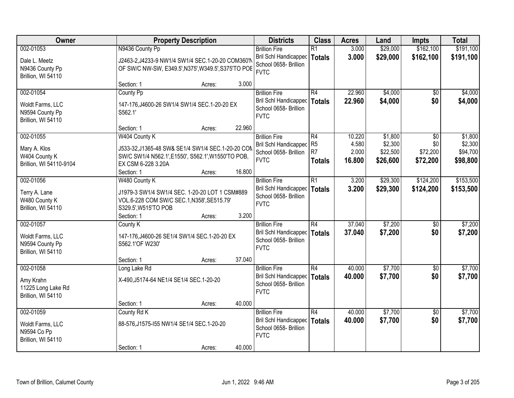| Owner                                                                  |                                                          | <b>Property Description</b>                                                                              |        |                                                                                              | <b>Class</b>                                            | <b>Acres</b>                       | Land                                       | Impts                              | <b>Total</b>                               |
|------------------------------------------------------------------------|----------------------------------------------------------|----------------------------------------------------------------------------------------------------------|--------|----------------------------------------------------------------------------------------------|---------------------------------------------------------|------------------------------------|--------------------------------------------|------------------------------------|--------------------------------------------|
| 002-01053<br>Dale L. Meetz<br>N9436 County Pp<br>Brillion, WI 54110    | N9436 County Pp                                          | J2463-2, J4233-9 NW1/4 SW1/4 SEC.1-20-20 COM360'N<br>OF SW/C NW-SW, E349.5', N375', W349.5', S375'TO POE |        | <b>Brillion Fire</b><br>Bril Schl Handicapped<br>School 0658- Brillion<br><b>FVTC</b>        | $\overline{R1}$<br><b>Totals</b>                        | 3.000<br>3.000                     | \$29,000<br>\$29,000                       | \$162,100<br>\$162,100             | \$191,100<br>\$191,100                     |
|                                                                        | Section: 1                                               | Acres:                                                                                                   | 3.000  |                                                                                              |                                                         |                                    |                                            |                                    |                                            |
| 002-01054<br>Woldt Farms, LLC<br>N9594 County Pp<br>Brillion, WI 54110 | County Pp<br>S562.1'                                     | 147-176, J4600-26 SW1/4 SW1/4 SEC. 1-20-20 EX                                                            |        | <b>Brillion Fire</b><br>Bril Schl Handicapped<br>School 0658- Brillion<br><b>FVTC</b>        | R4<br><b>Totals</b>                                     | 22.960<br>22.960                   | \$4,000<br>\$4,000                         | \$0<br>\$0                         | \$4,000<br>\$4,000                         |
|                                                                        | Section: 1                                               | Acres:                                                                                                   | 22.960 |                                                                                              |                                                         |                                    |                                            |                                    |                                            |
| 002-01055<br>Mary A. Klos<br>W404 County K<br>Brillion, WI 54110-9104  | W404 County K<br>EX CSM 6-228 3.20A                      | J533-32, J1365-48 SW& SE1/4 SW1/4 SEC.1-20-20 CON<br>SW/C SW1/4 N562.1', E1550', S562.1', W1550'TO POB,  |        | <b>Brillion Fire</b><br><b>Bril Schl Handicapped</b><br>School 0658- Brillion<br><b>FVTC</b> | R4<br>R <sub>5</sub><br>R <sub>7</sub><br><b>Totals</b> | 10.220<br>4.580<br>2.000<br>16,800 | \$1,800<br>\$2,300<br>\$22,500<br>\$26,600 | \$0<br>\$0<br>\$72,200<br>\$72,200 | \$1,800<br>\$2,300<br>\$94,700<br>\$98,800 |
| 002-01056                                                              | Section: 1<br>W480 County K                              | Acres:                                                                                                   | 16.800 | <b>Brillion Fire</b>                                                                         | $\overline{R1}$                                         | 3.200                              | \$29,300                                   | \$124,200                          | \$153,500                                  |
| Terry A. Lane<br>W480 County K<br>Brillion, WI 54110                   | S329.5', W515'TO POB                                     | J1979-3 SW1/4 SW1/4 SEC. 1-20-20 LOT 1 CSM#889<br>VOL.6-228 COM SW/C SEC.1, N358', SE515.79'             |        | <b>Bril Schl Handicapped</b><br>School 0658- Brillion<br><b>FVTC</b>                         | <b>Totals</b>                                           | 3.200                              | \$29,300                                   | \$124,200                          | \$153,500                                  |
| 002-01057                                                              | Section: 1<br>County K                                   | Acres:                                                                                                   | 3.200  | <b>Brillion Fire</b>                                                                         | $\overline{R4}$                                         | 37.040                             | \$7,200                                    | $\overline{50}$                    | \$7,200                                    |
| Woldt Farms, LLC<br>N9594 County Pp<br>Brillion, WI 54110              | S562.1'OF W230'                                          | 147-176, J4600-26 SE1/4 SW1/4 SEC.1-20-20 EX                                                             |        | Bril Schl Handicapped<br>School 0658- Brillion<br><b>FVTC</b>                                | <b>Totals</b>                                           | 37.040                             | \$7,200                                    | \$0                                | \$7,200                                    |
|                                                                        | Section: 1                                               | Acres:                                                                                                   | 37.040 |                                                                                              |                                                         |                                    |                                            |                                    |                                            |
| 002-01058<br>Amy Krahn<br>11225 Long Lake Rd<br>Brillion, WI 54110     | Long Lake Rd<br>X-490, J5174-64 NE1/4 SE1/4 SEC. 1-20-20 |                                                                                                          |        | <b>Brillion Fire</b><br><b>Bril Schl Handicapped</b><br>School 0658- Brillion<br><b>FVTC</b> | $\overline{R4}$<br><b>Totals</b>                        | 40.000<br>40.000                   | \$7,700<br>\$7,700                         | $\overline{50}$<br>\$0             | \$7,700<br>\$7,700                         |
|                                                                        | Section: 1                                               | Acres:                                                                                                   | 40.000 |                                                                                              |                                                         |                                    |                                            |                                    |                                            |
| 002-01059<br>Woldt Farms, LLC<br>N9594 Co Pp<br>Brillion, WI 54110     | County Rd K<br>88-576, J1575-155 NW1/4 SE1/4 SEC.1-20-20 |                                                                                                          | 40.000 | <b>Brillion Fire</b><br><b>Bril Schl Handicapped</b><br>School 0658- Brillion<br><b>FVTC</b> | $\overline{R4}$<br><b>Totals</b>                        | 40.000<br>40.000                   | \$7,700<br>\$7,700                         | $\overline{50}$<br>\$0             | \$7,700<br>\$7,700                         |
|                                                                        | Section: 1                                               | Acres:                                                                                                   |        |                                                                                              |                                                         |                                    |                                            |                                    |                                            |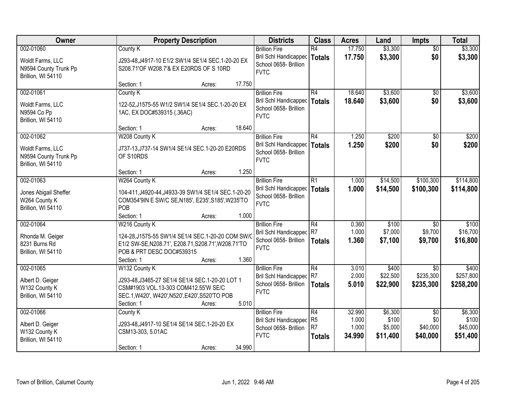| Owner                                                                        | <b>Property Description</b>                                                                                                                                                                  | <b>Districts</b>                                                                      | <b>Class</b>                                | <b>Acres</b>                       | Land                                    | <b>Impts</b>                                   | <b>Total</b>                             |
|------------------------------------------------------------------------------|----------------------------------------------------------------------------------------------------------------------------------------------------------------------------------------------|---------------------------------------------------------------------------------------|---------------------------------------------|------------------------------------|-----------------------------------------|------------------------------------------------|------------------------------------------|
| 002-01060<br>Woldt Farms, LLC<br>N9594 County Trunk Pp<br>Brillion, WI 54110 | County K<br>J293-48, J4917-10 E1/2 SW1/4 SE1/4 SEC.1-20-20 EX<br>S208.71'OF W208.7'& EX E20RDS OF S 10RD                                                                                     | <b>Brillion Fire</b><br>Bril Schl Handicapped<br>School 0658- Brillion<br><b>FVTC</b> | R4<br>Totals                                | 17.750<br>17.750                   | \$3,300<br>\$3,300                      | $\overline{50}$<br>\$0                         | \$3,300<br>\$3,300                       |
| 002-01061<br>Woldt Farms, LLC<br>N9594 Co Pp<br>Brillion, WI 54110           | 17.750<br>Section: 1<br>Acres:<br>County K<br>122-52, J1575-55 W1/2 SW1/4 SE1/4 SEC.1-20-20 EX<br>1AC, EX DOC#539315 (.36AC)                                                                 | <b>Brillion Fire</b><br>Bril Schl Handicapped<br>School 0658- Brillion<br><b>FVTC</b> | R4<br>Totals                                | 18.640<br>18.640                   | \$3,600<br>\$3,600                      | $\overline{50}$<br>\$0                         | \$3,600<br>\$3,600                       |
| 002-01062<br>Woldt Farms, LLC<br>N9594 County Trunk Pp<br>Brillion, WI 54110 | 18.640<br>Section: 1<br>Acres:<br>W208 County K<br>J737-13, J737-14 SW1/4 SE1/4 SEC. 1-20-20 E20RDS<br>OF S10RDS<br>1.250<br>Section: 1<br>Acres:                                            | <b>Brillion Fire</b><br>Bril Schl Handicapped<br>School 0658- Brillion<br><b>FVTC</b> | R4<br>Totals                                | 1.250<br>1.250                     | \$200<br>\$200                          | \$0<br>\$0                                     | \$200<br>\$200                           |
| 002-01063<br>Jones Abigail Sheffer<br>W264 County K<br>Brillion, WI 54110    | W264 County K<br>104-411, J4920-44, J4933-39 SW1/4 SE1/4 SEC. 1-20-20<br>COM354'9IN E SW/C SE, N185', E235', S185', W235'TO<br>POB<br>1.000<br>Section: 1<br>Acres:                          | <b>Brillion Fire</b><br>Bril Schl Handicapped<br>School 0658- Brillion<br><b>FVTC</b> | R1<br><b>Totals</b>                         | 1.000<br>1.000                     | \$14,500<br>\$14,500                    | \$100,300<br>\$100,300                         | \$114,800<br>\$114,800                   |
| 002-01064<br>Rhonda M. Geiger<br>8231 Burns Rd<br>Brillion, WI 54110         | W216 County K<br>124-28, J1575-55 SW1/4 SE1/4 SEC.1-20-20 COM SW/C<br>E1/2 SW-SE, N208.71', E208.71, S208.71', W208.71'TO<br>POB & PRT DESC DOC#539315<br>1.360<br>Section: 1<br>Acres:      | <b>Brillion Fire</b><br>Bril Schl Handicapped<br>School 0658- Brillion<br><b>FVTC</b> | R4<br>R7<br>Totals                          | 0.360<br>1.000<br>1.360            | \$100<br>\$7,000<br>\$7,100             | $\overline{50}$<br>\$9,700<br>\$9,700          | \$100<br>\$16,700<br>\$16,800            |
| 002-01065<br>Albert D. Geiger<br>W132 County K<br>Brillion, WI 54110         | W132 County K<br>J293-48, J3465-27 SE1/4 SE1/4 SEC. 1-20-20 LOT 1<br>CSM#1903 VOL.13-303 COM412.55'W SE/C<br>SEC.1, W420', W420', N520', E420', S520'TO POB<br>5.010<br>Section: 1<br>Acres: | <b>Brillion Fire</b><br>Bril Schl Handicapped<br>School 0658- Brillion<br><b>FVTC</b> | R4<br>R7<br>Totals                          | 3.010<br>2.000<br>5.010            | \$400<br>\$22,500<br>\$22,900           | \$0<br>\$235,300<br>\$235,300                  | \$400<br>\$257,800<br>\$258,200          |
| 002-01066<br>Albert D. Geiger<br>W132 County K<br>Brillion, WI 54110         | County K<br>J293-48, J4917-10 SE1/4 SE1/4 SEC.1-20-20 EX<br>CSM13-303, 5.01AC<br>34.990<br>Section: 1<br>Acres:                                                                              | <b>Brillion Fire</b><br>Bril Schl Handicapped<br>School 0658- Brillion<br><b>FVTC</b> | R4<br>R <sub>5</sub><br>R7<br><b>Totals</b> | 32.990<br>1.000<br>1.000<br>34.990 | \$6,300<br>\$100<br>\$5,000<br>\$11,400 | $\overline{30}$<br>\$0<br>\$40,000<br>\$40,000 | \$6,300<br>\$100<br>\$45,000<br>\$51,400 |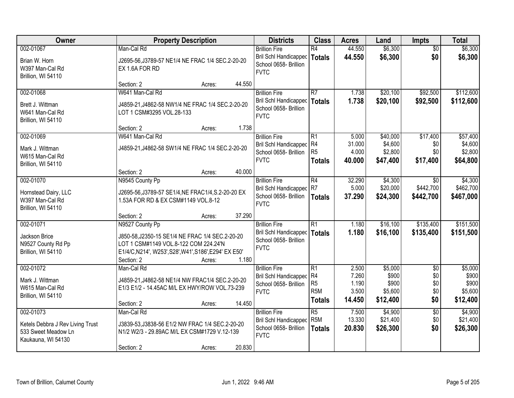| Owner                                                                                      | <b>Property Description</b>                                                                                                                                                                   | <b>Districts</b> | <b>Class</b>                                                                                   | <b>Acres</b>                                              | Land                                       | <b>Impts</b>                                     | <b>Total</b>                                |                                                  |
|--------------------------------------------------------------------------------------------|-----------------------------------------------------------------------------------------------------------------------------------------------------------------------------------------------|------------------|------------------------------------------------------------------------------------------------|-----------------------------------------------------------|--------------------------------------------|--------------------------------------------------|---------------------------------------------|--------------------------------------------------|
| 002-01067<br>Brian W. Horn<br>W397 Man-Cal Rd<br>Brillion, WI 54110                        | Man-Cal Rd<br>J2695-56, J3789-57 NE1/4 NE FRAC 1/4 SEC.2-20-20<br>EX 1.6A FOR RD                                                                                                              |                  | <b>Brillion Fire</b><br>Bril Schl Handicapped<br>School 0658- Brillion<br><b>FVTC</b>          | R4<br>Totals                                              | 44.550<br>44.550                           | \$6,300<br>\$6,300                               | $\overline{50}$<br>\$0                      | \$6,300<br>\$6,300                               |
|                                                                                            | Section: 2<br>Acres:                                                                                                                                                                          | 44.550           |                                                                                                |                                                           |                                            |                                                  |                                             |                                                  |
| 002-01068<br>Brett J. Wittman<br>W641 Man-Cal Rd<br>Brillion, WI 54110                     | W641 Man-Cal Rd<br>J4859-21, J4862-58 NW1/4 NE FRAC 1/4 SEC.2-20-20<br>LOT 1 CSM#3295 VOL.28-133                                                                                              |                  | <b>Brillion Fire</b><br><b>Bril Schl Handicapped</b><br>School 0658- Brillion<br><b>FVTC</b>   | R7<br>Totals                                              | 1.738<br>1.738                             | \$20,100<br>\$20,100                             | \$92,500<br>\$92,500                        | \$112,600<br>\$112,600                           |
|                                                                                            | Section: 2<br>Acres:                                                                                                                                                                          | 1.738            |                                                                                                |                                                           |                                            |                                                  |                                             |                                                  |
| 002-01069<br>Mark J. Wittman<br>W615 Man-Cal Rd<br>Brillion, WI 54110                      | W641 Man-Cal Rd<br>J4859-21, J4862-58 SW1/4 NE FRAC 1/4 SEC.2-20-20                                                                                                                           |                  | <b>Brillion Fire</b><br>Bril Schl Handicapped R4<br>School 0658- Brillion<br><b>FVTC</b>       | IR1<br>R5<br><b>Totals</b>                                | 5.000<br>31.000<br>4.000<br>40.000         | \$40,000<br>\$4,600<br>\$2,800<br>\$47,400       | \$17,400<br>\$0<br>\$0<br>\$17,400          | \$57,400<br>\$4,600<br>\$2,800<br>\$64,800       |
|                                                                                            | Section: 2<br>Acres:                                                                                                                                                                          | 40.000           |                                                                                                |                                                           |                                            |                                                  |                                             |                                                  |
| 002-01070<br>Hornstead Dairy, LLC<br>W397 Man-Cal Rd<br>Brillion, WI 54110                 | N9545 County Pp<br>J2695-56, J3789-57 SE1/4, NE FRAC1/4, S.2-20-20 EX<br>1.53A FOR RD & EX CSM#1149 VOL.8-12                                                                                  |                  | <b>Brillion Fire</b><br>Bril Schl Handicapped<br>School 0658- Brillion<br><b>FVTC</b>          | R4<br>R7<br><b>Totals</b>                                 | 32.290<br>5.000<br>37.290                  | \$4,300<br>\$20,000<br>\$24,300                  | $\sqrt{6}$<br>\$442,700<br>\$442,700        | \$4,300<br>\$462,700<br>\$467,000                |
|                                                                                            | Section: 2<br>Acres:                                                                                                                                                                          | 37.290           |                                                                                                |                                                           |                                            |                                                  |                                             |                                                  |
| 002-01071<br>Jackson Brice<br>N9527 County Rd Pp<br>Brillion, WI 54110                     | N9527 County Pp<br>J850-58, J2350-15 SE1/4 NE FRAC 1/4 SEC.2-20-20<br>LOT 1 CSM#1149 VOL.8-122 COM 224.24'N<br>E1/4/C, N214', W253', S28', W41', S186', E294' EX E50'<br>Section: 2<br>Acres: | 1.180            | <b>Brillion Fire</b><br>Bril Schl Handicapped   Totals<br>School 0658- Brillion<br><b>FVTC</b> | $\overline{R1}$                                           | 1.180<br>1.180                             | \$16,100<br>\$16,100                             | \$135,400<br>\$135,400                      | \$151,500<br>\$151,500                           |
| 002-01072<br>Mark J. Wittman<br>W615 Man-Cal Rd<br>Brillion, WI 54110                      | Man-Cal Rd<br>J4859-21, J4862-58 NE1/4 NW FRAC1/4 SEC.2-20-20<br>E1/3 E1/2 - 14.45AC M/L EX HWY/ROW VOL.73-239<br>Section: 2<br>Acres:                                                        | 14.450           | <b>Brillion Fire</b><br>Bril Schl Handicapped R4<br>School 0658- Brillion<br><b>FVTC</b>       | R1<br>R <sub>5</sub><br>R <sub>5</sub> M<br><b>Totals</b> | 2.500<br>7.260<br>1.190<br>3.500<br>14.450 | \$5,000<br>\$900<br>\$900<br>\$5,600<br>\$12,400 | $\overline{30}$<br>\$0<br>\$0<br>\$0<br>\$0 | \$5,000<br>\$900<br>\$900<br>\$5,600<br>\$12,400 |
| 002-01073<br>Ketels Debbra J Rev Living Trust<br>533 Sweet Meadow Ln<br>Kaukauna, WI 54130 | Man-Cal Rd<br>J3839-53, J3838-56 E1/2 NW FRAC 1/4 SEC.2-20-20<br>N1/2 W2/3 - 29.89AC M/L EX CSM#1729 V.12-139<br>Section: 2<br>Acres:                                                         | 20.830           | <b>Brillion Fire</b><br>Bril Schl Handicapped<br>School 0658- Brillion<br><b>FVTC</b>          | $\overline{R5}$<br>R <sub>5</sub> M<br><b>Totals</b>      | 7.500<br>13.330<br>20.830                  | \$4,900<br>\$21,400<br>\$26,300                  | $\overline{50}$<br>\$0<br>\$0               | \$4,900<br>\$21,400<br>\$26,300                  |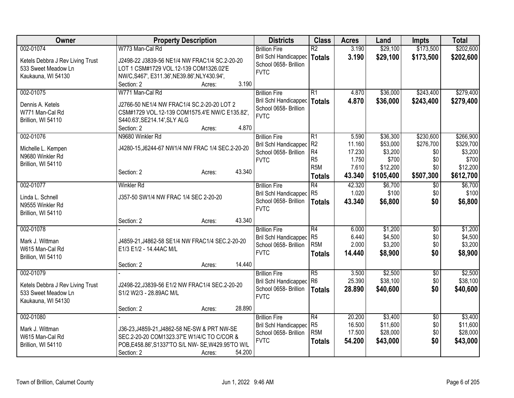| Owner                            | <b>Property Description</b>                         | <b>Districts</b>             | <b>Class</b>     | <b>Acres</b> | Land      | <b>Impts</b>    | <b>Total</b> |
|----------------------------------|-----------------------------------------------------|------------------------------|------------------|--------------|-----------|-----------------|--------------|
| 002-01074                        | W773 Man-Cal Rd                                     | <b>Brillion Fire</b>         | $\overline{R2}$  | 3.190        | \$29,100  | \$173,500       | \$202,600    |
| Ketels Debbra J Rev Living Trust | J2498-22 J3839-56 NE1/4 NW FRAC1/4 SC.2-20-20       | Bril Schl Handicapped        | Totals           | 3.190        | \$29,100  | \$173,500       | \$202,600    |
| 533 Sweet Meadow Ln              | LOT 1 CSM#1729 VOL.12-139 COM1326.02'E              | School 0658- Brillion        |                  |              |           |                 |              |
| Kaukauna, WI 54130               | NW/C, S467', E311.36', NE39.86', NLY430.94',        | <b>FVTC</b>                  |                  |              |           |                 |              |
|                                  | 3.190<br>Section: 2<br>Acres:                       |                              |                  |              |           |                 |              |
| 002-01075                        | W771 Man-Cal Rd                                     | <b>Brillion Fire</b>         | R1               | 4.870        | \$36,000  | \$243,400       | \$279,400    |
|                                  |                                                     | Bril Schl Handicapped        | <b>Totals</b>    | 4.870        | \$36,000  | \$243,400       | \$279,400    |
| Dennis A. Ketels                 | J2766-50 NE1/4 NW FRAC1/4 SC.2-20-20 LOT 2          | School 0658- Brillion        |                  |              |           |                 |              |
| W771 Man-Cal Rd                  | CSM#1729 VOL.12-139 COM1575.4'E NW/C E135.82',      | <b>FVTC</b>                  |                  |              |           |                 |              |
| Brillion, WI 54110               | S440.63', SE214.14', SLY ALG<br>Section: 2<br>4.870 |                              |                  |              |           |                 |              |
| 002-01076                        | Acres:<br>N9680 Winkler Rd                          | <b>Brillion Fire</b>         | R1               | 5.590        | \$36,300  | \$230,600       | \$266,900    |
|                                  |                                                     | <b>Bril Schl Handicapped</b> | R <sub>2</sub>   | 11.160       | \$53,000  | \$276,700       | \$329,700    |
| Michelle L. Kempen               | J4280-15, J6244-67 NW1/4 NW FRAC 1/4 SEC.2-20-20    | School 0658- Brillion        | R4               | 17.230       | \$3,200   | \$0             | \$3,200      |
| N9680 Winkler Rd                 |                                                     | <b>FVTC</b>                  | R <sub>5</sub>   | 1.750        | \$700     | \$0             | \$700        |
| Brillion, WI 54110               |                                                     |                              | R <sub>5</sub> M | 7.610        | \$12,200  | \$0             | \$12,200     |
|                                  | 43.340<br>Section: 2<br>Acres:                      |                              | <b>Totals</b>    | 43.340       | \$105,400 | \$507,300       | \$612,700    |
| 002-01077                        | <b>Winkler Rd</b>                                   | <b>Brillion Fire</b>         | R4               | 42.320       | \$6,700   | $\overline{60}$ | \$6,700      |
|                                  |                                                     | Bril Schl Handicapped        | R <sub>5</sub>   | 1.020        | \$100     | \$0             | \$100        |
| Linda L. Schnell                 | J357-50 SW1/4 NW FRAC 1/4 SEC 2-20-20               | School 0658- Brillion        | <b>Totals</b>    | 43.340       | \$6,800   | \$0             | \$6,800      |
| N9555 Winkler Rd                 |                                                     | <b>FVTC</b>                  |                  |              |           |                 |              |
| Brillion, WI 54110               |                                                     |                              |                  |              |           |                 |              |
|                                  | 43.340<br>Section: 2<br>Acres:                      |                              |                  |              |           |                 |              |
| 002-01078                        |                                                     | <b>Brillion Fire</b>         | R4               | 6.000        | \$1,200   | \$0             | \$1,200      |
| Mark J. Wittman                  | J4859-21, J4862-58 SE1/4 NW FRAC1/4 SEC.2-20-20     | Bril Schl Handicapped        | R <sub>5</sub>   | 6.440        | \$4,500   | \$0             | \$4,500      |
| W615 Man-Cal Rd                  | E1/3 E1/2 - 14.44AC M/L                             | School 0658- Brillion        | R <sub>5</sub> M | 2.000        | \$3,200   | \$0             | \$3,200      |
| Brillion, WI 54110               |                                                     | <b>FVTC</b>                  | <b>Totals</b>    | 14.440       | \$8,900   | \$0             | \$8,900      |
|                                  | 14.440<br>Section: 2<br>Acres:                      |                              |                  |              |           |                 |              |
| 002-01079                        |                                                     | <b>Brillion Fire</b>         | $\overline{R5}$  | 3.500        | \$2,500   | \$0             | \$2,500      |
| Ketels Debbra J Rev Living Trust | J2498-22, J3839-56 E1/2 NW FRAC1/4 SEC.2-20-20      | Bril Schl Handicapped        | R <sub>6</sub>   | 25.390       | \$38,100  | \$0             | \$38,100     |
| 533 Sweet Meadow Ln              | S1/2 W2/3 - 28.89AC M/L                             | School 0658- Brillion        | <b>Totals</b>    | 28,890       | \$40,600  | \$0             | \$40,600     |
| Kaukauna, WI 54130               |                                                     | <b>FVTC</b>                  |                  |              |           |                 |              |
|                                  | 28.890<br>Section: 2<br>Acres:                      |                              |                  |              |           |                 |              |
| 002-01080                        |                                                     | <b>Brillion Fire</b>         | R4               | 20.200       | \$3,400   | \$0             | \$3,400      |
|                                  |                                                     | <b>Bril Schl Handicapped</b> | R <sub>5</sub>   | 16.500       | \$11,600  | \$0             | \$11,600     |
| Mark J. Wittman                  | J36-23, J4859-21, J4862-58 NE-SW & PRT NW-SE        | School 0658- Brillion        | R <sub>5</sub> M | 17.500       | \$28,000  | \$0             | \$28,000     |
| W615 Man-Cal Rd                  | SEC.2-20-20 COM1323.37'E W1/4/C TO C/COR &          | <b>FVTC</b>                  | <b>Totals</b>    | 54.200       | \$43,000  | \$0             | \$43,000     |
| Brillion, WI 54110               | POB, E458.86', S1337'TO S/L NW-SE, W429.95'TO W/L   |                              |                  |              |           |                 |              |
|                                  | 54.200<br>Section: 2<br>Acres:                      |                              |                  |              |           |                 |              |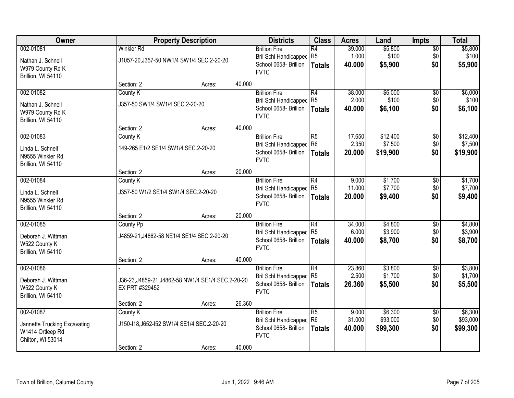| Owner                                                                              |                                                  | <b>Property Description</b>                        |        | <b>Districts</b>                                                                             | <b>Class</b>                                       | <b>Acres</b>              | Land                            | <b>Impts</b>                  | <b>Total</b>                    |
|------------------------------------------------------------------------------------|--------------------------------------------------|----------------------------------------------------|--------|----------------------------------------------------------------------------------------------|----------------------------------------------------|---------------------------|---------------------------------|-------------------------------|---------------------------------|
| 002-01081<br>Nathan J. Schnell<br>W979 County Rd K<br>Brillion, WI 54110           | <b>Winkler Rd</b>                                | J1057-20, J357-50 NW1/4 SW1/4 SEC 2-20-20          |        | <b>Brillion Fire</b><br>Bril Schl Handicapped<br>School 0658- Brillion<br><b>FVTC</b>        | $\overline{R4}$<br>R <sub>5</sub><br><b>Totals</b> | 39.000<br>1.000<br>40.000 | \$5,800<br>\$100<br>\$5,900     | $\overline{50}$<br>\$0<br>\$0 | \$5,800<br>\$100<br>\$5,900     |
|                                                                                    | Section: 2                                       | Acres:                                             | 40.000 |                                                                                              |                                                    |                           |                                 |                               |                                 |
| 002-01082<br>Nathan J. Schnell<br>W979 County Rd K<br>Brillion, WI 54110           | County K<br>J357-50 SW1/4 SW1/4 SEC.2-20-20      |                                                    |        | <b>Brillion Fire</b><br><b>Bril Schl Handicapped</b><br>School 0658- Brillion<br><b>FVTC</b> | R4<br>R <sub>5</sub><br><b>Totals</b>              | 38.000<br>2.000<br>40.000 | \$6,000<br>\$100<br>\$6,100     | \$0<br>\$0<br>\$0             | \$6,000<br>\$100<br>\$6,100     |
|                                                                                    | Section: 2                                       | Acres:                                             | 40.000 |                                                                                              |                                                    |                           |                                 |                               |                                 |
| 002-01083<br>Linda L. Schnell<br>N9555 Winkler Rd<br>Brillion, WI 54110            | County K<br>149-265 E1/2 SE1/4 SW1/4 SEC.2-20-20 |                                                    |        | <b>Brillion Fire</b><br>Bril Schl Handicapped<br>School 0658- Brillion<br><b>FVTC</b>        | R5<br>R <sub>6</sub><br><b>Totals</b>              | 17.650<br>2.350<br>20.000 | \$12,400<br>\$7,500<br>\$19,900 | \$0<br>\$0<br>\$0             | \$12,400<br>\$7,500<br>\$19,900 |
|                                                                                    | Section: 2                                       | Acres:                                             | 20.000 |                                                                                              |                                                    |                           |                                 |                               |                                 |
| 002-01084<br>Linda L. Schnell<br>N9555 Winkler Rd<br>Brillion, WI 54110            | County K<br>J357-50 W1/2 SE1/4 SW1/4 SEC.2-20-20 |                                                    |        | <b>Brillion Fire</b><br>Bril Schl Handicapped<br>School 0658- Brillion<br><b>FVTC</b>        | R4<br>R <sub>5</sub><br><b>Totals</b>              | 9.000<br>11.000<br>20,000 | \$1,700<br>\$7,700<br>\$9,400   | $\sqrt[6]{3}$<br>\$0<br>\$0   | \$1,700<br>\$7,700<br>\$9,400   |
|                                                                                    | Section: 2                                       | Acres:                                             | 20.000 |                                                                                              |                                                    |                           |                                 |                               |                                 |
| 002-01085<br>Deborah J. Wittman<br>W522 County K<br>Brillion, WI 54110             | County Pp                                        | J4859-21, J4862-58 NE1/4 SE1/4 SEC.2-20-20         |        | <b>Brillion Fire</b><br><b>Bril Schl Handicapped</b><br>School 0658- Brillion<br><b>FVTC</b> | $\overline{R4}$<br>R <sub>5</sub><br><b>Totals</b> | 34.000<br>6.000<br>40.000 | \$4,800<br>\$3,900<br>\$8,700   | $\overline{50}$<br>\$0<br>\$0 | \$4,800<br>\$3,900<br>\$8,700   |
|                                                                                    | Section: 2                                       | Acres:                                             | 40.000 |                                                                                              |                                                    |                           |                                 |                               |                                 |
| 002-01086<br>Deborah J. Wittman<br>W522 County K<br>Brillion, WI 54110             | EX PRT #329452                                   | J36-23, J4859-21, J4862-58 NW1/4 SE1/4 SEC.2-20-20 |        | <b>Brillion Fire</b><br>Bril Schl Handicapped R5<br>School 0658- Brillion<br><b>FVTC</b>     | R4<br><b>Totals</b>                                | 23.860<br>2.500<br>26,360 | \$3,800<br>\$1,700<br>\$5,500   | $\overline{50}$<br>\$0<br>\$0 | \$3,800<br>\$1,700<br>\$5,500   |
|                                                                                    | Section: 2                                       | Acres:                                             | 26.360 |                                                                                              |                                                    |                           |                                 |                               |                                 |
| 002-01087<br>Jannette Trucking Excavating<br>W1414 Ortleep Rd<br>Chilton, WI 53014 | County K                                         | J150-I18, J652-I52 SW1/4 SE1/4 SEC.2-20-20         |        | <b>Brillion Fire</b><br>Bril Schl Handicapped<br>School 0658- Brillion<br><b>FVTC</b>        | R5<br>R <sub>6</sub><br><b>Totals</b>              | 9.000<br>31.000<br>40.000 | \$6,300<br>\$93,000<br>\$99,300 | $\overline{50}$<br>\$0<br>\$0 | \$6,300<br>\$93,000<br>\$99,300 |
|                                                                                    | Section: 2                                       | Acres:                                             | 40.000 |                                                                                              |                                                    |                           |                                 |                               |                                 |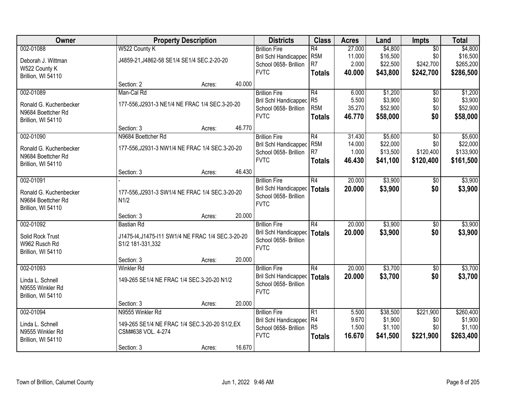| Owner                  |                                                   | <b>Property Description</b> |        |                              | <b>Class</b>     | <b>Acres</b> | Land     | <b>Impts</b>    | <b>Total</b> |
|------------------------|---------------------------------------------------|-----------------------------|--------|------------------------------|------------------|--------------|----------|-----------------|--------------|
| 002-01088              | W522 County K                                     |                             |        | <b>Brillion Fire</b>         | $\overline{R4}$  | 27.000       | \$4,800  | $\overline{50}$ | \$4,800      |
| Deborah J. Wittman     | J4859-21, J4862-58 SE1/4 SE1/4 SEC.2-20-20        |                             |        | Bril Schl Handicapped        | R <sub>5</sub> M | 11.000       | \$16,500 | \$0             | \$16,500     |
| W522 County K          |                                                   |                             |        | School 0658- Brillion        | R <sub>7</sub>   | 2.000        | \$22,500 | \$242,700       | \$265,200    |
| Brillion, WI 54110     |                                                   |                             |        | <b>FVTC</b>                  | <b>Totals</b>    | 40.000       | \$43,800 | \$242,700       | \$286,500    |
|                        | Section: 2                                        | Acres:                      | 40.000 |                              |                  |              |          |                 |              |
| 002-01089              | Man-Cal Rd                                        |                             |        | <b>Brillion Fire</b>         | $\overline{R4}$  | 6.000        | \$1,200  | \$0             | \$1,200      |
| Ronald G. Kuchenbecker | 177-556, J2931-3 NE1/4 NE FRAC 1/4 SEC.3-20-20    |                             |        | <b>Bril Schl Handicapped</b> | R <sub>5</sub>   | 5.500        | \$3,900  | \$0             | \$3,900      |
| N9684 Boettcher Rd     |                                                   |                             |        | School 0658- Brillion        | R <sub>5</sub> M | 35.270       | \$52,900 | \$0             | \$52,900     |
| Brillion, WI 54110     |                                                   |                             |        | <b>FVTC</b>                  | <b>Totals</b>    | 46.770       | \$58,000 | \$0             | \$58,000     |
|                        | Section: 3                                        | Acres:                      | 46.770 |                              |                  |              |          |                 |              |
| 002-01090              | N9684 Boettcher Rd                                |                             |        | <b>Brillion Fire</b>         | R4               | 31.430       | \$5,600  | $\overline{50}$ | \$5,600      |
| Ronald G. Kuchenbecker | 177-556, J2931-3 NW1/4 NE FRAC 1/4 SEC.3-20-20    |                             |        | <b>Bril Schl Handicapped</b> | R <sub>5</sub> M | 14.000       | \$22,000 | \$0             | \$22,000     |
| N9684 Boettcher Rd     |                                                   |                             |        | School 0658- Brillion        | R <sub>7</sub>   | 1.000        | \$13,500 | \$120,400       | \$133,900    |
| Brillion, WI 54110     |                                                   |                             |        | <b>FVTC</b>                  | <b>Totals</b>    | 46.430       | \$41,100 | \$120,400       | \$161,500    |
|                        | Section: 3                                        | Acres:                      | 46.430 |                              |                  |              |          |                 |              |
| 002-01091              |                                                   |                             |        | <b>Brillion Fire</b>         | R4               | 20.000       | \$3,900  | $\sqrt[6]{}$    | \$3,900      |
| Ronald G. Kuchenbecker | 177-556, J2931-3 SW1/4 NE FRAC 1/4 SEC.3-20-20    |                             |        | Bril Schl Handicapped        | <b>Totals</b>    | 20.000       | \$3,900  | \$0             | \$3,900      |
| N9684 Boettcher Rd     | N1/2                                              |                             |        | School 0658- Brillion        |                  |              |          |                 |              |
| Brillion, WI 54110     |                                                   |                             |        | <b>FVTC</b>                  |                  |              |          |                 |              |
|                        | Section: 3                                        | Acres:                      | 20.000 |                              |                  |              |          |                 |              |
| 002-01092              | <b>Bastian Rd</b>                                 |                             |        | <b>Brillion Fire</b>         | $\overline{R4}$  | 20.000       | \$3,900  | $\overline{50}$ | \$3,900      |
| Solid Rock Trust       | J1475-I4, J1475-I11 SW1/4 NE FRAC 1/4 SEC.3-20-20 |                             |        | <b>Bril Schl Handicapped</b> | <b>Totals</b>    | 20.000       | \$3,900  | \$0             | \$3,900      |
| W962 Rusch Rd          | S1/2 181-331,332                                  |                             |        | School 0658- Brillion        |                  |              |          |                 |              |
| Brillion, WI 54110     |                                                   |                             |        | <b>FVTC</b>                  |                  |              |          |                 |              |
|                        | Section: 3                                        | Acres:                      | 20.000 |                              |                  |              |          |                 |              |
| 002-01093              | Winkler Rd                                        |                             |        | <b>Brillion Fire</b>         | $\overline{R4}$  | 20.000       | \$3,700  | $\overline{50}$ | \$3,700      |
| Linda L. Schnell       | 149-265 SE1/4 NE FRAC 1/4 SEC.3-20-20 N1/2        |                             |        | <b>Bril Schl Handicapped</b> | <b>Totals</b>    | 20.000       | \$3,700  | \$0             | \$3,700      |
| N9555 Winkler Rd       |                                                   |                             |        | School 0658- Brillion        |                  |              |          |                 |              |
| Brillion, WI 54110     |                                                   |                             |        | <b>FVTC</b>                  |                  |              |          |                 |              |
|                        | Section: 3                                        | Acres:                      | 20.000 |                              |                  |              |          |                 |              |
| 002-01094              | N9555 Winkler Rd                                  |                             |        | <b>Brillion Fire</b>         | $\overline{R1}$  | 5.500        | \$38,500 | \$221,900       | \$260,400    |
| Linda L. Schnell       | 149-265 SE1/4 NE FRAC 1/4 SEC.3-20-20 S1/2, EX    |                             |        | Bril Schl Handicapped        | R <sub>4</sub>   | 9.670        | \$1,900  | \$0             | \$1,900      |
| N9555 Winkler Rd       | CSM#638 VOL. 4-274                                |                             |        | School 0658- Brillion        | R <sub>5</sub>   | 1.500        | \$1,100  | \$0             | \$1,100      |
| Brillion, WI 54110     |                                                   |                             |        | <b>FVTC</b>                  | <b>Totals</b>    | 16.670       | \$41,500 | \$221,900       | \$263,400    |
|                        | Section: 3                                        | Acres:                      | 16.670 |                              |                  |              |          |                 |              |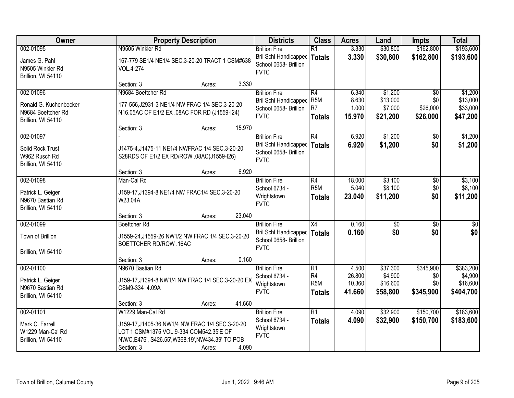| Owner                                                                           | <b>Property Description</b>                                                                                                                                                                          | <b>Districts</b>                                                                             | <b>Class</b>                                              | <b>Acres</b>                        | Land                                        | <b>Impts</b>                                   | <b>Total</b>                                  |
|---------------------------------------------------------------------------------|------------------------------------------------------------------------------------------------------------------------------------------------------------------------------------------------------|----------------------------------------------------------------------------------------------|-----------------------------------------------------------|-------------------------------------|---------------------------------------------|------------------------------------------------|-----------------------------------------------|
| 002-01095<br>James G. Pahl<br>N9505 Winkler Rd<br>Brillion, WI 54110            | N9505 Winkler Rd<br>167-779 SE1/4 NE1/4 SEC.3-20-20 TRACT 1 CSM#638<br>VOL.4-274                                                                                                                     | <b>Brillion Fire</b><br>Bril Schl Handicapped<br>School 0658- Brillion<br><b>FVTC</b>        | $\overline{R1}$<br><b>Totals</b>                          | 3.330<br>3.330                      | \$30,800<br>\$30,800                        | \$162,800<br>\$162,800                         | \$193,600<br>\$193,600                        |
|                                                                                 | 3.330<br>Section: 3<br>Acres:                                                                                                                                                                        |                                                                                              |                                                           |                                     |                                             |                                                |                                               |
| 002-01096<br>Ronald G. Kuchenbecker<br>N9684 Boettcher Rd<br>Brillion, WI 54110 | N9684 Boettcher Rd<br>177-556, J2931-3 NE1/4 NW FRAC 1/4 SEC.3-20-20<br>N16.05AC OF E1/2 EX .08AC FOR RD (J1559-I24)<br>15.970<br>Section: 3                                                         | <b>Brillion Fire</b><br><b>Bril Schl Handicapped</b><br>School 0658- Brillion<br><b>FVTC</b> | R4<br>R <sub>5</sub> M<br>R <sub>7</sub><br><b>Totals</b> | 6.340<br>8.630<br>1.000<br>15.970   | \$1,200<br>\$13,000<br>\$7,000<br>\$21,200  | $\overline{50}$<br>\$0<br>\$26,000<br>\$26,000 | \$1,200<br>\$13,000<br>\$33,000<br>\$47,200   |
| 002-01097                                                                       | Acres:                                                                                                                                                                                               | <b>Brillion Fire</b>                                                                         | R4                                                        | 6.920                               | \$1,200                                     | \$0                                            | \$1,200                                       |
| Solid Rock Trust<br>W962 Rusch Rd<br>Brillion, WI 54110                         | J1475-4, J1475-11 NE1/4 NWFRAC 1/4 SEC.3-20-20<br>S28RDS OF E1/2 EX RD/ROW .08AC(J1559-I26)                                                                                                          | Bril Schl Handicapped<br>School 0658- Brillion<br><b>FVTC</b>                                | Totals                                                    | 6.920                               | \$1,200                                     | \$0                                            | \$1,200                                       |
|                                                                                 | 6.920<br>Section: 3<br>Acres:                                                                                                                                                                        |                                                                                              |                                                           |                                     |                                             |                                                |                                               |
| 002-01098<br>Patrick L. Geiger<br>N9670 Bastian Rd<br>Brillion, WI 54110        | Man-Cal Rd<br>J159-17, J1394-8 NE1/4 NW FRAC1/4 SEC.3-20-20<br>W23.04A                                                                                                                               | <b>Brillion Fire</b><br>School 6734 -<br>Wrightstown<br><b>FVTC</b>                          | R4<br>R <sub>5</sub> M<br><b>Totals</b>                   | 18.000<br>5.040<br>23.040           | \$3,100<br>\$8,100<br>\$11,200              | \$0<br>\$0<br>\$0                              | \$3,100<br>\$8,100<br>\$11,200                |
|                                                                                 | 23.040<br>Section: 3<br>Acres:                                                                                                                                                                       |                                                                                              |                                                           |                                     |                                             |                                                |                                               |
| 002-01099<br>Town of Brillion<br>Brillion, WI 54110                             | <b>Boettcher Rd</b><br>J1559-24, J1559-26 NW1/2 NW FRAC 1/4 SEC.3-20-20<br>BOETTCHER RD/ROW .16AC                                                                                                    | <b>Brillion Fire</b><br><b>Bril Schl Handicapped</b><br>School 0658- Brillion<br><b>FVTC</b> | X4<br>Totals                                              | 0.160<br>0.160                      | $\overline{50}$<br>\$0                      | $\overline{50}$<br>\$0                         | $\sqrt{50}$<br>\$0                            |
|                                                                                 | 0.160<br>Section: 3<br>Acres:                                                                                                                                                                        |                                                                                              |                                                           |                                     |                                             |                                                |                                               |
| 002-01100<br>Patrick L. Geiger<br>N9670 Bastian Rd<br>Brillion, WI 54110        | N9670 Bastian Rd<br>J159-17, J1394-8 NW1/4 NW FRAC 1/4 SEC.3-20-20 EX<br>CSM9-334 4.09A                                                                                                              | <b>Brillion Fire</b><br>School 6734 -<br>Wrightstown<br><b>FVTC</b>                          | R1<br>R <sub>4</sub><br>R <sub>5</sub> M<br><b>Totals</b> | 4.500<br>26.800<br>10.360<br>41.660 | \$37,300<br>\$4,900<br>\$16,600<br>\$58,800 | \$345,900<br>\$0<br>\$0<br>\$345,900           | \$383,200<br>\$4,900<br>\$16,600<br>\$404,700 |
|                                                                                 | 41.660<br>Section: 3<br>Acres:                                                                                                                                                                       |                                                                                              |                                                           |                                     |                                             |                                                |                                               |
| 002-01101<br>Mark C. Farrell<br>W1229 Man-Cal Rd<br>Brillion, WI 54110          | W1229 Man-Cal Rd<br>J159-17, J1405-36 NW1/4 NW FRAC 1/4 SEC.3-20-20<br>LOT 1 CSM#1375 VOL.9-334 COM542.35'E OF<br>NW/C, E476', S426.55', W368.19', NW434.39' TO POB<br>4.090<br>Section: 3<br>Acres: | <b>Brillion Fire</b><br>School 6734 -<br>Wrightstown<br><b>FVTC</b>                          | $\overline{R1}$<br><b>Totals</b>                          | 4.090<br>4.090                      | \$32,900<br>\$32,900                        | \$150,700<br>\$150,700                         | \$183,600<br>\$183,600                        |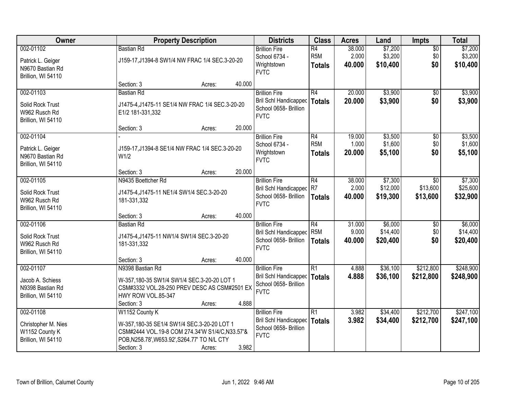| Owner                                                                    |                                                                                                                                                                              | <b>Property Description</b> |        |                                                                                       | <b>Class</b>                        | <b>Acres</b>    | Land                 | <b>Impts</b>           | <b>Total</b>           |
|--------------------------------------------------------------------------|------------------------------------------------------------------------------------------------------------------------------------------------------------------------------|-----------------------------|--------|---------------------------------------------------------------------------------------|-------------------------------------|-----------------|----------------------|------------------------|------------------------|
| 002-01102                                                                | <b>Bastian Rd</b>                                                                                                                                                            |                             |        | <b>Brillion Fire</b><br>School 6734 -                                                 | $\overline{R4}$<br>R <sub>5</sub> M | 38.000<br>2.000 | \$7,200<br>\$3,200   | $\sqrt{$0}$<br>\$0     | \$7,200<br>\$3,200     |
| Patrick L. Geiger<br>N9670 Bastian Rd<br>Brillion, WI 54110              | J159-17, J1394-8 SW1/4 NW FRAC 1/4 SEC.3-20-20                                                                                                                               |                             |        | Wrightstown<br><b>FVTC</b>                                                            | <b>Totals</b>                       | 40.000          | \$10,400             | \$0                    | \$10,400               |
|                                                                          | Section: 3                                                                                                                                                                   | Acres:                      | 40.000 |                                                                                       |                                     |                 |                      |                        |                        |
| 002-01103                                                                | <b>Bastian Rd</b>                                                                                                                                                            |                             |        | <b>Brillion Fire</b>                                                                  | R4                                  | 20.000          | \$3,900              | \$0                    | \$3,900                |
| Solid Rock Trust<br>W962 Rusch Rd<br>Brillion, WI 54110                  | J1475-4, J1475-11 SE1/4 NW FRAC 1/4 SEC.3-20-20<br>E1/2 181-331,332                                                                                                          |                             |        | Bril Schl Handicapped<br>School 0658- Brillion<br><b>FVTC</b>                         | <b>Totals</b>                       | 20.000          | \$3,900              | \$0                    | \$3,900                |
|                                                                          | Section: 3                                                                                                                                                                   | Acres:                      | 20.000 |                                                                                       |                                     |                 |                      |                        |                        |
| 002-01104                                                                |                                                                                                                                                                              |                             |        | <b>Brillion Fire</b>                                                                  | R4                                  | 19.000          | \$3,500              | \$0                    | \$3,500                |
| Patrick L. Geiger<br>N9670 Bastian Rd<br>Brillion, WI 54110              | J159-17, J1394-8 SE1/4 NW FRAC 1/4 SEC.3-20-20<br>W1/2                                                                                                                       |                             |        | School 6734 -<br>Wrightstown<br><b>FVTC</b>                                           | R <sub>5</sub> M<br><b>Totals</b>   | 1.000<br>20.000 | \$1,600<br>\$5,100   | \$0<br>\$0             | \$1,600<br>\$5,100     |
|                                                                          | Section: 3                                                                                                                                                                   | Acres:                      | 20.000 |                                                                                       |                                     |                 |                      |                        |                        |
| 002-01105                                                                | N9435 Boettcher Rd                                                                                                                                                           |                             |        | <b>Brillion Fire</b>                                                                  | R4                                  | 38.000          | \$7,300              | $\sqrt{6}$             | \$7,300                |
| Solid Rock Trust<br>W962 Rusch Rd<br>Brillion, WI 54110                  | J1475-4, J1475-11 NE1/4 SW1/4 SEC.3-20-20<br>181-331,332                                                                                                                     |                             |        | <b>Bril Schl Handicapped</b><br>School 0658- Brillion<br><b>FVTC</b>                  | R7<br><b>Totals</b>                 | 2.000<br>40.000 | \$12,000<br>\$19,300 | \$13,600<br>\$13,600   | \$25,600<br>\$32,900   |
|                                                                          | Section: 3                                                                                                                                                                   | Acres:                      | 40.000 |                                                                                       |                                     |                 |                      |                        |                        |
| 002-01106                                                                | <b>Bastian Rd</b>                                                                                                                                                            |                             |        | <b>Brillion Fire</b>                                                                  | $\overline{R4}$                     | 31.000          | \$6,000              | \$0                    | \$6,000                |
| Solid Rock Trust<br>W962 Rusch Rd<br>Brillion, WI 54110                  | J1475-4, J1475-11 NW1/4 SW1/4 SEC.3-20-20<br>181-331,332                                                                                                                     |                             |        | Bril Schl Handicapped<br>School 0658- Brillion<br><b>FVTC</b>                         | R <sub>5</sub> M<br><b>Totals</b>   | 9.000<br>40.000 | \$14,400<br>\$20,400 | \$0<br>\$0             | \$14,400<br>\$20,400   |
|                                                                          | Section: 3                                                                                                                                                                   | Acres:                      | 40.000 |                                                                                       |                                     |                 |                      |                        |                        |
| 002-01107                                                                | N9398 Bastian Rd                                                                                                                                                             |                             |        | <b>Brillion Fire</b>                                                                  | R1                                  | 4.888           | \$36,100             | \$212,800              | \$248,900              |
| Jacob A. Schiess<br>N9398 Bastian Rd<br>Brillion, WI 54110               | W-357,180-35 SW1/4 SW1/4 SEC.3-20-20 LOT 1<br>CSM#3332 VOL.28-250 PREV DESC AS CSM#2501 EX<br>HWY ROW VOL.85-347                                                             |                             |        | Bril Schl Handicapped<br>School 0658- Brillion<br><b>FVTC</b>                         | <b>Totals</b>                       | 4.888           | \$36,100             | \$212,800              | \$248,900              |
|                                                                          | Section: 3                                                                                                                                                                   | Acres:                      | 4.888  |                                                                                       |                                     |                 |                      |                        |                        |
| 002-01108<br>Christopher M. Nies<br>W1152 County K<br>Brillion, WI 54110 | W1152 County K<br>W-357,180-35 SE1/4 SW1/4 SEC.3-20-20 LOT 1<br>CSM#2444 VOL.19-8 COM 274.34'W S1/4/C,N33.57'&<br>POB, N258.78', W653.92', S264.77' TO N/L CTY<br>Section: 3 | Acres:                      | 3.982  | <b>Brillion Fire</b><br>Bril Schl Handicapped<br>School 0658- Brillion<br><b>FVTC</b> | R1<br>Totals                        | 3.982<br>3.982  | \$34,400<br>\$34,400 | \$212,700<br>\$212,700 | \$247,100<br>\$247,100 |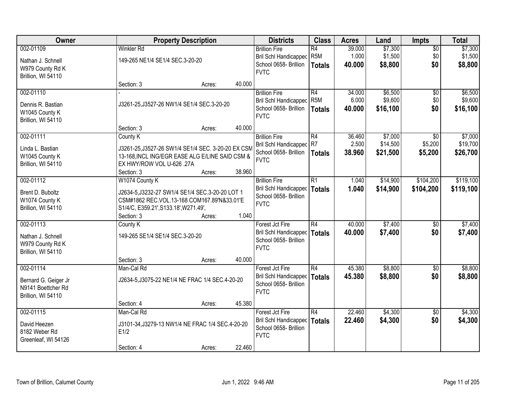| Owner                                  | <b>Property Description</b>                                                                           |        |        | <b>Districts</b>                                        | <b>Class</b>          | <b>Acres</b>    | Land               | <b>Impts</b>           | <b>Total</b>       |
|----------------------------------------|-------------------------------------------------------------------------------------------------------|--------|--------|---------------------------------------------------------|-----------------------|-----------------|--------------------|------------------------|--------------------|
| 002-01109                              | <b>Winkler Rd</b>                                                                                     |        |        | <b>Brillion Fire</b><br><b>Bril Schl Handicapped</b>    | R4<br>R <sub>5M</sub> | 39.000<br>1.000 | \$7,300<br>\$1,500 | $\overline{50}$<br>\$0 | \$7,300<br>\$1,500 |
| Nathan J. Schnell                      | 149-265 NE1/4 SE1/4 SEC.3-20-20                                                                       |        |        | School 0658- Brillion                                   | <b>Totals</b>         | 40,000          | \$8,800            | \$0                    | \$8,800            |
| W979 County Rd K<br>Brillion, WI 54110 |                                                                                                       |        |        | <b>FVTC</b>                                             |                       |                 |                    |                        |                    |
|                                        | Section: 3                                                                                            | Acres: | 40.000 |                                                         |                       |                 |                    |                        |                    |
| 002-01110                              |                                                                                                       |        |        | <b>Brillion Fire</b>                                    | R4                    | 34.000          | \$6,500            | \$0                    | \$6,500            |
| Dennis R. Bastian                      | J3261-25, J3527-26 NW1/4 SE1/4 SEC.3-20-20                                                            |        |        | <b>Bril Schl Handicapped</b><br>School 0658- Brillion   | R <sub>5M</sub>       | 6.000           | \$9,600            | \$0                    | \$9,600            |
| W1045 County K                         |                                                                                                       |        |        | <b>FVTC</b>                                             | <b>Totals</b>         | 40.000          | \$16,100           | \$0                    | \$16,100           |
| Brillion, WI 54110                     |                                                                                                       |        | 40.000 |                                                         |                       |                 |                    |                        |                    |
| 002-01111                              | Section: 3<br>County K                                                                                | Acres: |        | <b>Brillion Fire</b>                                    | R4                    | 36.460          | \$7,000            | \$0                    | \$7,000            |
|                                        |                                                                                                       |        |        | Bril Schl Handicapped                                   | R7                    | 2.500           | \$14,500           | \$5,200                | \$19,700           |
| Linda L. Bastian<br>W1045 County K     | J3261-25, J3527-26 SW1/4 SE1/4 SEC. 3-20-20 EX CSM<br>13-168, INCL ING/EGR EASE ALG E/LINE SAID CSM & |        |        | School 0658- Brillion                                   | Totals                | 38.960          | \$21,500           | \$5,200                | \$26,700           |
| Brillion, WI 54110                     | EX HWY/ROW VOL U-626 .27A                                                                             |        |        | <b>FVTC</b>                                             |                       |                 |                    |                        |                    |
|                                        | Section: 3                                                                                            | Acres: | 38.960 |                                                         |                       |                 |                    |                        |                    |
| 002-01112                              | W1074 County K                                                                                        |        |        | <b>Brillion Fire</b>                                    | R1                    | 1.040           | \$14,900           | \$104,200              | \$119,100          |
| Brent D. Buboltz                       | J2634-5, J3232-27 SW1/4 SE1/4 SEC.3-20-20 LOT 1                                                       |        |        | Bril Schl Handicapped<br>School 0658- Brillion          | <b>Totals</b>         | 1.040           | \$14,900           | \$104,200              | \$119,100          |
| W1074 County K                         | CSM#1862 REC.VOL.13-168 COM167.89'N&33.01'E                                                           |        |        | <b>FVTC</b>                                             |                       |                 |                    |                        |                    |
| Brillion, WI 54110                     | S1/4/C, E359.21', S133.18', W271.49',<br>Section: 3                                                   | Acres: | 1.040  |                                                         |                       |                 |                    |                        |                    |
| 002-01113                              | County K                                                                                              |        |        | Forest Jct Fire                                         | R4                    | 40.000          | \$7,400            | $\overline{50}$        | \$7,400            |
| Nathan J. Schnell                      | 149-265 SE1/4 SE1/4 SEC.3-20-20                                                                       |        |        | Bril Schl Handicapped                                   | Totals                | 40.000          | \$7,400            | \$0                    | \$7,400            |
| W979 County Rd K                       |                                                                                                       |        |        | School 0658- Brillion                                   |                       |                 |                    |                        |                    |
| Brillion, WI 54110                     |                                                                                                       |        |        | <b>FVTC</b>                                             |                       |                 |                    |                        |                    |
|                                        | Section: 3                                                                                            | Acres: | 40.000 |                                                         |                       |                 |                    |                        |                    |
| 002-01114                              | Man-Cal Rd                                                                                            |        |        | Forest Jct Fire                                         | R4                    | 45.380          | \$8,800            | \$0                    | \$8,800            |
| Bernard G. Geiger Jr                   | J2634-5, J3075-22 NE1/4 NE FRAC 1/4 SEC.4-20-20                                                       |        |        | Bril Schl Handicapped   Totals<br>School 0658- Brillion |                       | 45.380          | \$8,800            | \$0                    | \$8,800            |
| N9141 Boettcher Rd                     |                                                                                                       |        |        | <b>FVTC</b>                                             |                       |                 |                    |                        |                    |
| Brillion, WI 54110                     | Section: 4                                                                                            | Acres: | 45.380 |                                                         |                       |                 |                    |                        |                    |
| 002-01115                              | Man-Cal Rd                                                                                            |        |        | Forest Jct Fire                                         | R4                    | 22.460          | \$4,300            | $\overline{30}$        | \$4,300            |
| David Heezen                           | J3101-34, J3279-13 NW1/4 NE FRAC 1/4 SEC.4-20-20                                                      |        |        | Bril Schl Handicapped                                   | Totals                | 22.460          | \$4,300            | \$0                    | \$4,300            |
| 8182 Weber Rd                          | E1/2                                                                                                  |        |        | School 0658- Brillion                                   |                       |                 |                    |                        |                    |
| Greenleaf, WI 54126                    |                                                                                                       |        |        | <b>FVTC</b>                                             |                       |                 |                    |                        |                    |
|                                        | Section: 4                                                                                            | Acres: | 22.460 |                                                         |                       |                 |                    |                        |                    |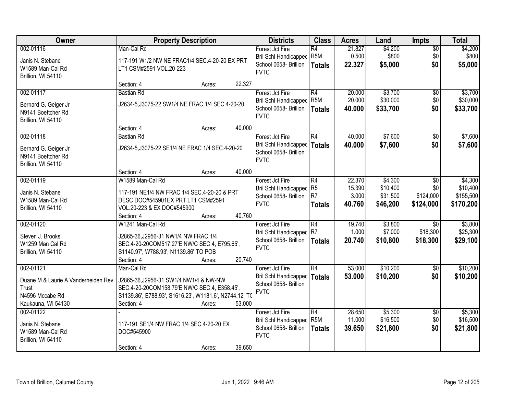| Owner                                                                                              | <b>Property Description</b>                                                                                                                                                  |                  | <b>Districts</b>                                                                        | <b>Class</b>                                | <b>Acres</b>                        | Land                                        | <b>Impts</b>                                | <b>Total</b>                                  |
|----------------------------------------------------------------------------------------------------|------------------------------------------------------------------------------------------------------------------------------------------------------------------------------|------------------|-----------------------------------------------------------------------------------------|---------------------------------------------|-------------------------------------|---------------------------------------------|---------------------------------------------|-----------------------------------------------|
| 002-01116<br>Janis N. Stebane<br>W1589 Man-Cal Rd<br>Brillion, WI 54110                            | Man-Cal Rd<br>117-191 W1/2 NW NE FRAC1/4 SEC.4-20-20 EX PRT<br>LT1 CSM#2591 VOL.20-223                                                                                       |                  | Forest Jct Fire<br>Bril Schl Handicapped<br>School 0658- Brillion<br><b>FVTC</b>        | R4<br>R <sub>5M</sub><br><b>Totals</b>      | 21.827<br>0.500<br>22.327           | \$4,200<br>\$800<br>\$5,000                 | $\overline{50}$<br>\$0<br>\$0               | \$4,200<br>\$800<br>\$5,000                   |
|                                                                                                    | Section: 4                                                                                                                                                                   | 22.327<br>Acres: |                                                                                         |                                             |                                     |                                             |                                             |                                               |
| 002-01117<br>Bernard G. Geiger Jr<br>N9141 Boettcher Rd<br>Brillion, WI 54110                      | <b>Bastian Rd</b><br>J2634-5, J3075-22 SW1/4 NE FRAC 1/4 SEC.4-20-20                                                                                                         |                  | Forest Jct Fire<br><b>Bril Schl Handicapped</b><br>School 0658- Brillion<br><b>FVTC</b> | R4<br>R <sub>5M</sub><br><b>Totals</b>      | 20.000<br>20.000<br>40.000          | \$3,700<br>\$30,000<br>\$33,700             | \$0<br>\$0<br>\$0                           | \$3,700<br>\$30,000<br>\$33,700               |
|                                                                                                    | Section: 4                                                                                                                                                                   | 40.000<br>Acres: |                                                                                         |                                             |                                     |                                             |                                             |                                               |
| 002-01118<br>Bernard G. Geiger Jr<br>N9141 Boettcher Rd<br>Brillion, WI 54110                      | <b>Bastian Rd</b><br>J2634-5, J3075-22 SE1/4 NE FRAC 1/4 SEC.4-20-20                                                                                                         |                  | Forest Jct Fire<br><b>Bril Schl Handicapped</b><br>School 0658- Brillion<br><b>FVTC</b> | R4<br><b>Totals</b>                         | 40.000<br>40.000                    | \$7,600<br>\$7,600                          | \$0<br>\$0                                  | \$7,600<br>\$7,600                            |
|                                                                                                    | Section: 4                                                                                                                                                                   | 40.000<br>Acres: |                                                                                         |                                             |                                     |                                             |                                             |                                               |
| 002-01119<br>Janis N. Stebane<br>W1589 Man-Cal Rd<br>Brillion, WI 54110                            | W1589 Man-Cal Rd<br>117-191 NE1/4 NW FRAC 1/4 SEC.4-20-20 & PRT<br>DESC DOC#545901EX PRT LT1 CSM#2591<br>VOL.20-223 & EX DOC#545900<br>Section: 4                            | 40.760           | Forest Jct Fire<br><b>Bril Schl Handicapped</b><br>School 0658- Brillion<br><b>FVTC</b> | R4<br>R <sub>5</sub><br>R7<br><b>Totals</b> | 22.370<br>15.390<br>3.000<br>40.760 | \$4,300<br>\$10,400<br>\$31,500<br>\$46,200 | $\sqrt{6}$<br>\$0<br>\$124,000<br>\$124,000 | \$4,300<br>\$10,400<br>\$155,500<br>\$170,200 |
| 002-01120                                                                                          | W1241 Man-Cal Rd                                                                                                                                                             | Acres:           | Forest Jct Fire                                                                         | R4                                          | 19.740                              | \$3,800                                     | $\overline{50}$                             | \$3,800                                       |
| Steven J. Brooks<br>W1259 Man Cal Rd<br>Brillion, WI 54110                                         | J2865-36, J2956-31 NW1/4 NW FRAC 1/4<br>SEC.4-20-20COM517.27'E NW/C SEC 4, E795.65',<br>S1140.97', W788.93', N1139.86' TO POB<br>Section: 4                                  | 20.740<br>Acres: | <b>Bril Schl Handicapped</b><br>School 0658- Brillion<br><b>FVTC</b>                    | R7<br>Totals                                | 1.000<br>20.740                     | \$7,000<br>\$10,800                         | \$18,300<br>\$18,300                        | \$25,300<br>\$29,100                          |
| 002-01121<br>Duane M & Laurie A Vanderheiden Rev<br>Trust<br>N4596 Mccabe Rd<br>Kaukauna, WI 54130 | Man-Cal Rd<br>J2865-36, J2956-31 SW1/4 NW1/4 & NW-NW<br>SEC.4-20-20COM158.79'E NW/C SEC.4, E358.45',<br>S1139.86', E788.93', S1616.23', W1181.6', N2744.12' TO<br>Section: 4 | 53.000<br>Acres: | Forest Jct Fire<br><b>Bril Schl Handicapped</b><br>School 0658- Brillion<br><b>FVTC</b> | R4<br>Totals                                | 53.000<br>53.000                    | \$10,200<br>\$10,200                        | \$0<br>\$0                                  | \$10,200<br>\$10,200                          |
| 002-01122<br>Janis N. Stebane<br>W1589 Man-Cal Rd<br>Brillion, WI 54110                            | 117-191 SE1/4 NW FRAC 1/4 SEC.4-20-20 EX<br>DOC#545900<br>Section: 4                                                                                                         | 39.650<br>Acres: | Forest Jct Fire<br>Bril Schl Handicapped<br>School 0658- Brillion<br><b>FVTC</b>        | R4<br>R <sub>5M</sub><br><b>Totals</b>      | 28.650<br>11.000<br>39.650          | \$5,300<br>\$16,500<br>\$21,800             | $\overline{30}$<br>\$0<br>\$0               | \$5,300<br>\$16,500<br>\$21,800               |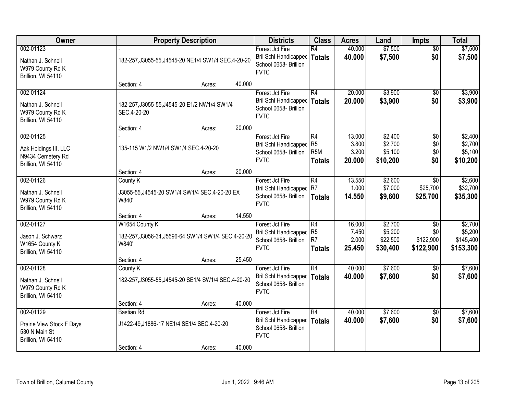| Owner                                                                         |                                      | <b>Property Description</b>                         |        | <b>Districts</b>                                                                        | <b>Class</b>                                              | <b>Acres</b>                       | Land                                       | Impts                                            | <b>Total</b>                                 |
|-------------------------------------------------------------------------------|--------------------------------------|-----------------------------------------------------|--------|-----------------------------------------------------------------------------------------|-----------------------------------------------------------|------------------------------------|--------------------------------------------|--------------------------------------------------|----------------------------------------------|
| 002-01123<br>Nathan J. Schnell<br>W979 County Rd K<br>Brillion, WI 54110      |                                      | 182-257, J3055-55, J4545-20 NE1/4 SW1/4 SEC.4-20-20 |        | Forest Jct Fire<br>Bril Schl Handicapped<br>School 0658- Brillion<br><b>FVTC</b>        | R4<br><b>Totals</b>                                       | 40.000<br>40.000                   | \$7,500<br>\$7,500                         | $\overline{50}$<br>\$0                           | \$7,500<br>\$7,500                           |
|                                                                               | Section: 4                           | Acres:                                              | 40.000 |                                                                                         |                                                           |                                    |                                            |                                                  |                                              |
| 002-01124<br>Nathan J. Schnell<br>W979 County Rd K<br>Brillion, WI 54110      | SEC.4-20-20                          | 182-257, J3055-55, J4545-20 E1/2 NW1/4 SW1/4        |        | Forest Jct Fire<br><b>Bril Schl Handicapped</b><br>School 0658- Brillion<br><b>FVTC</b> | R4<br><b>Totals</b>                                       | 20.000<br>20.000                   | \$3,900<br>\$3,900                         | \$0<br>\$0                                       | \$3,900<br>\$3,900                           |
|                                                                               | Section: 4                           | Acres:                                              | 20.000 |                                                                                         |                                                           |                                    |                                            |                                                  |                                              |
| 002-01125<br>Aak Holdings III, LLC<br>N9434 Cemetery Rd<br>Brillion, WI 54110 | 135-115 W1/2 NW1/4 SW1/4 SEC.4-20-20 |                                                     |        | Forest Jct Fire<br><b>Bril Schl Handicapped</b><br>School 0658- Brillion<br><b>FVTC</b> | R4<br>R <sub>5</sub><br>R <sub>5</sub> M<br><b>Totals</b> | 13.000<br>3.800<br>3.200<br>20,000 | \$2,400<br>\$2,700<br>\$5,100<br>\$10,200  | \$0<br>\$0<br>\$0<br>\$0                         | \$2,400<br>\$2,700<br>\$5,100<br>\$10,200    |
|                                                                               | Section: 4                           | Acres:                                              | 20.000 |                                                                                         |                                                           |                                    |                                            |                                                  |                                              |
| 002-01126<br>Nathan J. Schnell<br>W979 County Rd K<br>Brillion, WI 54110      | County K<br>W840'                    | J3055-55, J4545-20 SW1/4 SW1/4 SEC.4-20-20 EX       |        | Forest Jct Fire<br><b>Bril Schl Handicapped</b><br>School 0658- Brillion<br><b>FVTC</b> | R4<br>R <sub>7</sub><br><b>Totals</b>                     | 13.550<br>1.000<br>14.550          | \$2,600<br>\$7,000<br>\$9,600              | \$0<br>\$25,700<br>\$25,700                      | \$2,600<br>\$32,700<br>\$35,300              |
|                                                                               | Section: 4                           | Acres:                                              | 14.550 |                                                                                         |                                                           |                                    |                                            |                                                  |                                              |
| 002-01127<br>Jason J. Schwarz<br>W1654 County K<br>Brillion, WI 54110         | W1654 County K<br>W840'              | 182-257, J3056-34, J5596-64 SW1/4 SW1/4 SEC.4-20-20 |        | Forest Jct Fire<br><b>Bril Schl Handicapped</b><br>School 0658- Brillion<br><b>FVTC</b> | $\overline{R4}$<br>R <sub>5</sub><br>R7<br><b>Totals</b>  | 16.000<br>7.450<br>2.000<br>25.450 | \$2,700<br>\$5,200<br>\$22,500<br>\$30,400 | $\overline{30}$<br>\$0<br>\$122,900<br>\$122,900 | \$2,700<br>\$5,200<br>\$145,400<br>\$153,300 |
|                                                                               | Section: 4                           | Acres:                                              | 25.450 |                                                                                         |                                                           |                                    |                                            |                                                  |                                              |
| 002-01128<br>Nathan J. Schnell<br>W979 County Rd K<br>Brillion, WI 54110      | County K                             | 182-257, J3055-55, J4545-20 SE1/4 SW1/4 SEC.4-20-20 |        | Forest Jct Fire<br>Bril Schl Handicapped<br>School 0658- Brillion<br><b>FVTC</b>        | $\overline{R4}$<br><b>Totals</b>                          | 40.000<br>40.000                   | \$7,600<br>\$7,600                         | $\overline{50}$<br>\$0                           | \$7,600<br>\$7,600                           |
|                                                                               | Section: 4                           | Acres:                                              | 40.000 |                                                                                         |                                                           |                                    |                                            |                                                  |                                              |
| 002-01129<br>Prairie View Stock F Days<br>530 N Main St<br>Brillion, WI 54110 | Bastian Rd                           | J1422-49, J1886-17 NE1/4 SE1/4 SEC. 4-20-20         |        | Forest Jct Fire<br><b>Bril Schl Handicapped</b><br>School 0658- Brillion<br><b>FVTC</b> | $\overline{R4}$<br><b>Totals</b>                          | 40.000<br>40.000                   | \$7,600<br>\$7,600                         | $\overline{50}$<br>\$0                           | \$7,600<br>\$7,600                           |
|                                                                               | Section: 4                           | Acres:                                              | 40.000 |                                                                                         |                                                           |                                    |                                            |                                                  |                                              |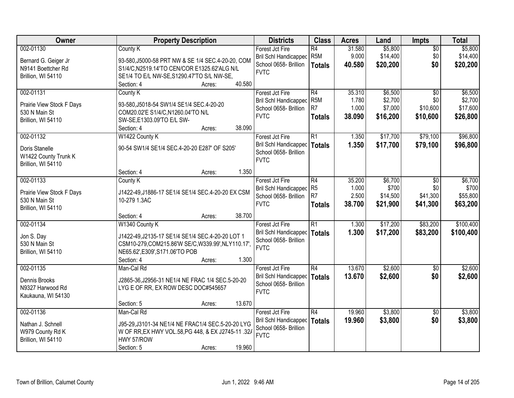| Owner                                                                         | <b>Property Description</b>                                                                                                                                                                                                    | <b>Districts</b>                                                                 | <b>Class</b>                                              | <b>Acres</b>                       | Land                                      | <b>Impts</b>                                   | <b>Total</b>                               |
|-------------------------------------------------------------------------------|--------------------------------------------------------------------------------------------------------------------------------------------------------------------------------------------------------------------------------|----------------------------------------------------------------------------------|-----------------------------------------------------------|------------------------------------|-------------------------------------------|------------------------------------------------|--------------------------------------------|
| 002-01130<br>Bernard G. Geiger Jr<br>N9141 Boettcher Rd<br>Brillion, WI 54110 | County K<br>93-580, J5000-58 PRT NW & SE 1/4 SEC.4-20-20, COM<br>S1/4/C,N2519.14'TO CEN/COR E1325.62'ALG N/L<br>SE1/4 TO E/L NW-SE, S1290.47'TO S/L NW-SE,                                                                     | Forest Jct Fire<br>Bril Schl Handicapped<br>School 0658- Brillion<br><b>FVTC</b> | R4<br>R <sub>5</sub> M<br><b>Totals</b>                   | 31.580<br>9.000<br>40.580          | \$5,800<br>\$14,400<br>\$20,200           | $\sqrt{$0}$<br>\$0<br>\$0                      | \$5,800<br>\$14,400<br>\$20,200            |
| 002-01131<br>Prairie View Stock F Days<br>530 N Main St<br>Brillion, WI 54110 | 40.580<br>Section: 4<br>Acres:<br>County K<br>93-580, J5018-54 SW1/4 SE1/4 SEC. 4-20-20<br>COM20.02'E S1/4/C,N1260.04'TO N/L<br>SW-SE, E1303.09'TO E/L SW-                                                                     | Forest Jct Fire<br>Bril Schl Handicapped<br>School 0658- Brillion<br><b>FVTC</b> | R4<br>R <sub>5</sub> M<br>R <sub>7</sub><br><b>Totals</b> | 35.310<br>1.780<br>1.000<br>38.090 | \$6,500<br>\$2,700<br>\$7,000<br>\$16,200 | $\overline{50}$<br>\$0<br>\$10,600<br>\$10,600 | \$6,500<br>\$2,700<br>\$17,600<br>\$26,800 |
| 002-01132<br>Doris Stanelle<br>W1422 County Trunk K<br>Brillion, WI 54110     | 38.090<br>Section: 4<br>Acres:<br>W1422 County K<br>90-54 SW1/4 SE1/4 SEC.4-20-20 E287' OF S205'<br>1.350<br>Section: 4<br>Acres:                                                                                              | Forest Jct Fire<br>Bril Schl Handicapped<br>School 0658- Brillion<br><b>FVTC</b> | R1<br>Totals                                              | 1.350<br>1.350                     | \$17,700<br>\$17,700                      | \$79,100<br>\$79,100                           | \$96,800<br>\$96,800                       |
| 002-01133<br>Prairie View Stock F Days<br>530 N Main St<br>Brillion, WI 54110 | County K<br>J1422-49, J1886-17 SE1/4 SE1/4 SEC.4-20-20 EX CSM<br>10-279 1.3AC                                                                                                                                                  | Forest Jct Fire<br>Bril Schl Handicapped<br>School 0658- Brillion<br><b>FVTC</b> | R4<br>R <sub>5</sub><br>R <sub>7</sub><br><b>Totals</b>   | 35.200<br>1.000<br>2.500<br>38.700 | \$6,700<br>\$700<br>\$14,500<br>\$21,900  | $\sqrt[6]{3}$<br>\$0<br>\$41,300<br>\$41,300   | \$6,700<br>\$700<br>\$55,800<br>\$63,200   |
| 002-01134<br>Jon S. Day<br>530 N Main St<br>Brillion, WI 54110                | 38.700<br>Section: 4<br>Acres:<br>W1340 County K<br>J1422-49, J2135-17 SE1/4 SE1/4 SEC.4-20-20 LOT 1<br>CSM10-279, COM215.86'W SE/C, W339.99', NLY110.17',<br>NE65.62', E309', S171.06'TO POB<br>Section: 4<br>1.300<br>Acres: | Forest Jct Fire<br>Bril Schl Handicapped<br>School 0658- Brillion<br><b>FVTC</b> | $\overline{R1}$<br><b>Totals</b>                          | 1.300<br>1.300                     | \$17,200<br>\$17,200                      | \$83,200<br>\$83,200                           | \$100,400<br>\$100,400                     |
| 002-01135<br>Dennis Brooks<br>N9327 Harwood Rd<br>Kaukauna, WI 54130          | Man-Cal Rd<br>J2865-36, J2956-31 NE1/4 NE FRAC 1/4 SEC.5-20-20<br>LYG E OF RR, EX ROW DESC DOC#545657<br>13.670<br>Section: 5<br>Acres:                                                                                        | Forest Jct Fire<br>Bril Schl Handicapped<br>School 0658- Brillion<br><b>FVTC</b> | R4<br>Totals                                              | 13.670<br>13.670                   | \$2,600<br>\$2,600                        | \$0<br>\$0                                     | \$2,600<br>\$2,600                         |
| 002-01136<br>Nathan J. Schnell<br>W979 County Rd K<br>Brillion, WI 54110      | Man-Cal Rd<br>J95-29, J3101-34 NE1/4 NE FRAC1/4 SEC.5-20-20 LYG<br>W OF RR, EX HWY VOL.58, PG 448, & EX J2745-11 .32/<br>HWY 57/ROW<br>19.960<br>Section: 5<br>Acres:                                                          | Forest Jct Fire<br>Bril Schl Handicapped<br>School 0658- Brillion<br><b>FVTC</b> | R4<br><b>Totals</b>                                       | 19.960<br>19.960                   | \$3,800<br>\$3,800                        | $\overline{50}$<br>\$0                         | \$3,800<br>\$3,800                         |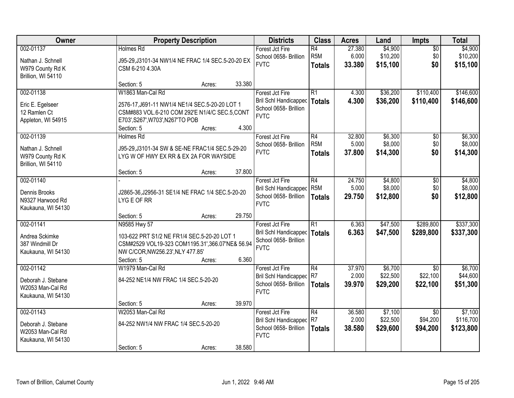| Owner                                                                     |                                                                                                                                                                        | <b>Property Description</b> |        | <b>Districts</b>                                                                        | <b>Class</b>                                         | <b>Acres</b>              | Land                            | <b>Impts</b>                            | <b>Total</b>                      |
|---------------------------------------------------------------------------|------------------------------------------------------------------------------------------------------------------------------------------------------------------------|-----------------------------|--------|-----------------------------------------------------------------------------------------|------------------------------------------------------|---------------------------|---------------------------------|-----------------------------------------|-----------------------------------|
| 002-01137<br>Nathan J. Schnell<br>W979 County Rd K<br>Brillion, WI 54110  | Holmes Rd<br>J95-29, J3101-34 NW1/4 NE FRAC 1/4 SEC.5-20-20 EX<br>CSM 6-210 4.30A                                                                                      |                             |        | Forest Jct Fire<br>School 0658- Brillion<br><b>FVTC</b>                                 | $\overline{R4}$<br>R <sub>5</sub> M<br><b>Totals</b> | 27.380<br>6.000<br>33.380 | \$4,900<br>\$10,200<br>\$15,100 | $\overline{50}$<br>\$0<br>\$0           | \$4,900<br>\$10,200<br>\$15,100   |
|                                                                           | Section: 5                                                                                                                                                             | Acres:                      | 33.380 |                                                                                         |                                                      |                           |                                 |                                         |                                   |
| 002-01138<br>Eric E. Egelseer<br>12 Ramlen Ct<br>Appleton, WI 54915       | W1863 Man-Cal Rd<br>2576-17, J691-11 NW1/4 NE1/4 SEC.5-20-20 LOT 1<br>CSM#883 VOL.6-210 COM 292'E N1/4/C SEC.5, CONT<br>E703', S267', W703', N267'TO POB<br>Section: 5 | Acres:                      | 4.300  | Forest Jct Fire<br>Bril Schl Handicapped<br>School 0658- Brillion<br><b>FVTC</b>        | $\overline{R1}$<br><b>Totals</b>                     | 4.300<br>4.300            | \$36,200<br>\$36,200            | \$110,400<br>\$110,400                  | \$146,600<br>\$146,600            |
| 002-01139                                                                 | <b>Holmes Rd</b>                                                                                                                                                       |                             |        | Forest Jct Fire                                                                         | R4                                                   | 32.800                    | \$6,300                         | \$0                                     | \$6,300                           |
| Nathan J. Schnell<br>W979 County Rd K<br>Brillion, WI 54110               | J95-29, J3101-34 SW & SE-NE FRAC1/4 SEC.5-29-20<br>LYG W OF HWY EX RR & EX 2A FOR WAYSIDE                                                                              |                             |        | School 0658- Brillion<br><b>FVTC</b>                                                    | R <sub>5</sub> M<br><b>Totals</b>                    | 5.000<br>37.800           | \$8,000<br>\$14,300             | \$0<br>\$0                              | \$8,000<br>\$14,300               |
|                                                                           | Section: 5                                                                                                                                                             | Acres:                      | 37.800 |                                                                                         |                                                      |                           |                                 |                                         |                                   |
| 002-01140<br>Dennis Brooks<br>N9327 Harwood Rd<br>Kaukauna, WI 54130      | J2865-36, J2956-31 SE1/4 NE FRAC 1/4 SEC.5-20-20<br>LYG E OF RR                                                                                                        |                             |        | Forest Jct Fire<br><b>Bril Schl Handicapped</b><br>School 0658- Brillion<br><b>FVTC</b> | $\overline{R4}$<br>R <sub>5</sub> M<br><b>Totals</b> | 24.750<br>5.000<br>29.750 | \$4,800<br>\$8,000<br>\$12,800  | \$0<br>\$0<br>\$0                       | \$4,800<br>\$8,000<br>\$12,800    |
|                                                                           | Section: 5                                                                                                                                                             | Acres:                      | 29.750 |                                                                                         |                                                      |                           |                                 |                                         |                                   |
| 002-01141<br>Andrea Sckimke<br>387 Windmill Dr<br>Kaukauna, WI 54130      | N9585 Hwy 57<br>103-622 PRT S1/2 NE FR1/4 SEC.5-20-20 LOT 1<br>CSM#2529 VOL19-323 COM1195.31',366.07'NE& 56.94<br>NW C/COR, NW256.23', NLY 477.85'<br>Section: 5       | Acres:                      | 6.360  | Forest Jct Fire<br><b>Bril Schl Handicapped</b><br>School 0658- Brillion<br><b>FVTC</b> | $\overline{R1}$<br><b>Totals</b>                     | 6.363<br>6.363            | \$47,500<br>\$47,500            | \$289,800<br>\$289,800                  | \$337,300<br>\$337,300            |
| 002-01142<br>Deborah J. Stebane<br>W2053 Man-Cal Rd<br>Kaukauna, WI 54130 | W1979 Man-Cal Rd<br>84-252 NE1/4 NW FRAC 1/4 SEC.5-20-20                                                                                                               |                             |        | Forest Jct Fire<br><b>Bril Schl Handicapped</b><br>School 0658- Brillion<br><b>FVTC</b> | $\overline{R4}$<br>R7<br><b>Totals</b>               | 37.970<br>2.000<br>39.970 | \$6,700<br>\$22,500<br>\$29,200 | \$0<br>\$22,100<br>\$22,100             | \$6,700<br>\$44,600<br>\$51,300   |
|                                                                           | Section: 5                                                                                                                                                             | Acres:                      | 39.970 |                                                                                         |                                                      |                           |                                 |                                         |                                   |
| 002-01143<br>Deborah J. Stebane<br>W2053 Man-Cal Rd<br>Kaukauna, WI 54130 | W2053 Man-Cal Rd<br>84-252 NW1/4 NW FRAC 1/4 SEC.5-20-20<br>Section: 5                                                                                                 | Acres:                      | 38.580 | Forest Jct Fire<br><b>Bril Schl Handicapped</b><br>School 0658- Brillion<br><b>FVTC</b> | $\overline{R4}$<br>R7<br><b>Totals</b>               | 36.580<br>2.000<br>38.580 | \$7,100<br>\$22,500<br>\$29,600 | $\overline{50}$<br>\$94,200<br>\$94,200 | \$7,100<br>\$116,700<br>\$123,800 |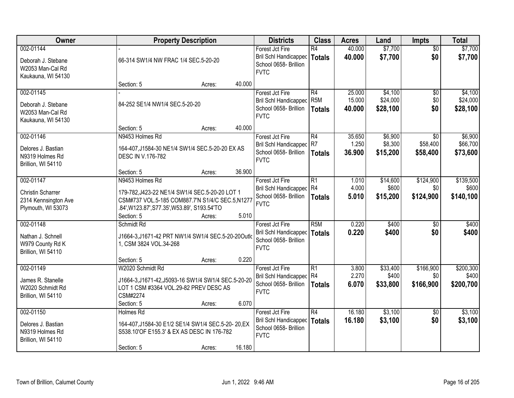| Owner                                                                               | <b>Property Description</b>                                                                                                                                                                           | <b>Districts</b>                                                                        | <b>Class</b>                            | <b>Acres</b>               | Land                            | Impts                         | <b>Total</b>                    |
|-------------------------------------------------------------------------------------|-------------------------------------------------------------------------------------------------------------------------------------------------------------------------------------------------------|-----------------------------------------------------------------------------------------|-----------------------------------------|----------------------------|---------------------------------|-------------------------------|---------------------------------|
| 002-01144<br>Deborah J. Stebane<br>W2053 Man-Cal Rd<br>Kaukauna, WI 54130           | 66-314 SW1/4 NW FRAC 1/4 SEC.5-20-20                                                                                                                                                                  | Forest Jct Fire<br><b>Bril Schl Handicapped</b><br>School 0658- Brillion<br><b>FVTC</b> | $\overline{R4}$<br><b>Totals</b>        | 40.000<br>40.000           | \$7,700<br>\$7,700              | $\overline{50}$<br>\$0        | \$7,700<br>\$7,700              |
|                                                                                     | 40.000<br>Section: 5<br>Acres:                                                                                                                                                                        |                                                                                         |                                         |                            |                                 |                               |                                 |
| 002-01145<br>Deborah J. Stebane<br>W2053 Man-Cal Rd<br>Kaukauna, WI 54130           | 84-252 SE1/4 NW1/4 SEC.5-20-20                                                                                                                                                                        | Forest Jct Fire<br><b>Bril Schl Handicapped</b><br>School 0658- Brillion<br><b>FVTC</b> | R4<br>R <sub>5</sub> M<br><b>Totals</b> | 25.000<br>15.000<br>40.000 | \$4,100<br>\$24,000<br>\$28,100 | \$0<br>\$0<br>\$0             | \$4,100<br>\$24,000<br>\$28,100 |
|                                                                                     | 40.000<br>Section: 5<br>Acres:                                                                                                                                                                        |                                                                                         |                                         |                            |                                 |                               |                                 |
| 002-01146<br>Delores J. Bastian<br>N9319 Holmes Rd<br>Brillion, WI 54110            | N9453 Holmes Rd<br>164-407, J1584-30 NE1/4 SW1/4 SEC.5-20-20 EX AS<br>DESC IN V.176-782                                                                                                               | Forest Jct Fire<br>Bril Schl Handicapped R7<br>School 0658- Brillion<br><b>FVTC</b>     | R4<br><b>Totals</b>                     | 35.650<br>1.250<br>36.900  | \$6,900<br>\$8,300<br>\$15,200  | \$0<br>\$58,400<br>\$58,400   | \$6,900<br>\$66,700<br>\$73,600 |
|                                                                                     | 36.900<br>Section: 5<br>Acres:                                                                                                                                                                        |                                                                                         |                                         |                            |                                 |                               |                                 |
| 002-01147<br><b>Christin Scharrer</b><br>2314 Kennsington Ave<br>Plymouth, WI 53073 | N9453 Holmes Rd<br>179-782, J423-22 NE1/4 SW1/4 SEC.5-20-20 LOT 1<br>CSM#737 VOL.5-185 COM887.7'N S1/4/C SEC.5,N1277<br>.84', W123.87', S77.35', W53.89', S193.54'TO<br>5.010<br>Section: 5<br>Acres: | Forest Jct Fire<br>Bril Schl Handicapped R4<br>School 0658- Brillion<br><b>FVTC</b>     | $\overline{R1}$<br><b>Totals</b>        | 1.010<br>4.000<br>5.010    | \$14,600<br>\$600<br>\$15,200   | \$124,900<br>\$0<br>\$124,900 | \$139,500<br>\$600<br>\$140,100 |
| 002-01148<br>Nathan J. Schnell<br>W979 County Rd K<br>Brillion, WI 54110            | Schmidt Rd<br>J1664-3,J1671-42 PRT NW1/4 SW1/4 SEC.5-20-20Outlo<br>1, CSM 3824 VOL.34-268<br>0.220<br>Section: 5<br>Acres:                                                                            | Forest Jct Fire<br>Bril Schl Handicapped<br>School 0658- Brillion<br><b>FVTC</b>        | R5M<br><b>Totals</b>                    | 0.220<br>0.220             | \$400<br>\$400                  | $\overline{50}$<br>\$0        | \$400<br>\$400                  |
| 002-01149<br>James R. Stanelle<br>W2020 Schmidt Rd<br>Brillion, WI 54110            | W2020 Schmidt Rd<br>J1664-3, J1671-42, J5093-16 SW1/4 SW1/4 SEC.5-20-20<br>LOT 1 CSM #3364 VOL.29-82 PREV DESC AS<br>CSM#2274<br>6.070<br>Section: 5<br>Acres:                                        | Forest Jct Fire<br>Bril Schl Handicapped R4<br>School 0658- Brillion<br><b>FVTC</b>     | R1<br><b>Totals</b>                     | 3.800<br>2.270<br>6.070    | \$33,400<br>\$400<br>\$33,800   | \$166,900<br>\$0<br>\$166,900 | \$200,300<br>\$400<br>\$200,700 |
| 002-01150<br>Delores J. Bastian<br>N9319 Holmes Rd<br>Brillion, WI 54110            | Holmes Rd<br>164-407, J1584-30 E1/2 SE1/4 SW1/4 SEC.5-20-20, EX<br>S538.10'OF E155.3' & EX AS DESC IN 176-782<br>16.180<br>Section: 5<br>Acres:                                                       | Forest Jct Fire<br>Bril Schl Handicapped<br>School 0658- Brillion<br><b>FVTC</b>        | $\overline{R4}$<br><b>Totals</b>        | 16.180<br>16.180           | \$3,100<br>\$3,100              | $\overline{50}$<br>\$0        | \$3,100<br>\$3,100              |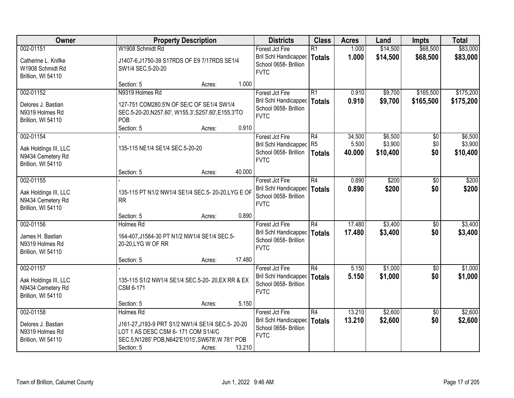| Owner                                                                         |                                                                                                                                                                         | <b>Property Description</b> |        | <b>Districts</b>                                                                        | <b>Class</b>                     | <b>Acres</b>              | Land                           | <b>Impts</b>           | <b>Total</b>                   |
|-------------------------------------------------------------------------------|-------------------------------------------------------------------------------------------------------------------------------------------------------------------------|-----------------------------|--------|-----------------------------------------------------------------------------------------|----------------------------------|---------------------------|--------------------------------|------------------------|--------------------------------|
| 002-01151<br>Catherine L. Knifke<br>W1908 Schmidt Rd<br>Brillion, WI 54110    | W1908 Schmidt Rd<br>J1407-6, J1750-39 S17RDS OF E9 7/17RDS SE1/4<br>SW1/4 SEC.5-20-20                                                                                   |                             |        | Forest Jct Fire<br>Bril Schl Handicapped<br>School 0658- Brillion<br><b>FVTC</b>        | $\overline{R1}$<br><b>Totals</b> | 1.000<br>1.000            | \$14,500<br>\$14,500           | \$68,500<br>\$68,500   | \$83,000<br>\$83,000           |
|                                                                               | Section: 5                                                                                                                                                              | Acres:                      | 1.000  |                                                                                         |                                  |                           |                                |                        |                                |
| 002-01152<br>Delores J. Bastian<br>N9319 Holmes Rd<br>Brillion, WI 54110      | N9319 Holmes Rd<br>127-751 COM280.5'N OF SE/C OF SE1/4 SW1/4<br>SEC.5-20-20, N257.60', W155.3', S257.60', E155.3'TO<br>POB<br>Section: 5                                | Acres:                      | 0.910  | Forest Jct Fire<br><b>Bril Schl Handicapped</b><br>School 0658- Brillion<br><b>FVTC</b> | $\overline{R1}$<br><b>Totals</b> | 0.910<br>0.910            | \$9,700<br>\$9,700             | \$165,500<br>\$165,500 | \$175,200<br>\$175,200         |
| 002-01154<br>Aak Holdings III, LLC<br>N9434 Cemetery Rd<br>Brillion, WI 54110 | 135-115 NE1/4 SE1/4 SEC.5-20-20                                                                                                                                         |                             |        | Forest Jct Fire<br>Bril Schl Handicapped R5<br>School 0658- Brillion<br><b>FVTC</b>     | R4<br><b>Totals</b>              | 34.500<br>5.500<br>40.000 | \$6,500<br>\$3,900<br>\$10,400 | \$0<br>\$0<br>\$0      | \$6,500<br>\$3,900<br>\$10,400 |
|                                                                               | Section: 5                                                                                                                                                              | Acres:                      | 40.000 |                                                                                         |                                  |                           |                                |                        |                                |
| 002-01155<br>Aak Holdings III, LLC<br>N9434 Cemetery Rd<br>Brillion, WI 54110 | 135-115 PT N1/2 NW1/4 SE1/4 SEC.5- 20-20, LYG E OF<br><b>RR</b>                                                                                                         |                             |        | Forest Jct Fire<br><b>Bril Schl Handicapped</b><br>School 0658- Brillion<br><b>FVTC</b> | $\overline{R4}$<br><b>Totals</b> | 0.890<br>0.890            | \$200<br>\$200                 | \$0<br>\$0             | \$200<br>\$200                 |
|                                                                               | Section: 5                                                                                                                                                              | Acres:                      | 0.890  |                                                                                         |                                  |                           |                                |                        |                                |
| 002-01156<br>James H. Bastian<br>N9319 Holmes Rd<br>Brillion, WI 54110        | Holmes Rd<br>164-407, J1584-30 PT N1/2 NW1/4 SE1/4 SEC.5-<br>20-20, LYG W OF RR                                                                                         |                             |        | Forest Jct Fire<br>Bril Schl Handicapped<br>School 0658- Brillion<br><b>FVTC</b>        | $\overline{R4}$<br><b>Totals</b> | 17.480<br>17.480          | \$3,400<br>\$3,400             | $\overline{50}$<br>\$0 | \$3,400<br>\$3,400             |
|                                                                               | Section: 5                                                                                                                                                              | Acres:                      | 17.480 |                                                                                         |                                  |                           |                                |                        |                                |
| 002-01157<br>Aak Holdings III, LLC<br>N9434 Cemetery Rd<br>Brillion, WI 54110 | 135-115 S1/2 NW1/4 SE1/4 SEC.5-20- 20, EX RR & EX<br>CSM 6-171                                                                                                          |                             |        | Forest Jct Fire<br>Bril Schl Handicapped<br>School 0658- Brillion<br><b>FVTC</b>        | $\overline{R4}$<br><b>Totals</b> | 5.150<br>5.150            | \$1,000<br>\$1,000             | $\overline{50}$<br>\$0 | \$1,000<br>\$1,000             |
|                                                                               | Section: 5                                                                                                                                                              | Acres:                      | 5.150  |                                                                                         |                                  |                           |                                |                        |                                |
| 002-01158<br>Delores J. Bastian<br>N9319 Holmes Rd<br>Brillion, WI 54110      | Holmes Rd<br>J161-27, J193-9 PRT S1/2 NW1/4 SE1/4 SEC.5-20-20<br>LOT 1 AS DESC CSM 6-171 COM S1/4/C<br>SEC.5, N1285' POB, N642'E1015', SW678', W 781' POB<br>Section: 5 | Acres:                      | 13.210 | Forest Jct Fire<br>Bril Schl Handicapped<br>School 0658- Brillion<br><b>FVTC</b>        | $\overline{R4}$<br><b>Totals</b> | 13.210<br>13.210          | \$2,600<br>\$2,600             | $\overline{50}$<br>\$0 | \$2,600<br>\$2,600             |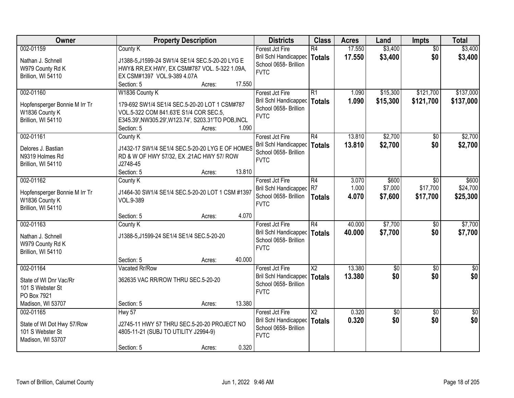| \$3,400<br>002-01159<br>17.550<br>\$3,400<br>Forest Jct Fire<br>R4<br>$\overline{50}$<br>County K<br>\$0<br><b>Bril Schl Handicapped</b><br>17.550<br>\$3,400<br>\$3,400<br><b>Totals</b><br>Nathan J. Schnell<br>J1388-5, J1599-24 SW1/4 SE1/4 SEC.5-20-20 LYG E<br>School 0658- Brillion<br>W979 County Rd K<br>HWY& RR, EX HWY, EX CSM#787 VOL. 5-322 1.09A,<br><b>FVTC</b><br>Brillion, WI 54110<br>EX CSM#1397 VOL.9-389 4.07A<br>Section: 5<br>17.550<br>Acres:<br>\$137,000<br>002-01160<br>W1836 County K<br>R1<br>\$15,300<br>\$121,700<br>Forest Jct Fire<br>1.090<br>1.090<br>\$121,700<br>Bril Schl Handicapped<br>\$15,300<br>\$137,000<br><b>Totals</b><br>Hopfensperger Bonnie M Irr Tr<br>179-692 SW1/4 SE1/4 SEC.5-20-20 LOT 1 CSM#787<br>School 0658- Brillion<br>W1836 County K<br>VOL.5-322 COM 841.63'E S1/4 COR SEC.5,<br><b>FVTC</b><br>Brillion, WI 54110<br>E345.39', NW305.29', W123.74', S203.31'TO POB, INCL<br>1.090<br>Section: 5<br>Acres:<br>\$2,700<br>002-01161<br>R4<br>13.810<br>Forest Jct Fire<br>\$0<br>County K<br>\$0<br>Bril Schl Handicapped<br>13.810<br>\$2,700<br><b>Totals</b><br>J1432-17 SW1/4 SE1/4 SEC.5-20-20 LYG E OF HOMES<br>Delores J. Bastian<br>School 0658- Brillion<br>N9319 Holmes Rd<br>RD & W OF HWY 57/32, EX .21AC HWY 57/ ROW<br><b>FVTC</b><br>J2748-45<br>Brillion, WI 54110<br>13.810<br>Section: 5<br>Acres:<br>002-01162<br>Forest Jct Fire<br>R4<br>3.070<br>\$600<br>County K<br>\$0<br>R7<br>1.000<br>\$7,000<br>\$17,700<br>Bril Schl Handicapped<br>J1464-30 SW1/4 SE1/4 SEC.5-20-20 LOT 1 CSM #1397<br>Hopfensperger Bonnie M Irr Tr<br>School 0658- Brillion<br>4.070<br>\$17,700<br>\$7,600<br>\$25,300<br><b>Totals</b><br>W1836 County K<br>VOL.9-389<br><b>FVTC</b><br>Brillion, WI 54110<br>4.070<br>Section: 5<br>Acres:<br>R4<br>40.000<br>\$7,700<br>002-01163<br>Forest Jct Fire<br>$\overline{50}$<br>County K<br><b>Bril Schl Handicapped</b><br>40.000<br>\$7,700<br>\$0<br>\$7,700<br><b>Totals</b><br>J1388-5, J1599-24 SE1/4 SE1/4 SEC.5-20-20<br>Nathan J. Schnell<br>School 0658- Brillion<br>W979 County Rd K<br><b>FVTC</b><br>Brillion, WI 54110<br>40.000<br>Section: 5<br>Acres:<br>$\overline{\mathsf{X2}}$<br>13.380<br>002-01164<br>Vacated Rr/Row<br>Forest Jct Fire<br>$\sqrt{$0}$<br>$\sqrt{6}$<br>\$0<br>\$0<br>13.380<br>\$0<br>Bril Schl Handicapped<br>Totals<br>362635 VAC RR/ROW THRU SEC.5-20-20<br>State of WI Dnr Vac/Rr<br>School 0658- Brillion<br>101 S Webster St<br><b>FVTC</b><br>PO Box 7921<br>Madison, WI 53707<br>13.380<br>Section: 5<br>Acres:<br>002-01165<br>$\overline{X2}$<br>0.320<br>Hwy 57<br>Forest Jct Fire<br>$\overline{50}$<br>$\overline{50}$<br>\$0<br>0.320<br>\$0<br><b>Bril Schl Handicapped</b><br>\$0<br><b>Totals</b><br>State of WI Dot Hwy 57/Row<br>J2745-11 HWY 57 THRU SEC.5-20-20 PROJECT NO<br>School 0658- Brillion<br>101 S Webster St<br>4805-11-21 (SUBJ TO UTILITY J2994-9)<br><b>FVTC</b><br>Madison, WI 53707<br>0.320 | Owner | <b>Property Description</b> | <b>Districts</b> | <b>Class</b> | <b>Acres</b> | Land | <b>Impts</b> | <b>Total</b> |
|-----------------------------------------------------------------------------------------------------------------------------------------------------------------------------------------------------------------------------------------------------------------------------------------------------------------------------------------------------------------------------------------------------------------------------------------------------------------------------------------------------------------------------------------------------------------------------------------------------------------------------------------------------------------------------------------------------------------------------------------------------------------------------------------------------------------------------------------------------------------------------------------------------------------------------------------------------------------------------------------------------------------------------------------------------------------------------------------------------------------------------------------------------------------------------------------------------------------------------------------------------------------------------------------------------------------------------------------------------------------------------------------------------------------------------------------------------------------------------------------------------------------------------------------------------------------------------------------------------------------------------------------------------------------------------------------------------------------------------------------------------------------------------------------------------------------------------------------------------------------------------------------------------------------------------------------------------------------------------------------------------------------------------------------------------------------------------------------------------------------------------------------------------------------------------------------------------------------------------------------------------------------------------------------------------------------------------------------------------------------------------------------------------------------------------------------------------------------------------------------------------------------------------------------------------------------------------------------------------------------------------------------------------------------------------------------------------------------------------------------------------------------------------------------------------------------------------------------------------------------------------------------------------------------------------------------------------------------------------------------|-------|-----------------------------|------------------|--------------|--------------|------|--------------|--------------|
|                                                                                                                                                                                                                                                                                                                                                                                                                                                                                                                                                                                                                                                                                                                                                                                                                                                                                                                                                                                                                                                                                                                                                                                                                                                                                                                                                                                                                                                                                                                                                                                                                                                                                                                                                                                                                                                                                                                                                                                                                                                                                                                                                                                                                                                                                                                                                                                                                                                                                                                                                                                                                                                                                                                                                                                                                                                                                                                                                                                         |       |                             |                  |              |              |      |              |              |
|                                                                                                                                                                                                                                                                                                                                                                                                                                                                                                                                                                                                                                                                                                                                                                                                                                                                                                                                                                                                                                                                                                                                                                                                                                                                                                                                                                                                                                                                                                                                                                                                                                                                                                                                                                                                                                                                                                                                                                                                                                                                                                                                                                                                                                                                                                                                                                                                                                                                                                                                                                                                                                                                                                                                                                                                                                                                                                                                                                                         |       |                             |                  |              |              |      |              |              |
|                                                                                                                                                                                                                                                                                                                                                                                                                                                                                                                                                                                                                                                                                                                                                                                                                                                                                                                                                                                                                                                                                                                                                                                                                                                                                                                                                                                                                                                                                                                                                                                                                                                                                                                                                                                                                                                                                                                                                                                                                                                                                                                                                                                                                                                                                                                                                                                                                                                                                                                                                                                                                                                                                                                                                                                                                                                                                                                                                                                         |       |                             |                  |              |              |      |              |              |
|                                                                                                                                                                                                                                                                                                                                                                                                                                                                                                                                                                                                                                                                                                                                                                                                                                                                                                                                                                                                                                                                                                                                                                                                                                                                                                                                                                                                                                                                                                                                                                                                                                                                                                                                                                                                                                                                                                                                                                                                                                                                                                                                                                                                                                                                                                                                                                                                                                                                                                                                                                                                                                                                                                                                                                                                                                                                                                                                                                                         |       |                             |                  |              |              |      |              |              |
|                                                                                                                                                                                                                                                                                                                                                                                                                                                                                                                                                                                                                                                                                                                                                                                                                                                                                                                                                                                                                                                                                                                                                                                                                                                                                                                                                                                                                                                                                                                                                                                                                                                                                                                                                                                                                                                                                                                                                                                                                                                                                                                                                                                                                                                                                                                                                                                                                                                                                                                                                                                                                                                                                                                                                                                                                                                                                                                                                                                         |       |                             |                  |              |              |      |              |              |
|                                                                                                                                                                                                                                                                                                                                                                                                                                                                                                                                                                                                                                                                                                                                                                                                                                                                                                                                                                                                                                                                                                                                                                                                                                                                                                                                                                                                                                                                                                                                                                                                                                                                                                                                                                                                                                                                                                                                                                                                                                                                                                                                                                                                                                                                                                                                                                                                                                                                                                                                                                                                                                                                                                                                                                                                                                                                                                                                                                                         |       |                             |                  |              |              |      |              |              |
|                                                                                                                                                                                                                                                                                                                                                                                                                                                                                                                                                                                                                                                                                                                                                                                                                                                                                                                                                                                                                                                                                                                                                                                                                                                                                                                                                                                                                                                                                                                                                                                                                                                                                                                                                                                                                                                                                                                                                                                                                                                                                                                                                                                                                                                                                                                                                                                                                                                                                                                                                                                                                                                                                                                                                                                                                                                                                                                                                                                         |       |                             |                  |              |              |      |              |              |
|                                                                                                                                                                                                                                                                                                                                                                                                                                                                                                                                                                                                                                                                                                                                                                                                                                                                                                                                                                                                                                                                                                                                                                                                                                                                                                                                                                                                                                                                                                                                                                                                                                                                                                                                                                                                                                                                                                                                                                                                                                                                                                                                                                                                                                                                                                                                                                                                                                                                                                                                                                                                                                                                                                                                                                                                                                                                                                                                                                                         |       |                             |                  |              |              |      |              |              |
| \$2,700<br>\$2,700<br>\$600<br>\$24,700<br>\$7,700<br>$\sqrt{50}$<br>$\frac{1}{2}$                                                                                                                                                                                                                                                                                                                                                                                                                                                                                                                                                                                                                                                                                                                                                                                                                                                                                                                                                                                                                                                                                                                                                                                                                                                                                                                                                                                                                                                                                                                                                                                                                                                                                                                                                                                                                                                                                                                                                                                                                                                                                                                                                                                                                                                                                                                                                                                                                                                                                                                                                                                                                                                                                                                                                                                                                                                                                                      |       |                             |                  |              |              |      |              |              |
|                                                                                                                                                                                                                                                                                                                                                                                                                                                                                                                                                                                                                                                                                                                                                                                                                                                                                                                                                                                                                                                                                                                                                                                                                                                                                                                                                                                                                                                                                                                                                                                                                                                                                                                                                                                                                                                                                                                                                                                                                                                                                                                                                                                                                                                                                                                                                                                                                                                                                                                                                                                                                                                                                                                                                                                                                                                                                                                                                                                         |       |                             |                  |              |              |      |              |              |
|                                                                                                                                                                                                                                                                                                                                                                                                                                                                                                                                                                                                                                                                                                                                                                                                                                                                                                                                                                                                                                                                                                                                                                                                                                                                                                                                                                                                                                                                                                                                                                                                                                                                                                                                                                                                                                                                                                                                                                                                                                                                                                                                                                                                                                                                                                                                                                                                                                                                                                                                                                                                                                                                                                                                                                                                                                                                                                                                                                                         |       |                             |                  |              |              |      |              |              |
|                                                                                                                                                                                                                                                                                                                                                                                                                                                                                                                                                                                                                                                                                                                                                                                                                                                                                                                                                                                                                                                                                                                                                                                                                                                                                                                                                                                                                                                                                                                                                                                                                                                                                                                                                                                                                                                                                                                                                                                                                                                                                                                                                                                                                                                                                                                                                                                                                                                                                                                                                                                                                                                                                                                                                                                                                                                                                                                                                                                         |       |                             |                  |              |              |      |              |              |
|                                                                                                                                                                                                                                                                                                                                                                                                                                                                                                                                                                                                                                                                                                                                                                                                                                                                                                                                                                                                                                                                                                                                                                                                                                                                                                                                                                                                                                                                                                                                                                                                                                                                                                                                                                                                                                                                                                                                                                                                                                                                                                                                                                                                                                                                                                                                                                                                                                                                                                                                                                                                                                                                                                                                                                                                                                                                                                                                                                                         |       |                             |                  |              |              |      |              |              |
|                                                                                                                                                                                                                                                                                                                                                                                                                                                                                                                                                                                                                                                                                                                                                                                                                                                                                                                                                                                                                                                                                                                                                                                                                                                                                                                                                                                                                                                                                                                                                                                                                                                                                                                                                                                                                                                                                                                                                                                                                                                                                                                                                                                                                                                                                                                                                                                                                                                                                                                                                                                                                                                                                                                                                                                                                                                                                                                                                                                         |       |                             |                  |              |              |      |              |              |
|                                                                                                                                                                                                                                                                                                                                                                                                                                                                                                                                                                                                                                                                                                                                                                                                                                                                                                                                                                                                                                                                                                                                                                                                                                                                                                                                                                                                                                                                                                                                                                                                                                                                                                                                                                                                                                                                                                                                                                                                                                                                                                                                                                                                                                                                                                                                                                                                                                                                                                                                                                                                                                                                                                                                                                                                                                                                                                                                                                                         |       |                             |                  |              |              |      |              |              |
|                                                                                                                                                                                                                                                                                                                                                                                                                                                                                                                                                                                                                                                                                                                                                                                                                                                                                                                                                                                                                                                                                                                                                                                                                                                                                                                                                                                                                                                                                                                                                                                                                                                                                                                                                                                                                                                                                                                                                                                                                                                                                                                                                                                                                                                                                                                                                                                                                                                                                                                                                                                                                                                                                                                                                                                                                                                                                                                                                                                         |       |                             |                  |              |              |      |              |              |
|                                                                                                                                                                                                                                                                                                                                                                                                                                                                                                                                                                                                                                                                                                                                                                                                                                                                                                                                                                                                                                                                                                                                                                                                                                                                                                                                                                                                                                                                                                                                                                                                                                                                                                                                                                                                                                                                                                                                                                                                                                                                                                                                                                                                                                                                                                                                                                                                                                                                                                                                                                                                                                                                                                                                                                                                                                                                                                                                                                                         |       |                             |                  |              |              |      |              |              |
|                                                                                                                                                                                                                                                                                                                                                                                                                                                                                                                                                                                                                                                                                                                                                                                                                                                                                                                                                                                                                                                                                                                                                                                                                                                                                                                                                                                                                                                                                                                                                                                                                                                                                                                                                                                                                                                                                                                                                                                                                                                                                                                                                                                                                                                                                                                                                                                                                                                                                                                                                                                                                                                                                                                                                                                                                                                                                                                                                                                         |       |                             |                  |              |              |      |              |              |
|                                                                                                                                                                                                                                                                                                                                                                                                                                                                                                                                                                                                                                                                                                                                                                                                                                                                                                                                                                                                                                                                                                                                                                                                                                                                                                                                                                                                                                                                                                                                                                                                                                                                                                                                                                                                                                                                                                                                                                                                                                                                                                                                                                                                                                                                                                                                                                                                                                                                                                                                                                                                                                                                                                                                                                                                                                                                                                                                                                                         |       |                             |                  |              |              |      |              |              |
|                                                                                                                                                                                                                                                                                                                                                                                                                                                                                                                                                                                                                                                                                                                                                                                                                                                                                                                                                                                                                                                                                                                                                                                                                                                                                                                                                                                                                                                                                                                                                                                                                                                                                                                                                                                                                                                                                                                                                                                                                                                                                                                                                                                                                                                                                                                                                                                                                                                                                                                                                                                                                                                                                                                                                                                                                                                                                                                                                                                         |       |                             |                  |              |              |      |              |              |
|                                                                                                                                                                                                                                                                                                                                                                                                                                                                                                                                                                                                                                                                                                                                                                                                                                                                                                                                                                                                                                                                                                                                                                                                                                                                                                                                                                                                                                                                                                                                                                                                                                                                                                                                                                                                                                                                                                                                                                                                                                                                                                                                                                                                                                                                                                                                                                                                                                                                                                                                                                                                                                                                                                                                                                                                                                                                                                                                                                                         |       |                             |                  |              |              |      |              |              |
|                                                                                                                                                                                                                                                                                                                                                                                                                                                                                                                                                                                                                                                                                                                                                                                                                                                                                                                                                                                                                                                                                                                                                                                                                                                                                                                                                                                                                                                                                                                                                                                                                                                                                                                                                                                                                                                                                                                                                                                                                                                                                                                                                                                                                                                                                                                                                                                                                                                                                                                                                                                                                                                                                                                                                                                                                                                                                                                                                                                         |       |                             |                  |              |              |      |              |              |
|                                                                                                                                                                                                                                                                                                                                                                                                                                                                                                                                                                                                                                                                                                                                                                                                                                                                                                                                                                                                                                                                                                                                                                                                                                                                                                                                                                                                                                                                                                                                                                                                                                                                                                                                                                                                                                                                                                                                                                                                                                                                                                                                                                                                                                                                                                                                                                                                                                                                                                                                                                                                                                                                                                                                                                                                                                                                                                                                                                                         |       |                             |                  |              |              |      |              |              |
|                                                                                                                                                                                                                                                                                                                                                                                                                                                                                                                                                                                                                                                                                                                                                                                                                                                                                                                                                                                                                                                                                                                                                                                                                                                                                                                                                                                                                                                                                                                                                                                                                                                                                                                                                                                                                                                                                                                                                                                                                                                                                                                                                                                                                                                                                                                                                                                                                                                                                                                                                                                                                                                                                                                                                                                                                                                                                                                                                                                         |       |                             |                  |              |              |      |              |              |
|                                                                                                                                                                                                                                                                                                                                                                                                                                                                                                                                                                                                                                                                                                                                                                                                                                                                                                                                                                                                                                                                                                                                                                                                                                                                                                                                                                                                                                                                                                                                                                                                                                                                                                                                                                                                                                                                                                                                                                                                                                                                                                                                                                                                                                                                                                                                                                                                                                                                                                                                                                                                                                                                                                                                                                                                                                                                                                                                                                                         |       |                             |                  |              |              |      |              |              |
|                                                                                                                                                                                                                                                                                                                                                                                                                                                                                                                                                                                                                                                                                                                                                                                                                                                                                                                                                                                                                                                                                                                                                                                                                                                                                                                                                                                                                                                                                                                                                                                                                                                                                                                                                                                                                                                                                                                                                                                                                                                                                                                                                                                                                                                                                                                                                                                                                                                                                                                                                                                                                                                                                                                                                                                                                                                                                                                                                                                         |       |                             |                  |              |              |      |              |              |
|                                                                                                                                                                                                                                                                                                                                                                                                                                                                                                                                                                                                                                                                                                                                                                                                                                                                                                                                                                                                                                                                                                                                                                                                                                                                                                                                                                                                                                                                                                                                                                                                                                                                                                                                                                                                                                                                                                                                                                                                                                                                                                                                                                                                                                                                                                                                                                                                                                                                                                                                                                                                                                                                                                                                                                                                                                                                                                                                                                                         |       |                             |                  |              |              |      |              |              |
|                                                                                                                                                                                                                                                                                                                                                                                                                                                                                                                                                                                                                                                                                                                                                                                                                                                                                                                                                                                                                                                                                                                                                                                                                                                                                                                                                                                                                                                                                                                                                                                                                                                                                                                                                                                                                                                                                                                                                                                                                                                                                                                                                                                                                                                                                                                                                                                                                                                                                                                                                                                                                                                                                                                                                                                                                                                                                                                                                                                         |       |                             |                  |              |              |      |              |              |
|                                                                                                                                                                                                                                                                                                                                                                                                                                                                                                                                                                                                                                                                                                                                                                                                                                                                                                                                                                                                                                                                                                                                                                                                                                                                                                                                                                                                                                                                                                                                                                                                                                                                                                                                                                                                                                                                                                                                                                                                                                                                                                                                                                                                                                                                                                                                                                                                                                                                                                                                                                                                                                                                                                                                                                                                                                                                                                                                                                                         |       |                             |                  |              |              |      |              |              |
|                                                                                                                                                                                                                                                                                                                                                                                                                                                                                                                                                                                                                                                                                                                                                                                                                                                                                                                                                                                                                                                                                                                                                                                                                                                                                                                                                                                                                                                                                                                                                                                                                                                                                                                                                                                                                                                                                                                                                                                                                                                                                                                                                                                                                                                                                                                                                                                                                                                                                                                                                                                                                                                                                                                                                                                                                                                                                                                                                                                         |       |                             |                  |              |              |      |              |              |
|                                                                                                                                                                                                                                                                                                                                                                                                                                                                                                                                                                                                                                                                                                                                                                                                                                                                                                                                                                                                                                                                                                                                                                                                                                                                                                                                                                                                                                                                                                                                                                                                                                                                                                                                                                                                                                                                                                                                                                                                                                                                                                                                                                                                                                                                                                                                                                                                                                                                                                                                                                                                                                                                                                                                                                                                                                                                                                                                                                                         |       |                             |                  |              |              |      |              |              |
|                                                                                                                                                                                                                                                                                                                                                                                                                                                                                                                                                                                                                                                                                                                                                                                                                                                                                                                                                                                                                                                                                                                                                                                                                                                                                                                                                                                                                                                                                                                                                                                                                                                                                                                                                                                                                                                                                                                                                                                                                                                                                                                                                                                                                                                                                                                                                                                                                                                                                                                                                                                                                                                                                                                                                                                                                                                                                                                                                                                         |       |                             |                  |              |              |      |              |              |
|                                                                                                                                                                                                                                                                                                                                                                                                                                                                                                                                                                                                                                                                                                                                                                                                                                                                                                                                                                                                                                                                                                                                                                                                                                                                                                                                                                                                                                                                                                                                                                                                                                                                                                                                                                                                                                                                                                                                                                                                                                                                                                                                                                                                                                                                                                                                                                                                                                                                                                                                                                                                                                                                                                                                                                                                                                                                                                                                                                                         |       |                             |                  |              |              |      |              |              |
|                                                                                                                                                                                                                                                                                                                                                                                                                                                                                                                                                                                                                                                                                                                                                                                                                                                                                                                                                                                                                                                                                                                                                                                                                                                                                                                                                                                                                                                                                                                                                                                                                                                                                                                                                                                                                                                                                                                                                                                                                                                                                                                                                                                                                                                                                                                                                                                                                                                                                                                                                                                                                                                                                                                                                                                                                                                                                                                                                                                         |       |                             |                  |              |              |      |              |              |
|                                                                                                                                                                                                                                                                                                                                                                                                                                                                                                                                                                                                                                                                                                                                                                                                                                                                                                                                                                                                                                                                                                                                                                                                                                                                                                                                                                                                                                                                                                                                                                                                                                                                                                                                                                                                                                                                                                                                                                                                                                                                                                                                                                                                                                                                                                                                                                                                                                                                                                                                                                                                                                                                                                                                                                                                                                                                                                                                                                                         |       |                             |                  |              |              |      |              |              |
|                                                                                                                                                                                                                                                                                                                                                                                                                                                                                                                                                                                                                                                                                                                                                                                                                                                                                                                                                                                                                                                                                                                                                                                                                                                                                                                                                                                                                                                                                                                                                                                                                                                                                                                                                                                                                                                                                                                                                                                                                                                                                                                                                                                                                                                                                                                                                                                                                                                                                                                                                                                                                                                                                                                                                                                                                                                                                                                                                                                         |       | Section: 5<br>Acres:        |                  |              |              |      |              |              |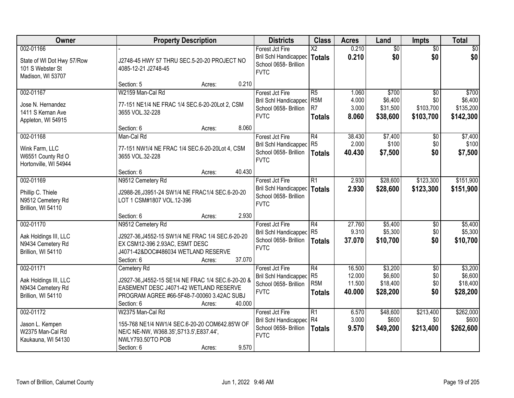| Owner                                                                            | <b>Property Description</b>                                                                                                                                                                 | <b>Districts</b>                                                                        | <b>Class</b>                                              | <b>Acres</b>                         | Land                                       | <b>Impts</b>                                     | <b>Total</b>                               |
|----------------------------------------------------------------------------------|---------------------------------------------------------------------------------------------------------------------------------------------------------------------------------------------|-----------------------------------------------------------------------------------------|-----------------------------------------------------------|--------------------------------------|--------------------------------------------|--------------------------------------------------|--------------------------------------------|
| 002-01166<br>State of WI Dot Hwy 57/Row<br>101 S Webster St<br>Madison, WI 53707 | J2748-45 HWY 57 THRU SEC.5-20-20 PROJECT NO<br>4085-12-21 J2748-45                                                                                                                          | Forest Jct Fire<br>Bril Schl Handicapped<br>School 0658- Brillion<br><b>FVTC</b>        | $\overline{\text{X2}}$<br>Totals                          | 0.210<br>0.210                       | $\overline{50}$<br>\$0                     | $\overline{50}$<br>\$0                           | $\overline{30}$<br>\$0                     |
|                                                                                  | 0.210<br>Section: 5<br>Acres:                                                                                                                                                               |                                                                                         |                                                           |                                      |                                            |                                                  |                                            |
| 002-01167<br>Jose N. Hernandez<br>1411 S Kernan Ave<br>Appleton, WI 54915        | W2159 Man-Cal Rd<br>77-151 NE1/4 NE FRAC 1/4 SEC.6-20-20Lot 2, CSM<br>3655 VOL.32-228                                                                                                       | Forest Jct Fire<br><b>Bril Schl Handicapped</b><br>School 0658- Brillion<br><b>FVTC</b> | R5<br>R <sub>5</sub> M<br>R <sub>7</sub><br><b>Totals</b> | 1.060<br>4.000<br>3.000<br>8.060     | \$700<br>\$6,400<br>\$31,500<br>\$38,600   | $\overline{50}$<br>\$0<br>\$103,700<br>\$103,700 | \$700<br>\$6,400<br>\$135,200<br>\$142,300 |
| 002-01168                                                                        | 8.060<br>Section: 6<br>Acres:<br>Man-Cal Rd                                                                                                                                                 | Forest Jct Fire                                                                         | R4                                                        | 38.430                               | \$7,400                                    | \$0                                              | \$7,400                                    |
| Wink Farm, LLC<br>W6551 County Rd O<br>Hortonville, WI 54944                     | 77-151 NW1/4 NE FRAC 1/4 SEC.6-20-20Lot 4, CSM<br>3655 VOL.32-228                                                                                                                           | Bril Schl Handicapped R5<br>School 0658- Brillion<br><b>FVTC</b>                        | Totals                                                    | 2.000<br>40.430                      | \$100<br>\$7,500                           | \$0<br>\$0                                       | \$100<br>\$7,500                           |
|                                                                                  | 40.430<br>Section: 6<br>Acres:                                                                                                                                                              |                                                                                         |                                                           |                                      |                                            |                                                  |                                            |
| 002-01169<br>Phillip C. Thiele<br>N9512 Cemetery Rd<br>Brillion, WI 54110        | N9512 Cemetery Rd<br>J2988-26, J3951-24 SW1/4 NE FRAC1/4 SEC.6-20-20<br>LOT 1 CSM#1807 VOL.12-396                                                                                           | Forest Jct Fire<br><b>Bril Schl Handicapped</b><br>School 0658- Brillion<br><b>FVTC</b> | $\overline{R1}$<br><b>Totals</b>                          | 2.930<br>2.930                       | \$28,600<br>\$28,600                       | \$123,300<br>\$123,300                           | \$151,900<br>\$151,900                     |
|                                                                                  | 2.930<br>Section: 6<br>Acres:                                                                                                                                                               |                                                                                         |                                                           |                                      |                                            |                                                  |                                            |
| 002-01170<br>Aak Holdings III, LLC<br>N9434 Cemetery Rd<br>Brillion, WI 54110    | N9512 Cemetery Rd<br>J2927-36, J4552-15 SW1/4 NE FRAC 1/4 SEC.6-20-20<br>EX CSM12-396 2.93AC, ESMT DESC<br>J4071-42&DOC#486034 WETLAND RESERVE<br>37.070<br>Section: 6<br>Acres:            | Forest Jct Fire<br><b>Bril Schl Handicapped</b><br>School 0658- Brillion<br><b>FVTC</b> | R4<br>R5<br>Totals                                        | 27.760<br>9.310<br>37.070            | \$5,400<br>\$5,300<br>\$10,700             | \$0<br>\$0<br>\$0                                | \$5,400<br>\$5,300<br>\$10,700             |
| 002-01171<br>Aak Holdings III, LLC<br>N9434 Cemetery Rd<br>Brillion, WI 54110    | Cemetery Rd<br>J2927-36, J4552-15 SE1/4 NE FRAC 1/4 SEC.6-20-20 &<br>EASEMENT DESC J4071-42 WETLAND RESERVE<br>PROGRAM AGREE #66-5F48-7-00060 3.42AC SUBJ<br>40.000<br>Section: 6<br>Acres: | Forest Jct Fire<br>Bril Schl Handicapped<br>School 0658- Brillion<br><b>FVTC</b>        | R4<br>R <sub>5</sub><br>R <sub>5</sub> M<br>Totals        | 16.500<br>12.000<br>11.500<br>40.000 | \$3,200<br>\$6,600<br>\$18,400<br>\$28,200 | $\overline{50}$<br>\$0<br>\$0<br>\$0             | \$3,200<br>\$6,600<br>\$18,400<br>\$28,200 |
| 002-01172<br>Jason L. Kempen<br>W2375 Man-Cal Rd<br>Kaukauna, WI 54130           | W2375 Man-Cal Rd<br>155-768 NE1/4 NW1/4 SEC.6-20-20 COM642.85'W OF<br>NE/C NE-NW, W368.35', S713.5', E837.44',<br>NWLY793.50'TO POB<br>9.570<br>Section: 6<br>Acres:                        | Forest Jct Fire<br><b>Bril Schl Handicapped</b><br>School 0658- Brillion<br><b>FVTC</b> | R1<br>R4<br><b>Totals</b>                                 | 6.570<br>3.000<br>9.570              | \$48,600<br>\$600<br>\$49,200              | \$213,400<br>\$0<br>\$213,400                    | \$262,000<br>\$600<br>\$262,600            |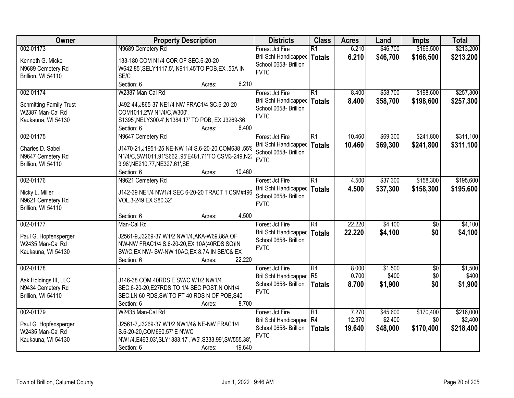| Owner                                              | <b>Property Description</b>                                                | <b>Districts</b>                     | <b>Class</b>    | <b>Acres</b> | Land     | <b>Impts</b>    | <b>Total</b> |
|----------------------------------------------------|----------------------------------------------------------------------------|--------------------------------------|-----------------|--------------|----------|-----------------|--------------|
| 002-01173                                          | N9689 Cemetery Rd                                                          | Forest Jct Fire                      | $\overline{R1}$ | 6.210        | \$46,700 | \$166,500       | \$213,200    |
| Kenneth G. Micke                                   | 133-180 COM N1/4 COR OF SEC.6-20-20                                        | <b>Bril Schl Handicapped</b>         | <b>Totals</b>   | 6.210        | \$46,700 | \$166,500       | \$213,200    |
| N9689 Cemetery Rd                                  | W642.85', SELY1117.5', N911.45'TO POB, EX .55A IN                          | School 0658- Brillion                |                 |              |          |                 |              |
| Brillion, WI 54110                                 | SE/C                                                                       | <b>FVTC</b>                          |                 |              |          |                 |              |
|                                                    | Section: 6<br>6.210<br>Acres:                                              |                                      |                 |              |          |                 |              |
| 002-01174                                          | W2387 Man-Cal Rd                                                           | Forest Jct Fire                      | $\overline{R1}$ | 8.400        | \$58,700 | \$198,600       | \$257,300    |
|                                                    |                                                                            | Bril Schl Handicapped                | <b>Totals</b>   | 8.400        | \$58,700 | \$198,600       | \$257,300    |
| <b>Schmitting Family Trust</b><br>W2387 Man-Cal Rd | J492-44, J865-37 NE1/4 NW FRAC1/4 SC.6-20-20<br>COM1011.2'W N1/4/C, W300', | School 0658- Brillion                |                 |              |          |                 |              |
| Kaukauna, WI 54130                                 | S1395', NELY300.4', N1384.17' TO POB, EX J3269-36                          | <b>FVTC</b>                          |                 |              |          |                 |              |
|                                                    | 8.400<br>Section: 6<br>Acres:                                              |                                      |                 |              |          |                 |              |
| 002-01175                                          | N9647 Cemetery Rd                                                          | Forest Jct Fire                      | R1              | 10.460       | \$69,300 | \$241,800       | \$311,100    |
|                                                    |                                                                            | <b>Bril Schl Handicapped</b>         | <b>Totals</b>   | 10.460       | \$69,300 | \$241,800       | \$311,100    |
| Charles D. Sabel                                   | J1470-21, J1951-25 NE-NW 1/4 S.6-20-20, COM638 .55'S                       | School 0658- Brillion                |                 |              |          |                 |              |
| N9647 Cemetery Rd                                  | N1/4/C,SW1011.91'S662.95'E481.71'TO CSM3-249,N27                           | <b>FVTC</b>                          |                 |              |          |                 |              |
| Brillion, WI 54110                                 | 3.98', NE210.77, NE327.61', SE                                             |                                      |                 |              |          |                 |              |
|                                                    | Section: 6<br>10.460<br>Acres:                                             |                                      |                 |              |          |                 |              |
| 002-01176                                          | N9621 Cemetery Rd                                                          | Forest Jct Fire                      | $\overline{R1}$ | 4.500        | \$37,300 | \$158,300       | \$195,600    |
| Nicky L. Miller                                    | J142-39 NE1/4 NW1/4 SEC 6-20-20 TRACT 1 CSM#496                            | <b>Bril Schl Handicapped</b>         | <b>Totals</b>   | 4.500        | \$37,300 | \$158,300       | \$195,600    |
| N9621 Cemetery Rd                                  | VOL.3-249 EX S80.32'                                                       | School 0658- Brillion<br><b>FVTC</b> |                 |              |          |                 |              |
| Brillion, WI 54110                                 |                                                                            |                                      |                 |              |          |                 |              |
|                                                    | 4.500<br>Section: 6<br>Acres:                                              |                                      |                 |              |          |                 |              |
| 002-01177                                          | Man-Cal Rd                                                                 | Forest Jct Fire                      | $\overline{R4}$ | 22.220       | \$4,100  | $\overline{50}$ | \$4,100      |
| Paul G. Hopfensperger                              | J2561-9, J3269-37 W1/2 NW1/4, AKA-W69.86A OF                               | Bril Schl Handicapped                | <b>Totals</b>   | 22.220       | \$4,100  | \$0             | \$4,100      |
| W2435 Man-Cal Rd                                   | NW-NW FRAC1/4 S.6-20-20, EX 10A(40RDS SQ)IN                                | School 0658- Brillion                |                 |              |          |                 |              |
| Kaukauna, WI 54130                                 | SW/C, EX NW- SW-NW 10AC, EX 8.7A IN SE/C& EX                               | <b>FVTC</b>                          |                 |              |          |                 |              |
|                                                    | 22.220<br>Section: 6<br>Acres:                                             |                                      |                 |              |          |                 |              |
| 002-01178                                          |                                                                            | Forest Jct Fire                      | R4              | 8.000        | \$1,500  | $\overline{50}$ | \$1,500      |
| Aak Holdings III, LLC                              | J146-38 COM 40RDS E SW/C W1/2 NW1/4                                        | Bril Schl Handicapped                | R <sub>5</sub>  | 0.700        | \$400    | \$0             | \$400        |
| N9434 Cemetery Rd                                  | SEC.6-20-20, E27RDS TO 1/4 SEC POST, N ON1/4                               | School 0658- Brillion                | <b>Totals</b>   | 8.700        | \$1,900  | \$0             | \$1,900      |
| Brillion, WI 54110                                 | SEC.LN 60 RDS, SW TO PT 40 RDS N OF POB, S40                               | <b>FVTC</b>                          |                 |              |          |                 |              |
|                                                    | 8.700<br>Section: 6<br>Acres:                                              |                                      |                 |              |          |                 |              |
| 002-01179                                          | W2435 Man-Cal Rd                                                           | Forest Jct Fire                      | $\overline{R1}$ | 7.270        | \$45,600 | \$170,400       | \$216,000    |
|                                                    |                                                                            | <b>Bril Schl Handicapped</b>         | R <sub>4</sub>  | 12.370       | \$2,400  | \$0             | \$2,400      |
| Paul G. Hopfensperger                              | J2561-7, J3269-37 W1/2 NW1/4& NE-NW FRAC1/4                                | School 0658- Brillion                | <b>Totals</b>   | 19.640       | \$48,000 | \$170,400       | \$218,400    |
| W2435 Man-Cal Rd                                   | S.6-20-20, COM690.57' E NW/C                                               | <b>FVTC</b>                          |                 |              |          |                 |              |
| Kaukauna, WI 54130                                 | NW1/4,E463.03',SLY1383.17', W5',S333.99',SW555.38',                        |                                      |                 |              |          |                 |              |
|                                                    | Section: 6<br>19.640<br>Acres:                                             |                                      |                 |              |          |                 |              |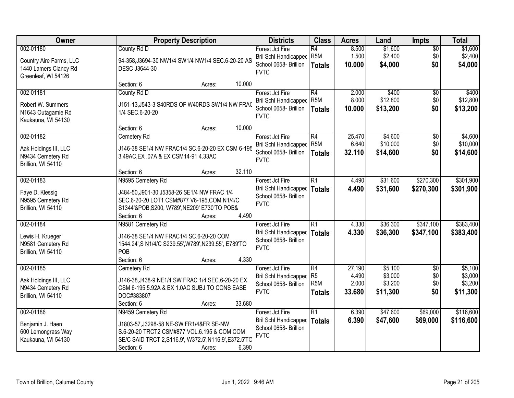| Owner                   | <b>Property Description</b>                            | <b>Districts</b>                               | <b>Class</b>                       | <b>Acres</b>   | Land               | <b>Impts</b>    | <b>Total</b>       |
|-------------------------|--------------------------------------------------------|------------------------------------------------|------------------------------------|----------------|--------------------|-----------------|--------------------|
| 002-01180               | County Rd D                                            | Forest Jct Fire                                | R4                                 | 8.500          | \$1,600            | $\overline{50}$ | \$1,600            |
| Country Aire Farms, LLC | 94-358, J3694-30 NW1/4 SW1/4 NW1/4 SEC.6-20-20 AS      | <b>Bril Schl Handicapped</b>                   | R <sub>5M</sub>                    | 1.500          | \$2,400            | \$0             | \$2,400            |
| 1440 Lamers Clancy Rd   | DESC J3644-30                                          | School 0658- Brillion                          | <b>Totals</b>                      | 10.000         | \$4,000            | \$0             | \$4,000            |
| Greenleaf, WI 54126     |                                                        | <b>FVTC</b>                                    |                                    |                |                    |                 |                    |
|                         | 10.000<br>Section: 6<br>Acres:                         |                                                |                                    |                |                    |                 |                    |
| 002-01181               | County Rd D                                            | Forest Jct Fire                                | R4                                 | 2.000          | \$400              | $\overline{50}$ | \$400              |
| Robert W. Summers       | J151-13, J543-3 S40RDS OF W40RDS SW1/4 NW FRAC         | Bril Schl Handicapped                          | R <sub>5</sub> M                   | 8.000          | \$12,800           | \$0             | \$12,800           |
| N1643 Outagamie Rd      | 1/4 SEC.6-20-20                                        | School 0658- Brillion                          | <b>Totals</b>                      | 10.000         | \$13,200           | \$0             | \$13,200           |
| Kaukauna, WI 54130      |                                                        | <b>FVTC</b>                                    |                                    |                |                    |                 |                    |
|                         | 10.000<br>Section: 6<br>Acres:                         |                                                |                                    |                |                    |                 |                    |
| 002-01182               | Cemetery Rd                                            | Forest Jct Fire                                | R4                                 | 25.470         | \$4,600            | $\sqrt[6]{30}$  | \$4,600            |
| Aak Holdings III, LLC   | J146-38 SE1/4 NW FRAC1/4 SC.6-20-20 EX CSM 6-195       | Bril Schl Handicapped                          | R <sub>5M</sub>                    | 6.640          | \$10,000           | \$0             | \$10,000           |
| N9434 Cemetery Rd       | 3.49AC, EX .07A & EX CSM14-91 4.33AC                   | School 0658- Brillion<br><b>FVTC</b>           | Totals                             | 32.110         | \$14,600           | \$0             | \$14,600           |
| Brillion, WI 54110      |                                                        |                                                |                                    |                |                    |                 |                    |
|                         | 32.110<br>Section: 6<br>Acres:                         |                                                |                                    |                |                    |                 |                    |
| 002-01183               | N9595 Cemetery Rd                                      | Forest Jct Fire                                | R1                                 | 4.490          | \$31,600           | \$270,300       | \$301,900          |
| Faye D. Klessig         | J484-50, J901-30, J5358-26 SE1/4 NW FRAC 1/4           | Bril Schl Handicapped                          | <b>Totals</b>                      | 4.490          | \$31,600           | \$270,300       | \$301,900          |
| N9595 Cemetery Rd       | SEC.6-20-20 LOT1 CSM#877 V6-195,COM N1/4/C             | School 0658- Brillion<br><b>FVTC</b>           |                                    |                |                    |                 |                    |
| Brillion, WI 54110      | S1344'&POB, S200, W789', NE209' E730'TO POB&           |                                                |                                    |                |                    |                 |                    |
|                         | 4.490<br>Section: 6<br>Acres:                          |                                                |                                    |                |                    |                 |                    |
| 002-01184               | N9581 Cemetery Rd                                      | Forest Jct Fire                                | $\overline{R1}$                    | 4.330          | \$36,300           | \$347,100       | \$383,400          |
| Lewis H. Krueger        | J146-38 SE1/4 NW FRAC1/4 SC.6-20-20 COM                | Bril Schl Handicapped   Totals                 |                                    | 4.330          | \$36,300           | \$347,100       | \$383,400          |
| N9581 Cemetery Rd       | 1544.24', S N1/4/C S239.55', W789', N239.55', E789'TO  | School 0658- Brillion<br><b>FVTC</b>           |                                    |                |                    |                 |                    |
| Brillion, WI 54110      | POB                                                    |                                                |                                    |                |                    |                 |                    |
|                         | Section: 6<br>4.330<br>Acres:                          |                                                |                                    |                |                    |                 |                    |
| 002-01185               | Cemetery Rd                                            | Forest Jct Fire                                | R4                                 | 27.190         | \$5,100            | $\overline{50}$ | \$5,100            |
| Aak Holdings III, LLC   | J146-38, J438-9 NE1/4 SW FRAC 1/4 SEC.6-20-20 EX       | Bril Schl Handicapped<br>School 0658- Brillion | R <sub>5</sub><br>R <sub>5</sub> M | 4.490<br>2.000 | \$3,000<br>\$3,200 | \$0<br>\$0      | \$3,000<br>\$3,200 |
| N9434 Cemetery Rd       | CSM 6-195 5.92A & EX 1.0AC SUBJ TO CONS EASE           | <b>FVTC</b>                                    | <b>Totals</b>                      | 33.680         | \$11,300           | \$0             | \$11,300           |
| Brillion, WI 54110      | DOC#383807                                             |                                                |                                    |                |                    |                 |                    |
|                         | 33.680<br>Section: 6<br>Acres:                         |                                                |                                    |                |                    |                 |                    |
| 002-01186               | N9459 Cemetery Rd                                      | Forest Jct Fire                                | R1                                 | 6.390          | \$47,600           | \$69,000        | \$116,600          |
| Benjamin J. Haen        | J1803-57, J3298-58 NE-SW FR1/4&FR SE-NW                | Bril Schl Handicapped<br>School 0658- Brillion | Totals                             | 6.390          | \$47,600           | \$69,000        | \$116,600          |
| 600 Lemongrass Way      | S.6-20-20 TRCT2 CSM#877 VOL.6.195 & COM COM            | <b>FVTC</b>                                    |                                    |                |                    |                 |                    |
| Kaukauna, WI 54130      | SE/C SAID TRCT 2, S116.9', W372.5', N116.9', E372.5'TO |                                                |                                    |                |                    |                 |                    |
|                         | 6.390<br>Section: 6<br>Acres:                          |                                                |                                    |                |                    |                 |                    |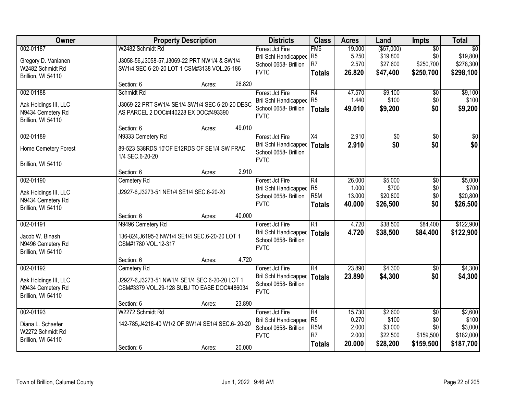| Owner                 |                                                   | <b>Property Description</b> |        | <b>Districts</b>             | <b>Class</b>     | <b>Acres</b> | Land        | Impts           | <b>Total</b>    |
|-----------------------|---------------------------------------------------|-----------------------------|--------|------------------------------|------------------|--------------|-------------|-----------------|-----------------|
| 002-01187             | W2482 Schmidt Rd                                  |                             |        | Forest Jct Fire              | FM <sub>6</sub>  | 19.000       | ( \$57,000) | $\overline{50}$ | $\overline{50}$ |
| Gregory D. Vanlanen   | J3058-56, J3058-57, J3069-22 PRT NW1/4 & SW1/4    |                             |        | <b>Bril Schl Handicapped</b> | R <sub>5</sub>   | 5.250        | \$19,800    | \$0             | \$19,800        |
| W2482 Schmidt Rd      | SW1/4 SEC 6-20-20 LOT 1 CSM#3138 VOL.26-186       |                             |        | School 0658- Brillion        | R <sub>7</sub>   | 2.570        | \$27,600    | \$250,700       | \$278,300       |
| Brillion, WI 54110    |                                                   |                             |        | <b>FVTC</b>                  | <b>Totals</b>    | 26.820       | \$47,400    | \$250,700       | \$298,100       |
|                       | Section: 6                                        | Acres:                      | 26.820 |                              |                  |              |             |                 |                 |
| 002-01188             | Schmidt Rd                                        |                             |        | Forest Jct Fire              | R4               | 47.570       | \$9,100     | \$0             | \$9,100         |
| Aak Holdings III, LLC | J3069-22 PRT SW1/4 SE1/4 SW1/4 SEC 6-20-20 DESC   |                             |        | <b>Bril Schl Handicapped</b> | R <sub>5</sub>   | 1.440        | \$100       | \$0             | \$100           |
| N9434 Cemetery Rd     | AS PARCEL 2 DOC#440228 EX DOC#493390              |                             |        | School 0658- Brillion        | <b>Totals</b>    | 49.010       | \$9,200     | \$0             | \$9,200         |
| Brillion, WI 54110    |                                                   |                             |        | <b>FVTC</b>                  |                  |              |             |                 |                 |
|                       | Section: 6                                        | Acres:                      | 49.010 |                              |                  |              |             |                 |                 |
| 002-01189             | N9333 Cemetery Rd                                 |                             |        | Forest Jct Fire              | X4               | 2.910        | \$0         | \$0             | \$0             |
| Home Cemetery Forest  | 89-523 S38RDS 10'OF E12RDS OF SE1/4 SW FRAC       |                             |        | Bril Schl Handicapped        | <b>Totals</b>    | 2.910        | \$0         | \$0             | \$0             |
|                       | 1/4 SEC.6-20-20                                   |                             |        | School 0658- Brillion        |                  |              |             |                 |                 |
| Brillion, WI 54110    |                                                   |                             |        | <b>FVTC</b>                  |                  |              |             |                 |                 |
|                       | Section: 6                                        | Acres:                      | 2.910  |                              |                  |              |             |                 |                 |
| 002-01190             | Cemetery Rd                                       |                             |        | Forest Jct Fire              | R4               | 26.000       | \$5,000     | \$0             | \$5,000         |
| Aak Holdings III, LLC | J2927-6, J3273-51 NE1/4 SE1/4 SEC.6-20-20         |                             |        | <b>Bril Schl Handicapped</b> | R <sub>5</sub>   | 1.000        | \$700       | \$0             | \$700           |
| N9434 Cemetery Rd     |                                                   |                             |        | School 0658- Brillion        | R <sub>5</sub> M | 13.000       | \$20,800    | \$0             | \$20,800        |
| Brillion, WI 54110    |                                                   |                             |        | <b>FVTC</b>                  | <b>Totals</b>    | 40.000       | \$26,500    | \$0             | \$26,500        |
|                       | Section: 6                                        | Acres:                      | 40.000 |                              |                  |              |             |                 |                 |
| 002-01191             | N9496 Cemetery Rd                                 |                             |        | Forest Jct Fire              | $\overline{R1}$  | 4.720        | \$38,500    | \$84,400        | \$122,900       |
| Jacob W. Binash       | 136-824, J6195-3 NW1/4 SE1/4 SEC.6-20-20 LOT 1    |                             |        | Bril Schl Handicapped        | <b>Totals</b>    | 4.720        | \$38,500    | \$84,400        | \$122,900       |
| N9496 Cemetery Rd     | CSM#1780 VOL.12-317                               |                             |        | School 0658- Brillion        |                  |              |             |                 |                 |
| Brillion, WI 54110    |                                                   |                             |        | <b>FVTC</b>                  |                  |              |             |                 |                 |
|                       | Section: 6                                        | Acres:                      | 4.720  |                              |                  |              |             |                 |                 |
| 002-01192             | Cemetery Rd                                       |                             |        | Forest Jct Fire              | $\overline{R4}$  | 23.890       | \$4,300     | $\overline{50}$ | \$4,300         |
| Aak Holdings III, LLC | J2927-6, J3273-51 NW1/4 SE1/4 SEC.6-20-20 LOT 1   |                             |        | Bril Schl Handicapped        | <b>Totals</b>    | 23.890       | \$4,300     | \$0             | \$4,300         |
| N9434 Cemetery Rd     | CSM#3379 VOL.29-128 SUBJ TO EASE DOC#486034       |                             |        | School 0658- Brillion        |                  |              |             |                 |                 |
| Brillion, WI 54110    |                                                   |                             |        | <b>FVTC</b>                  |                  |              |             |                 |                 |
|                       | Section: 6                                        | Acres:                      | 23.890 |                              |                  |              |             |                 |                 |
| 002-01193             | W2272 Schmidt Rd                                  |                             |        | Forest Jct Fire              | $\overline{R4}$  | 15.730       | \$2,600     | $\overline{50}$ | \$2,600         |
| Diana L. Schaefer     | 142-785, J4218-40 W1/2 OF SW1/4 SE1/4 SEC.6-20-20 |                             |        | Bril Schl Handicapped        | R <sub>5</sub>   | 0.270        | \$100       | \$0             | \$100           |
| W2272 Schmidt Rd      |                                                   |                             |        | School 0658- Brillion        | R <sub>5</sub> M | 2.000        | \$3,000     | \$0             | \$3,000         |
| Brillion, WI 54110    |                                                   |                             |        | <b>FVTC</b>                  | R <sub>7</sub>   | 2.000        | \$22,500    | \$159,500       | \$182,000       |
|                       | Section: 6                                        | Acres:                      | 20.000 |                              | <b>Totals</b>    | 20.000       | \$28,200    | \$159,500       | \$187,700       |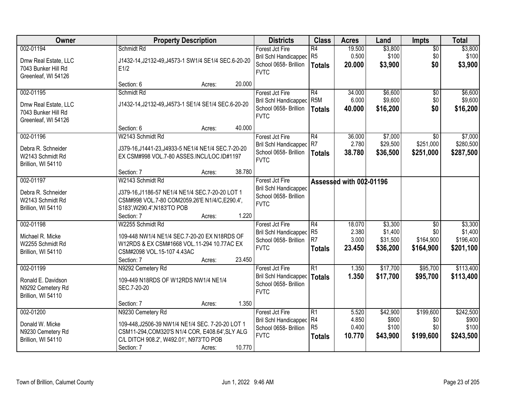| Owner                                                                           | <b>Property Description</b>                                                                                                                                                                           | <b>Districts</b>                                                                          | <b>Class</b>                                            | <b>Acres</b>                       | Land                                       | <b>Impts</b>                                     | <b>Total</b>                                 |
|---------------------------------------------------------------------------------|-------------------------------------------------------------------------------------------------------------------------------------------------------------------------------------------------------|-------------------------------------------------------------------------------------------|---------------------------------------------------------|------------------------------------|--------------------------------------------|--------------------------------------------------|----------------------------------------------|
| 002-01194<br>Dmw Real Estate, LLC<br>7043 Bunker Hill Rd<br>Greenleaf, WI 54126 | Schmidt Rd<br>J1432-14, J2132-49, J4573-1 SW1/4 SE1/4 SEC.6-20-20<br>E1/2                                                                                                                             | Forest Jct Fire<br>Bril Schl Handicapped<br>School 0658- Brillion<br><b>FVTC</b>          | R4<br>R <sub>5</sub><br>Totals                          | 19.500<br>0.500<br>20.000          | \$3,800<br>\$100<br>\$3,900                | $\overline{50}$<br>\$0<br>\$0                    | \$3,800<br>\$100<br>\$3,900                  |
|                                                                                 | 20.000<br>Section: 6<br>Acres:                                                                                                                                                                        |                                                                                           |                                                         |                                    |                                            |                                                  |                                              |
| 002-01195<br>Dmw Real Estate, LLC<br>7043 Bunker Hill Rd<br>Greenleaf, WI 54126 | Schmidt Rd<br>J1432-14, J2132-49, J4573-1 SE1/4 SE1/4 SEC.6-20-20                                                                                                                                     | Forest Jct Fire<br><b>Bril Schl Handicapped</b><br>School 0658- Brillion<br><b>FVTC</b>   | R4<br>R <sub>5</sub> M<br><b>Totals</b>                 | 34,000<br>6.000<br>40.000          | \$6,600<br>\$9,600<br>\$16,200             | \$0<br>\$0<br>\$0                                | \$6,600<br>\$9,600<br>\$16,200               |
|                                                                                 | 40.000<br>Section: 6<br>Acres:                                                                                                                                                                        |                                                                                           |                                                         |                                    |                                            |                                                  |                                              |
| 002-01196<br>Debra R. Schneider<br>W2143 Schmidt Rd<br>Brillion, WI 54110       | W2143 Schmidt Rd<br>J379-16, J1441-23, J4933-5 NE1/4 NE1/4 SEC. 7-20-20<br>EX CSM#998 VOL.7-80 ASSES.INCL/LOC.ID#1197                                                                                 | Forest Jct Fire<br>Bril Schl Handicapped<br>School 0658- Brillion<br><b>FVTC</b>          | R4<br>R7<br>Totals                                      | 36.000<br>2.780<br>38,780          | \$7,000<br>\$29,500<br>\$36,500            | \$0<br>\$251,000<br>\$251,000                    | \$7,000<br>\$280,500<br>\$287,500            |
|                                                                                 | 38.780<br>Section: 7<br>Acres:                                                                                                                                                                        |                                                                                           |                                                         |                                    |                                            |                                                  |                                              |
| 002-01197<br>Debra R. Schneider<br>W2143 Schmidt Rd<br>Brillion, WI 54110       | W2143 Schmidt Rd<br>J379-16,J1186-57 NE1/4 NE1/4 SEC.7-20-20 LOT 1<br>CSM#998 VOL.7-80 COM2059.26'E N1/4/C, E290.4',<br>S183', W290.4', N183'TO POB<br>1.220<br>Section: 7<br>Acres:                  | Forest Jct Fire<br><b>Bril Schl Handicapped</b><br>School 0658- Brillion<br><b>FVTC</b>   |                                                         | Assessed with 002-01196            |                                            |                                                  |                                              |
| 002-01198<br>Michael R. Micke<br>W2255 Schmidt Rd<br>Brillion, WI 54110         | W2255 Schmidt Rd<br>109-448 NW1/4 NE1/4 SEC.7-20-20 EX N18RDS OF<br>W12RDS & EX CSM#1668 VOL.11-294 10.77AC EX<br>CSM#2098 VOL.15-107 4.43AC<br>23.450<br>Section: 7<br>Acres:                        | Forest Jct Fire<br>Bril Schl Handicapped<br>School 0658- Brillion<br><b>FVTC</b>          | R4<br>R <sub>5</sub><br>R <sub>7</sub><br><b>Totals</b> | 18.070<br>2.380<br>3.000<br>23.450 | \$3,300<br>\$1,400<br>\$31,500<br>\$36,200 | $\overline{50}$<br>\$0<br>\$164,900<br>\$164,900 | \$3,300<br>\$1,400<br>\$196,400<br>\$201,100 |
| 002-01199<br>Ronald E. Davidson<br>N9292 Cemetery Rd<br>Brillion, WI 54110      | N9292 Cemetery Rd<br>109-449 N18RDS OF W12RDS NW1/4 NE1/4<br>SEC.7-20-20<br>1.350<br>Section: 7<br>Acres:                                                                                             | Forest Jct Fire<br>Bril Schl Handicapped   Totals<br>School 0658- Brillion<br><b>FVTC</b> | R1                                                      | 1.350<br>1.350                     | \$17,700<br>\$17,700                       | \$95,700<br>\$95,700                             | \$113,400<br>\$113,400                       |
| 002-01200<br>Donald W. Micke<br>N9230 Cemetery Rd<br>Brillion, WI 54110         | N9230 Cemetery Rd<br>109-448, J2506-39 NW1/4 NE1/4 SEC. 7-20-20 LOT 1<br>CSM11-294, COM320'S N1/4 COR, E408.64', SLY ALG<br>C/L DITCH 908.2', W492.01', N973'TO POB<br>10.770<br>Section: 7<br>Acres: | Forest Jct Fire<br>Bril Schl Handicapped<br>School 0658- Brillion<br><b>FVTC</b>          | R1<br>R4<br>R5<br><b>Totals</b>                         | 5.520<br>4.850<br>0.400<br>10.770  | \$42,900<br>\$900<br>\$100<br>\$43,900     | \$199,600<br>\$0<br>\$0<br>\$199,600             | \$242,500<br>\$900<br>\$100<br>\$243,500     |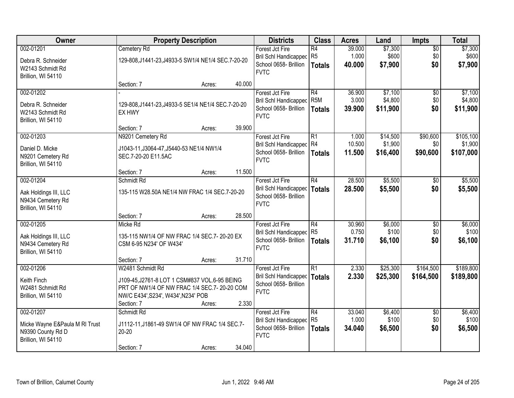| Owner                                                                                  |                                                                                                                                                                       | <b>Property Description</b> |        | <b>Districts</b>                                                                        | <b>Class</b>                                         | <b>Acres</b>              | Land                            | Impts                         | <b>Total</b>                      |
|----------------------------------------------------------------------------------------|-----------------------------------------------------------------------------------------------------------------------------------------------------------------------|-----------------------------|--------|-----------------------------------------------------------------------------------------|------------------------------------------------------|---------------------------|---------------------------------|-------------------------------|-----------------------------------|
| 002-01201<br>Debra R. Schneider<br>W2143 Schmidt Rd<br>Brillion, WI 54110              | Cemetery Rd<br>129-808, J1441-23, J4933-5 SW1/4 NE1/4 SEC. 7-20-20                                                                                                    |                             |        | Forest Jct Fire<br><b>Bril Schl Handicapped</b><br>School 0658- Brillion<br><b>FVTC</b> | R4<br>R <sub>5</sub><br><b>Totals</b>                | 39.000<br>1.000<br>40,000 | \$7,300<br>\$600<br>\$7,900     | $\overline{50}$<br>\$0<br>\$0 | \$7,300<br>\$600<br>\$7,900       |
|                                                                                        | Section: 7                                                                                                                                                            | Acres:                      | 40.000 |                                                                                         |                                                      |                           |                                 |                               |                                   |
| 002-01202<br>Debra R. Schneider<br>W2143 Schmidt Rd<br>Brillion, WI 54110              | 129-808, J1441-23, J4933-5 SE1/4 NE1/4 SEC. 7-20-20<br>EX HWY                                                                                                         |                             |        | Forest Jct Fire<br><b>Bril Schl Handicapped</b><br>School 0658- Brillion<br><b>FVTC</b> | $\overline{R4}$<br>R <sub>5</sub> M<br><b>Totals</b> | 36.900<br>3.000<br>39.900 | \$7,100<br>\$4,800<br>\$11,900  | \$0<br>\$0<br>\$0             | \$7,100<br>\$4,800<br>\$11,900    |
|                                                                                        | Section: 7                                                                                                                                                            | Acres:                      | 39.900 |                                                                                         |                                                      |                           |                                 |                               |                                   |
| 002-01203<br>Daniel D. Micke<br>N9201 Cemetery Rd<br>Brillion, WI 54110                | N9201 Cemetery Rd<br>J1043-11, J3064-47, J5440-53 NE1/4 NW1/4<br>SEC.7-20-20 E11.5AC                                                                                  |                             |        | Forest Jct Fire<br>Bril Schl Handicapped R4<br>School 0658- Brillion<br><b>FVTC</b>     | $\overline{R1}$<br><b>Totals</b>                     | 1.000<br>10.500<br>11.500 | \$14,500<br>\$1,900<br>\$16,400 | \$90,600<br>\$0<br>\$90,600   | \$105,100<br>\$1,900<br>\$107,000 |
|                                                                                        | Section: 7                                                                                                                                                            | Acres:                      | 11.500 |                                                                                         |                                                      |                           |                                 |                               |                                   |
| 002-01204<br>Aak Holdings III, LLC<br>N9434 Cemetery Rd<br>Brillion, WI 54110          | Schmidt Rd<br>135-115 W28.50A NE1/4 NW FRAC 1/4 SEC.7-20-20                                                                                                           |                             |        | Forest Jct Fire<br><b>Bril Schl Handicapped</b><br>School 0658- Brillion<br><b>FVTC</b> | R4<br><b>Totals</b>                                  | 28.500<br>28.500          | \$5,500<br>\$5,500              | $\sqrt[6]{}$<br>\$0           | \$5,500<br>\$5,500                |
|                                                                                        | Section: 7                                                                                                                                                            | Acres:                      | 28.500 |                                                                                         |                                                      |                           |                                 |                               |                                   |
| 002-01205<br>Aak Holdings III, LLC<br>N9434 Cemetery Rd<br>Brillion, WI 54110          | Micke Rd<br>135-115 NW1/4 OF NW FRAC 1/4 SEC.7-20-20 EX<br>CSM 6-95 N234' OF W434'                                                                                    |                             |        | Forest Jct Fire<br><b>Bril Schl Handicapped</b><br>School 0658- Brillion<br><b>FVTC</b> | $\overline{R4}$<br>R <sub>5</sub><br><b>Totals</b>   | 30.960<br>0.750<br>31.710 | \$6,000<br>\$100<br>\$6,100     | $\overline{50}$<br>\$0<br>\$0 | \$6,000<br>\$100<br>\$6,100       |
|                                                                                        | Section: 7                                                                                                                                                            | Acres:                      | 31.710 |                                                                                         |                                                      |                           |                                 |                               |                                   |
| 002-01206<br>Keith Finch<br>W2481 Schmidt Rd<br>Brillion, WI 54110                     | W2481 Schmidt Rd<br>J109-45, J2761-8 LOT 1 CSM#837 VOL.6-95 BEING<br>PRT OF NW1/4 OF NW FRAC 1/4 SEC.7-20-20 COM<br>NW/C E434', S234', W434', N234' POB<br>Section: 7 | Acres:                      | 2.330  | Forest Jct Fire<br><b>Bril Schl Handicapped</b><br>School 0658- Brillion<br><b>FVTC</b> | $\overline{R1}$<br><b>Totals</b>                     | 2.330<br>2.330            | \$25,300<br>\$25,300            | \$164,500<br>\$164,500        | \$189,800<br>\$189,800            |
| 002-01207<br>Micke Wayne E&Paula M RI Trust<br>N9390 County Rd D<br>Brillion, WI 54110 | Schmidt Rd<br>J1112-11, J1861-49 SW1/4 OF NW FRAC 1/4 SEC.7-<br>$20 - 20$<br>Section: 7                                                                               | Acres:                      | 34.040 | Forest Jct Fire<br><b>Bril Schl Handicapped</b><br>School 0658- Brillion<br><b>FVTC</b> | R4<br>R <sub>5</sub><br><b>Totals</b>                | 33.040<br>1.000<br>34.040 | \$6,400<br>\$100<br>\$6,500     | $\overline{50}$<br>\$0<br>\$0 | \$6,400<br>\$100<br>\$6,500       |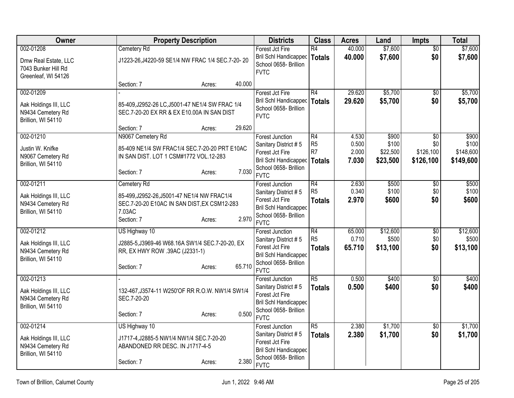| Owner                                                                           | <b>Property Description</b>                                                                                                                          | <b>Districts</b>                                                                                                                          | <b>Class</b>                         | <b>Acres</b>                     | Land                                   | <b>Impts</b>                                     | <b>Total</b>                             |
|---------------------------------------------------------------------------------|------------------------------------------------------------------------------------------------------------------------------------------------------|-------------------------------------------------------------------------------------------------------------------------------------------|--------------------------------------|----------------------------------|----------------------------------------|--------------------------------------------------|------------------------------------------|
| 002-01208<br>Dmw Real Estate, LLC<br>7043 Bunker Hill Rd<br>Greenleaf, WI 54126 | Cemetery Rd<br>J1223-26, J4220-59 SE1/4 NW FRAC 1/4 SEC.7-20-20                                                                                      | Forest Jct Fire<br>Bril Schl Handicapped   Totals<br>School 0658- Brillion<br><b>FVTC</b>                                                 | R4                                   | 40.000<br>40.000                 | \$7,600<br>\$7,600                     | $\sqrt{6}$<br>\$0                                | \$7,600<br>\$7,600                       |
|                                                                                 | 40.000<br>Section: 7<br>Acres:                                                                                                                       |                                                                                                                                           |                                      |                                  |                                        |                                                  |                                          |
| 002-01209<br>Aak Holdings III, LLC<br>N9434 Cemetery Rd<br>Brillion, WI 54110   | 85-409, J2952-26 LC, J5001-47 NE1/4 SW FRAC 1/4<br>SEC.7-20-20 EX RR & EX E10.00A IN SAN DIST<br>29.620<br>Section: 7<br>Acres:                      | Forest Jct Fire<br>Bril Schl Handicapped   Totals<br>School 0658- Brillion<br><b>FVTC</b>                                                 | R4                                   | 29.620<br>29.620                 | \$5,700<br>\$5,700                     | \$0<br>\$0                                       | \$5,700<br>\$5,700                       |
| 002-01210<br>Justin W. Knifke<br>N9067 Cemetery Rd<br>Brillion, WI 54110        | N9067 Cemetery Rd<br>85-409 NE1/4 SW FRAC1/4 SEC.7-20-20 PRT E10AC<br>IN SAN DIST. LOT 1 CSM#1772 VOL.12-283<br>7.030<br>Section: 7<br>Acres:        | <b>Forest Junction</b><br>Sanitary District #5<br>Forest Jct Fire<br><b>Bril Schl Handicapped</b><br>School 0658- Brillion<br><b>FVTC</b> | R4<br>R <sub>5</sub><br>R7<br>Totals | 4.530<br>0.500<br>2.000<br>7.030 | \$900<br>\$100<br>\$22,500<br>\$23,500 | $\overline{50}$<br>\$0<br>\$126,100<br>\$126,100 | \$900<br>\$100<br>\$148,600<br>\$149,600 |
| 002-01211<br>Aak Holdings III, LLC<br>N9434 Cemetery Rd<br>Brillion, WI 54110   | Cemetery Rd<br>85-499, J2952-26, J5001-47 NE1/4 NW FRAC1/4<br>SEC.7-20-20 E10AC IN SAN DIST, EX CSM12-283<br>7.03AC<br>2.970<br>Section: 7<br>Acres: | <b>Forest Junction</b><br>Sanitary District #5<br>Forest Jct Fire<br><b>Bril Schl Handicapped</b><br>School 0658- Brillion<br><b>FVTC</b> | R4<br>R5<br><b>Totals</b>            | 2.630<br>0.340<br>2.970          | \$500<br>\$100<br>\$600                | $\overline{60}$<br>\$0<br>\$0                    | \$500<br>\$100<br>\$600                  |
| 002-01212<br>Aak Holdings III, LLC<br>N9434 Cemetery Rd<br>Brillion, WI 54110   | US Highway 10<br>J2885-5, J3969-46 W68.16A SW1/4 SEC.7-20-20, EX<br>RR, EX HWY ROW .39AC (J2331-1)<br>65.710<br>Section: 7<br>Acres:                 | <b>Forest Junction</b><br>Sanitary District #5<br>Forest Jct Fire<br><b>Bril Schl Handicapped</b><br>School 0658- Brillion<br><b>FVTC</b> | R4<br>R <sub>5</sub><br>Totals       | 65.000<br>0.710<br>65.710        | \$12,600<br>\$500<br>\$13,100          | $\sqrt{6}$<br>\$0<br>\$0                         | \$12,600<br>\$500<br>\$13,100            |
| 002-01213<br>Aak Holdings III, LLC<br>N9434 Cemetery Rd<br>Brillion, WI 54110   | 132-467, J3574-11 W250'OF RR R.O.W. NW1/4 SW1/4<br>SEC.7-20-20<br>0.500<br>Section: 7<br>Acres:                                                      | <b>Forest Junction</b><br>Sanitary District #5<br>Forest Jct Fire<br>Bril Schl Handicapped<br>School 0658- Brillion<br><b>FVTC</b>        | R5<br><b>Totals</b>                  | 0.500<br>0.500                   | \$400<br>\$400                         | $\overline{50}$<br>\$0                           | \$400<br>\$400                           |
| 002-01214<br>Aak Holdings III, LLC<br>N9434 Cemetery Rd<br>Brillion, WI 54110   | US Highway 10<br>J1717-4, J2885-5 NW1/4 NW1/4 SEC.7-20-20<br>ABANDONED RR DESC. IN J1717-4-5<br>2.380<br>Section: 7<br>Acres:                        | <b>Forest Junction</b><br>Sanitary District #5<br>Forest Jct Fire<br><b>Bril Schl Handicapped</b><br>School 0658- Brillion<br><b>FVTC</b> | R5<br><b>Totals</b>                  | 2.380<br>2.380                   | \$1,700<br>\$1,700                     | $\overline{50}$<br>\$0                           | \$1,700<br>\$1,700                       |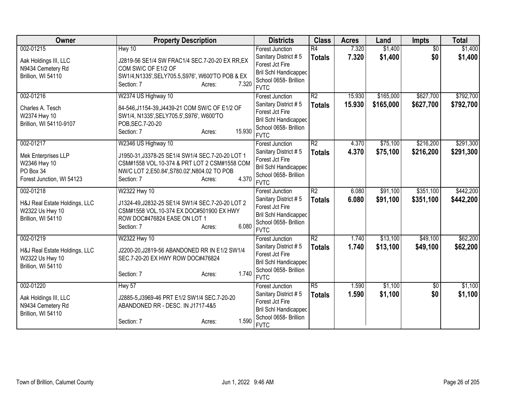| Owner                                            | <b>Property Description</b>                                                        | <b>Districts</b>                        | <b>Class</b>    | <b>Acres</b> | Land      | <b>Impts</b>    | <b>Total</b> |
|--------------------------------------------------|------------------------------------------------------------------------------------|-----------------------------------------|-----------------|--------------|-----------|-----------------|--------------|
| 002-01215                                        | Hwy 10                                                                             | <b>Forest Junction</b>                  | $\overline{R4}$ | 7.320        | \$1,400   | $\overline{30}$ | \$1,400      |
| Aak Holdings III, LLC                            | J2819-56 SE1/4 SW FRAC1/4 SEC.7-20-20 EX RR, EX                                    | Sanitary District #5                    | <b>Totals</b>   | 7.320        | \$1,400   | \$0             | \$1,400      |
| N9434 Cemetery Rd                                | COM SW/C OF E1/2 OF                                                                | Forest Jct Fire                         |                 |              |           |                 |              |
| Brillion, WI 54110                               | SW1/4, N1335', SELY705.5, S976', W600'TO POB & EX                                  | <b>Bril Schl Handicapped</b>            |                 |              |           |                 |              |
|                                                  | 7.320<br>Section: 7<br>Acres:                                                      | School 0658- Brillion<br><b>FVTC</b>    |                 |              |           |                 |              |
| 002-01216                                        | W2374 US Highway 10                                                                | <b>Forest Junction</b>                  | $\overline{R2}$ | 15.930       | \$165,000 | \$627,700       | \$792,700    |
|                                                  |                                                                                    | Sanitary District #5                    | <b>Totals</b>   | 15.930       | \$165,000 | \$627,700       | \$792,700    |
| Charles A. Tesch                                 | 84-546, J1154-39, J4439-21 COM SW/C OF E1/2 OF                                     | Forest Jct Fire                         |                 |              |           |                 |              |
| W2374 Hwy 10                                     | SW1/4, N1335', SELY705.5', S976', W600'TO                                          | <b>Bril Schl Handicapped</b>            |                 |              |           |                 |              |
| Brillion, WI 54110-9107                          | POB, SEC. 7-20-20                                                                  | School 0658- Brillion                   |                 |              |           |                 |              |
|                                                  | 15.930<br>Section: 7<br>Acres:                                                     | <b>FVTC</b>                             |                 |              |           |                 |              |
| 002-01217                                        | W2346 US Highway 10                                                                | Forest Junction                         | $\overline{R2}$ | 4.370        | \$75,100  | \$216,200       | \$291,300    |
| Mek Enterprises LLP                              | J1950-31, J3378-25 SE1/4 SW1/4 SEC. 7-20-20 LOT 1                                  | Sanitary District #5                    | <b>Totals</b>   | 4.370        | \$75,100  | \$216,200       | \$291,300    |
| W2346 Hwy 10                                     | CSM#1558 VOL.10-374 & PRT LOT 2 CSM#1558 COM                                       | Forest Jct Fire                         |                 |              |           |                 |              |
| PO Box 34                                        | NW/C LOT 2,E50.84',S780.02',N804.02 TO POB                                         | <b>Bril Schl Handicapped</b>            |                 |              |           |                 |              |
| Forest Junction, WI 54123                        | 4.370<br>Section: 7<br>Acres:                                                      | School 0658- Brillion                   |                 |              |           |                 |              |
|                                                  |                                                                                    | <b>FVTC</b>                             | R2              |              |           |                 |              |
| 002-01218                                        | W2322 Hwy 10                                                                       | <b>Forest Junction</b>                  |                 | 6.080        | \$91,100  | \$351,100       | \$442,200    |
| H&J Real Estate Holdings, LLC                    | J1324-49, J2832-25 SE1/4 SW1/4 SEC. 7-20-20 LOT 2                                  | Sanitary District #5<br>Forest Jct Fire | <b>Totals</b>   | 6.080        | \$91,100  | \$351,100       | \$442,200    |
| W2322 Us Hwy 10                                  | CSM#1558 VOL.10-374 EX DOC#501900 EX HWY                                           | Bril Schl Handicapped                   |                 |              |           |                 |              |
| Brillion, WI 54110                               | ROW DOC#476824 EASE ON LOT 1                                                       | School 0658- Brillion                   |                 |              |           |                 |              |
|                                                  | 6.080<br>Section: 7<br>Acres:                                                      | <b>FVTC</b>                             |                 |              |           |                 |              |
| 002-01219                                        | W2322 Hwy 10                                                                       | <b>Forest Junction</b>                  | $\overline{R2}$ | 1.740        | \$13,100  | \$49,100        | \$62,200     |
|                                                  |                                                                                    | Sanitary District #5                    | <b>Totals</b>   | 1.740        | \$13,100  | \$49,100        | \$62,200     |
| H&J Real Estate Holdings, LLC<br>W2322 Us Hwy 10 | J2200-20, J2819-56 ABANDONED RR IN E1/2 SW1/4<br>SEC.7-20-20 EX HWY ROW DOC#476824 | Forest Jct Fire                         |                 |              |           |                 |              |
| Brillion, WI 54110                               |                                                                                    | <b>Bril Schl Handicapped</b>            |                 |              |           |                 |              |
|                                                  | 1.740<br>Section: 7<br>Acres:                                                      | School 0658- Brillion                   |                 |              |           |                 |              |
|                                                  |                                                                                    | <b>FVTC</b>                             |                 |              |           |                 |              |
| 002-01220                                        | Hwy 57                                                                             | Forest Junction                         | $\overline{R5}$ | 1.590        | \$1,100   | \$0             | \$1,100      |
| Aak Holdings III, LLC                            | J2885-5, J3969-46 PRT E1/2 SW1/4 SEC.7-20-20                                       | Sanitary District #5                    | <b>Totals</b>   | 1.590        | \$1,100   | \$0             | \$1,100      |
| N9434 Cemetery Rd                                | ABANDONED RR - DESC. IN J1717-4&5                                                  | Forest Jct Fire                         |                 |              |           |                 |              |
| Brillion, WI 54110                               |                                                                                    | <b>Bril Schl Handicapped</b>            |                 |              |           |                 |              |
|                                                  | 1.590<br>Section: 7<br>Acres:                                                      | School 0658- Brillion<br><b>FVTC</b>    |                 |              |           |                 |              |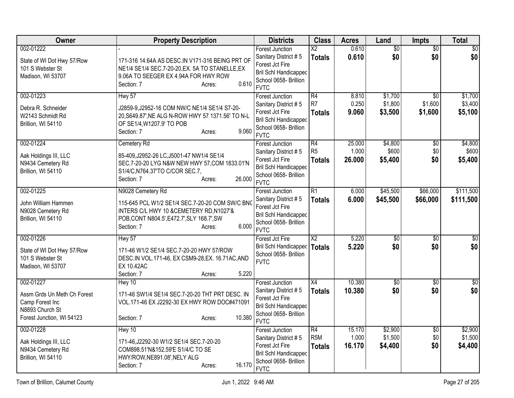| Owner                                                                                                       | <b>Property Description</b>                                                                                                                                                                    | <b>Districts</b>                                                                                                                          | <b>Class</b>                                       | <b>Acres</b>              | Land                          | Impts                                 | <b>Total</b>                  |
|-------------------------------------------------------------------------------------------------------------|------------------------------------------------------------------------------------------------------------------------------------------------------------------------------------------------|-------------------------------------------------------------------------------------------------------------------------------------------|----------------------------------------------------|---------------------------|-------------------------------|---------------------------------------|-------------------------------|
| 002-01222<br>State of WI Dot Hwy 57/Row<br>101 S Webster St<br>Madison, WI 53707                            | 171-316 14.64A AS DESC.IN V171-316 BEING PRT OF<br>NE1/4 SE1/4 SEC.7-20-20, EX. 5A TO STANELLE, EX<br>9.06A TO SEEGER EX 4.94A FOR HWY ROW<br>0.610<br>Section: 7<br>Acres:                    | <b>Forest Junction</b><br>Sanitary District #5<br>Forest Jct Fire<br>Bril Schl Handicapped<br>School 0658- Brillion<br><b>FVTC</b>        | $\overline{\mathsf{x2}}$<br><b>Totals</b>          | 0.610<br>0.610            | $\overline{60}$<br>\$0        | $\overline{50}$<br>\$0                | \$0<br>\$0                    |
| 002-01223<br>Debra R. Schneider<br>W2143 Schmidt Rd<br>Brillion, WI 54110                                   | Hwy 57<br>J2859-9, J2952-16 COM NW/C NE1/4 SE1/4 S7-20-<br>20, S649.87', NE ALG N-ROW HWY 57 1371.56' TO N-L<br>OF SE1/4, W1207.9' TO POB<br>9.060<br>Section: 7<br>Acres:                     | <b>Forest Junction</b><br>Sanitary District #5<br>Forest Jct Fire<br><b>Bril Schl Handicapped</b><br>School 0658- Brillion<br><b>FVTC</b> | $\overline{R4}$<br>R <sub>7</sub><br><b>Totals</b> | 8.810<br>0.250<br>9.060   | \$1,700<br>\$1,800<br>\$3,500 | $\overline{30}$<br>\$1,600<br>\$1,600 | \$1,700<br>\$3,400<br>\$5,100 |
| 002-01224<br>Aak Holdings III, LLC<br>N9434 Cemetery Rd<br>Brillion, WI 54110                               | Cemetery Rd<br>85-409, J2952-26 LC, J5001-47 NW1/4 SE1/4<br>SEC.7-20-20 LYG N&W NEW HWY 57, COM 1833.01'N<br>S1/4/C, N764.37'TO C/COR SEC.7,<br>26.000<br>Section: 7<br>Acres:                 | <b>Forest Junction</b><br>Sanitary District #5<br>Forest Jct Fire<br><b>Bril Schl Handicapped</b><br>School 0658- Brillion<br><b>FVTC</b> | R4<br>R <sub>5</sub><br><b>Totals</b>              | 25.000<br>1.000<br>26.000 | \$4,800<br>\$600<br>\$5,400   | \$0<br>\$0<br>\$0                     | \$4,800<br>\$600<br>\$5,400   |
| 002-01225<br>John William Hammen<br>N9028 Cemetery Rd<br>Brillion, WI 54110                                 | N9028 Cemetery Rd<br>115-645 PCL W1/2 SE1/4 SEC.7-20-20 COM SW/C BNC<br>INTERS C/L HWY 10 &CEMETERY RD, N1027'&<br>POB, CONT N804.5', E472.7', SLY 168.7', SW<br>6.000<br>Section: 7<br>Acres: | <b>Forest Junction</b><br>Sanitary District #5<br>Forest Jct Fire<br><b>Bril Schl Handicapped</b><br>School 0658- Brillion<br><b>FVTC</b> | $\overline{R1}$<br><b>Totals</b>                   | 6.000<br>6.000            | \$45,500<br>\$45,500          | \$66,000<br>\$66,000                  | \$111,500<br>\$111,500        |
| 002-01226<br>State of WI Dot Hwy 57/Row<br>101 S Webster St<br>Madison, WI 53707                            | <b>Hwy 57</b><br>171-46 W1/2 SE1/4 SEC.7-20-20 HWY 57/ROW<br>DESC.IN VOL.171-46, EX CSM9-28, EX. 16.71AC, AND<br><b>EX 10.42AC</b><br>5.220<br>Section: 7<br>Acres:                            | Forest Jct Fire<br>Bril Schl Handicapped<br>School 0658- Brillion<br><b>FVTC</b>                                                          | $\overline{X2}$<br><b>Totals</b>                   | 5.220<br>5.220            | $\sqrt{50}$<br>\$0            | $\sqrt{6}$<br>\$0                     | \$0<br>\$0                    |
| 002-01227<br>Assm Grds Un Meth Ch Forest<br>Camp Forest Inc<br>N8893 Church St<br>Forest Junction, WI 54123 | Hwy 10<br>171-46 SW1/4 SE1/4 SEC.7-20-20 THT PRT DESC. IN<br>VOL.171-46 EX J2292-30 EX HWY ROW DOC#471091<br>10.380<br>Section: 7<br>Acres:                                                    | <b>Forest Junction</b><br>Sanitary District #5<br>Forest Jct Fire<br><b>Bril Schl Handicapped</b><br>School 0658- Brillion<br><b>FVTC</b> | $\overline{X4}$<br><b>Totals</b>                   | 10.380<br>10.380          | $\sqrt{50}$<br>\$0            | $\overline{50}$<br>\$0                | $\overline{50}$<br>\$0        |
| 002-01228<br>Aak Holdings III, LLC<br>N9434 Cemetery Rd<br>Brillion, WI 54110                               | Hwy 10<br>171-46, J2292-30 W1/2 SE1/4 SEC. 7-20-20<br>COM898.51'N&152.59'E S1/4/C TO SE<br>HWY/ROW, NE891.08', NELY ALG<br>16.170<br>Section: 7<br>Acres:                                      | <b>Forest Junction</b><br>Sanitary District #5<br>Forest Jct Fire<br><b>Bril Schl Handicapped</b><br>School 0658- Brillion<br><b>FVTC</b> | R4<br>R <sub>5</sub> M<br><b>Totals</b>            | 15.170<br>1.000<br>16.170 | \$2,900<br>\$1,500<br>\$4,400 | $\frac{1}{20}$<br>\$0<br>\$0          | \$2,900<br>\$1,500<br>\$4,400 |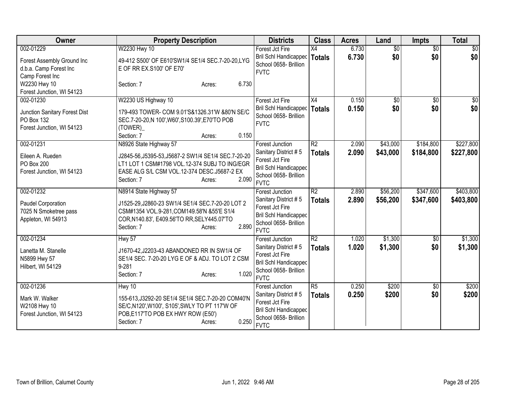| Owner                                                                                 | <b>Property Description</b>                                                                                                                                                                                    | <b>Districts</b>                                                                                                                          | <b>Class</b>                     | <b>Acres</b>   | Land                   | <b>Impts</b>           | <b>Total</b>           |
|---------------------------------------------------------------------------------------|----------------------------------------------------------------------------------------------------------------------------------------------------------------------------------------------------------------|-------------------------------------------------------------------------------------------------------------------------------------------|----------------------------------|----------------|------------------------|------------------------|------------------------|
| 002-01229<br>Forest Assembly Ground Inc<br>d.b.a. Camp Forest Inc<br>Camp Forest Inc  | W2230 Hwy 10<br>49-412 S500' OF E610'SW1/4 SE1/4 SEC.7-20-20,LYG<br>E OF RR EX.S100' OF E70'                                                                                                                   | Forest Jct Fire<br><b>Bril Schl Handicapped</b><br>School 0658- Brillion<br><b>FVTC</b>                                                   | $\overline{X4}$<br><b>Totals</b> | 6.730<br>6.730 | $\overline{60}$<br>\$0 | $\overline{30}$<br>\$0 | \$0<br>\$0             |
| W2230 Hwy 10<br>Forest Junction, WI 54123                                             | 6.730<br>Section: 7<br>Acres:                                                                                                                                                                                  |                                                                                                                                           |                                  |                |                        |                        |                        |
| 002-01230<br>Junction Sanitary Forest Dist<br>PO Box 132<br>Forest Junction, WI 54123 | W2230 US Highway 10<br>179-493 TOWER- COM 9.01'S&1326.31'W &80'N SE/C<br>SEC.7-20-20, N 100', W60', S100.39', E70'TO POB<br>(TOWER)<br>0.150<br>Section: 7<br>Acres:                                           | Forest Jct Fire<br>Bril Schl Handicapped<br>School 0658- Brillion<br><b>FVTC</b>                                                          | X4<br><b>Totals</b>              | 0.150<br>0.150 | \$0<br>\$0             | $\overline{50}$<br>\$0 | $\sqrt{50}$<br>\$0     |
| 002-01231<br>Eileen A. Rueden<br><b>PO Box 200</b><br>Forest Junction, WI 54123       | N8926 State Highway 57<br>J2845-56, J5395-53, J5687-2 SW1/4 SE1/4 SEC.7-20-20<br>LT1 LOT 1 CSM#1798 VOL.12-374 SUBJ TO ING/EGR<br>EASE ALG S/L CSM VOL.12-374 DESC.J5687-2 EX<br>2.090<br>Section: 7<br>Acres: | <b>Forest Junction</b><br>Sanitary District #5<br>Forest Jct Fire<br><b>Bril Schl Handicapped</b><br>School 0658- Brillion<br><b>FVTC</b> | $\overline{R2}$<br><b>Totals</b> | 2.090<br>2.090 | \$43,000<br>\$43,000   | \$184,800<br>\$184,800 | \$227,800<br>\$227,800 |
| 002-01232<br>Paudel Corporation<br>7025 N Smoketree pass<br>Appleton, WI 54913        | N8914 State Highway 57<br>J1525-29, J2860-23 SW1/4 SE1/4 SEC. 7-20-20 LOT 2<br>CSM#1354 VOL.9-281, COM149.58'N &55'E S1/4<br>COR, N140.83', E409.56'TO RR, SELY445.07'TO<br>2.890<br>Section: 7<br>Acres:      | <b>Forest Junction</b><br>Sanitary District #5<br>Forest Jct Fire<br><b>Bril Schl Handicapped</b><br>School 0658- Brillion<br><b>FVTC</b> | $\overline{R2}$<br><b>Totals</b> | 2.890<br>2.890 | \$56,200<br>\$56,200   | \$347,600<br>\$347,600 | \$403,800<br>\$403,800 |
| 002-01234<br>Lanetta M. Stanelle<br>N5899 Hwy 57<br>Hilbert, WI 54129                 | Hwy 57<br>J1670-42, J2203-43 ABANDONED RR IN SW1/4 OF<br>SE1/4 SEC. 7-20-20 LYG E OF & ADJ. TO LOT 2 CSM<br>9-281<br>1.020<br>Section: 7<br>Acres:                                                             | <b>Forest Junction</b><br>Sanitary District #5<br>Forest Jct Fire<br>Bril Schl Handicapped<br>School 0658- Brillion<br><b>FVTC</b>        | $\overline{R2}$<br><b>Totals</b> | 1.020<br>1.020 | \$1,300<br>\$1,300     | $\sqrt[6]{}$<br>\$0    | \$1,300<br>\$1,300     |
| 002-01236<br>Mark W. Walker<br>W2108 Hwy 10<br>Forest Junction, WI 54123              | Hwy 10<br>155-613, J3292-20 SE1/4 SE1/4 SEC. 7-20-20 COM40'N<br>SE/C,N120',W100', S105',SWLY TO PT 117'W OF<br>POB, E117'TO POB EX HWY ROW (E50')<br>0.250<br>Section: 7<br>Acres:                             | <b>Forest Junction</b><br>Sanitary District #5<br>Forest Jct Fire<br><b>Bril Schl Handicapped</b><br>School 0658- Brillion<br><b>FVTC</b> | $\overline{R5}$<br><b>Totals</b> | 0.250<br>0.250 | \$200<br>\$200         | \$0<br>\$0             | \$200<br>\$200         |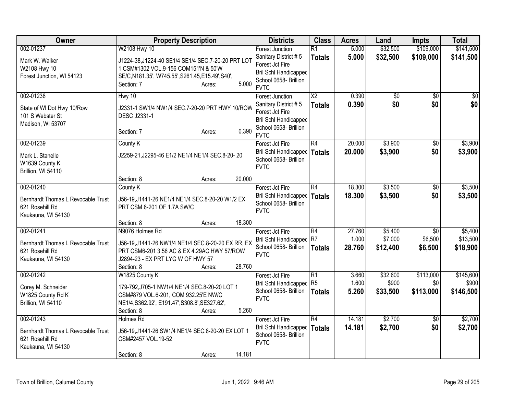| Owner                                                                                    | <b>Property Description</b>                                                                                                                                                                       | <b>Districts</b>                                                                                                                   | <b>Class</b>                            | <b>Acres</b>              | Land                           | Impts                         | <b>Total</b>                    |
|------------------------------------------------------------------------------------------|---------------------------------------------------------------------------------------------------------------------------------------------------------------------------------------------------|------------------------------------------------------------------------------------------------------------------------------------|-----------------------------------------|---------------------------|--------------------------------|-------------------------------|---------------------------------|
| 002-01237<br>Mark W. Walker<br>W2108 Hwy 10<br>Forest Junction, WI 54123                 | W2108 Hwy 10<br>J1224-38, J1224-40 SE1/4 SE1/4 SEC. 7-20-20 PRT LOT<br>1 CSM#1302 VOL.9-156 COM151'N & 50'W<br>SE/C, N181.35', W745.55', S261.45, E15.49', S40',<br>5.000<br>Section: 7<br>Acres: | <b>Forest Junction</b><br>Sanitary District #5<br>Forest Jct Fire<br>Bril Schl Handicapped<br>School 0658- Brillion<br><b>FVTC</b> | R1<br><b>Totals</b>                     | 5.000<br>5.000            | \$32,500<br>\$32,500           | \$109,000<br>\$109,000        | \$141,500<br>\$141,500          |
| 002-01238<br>State of WI Dot Hwy 10/Row<br>101 S Webster St<br>Madison, WI 53707         | Hwy 10<br>J2331-1 SW1/4 NW1/4 SEC.7-20-20 PRT HWY 10/ROW<br><b>DESC J2331-1</b><br>0.390<br>Section: 7<br>Acres:                                                                                  | Forest Junction<br>Sanitary District #5<br>Forest Jct Fire<br><b>Bril Schl Handicapped</b><br>School 0658- Brillion<br><b>FVTC</b> | $\overline{\text{X2}}$<br><b>Totals</b> | 0.390<br>0.390            | $\overline{50}$<br>\$0         | $\overline{50}$<br>\$0        | $\overline{50}$<br>\$0          |
| 002-01239<br>Mark L. Stanelle<br>W1639 County K<br>Brillion, WI 54110                    | County K<br>J2259-21, J2295-46 E1/2 NE1/4 NE1/4 SEC.8-20-20                                                                                                                                       | Forest Jct Fire<br>Bril Schl Handicapped   Totals<br>School 0658- Brillion<br><b>FVTC</b>                                          | R4                                      | 20.000<br>20,000          | \$3,900<br>\$3,900             | \$0<br>\$0                    | \$3,900<br>\$3,900              |
|                                                                                          | 20.000<br>Section: 8<br>Acres:                                                                                                                                                                    |                                                                                                                                    |                                         |                           |                                |                               |                                 |
| 002-01240<br>Bernhardt Thomas L Revocable Trust<br>621 Rosehill Rd<br>Kaukauna, WI 54130 | County K<br>J56-19, J1441-26 NE1/4 NE1/4 SEC.8-20-20 W1/2 EX<br>PRT CSM 6-201 OF 1.7A SW/C                                                                                                        | Forest Jct Fire<br>Bril Schl Handicapped   Totals<br>School 0658- Brillion<br><b>FVTC</b>                                          | R4                                      | 18.300<br>18.300          | \$3,500<br>\$3,500             | \$0<br>\$0                    | \$3,500<br>\$3,500              |
|                                                                                          | 18.300<br>Section: 8<br>Acres:                                                                                                                                                                    |                                                                                                                                    |                                         |                           |                                |                               |                                 |
| 002-01241<br>Bernhardt Thomas L Revocable Trust<br>621 Rosehill Rd<br>Kaukauna, WI 54130 | N9076 Holmes Rd<br>J56-19, J1441-26 NW1/4 NE1/4 SEC.8-20-20 EX RR, EX<br>PRT CSM6-201 3.56 AC & EX 4.29AC HWY 57/ROW<br>J2894-23 - EX PRT LYG W OF HWY 57<br>28.760<br>Section: 8<br>Acres:       | Forest Jct Fire<br>Bril Schl Handicapped R7<br>School 0658- Brillion<br><b>FVTC</b>                                                | R4<br>Totals                            | 27.760<br>1.000<br>28.760 | \$5,400<br>\$7,000<br>\$12,400 | \$0<br>\$6,500<br>\$6,500     | \$5,400<br>\$13,500<br>\$18,900 |
| 002-01242<br>Corey M. Schneider<br>W1825 County Rd K<br>Brillion, WI 54110               | W1825 County K<br>179-792, J705-1 NW1/4 NE1/4 SEC.8-20-20 LOT 1<br>CSM#879 VOL.6-201, COM 932.25'E NW/C<br>NE1/4, S362.92', E191.47', S308.8', SE327.62',<br>5.260<br>Section: 8<br>Acres:        | Forest Jct Fire<br>Bril Schl Handicapped<br>School 0658- Brillion<br><b>FVTC</b>                                                   | R1<br>R <sub>5</sub><br>Totals          | 3.660<br>1.600<br>5.260   | \$32,600<br>\$900<br>\$33,500  | \$113,000<br>\$0<br>\$113,000 | \$145,600<br>\$900<br>\$146,500 |
| 002-01243<br>Bernhardt Thomas L Revocable Trust<br>621 Rosehill Rd<br>Kaukauna, WI 54130 | Holmes Rd<br>J56-19, J1441-26 SW1/4 NE1/4 SEC.8-20-20 EX LOT 1<br>CSM#2457 VOL.19-52<br>14.181<br>Section: 8<br>Acres:                                                                            | Forest Jct Fire<br>Bril Schl Handicapped<br>School 0658- Brillion<br><b>FVTC</b>                                                   | R4<br>Totals                            | 14.181<br>14.181          | \$2,700<br>\$2,700             | $\overline{30}$<br>\$0        | \$2,700<br>\$2,700              |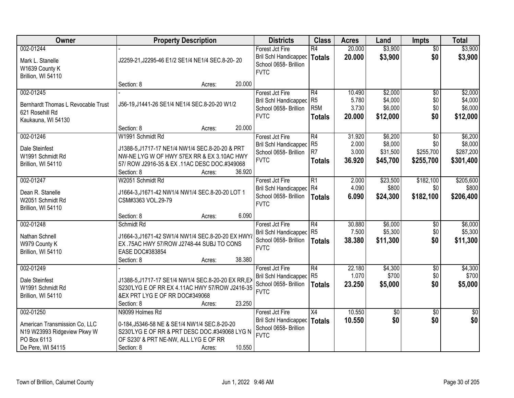| Owner                                                                                                         | <b>Property Description</b>                                                                                                                                                                                                           | <b>Districts</b>                                                                        | <b>Class</b>                                              | <b>Acres</b>                       | Land                                       | <b>Impts</b>                         | <b>Total</b>                                 |
|---------------------------------------------------------------------------------------------------------------|---------------------------------------------------------------------------------------------------------------------------------------------------------------------------------------------------------------------------------------|-----------------------------------------------------------------------------------------|-----------------------------------------------------------|------------------------------------|--------------------------------------------|--------------------------------------|----------------------------------------------|
| 002-01244<br>Mark L. Stanelle<br>W1639 County K                                                               | J2259-21, J2295-46 E1/2 SE1/4 NE1/4 SEC.8-20-20                                                                                                                                                                                       | Forest Jct Fire<br>Bril Schl Handicapped<br>School 0658- Brillion<br><b>FVTC</b>        | $\overline{R4}$<br><b>Totals</b>                          | 20.000<br>20.000                   | \$3,900<br>\$3,900                         | $\overline{50}$<br>\$0               | \$3,900<br>\$3,900                           |
| Brillion, WI 54110                                                                                            | 20.000<br>Section: 8<br>Acres:                                                                                                                                                                                                        |                                                                                         |                                                           |                                    |                                            |                                      |                                              |
| 002-01245<br>Bernhardt Thomas L Revocable Trust<br>621 Rosehill Rd<br>Kaukauna, WI 54130                      | J56-19, J1441-26 SE1/4 NE1/4 SEC.8-20-20 W1/2                                                                                                                                                                                         | Forest Jct Fire<br>Bril Schl Handicapped<br>School 0658- Brillion<br><b>FVTC</b>        | R4<br>R <sub>5</sub><br>R <sub>5</sub> M<br><b>Totals</b> | 10.490<br>5.780<br>3.730<br>20.000 | \$2,000<br>\$4,000<br>\$6,000<br>\$12,000  | $\overline{50}$<br>\$0<br>\$0<br>\$0 | \$2,000<br>\$4,000<br>\$6,000<br>\$12,000    |
| 002-01246<br>Dale Steinfest<br>W1991 Schmidt Rd<br>Brillion, WI 54110                                         | 20.000<br>Section: 8<br>Acres:<br>W1991 Schmidt Rd<br>J1388-5, J1717-17 NE1/4 NW1/4 SEC.8-20-20 & PRT<br>NW-NE LYG W OF HWY 57EX RR & EX 3.10AC HWY<br>57/ ROW J2916-35 & EX .11AC DESC DOC.#349068<br>Section: 8<br>36.920<br>Acres: | Forest Jct Fire<br>Bril Schl Handicapped<br>School 0658- Brillion<br><b>FVTC</b>        | R4<br>R <sub>5</sub><br>R7<br><b>Totals</b>               | 31.920<br>2.000<br>3.000<br>36.920 | \$6,200<br>\$8,000<br>\$31,500<br>\$45,700 | \$0<br>\$0<br>\$255,700<br>\$255,700 | \$6,200<br>\$8,000<br>\$287,200<br>\$301,400 |
| 002-01247<br>Dean R. Stanelle<br>W2051 Schmidt Rd<br>Brillion, WI 54110                                       | W2051 Schmidt Rd<br>J1664-3,J1671-42 NW1/4 NW1/4 SEC.8-20-20 LOT 1<br>CSM#3363 VOL.29-79<br>6.090<br>Section: 8<br>Acres:                                                                                                             | Forest Jct Fire<br>Bril Schl Handicapped<br>School 0658- Brillion<br><b>FVTC</b>        | R1<br>R4<br><b>Totals</b>                                 | 2.000<br>4.090<br>6.090            | \$23,500<br>\$800<br>\$24,300              | \$182,100<br>\$0<br>\$182,100        | \$205,600<br>\$800<br>\$206,400              |
| 002-01248<br>Nathan Schnell<br>W979 County K<br>Brillion, WI 54110                                            | Schmidt Rd<br>J1664-3,J1671-42 SW1/4 NW1/4 SEC.8-20-20 EX HWY&<br>EX .75AC HWY 57/ROW J2748-44 SUBJ TO CONS<br>EASE DOC#383854<br>38.380<br>Section: 8<br>Acres:                                                                      | Forest Jct Fire<br><b>Bril Schl Handicapped</b><br>School 0658- Brillion<br><b>FVTC</b> | $\overline{R4}$<br>R <sub>5</sub><br><b>Totals</b>        | 30.880<br>7.500<br>38.380          | \$6,000<br>\$5,300<br>\$11,300             | \$0<br>\$0<br>\$0                    | \$6,000<br>\$5,300<br>\$11,300               |
| 002-01249<br>Dale Steinfest<br>W1991 Schmidt Rd<br>Brillion, WI 54110                                         | J1388-5, J1717-17 SE1/4 NW1/4 SEC.8-20-20 EX RR, EX<br>S230'LYG E OF RR EX 4.11AC HWY 57/ROW J2416-35<br>&EX PRT LYG E OF RR DOC#349068<br>23.250<br>Section: 8<br>Acres:                                                             | Forest Jct Fire<br>Bril Schl Handicapped R5<br>School 0658- Brillion<br><b>FVTC</b>     | R4<br><b>Totals</b>                                       | 22.180<br>1.070<br>23.250          | \$4,300<br>\$700<br>\$5,000                | $\sqrt{$0}$<br>\$0<br>\$0            | \$4,300<br>\$700<br>\$5,000                  |
| 002-01250<br>American Transmission Co, LLC<br>N19 W23993 Ridgeview Pkwy W<br>PO Box 6113<br>De Pere, WI 54115 | N9099 Holmes Rd<br>0-184, J5346-58 NE & SE1/4 NW1/4 SEC.8-20-20<br>S230'LYG E OF RR & PRT DESC DOC.#349068 LYG N<br>OF S230' & PRT NE-NW, ALL LYG E OF RR<br>10.550<br>Section: 8<br>Acres:                                           | Forest Jct Fire<br>Bril Schl Handicapped<br>School 0658- Brillion<br><b>FVTC</b>        | X4<br><b>Totals</b>                                       | 10.550<br>10.550                   | $\overline{50}$<br>\$0                     | $\overline{50}$<br>\$0               | \$0<br>\$0                                   |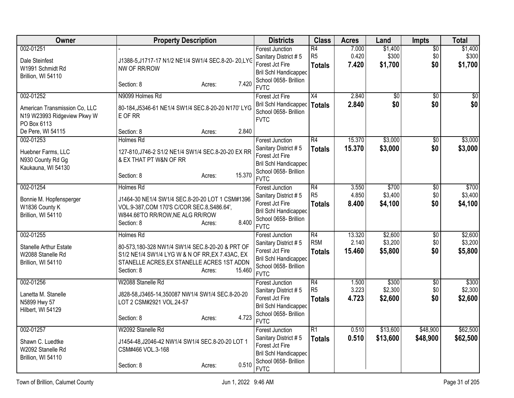| <b>Owner</b>                                                                                    | <b>Property Description</b>                                                                                                                                                                            | <b>Districts</b>                                                                                                                          | <b>Class</b>                                         | <b>Acres</b>              | Land                          | Impts                         | <b>Total</b>                  |
|-------------------------------------------------------------------------------------------------|--------------------------------------------------------------------------------------------------------------------------------------------------------------------------------------------------------|-------------------------------------------------------------------------------------------------------------------------------------------|------------------------------------------------------|---------------------------|-------------------------------|-------------------------------|-------------------------------|
| 002-01251<br>Dale Steinfest<br>W1991 Schmidt Rd<br>Brillion, WI 54110                           | J1388-5, J1717-17 N1/2 NE1/4 SW1/4 SEC.8-20-20, LYG<br>NW OF RR/ROW<br>7.420<br>Section: 8<br>Acres:                                                                                                   | <b>Forest Junction</b><br>Sanitary District #5<br>Forest Jct Fire<br><b>Bril Schl Handicapped</b><br>School 0658- Brillion<br><b>FVTC</b> | $\overline{R4}$<br>R <sub>5</sub><br><b>Totals</b>   | 7.000<br>0.420<br>7.420   | \$1,400<br>\$300<br>\$1,700   | $\overline{50}$<br>\$0<br>\$0 | \$1,400<br>\$300<br>\$1,700   |
| 002-01252<br>American Transmission Co, LLC<br>N19 W23993 Ridgeview Pkwy W<br>PO Box 6113        | N9099 Holmes Rd<br>80-184, J5346-61 NE1/4 SW1/4 SEC.8-20-20 N170' LYG<br>E OF RR                                                                                                                       | Forest Jct Fire<br><b>Bril Schl Handicapped</b><br>School 0658- Brillion<br><b>FVTC</b>                                                   | $\overline{X4}$<br><b>Totals</b>                     | 2.840<br>2.840            | $\overline{50}$<br>\$0        | $\overline{50}$<br>\$0        | $\overline{50}$<br>\$0        |
| De Pere, WI 54115<br>002-01253<br>Huebner Farms, LLC<br>N930 County Rd Gg<br>Kaukauna, WI 54130 | 2.840<br>Section: 8<br>Acres:<br><b>Holmes Rd</b><br>127-810, J746-2 S1/2 NE1/4 SW1/4 SEC.8-20-20 EX RR<br>& EX THAT PT W&N OF RR<br>15.370<br>Section: 8<br>Acres:                                    | <b>Forest Junction</b><br>Sanitary District #5<br>Forest Jct Fire<br><b>Bril Schl Handicapped</b><br>School 0658- Brillion<br><b>FVTC</b> | $\overline{R4}$<br><b>Totals</b>                     | 15.370<br>15.370          | \$3,000<br>\$3,000            | $\overline{50}$<br>\$0        | \$3,000<br>\$3,000            |
| 002-01254<br>Bonnie M. Hopfensperger<br>W1836 County K<br>Brillion, WI 54110                    | <b>Holmes Rd</b><br>J1464-30 NE1/4 SW1/4 SEC.8-20-20 LOT 1 CSM#1396<br>VOL.9-387, COM 170'S C/COR SEC.8, S486.64',<br>W844.66'TO RR/ROW, NE ALG RR/ROW<br>8.400<br>Section: 8<br>Acres:                | <b>Forest Junction</b><br>Sanitary District #5<br>Forest Jct Fire<br><b>Bril Schl Handicapped</b><br>School 0658- Brillion<br><b>FVTC</b> | $\overline{R4}$<br>R <sub>5</sub><br><b>Totals</b>   | 3.550<br>4.850<br>8.400   | \$700<br>\$3,400<br>\$4,100   | $\overline{50}$<br>\$0<br>\$0 | \$700<br>\$3,400<br>\$4,100   |
| 002-01255<br><b>Stanelle Arthur Estate</b><br>W2088 Stanelle Rd<br>Brillion, WI 54110           | <b>Holmes Rd</b><br>80-573,180-328 NW1/4 SW1/4 SEC.8-20-20 & PRT OF<br>S1/2 NE1/4 SW1/4 LYG W & N OF RR, EX 7.43AC, EX<br>STANELLE ACRES, EX STANELLE ACRES 1ST ADDN<br>Section: 8<br>15.460<br>Acres: | <b>Forest Junction</b><br>Sanitary District #5<br>Forest Jct Fire<br><b>Bril Schl Handicapped</b><br>School 0658- Brillion<br><b>FVTC</b> | $\overline{R4}$<br>R <sub>5</sub> M<br><b>Totals</b> | 13.320<br>2.140<br>15.460 | \$2,600<br>\$3,200<br>\$5,800 | \$0<br>\$0<br>\$0             | \$2,600<br>\$3,200<br>\$5,800 |
| 002-01256<br>Lanetta M. Stanelle<br>N5899 Hwy 57<br>Hilbert, WI 54129                           | W2088 Stanelle Rd<br>J828-58, J3465-14, 350087 NW1/4 SW1/4 SEC.8-20-20<br>LOT 2 CSM#2921 VOL.24-57<br>4.723<br>Section: 8<br>Acres:                                                                    | <b>Forest Junction</b><br>Sanitary District #5<br>Forest Jct Fire<br><b>Bril Schl Handicapped</b><br>School 0658- Brillion<br><b>FVTC</b> | $\overline{R4}$<br>R <sub>5</sub><br><b>Totals</b>   | 1.500<br>3.223<br>4.723   | \$300<br>\$2,300<br>\$2,600   | $\overline{50}$<br>\$0<br>\$0 | \$300<br>\$2,300<br>\$2,600   |
| 002-01257<br>Shawn C. Luedtke<br>W2092 Stanelle Rd<br>Brillion, WI 54110                        | W2092 Stanelle Rd<br>J1454-48, J2046-42 NW1/4 SW1/4 SEC.8-20-20 LOT 1<br>CSM#466 VOL.3-168<br>0.510<br>Section: 8<br>Acres:                                                                            | <b>Forest Junction</b><br>Sanitary District #5<br>Forest Jct Fire<br><b>Bril Schl Handicapped</b><br>School 0658- Brillion<br><b>FVTC</b> | $\overline{R1}$<br><b>Totals</b>                     | 0.510<br>0.510            | \$13,600<br>\$13,600          | \$48,900<br>\$48,900          | \$62,500<br>\$62,500          |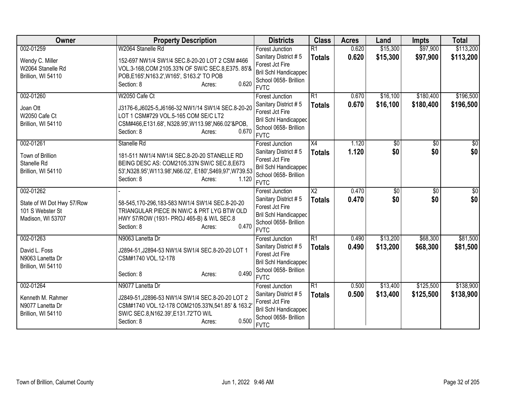| Owner                                | <b>Property Description</b>                                                                          | <b>Districts</b>                                      | <b>Class</b>                     | <b>Acres</b>   | Land                 | <b>Impts</b>         | <b>Total</b>           |
|--------------------------------------|------------------------------------------------------------------------------------------------------|-------------------------------------------------------|----------------------------------|----------------|----------------------|----------------------|------------------------|
| 002-01259                            | W2064 Stanelle Rd                                                                                    | <b>Forest Junction</b><br>Sanitary District #5        | $\overline{R1}$<br><b>Totals</b> | 0.620<br>0.620 | \$15,300<br>\$15,300 | \$97,900<br>\$97,900 | \$113,200<br>\$113,200 |
| Wendy C. Miller<br>W2064 Stanelle Rd | 152-697 NW1/4 SW1/4 SEC.8-20-20 LOT 2 CSM #466<br>VOL.3-168, COM 2105.33'N OF SW/C SEC.8, E375. 85'& | Forest Jct Fire                                       |                                  |                |                      |                      |                        |
| Brillion, WI 54110                   | POB, E165', N163.2', W165', S163.2' TO POB                                                           | <b>Bril Schl Handicapped</b>                          |                                  |                |                      |                      |                        |
|                                      | 0.620<br>Section: 8<br>Acres:                                                                        | School 0658- Brillion<br><b>FVTC</b>                  |                                  |                |                      |                      |                        |
| 002-01260                            | W2050 Cafe Ct                                                                                        | <b>Forest Junction</b>                                | $\overline{R1}$                  | 0.670          | \$16,100             | \$180,400            | \$196,500              |
| Joan Ott                             | J3176-6,J6025-5,J6166-32 NW1/14 SW1/4 SEC.8-20-20                                                    | Sanitary District #5                                  | <b>Totals</b>                    | 0.670          | \$16,100             | \$180,400            | \$196,500              |
| W2050 Cafe Ct                        | LOT 1 CSM#729 VOL.5-165 COM SE/C LT2                                                                 | Forest Jct Fire                                       |                                  |                |                      |                      |                        |
| Brillion, WI 54110                   | CSM#466,E131.68', N328.95', W113.98', N66.02'&POB,                                                   | <b>Bril Schl Handicapped</b><br>School 0658- Brillion |                                  |                |                      |                      |                        |
|                                      | 0.670<br>Section: 8<br>Acres:                                                                        | <b>FVTC</b>                                           |                                  |                |                      |                      |                        |
| 002-01261                            | Stanelle Rd                                                                                          | Forest Junction                                       | X4                               | 1.120          | \$0                  | \$0                  | \$0                    |
| Town of Brillion                     | 181-511 NW1/4 NW1/4 SEC.8-20-20 STANELLE RD                                                          | Sanitary District #5                                  | <b>Totals</b>                    | 1.120          | \$0                  | \$0                  | \$0                    |
| Stanelle Rd                          | BEING DESC AS: COM2105.33'N SW/C SEC.8, E673                                                         | Forest Jct Fire                                       |                                  |                |                      |                      |                        |
| Brillion, WI 54110                   | 53', N328.95', W113.98', N66.02', E180', S469, 97', W739.53                                          | Bril Schl Handicapped<br>School 0658- Brillion        |                                  |                |                      |                      |                        |
|                                      | 1.120<br>Section: 8<br>Acres:                                                                        | <b>FVTC</b>                                           |                                  |                |                      |                      |                        |
| 002-01262                            |                                                                                                      | <b>Forest Junction</b>                                | $\overline{X2}$                  | 0.470          | $\overline{50}$      | $\overline{50}$      | $\sqrt{30}$            |
| State of WI Dot Hwy 57/Row           | 58-545,170-296,183-583 NW1/4 SW1/4 SEC.8-20-20                                                       | Sanitary District #5                                  | <b>Totals</b>                    | 0.470          | \$0                  | \$0                  | \$0                    |
| 101 S Webster St                     | TRIANGULAR PIECE IN NW/C & PRT LYG BTW OLD                                                           | Forest Jct Fire<br>Bril Schl Handicapped              |                                  |                |                      |                      |                        |
| Madison, WI 53707                    | HWY 57/ROW (1931- PROJ 465-B) & W/L SEC.8                                                            | School 0658- Brillion                                 |                                  |                |                      |                      |                        |
|                                      | 0.470<br>Section: 8<br>Acres:                                                                        | <b>FVTC</b>                                           |                                  |                |                      |                      |                        |
| 002-01263                            | N9063 Lanetta Dr                                                                                     | Forest Junction                                       | R1                               | 0.490          | \$13,200             | \$68,300             | \$81,500               |
| David L. Foss                        | J2894-51, J2894-53 NW1/4 SW1/4 SEC.8-20-20 LOT 1                                                     | Sanitary District #5                                  | <b>Totals</b>                    | 0.490          | \$13,200             | \$68,300             | \$81,500               |
| N9063 Lanetta Dr                     | CSM#1740 VOL.12-178                                                                                  | Forest Jct Fire<br><b>Bril Schl Handicapped</b>       |                                  |                |                      |                      |                        |
| Brillion, WI 54110                   |                                                                                                      | School 0658- Brillion                                 |                                  |                |                      |                      |                        |
|                                      | 0.490<br>Section: 8<br>Acres:                                                                        | <b>FVTC</b>                                           |                                  |                |                      |                      |                        |
| 002-01264                            | N9077 Lanetta Dr                                                                                     | Forest Junction                                       | R1                               | 0.500          | \$13,400             | \$125,500            | \$138,900              |
| Kenneth M. Rahmer                    | J2849-51, J2896-53 NW1/4 SW1/4 SEC.8-20-20 LOT 2                                                     | Sanitary District #5                                  | <b>Totals</b>                    | 0.500          | \$13,400             | \$125,500            | \$138,900              |
| N9077 Lanetta Dr                     | CSM#1740 VOL.12-178 COM2105.33'N,541.85' & 163.2                                                     | Forest Jct Fire                                       |                                  |                |                      |                      |                        |
| Brillion, WI 54110                   | SW/C SEC.8, N162.39', E131.72'TO W/L                                                                 | <b>Bril Schl Handicapped</b><br>School 0658- Brillion |                                  |                |                      |                      |                        |
|                                      | 0.500<br>Section: 8<br>Acres:                                                                        | <b>FVTC</b>                                           |                                  |                |                      |                      |                        |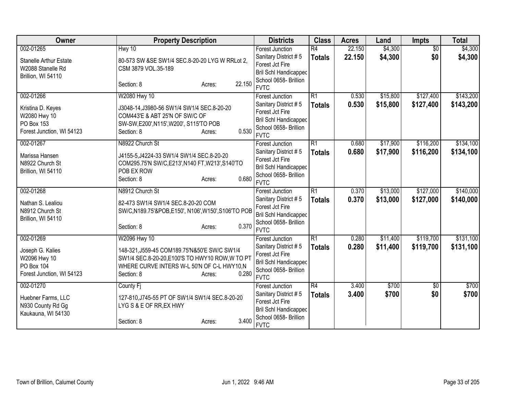| <b>Owner</b>                         | <b>Property Description</b>                      | <b>Districts</b>                                      | <b>Class</b>    | <b>Acres</b> | Land     | <b>Impts</b>    | <b>Total</b> |
|--------------------------------------|--------------------------------------------------|-------------------------------------------------------|-----------------|--------------|----------|-----------------|--------------|
| 002-01265                            | Hwy 10                                           | <b>Forest Junction</b>                                | R4              | 22.150       | \$4,300  | $\overline{30}$ | \$4,300      |
| <b>Stanelle Arthur Estate</b>        | 80-573 SW &SE SW1/4 SEC.8-20-20 LYG W RRLot 2,   | Sanitary District #5                                  | <b>Totals</b>   | 22.150       | \$4,300  | \$0             | \$4,300      |
| W2088 Stanelle Rd                    | CSM 3879 VOL.35-189                              | Forest Jct Fire                                       |                 |              |          |                 |              |
| Brillion, WI 54110                   |                                                  | <b>Bril Schl Handicapped</b><br>School 0658- Brillion |                 |              |          |                 |              |
|                                      | 22.150<br>Section: 8<br>Acres:                   | <b>FVTC</b>                                           |                 |              |          |                 |              |
| 002-01266                            | W2080 Hwy 10                                     | <b>Forest Junction</b>                                | $\overline{R1}$ | 0.530        | \$15,800 | \$127,400       | \$143,200    |
| Kristina D. Keyes                    | J3048-14, J3980-56 SW1/4 SW1/4 SEC.8-20-20       | Sanitary District #5                                  | <b>Totals</b>   | 0.530        | \$15,800 | \$127,400       | \$143,200    |
| W2080 Hwy 10                         | COM443'E & ABT 25'N OF SW/C OF                   | Forest Jct Fire                                       |                 |              |          |                 |              |
| PO Box 153                           | SW-SW, E200', N115', W200', S115'TO POB          | <b>Bril Schl Handicapped</b>                          |                 |              |          |                 |              |
| Forest Junction, WI 54123            | 0.530<br>Section: 8<br>Acres:                    | School 0658- Brillion                                 |                 |              |          |                 |              |
|                                      |                                                  | <b>FVTC</b>                                           |                 |              |          |                 |              |
| 002-01267                            | N8922 Church St                                  | <b>Forest Junction</b>                                | $\overline{R1}$ | 0.680        | \$17,900 | \$116,200       | \$134,100    |
| Marissa Hansen                       | J4155-5, J4224-33 SW1/4 SW1/4 SEC.8-20-20        | Sanitary District #5                                  | <b>Totals</b>   | 0.680        | \$17,900 | \$116,200       | \$134,100    |
| N8922 Church St                      | COM295.75'N SW/C, E213', N140 FT, W213', S140'TO | Forest Jct Fire                                       |                 |              |          |                 |              |
| Brillion, WI 54110                   | POB EX ROW                                       | <b>Bril Schl Handicapped</b><br>School 0658- Brillion |                 |              |          |                 |              |
|                                      | 0.680<br>Section: 8<br>Acres:                    | <b>FVTC</b>                                           |                 |              |          |                 |              |
| 002-01268                            | N8912 Church St                                  | <b>Forest Junction</b>                                | $\overline{R1}$ | 0.370        | \$13,000 | \$127,000       | \$140,000    |
|                                      |                                                  | Sanitary District #5                                  | <b>Totals</b>   | 0.370        | \$13,000 | \$127,000       | \$140,000    |
| Nathan S. Lealiou<br>N8912 Church St | 82-473 SW1/4 SW1/4 SEC.8-20-20 COM               | Forest Jct Fire                                       |                 |              |          |                 |              |
| Brillion, WI 54110                   | SW/C,N189.75'&POB,E150', N106',W150',S106'TO POB | <b>Bril Schl Handicapped</b>                          |                 |              |          |                 |              |
|                                      | 0.370<br>Section: 8<br>Acres:                    | School 0658- Brillion                                 |                 |              |          |                 |              |
|                                      |                                                  | <b>FVTC</b>                                           |                 |              |          |                 |              |
| 002-01269                            | W2096 Hwy 10                                     | <b>Forest Junction</b>                                | $\overline{R1}$ | 0.280        | \$11,400 | \$119,700       | \$131,100    |
| Joseph G. Kalies                     | 148-321, J559-45 COM189.75'N&50'E SW/C SW1/4     | Sanitary District #5                                  | <b>Totals</b>   | 0.280        | \$11,400 | \$119,700       | \$131,100    |
| W2096 Hwy 10                         | SW1/4 SEC.8-20-20, E100'S TO HWY10 ROW, W TO PT  | Forest Jct Fire                                       |                 |              |          |                 |              |
| PO Box 104                           | WHERE CURVE INTERS W-L 50'N OF C-L HWY10,N       | <b>Bril Schl Handicapped</b>                          |                 |              |          |                 |              |
| Forest Junction, WI 54123            | 0.280<br>Section: 8<br>Acres:                    | School 0658- Brillion                                 |                 |              |          |                 |              |
|                                      |                                                  | <b>FVTC</b>                                           |                 |              |          |                 |              |
| 002-01270                            | County Fi                                        | Forest Junction                                       | R4              | 3.400        | \$700    | \$0             | \$700        |
| Huebner Farms, LLC                   | 127-810, J745-55 PT OF SW1/4 SW1/4 SEC.8-20-20   | Sanitary District #5                                  | <b>Totals</b>   | 3.400        | \$700    | \$0             | \$700        |
| N930 County Rd Gg                    | LYG S & E OF RR, EX HWY                          | Forest Jct Fire<br>Bril Schl Handicapped              |                 |              |          |                 |              |
| Kaukauna, WI 54130                   |                                                  | School 0658- Brillion                                 |                 |              |          |                 |              |
|                                      | 3.400<br>Section: 8<br>Acres:                    | <b>FVTC</b>                                           |                 |              |          |                 |              |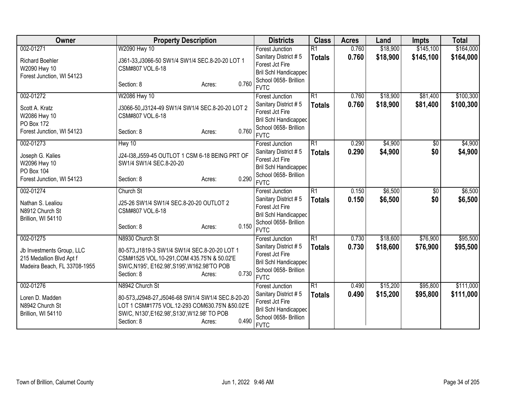| 002-01271<br>W2090 Hwy 10<br>0.760<br>\$18,900<br>\$145,100<br>\$164,000<br>$\overline{R1}$<br><b>Forest Junction</b><br>0.760<br>\$18,900<br>\$145,100<br>Sanitary District #5<br><b>Totals</b><br><b>Richard Boehler</b><br>J361-33, J3066-50 SW1/4 SW1/4 SEC.8-20-20 LOT 1<br>Forest Jct Fire<br>W2090 Hwy 10<br>CSM#807 VOL.6-18<br><b>Bril Schl Handicapped</b><br>Forest Junction, WI 54123<br>School 0658- Brillion<br>0.760<br>Section: 8<br>Acres:<br><b>FVTC</b><br>$\overline{R1}$<br>\$18,900<br>\$81,400<br>002-01272<br>W2086 Hwy 10<br>0.760<br><b>Forest Junction</b><br>0.760<br>\$18,900<br>\$81,400<br>Sanitary District #5<br><b>Totals</b><br>J3066-50, J3124-49 SW1/4 SW1/4 SEC.8-20-20 LOT 2<br>Scott A. Kratz<br>Forest Jct Fire<br>W2086 Hwy 10<br>CSM#807 VOL.6-18<br><b>Bril Schl Handicapped</b><br>PO Box 172<br>School 0658- Brillion<br>0.760<br>Forest Junction, WI 54123<br>Section: 8<br>Acres:<br><b>FVTC</b><br>002-01273<br>Hwy 10<br>$\overline{R1}$<br>\$4,900<br>0.290<br>\$0<br><b>Forest Junction</b><br>0.290<br>\$4,900<br>\$0<br>Sanitary District #5<br><b>Totals</b><br>J24-138, J559-45 OUTLOT 1 CSM 6-18 BEING PRT OF<br>Joseph G. Kalies<br>Forest Jct Fire<br>W2096 Hwy 10<br>SW1/4 SW1/4 SEC.8-20-20<br><b>Bril Schl Handicapped</b><br>PO Box 104<br>School 0658- Brillion<br>0.290<br>Forest Junction, WI 54123<br>Section: 8<br>Acres:<br><b>FVTC</b><br>\$6,500<br>$\overline{R1}$<br>002-01274<br>Church St<br>0.150<br>$\overline{50}$<br><b>Forest Junction</b><br>0.150<br>\$6,500<br>\$0<br>Sanitary District #5<br><b>Totals</b><br>J25-26 SW1/4 SW1/4 SEC.8-20-20 OUTLOT 2<br>Nathan S. Lealiou<br>Forest Jct Fire<br>N8912 Church St<br>CSM#807 VOL.6-18<br><b>Bril Schl Handicapped</b><br>Brillion, WI 54110<br>School 0658- Brillion<br>0.150<br>Section: 8<br>Acres:<br><b>FVTC</b><br>002-01275<br>N8930 Church St<br>$\overline{R1}$<br>\$18,600<br>\$76,900<br>0.730<br><b>Forest Junction</b><br>0.730<br>\$18,600<br>\$76,900<br>Sanitary District #5<br><b>Totals</b><br>Jb Investments Group, LLC<br>80-573, J1819-3 SW1/4 SW1/4 SEC.8-20-20 LOT 1<br>Forest Jct Fire<br>CSM#1525 VOL.10-291,COM 435.75'N & 50.02'E<br>215 Medallion Blvd Apt f<br>Bril Schl Handicapped<br>Madeira Beach, FL 33708-1955<br>SW/C, N195', E162.98', S195', W162.98'TO POB<br>School 0658- Brillion<br>0.730<br>Section: 8<br>Acres:<br><b>FVTC</b><br>002-01276<br>N8942 Church St<br>$\overline{R1}$<br>\$15,200<br>\$95,800<br>0.490<br>Forest Junction<br>Sanitary District #5<br>0.490<br>\$15,200<br>\$95,800<br><b>Totals</b><br>80-573, J2948-27, J5046-68 SW1/4 SW1/4 SEC.8-20-20<br>Loren D. Madden<br>Forest Jct Fire<br>LOT 1 CSM#1775 VOL.12-293 COM630.75'N &50.02'E<br>N8942 Church St<br><b>Bril Schl Handicapped</b><br>SW/C, N130', E162.98', S130', W12.98' TO POB<br>Brillion, WI 54110<br>School 0658- Brillion<br>0.490<br>Section: 8<br>Acres:<br><b>FVTC</b> | Owner | <b>Property Description</b> | <b>Districts</b> | <b>Class</b> | <b>Acres</b> | Land | <b>Impts</b> | <b>Total</b> |
|-----------------------------------------------------------------------------------------------------------------------------------------------------------------------------------------------------------------------------------------------------------------------------------------------------------------------------------------------------------------------------------------------------------------------------------------------------------------------------------------------------------------------------------------------------------------------------------------------------------------------------------------------------------------------------------------------------------------------------------------------------------------------------------------------------------------------------------------------------------------------------------------------------------------------------------------------------------------------------------------------------------------------------------------------------------------------------------------------------------------------------------------------------------------------------------------------------------------------------------------------------------------------------------------------------------------------------------------------------------------------------------------------------------------------------------------------------------------------------------------------------------------------------------------------------------------------------------------------------------------------------------------------------------------------------------------------------------------------------------------------------------------------------------------------------------------------------------------------------------------------------------------------------------------------------------------------------------------------------------------------------------------------------------------------------------------------------------------------------------------------------------------------------------------------------------------------------------------------------------------------------------------------------------------------------------------------------------------------------------------------------------------------------------------------------------------------------------------------------------------------------------------------------------------------------------------------------------------------------------------------------------------------------------------------------------------------------------------------------------------------------------------------------------------------------------------------------------------------------------------------------------------------------------------------------------------------|-------|-----------------------------|------------------|--------------|--------------|------|--------------|--------------|
|                                                                                                                                                                                                                                                                                                                                                                                                                                                                                                                                                                                                                                                                                                                                                                                                                                                                                                                                                                                                                                                                                                                                                                                                                                                                                                                                                                                                                                                                                                                                                                                                                                                                                                                                                                                                                                                                                                                                                                                                                                                                                                                                                                                                                                                                                                                                                                                                                                                                                                                                                                                                                                                                                                                                                                                                                                                                                                                                               |       |                             |                  |              |              |      |              |              |
|                                                                                                                                                                                                                                                                                                                                                                                                                                                                                                                                                                                                                                                                                                                                                                                                                                                                                                                                                                                                                                                                                                                                                                                                                                                                                                                                                                                                                                                                                                                                                                                                                                                                                                                                                                                                                                                                                                                                                                                                                                                                                                                                                                                                                                                                                                                                                                                                                                                                                                                                                                                                                                                                                                                                                                                                                                                                                                                                               |       |                             |                  |              |              |      |              | \$164,000    |
|                                                                                                                                                                                                                                                                                                                                                                                                                                                                                                                                                                                                                                                                                                                                                                                                                                                                                                                                                                                                                                                                                                                                                                                                                                                                                                                                                                                                                                                                                                                                                                                                                                                                                                                                                                                                                                                                                                                                                                                                                                                                                                                                                                                                                                                                                                                                                                                                                                                                                                                                                                                                                                                                                                                                                                                                                                                                                                                                               |       |                             |                  |              |              |      |              |              |
| \$100,300<br>\$100,300<br>\$4,900<br>\$4,900<br>\$6,500<br>\$6,500<br>\$95,500                                                                                                                                                                                                                                                                                                                                                                                                                                                                                                                                                                                                                                                                                                                                                                                                                                                                                                                                                                                                                                                                                                                                                                                                                                                                                                                                                                                                                                                                                                                                                                                                                                                                                                                                                                                                                                                                                                                                                                                                                                                                                                                                                                                                                                                                                                                                                                                                                                                                                                                                                                                                                                                                                                                                                                                                                                                                |       |                             |                  |              |              |      |              |              |
|                                                                                                                                                                                                                                                                                                                                                                                                                                                                                                                                                                                                                                                                                                                                                                                                                                                                                                                                                                                                                                                                                                                                                                                                                                                                                                                                                                                                                                                                                                                                                                                                                                                                                                                                                                                                                                                                                                                                                                                                                                                                                                                                                                                                                                                                                                                                                                                                                                                                                                                                                                                                                                                                                                                                                                                                                                                                                                                                               |       |                             |                  |              |              |      |              |              |
|                                                                                                                                                                                                                                                                                                                                                                                                                                                                                                                                                                                                                                                                                                                                                                                                                                                                                                                                                                                                                                                                                                                                                                                                                                                                                                                                                                                                                                                                                                                                                                                                                                                                                                                                                                                                                                                                                                                                                                                                                                                                                                                                                                                                                                                                                                                                                                                                                                                                                                                                                                                                                                                                                                                                                                                                                                                                                                                                               |       |                             |                  |              |              |      |              |              |
|                                                                                                                                                                                                                                                                                                                                                                                                                                                                                                                                                                                                                                                                                                                                                                                                                                                                                                                                                                                                                                                                                                                                                                                                                                                                                                                                                                                                                                                                                                                                                                                                                                                                                                                                                                                                                                                                                                                                                                                                                                                                                                                                                                                                                                                                                                                                                                                                                                                                                                                                                                                                                                                                                                                                                                                                                                                                                                                                               |       |                             |                  |              |              |      |              |              |
|                                                                                                                                                                                                                                                                                                                                                                                                                                                                                                                                                                                                                                                                                                                                                                                                                                                                                                                                                                                                                                                                                                                                                                                                                                                                                                                                                                                                                                                                                                                                                                                                                                                                                                                                                                                                                                                                                                                                                                                                                                                                                                                                                                                                                                                                                                                                                                                                                                                                                                                                                                                                                                                                                                                                                                                                                                                                                                                                               |       |                             |                  |              |              |      |              |              |
|                                                                                                                                                                                                                                                                                                                                                                                                                                                                                                                                                                                                                                                                                                                                                                                                                                                                                                                                                                                                                                                                                                                                                                                                                                                                                                                                                                                                                                                                                                                                                                                                                                                                                                                                                                                                                                                                                                                                                                                                                                                                                                                                                                                                                                                                                                                                                                                                                                                                                                                                                                                                                                                                                                                                                                                                                                                                                                                                               |       |                             |                  |              |              |      |              |              |
|                                                                                                                                                                                                                                                                                                                                                                                                                                                                                                                                                                                                                                                                                                                                                                                                                                                                                                                                                                                                                                                                                                                                                                                                                                                                                                                                                                                                                                                                                                                                                                                                                                                                                                                                                                                                                                                                                                                                                                                                                                                                                                                                                                                                                                                                                                                                                                                                                                                                                                                                                                                                                                                                                                                                                                                                                                                                                                                                               |       |                             |                  |              |              |      |              |              |
|                                                                                                                                                                                                                                                                                                                                                                                                                                                                                                                                                                                                                                                                                                                                                                                                                                                                                                                                                                                                                                                                                                                                                                                                                                                                                                                                                                                                                                                                                                                                                                                                                                                                                                                                                                                                                                                                                                                                                                                                                                                                                                                                                                                                                                                                                                                                                                                                                                                                                                                                                                                                                                                                                                                                                                                                                                                                                                                                               |       |                             |                  |              |              |      |              |              |
|                                                                                                                                                                                                                                                                                                                                                                                                                                                                                                                                                                                                                                                                                                                                                                                                                                                                                                                                                                                                                                                                                                                                                                                                                                                                                                                                                                                                                                                                                                                                                                                                                                                                                                                                                                                                                                                                                                                                                                                                                                                                                                                                                                                                                                                                                                                                                                                                                                                                                                                                                                                                                                                                                                                                                                                                                                                                                                                                               |       |                             |                  |              |              |      |              |              |
|                                                                                                                                                                                                                                                                                                                                                                                                                                                                                                                                                                                                                                                                                                                                                                                                                                                                                                                                                                                                                                                                                                                                                                                                                                                                                                                                                                                                                                                                                                                                                                                                                                                                                                                                                                                                                                                                                                                                                                                                                                                                                                                                                                                                                                                                                                                                                                                                                                                                                                                                                                                                                                                                                                                                                                                                                                                                                                                                               |       |                             |                  |              |              |      |              |              |
|                                                                                                                                                                                                                                                                                                                                                                                                                                                                                                                                                                                                                                                                                                                                                                                                                                                                                                                                                                                                                                                                                                                                                                                                                                                                                                                                                                                                                                                                                                                                                                                                                                                                                                                                                                                                                                                                                                                                                                                                                                                                                                                                                                                                                                                                                                                                                                                                                                                                                                                                                                                                                                                                                                                                                                                                                                                                                                                                               |       |                             |                  |              |              |      |              |              |
|                                                                                                                                                                                                                                                                                                                                                                                                                                                                                                                                                                                                                                                                                                                                                                                                                                                                                                                                                                                                                                                                                                                                                                                                                                                                                                                                                                                                                                                                                                                                                                                                                                                                                                                                                                                                                                                                                                                                                                                                                                                                                                                                                                                                                                                                                                                                                                                                                                                                                                                                                                                                                                                                                                                                                                                                                                                                                                                                               |       |                             |                  |              |              |      |              |              |
|                                                                                                                                                                                                                                                                                                                                                                                                                                                                                                                                                                                                                                                                                                                                                                                                                                                                                                                                                                                                                                                                                                                                                                                                                                                                                                                                                                                                                                                                                                                                                                                                                                                                                                                                                                                                                                                                                                                                                                                                                                                                                                                                                                                                                                                                                                                                                                                                                                                                                                                                                                                                                                                                                                                                                                                                                                                                                                                                               |       |                             |                  |              |              |      |              |              |
|                                                                                                                                                                                                                                                                                                                                                                                                                                                                                                                                                                                                                                                                                                                                                                                                                                                                                                                                                                                                                                                                                                                                                                                                                                                                                                                                                                                                                                                                                                                                                                                                                                                                                                                                                                                                                                                                                                                                                                                                                                                                                                                                                                                                                                                                                                                                                                                                                                                                                                                                                                                                                                                                                                                                                                                                                                                                                                                                               |       |                             |                  |              |              |      |              |              |
|                                                                                                                                                                                                                                                                                                                                                                                                                                                                                                                                                                                                                                                                                                                                                                                                                                                                                                                                                                                                                                                                                                                                                                                                                                                                                                                                                                                                                                                                                                                                                                                                                                                                                                                                                                                                                                                                                                                                                                                                                                                                                                                                                                                                                                                                                                                                                                                                                                                                                                                                                                                                                                                                                                                                                                                                                                                                                                                                               |       |                             |                  |              |              |      |              |              |
|                                                                                                                                                                                                                                                                                                                                                                                                                                                                                                                                                                                                                                                                                                                                                                                                                                                                                                                                                                                                                                                                                                                                                                                                                                                                                                                                                                                                                                                                                                                                                                                                                                                                                                                                                                                                                                                                                                                                                                                                                                                                                                                                                                                                                                                                                                                                                                                                                                                                                                                                                                                                                                                                                                                                                                                                                                                                                                                                               |       |                             |                  |              |              |      |              |              |
| \$95,500<br>\$111,000<br>\$111,000                                                                                                                                                                                                                                                                                                                                                                                                                                                                                                                                                                                                                                                                                                                                                                                                                                                                                                                                                                                                                                                                                                                                                                                                                                                                                                                                                                                                                                                                                                                                                                                                                                                                                                                                                                                                                                                                                                                                                                                                                                                                                                                                                                                                                                                                                                                                                                                                                                                                                                                                                                                                                                                                                                                                                                                                                                                                                                            |       |                             |                  |              |              |      |              |              |
|                                                                                                                                                                                                                                                                                                                                                                                                                                                                                                                                                                                                                                                                                                                                                                                                                                                                                                                                                                                                                                                                                                                                                                                                                                                                                                                                                                                                                                                                                                                                                                                                                                                                                                                                                                                                                                                                                                                                                                                                                                                                                                                                                                                                                                                                                                                                                                                                                                                                                                                                                                                                                                                                                                                                                                                                                                                                                                                                               |       |                             |                  |              |              |      |              |              |
|                                                                                                                                                                                                                                                                                                                                                                                                                                                                                                                                                                                                                                                                                                                                                                                                                                                                                                                                                                                                                                                                                                                                                                                                                                                                                                                                                                                                                                                                                                                                                                                                                                                                                                                                                                                                                                                                                                                                                                                                                                                                                                                                                                                                                                                                                                                                                                                                                                                                                                                                                                                                                                                                                                                                                                                                                                                                                                                                               |       |                             |                  |              |              |      |              |              |
|                                                                                                                                                                                                                                                                                                                                                                                                                                                                                                                                                                                                                                                                                                                                                                                                                                                                                                                                                                                                                                                                                                                                                                                                                                                                                                                                                                                                                                                                                                                                                                                                                                                                                                                                                                                                                                                                                                                                                                                                                                                                                                                                                                                                                                                                                                                                                                                                                                                                                                                                                                                                                                                                                                                                                                                                                                                                                                                                               |       |                             |                  |              |              |      |              |              |
|                                                                                                                                                                                                                                                                                                                                                                                                                                                                                                                                                                                                                                                                                                                                                                                                                                                                                                                                                                                                                                                                                                                                                                                                                                                                                                                                                                                                                                                                                                                                                                                                                                                                                                                                                                                                                                                                                                                                                                                                                                                                                                                                                                                                                                                                                                                                                                                                                                                                                                                                                                                                                                                                                                                                                                                                                                                                                                                                               |       |                             |                  |              |              |      |              |              |
|                                                                                                                                                                                                                                                                                                                                                                                                                                                                                                                                                                                                                                                                                                                                                                                                                                                                                                                                                                                                                                                                                                                                                                                                                                                                                                                                                                                                                                                                                                                                                                                                                                                                                                                                                                                                                                                                                                                                                                                                                                                                                                                                                                                                                                                                                                                                                                                                                                                                                                                                                                                                                                                                                                                                                                                                                                                                                                                                               |       |                             |                  |              |              |      |              |              |
|                                                                                                                                                                                                                                                                                                                                                                                                                                                                                                                                                                                                                                                                                                                                                                                                                                                                                                                                                                                                                                                                                                                                                                                                                                                                                                                                                                                                                                                                                                                                                                                                                                                                                                                                                                                                                                                                                                                                                                                                                                                                                                                                                                                                                                                                                                                                                                                                                                                                                                                                                                                                                                                                                                                                                                                                                                                                                                                                               |       |                             |                  |              |              |      |              |              |
|                                                                                                                                                                                                                                                                                                                                                                                                                                                                                                                                                                                                                                                                                                                                                                                                                                                                                                                                                                                                                                                                                                                                                                                                                                                                                                                                                                                                                                                                                                                                                                                                                                                                                                                                                                                                                                                                                                                                                                                                                                                                                                                                                                                                                                                                                                                                                                                                                                                                                                                                                                                                                                                                                                                                                                                                                                                                                                                                               |       |                             |                  |              |              |      |              |              |
|                                                                                                                                                                                                                                                                                                                                                                                                                                                                                                                                                                                                                                                                                                                                                                                                                                                                                                                                                                                                                                                                                                                                                                                                                                                                                                                                                                                                                                                                                                                                                                                                                                                                                                                                                                                                                                                                                                                                                                                                                                                                                                                                                                                                                                                                                                                                                                                                                                                                                                                                                                                                                                                                                                                                                                                                                                                                                                                                               |       |                             |                  |              |              |      |              |              |
|                                                                                                                                                                                                                                                                                                                                                                                                                                                                                                                                                                                                                                                                                                                                                                                                                                                                                                                                                                                                                                                                                                                                                                                                                                                                                                                                                                                                                                                                                                                                                                                                                                                                                                                                                                                                                                                                                                                                                                                                                                                                                                                                                                                                                                                                                                                                                                                                                                                                                                                                                                                                                                                                                                                                                                                                                                                                                                                                               |       |                             |                  |              |              |      |              |              |
|                                                                                                                                                                                                                                                                                                                                                                                                                                                                                                                                                                                                                                                                                                                                                                                                                                                                                                                                                                                                                                                                                                                                                                                                                                                                                                                                                                                                                                                                                                                                                                                                                                                                                                                                                                                                                                                                                                                                                                                                                                                                                                                                                                                                                                                                                                                                                                                                                                                                                                                                                                                                                                                                                                                                                                                                                                                                                                                                               |       |                             |                  |              |              |      |              |              |
|                                                                                                                                                                                                                                                                                                                                                                                                                                                                                                                                                                                                                                                                                                                                                                                                                                                                                                                                                                                                                                                                                                                                                                                                                                                                                                                                                                                                                                                                                                                                                                                                                                                                                                                                                                                                                                                                                                                                                                                                                                                                                                                                                                                                                                                                                                                                                                                                                                                                                                                                                                                                                                                                                                                                                                                                                                                                                                                                               |       |                             |                  |              |              |      |              |              |
|                                                                                                                                                                                                                                                                                                                                                                                                                                                                                                                                                                                                                                                                                                                                                                                                                                                                                                                                                                                                                                                                                                                                                                                                                                                                                                                                                                                                                                                                                                                                                                                                                                                                                                                                                                                                                                                                                                                                                                                                                                                                                                                                                                                                                                                                                                                                                                                                                                                                                                                                                                                                                                                                                                                                                                                                                                                                                                                                               |       |                             |                  |              |              |      |              |              |
|                                                                                                                                                                                                                                                                                                                                                                                                                                                                                                                                                                                                                                                                                                                                                                                                                                                                                                                                                                                                                                                                                                                                                                                                                                                                                                                                                                                                                                                                                                                                                                                                                                                                                                                                                                                                                                                                                                                                                                                                                                                                                                                                                                                                                                                                                                                                                                                                                                                                                                                                                                                                                                                                                                                                                                                                                                                                                                                                               |       |                             |                  |              |              |      |              |              |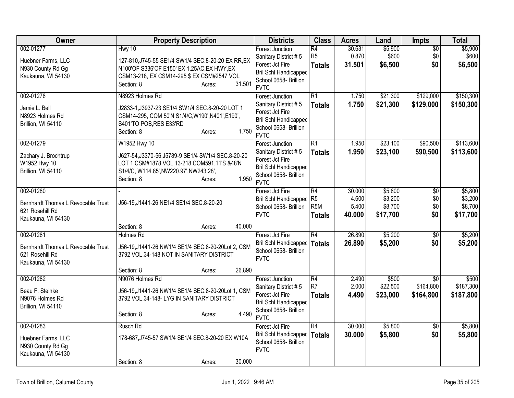| Owner                                                                                    | <b>Property Description</b>                                                                                                                                                                   | <b>Districts</b>                                                                                                                          | <b>Class</b>                                              | <b>Acres</b>                       | Land                                      | <b>Impts</b>                         | <b>Total</b>                              |
|------------------------------------------------------------------------------------------|-----------------------------------------------------------------------------------------------------------------------------------------------------------------------------------------------|-------------------------------------------------------------------------------------------------------------------------------------------|-----------------------------------------------------------|------------------------------------|-------------------------------------------|--------------------------------------|-------------------------------------------|
| 002-01277<br>Huebner Farms, LLC<br>N930 County Rd Gg<br>Kaukauna, WI 54130               | Hwy 10<br>127-810, J745-55 SE1/4 SW1/4 SEC.8-20-20 EX RR, EX<br>N100'OF S336'OF E150' EX 1.25AC, EX HWY, EX<br>CSM13-218, EX CSM14-295 \$ EX CSM#2547 VOL<br>31.501<br>Section: 8<br>Acres:   | <b>Forest Junction</b><br>Sanitary District #5<br>Forest Jct Fire<br><b>Bril Schl Handicapped</b><br>School 0658- Brillion<br><b>FVTC</b> | $\overline{R4}$<br>R <sub>5</sub><br><b>Totals</b>        | 30.631<br>0.870<br>31.501          | \$5,900<br>\$600<br>\$6,500               | $\overline{50}$<br>\$0<br>\$0        | \$5,900<br>\$600<br>\$6,500               |
| 002-01278<br>Jamie L. Bell<br>N8923 Holmes Rd<br>Brillion, WI 54110                      | N8923 Holmes Rd<br>J2833-1, J3937-23 SE1/4 SW1/4 SEC.8-20-20 LOT 1<br>CSM14-295, COM 50'N S1/4/C, W190', N401', E190',<br>S401'TO POB, RES E33'RD<br>1.750<br>Section: 8<br>Acres:            | <b>Forest Junction</b><br>Sanitary District #5<br>Forest Jct Fire<br><b>Bril Schl Handicapped</b><br>School 0658- Brillion<br><b>FVTC</b> | R1<br><b>Totals</b>                                       | 1.750<br>1.750                     | \$21,300<br>\$21,300                      | \$129,000<br>\$129,000               | \$150,300<br>\$150,300                    |
| 002-01279<br>Zachary J. Brochtrup<br>W1952 Hwy 10<br>Brillion, WI 54110                  | W1952 Hwy 10<br>J627-54, J3370-56, J5789-9 SE1/4 SW1/4 SEC.8-20-20<br>LOT 1 CSM#1878 VOL.13-218 COM591.11'S &48'N<br>S1/4/C, W114.85', NW220.97', NW243.28',<br>1.950<br>Section: 8<br>Acres: | <b>Forest Junction</b><br>Sanitary District #5<br>Forest Jct Fire<br>Bril Schl Handicapped<br>School 0658- Brillion<br><b>FVTC</b>        | $\overline{R1}$<br><b>Totals</b>                          | 1.950<br>1.950                     | \$23,100<br>\$23,100                      | \$90,500<br>\$90,500                 | \$113,600<br>\$113,600                    |
| 002-01280<br>Bernhardt Thomas L Revocable Trust<br>621 Rosehill Rd<br>Kaukauna, WI 54130 | J56-19, J1441-26 NE1/4 SE1/4 SEC.8-20-20                                                                                                                                                      | Forest Jct Fire<br>Bril Schl Handicapped<br>School 0658- Brillion<br><b>FVTC</b>                                                          | R4<br>R <sub>5</sub><br>R <sub>5</sub> M<br><b>Totals</b> | 30.000<br>4.600<br>5.400<br>40.000 | \$5,800<br>\$3,200<br>\$8,700<br>\$17,700 | $\overline{50}$<br>\$0<br>\$0<br>\$0 | \$5,800<br>\$3,200<br>\$8,700<br>\$17,700 |
|                                                                                          | Section: 8<br>40.000<br>Acres:                                                                                                                                                                |                                                                                                                                           |                                                           |                                    |                                           |                                      |                                           |
| 002-01281<br>Bernhardt Thomas L Revocable Trust<br>621 Rosehill Rd<br>Kaukauna, WI 54130 | <b>Holmes Rd</b><br>J56-19, J1441-26 NW1/4 SE1/4 SEC.8-20-20Lot 2, CSM<br>3792 VOL.34-148 NOT IN SANITARY DISTRICT<br>26.890<br>Section: 8<br>Acres:                                          | Forest Jct Fire<br>Bril Schl Handicapped   Totals<br>School 0658- Brillion<br><b>FVTC</b>                                                 | R4                                                        | 26.890<br>26,890                   | \$5,200<br>\$5,200                        | $\sqrt{$0}$<br>\$0                   | \$5,200<br>\$5,200                        |
| 002-01282<br>Beau F. Steinke<br>N9076 Holmes Rd<br>Brillion, WI 54110                    | N9076 Holmes Rd<br>J56-19, J1441-26 NW1/4 SE1/4 SEC.8-20-20Lot 1, CSM<br>3792 VOL.34-148- LYG IN SANITARY DISTRICT<br>4.490<br>Section: 8<br>Acres:                                           | <b>Forest Junction</b><br>Sanitary District #5<br>Forest Jct Fire<br>Bril Schl Handicapped<br>School 0658- Brillion<br><b>FVTC</b>        | R4<br>R <sub>7</sub><br><b>Totals</b>                     | 2.490<br>2.000<br>4.490            | \$500<br>\$22,500<br>\$23,000             | \$0<br>\$164,800<br>\$164,800        | \$500<br>\$187,300<br>\$187,800           |
| 002-01283<br>Huebner Farms, LLC<br>N930 County Rd Gg<br>Kaukauna, WI 54130               | Rusch Rd<br>178-687, J745-57 SW1/4 SE1/4 SEC.8-20-20 EX W10A<br>30.000<br>Section: 8<br>Acres:                                                                                                | Forest Jct Fire<br>Bril Schl Handicapped<br>School 0658- Brillion<br><b>FVTC</b>                                                          | R4<br>Totals                                              | 30.000<br>30.000                   | \$5,800<br>\$5,800                        | $\overline{50}$<br>\$0               | \$5,800<br>\$5,800                        |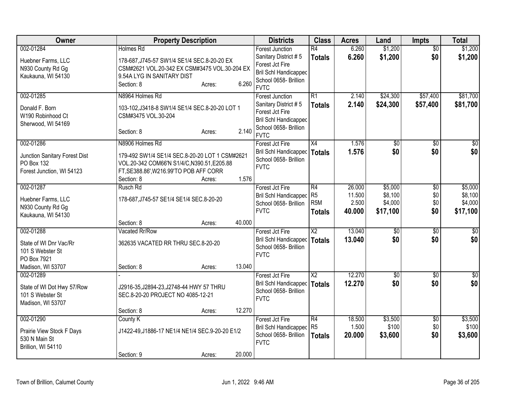| Owner                                                                                       | <b>Property Description</b>                                                                                                                                              |                  | <b>Districts</b>                                                                                                                   | <b>Class</b>                                       | <b>Acres</b>                        | Land                                      | <b>Impts</b>                         | <b>Total</b>                              |
|---------------------------------------------------------------------------------------------|--------------------------------------------------------------------------------------------------------------------------------------------------------------------------|------------------|------------------------------------------------------------------------------------------------------------------------------------|----------------------------------------------------|-------------------------------------|-------------------------------------------|--------------------------------------|-------------------------------------------|
| 002-01284<br>Huebner Farms, LLC<br>N930 County Rd Gg<br>Kaukauna, WI 54130                  | Holmes Rd<br>178-687, J745-57 SW1/4 SE1/4 SEC.8-20-20 EX<br>CSM#2621 VOL.20-342 EX CSM#3475 VOL.30-204 EX<br>9.54A LYG IN SANITARY DIST<br>Section: 8                    | 6.260<br>Acres:  | Forest Junction<br>Sanitary District #5<br>Forest Jct Fire<br>Bril Schl Handicapped<br>School 0658- Brillion<br><b>FVTC</b>        | $\overline{R4}$<br><b>Totals</b>                   | 6.260<br>6.260                      | \$1,200<br>\$1,200                        | $\overline{50}$<br>\$0               | \$1,200<br>\$1,200                        |
| 002-01285<br>Donald F. Born<br>W190 Robinhood Ct<br>Sherwood, WI 54169                      | N8964 Holmes Rd<br>103-102, J3418-8 SW1/4 SE1/4 SEC.8-20-20 LOT 1<br>CSM#3475 VOL.30-204<br>Section: 8                                                                   | 2.140<br>Acres:  | Forest Junction<br>Sanitary District #5<br>Forest Jct Fire<br><b>Bril Schl Handicapped</b><br>School 0658- Brillion<br><b>FVTC</b> | R1<br><b>Totals</b>                                | 2.140<br>2.140                      | \$24,300<br>\$24,300                      | \$57,400<br>\$57,400                 | \$81,700<br>\$81,700                      |
| 002-01286<br>Junction Sanitary Forest Dist<br>PO Box 132<br>Forest Junction, WI 54123       | N8906 Holmes Rd<br>179-492 SW1/4 SE1/4 SEC.8-20-20 LOT 1 CSM#2621<br>VOL.20-342 COM66'N S1/4/C, N390.51, E205.88<br>FT, SE388.86', W216.99'TO POB AFF CORR<br>Section: 8 | 1.576<br>Acres:  | Forest Jct Fire<br>Bril Schl Handicapped<br>School 0658- Brillion<br><b>FVTC</b>                                                   | X4<br>Totals                                       | 1.576<br>1.576                      | $\overline{50}$<br>\$0                    | \$0<br>\$0                           | $\overline{50}$<br>\$0                    |
| 002-01287<br>Huebner Farms, LLC<br>N930 County Rd Gg<br>Kaukauna, WI 54130                  | Rusch Rd<br>178-687, J745-57 SE1/4 SE1/4 SEC.8-20-20<br>Section: 8                                                                                                       | 40.000<br>Acres: | Forest Jct Fire<br>Bril Schl Handicapped<br>School 0658- Brillion<br><b>FVTC</b>                                                   | R4<br>R <sub>5</sub><br>R <sub>5</sub> M<br>Totals | 26.000<br>11.500<br>2.500<br>40.000 | \$5,000<br>\$8,100<br>\$4,000<br>\$17,100 | $\overline{50}$<br>\$0<br>\$0<br>\$0 | \$5,000<br>\$8,100<br>\$4,000<br>\$17,100 |
| 002-01288<br>State of WI Dnr Vac/Rr<br>101 S Webster St<br>PO Box 7921<br>Madison, WI 53707 | Vacated Rr/Row<br>362635 VACATED RR THRU SEC.8-20-20<br>Section: 8                                                                                                       | 13.040<br>Acres: | Forest Jct Fire<br>Bril Schl Handicapped<br>School 0658- Brillion<br><b>FVTC</b>                                                   | $\overline{X2}$<br><b>Totals</b>                   | 13.040<br>13.040                    | $\sqrt{6}$<br>\$0                         | $\overline{50}$<br>\$0               | $\sqrt{50}$<br>\$0                        |
| 002-01289<br>State of WI Dot Hwy 57/Row<br>101 S Webster St<br>Madison, WI 53707            | J2916-35, J2894-23, J2748-44 HWY 57 THRU<br>SEC.8-20-20 PROJECT NO 4085-12-21<br>Section: 8                                                                              | 12.270<br>Acres: | Forest Jct Fire<br>Bril Schl Handicapped<br>School 0658- Brillion<br><b>FVTC</b>                                                   | $\overline{X2}$<br><b>Totals</b>                   | 12.270<br>12.270                    | $\overline{50}$<br>\$0                    | $\overline{50}$<br>\$0               | $\sqrt{50}$<br>\$0                        |
| 002-01290<br>Prairie View Stock F Days<br>530 N Main St<br>Brillion, WI 54110               | County K<br>J1422-49, J1886-17 NE1/4 NE1/4 SEC.9-20-20 E1/2<br>Section: 9                                                                                                | 20.000<br>Acres: | Forest Jct Fire<br>Bril Schl Handicapped<br>School 0658- Brillion<br><b>FVTC</b>                                                   | R4<br>R <sub>5</sub><br><b>Totals</b>              | 18.500<br>1.500<br>20.000           | \$3,500<br>\$100<br>\$3,600               | $\overline{60}$<br>\$0<br>\$0        | \$3,500<br>\$100<br>\$3,600               |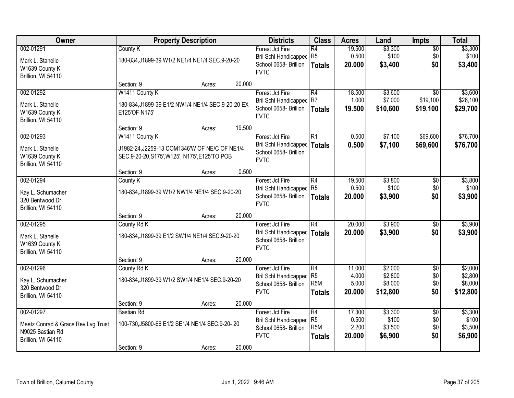| Owner                                |                                                            | <b>Property Description</b> |        | <b>Districts</b>                                                  | <b>Class</b>                          | <b>Acres</b>              | Land                        | <b>Impts</b>                  | <b>Total</b>                |
|--------------------------------------|------------------------------------------------------------|-----------------------------|--------|-------------------------------------------------------------------|---------------------------------------|---------------------------|-----------------------------|-------------------------------|-----------------------------|
| 002-01291<br>Mark L. Stanelle        | County K<br>180-834, J1899-39 W1/2 NE1/4 NE1/4 SEC.9-20-20 |                             |        | Forest Jct Fire<br>Bril Schl Handicapped<br>School 0658- Brillion | R4<br>R <sub>5</sub><br><b>Totals</b> | 19.500<br>0.500<br>20.000 | \$3,300<br>\$100<br>\$3,400 | $\overline{50}$<br>\$0<br>\$0 | \$3,300<br>\$100<br>\$3,400 |
| W1639 County K<br>Brillion, WI 54110 |                                                            |                             |        | <b>FVTC</b>                                                       |                                       |                           |                             |                               |                             |
|                                      | Section: 9                                                 | Acres:                      | 20.000 |                                                                   |                                       |                           |                             |                               |                             |
| 002-01292                            | W1411 County K                                             |                             |        | Forest Jct Fire                                                   | R4                                    | 18.500                    | \$3,600                     | $\overline{30}$               | \$3,600                     |
| Mark L. Stanelle                     | 180-834, J1899-39 E1/2 NW1/4 NE1/4 SEC.9-20-20 EX          |                             |        | Bril Schl Handicapped                                             | R7                                    | 1.000                     | \$7,000                     | \$19,100                      | \$26,100                    |
| W1639 County K<br>Brillion, WI 54110 | E125'OF N175'                                              |                             |        | School 0658- Brillion<br><b>FVTC</b>                              | <b>Totals</b>                         | 19.500                    | \$10,600                    | \$19,100                      | \$29,700                    |
|                                      | Section: 9                                                 | Acres:                      | 19.500 |                                                                   |                                       |                           |                             |                               |                             |
| 002-01293                            | W1411 County K                                             |                             |        | Forest Jct Fire                                                   | R1                                    | 0.500                     | \$7,100                     | \$69,600                      | \$76,700                    |
| Mark L. Stanelle                     | J1982-24, J2259-13 COM1346'W OF NE/C OF NE1/4              |                             |        | Bril Schl Handicapped                                             | <b>Totals</b>                         | 0.500                     | \$7,100                     | \$69,600                      | \$76,700                    |
| W1639 County K                       | SEC.9-20-20, S175', W125', N175', E125'TO POB              |                             |        | School 0658- Brillion                                             |                                       |                           |                             |                               |                             |
| Brillion, WI 54110                   |                                                            |                             |        | <b>FVTC</b>                                                       |                                       |                           |                             |                               |                             |
|                                      | Section: 9                                                 | Acres:                      | 0.500  |                                                                   |                                       |                           |                             |                               |                             |
| 002-01294                            | County K                                                   |                             |        | Forest Jct Fire                                                   | R4                                    | 19.500                    | \$3,800                     | \$0                           | \$3,800                     |
| Kay L. Schumacher                    | 180-834, J1899-39 W1/2 NW1/4 NE1/4 SEC.9-20-20             |                             |        | <b>Bril Schl Handicapped</b>                                      | R5                                    | 0.500                     | \$100                       | \$0                           | \$100                       |
| 320 Bentwood Dr                      |                                                            |                             |        | School 0658- Brillion                                             | <b>Totals</b>                         | 20.000                    | \$3,900                     | \$0                           | \$3,900                     |
| Brillion, WI 54110                   |                                                            |                             |        | <b>FVTC</b>                                                       |                                       |                           |                             |                               |                             |
|                                      | Section: 9                                                 | Acres:                      | 20.000 |                                                                   |                                       |                           |                             |                               |                             |
| 002-01295                            | County Rd K                                                |                             |        | Forest Jct Fire                                                   | R4                                    | 20.000                    | \$3,900                     | $\overline{50}$               | \$3,900                     |
| Mark L. Stanelle                     | 180-834, J1899-39 E1/2 SW1/4 NE1/4 SEC.9-20-20             |                             |        | Bril Schl Handicapped                                             | Totals                                | 20,000                    | \$3,900                     | \$0                           | \$3,900                     |
| W1639 County K                       |                                                            |                             |        | School 0658- Brillion                                             |                                       |                           |                             |                               |                             |
| Brillion, WI 54110                   |                                                            |                             |        | <b>FVTC</b>                                                       |                                       |                           |                             |                               |                             |
|                                      | Section: 9                                                 | Acres:                      | 20.000 |                                                                   |                                       |                           |                             |                               |                             |
| 002-01296                            | County Rd K                                                |                             |        | Forest Jct Fire                                                   | R4                                    | 11.000                    | \$2,000                     | $\sqrt{6}$                    | \$2,000                     |
| Kay L. Schumacher                    | 180-834, J1899-39 W1/2 SW1/4 NE1/4 SEC.9-20-20             |                             |        | <b>Bril Schl Handicapped</b>                                      | R <sub>5</sub>                        | 4.000                     | \$2,800                     | \$0                           | \$2,800                     |
| 320 Bentwood Dr                      |                                                            |                             |        | School 0658- Brillion                                             | R <sub>5</sub> M                      | 5.000                     | \$8,000                     | \$0                           | \$8,000                     |
| Brillion, WI 54110                   |                                                            |                             |        | <b>FVTC</b>                                                       | <b>Totals</b>                         | 20,000                    | \$12,800                    | \$0                           | \$12,800                    |
|                                      | Section: 9                                                 | Acres:                      | 20.000 |                                                                   |                                       |                           |                             |                               |                             |
| 002-01297                            | <b>Bastian Rd</b>                                          |                             |        | Forest Jct Fire                                                   | R4                                    | 17.300                    | \$3,300                     | $\overline{30}$               | \$3,300                     |
| Meetz Conrad & Grace Rev Lvg Trust   | 100-730, J5800-66 E1/2 SE1/4 NE1/4 SEC.9-20-20             |                             |        | Bril Schl Handicapped                                             | R <sub>5</sub>                        | 0.500                     | \$100                       | \$0                           | \$100                       |
| N9025 Bastian Rd                     |                                                            |                             |        | School 0658- Brillion                                             | R <sub>5</sub> M                      | 2.200                     | \$3,500                     | \$0                           | \$3,500                     |
| Brillion, WI 54110                   |                                                            |                             |        | <b>FVTC</b>                                                       | <b>Totals</b>                         | 20.000                    | \$6,900                     | \$0                           | \$6,900                     |
|                                      | Section: 9                                                 | Acres:                      | 20.000 |                                                                   |                                       |                           |                             |                               |                             |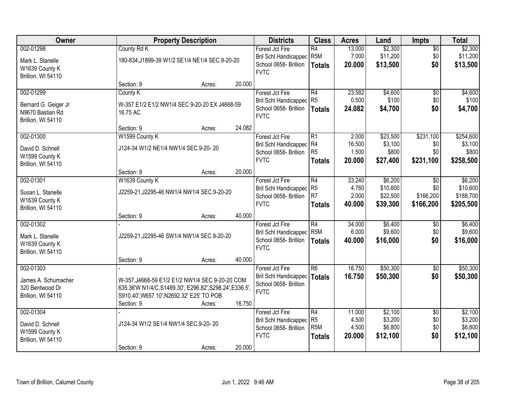| Owner                                                                       |                                                                                                                                                                        | <b>Property Description</b> |        | <b>Districts</b>                                                                        | <b>Class</b>                                                         | <b>Acres</b>                       | Land                                        | Impts                                         | <b>Total</b>                                  |
|-----------------------------------------------------------------------------|------------------------------------------------------------------------------------------------------------------------------------------------------------------------|-----------------------------|--------|-----------------------------------------------------------------------------------------|----------------------------------------------------------------------|------------------------------------|---------------------------------------------|-----------------------------------------------|-----------------------------------------------|
| 002-01298<br>Mark L. Stanelle<br>W1639 County K<br>Brillion, WI 54110       | County Rd K<br>180-834, J1899-39 W1/2 SE1/4 NE1/4 SEC.9-20-20                                                                                                          |                             |        | Forest Jct Fire<br><b>Bril Schl Handicapped</b><br>School 0658- Brillion<br><b>FVTC</b> | $\overline{R4}$<br>R <sub>5</sub> M<br><b>Totals</b>                 | 13.000<br>7.000<br>20.000          | \$2,300<br>\$11,200<br>\$13,500             | $\overline{50}$<br>\$0<br>\$0                 | \$2,300<br>\$11,200<br>\$13,500               |
|                                                                             | Section: 9                                                                                                                                                             | Acres:                      | 20.000 |                                                                                         |                                                                      |                                    |                                             |                                               |                                               |
| 002-01299<br>Bernard G. Geiger Jr<br>N9670 Bastian Rd<br>Brillion, WI 54110 | County K<br>W-357 E1/2 E1/2 NW1/4 SEC 9-20-20 EX J4668-59<br>16.75 AC                                                                                                  |                             |        | Forest Jct Fire<br><b>Bril Schl Handicapped</b><br>School 0658- Brillion<br><b>FVTC</b> | $\overline{R4}$<br>R <sub>5</sub><br><b>Totals</b>                   | 23.582<br>0.500<br>24.082          | \$4,600<br>\$100<br>\$4,700                 | $\overline{50}$<br>\$0<br>\$0                 | \$4,600<br>\$100<br>\$4,700                   |
|                                                                             | Section: 9                                                                                                                                                             | Acres:                      | 24.082 |                                                                                         |                                                                      |                                    |                                             |                                               |                                               |
| 002-01300<br>David D. Schnell<br>W1599 County K<br>Brillion, WI 54110       | W1599 County K<br>J124-34 W1/2 NE1/4 NW1/4 SEC.9-20-20                                                                                                                 |                             |        | Forest Jct Fire<br><b>Bril Schl Handicapped</b><br>School 0658- Brillion<br><b>FVTC</b> | R1<br>R4<br>R <sub>5</sub><br><b>Totals</b>                          | 2.000<br>16.500<br>1.500<br>20.000 | \$23,500<br>\$3,100<br>\$800<br>\$27,400    | \$231,100<br>\$0<br>\$0<br>\$231,100          | \$254,600<br>\$3,100<br>\$800<br>\$258,500    |
|                                                                             | Section: 9                                                                                                                                                             | Acres:                      | 20.000 |                                                                                         |                                                                      |                                    |                                             |                                               |                                               |
| 002-01301<br>Susan L. Stanelle<br>W1639 County K<br>Brillion, WI 54110      | W1639 County K<br>J2259-21, J2295-46 NW1/4 NW1/4 SEC.9-20-20                                                                                                           |                             |        | Forest Jct Fire<br><b>Bril Schl Handicapped</b><br>School 0658- Brillion<br><b>FVTC</b> | $\overline{R4}$<br>R <sub>5</sub><br>R <sub>7</sub><br><b>Totals</b> | 33.240<br>4.760<br>2.000<br>40.000 | \$6,200<br>\$10,600<br>\$22,500<br>\$39,300 | $\sqrt[6]{}$<br>\$0<br>\$166,200<br>\$166,200 | \$6,200<br>\$10,600<br>\$188,700<br>\$205,500 |
|                                                                             | Section: 9                                                                                                                                                             | Acres:                      | 40.000 |                                                                                         |                                                                      |                                    |                                             |                                               |                                               |
| 002-01302<br>Mark L. Stanelle<br>W1639 County K<br>Brillion, WI 54110       | J2259-21, J2295-46 SW1/4 NW1/4 SEC.9-20-20                                                                                                                             |                             |        | Forest Jct Fire<br><b>Bril Schl Handicapped</b><br>School 0658- Brillion<br><b>FVTC</b> | $\overline{R4}$<br>R <sub>5</sub> M<br><b>Totals</b>                 | 34.000<br>6.000<br>40.000          | \$6,400<br>\$9,600<br>\$16,000              | $\overline{50}$<br>\$0<br>\$0                 | \$6,400<br>\$9,600<br>\$16,000                |
|                                                                             | Section: 9                                                                                                                                                             | Acres:                      | 40.000 |                                                                                         |                                                                      |                                    |                                             |                                               |                                               |
| 002-01303<br>James A. Schumacher<br>320 Bentwood Dr<br>Brillion, WI 54110   | W-357, J4668-59 E1/2 E1/2 NW1/4 SEC 9-20-20 COM<br>635.36'W N1/4/C, S1489.30', E296.82', S298.24', E336.5',<br>S910.40', W657.10', N2692.32' E25' TO POB<br>Section: 9 | Acres:                      | 16.750 | Forest Jct Fire<br>Bril Schl Handicapped<br>School 0658- Brillion<br><b>FVTC</b>        | $\overline{R6}$<br><b>Totals</b>                                     | 16.750<br>16.750                   | \$50,300<br>\$50,300                        | $\overline{50}$<br>\$0                        | \$50,300<br>\$50,300                          |
| 002-01304<br>David D. Schnell<br>W1599 County K<br>Brillion, WI 54110       | J124-34 W1/2 SE1/4 NW1/4 SEC.9-20-20<br>Section: 9                                                                                                                     | Acres:                      | 20.000 | Forest Jct Fire<br><b>Bril Schl Handicapped</b><br>School 0658- Brillion<br><b>FVTC</b> | R4<br>R <sub>5</sub><br>R <sub>5</sub> M<br><b>Totals</b>            | 11.000<br>4.500<br>4.500<br>20.000 | \$2,100<br>\$3,200<br>\$6,800<br>\$12,100   | $\overline{50}$<br>\$0<br>\$0<br>\$0          | \$2,100<br>\$3,200<br>\$6,800<br>\$12,100     |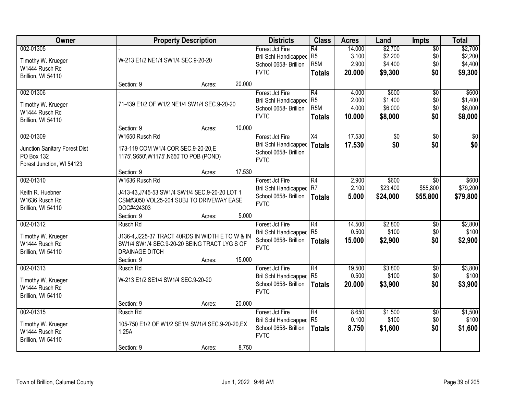| Owner                         |                                                  | <b>Property Description</b> |        | <b>Districts</b>                                      | <b>Class</b>                       | <b>Acres</b>   | Land               | <b>Impts</b>    | <b>Total</b>       |
|-------------------------------|--------------------------------------------------|-----------------------------|--------|-------------------------------------------------------|------------------------------------|----------------|--------------------|-----------------|--------------------|
| 002-01305                     |                                                  |                             |        | Forest Jct Fire                                       | R4                                 | 14.000         | \$2,700            | $\sqrt{$0}$     | \$2,700            |
| Timothy W. Krueger            | W-213 E1/2 NE1/4 SW1/4 SEC.9-20-20               |                             |        | Bril Schl Handicapped<br>School 0658- Brillion        | R <sub>5</sub><br>R <sub>5</sub> M | 3.100<br>2.900 | \$2,200<br>\$4,400 | \$0<br>\$0      | \$2,200<br>\$4,400 |
| W1444 Rusch Rd                |                                                  |                             |        | <b>FVTC</b>                                           |                                    | 20.000         | \$9,300            | \$0             | \$9,300            |
| Brillion, WI 54110            |                                                  |                             |        |                                                       | <b>Totals</b>                      |                |                    |                 |                    |
|                               | Section: 9                                       | Acres:                      | 20.000 |                                                       |                                    |                |                    |                 |                    |
| 002-01306                     |                                                  |                             |        | Forest Jct Fire                                       | $\overline{R4}$                    | 4.000          | \$600              | $\overline{50}$ | \$600              |
| Timothy W. Krueger            | 71-439 E1/2 OF W1/2 NE1/4 SW1/4 SEC.9-20-20      |                             |        | <b>Bril Schl Handicapped</b><br>School 0658- Brillion | R <sub>5</sub><br>R <sub>5</sub> M | 2.000<br>4.000 | \$1,400<br>\$6,000 | \$0<br>\$0      | \$1,400<br>\$6,000 |
| W1444 Rusch Rd                |                                                  |                             |        | <b>FVTC</b>                                           | <b>Totals</b>                      | 10.000         | \$8,000            | \$0             | \$8,000            |
| Brillion, WI 54110            |                                                  |                             |        |                                                       |                                    |                |                    |                 |                    |
|                               | Section: 9                                       | Acres:                      | 10.000 |                                                       |                                    |                |                    |                 |                    |
| 002-01309                     | W1650 Rusch Rd                                   |                             |        | Forest Jct Fire                                       | X4                                 | 17.530         | $\overline{50}$    | \$0             | $\sqrt{50}$        |
| Junction Sanitary Forest Dist | 173-119 COM W1/4 COR SEC.9-20-20, E              |                             |        | <b>Bril Schl Handicapped</b><br>School 0658- Brillion | Totals                             | 17.530         | \$0                | \$0             | \$0                |
| PO Box 132                    | 1175', S650', W1175', N650'TO POB (POND)         |                             |        | <b>FVTC</b>                                           |                                    |                |                    |                 |                    |
| Forest Junction, WI 54123     |                                                  |                             |        |                                                       |                                    |                |                    |                 |                    |
|                               | Section: 9                                       | Acres:                      | 17.530 |                                                       |                                    |                |                    |                 |                    |
| 002-01310                     | W1636 Rusch Rd                                   |                             |        | Forest Jct Fire                                       | R4                                 | 2.900          | \$600              | \$0             | \$600              |
| Keith R. Huebner              | J413-43, J745-53 SW1/4 SW1/4 SEC.9-20-20 LOT 1   |                             |        | <b>Bril Schl Handicapped</b>                          | R7                                 | 2.100          | \$23,400           | \$55,800        | \$79,200           |
| W1636 Rusch Rd                | CSM#3050 VOL25-204 SUBJ TO DRIVEWAY EASE         |                             |        | School 0658- Brillion<br><b>FVTC</b>                  | <b>Totals</b>                      | 5.000          | \$24,000           | \$55,800        | \$79,800           |
| Brillion, WI 54110            | DOC#424303                                       |                             |        |                                                       |                                    |                |                    |                 |                    |
|                               | Section: 9                                       | Acres:                      | 5.000  |                                                       |                                    |                |                    |                 |                    |
| 002-01312                     | Rusch Rd                                         |                             |        | Forest Jct Fire                                       | $\overline{R4}$                    | 14.500         | \$2,800            | \$0             | \$2,800            |
| Timothy W. Krueger            | J136-4, J225-37 TRACT 40RDS IN WIDTH E TO W & IN |                             |        | <b>Bril Schl Handicapped</b>                          | R <sub>5</sub>                     | 0.500          | \$100              | \$0             | \$100              |
| W1444 Rusch Rd                | SW1/4 SW1/4 SEC.9-20-20 BEING TRACT LYG S OF     |                             |        | School 0658- Brillion<br><b>FVTC</b>                  | <b>Totals</b>                      | 15.000         | \$2,900            | \$0             | \$2,900            |
| Brillion, WI 54110            | <b>DRAINAGE DITCH</b>                            |                             |        |                                                       |                                    |                |                    |                 |                    |
|                               | Section: 9                                       | Acres:                      | 15.000 |                                                       |                                    |                |                    |                 |                    |
| 002-01313                     | Rusch Rd                                         |                             |        | Forest Jct Fire                                       | R4                                 | 19.500         | \$3,800            | $\sqrt{6}$      | \$3,800            |
| Timothy W. Krueger            | W-213 E1/2 SE1/4 SW1/4 SEC.9-20-20               |                             |        | Bril Schl Handicapped R5                              |                                    | 0.500          | \$100              | \$0             | \$100              |
| W1444 Rusch Rd                |                                                  |                             |        | School 0658- Brillion<br><b>FVTC</b>                  | Totals                             | 20.000         | \$3,900            | \$0             | \$3,900            |
| Brillion, WI 54110            |                                                  |                             |        |                                                       |                                    |                |                    |                 |                    |
|                               | Section: 9                                       | Acres:                      | 20.000 |                                                       |                                    |                |                    |                 |                    |
| 002-01315                     | Rusch Rd                                         |                             |        | Forest Jct Fire                                       | R4                                 | 8.650          | \$1,500            | $\overline{60}$ | \$1,500            |
| Timothy W. Krueger            | 105-750 E1/2 OF W1/2 SE1/4 SW1/4 SEC.9-20-20, EX |                             |        | <b>Bril Schl Handicapped</b>                          | R <sub>5</sub>                     | 0.100          | \$100              | \$0             | \$100              |
| W1444 Rusch Rd                | 1.25A                                            |                             |        | School 0658- Brillion<br><b>FVTC</b>                  | <b>Totals</b>                      | 8.750          | \$1,600            | \$0             | \$1,600            |
| Brillion, WI 54110            |                                                  |                             |        |                                                       |                                    |                |                    |                 |                    |
|                               | Section: 9                                       | Acres:                      | 8.750  |                                                       |                                    |                |                    |                 |                    |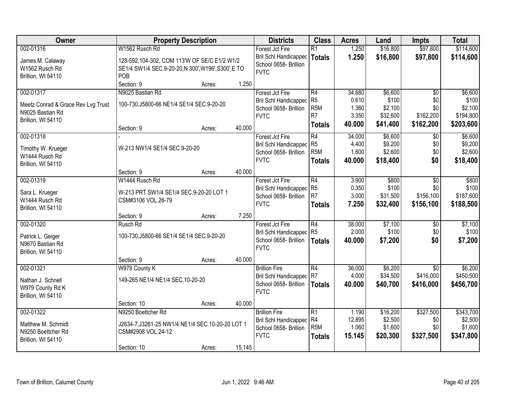| Owner                              | <b>Property Description</b>                        |        |        | <b>Districts</b>             | <b>Class</b>     | <b>Acres</b> | Land     | <b>Impts</b>    | <b>Total</b> |
|------------------------------------|----------------------------------------------------|--------|--------|------------------------------|------------------|--------------|----------|-----------------|--------------|
| 002-01316                          | W1562 Rusch Rd                                     |        |        | Forest Jct Fire              | R1               | 1.250        | \$16,800 | \$97,800        | \$114,600    |
| James M. Calaway                   | 128-592,104-302, COM 113'W OF SE/C E1/2 W1/2       |        |        | Bril Schl Handicapped        | Totals           | 1.250        | \$16,800 | \$97,800        | \$114,600    |
| W1562 Rusch Rd                     | SE1/4 SW1/4 SEC.9-20-20,N 300', W196', S300', E TO |        |        | School 0658- Brillion        |                  |              |          |                 |              |
| Brillion, WI 54110                 | POB                                                |        |        | <b>FVTC</b>                  |                  |              |          |                 |              |
|                                    | Section: 9                                         | Acres: | 1.250  |                              |                  |              |          |                 |              |
| 002-01317                          | N9025 Bastian Rd                                   |        |        | Forest Jct Fire              | R4               | 34.680       | \$6,600  | $\overline{50}$ | \$6,600      |
| Meetz Conrad & Grace Rev Lvg Trust | 100-730, J5800-66 NE1/4 SE1/4 SEC.9-20-20          |        |        | <b>Bril Schl Handicapped</b> | R5               | 0.610        | \$100    | \$0             | \$100        |
| N9025 Bastian Rd                   |                                                    |        |        | School 0658- Brillion        | R <sub>5</sub> M | 1.360        | \$2,100  | \$0             | \$2,100      |
| Brillion, WI 54110                 |                                                    |        |        | <b>FVTC</b>                  | R7               | 3.350        | \$32,600 | \$162,200       | \$194,800    |
|                                    | Section: 9                                         | Acres: | 40.000 |                              | <b>Totals</b>    | 40.000       | \$41,400 | \$162,200       | \$203,600    |
| 002-01318                          |                                                    |        |        | Forest Jct Fire              | R4               | 34.000       | \$6,600  | \$0             | \$6,600      |
| Timothy W. Krueger                 | W-213 NW1/4 SE1/4 SEC.9-20-20                      |        |        | Bril Schl Handicapped        | R <sub>5</sub>   | 4.400        | \$9,200  | \$0             | \$9,200      |
| W1444 Rusch Rd                     |                                                    |        |        | School 0658- Brillion        | R <sub>5M</sub>  | 1.600        | \$2,600  | \$0             | \$2,600      |
| Brillion, WI 54110                 |                                                    |        |        | <b>FVTC</b>                  | <b>Totals</b>    | 40.000       | \$18,400 | \$0             | \$18,400     |
|                                    | Section: 9                                         | Acres: | 40.000 |                              |                  |              |          |                 |              |
| 002-01319                          | W1444 Rusch Rd                                     |        |        | Forest Jct Fire              | R4               | 3.900        | \$800    | \$0             | \$800        |
| Sara L. Krueger                    | W-213 PRT SW1/4 SE1/4 SEC.9-20-20 LOT 1            |        |        | <b>Bril Schl Handicapped</b> | R <sub>5</sub>   | 0.350        | \$100    | \$0             | \$100        |
| W1444 Rusch Rd                     | CSM#3106 VOL.26-79                                 |        |        | School 0658- Brillion        | R7               | 3.000        | \$31,500 | \$156,100       | \$187,600    |
| Brillion, WI 54110                 |                                                    |        |        | <b>FVTC</b>                  | <b>Totals</b>    | 7.250        | \$32,400 | \$156,100       | \$188,500    |
|                                    | Section: 9                                         | Acres: | 7.250  |                              |                  |              |          |                 |              |
| 002-01320                          | Rusch Rd                                           |        |        | Forest Jct Fire              | R4               | 38.000       | \$7,100  | $\overline{50}$ | \$7,100      |
| Patrick L. Geiger                  | 100-730, J5800-66 SE1/4 SE1/4 SEC.9-20-20          |        |        | <b>Bril Schl Handicapped</b> | R <sub>5</sub>   | 2.000        | \$100    | \$0             | \$100        |
| N9670 Bastian Rd                   |                                                    |        |        | School 0658- Brillion        | <b>Totals</b>    | 40.000       | \$7,200  | \$0             | \$7,200      |
| Brillion, WI 54110                 |                                                    |        |        | <b>FVTC</b>                  |                  |              |          |                 |              |
|                                    | Section: 9                                         | Acres: | 40.000 |                              |                  |              |          |                 |              |
| 002-01321                          | W979 County K                                      |        |        | <b>Brillion Fire</b>         | R4               | 36.000       | \$6,200  | $\overline{50}$ | \$6,200      |
| Nathan J. Schnell                  | 149-265 NE1/4 NE1/4 SEC.10-20-20                   |        |        | Bril Schl Handicapped        | R7               | 4.000        | \$34,500 | \$416,000       | \$450,500    |
| W979 County Rd K                   |                                                    |        |        | School 0658- Brillion        | Totals           | 40.000       | \$40,700 | \$416,000       | \$456,700    |
| Brillion, WI 54110                 |                                                    |        |        | <b>FVTC</b>                  |                  |              |          |                 |              |
|                                    | Section: 10                                        | Acres: | 40.000 |                              |                  |              |          |                 |              |
| 002-01322                          | N9250 Boettcher Rd                                 |        |        | <b>Brillion Fire</b>         | R1               | 1.190        | \$16,200 | \$327,500       | \$343,700    |
| Matthew M. Schmidt                 | J2634-7, J3261-25 NW1/4 NE1/4 SEC.10-20-20 LOT 1   |        |        | <b>Bril Schl Handicapped</b> | R4               | 12.895       | \$2,500  | \$0             | \$2,500      |
| N9250 Boettcher Rd                 | CSM#2908 VOL.24-12                                 |        |        | School 0658- Brillion        | R <sub>5M</sub>  | 1.060        | \$1,600  | \$0             | \$1,600      |
| Brillion, WI 54110                 |                                                    |        |        | <b>FVTC</b>                  | <b>Totals</b>    | 15.145       | \$20,300 | \$327,500       | \$347,800    |
|                                    | Section: 10                                        | Acres: | 15.145 |                              |                  |              |          |                 |              |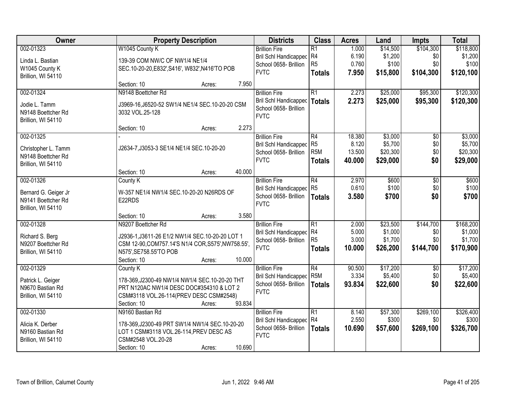| Owner                                 | <b>Property Description</b>                                                                           | <b>Districts</b>                     | <b>Class</b>     | <b>Acres</b> | Land     | <b>Impts</b>    | <b>Total</b> |
|---------------------------------------|-------------------------------------------------------------------------------------------------------|--------------------------------------|------------------|--------------|----------|-----------------|--------------|
| 002-01323                             | W1045 County K                                                                                        | <b>Brillion Fire</b>                 | $\overline{R1}$  | 1.000        | \$14,500 | \$104,300       | \$118,800    |
| Linda L. Bastian                      | 139-39 COM NW/C OF NW1/4 NE1/4                                                                        | Bril Schl Handicapped                | R4               | 6.190        | \$1,200  | \$0             | \$1,200      |
| W1045 County K                        | SEC.10-20-20, E832', S416', W832', N416'TO POB                                                        | School 0658- Brillion                | R <sub>5</sub>   | 0.760        | \$100    | \$0             | \$100        |
| Brillion, WI 54110                    |                                                                                                       | <b>FVTC</b>                          | <b>Totals</b>    | 7.950        | \$15,800 | \$104,300       | \$120,100    |
|                                       | 7.950<br>Section: 10<br>Acres:                                                                        |                                      |                  |              |          |                 |              |
| 002-01324                             | N9148 Boettcher Rd                                                                                    | <b>Brillion Fire</b>                 | $\overline{R1}$  | 2.273        | \$25,000 | \$95,300        | \$120,300    |
| Jodie L. Tamm                         | J3969-16, J6520-52 SW1/4 NE1/4 SEC.10-20-20 CSM                                                       | <b>Bril Schl Handicapped</b>         | <b>Totals</b>    | 2.273        | \$25,000 | \$95,300        | \$120,300    |
| N9148 Boettcher Rd                    | 3032 VOL.25-128                                                                                       | School 0658- Brillion                |                  |              |          |                 |              |
| Brillion, WI 54110                    |                                                                                                       | <b>FVTC</b>                          |                  |              |          |                 |              |
|                                       | 2.273<br>Section: 10<br>Acres:                                                                        |                                      |                  |              |          |                 |              |
| 002-01325                             |                                                                                                       | <b>Brillion Fire</b>                 | $\overline{R4}$  | 18.380       | \$3,000  | $\overline{50}$ | \$3,000      |
| Christopher L. Tamm                   | J2634-7, J3053-3 SE1/4 NE1/4 SEC.10-20-20                                                             | <b>Bril Schl Handicapped</b>         | R <sub>5</sub>   | 8.120        | \$5,700  | \$0             | \$5,700      |
| N9148 Boettcher Rd                    |                                                                                                       | School 0658- Brillion                | R <sub>5</sub> M | 13.500       | \$20,300 | \$0             | \$20,300     |
| Brillion, WI 54110                    |                                                                                                       | <b>FVTC</b>                          | <b>Totals</b>    | 40.000       | \$29,000 | \$0             | \$29,000     |
|                                       | 40.000<br>Section: 10<br>Acres:                                                                       |                                      |                  |              |          |                 |              |
| 002-01326                             | County K                                                                                              | <b>Brillion Fire</b>                 | $\overline{R4}$  | 2.970        | \$600    | $\overline{50}$ | \$600        |
| Bernard G. Geiger Jr                  | W-357 NE1/4 NW1/4 SEC.10-20-20 N26RDS OF                                                              | <b>Bril Schl Handicapped</b>         | R <sub>5</sub>   | 0.610        | \$100    | \$0             | \$100        |
| N9141 Boettcher Rd                    | E22RDS                                                                                                | School 0658- Brillion                | <b>Totals</b>    | 3.580        | \$700    | \$0             | \$700        |
| Brillion, WI 54110                    |                                                                                                       | <b>FVTC</b>                          |                  |              |          |                 |              |
|                                       | 3.580<br>Section: 10<br>Acres:                                                                        |                                      |                  |              |          |                 |              |
| 002-01328                             | N9207 Boettcher Rd                                                                                    | <b>Brillion Fire</b>                 | $\overline{R1}$  | 2.000        | \$23,500 | \$144,700       | \$168,200    |
|                                       |                                                                                                       | <b>Bril Schl Handicapped</b>         | R4               | 5.000        | \$1,000  | \$0             | \$1,000      |
| Richard S. Berg<br>N9207 Boettcher Rd | J2936-1, J3611-26 E1/2 NW1/4 SEC.10-20-20 LOT 1<br>CSM 12-90, COM757.14'S N1/4 COR, S575', NW758.55', | School 0658- Brillion                | R <sub>5</sub>   | 3.000        | \$1,700  | \$0             | \$1,700      |
| Brillion, WI 54110                    | N575', SE758.55'TO POB                                                                                | <b>FVTC</b>                          | <b>Totals</b>    | 10.000       | \$26,200 | \$144,700       | \$170,900    |
|                                       | Section: 10<br>10.000<br>Acres:                                                                       |                                      |                  |              |          |                 |              |
| 002-01329                             | County K                                                                                              | <b>Brillion Fire</b>                 | R4               | 90.500       | \$17,200 | $\overline{50}$ | \$17,200     |
|                                       |                                                                                                       | Bril Schl Handicapped                | R <sub>5</sub> M | 3.334        | \$5,400  | \$0             | \$5,400      |
| Patrick L. Geiger                     | 178-369, J2300-49 NW1/4 NW1/4 SEC.10-20-20 THT                                                        | School 0658- Brillion                | <b>Totals</b>    | 93.834       | \$22,600 | \$0             | \$22,600     |
| N9670 Bastian Rd                      | PRT N120AC NW1/4 DESC DOC#354310 & LOT 2                                                              | <b>FVTC</b>                          |                  |              |          |                 |              |
| Brillion, WI 54110                    | CSM#3118 VOL.26-114(PREV DESC CSM#2548)                                                               |                                      |                  |              |          |                 |              |
|                                       | 93.834<br>Section: 10<br>Acres:                                                                       |                                      |                  |              |          |                 |              |
| 002-01330                             | N9160 Bastian Rd                                                                                      | <b>Brillion Fire</b>                 | $\overline{R1}$  | 8.140        | \$57,300 | \$269,100       | \$326,400    |
| Alicia K. Derber                      | 178-369, J2300-49 PRT SW1/4 NW1/4 SEC.10-20-20                                                        | Bril Schl Handicapped                | R4               | 2.550        | \$300    | \$0             | \$300        |
| N9160 Bastian Rd                      | LOT 1 CSM#3118 VOL.26-114, PREV DESC AS                                                               | School 0658- Brillion<br><b>FVTC</b> | <b>Totals</b>    | 10.690       | \$57,600 | \$269,100       | \$326,700    |
| Brillion, WI 54110                    | CSM#2548 VOL.20-28                                                                                    |                                      |                  |              |          |                 |              |
|                                       | 10.690<br>Section: 10<br>Acres:                                                                       |                                      |                  |              |          |                 |              |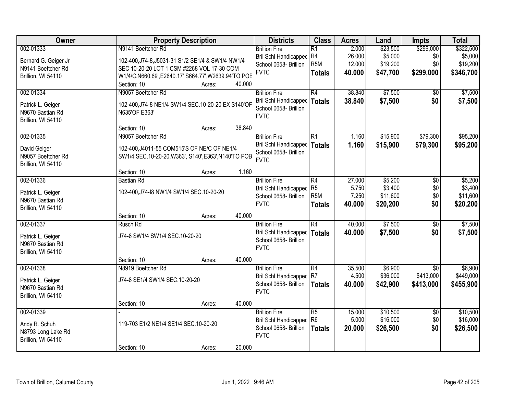| Owner                |                                                       | <b>Property Description</b> |        | <b>Districts</b>                                      | <b>Class</b>     | <b>Acres</b> | Land     | <b>Impts</b>    | <b>Total</b> |
|----------------------|-------------------------------------------------------|-----------------------------|--------|-------------------------------------------------------|------------------|--------------|----------|-----------------|--------------|
| 002-01333            | N9141 Boettcher Rd                                    |                             |        | <b>Brillion Fire</b>                                  | $\overline{R1}$  | 2.000        | \$23,500 | \$299,000       | \$322,500    |
| Bernard G. Geiger Jr | 102-400, J74-8, J5031-31 S1/2 SE1/4 & SW1/4 NW1/4     |                             |        | <b>Bril Schl Handicapped</b>                          | R4               | 26.000       | \$5,000  | \$0             | \$5,000      |
| N9141 Boettcher Rd   | SEC 10-20-20 LOT 1 CSM #2268 VOL 17-30 COM            |                             |        | School 0658- Brillion                                 | R <sub>5</sub> M | 12.000       | \$19,200 | \$0             | \$19,200     |
| Brillion, WI 54110   | W1/4/C, N660.69', E2640.17' S664.77', W2639.94'TO POB |                             |        | <b>FVTC</b>                                           | <b>Totals</b>    | 40.000       | \$47,700 | \$299,000       | \$346,700    |
|                      | Section: 10                                           | Acres:                      | 40.000 |                                                       |                  |              |          |                 |              |
| 002-01334            | N9057 Boettcher Rd                                    |                             |        | <b>Brillion Fire</b>                                  | R4               | 38.840       | \$7,500  | \$0             | \$7,500      |
| Patrick L. Geiger    | 102-400, J74-8 NE1/4 SW1/4 SEC. 10-20-20 EX S140'OF   |                             |        | <b>Bril Schl Handicapped</b>                          | <b>Totals</b>    | 38.840       | \$7,500  | \$0             | \$7,500      |
| N9670 Bastian Rd     | N635'OF E363'                                         |                             |        | School 0658- Brillion                                 |                  |              |          |                 |              |
| Brillion, WI 54110   |                                                       |                             |        | <b>FVTC</b>                                           |                  |              |          |                 |              |
|                      | Section: 10                                           | Acres:                      | 38.840 |                                                       |                  |              |          |                 |              |
| 002-01335            | N9057 Boettcher Rd                                    |                             |        | <b>Brillion Fire</b>                                  | $\overline{R1}$  | 1.160        | \$15,900 | \$79,300        | \$95,200     |
| David Geiger         | 102-400, J4011-55 COM515'S OF NE/C OF NE1/4           |                             |        | <b>Bril Schl Handicapped</b>                          | <b>Totals</b>    | 1.160        | \$15,900 | \$79,300        | \$95,200     |
| N9057 Boettcher Rd   | SW1/4 SEC.10-20-20, W363', S140', E363', N140'TO POB  |                             |        | School 0658- Brillion                                 |                  |              |          |                 |              |
| Brillion, WI 54110   |                                                       |                             |        | <b>FVTC</b>                                           |                  |              |          |                 |              |
|                      | Section: 10                                           | Acres:                      | 1.160  |                                                       |                  |              |          |                 |              |
| 002-01336            | <b>Bastian Rd</b>                                     |                             |        | <b>Brillion Fire</b>                                  | R4               | 27.000       | \$5,200  | \$0             | \$5,200      |
| Patrick L. Geiger    | 102-400, J74-I8 NW1/4 SW1/4 SEC. 10-20-20             |                             |        | <b>Bril Schl Handicapped</b>                          | R <sub>5</sub>   | 5.750        | \$3,400  | \$0             | \$3,400      |
| N9670 Bastian Rd     |                                                       |                             |        | School 0658- Brillion                                 | R <sub>5</sub> M | 7.250        | \$11,600 | \$0             | \$11,600     |
| Brillion, WI 54110   |                                                       |                             |        | <b>FVTC</b>                                           | <b>Totals</b>    | 40.000       | \$20,200 | \$0             | \$20,200     |
|                      | Section: 10                                           | Acres:                      | 40.000 |                                                       |                  |              |          |                 |              |
| 002-01337            | Rusch Rd                                              |                             |        | <b>Brillion Fire</b>                                  | $\overline{R4}$  | 40.000       | \$7,500  | $\overline{50}$ | \$7,500      |
| Patrick L. Geiger    | J74-8 SW1/4 SW1/4 SEC.10-20-20                        |                             |        | <b>Bril Schl Handicapped</b>                          | <b>Totals</b>    | 40.000       | \$7,500  | \$0             | \$7,500      |
| N9670 Bastian Rd     |                                                       |                             |        | School 0658- Brillion<br><b>FVTC</b>                  |                  |              |          |                 |              |
| Brillion, WI 54110   |                                                       |                             |        |                                                       |                  |              |          |                 |              |
|                      | Section: 10                                           | Acres:                      | 40.000 |                                                       |                  |              |          |                 |              |
| 002-01338            | N8919 Boettcher Rd                                    |                             |        | <b>Brillion Fire</b>                                  | $\overline{R4}$  | 35.500       | \$6,900  | $\overline{50}$ | \$6,900      |
| Patrick L. Geiger    | J74-8 SE1/4 SW1/4 SEC.10-20-20                        |                             |        | Bril Schl Handicapped R7                              |                  | 4.500        | \$36,000 | \$413,000       | \$449,000    |
| N9670 Bastian Rd     |                                                       |                             |        | School 0658- Brillion<br><b>FVTC</b>                  | <b>Totals</b>    | 40,000       | \$42,900 | \$413,000       | \$455,900    |
| Brillion, WI 54110   |                                                       |                             |        |                                                       |                  |              |          |                 |              |
|                      | Section: 10                                           | Acres:                      | 40.000 |                                                       |                  |              |          |                 |              |
| 002-01339            |                                                       |                             |        | <b>Brillion Fire</b>                                  | $\overline{R5}$  | 15.000       | \$10,500 | $\overline{50}$ | \$10,500     |
| Andy R. Schuh        | 119-703 E1/2 NE1/4 SE1/4 SEC.10-20-20                 |                             |        | <b>Bril Schl Handicapped</b><br>School 0658- Brillion | R <sub>6</sub>   | 5.000        | \$16,000 | \$0             | \$16,000     |
| N8793 Long Lake Rd   |                                                       |                             |        | <b>FVTC</b>                                           | <b>Totals</b>    | 20.000       | \$26,500 | \$0             | \$26,500     |
| Brillion, WI 54110   |                                                       |                             |        |                                                       |                  |              |          |                 |              |
|                      | Section: 10                                           | Acres:                      | 20.000 |                                                       |                  |              |          |                 |              |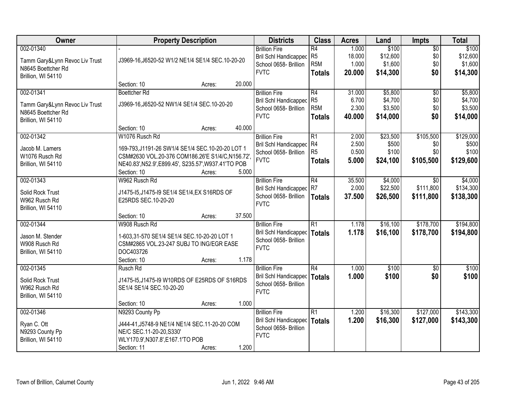| Owner                             |                                                                           | <b>Property Description</b> |        | <b>Districts</b>               | <b>Class</b>     | <b>Acres</b> | Land     | <b>Impts</b>    | <b>Total</b> |
|-----------------------------------|---------------------------------------------------------------------------|-----------------------------|--------|--------------------------------|------------------|--------------|----------|-----------------|--------------|
| 002-01340                         |                                                                           |                             |        | <b>Brillion Fire</b>           | R4               | 1.000        | \$100    | $\overline{50}$ | \$100        |
| Tamm Gary&Lynn Revoc Liv Trust    | J3969-16, J6520-52 W1/2 NE1/4 SE1/4 SEC.10-20-20                          |                             |        | Bril Schl Handicapped          | R <sub>5</sub>   | 18.000       | \$12,600 | \$0             | \$12,600     |
| N8645 Boettcher Rd                |                                                                           |                             |        | School 0658- Brillion          | R <sub>5</sub> M | 1.000        | \$1,600  | \$0             | \$1,600      |
| Brillion, WI 54110                |                                                                           |                             |        | <b>FVTC</b>                    | <b>Totals</b>    | 20.000       | \$14,300 | \$0             | \$14,300     |
|                                   | Section: 10                                                               | Acres:                      | 20.000 |                                |                  |              |          |                 |              |
| 002-01341                         | <b>Boettcher Rd</b>                                                       |                             |        | <b>Brillion Fire</b>           | R4               | 31.000       | \$5,800  | $\overline{50}$ | \$5,800      |
|                                   |                                                                           |                             |        | <b>Bril Schl Handicapped</b>   | R <sub>5</sub>   | 6.700        | \$4,700  | \$0             | \$4,700      |
| Tamm Gary&Lynn Revoc Liv Trust    | J3969-16, J6520-52 NW1/4 SE1/4 SEC. 10-20-20                              |                             |        | School 0658- Brillion          | R <sub>5</sub> M | 2.300        | \$3,500  | \$0             | \$3,500      |
| N8645 Boettcher Rd                |                                                                           |                             |        | <b>FVTC</b>                    | <b>Totals</b>    | 40.000       | \$14,000 | \$0             | \$14,000     |
| Brillion, WI 54110                | Section: 10                                                               | Acres:                      | 40.000 |                                |                  |              |          |                 |              |
| 002-01342                         | W1076 Rusch Rd                                                            |                             |        | <b>Brillion Fire</b>           | R1               | 2.000        | \$23,500 | \$105,500       | \$129,000    |
|                                   |                                                                           |                             |        | Bril Schl Handicapped R4       |                  | 2.500        | \$500    | \$0             | \$500        |
| Jacob M. Lamers                   | 169-793, J1191-26 SW1/4 SE1/4 SEC.10-20-20 LOT 1                          |                             |        | School 0658- Brillion          | R <sub>5</sub>   | 0.500        | \$100    | \$0             | \$100        |
| W1076 Rusch Rd                    | CSM#2630 VOL.20-376 COM186.26'E S1/4/C,N156.72',                          |                             |        | <b>FVTC</b>                    | <b>Totals</b>    | 5.000        | \$24,100 | \$105,500       | \$129,600    |
| Brillion, WI 54110                | NE40.83', N52.9', E899.45', S235.57', W937.41'TO POB                      |                             |        |                                |                  |              |          |                 |              |
|                                   | Section: 10                                                               | Acres:                      | 5.000  |                                |                  |              |          |                 |              |
| 002-01343                         | W962 Rusch Rd                                                             |                             |        | <b>Brillion Fire</b>           | R4               | 35.500       | \$4,000  | $\overline{30}$ | \$4,000      |
| Solid Rock Trust                  | J1475-15, J1475-19 SE1/4 SE1/4, EX S16RDS OF                              |                             |        | Bril Schl Handicapped          | R7               | 2.000        | \$22,500 | \$111,800       | \$134,300    |
| W962 Rusch Rd                     | E25RDS SEC.10-20-20                                                       |                             |        | School 0658- Brillion          | <b>Totals</b>    | 37.500       | \$26,500 | \$111,800       | \$138,300    |
| Brillion, WI 54110                |                                                                           |                             |        | <b>FVTC</b>                    |                  |              |          |                 |              |
|                                   | Section: 10                                                               | Acres:                      | 37.500 |                                |                  |              |          |                 |              |
| 002-01344                         | W908 Rusch Rd                                                             |                             |        | <b>Brillion Fire</b>           | $\overline{R1}$  | 1.178        | \$16,100 | \$178,700       | \$194,800    |
| Jason M. Stender                  | 1-603.31-570 SE1/4 SE1/4 SEC.10-20-20 LOT 1                               |                             |        | Bril Schl Handicapped   Totals |                  | 1.178        | \$16,100 | \$178,700       | \$194,800    |
| W908 Rusch Rd                     | CSM#2865 VOL.23-247 SUBJ TO ING/EGR EASE                                  |                             |        | School 0658- Brillion          |                  |              |          |                 |              |
| Brillion, WI 54110                | DOC403726                                                                 |                             |        | <b>FVTC</b>                    |                  |              |          |                 |              |
|                                   | Section: 10                                                               | Acres:                      | 1.178  |                                |                  |              |          |                 |              |
| 002-01345                         | Rusch Rd                                                                  |                             |        | <b>Brillion Fire</b>           | R4               | 1.000        | \$100    | $\sqrt{6}$      | \$100        |
|                                   |                                                                           |                             |        | Bril Schl Handicapped   Totals |                  | 1.000        | \$100    | \$0             | \$100        |
| Solid Rock Trust<br>W962 Rusch Rd | J1475-15, J1475-19 W10RDS OF E25RDS OF S16RDS<br>SE1/4 SE1/4 SEC.10-20-20 |                             |        | School 0658- Brillion          |                  |              |          |                 |              |
| Brillion, WI 54110                |                                                                           |                             |        | <b>FVTC</b>                    |                  |              |          |                 |              |
|                                   | Section: 10                                                               | Acres:                      | 1.000  |                                |                  |              |          |                 |              |
| 002-01346                         | N9293 County Pp                                                           |                             |        | <b>Brillion Fire</b>           | R1               | 1.200        | \$16,300 | \$127,000       | \$143,300    |
|                                   |                                                                           |                             |        | <b>Bril Schl Handicapped</b>   | Totals           | 1.200        | \$16,300 | \$127,000       | \$143,300    |
| Ryan C. Ott                       | J444-41, J5748-9 NE1/4 NE1/4 SEC.11-20-20 COM                             |                             |        | School 0658- Brillion          |                  |              |          |                 |              |
| N9293 County Pp                   | NE/C SEC.11-20-20, S330'                                                  |                             |        | <b>FVTC</b>                    |                  |              |          |                 |              |
| Brillion, WI 54110                | WLY170.9', N307.8', E167.1'TO POB                                         |                             |        |                                |                  |              |          |                 |              |
|                                   | Section: 11                                                               | Acres:                      | 1.200  |                                |                  |              |          |                 |              |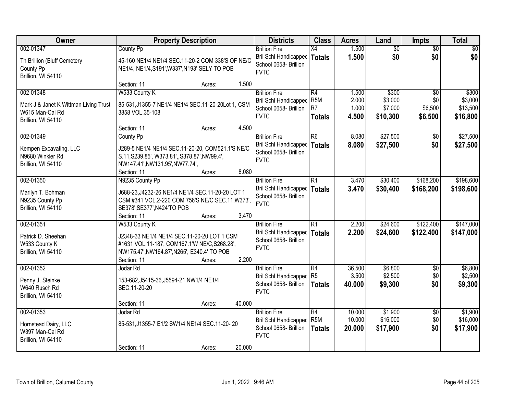| Owner                                                                      | <b>Property Description</b>                                                                                                                               |                  | <b>Districts</b>                                                                      | <b>Class</b>                             | <b>Acres</b>               | Land                            | <b>Impts</b>                      | <b>Total</b>                    |
|----------------------------------------------------------------------------|-----------------------------------------------------------------------------------------------------------------------------------------------------------|------------------|---------------------------------------------------------------------------------------|------------------------------------------|----------------------------|---------------------------------|-----------------------------------|---------------------------------|
| 002-01347                                                                  | County Pp                                                                                                                                                 |                  | <b>Brillion Fire</b>                                                                  | X4                                       | 1.500                      | $\overline{50}$                 | $\overline{50}$                   | $\overline{30}$                 |
| Tn Brillion (Bluff Cemetery<br>County Pp<br>Brillion, WI 54110             | 45-160 NE1/4 NE1/4 SEC.11-20-2 COM 338'S OF NE/C<br>NE1/4, NE1/4, S191', W337', N193' SELY TO POB                                                         |                  | Bril Schl Handicapped<br>School 0658- Brillion<br><b>FVTC</b>                         | <b>Totals</b>                            | 1.500                      | \$0                             | \$0                               | \$0                             |
|                                                                            | Section: 11                                                                                                                                               | 1.500<br>Acres:  |                                                                                       |                                          |                            |                                 |                                   |                                 |
| 002-01348<br>Mark J & Janet K Wittman Living Trust<br>W615 Man-Cal Rd      | W533 County K<br>85-531, J1355-7 NE1/4 NE1/4 SEC.11-20-20Lot 1, CSM                                                                                       |                  | <b>Brillion Fire</b><br>Bril Schl Handicapped<br>School 0658- Brillion                | R4<br>R <sub>5</sub> M<br>R <sub>7</sub> | 1.500<br>2.000<br>1.000    | \$300<br>\$3,000<br>\$7,000     | $\overline{30}$<br>\$0<br>\$6,500 | \$300<br>\$3,000<br>\$13,500    |
| Brillion, WI 54110                                                         | 3858 VOL.35-108                                                                                                                                           |                  | <b>FVTC</b>                                                                           | <b>Totals</b>                            | 4.500                      | \$10,300                        | \$6,500                           | \$16,800                        |
|                                                                            | Section: 11                                                                                                                                               | 4.500<br>Acres:  |                                                                                       |                                          |                            |                                 |                                   |                                 |
| 002-01349                                                                  | County Pp                                                                                                                                                 |                  | <b>Brillion Fire</b>                                                                  | R6                                       | 8.080                      | \$27,500                        | \$0                               | \$27,500                        |
| Kempen Excavating, LLC<br>N9680 Winkler Rd<br>Brillion, WI 54110           | J289-5 NE1/4 NE1/4 SEC.11-20-20, COM521.1'S NE/C<br>S.11, S239.85', W373.81', S378.87', NW99.4',<br>NW147.41', NW131.95', NW77.74',                       |                  | Bril Schl Handicapped<br>School 0658- Brillion<br><b>FVTC</b>                         | <b>Totals</b>                            | 8.080                      | \$27,500                        | \$0                               | \$27,500                        |
|                                                                            | Section: 11                                                                                                                                               | 8.080<br>Acres:  |                                                                                       |                                          |                            |                                 |                                   |                                 |
| 002-01350                                                                  | N9235 County Pp                                                                                                                                           |                  | <b>Brillion Fire</b>                                                                  | R1                                       | 3.470                      | \$30,400                        | \$168,200                         | \$198,600                       |
| Marilyn T. Bohman<br>N9235 County Pp<br>Brillion, WI 54110                 | J688-23, J4232-26 NE1/4 NE1/4 SEC.11-20-20 LOT 1<br>CSM #341 VOL.2-220 COM 756'S NE/C SEC.11, W373',<br>SE378', SE377', N424'TO POB<br>Section: 11        | 3.470            | Bril Schl Handicapped<br>School 0658- Brillion<br><b>FVTC</b>                         | Totals                                   | 3.470                      | \$30,400                        | \$168,200                         | \$198,600                       |
| 002-01351                                                                  | W533 County K                                                                                                                                             | Acres:           | <b>Brillion Fire</b>                                                                  | $\overline{R1}$                          | 2.200                      | \$24,600                        | \$122,400                         | \$147,000                       |
| Patrick D. Sheehan<br>W533 County K<br>Brillion, WI 54110                  | J2348-33 NE1/4 NE1/4 SEC.11-20-20 LOT 1 CSM<br>#1631 VOL.11-187, COM167.1'W NE/C, S268.28',<br>NW175.47', NW164.87', N265', E340.4' TO POB<br>Section: 11 | 2.200<br>Acres:  | Bril Schl Handicapped   Totals<br>School 0658- Brillion<br><b>FVTC</b>                |                                          | 2.200                      | \$24,600                        | \$122,400                         | \$147,000                       |
| 002-01352                                                                  | Jodar Rd                                                                                                                                                  |                  | <b>Brillion Fire</b>                                                                  | R4                                       | 36.500                     | \$6,800                         | $\overline{50}$                   | \$6,800                         |
| Penny J. Steinke<br>W640 Rusch Rd<br>Brillion, WI 54110                    | 153-682, J5415-36, J5594-21 NW1/4 NE1/4<br>SEC.11-20-20                                                                                                   |                  | Bril Schl Handicapped R5<br>School 0658- Brillion<br><b>FVTC</b>                      | Totals                                   | 3.500<br>40.000            | \$2,500<br>\$9,300              | \$0<br>\$0                        | \$2,500<br>\$9,300              |
|                                                                            | Section: 11                                                                                                                                               | 40.000<br>Acres: |                                                                                       |                                          |                            |                                 |                                   |                                 |
| 002-01353<br>Hornstead Dairy, LLC<br>W397 Man-Cal Rd<br>Brillion, WI 54110 | Jodar Rd<br>85-531, J1355-7 E1/2 SW1/4 NE1/4 SEC.11-20-20                                                                                                 |                  | <b>Brillion Fire</b><br>Bril Schl Handicapped<br>School 0658- Brillion<br><b>FVTC</b> | R4<br>R <sub>5</sub> M<br><b>Totals</b>  | 10.000<br>10.000<br>20.000 | \$1,900<br>\$16,000<br>\$17,900 | $\overline{50}$<br>\$0<br>\$0     | \$1,900<br>\$16,000<br>\$17,900 |
|                                                                            | Section: 11                                                                                                                                               | 20.000<br>Acres: |                                                                                       |                                          |                            |                                 |                                   |                                 |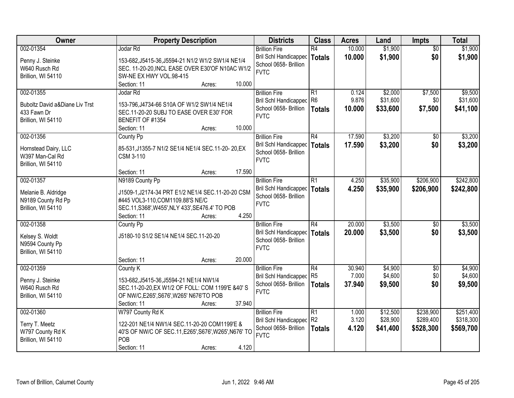| Owner                                     | <b>Property Description</b>                           | <b>Districts</b>             | <b>Class</b>    | <b>Acres</b> | Land     | <b>Impts</b>    | <b>Total</b> |
|-------------------------------------------|-------------------------------------------------------|------------------------------|-----------------|--------------|----------|-----------------|--------------|
| 002-01354                                 | Jodar Rd                                              | <b>Brillion Fire</b>         | $\overline{R4}$ | 10.000       | \$1,900  | $\overline{50}$ | \$1,900      |
| Penny J. Steinke                          | 153-682, J5415-36, J5594-21 N1/2 W1/2 SW1/4 NE1/4     | Bril Schl Handicapped        | <b>Totals</b>   | 10,000       | \$1,900  | \$0             | \$1,900      |
| W640 Rusch Rd                             | SEC. 11-20-20, INCL EASE OVER E30'OF N10AC W1/2       | School 0658- Brillion        |                 |              |          |                 |              |
| Brillion, WI 54110                        | SW-NE EX HWY VOL.98-415                               | <b>FVTC</b>                  |                 |              |          |                 |              |
|                                           | 10.000<br>Section: 11<br>Acres:                       |                              |                 |              |          |                 |              |
| 002-01355                                 | Jodar Rd                                              | <b>Brillion Fire</b>         | $\overline{R1}$ | 0.124        | \$2,000  | \$7,500         | \$9,500      |
|                                           |                                                       | <b>Bril Schl Handicapped</b> | R <sub>6</sub>  | 9.876        | \$31,600 | \$0             | \$31,600     |
| <b>Buboltz David a&amp;Diane Liv Trst</b> | 153-796, J4734-66 S10A OF W1/2 SW1/4 NE1/4            | School 0658- Brillion        | <b>Totals</b>   | 10.000       | \$33,600 | \$7,500         | \$41,100     |
| 433 Fawn Dr                               | SEC.11-20-20 SUBJ TO EASE OVER E30' FOR               | <b>FVTC</b>                  |                 |              |          |                 |              |
| Brillion, WI 54110                        | BENEFIT OF #1354                                      |                              |                 |              |          |                 |              |
|                                           | 10.000<br>Section: 11<br>Acres:                       |                              |                 |              |          |                 |              |
| 002-01356                                 | County Pp                                             | <b>Brillion Fire</b>         | R4              | 17.590       | \$3,200  | \$0             | \$3,200      |
| Hornstead Dairy, LLC                      | 85-531, J1355-7 N1/2 SE1/4 NE1/4 SEC.11-20-20, EX     | <b>Bril Schl Handicapped</b> | Totals          | 17.590       | \$3,200  | \$0             | \$3,200      |
| W397 Man-Cal Rd                           | <b>CSM 3-110</b>                                      | School 0658- Brillion        |                 |              |          |                 |              |
| Brillion, WI 54110                        |                                                       | <b>FVTC</b>                  |                 |              |          |                 |              |
|                                           | 17.590<br>Section: 11<br>Acres:                       |                              |                 |              |          |                 |              |
| 002-01357                                 | N9189 County Pp                                       | <b>Brillion Fire</b>         | R1              | 4.250        | \$35,900 | \$206,900       | \$242,800    |
|                                           |                                                       | Bril Schl Handicapped        | <b>Totals</b>   | 4.250        | \$35,900 | \$206,900       | \$242,800    |
| Melanie B. Aldridge                       | J1509-1, J2174-34 PRT E1/2 NE1/4 SEC.11-20-20 CSM     | School 0658- Brillion        |                 |              |          |                 |              |
| N9189 County Rd Pp                        | #445 VOL3-110, COM1109.88'S NE/C                      | <b>FVTC</b>                  |                 |              |          |                 |              |
| Brillion, WI 54110                        | SEC.11, S368', W455', NLY 433', SE476.4' TO POB       |                              |                 |              |          |                 |              |
|                                           | 4.250<br>Section: 11<br>Acres:                        |                              |                 |              |          |                 |              |
| 002-01358                                 | <b>County Pp</b>                                      | <b>Brillion Fire</b>         | $\overline{R4}$ | 20.000       | \$3,500  | \$0             | \$3,500      |
| Kelsey S. Woldt                           | J5180-10 S1/2 SE1/4 NE1/4 SEC.11-20-20                | Bril Schl Handicapped        | Totals          | 20,000       | \$3,500  | \$0             | \$3,500      |
| N9594 County Pp                           |                                                       | School 0658- Brillion        |                 |              |          |                 |              |
| Brillion, WI 54110                        |                                                       | <b>FVTC</b>                  |                 |              |          |                 |              |
|                                           | 20.000<br>Section: 11<br>Acres:                       |                              |                 |              |          |                 |              |
| 002-01359                                 | County K                                              | <b>Brillion Fire</b>         | R4              | 30.940       | \$4,900  | \$0             | \$4,900      |
|                                           |                                                       | Bril Schl Handicapped        | R5              | 7.000        | \$4,600  | \$0             | \$4,600      |
| Penny J. Steinke                          | 153-682, J5415-36, J5594-21 NE1/4 NW1/4               | School 0658- Brillion        | <b>Totals</b>   | 37.940       | \$9,500  | \$0             | \$9,500      |
| W640 Rusch Rd                             | SEC.11-20-20, EX W1/2 OF FOLL: COM 1199'E &40' S      | <b>FVTC</b>                  |                 |              |          |                 |              |
| Brillion, WI 54110                        | OF NW/C, E265', S676', W265' N676'TO POB              |                              |                 |              |          |                 |              |
|                                           | 37.940<br>Section: 11<br>Acres:                       |                              |                 |              |          |                 |              |
| 002-01360                                 | W797 County Rd K                                      | <b>Brillion Fire</b>         | $\overline{R1}$ | 1.000        | \$12,500 | \$238,900       | \$251,400    |
| Terry T. Meetz                            | 122-201 NE1/4 NW1/4 SEC.11-20-20 COM1199'E &          | <b>Bril Schl Handicapped</b> | R2              | 3.120        | \$28,900 | \$289,400       | \$318,300    |
| W797 County Rd K                          | 40'S OF NW/C OF SEC.11, E265', S676', W265', N676' TO | School 0658- Brillion        | <b>Totals</b>   | 4.120        | \$41,400 | \$528,300       | \$569,700    |
| Brillion, WI 54110                        | POB                                                   | <b>FVTC</b>                  |                 |              |          |                 |              |
|                                           | 4.120<br>Section: 11<br>Acres:                        |                              |                 |              |          |                 |              |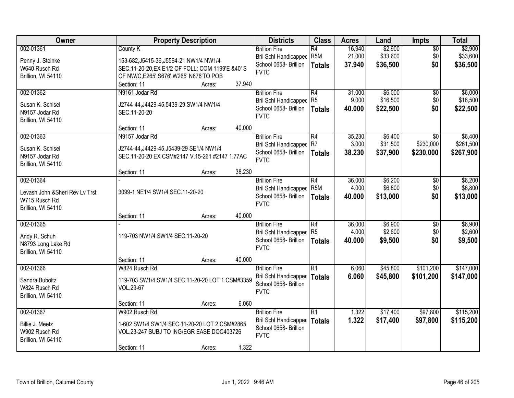| Owner                           | <b>Property Description</b>                      |        |        | <b>Districts</b>               | <b>Class</b>    | <b>Acres</b> | Land     | <b>Impts</b>    | <b>Total</b> |
|---------------------------------|--------------------------------------------------|--------|--------|--------------------------------|-----------------|--------------|----------|-----------------|--------------|
| 002-01361                       | County K                                         |        |        | <b>Brillion Fire</b>           | $\overline{R4}$ | 16.940       | \$2,900  | $\overline{50}$ | \$2,900      |
| Penny J. Steinke                | 153-682, J5415-36, J5594-21 NW1/4 NW1/4          |        |        | Bril Schl Handicapped          | R <sub>5M</sub> | 21.000       | \$33,600 | \$0             | \$33,600     |
| W640 Rusch Rd                   | SEC.11-20-20, EX E1/2 OF FOLL: COM 1199'E &40' S |        |        | School 0658- Brillion          | Totals          | 37.940       | \$36,500 | \$0             | \$36,500     |
| Brillion, WI 54110              | OF NW/C, E265', S676', W265' N676'TO POB         |        |        | <b>FVTC</b>                    |                 |              |          |                 |              |
|                                 | Section: 11                                      | Acres: | 37.940 |                                |                 |              |          |                 |              |
| 002-01362                       | N9161 Jodar Rd                                   |        |        | <b>Brillion Fire</b>           | R4              | 31.000       | \$6,000  | $\overline{50}$ | \$6,000      |
| Susan K. Schisel                | J2744-44, J4429-45, 5439-29 SW1/4 NW1/4          |        |        | <b>Bril Schl Handicapped</b>   | R <sub>5</sub>  | 9.000        | \$16,500 | \$0             | \$16,500     |
| N9157 Jodar Rd                  | SEC.11-20-20                                     |        |        | School 0658- Brillion          | <b>Totals</b>   | 40.000       | \$22,500 | \$0             | \$22,500     |
| Brillion, WI 54110              |                                                  |        |        | <b>FVTC</b>                    |                 |              |          |                 |              |
|                                 | Section: 11                                      | Acres: | 40.000 |                                |                 |              |          |                 |              |
| 002-01363                       | N9157 Jodar Rd                                   |        |        | <b>Brillion Fire</b>           | R4              | 35.230       | \$6,400  | \$0             | \$6,400      |
| Susan K. Schisel                | J2744-44, J4429-45, J5439-29 SE1/4 NW1/4         |        |        | Bril Schl Handicapped          | R7              | 3.000        | \$31,500 | \$230,000       | \$261,500    |
| N9157 Jodar Rd                  | SEC.11-20-20 EX CSM#2147 V.15-261 #2147 1.77AC   |        |        | School 0658- Brillion          | Totals          | 38.230       | \$37,900 | \$230,000       | \$267,900    |
| Brillion, WI 54110              |                                                  |        |        | <b>FVTC</b>                    |                 |              |          |                 |              |
|                                 | Section: 11                                      | Acres: | 38.230 |                                |                 |              |          |                 |              |
| 002-01364                       |                                                  |        |        | <b>Brillion Fire</b>           | R4              | 36.000       | \$6,200  | \$0             | \$6,200      |
| Levash John & Sheri Rev Lv Trst | 3099-1 NE1/4 SW1/4 SEC.11-20-20                  |        |        | <b>Bril Schl Handicapped</b>   | R <sub>5M</sub> | 4.000        | \$6,800  | \$0             | \$6,800      |
| W715 Rusch Rd                   |                                                  |        |        | School 0658- Brillion          | <b>Totals</b>   | 40.000       | \$13,000 | \$0             | \$13,000     |
| Brillion, WI 54110              |                                                  |        |        | <b>FVTC</b>                    |                 |              |          |                 |              |
|                                 | Section: 11                                      | Acres: | 40.000 |                                |                 |              |          |                 |              |
| 002-01365                       |                                                  |        |        | <b>Brillion Fire</b>           | R4              | 36.000       | \$6,900  | $\overline{50}$ | \$6,900      |
| Andy R. Schuh                   | 119-703 NW1/4 SW1/4 SEC.11-20-20                 |        |        | <b>Bril Schl Handicapped</b>   | R <sub>5</sub>  | 4.000        | \$2,600  | \$0             | \$2,600      |
| N8793 Long Lake Rd              |                                                  |        |        | School 0658- Brillion          | Totals          | 40.000       | \$9,500  | \$0             | \$9,500      |
| Brillion, WI 54110              |                                                  |        |        | <b>FVTC</b>                    |                 |              |          |                 |              |
|                                 | Section: 11                                      | Acres: | 40.000 |                                |                 |              |          |                 |              |
| 002-01366                       | W824 Rusch Rd                                    |        |        | <b>Brillion Fire</b>           | $\overline{R1}$ | 6.060        | \$45,800 | \$101,200       | \$147,000    |
| Sandra Buboltz                  | 119-703 SW1/4 SW1/4 SEC.11-20-20 LOT 1 CSM#3359  |        |        | Bril Schl Handicapped   Totals |                 | 6.060        | \$45,800 | \$101,200       | \$147,000    |
| W824 Rusch Rd                   | VOL.29-67                                        |        |        | School 0658- Brillion          |                 |              |          |                 |              |
| Brillion, WI 54110              |                                                  |        |        | <b>FVTC</b>                    |                 |              |          |                 |              |
|                                 | Section: 11                                      | Acres: | 6.060  |                                |                 |              |          |                 |              |
| 002-01367                       | W902 Rusch Rd                                    |        |        | <b>Brillion Fire</b>           | R1              | 1.322        | \$17,400 | \$97,800        | \$115,200    |
| Billie J. Meetz                 | 1-602 SW1/4 SW1/4 SEC.11-20-20 LOT 2 CSM#2865    |        |        | Bril Schl Handicapped          | <b>Totals</b>   | 1.322        | \$17,400 | \$97,800        | \$115,200    |
| W902 Rusch Rd                   | VOL.23-247 SUBJ TO ING/EGR EASE DOC403726        |        |        | School 0658- Brillion          |                 |              |          |                 |              |
| Brillion, WI 54110              |                                                  |        |        | <b>FVTC</b>                    |                 |              |          |                 |              |
|                                 | Section: 11                                      | Acres: | 1.322  |                                |                 |              |          |                 |              |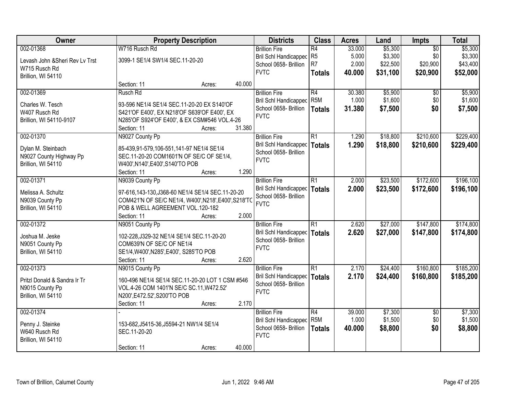| Owner                              |                                                                                           | <b>Property Description</b> |        | <b>Districts</b>             | <b>Class</b>     | <b>Acres</b> | Land     | Impts           | <b>Total</b> |
|------------------------------------|-------------------------------------------------------------------------------------------|-----------------------------|--------|------------------------------|------------------|--------------|----------|-----------------|--------------|
| 002-01368                          | W716 Rusch Rd                                                                             |                             |        | <b>Brillion Fire</b>         | $\overline{R4}$  | 33.000       | \$5,300  | $\overline{50}$ | \$5,300      |
| Levash John & Sheri Rev Lv Trst    | 3099-1 SE1/4 SW1/4 SEC.11-20-20                                                           |                             |        | <b>Bril Schl Handicapped</b> | R <sub>5</sub>   | 5.000        | \$3,300  | \$0             | \$3,300      |
| W715 Rusch Rd                      |                                                                                           |                             |        | School 0658- Brillion        | R <sub>7</sub>   | 2.000        | \$22,500 | \$20,900        | \$43,400     |
| Brillion, WI 54110                 |                                                                                           |                             |        | <b>FVTC</b>                  | <b>Totals</b>    | 40.000       | \$31,100 | \$20,900        | \$52,000     |
|                                    | Section: 11                                                                               | Acres:                      | 40.000 |                              |                  |              |          |                 |              |
| 002-01369                          | Rusch Rd                                                                                  |                             |        | <b>Brillion Fire</b>         | R4               | 30.380       | \$5,900  | $\overline{30}$ | \$5,900      |
|                                    |                                                                                           |                             |        | <b>Bril Schl Handicapped</b> | R <sub>5</sub> M | 1.000        | \$1,600  | \$0             | \$1,600      |
| Charles W. Tesch<br>W407 Rusch Rd  | 93-596 NE1/4 SE1/4 SEC.11-20-20 EX S140'OF<br>S421'OF E400', EX N218'OF S639'OF E400', EX |                             |        | School 0658- Brillion        | <b>Totals</b>    | 31.380       | \$7,500  | \$0             | \$7,500      |
| Brillion, WI 54110-9107            | N285'OF S924'OF E400', & EX CSM#546 VOL.4-26                                              |                             |        | <b>FVTC</b>                  |                  |              |          |                 |              |
|                                    | Section: 11                                                                               | Acres:                      | 31.380 |                              |                  |              |          |                 |              |
| 002-01370                          | N9027 County Pp                                                                           |                             |        | <b>Brillion Fire</b>         | $\overline{R1}$  | 1.290        | \$18,800 | \$210,600       | \$229,400    |
|                                    |                                                                                           |                             |        | <b>Bril Schl Handicapped</b> | <b>Totals</b>    | 1.290        | \$18,800 | \$210,600       | \$229,400    |
| Dylan M. Steinbach                 | 85-439,91-579,106-551,141-97 NE1/4 SE1/4                                                  |                             |        | School 0658- Brillion        |                  |              |          |                 |              |
| N9027 County Highway Pp            | SEC.11-20-20 COM1601'N OF SE/C OF SE1/4,                                                  |                             |        | <b>FVTC</b>                  |                  |              |          |                 |              |
| Brillion, WI 54110                 | W400', N140', E400', S140'TO POB                                                          |                             |        |                              |                  |              |          |                 |              |
|                                    | Section: 11                                                                               | Acres:                      | 1.290  |                              |                  |              |          |                 |              |
| 002-01371                          | N9039 County Pp                                                                           |                             |        | <b>Brillion Fire</b>         | $\overline{R1}$  | 2.000        | \$23,500 | \$172,600       | \$196,100    |
| Melissa A. Schultz                 | 97-616,143-130,J368-60 NE1/4 SE1/4 SEC.11-20-20                                           |                             |        | <b>Bril Schl Handicapped</b> | <b>Totals</b>    | 2.000        | \$23,500 | \$172,600       | \$196,100    |
| N9039 County Pp                    | COM421'N OF SE/C NE1/4, W400', N218', E400', S218'TO                                      |                             |        | School 0658- Brillion        |                  |              |          |                 |              |
| Brillion, WI 54110                 | POB & WELL AGREEMENT VOL.120-182                                                          |                             |        | <b>FVTC</b>                  |                  |              |          |                 |              |
|                                    | Section: 11                                                                               | Acres:                      | 2.000  |                              |                  |              |          |                 |              |
| 002-01372                          | N9051 County Pp                                                                           |                             |        | <b>Brillion Fire</b>         | $\overline{R1}$  | 2.620        | \$27,000 | \$147,800       | \$174,800    |
|                                    |                                                                                           |                             |        | <b>Bril Schl Handicapped</b> | <b>Totals</b>    | 2.620        | \$27,000 | \$147,800       | \$174,800    |
| Joshua M. Jeske<br>N9051 County Pp | 102-228, J329-32 NE1/4 SE1/4 SEC. 11-20-20<br>COM639'N OF SE/C OF NE1/4                   |                             |        | School 0658- Brillion        |                  |              |          |                 |              |
| Brillion, WI 54110                 | SE1/4, W400', N285', E400', S285'TO POB                                                   |                             |        | <b>FVTC</b>                  |                  |              |          |                 |              |
|                                    | Section: 11                                                                               | Acres:                      | 2.620  |                              |                  |              |          |                 |              |
| 002-01373                          | N9015 County Pp                                                                           |                             |        | <b>Brillion Fire</b>         | $\overline{R1}$  | 2.170        | \$24,400 | \$160,800       | \$185,200    |
|                                    |                                                                                           |                             |        | Bril Schl Handicapped        | <b>Totals</b>    | 2.170        | \$24,400 | \$160,800       | \$185,200    |
| Pritzl Donald & Sandra Ir Tr       | 160-496 NE1/4 SE1/4 SEC.11-20-20 LOT 1 CSM #546                                           |                             |        | School 0658- Brillion        |                  |              |          |                 |              |
| N9015 County Pp                    | VOL.4-26 COM 1401'N SE/C SC.11, W472.52'                                                  |                             |        | <b>FVTC</b>                  |                  |              |          |                 |              |
| Brillion, WI 54110                 | N200', E472.52', S200'TO POB                                                              |                             |        |                              |                  |              |          |                 |              |
|                                    | Section: 11                                                                               | Acres:                      | 2.170  |                              |                  |              |          |                 |              |
| 002-01374                          |                                                                                           |                             |        | <b>Brillion Fire</b>         | $\overline{R4}$  | 39.000       | \$7,300  | $\overline{50}$ | \$7,300      |
| Penny J. Steinke                   | 153-682, J5415-36, J5594-21 NW1/4 SE1/4                                                   |                             |        | <b>Bril Schl Handicapped</b> | R <sub>5</sub> M | 1.000        | \$1,500  | \$0             | \$1,500      |
| W640 Rusch Rd                      | SEC.11-20-20                                                                              |                             |        | School 0658- Brillion        | <b>Totals</b>    | 40.000       | \$8,800  | \$0             | \$8,800      |
| Brillion, WI 54110                 |                                                                                           |                             |        | <b>FVTC</b>                  |                  |              |          |                 |              |
|                                    | Section: 11                                                                               | Acres:                      | 40.000 |                              |                  |              |          |                 |              |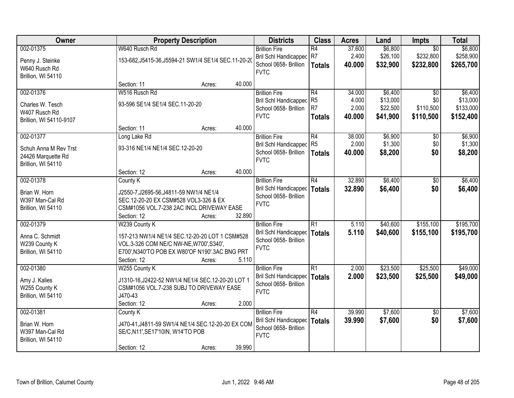| Owner                                    |                                         | <b>Property Description</b>                          |        | <b>Districts</b>                               | <b>Class</b>    | <b>Acres</b> | Land     | Impts           | <b>Total</b> |
|------------------------------------------|-----------------------------------------|------------------------------------------------------|--------|------------------------------------------------|-----------------|--------------|----------|-----------------|--------------|
| 002-01375                                | W640 Rusch Rd                           |                                                      |        | <b>Brillion Fire</b>                           | $\overline{R4}$ | 37.600       | \$6,800  | $\overline{50}$ | \$6,800      |
| Penny J. Steinke                         |                                         | 153-682, J5415-36, J5594-21 SW1/4 SE1/4 SEC.11-20-20 |        | Bril Schl Handicapped                          | R7              | 2.400        | \$26,100 | \$232,800       | \$258,900    |
| W640 Rusch Rd                            |                                         |                                                      |        | School 0658- Brillion                          | <b>Totals</b>   | 40.000       | \$32,900 | \$232,800       | \$265,700    |
| Brillion, WI 54110                       |                                         |                                                      |        | <b>FVTC</b>                                    |                 |              |          |                 |              |
|                                          | Section: 11                             | Acres:                                               | 40.000 |                                                |                 |              |          |                 |              |
| 002-01376                                | W516 Rusch Rd                           |                                                      |        | <b>Brillion Fire</b>                           | R4              | 34.000       | \$6,400  | $\overline{30}$ | \$6,400      |
| Charles W. Tesch                         | 93-596 SE1/4 SE1/4 SEC.11-20-20         |                                                      |        | <b>Bril Schl Handicapped</b>                   | R <sub>5</sub>  | 4.000        | \$13,000 | \$0             | \$13,000     |
| W407 Rusch Rd                            |                                         |                                                      |        | School 0658- Brillion                          | R <sub>7</sub>  | 2.000        | \$22,500 | \$110,500       | \$133,000    |
| Brillion, WI 54110-9107                  |                                         |                                                      |        | <b>FVTC</b>                                    | <b>Totals</b>   | 40.000       | \$41,900 | \$110,500       | \$152,400    |
|                                          | Section: 11                             | Acres:                                               | 40.000 |                                                |                 |              |          |                 |              |
| 002-01377                                | Long Lake Rd                            |                                                      |        | <b>Brillion Fire</b>                           | R4              | 38.000       | \$6,900  | $\overline{50}$ | \$6,900      |
|                                          |                                         |                                                      |        | <b>Bril Schl Handicapped</b>                   | R <sub>5</sub>  | 2.000        | \$1,300  | \$0             | \$1,300      |
| Schuh Anna M Rev Trst                    | 93-316 NE1/4 NE1/4 SEC.12-20-20         |                                                      |        | School 0658- Brillion                          | <b>Totals</b>   | 40.000       | \$8,200  | \$0             | \$8,200      |
| 24426 Marquette Rd<br>Brillion, WI 54110 |                                         |                                                      |        | <b>FVTC</b>                                    |                 |              |          |                 |              |
|                                          | Section: 12                             | Acres:                                               | 40.000 |                                                |                 |              |          |                 |              |
| 002-01378                                | County K                                |                                                      |        | <b>Brillion Fire</b>                           | $\overline{R4}$ | 32.890       | \$6,400  | \$0             | \$6,400      |
|                                          |                                         |                                                      |        | <b>Bril Schl Handicapped</b>                   | <b>Totals</b>   | 32.890       | \$6,400  | \$0             | \$6,400      |
| Brian W. Horn                            | J2550-7, J2695-56, J4811-59 NW1/4 NE1/4 |                                                      |        | School 0658- Brillion                          |                 |              |          |                 |              |
| W397 Man-Cal Rd                          | SEC.12-20-20 EX CSM#528 VOL3-326 & EX   |                                                      |        | <b>FVTC</b>                                    |                 |              |          |                 |              |
| Brillion, WI 54110                       |                                         | CSM#1056 VOL.7-238 2AC INCL DRIVEWAY EASE            |        |                                                |                 |              |          |                 |              |
| 002-01379                                | Section: 12<br>W239 County K            | Acres:                                               | 32.890 |                                                | $\overline{R1}$ | 5.110        | \$40,600 | \$155,100       | \$195,700    |
|                                          |                                         |                                                      |        | <b>Brillion Fire</b>                           |                 |              |          |                 |              |
| Anna C. Schmidt                          |                                         | 157-213 NW1/4 NE1/4 SEC.12-20-20 LOT 1 CSM#528       |        | Bril Schl Handicapped<br>School 0658- Brillion | <b>Totals</b>   | 5.110        | \$40,600 | \$155,100       | \$195,700    |
| W239 County K                            | VOL.3-326 COM NE/C NW-NE, W700', S340', |                                                      |        | <b>FVTC</b>                                    |                 |              |          |                 |              |
| Brillion, WI 54110                       |                                         | E700', N340'TO POB EX W80'OF N190'.3AC BNG PRT       |        |                                                |                 |              |          |                 |              |
|                                          | Section: 12                             | Acres:                                               | 5.110  |                                                |                 |              |          |                 |              |
| 002-01380                                | W255 County K                           |                                                      |        | <b>Brillion Fire</b>                           | R1              | 2.000        | \$23,500 | \$25,500        | \$49,000     |
| Amy J. Kalies                            |                                         | J1310-16, J2422-52 NW1/4 NE1/4 SEC.12-20-20 LOT 1    |        | Bril Schl Handicapped                          | <b>Totals</b>   | 2.000        | \$23,500 | \$25,500        | \$49,000     |
| W255 County K                            |                                         | CSM#1056 VOL.7-238 SUBJ TO DRIVEWAY EASE             |        | School 0658- Brillion                          |                 |              |          |                 |              |
| Brillion, WI 54110                       | J470-43                                 |                                                      |        | <b>FVTC</b>                                    |                 |              |          |                 |              |
|                                          | Section: 12                             | Acres:                                               | 2.000  |                                                |                 |              |          |                 |              |
| 002-01381                                | County K                                |                                                      |        | <b>Brillion Fire</b>                           | $\overline{R4}$ | 39.990       | \$7,600  | $\overline{50}$ | \$7,600      |
| Brian W. Horn                            |                                         | J470-41, J4811-59 SW1/4 NE1/4 SEC.12-20-20 EX COM    |        | Bril Schl Handicapped                          | <b>Totals</b>   | 39.990       | \$7,600  | \$0             | \$7,600      |
| W397 Man-Cal Rd                          | SE/C, N11', SE17'10IN, W14'TO POB       |                                                      |        | School 0658- Brillion                          |                 |              |          |                 |              |
| Brillion, WI 54110                       |                                         |                                                      |        | <b>FVTC</b>                                    |                 |              |          |                 |              |
|                                          | Section: 12                             | Acres:                                               | 39.990 |                                                |                 |              |          |                 |              |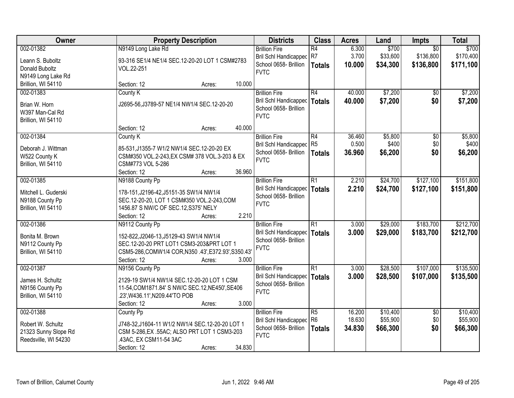| Owner                                                                          | <b>Property Description</b>                                                                                                                                                                  | <b>Districts</b>                                                                             | <b>Class</b>                           | <b>Acres</b>               | Land                             | Impts                                     | <b>Total</b>                     |
|--------------------------------------------------------------------------------|----------------------------------------------------------------------------------------------------------------------------------------------------------------------------------------------|----------------------------------------------------------------------------------------------|----------------------------------------|----------------------------|----------------------------------|-------------------------------------------|----------------------------------|
| 002-01382<br>Leann S. Buboltz<br>Donald Buboltz<br>N9149 Long Lake Rd          | N9149 Long Lake Rd<br>93-316 SE1/4 NE1/4 SEC.12-20-20 LOT 1 CSM#2783<br>VOL.22-251                                                                                                           | <b>Brillion Fire</b><br><b>Bril Schl Handicapped</b><br>School 0658- Brillion<br><b>FVTC</b> | $\overline{R4}$<br>R7<br><b>Totals</b> | 6.300<br>3.700<br>10.000   | \$700<br>\$33,600<br>\$34,300    | $\overline{50}$<br>\$136,800<br>\$136,800 | \$700<br>\$170,400<br>\$171,100  |
| Brillion, WI 54110                                                             | 10.000<br>Section: 12<br>Acres:                                                                                                                                                              |                                                                                              |                                        |                            |                                  |                                           |                                  |
| 002-01383<br>Brian W. Horn<br>W397 Man-Cal Rd<br>Brillion, WI 54110            | County K<br>J2695-56, J3789-57 NE1/4 NW1/4 SEC. 12-20-20                                                                                                                                     | <b>Brillion Fire</b><br>Bril Schl Handicapped<br>School 0658- Brillion<br><b>FVTC</b>        | R4<br><b>Totals</b>                    | 40.000<br>40.000           | \$7,200<br>\$7,200               | $\overline{50}$<br>\$0                    | \$7,200<br>\$7,200               |
|                                                                                | 40.000<br>Section: 12<br>Acres:                                                                                                                                                              |                                                                                              |                                        |                            |                                  |                                           |                                  |
| 002-01384<br>Deborah J. Wittman<br>W522 County K<br>Brillion, WI 54110         | County K<br>85-531, J1355-7 W1/2 NW1/4 SEC.12-20-20 EX<br>CSM#350 VOL.2-243, EX CSM# 378 VOL.3-203 & EX<br>CSM#773 VOL 5-286<br>36.960<br>Section: 12<br>Acres:                              | <b>Brillion Fire</b><br><b>Bril Schl Handicapped</b><br>School 0658- Brillion<br><b>FVTC</b> | R4<br>R <sub>5</sub><br><b>Totals</b>  | 36.460<br>0.500<br>36.960  | \$5,800<br>\$400<br>\$6,200      | \$0<br>\$0<br>\$0                         | \$5,800<br>\$400<br>\$6,200      |
| 002-01385<br>Mitchell L. Guderski<br>N9188 County Pp<br>Brillion, WI 54110     | N9188 County Pp<br>178-151, J2196-42, J5151-35 SW1/4 NW1/4<br>SEC.12-20-20, LOT 1 CSM#350 VOL.2-243,COM<br>1456.87 S NW/C OF SEC.12, S375' NELY<br>2.210<br>Section: 12<br>Acres:            | <b>Brillion Fire</b><br><b>Bril Schl Handicapped</b><br>School 0658- Brillion<br><b>FVTC</b> | $\overline{R1}$<br><b>Totals</b>       | 2.210<br>2.210             | \$24,700<br>\$24,700             | \$127,100<br>\$127,100                    | \$151,800<br>\$151,800           |
| 002-01386<br>Bonita M. Brown<br>N9112 County Pp<br>Brillion, WI 54110          | N9112 County Pp<br>152-822, J2046-13, J5129-43 SW1/4 NW1/4<br>SEC.12-20-20 PRT LOT1 CSM3-203&PRT LOT 1<br>CSM5-286,COMW1/4 COR,N350 .43',E372.93',S350.43'<br>Section: 12<br>3.000<br>Acres: | <b>Brillion Fire</b><br><b>Bril Schl Handicapped</b><br>School 0658- Brillion<br><b>FVTC</b> | $\overline{R1}$<br><b>Totals</b>       | 3.000<br>3.000             | \$29,000<br>\$29,000             | \$183,700<br>\$183,700                    | \$212,700<br>\$212,700           |
| 002-01387<br>James H. Schultz<br>N9156 County Pp<br>Brillion, WI 54110         | N9156 County Pp<br>2129-19 SW1/4 NW1/4 SEC.12-20-20 LOT 1 CSM<br>11-54, COM1871.84' S NW/C SEC.12, NE450', SE406<br>.23', W436.11', N209.44'TO POB<br>3.000<br>Section: 12<br>Acres:         | <b>Brillion Fire</b><br>Bril Schl Handicapped<br>School 0658- Brillion<br><b>FVTC</b>        | $\overline{R1}$<br><b>Totals</b>       | 3.000<br>3.000             | \$28,500<br>\$28,500             | \$107,000<br>\$107,000                    | \$135,500<br>\$135,500           |
| 002-01388<br>Robert W. Schultz<br>21323 Sunny Slope Rd<br>Reedsville, WI 54230 | County Pp<br>J748-32, J1604-11 W1/2 NW1/4 SEC.12-20-20 LOT 1<br>CSM 5-286, EX .55AC; ALSO PRT LOT 1 CSM3-203<br>.43AC, EX CSM11-54 3AC<br>34.830<br>Section: 12<br>Acres:                    | <b>Brillion Fire</b><br>Bril Schl Handicapped<br>School 0658- Brillion<br><b>FVTC</b>        | R5<br>R <sub>6</sub><br><b>Totals</b>  | 16.200<br>18.630<br>34.830 | \$10,400<br>\$55,900<br>\$66,300 | $\overline{30}$<br>\$0<br>\$0             | \$10,400<br>\$55,900<br>\$66,300 |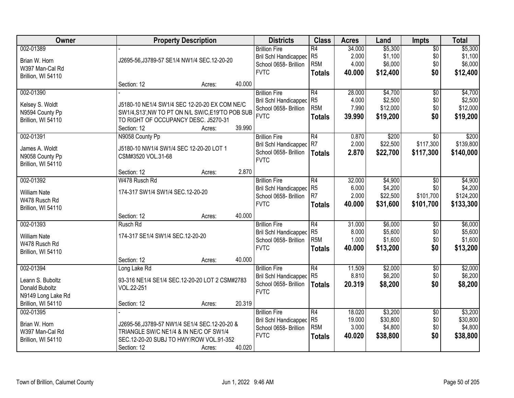| Owner               |                                                 | <b>Property Description</b> |        | <b>Districts</b>             | <b>Class</b>     | <b>Acres</b> | Land     | Impts           | <b>Total</b> |
|---------------------|-------------------------------------------------|-----------------------------|--------|------------------------------|------------------|--------------|----------|-----------------|--------------|
| 002-01389           |                                                 |                             |        | <b>Brillion Fire</b>         | R4               | 34.000       | \$5,300  | $\overline{50}$ | \$5,300      |
| Brian W. Horn       | J2695-56, J3789-57 SE1/4 NW1/4 SEC. 12-20-20    |                             |        | Bril Schl Handicapped        | R <sub>5</sub>   | 2.000        | \$1,100  | \$0             | \$1,100      |
| W397 Man-Cal Rd     |                                                 |                             |        | School 0658- Brillion        | R <sub>5</sub> M | 4.000        | \$6,000  | \$0             | \$6,000      |
| Brillion, WI 54110  |                                                 |                             |        | <b>FVTC</b>                  | <b>Totals</b>    | 40.000       | \$12,400 | \$0             | \$12,400     |
|                     | Section: 12                                     | Acres:                      | 40.000 |                              |                  |              |          |                 |              |
| 002-01390           |                                                 |                             |        | <b>Brillion Fire</b>         | R4               | 28,000       | \$4,700  | \$0             | \$4,700      |
|                     |                                                 |                             |        | <b>Bril Schl Handicapped</b> | R <sub>5</sub>   | 4.000        | \$2,500  | \$0             | \$2,500      |
| Kelsey S. Woldt     | J5180-10 NE1/4 SW1/4 SEC 12-20-20 EX COM NE/C   |                             |        | School 0658- Brillion        | R <sub>5</sub> M | 7.990        | \$12,000 | \$0             | \$12,000     |
| N9594 County Pp     | SW1/4,S13', NW TO PT ON N/L SW/C,E19'TO POB SUB |                             |        | <b>FVTC</b>                  | <b>Totals</b>    | 39.990       | \$19,200 | \$0             | \$19,200     |
| Brillion, WI 54110  | TO RIGHT OF OCCUPANCY DESC. J5270-31            |                             |        |                              |                  |              |          |                 |              |
|                     | Section: 12                                     | Acres:                      | 39.990 |                              |                  |              |          |                 |              |
| 002-01391           | N9058 County Pp                                 |                             |        | <b>Brillion Fire</b>         | R4               | 0.870        | \$200    | \$0             | \$200        |
| James A. Woldt      | J5180-10 NW1/4 SW1/4 SEC 12-20-20 LOT 1         |                             |        | Bril Schl Handicapped        | IR7              | 2.000        | \$22,500 | \$117,300       | \$139,800    |
| N9058 County Pp     | CSM#3520 VOL.31-68                              |                             |        | School 0658- Brillion        | <b>Totals</b>    | 2.870        | \$22,700 | \$117,300       | \$140,000    |
| Brillion, WI 54110  |                                                 |                             |        | <b>FVTC</b>                  |                  |              |          |                 |              |
|                     | Section: 12                                     | Acres:                      | 2.870  |                              |                  |              |          |                 |              |
| 002-01392           | W478 Rusch Rd                                   |                             |        | <b>Brillion Fire</b>         | R4               | 32.000       | \$4,900  | $\overline{50}$ | \$4,900      |
| <b>William Nate</b> | 174-317 SW1/4 SW1/4 SEC.12-20-20                |                             |        | Bril Schl Handicapped        | R <sub>5</sub>   | 6.000        | \$4,200  | \$0             | \$4,200      |
| W478 Rusch Rd       |                                                 |                             |        | School 0658- Brillion        | R7               | 2.000        | \$22,500 | \$101,700       | \$124,200    |
| Brillion, WI 54110  |                                                 |                             |        | <b>FVTC</b>                  | <b>Totals</b>    | 40.000       | \$31,600 | \$101,700       | \$133,300    |
|                     | Section: 12                                     | Acres:                      | 40.000 |                              |                  |              |          |                 |              |
| 002-01393           | Rusch Rd                                        |                             |        | <b>Brillion Fire</b>         | $\overline{R4}$  | 31.000       | \$6,000  | $\overline{50}$ | \$6,000      |
|                     |                                                 |                             |        | <b>Bril Schl Handicapped</b> | R <sub>5</sub>   | 8.000        | \$5,600  | \$0             | \$5,600      |
| <b>William Nate</b> | 174-317 SE1/4 SW1/4 SEC.12-20-20                |                             |        | School 0658- Brillion        | R <sub>5</sub> M | 1.000        | \$1,600  | \$0             | \$1,600      |
| W478 Rusch Rd       |                                                 |                             |        | <b>FVTC</b>                  | <b>Totals</b>    | 40.000       | \$13,200 | \$0             | \$13,200     |
| Brillion, WI 54110  |                                                 |                             |        |                              |                  |              |          |                 |              |
|                     | Section: 12                                     | Acres:                      | 40.000 |                              |                  |              |          |                 |              |
| 002-01394           | Long Lake Rd                                    |                             |        | <b>Brillion Fire</b>         | R4               | 11.509       | \$2,000  | $\sqrt{6}$      | \$2,000      |
| Leann S. Buboltz    | 93-316 NE1/4 SE1/4 SEC.12-20-20 LOT 2 CSM#2783  |                             |        | Bril Schl Handicapped        | R <sub>5</sub>   | 8.810        | \$6,200  | \$0             | \$6,200      |
| Donald Buboltz      | VOL.22-251                                      |                             |        | School 0658- Brillion        | <b>Totals</b>    | 20.319       | \$8,200  | \$0             | \$8,200      |
| N9149 Long Lake Rd  |                                                 |                             |        | <b>FVTC</b>                  |                  |              |          |                 |              |
| Brillion, WI 54110  | Section: 12                                     | Acres:                      | 20.319 |                              |                  |              |          |                 |              |
| 002-01395           |                                                 |                             |        | <b>Brillion Fire</b>         | R4               | 18.020       | \$3,200  | $\overline{50}$ | \$3,200      |
|                     |                                                 |                             |        | Bril Schl Handicapped        | R <sub>5</sub>   | 19.000       | \$30,800 | \$0             | \$30,800     |
| Brian W. Horn       | J2695-56, J3789-57 NW1/4 SE1/4 SEC. 12-20-20 &  |                             |        | School 0658- Brillion        | R <sub>5</sub> M | 3.000        | \$4,800  | \$0             | \$4,800      |
| W397 Man-Cal Rd     | TRIANGLE SW/C NE1/4 & IN NE/C OF SW1/4          |                             |        | <b>FVTC</b>                  | <b>Totals</b>    | 40.020       | \$38,800 | \$0             | \$38,800     |
| Brillion, WI 54110  | SEC.12-20-20 SUBJ TO HWY/ROW VOL.91-352         |                             |        |                              |                  |              |          |                 |              |
|                     | Section: 12                                     | Acres:                      | 40.020 |                              |                  |              |          |                 |              |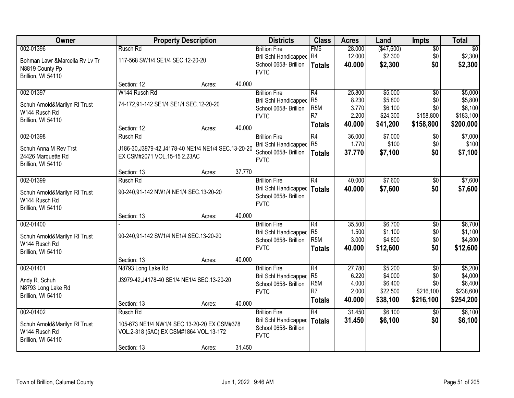| Owner                                          |                                                       | <b>Property Description</b> |        | <b>Districts</b>                               | <b>Class</b>                      | <b>Acres</b>     | Land                | <b>Impts</b>    | <b>Total</b>        |
|------------------------------------------------|-------------------------------------------------------|-----------------------------|--------|------------------------------------------------|-----------------------------------|------------------|---------------------|-----------------|---------------------|
| 002-01396                                      | Rusch Rd                                              |                             |        | <b>Brillion Fire</b>                           | FM <sub>6</sub>                   | 28.000           | (\$47,600)          | $\sqrt{$0}$     | \$0                 |
| Bohman Lawr & Marcella Rv Lv Tr                | 117-568 SW1/4 SE1/4 SEC.12-20-20                      |                             |        | Bril Schl Handicapped<br>School 0658- Brillion | R4<br><b>Totals</b>               | 12.000<br>40.000 | \$2,300<br>\$2,300  | \$0<br>\$0      | \$2,300<br>\$2,300  |
| N8819 County Pp                                |                                                       |                             |        | <b>FVTC</b>                                    |                                   |                  |                     |                 |                     |
| Brillion, WI 54110                             | Section: 12                                           | Acres:                      | 40.000 |                                                |                                   |                  |                     |                 |                     |
| 002-01397                                      | W144 Rusch Rd                                         |                             |        | <b>Brillion Fire</b>                           | R4                                | 25.800           | \$5,000             | $\overline{50}$ | \$5,000             |
|                                                | 74-172,91-142 SE1/4 SE1/4 SEC.12-20-20                |                             |        | <b>Bril Schl Handicapped</b>                   | R <sub>5</sub>                    | 8.230            | \$5,800             | \$0             | \$5,800             |
| Schuh Arnold&Marilyn RI Trust<br>W144 Rusch Rd |                                                       |                             |        | School 0658- Brillion                          | R <sub>5</sub> M                  | 3.770            | \$6,100             | \$0             | \$6,100             |
| Brillion, WI 54110                             |                                                       |                             |        | <b>FVTC</b>                                    | R <sub>7</sub>                    | 2.200            | \$24,300            | \$158,800       | \$183,100           |
|                                                | Section: 12                                           | Acres:                      | 40.000 |                                                | <b>Totals</b>                     | 40.000           | \$41,200            | \$158,800       | \$200,000           |
| 002-01398                                      | Rusch Rd                                              |                             |        | <b>Brillion Fire</b>                           | R4                                | 36.000           | \$7,000             | $\sqrt{6}$      | \$7,000             |
| Schuh Anna M Rev Trst                          | J186-30, J3979-42, J4178-40 NE1/4 NE1/4 SEC. 13-20-20 |                             |        | Bril Schl Handicapped<br>School 0658- Brillion | R <sub>5</sub>                    | 1.770            | \$100               | \$0             | \$100               |
| 24426 Marquette Rd                             | EX CSM#2071 VOL.15-15 2.23AC                          |                             |        | <b>FVTC</b>                                    | <b>Totals</b>                     | 37.770           | \$7,100             | \$0             | \$7,100             |
| Brillion, WI 54110                             |                                                       |                             |        |                                                |                                   |                  |                     |                 |                     |
| 002-01399                                      | Section: 13<br>Rusch Rd                               | Acres:                      | 37.770 | <b>Brillion Fire</b>                           | R4                                | 40.000           | \$7,600             | $\sqrt[6]{3}$   | \$7,600             |
|                                                |                                                       |                             |        | Bril Schl Handicapped                          | <b>Totals</b>                     | 40,000           | \$7,600             | \$0             | \$7,600             |
| Schuh Arnold&Marilyn RI Trust<br>W144 Rusch Rd | 90-240,91-142 NW1/4 NE1/4 SEC.13-20-20                |                             |        | School 0658- Brillion                          |                                   |                  |                     |                 |                     |
| Brillion, WI 54110                             |                                                       |                             |        | <b>FVTC</b>                                    |                                   |                  |                     |                 |                     |
|                                                | Section: 13                                           | Acres:                      | 40.000 |                                                |                                   |                  |                     |                 |                     |
| 002-01400                                      |                                                       |                             |        | <b>Brillion Fire</b>                           | $\overline{R4}$                   | 35.500           | \$6,700             | $\overline{50}$ | \$6,700             |
| Schuh Arnold&Marilyn RI Trust                  | 90-240,91-142 SW1/4 NE1/4 SEC.13-20-20                |                             |        | Bril Schl Handicapped                          | R <sub>5</sub>                    | 1.500            | \$1,100             | \$0             | \$1,100             |
| W144 Rusch Rd                                  |                                                       |                             |        | School 0658- Brillion<br><b>FVTC</b>           | R <sub>5</sub> M<br><b>Totals</b> | 3.000<br>40.000  | \$4,800<br>\$12,600 | \$0<br>\$0      | \$4,800<br>\$12,600 |
| Brillion, WI 54110                             |                                                       |                             |        |                                                |                                   |                  |                     |                 |                     |
| 002-01401                                      | Section: 13                                           | Acres:                      | 40.000 | <b>Brillion Fire</b>                           | $\overline{R4}$                   | 27.780           | \$5,200             | $\overline{50}$ | \$5,200             |
|                                                | N8793 Long Lake Rd                                    |                             |        | Bril Schl Handicapped                          | R <sub>5</sub>                    | 6.220            | \$4,000             | \$0             | \$4,000             |
| Andy R. Schuh                                  | J3979-42, J4178-40 SE1/4 NE1/4 SEC.13-20-20           |                             |        | School 0658- Brillion                          | R <sub>5</sub> M                  | 4.000            | \$6,400             | \$0             | \$6,400             |
| N8793 Long Lake Rd<br>Brillion, WI 54110       |                                                       |                             |        | <b>FVTC</b>                                    | R <sub>7</sub>                    | 2.000            | \$22,500            | \$216,100       | \$238,600           |
|                                                | Section: 13                                           | Acres:                      | 40.000 |                                                | <b>Totals</b>                     | 40.000           | \$38,100            | \$216,100       | \$254,200           |
| 002-01402                                      | Rusch Rd                                              |                             |        | <b>Brillion Fire</b>                           | $\overline{R4}$                   | 31.450           | \$6,100             | $\overline{30}$ | \$6,100             |
| Schuh Arnold&Marilyn RI Trust                  | 105-673 NE1/4 NW1/4 SEC.13-20-20 EX CSM#378           |                             |        | Bril Schl Handicapped                          | <b>Totals</b>                     | 31.450           | \$6,100             | \$0             | \$6,100             |
| W144 Rusch Rd                                  | VOL.2-318 (5AC) EX CSM#1864 VOL.13-172                |                             |        | School 0658- Brillion<br><b>FVTC</b>           |                                   |                  |                     |                 |                     |
| Brillion, WI 54110                             |                                                       |                             |        |                                                |                                   |                  |                     |                 |                     |
|                                                | Section: 13                                           | Acres:                      | 31.450 |                                                |                                   |                  |                     |                 |                     |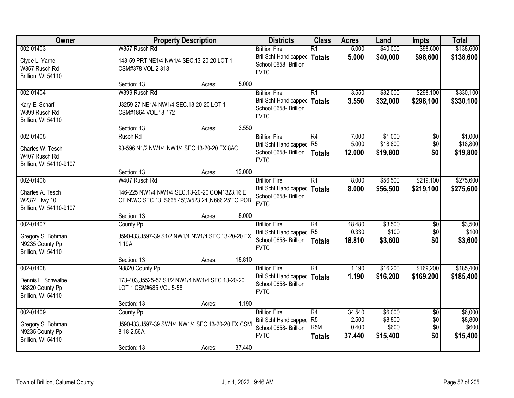| Owner                                                                   |                                                                                                     | <b>Property Description</b> |        | <b>Districts</b>                                                                             | <b>Class</b>                                              | <b>Acres</b>                       | Land                                    | <b>Impts</b>                         | <b>Total</b>                            |
|-------------------------------------------------------------------------|-----------------------------------------------------------------------------------------------------|-----------------------------|--------|----------------------------------------------------------------------------------------------|-----------------------------------------------------------|------------------------------------|-----------------------------------------|--------------------------------------|-----------------------------------------|
| 002-01403                                                               | W357 Rusch Rd                                                                                       |                             |        | <b>Brillion Fire</b>                                                                         | $\overline{R1}$                                           | 5.000                              | \$40,000                                | \$98,600                             | \$138,600                               |
| Clyde L. Yarne<br>W357 Rusch Rd<br>Brillion, WI 54110                   | 143-59 PRT NE1/4 NW1/4 SEC.13-20-20 LOT 1<br>CSM#378 VOL.2-318                                      |                             |        | <b>Bril Schl Handicapped</b><br>School 0658- Brillion<br><b>FVTC</b>                         | <b>Totals</b>                                             | 5.000                              | \$40,000                                | \$98,600                             | \$138,600                               |
|                                                                         | Section: 13                                                                                         | Acres:                      | 5.000  |                                                                                              |                                                           |                                    |                                         |                                      |                                         |
| 002-01404                                                               | W399 Rusch Rd                                                                                       |                             |        | <b>Brillion Fire</b>                                                                         | $\overline{R1}$                                           | 3.550                              | \$32,000                                | \$298,100                            | \$330,100                               |
| Kary E. Scharf<br>W399 Rusch Rd<br>Brillion, WI 54110                   | J3259-27 NE1/4 NW1/4 SEC.13-20-20 LOT 1<br>CSM#1864 VOL.13-172                                      |                             |        | <b>Bril Schl Handicapped</b><br>School 0658- Brillion<br><b>FVTC</b>                         | <b>Totals</b>                                             | 3.550                              | \$32,000                                | \$298,100                            | \$330,100                               |
|                                                                         | Section: 13                                                                                         | Acres:                      | 3.550  |                                                                                              |                                                           |                                    |                                         |                                      |                                         |
| 002-01405                                                               | Rusch Rd                                                                                            |                             |        | <b>Brillion Fire</b>                                                                         | $\overline{R4}$                                           | 7.000                              | \$1,000                                 | $\overline{50}$                      | \$1,000                                 |
| Charles W. Tesch<br>W407 Rusch Rd<br>Brillion, WI 54110-9107            | 93-596 N1/2 NW1/4 NW1/4 SEC.13-20-20 EX 8AC                                                         |                             |        | <b>Bril Schl Handicapped</b><br>School 0658- Brillion<br><b>FVTC</b>                         | R <sub>5</sub><br><b>Totals</b>                           | 5.000<br>12.000                    | \$18,800<br>\$19,800                    | \$0<br>\$0                           | \$18,800<br>\$19,800                    |
|                                                                         | Section: 13                                                                                         | Acres:                      | 12.000 |                                                                                              |                                                           |                                    |                                         |                                      |                                         |
| 002-01406                                                               | W407 Rusch Rd                                                                                       |                             |        | <b>Brillion Fire</b>                                                                         | $\overline{R1}$                                           | 8.000                              | \$56,500                                | \$219,100                            | \$275,600                               |
| Charles A. Tesch<br>W2374 Hwy 10<br>Brillion, WI 54110-9107             | 146-225 NW1/4 NW1/4 SEC.13-20-20 COM1323.16'E<br>OF NW/C SEC.13, S665.45', W523.24', N666.25'TO POB |                             |        | <b>Bril Schl Handicapped</b><br>School 0658- Brillion<br><b>FVTC</b>                         | <b>Totals</b>                                             | 8.000                              | \$56,500                                | \$219,100                            | \$275,600                               |
|                                                                         | Section: 13                                                                                         | Acres:                      | 8.000  |                                                                                              |                                                           |                                    |                                         |                                      |                                         |
| 002-01407                                                               | County Pp                                                                                           |                             |        | <b>Brillion Fire</b>                                                                         | $\overline{R4}$                                           | 18.480                             | \$3,500                                 | $\overline{50}$                      | \$3,500                                 |
| Gregory S. Bohman<br>N9235 County Pp<br>Brillion, WI 54110              | J590-I33, J597-39 S1/2 NW1/4 NW1/4 SEC.13-20-20 EX<br>1.19A                                         |                             |        | <b>Bril Schl Handicapped</b><br>School 0658- Brillion<br><b>FVTC</b>                         | R <sub>5</sub><br><b>Totals</b>                           | 0.330<br>18.810                    | \$100<br>\$3,600                        | \$0<br>\$0                           | \$100<br>\$3,600                        |
|                                                                         | Section: 13                                                                                         | Acres:                      | 18.810 |                                                                                              |                                                           |                                    |                                         |                                      |                                         |
| 002-01408                                                               | N8820 County Pp                                                                                     |                             |        | <b>Brillion Fire</b>                                                                         | $\overline{R1}$                                           | 1.190                              | \$16,200                                | \$169,200                            | \$185,400                               |
| Dennis L. Schwalbe<br>N8820 County Pp<br>Brillion, WI 54110             | 173-403, J5525-57 S1/2 NW1/4 NW1/4 SEC.13-20-20<br>LOT 1 CSM#685 VOL.5-58                           |                             |        | <b>Bril Schl Handicapped</b><br>School 0658- Brillion<br><b>FVTC</b>                         | <b>Totals</b>                                             | 1.190                              | \$16,200                                | \$169,200                            | \$185,400                               |
|                                                                         | Section: 13                                                                                         | Acres:                      | 1.190  |                                                                                              |                                                           |                                    |                                         |                                      |                                         |
| 002-01409<br>Gregory S. Bohman<br>N9235 County Pp<br>Brillion, WI 54110 | County Pp<br>J590-I33, J597-39 SW1/4 NW1/4 SEC.13-20-20 EX CSM<br>8-18 2.56A                        |                             |        | <b>Brillion Fire</b><br><b>Bril Schl Handicapped</b><br>School 0658- Brillion<br><b>FVTC</b> | R4<br>R <sub>5</sub><br>R <sub>5</sub> M<br><b>Totals</b> | 34.540<br>2.500<br>0.400<br>37.440 | \$6,000<br>\$8,800<br>\$600<br>\$15,400 | $\overline{50}$<br>\$0<br>\$0<br>\$0 | \$6,000<br>\$8,800<br>\$600<br>\$15,400 |
|                                                                         | Section: 13                                                                                         | Acres:                      | 37.440 |                                                                                              |                                                           |                                    |                                         |                                      |                                         |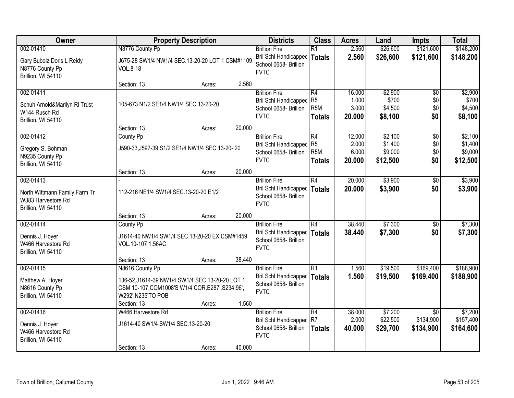| Owner                                                                                  |                                                                                                          | <b>Property Description</b>                               |        | <b>Districts</b>                                                                             | <b>Class</b>                                                           | <b>Acres</b>                       | Land                                      | <b>Impts</b>                              | <b>Total</b>                              |
|----------------------------------------------------------------------------------------|----------------------------------------------------------------------------------------------------------|-----------------------------------------------------------|--------|----------------------------------------------------------------------------------------------|------------------------------------------------------------------------|------------------------------------|-------------------------------------------|-------------------------------------------|-------------------------------------------|
| 002-01410                                                                              | N8776 County Pp                                                                                          |                                                           |        | <b>Brillion Fire</b>                                                                         | $\overline{R1}$                                                        | 2.560                              | \$26,600                                  | \$121,600                                 | \$148,200                                 |
| Gary Bubolz Doris L Reidy<br>N8776 County Pp<br>Brillion, WI 54110                     | <b>VOL.8-18</b>                                                                                          | J675-28 SW1/4 NW1/4 SEC.13-20-20 LOT 1 CSM#1109           |        | Bril Schl Handicapped<br>School 0658- Brillion<br><b>FVTC</b>                                | <b>Totals</b>                                                          | 2.560                              | \$26,600                                  | \$121,600                                 | \$148,200                                 |
|                                                                                        | Section: 13                                                                                              | Acres:                                                    | 2.560  |                                                                                              |                                                                        |                                    |                                           |                                           |                                           |
| 002-01411<br>Schuh Arnold&Marilyn RI Trust<br>W144 Rusch Rd<br>Brillion, WI 54110      | 105-673 N1/2 SE1/4 NW1/4 SEC.13-20-20                                                                    |                                                           |        | <b>Brillion Fire</b><br><b>Bril Schl Handicapped</b><br>School 0658- Brillion<br><b>FVTC</b> | $\overline{R4}$<br>R <sub>5</sub><br>R <sub>5</sub> M<br><b>Totals</b> | 16.000<br>1.000<br>3.000<br>20.000 | \$2,900<br>\$700<br>\$4,500<br>\$8,100    | $\overline{50}$<br>\$0<br>\$0<br>\$0      | \$2,900<br>\$700<br>\$4,500<br>\$8,100    |
|                                                                                        | Section: 13                                                                                              | Acres:                                                    | 20.000 |                                                                                              |                                                                        |                                    |                                           |                                           |                                           |
| 002-01412<br>Gregory S. Bohman<br>N9235 County Pp<br>Brillion, WI 54110                | County Pp                                                                                                | J590-33, J597-39 S1/2 SE1/4 NW1/4 SEC.13-20-20            |        | <b>Brillion Fire</b><br>Bril Schl Handicapped<br>School 0658- Brillion<br><b>FVTC</b>        | $\overline{R4}$<br>R <sub>5</sub><br>R <sub>5</sub> M<br><b>Totals</b> | 12.000<br>2.000<br>6.000<br>20,000 | \$2,100<br>\$1,400<br>\$9,000<br>\$12,500 | $\overline{50}$<br>\$0<br>\$0<br>\$0      | \$2,100<br>\$1,400<br>\$9,000<br>\$12,500 |
|                                                                                        | Section: 13                                                                                              | Acres:                                                    | 20.000 |                                                                                              |                                                                        |                                    |                                           |                                           |                                           |
| 002-01413<br>North Wittmann Family Farm Tr<br>W383 Harvestore Rd<br>Brillion, WI 54110 | 112-216 NE1/4 SW1/4 SEC.13-20-20 E1/2                                                                    |                                                           |        | <b>Brillion Fire</b><br>Bril Schl Handicapped<br>School 0658- Brillion<br><b>FVTC</b>        | $\overline{R4}$<br><b>Totals</b>                                       | 20.000<br>20.000                   | \$3,900<br>\$3,900                        | \$0<br>\$0                                | \$3,900<br>\$3,900                        |
|                                                                                        | Section: 13                                                                                              | Acres:                                                    | 20.000 |                                                                                              |                                                                        |                                    |                                           |                                           |                                           |
| 002-01414<br>Dennis J. Hoyer<br>W466 Harvestore Rd<br>Brillion, WI 54110               | County Pp<br>J1614-40 NW1/4 SW1/4 SEC.13-20-20 EX CSM#1459<br>VOL.10-107 1.56AC                          |                                                           |        | <b>Brillion Fire</b><br>Bril Schl Handicapped<br>School 0658- Brillion<br><b>FVTC</b>        | $\overline{R4}$<br><b>Totals</b>                                       | 38.440<br>38.440                   | \$7,300<br>\$7,300                        | \$0<br>\$0                                | \$7,300<br>\$7,300                        |
|                                                                                        | Section: 13                                                                                              | Acres:                                                    | 38.440 |                                                                                              |                                                                        |                                    |                                           |                                           |                                           |
| 002-01415<br>Matthew A. Hoyer<br>N8616 County Pp<br>Brillion, WI 54110                 | N8616 County Pp<br>CSM 10-107, COM1008'S W1/4 COR, E287', S234.96',<br>W292', N235'TO POB<br>Section: 13 | 136-52, J1614-39 NW1/4 SW1/4 SEC.13-20-20 LOT 1<br>Acres: | 1.560  | <b>Brillion Fire</b><br><b>Bril Schl Handicapped</b><br>School 0658- Brillion<br><b>FVTC</b> | $\overline{R1}$<br><b>Totals</b>                                       | 1.560<br>1.560                     | \$19,500<br>\$19,500                      | \$169,400<br>\$169,400                    | \$188,900<br>\$188,900                    |
| 002-01416<br>Dennis J. Hoyer<br>W466 Harvestore Rd<br>Brillion, WI 54110               | W466 Harvestore Rd<br>J1614-40 SW1/4 SW1/4 SEC.13-20-20<br>Section: 13                                   | Acres:                                                    | 40.000 | <b>Brillion Fire</b><br><b>Bril Schl Handicapped</b><br>School 0658- Brillion<br><b>FVTC</b> | $\overline{R4}$<br>R7<br><b>Totals</b>                                 | 38.000<br>2.000<br>40.000          | \$7,200<br>\$22,500<br>\$29,700           | $\overline{50}$<br>\$134,900<br>\$134,900 | \$7,200<br>\$157,400<br>\$164,600         |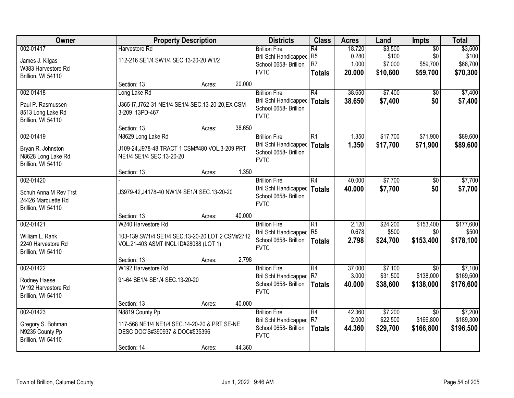| Owner                 |                                                   | <b>Property Description</b> |        | <b>Districts</b>                                      | <b>Class</b>                      | <b>Acres</b>    | Land                | <b>Impts</b>                 | <b>Total</b>         |
|-----------------------|---------------------------------------------------|-----------------------------|--------|-------------------------------------------------------|-----------------------------------|-----------------|---------------------|------------------------------|----------------------|
| 002-01417             | Harvestore Rd                                     |                             |        | <b>Brillion Fire</b>                                  | R4                                | 18.720          | \$3,500             | $\overline{50}$              | \$3,500              |
| James J. Kilgas       | 112-216 SE1/4 SW1/4 SEC.13-20-20 W1/2             |                             |        | <b>Bril Schl Handicapped</b>                          | R <sub>5</sub>                    | 0.280           | \$100               | \$0                          | \$100                |
| W383 Harvestore Rd    |                                                   |                             |        | School 0658- Brillion                                 | R <sub>7</sub>                    | 1.000           | \$7,000             | \$59,700                     | \$66,700             |
| Brillion, WI 54110    |                                                   |                             |        | <b>FVTC</b>                                           | <b>Totals</b>                     | 20.000          | \$10,600            | \$59,700                     | \$70,300             |
|                       | Section: 13                                       | Acres:                      | 20.000 |                                                       |                                   |                 |                     |                              |                      |
| 002-01418             | Long Lake Rd                                      |                             |        | <b>Brillion Fire</b>                                  | R4                                | 38.650          | \$7,400             | $\overline{50}$              | \$7,400              |
| Paul P. Rasmussen     | J365-I7, J762-31 NE1/4 SE1/4 SEC.13-20-20, EX CSM |                             |        | <b>Bril Schl Handicapped</b>                          | <b>Totals</b>                     | 38.650          | \$7,400             | \$0                          | \$7,400              |
| 8513 Long Lake Rd     | 3-209 13PD-467                                    |                             |        | School 0658- Brillion<br><b>FVTC</b>                  |                                   |                 |                     |                              |                      |
| Brillion, WI 54110    |                                                   |                             |        |                                                       |                                   |                 |                     |                              |                      |
|                       | Section: 13                                       | Acres:                      | 38.650 |                                                       |                                   |                 |                     |                              |                      |
| 002-01419             | N8629 Long Lake Rd                                |                             |        | <b>Brillion Fire</b>                                  | $\overline{R1}$                   | 1.350           | \$17,700            | \$71,900                     | \$89,600             |
| Bryan R. Johnston     | J109-24, J978-48 TRACT 1 CSM#480 VOL.3-209 PRT    |                             |        | Bril Schl Handicapped                                 | <b>Totals</b>                     | 1.350           | \$17,700            | \$71,900                     | \$89,600             |
| N8628 Long Lake Rd    | NE1/4 SE1/4 SEC.13-20-20                          |                             |        | School 0658- Brillion<br><b>FVTC</b>                  |                                   |                 |                     |                              |                      |
| Brillion, WI 54110    |                                                   |                             |        |                                                       |                                   |                 |                     |                              |                      |
|                       | Section: 13                                       | Acres:                      | 1.350  |                                                       |                                   |                 |                     |                              |                      |
| 002-01420             |                                                   |                             |        | <b>Brillion Fire</b>                                  | R4                                | 40.000          | \$7,700             | $\sqrt[6]{}$                 | \$7,700              |
| Schuh Anna M Rev Trst | J3979-42, J4178-40 NW1/4 SE1/4 SEC.13-20-20       |                             |        | Bril Schl Handicapped                                 | <b>Totals</b>                     | 40.000          | \$7,700             | \$0                          | \$7,700              |
| 24426 Marquette Rd    |                                                   |                             |        | School 0658- Brillion<br><b>FVTC</b>                  |                                   |                 |                     |                              |                      |
| Brillion, WI 54110    |                                                   |                             |        |                                                       |                                   |                 |                     |                              |                      |
|                       | Section: 13                                       | Acres:                      | 40.000 |                                                       |                                   |                 |                     |                              |                      |
| 002-01421             | W240 Harvestore Rd                                |                             |        | <b>Brillion Fire</b>                                  | $\overline{R1}$                   | 2.120           | \$24,200            | \$153,400                    | \$177,600            |
| William L. Rank       | 103-139 SW1/4 SE1/4 SEC.13-20-20 LOT 2 CSM#2712   |                             |        | Bril Schl Handicapped                                 | R <sub>5</sub>                    | 0.678           | \$500               | \$0                          | \$500                |
| 2240 Harvestore Rd    | VOL.21-403 ASMT INCL ID#28088 (LOT 1)             |                             |        | School 0658- Brillion<br><b>FVTC</b>                  | <b>Totals</b>                     | 2.798           | \$24,700            | \$153,400                    | \$178,100            |
| Brillion, WI 54110    |                                                   |                             |        |                                                       |                                   |                 |                     |                              |                      |
|                       | Section: 13                                       | Acres:                      | 2.798  |                                                       |                                   |                 |                     |                              |                      |
| 002-01422             | W192 Harvestore Rd                                |                             |        | <b>Brillion Fire</b>                                  | $\overline{R4}$                   | 37.000          | \$7,100             | $\overline{50}$              | \$7,100              |
| Rodney Haese          | 91-64 SE1/4 SE1/4 SEC.13-20-20                    |                             |        | Bril Schl Handicapped R7<br>School 0658- Brillion     |                                   | 3.000<br>40.000 | \$31,500            | \$138,000                    | \$169,500            |
| W192 Harvestore Rd    |                                                   |                             |        | <b>FVTC</b>                                           | <b>Totals</b>                     |                 | \$38,600            | \$138,000                    | \$176,600            |
| Brillion, WI 54110    |                                                   |                             |        |                                                       |                                   |                 |                     |                              |                      |
|                       | Section: 13                                       | Acres:                      | 40.000 |                                                       |                                   |                 |                     |                              |                      |
| 002-01423             | N8819 County Pp                                   |                             |        | <b>Brillion Fire</b>                                  | $\overline{R4}$<br>R <sub>7</sub> | 42.360<br>2.000 | \$7,200<br>\$22,500 | $\overline{50}$<br>\$166,800 | \$7,200<br>\$189,300 |
| Gregory S. Bohman     | 117-568 NE1/4 NE1/4 SEC.14-20-20 & PRT SE-NE      |                             |        | <b>Bril Schl Handicapped</b><br>School 0658- Brillion |                                   | 44.360          |                     | \$166,800                    |                      |
| N9235 County Pp       | DESC DOC'S#390937 & DOC#535396                    |                             |        | <b>FVTC</b>                                           | <b>Totals</b>                     |                 | \$29,700            |                              | \$196,500            |
| Brillion, WI 54110    |                                                   |                             |        |                                                       |                                   |                 |                     |                              |                      |
|                       | Section: 14                                       | Acres:                      | 44.360 |                                                       |                                   |                 |                     |                              |                      |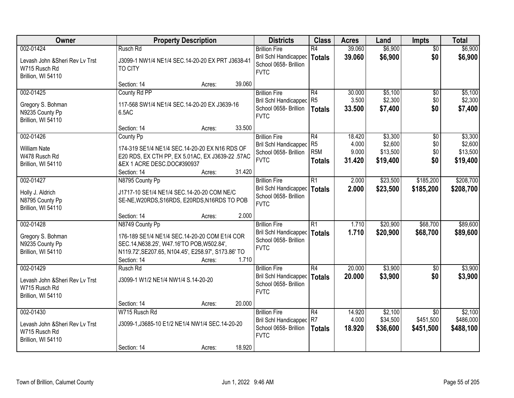| Owner                                                                               |                                                                                                                                                                                      | <b>Property Description</b> |        | <b>Districts</b>                                                                               | <b>Class</b>                                             | <b>Acres</b>                       | Land                                       | <b>Impts</b>                              | <b>Total</b>                               |
|-------------------------------------------------------------------------------------|--------------------------------------------------------------------------------------------------------------------------------------------------------------------------------------|-----------------------------|--------|------------------------------------------------------------------------------------------------|----------------------------------------------------------|------------------------------------|--------------------------------------------|-------------------------------------------|--------------------------------------------|
| 002-01424<br>Levash John & Sheri Rev Lv Trst<br>W715 Rusch Rd<br>Brillion, WI 54110 | Rusch Rd<br>J3099-1 NW1/4 NE1/4 SEC.14-20-20 EX PRT J3638-41<br><b>TO CITY</b>                                                                                                       |                             |        | <b>Brillion Fire</b><br>Bril Schl Handicapped<br>School 0658- Brillion<br><b>FVTC</b>          | R4<br>Totals                                             | 39.060<br>39.060                   | \$6,900<br>\$6,900                         | $\overline{50}$<br>\$0                    | \$6,900<br>\$6,900                         |
|                                                                                     | Section: 14                                                                                                                                                                          | Acres:                      | 39.060 |                                                                                                |                                                          |                                    |                                            |                                           |                                            |
| 002-01425<br>Gregory S. Bohman<br>N9235 County Pp<br>Brillion, WI 54110             | County Rd PP<br>117-568 SW1/4 NE1/4 SEC.14-20-20 EX J3639-16<br>6.5AC                                                                                                                |                             |        | <b>Brillion Fire</b><br>Bril Schl Handicapped<br>School 0658- Brillion<br><b>FVTC</b>          | R4<br>R <sub>5</sub><br><b>Totals</b>                    | 30.000<br>3.500<br>33.500          | \$5,100<br>\$2,300<br>\$7,400              | $\overline{50}$<br>\$0<br>\$0             | \$5,100<br>\$2,300<br>\$7,400              |
|                                                                                     | Section: 14                                                                                                                                                                          | Acres:                      | 33.500 |                                                                                                |                                                          |                                    |                                            |                                           |                                            |
| 002-01426<br><b>William Nate</b><br>W478 Rusch Rd<br>Brillion, WI 54110             | County Pp<br>174-319 SE1/4 NE1/4 SEC.14-20-20 EX N16 RDS OF<br>E20 RDS, EX CTH PP, EX 5.01AC, EX J3639-22 .57AC<br>&EX 1 ACRE DESC.DOC#390937<br>Section: 14                         | Acres:                      | 31.420 | <b>Brillion Fire</b><br>Bril Schl Handicapped<br>School 0658- Brillion<br><b>FVTC</b>          | R4<br>R <sub>5</sub><br>R <sub>5M</sub><br><b>Totals</b> | 18.420<br>4.000<br>9.000<br>31.420 | \$3,300<br>\$2,600<br>\$13,500<br>\$19,400 | \$0<br>\$0<br>\$0<br>\$0                  | \$3,300<br>\$2,600<br>\$13,500<br>\$19,400 |
| 002-01427                                                                           | N8795 County Pp                                                                                                                                                                      |                             |        | <b>Brillion Fire</b>                                                                           | R1                                                       | 2.000                              | \$23,500                                   | \$185,200                                 | \$208,700                                  |
| Holly J. Aldrich<br>N8795 County Pp<br>Brillion, WI 54110                           | J1717-10 SE1/4 NE1/4 SEC.14-20-20 COM NE/C<br>SE-NE, W20RDS, S16RDS, E20RDS, N16RDS TO POB                                                                                           |                             |        | Bril Schl Handicapped<br>School 0658- Brillion<br><b>FVTC</b>                                  | <b>Totals</b>                                            | 2.000                              | \$23,500                                   | \$185,200                                 | \$208,700                                  |
|                                                                                     | Section: 14                                                                                                                                                                          | Acres:                      | 2.000  |                                                                                                |                                                          |                                    |                                            |                                           |                                            |
| 002-01428<br>Gregory S. Bohman<br>N9235 County Pp<br>Brillion, WI 54110             | N8749 County Pp<br>176-189 SE1/4 NE1/4 SEC.14-20-20 COM E1/4 COR<br>SEC.14, N638.25', W47.16'TO POB, W502.84',<br>N119.72', SE207.65, N104.45', E258.97', S173.86' TO<br>Section: 14 | Acres:                      | 1.710  | <b>Brillion Fire</b><br>Bril Schl Handicapped   Totals<br>School 0658- Brillion<br><b>FVTC</b> | $\overline{R1}$                                          | 1.710<br>1.710                     | \$20,900<br>\$20,900                       | \$68,700<br>\$68,700                      | \$89,600<br>\$89,600                       |
| 002-01429<br>Levash John & Sheri Rev Ly Trst<br>W715 Rusch Rd<br>Brillion, WI 54110 | Rusch Rd<br>J3099-1 W1/2 NE1/4 NW1/4 S.14-20-20<br>Section: 14                                                                                                                       | Acres:                      | 20.000 | <b>Brillion Fire</b><br>Bril Schl Handicapped<br>School 0658- Brillion<br><b>FVTC</b>          | R4<br><b>Totals</b>                                      | 20.000<br>20,000                   | \$3,900<br>\$3,900                         | \$0<br>\$0                                | \$3,900<br>\$3,900                         |
| 002-01430<br>Levash John & Sheri Rev Lv Trst<br>W715 Rusch Rd<br>Brillion, WI 54110 | W715 Rusch Rd<br>J3099-1, J3685-10 E1/2 NE1/4 NW1/4 SEC.14-20-20<br>Section: 14                                                                                                      | Acres:                      | 18.920 | <b>Brillion Fire</b><br><b>Bril Schl Handicapped</b><br>School 0658- Brillion<br><b>FVTC</b>   | R4<br>R7<br><b>Totals</b>                                | 14.920<br>4.000<br>18.920          | \$2,100<br>\$34,500<br>\$36,600            | $\overline{50}$<br>\$451,500<br>\$451,500 | \$2,100<br>\$486,000<br>\$488,100          |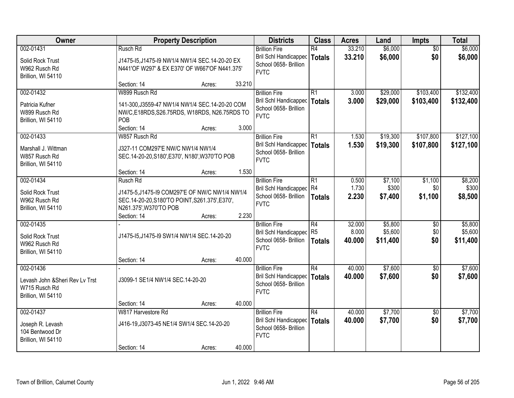| Owner                           |                                   | <b>Property Description</b>                     |        | <b>Districts</b>             | <b>Class</b>    | <b>Acres</b> | Land     | Impts           | <b>Total</b> |
|---------------------------------|-----------------------------------|-------------------------------------------------|--------|------------------------------|-----------------|--------------|----------|-----------------|--------------|
| 002-01431                       | Rusch Rd                          |                                                 |        | <b>Brillion Fire</b>         | R4              | 33.210       | \$6,000  | $\overline{50}$ | \$6,000      |
| Solid Rock Trust                |                                   | J1475-15, J1475-19 NW1/4 NW1/4 SEC. 14-20-20 EX |        | <b>Bril Schl Handicapped</b> | <b>Totals</b>   | 33.210       | \$6,000  | \$0             | \$6,000      |
| W962 Rusch Rd                   |                                   | N441'OF W297' & EX E370' OF W667'OF N441.375'   |        | School 0658- Brillion        |                 |              |          |                 |              |
| Brillion, WI 54110              |                                   |                                                 |        | <b>FVTC</b>                  |                 |              |          |                 |              |
|                                 | Section: 14                       | Acres:                                          | 33.210 |                              |                 |              |          |                 |              |
| 002-01432                       | W899 Rusch Rd                     |                                                 |        | <b>Brillion Fire</b>         | $\overline{R1}$ | 3.000        | \$29,000 | \$103,400       | \$132,400    |
| Patricia Kufner                 |                                   | 141-300, J3559-47 NW1/4 NW1/4 SEC. 14-20-20 COM |        | <b>Bril Schl Handicapped</b> | <b>Totals</b>   | 3.000        | \$29,000 | \$103,400       | \$132,400    |
| W899 Rusch Rd                   |                                   | NW/C,E18RDS,S26.75RDS, W18RDS, N26.75RDS TO     |        | School 0658- Brillion        |                 |              |          |                 |              |
| Brillion, WI 54110              | POB                               |                                                 |        | <b>FVTC</b>                  |                 |              |          |                 |              |
|                                 | Section: 14                       | Acres:                                          | 3.000  |                              |                 |              |          |                 |              |
| 002-01433                       | W857 Rusch Rd                     |                                                 |        | <b>Brillion Fire</b>         | R1              | 1.530        | \$19,300 | \$107,800       | \$127,100    |
| Marshall J. Wittman             | J327-11 COM297'E NW/C NW1/4 NW1/4 |                                                 |        | <b>Bril Schl Handicapped</b> | <b>Totals</b>   | 1.530        | \$19,300 | \$107,800       | \$127,100    |
| W857 Rusch Rd                   |                                   | SEC.14-20-20, S180', E370', N180', W370'TO POB  |        | School 0658- Brillion        |                 |              |          |                 |              |
| Brillion, WI 54110              |                                   |                                                 |        | <b>FVTC</b>                  |                 |              |          |                 |              |
|                                 | Section: 14                       | Acres:                                          | 1.530  |                              |                 |              |          |                 |              |
| 002-01434                       | Rusch Rd                          |                                                 |        | <b>Brillion Fire</b>         | R1              | 0.500        | \$7,100  | \$1,100         | \$8,200      |
| Solid Rock Trust                |                                   | J1475-5, J1475-19 COM297'E OF NW/C NW1/4 NW1/4  |        | Bril Schl Handicapped R4     |                 | 1.730        | \$300    | \$0             | \$300        |
| W962 Rusch Rd                   |                                   | SEC.14-20-20, S180'TO POINT, S261.375', E370',  |        | School 0658- Brillion        | <b>Totals</b>   | 2.230        | \$7,400  | \$1,100         | \$8,500      |
| Brillion, WI 54110              | N261.375', W370'TO POB            |                                                 |        | <b>FVTC</b>                  |                 |              |          |                 |              |
|                                 | Section: 14                       | Acres:                                          | 2.230  |                              |                 |              |          |                 |              |
| 002-01435                       |                                   |                                                 |        | <b>Brillion Fire</b>         | $\overline{R4}$ | 32.000       | \$5,800  | $\overline{50}$ | \$5,800      |
| Solid Rock Trust                |                                   | J1475-15, J1475-19 SW1/4 NW1/4 SEC. 14-20-20    |        | <b>Bril Schl Handicapped</b> | R <sub>5</sub>  | 8.000        | \$5,600  | \$0             | \$5,600      |
| W962 Rusch Rd                   |                                   |                                                 |        | School 0658- Brillion        | <b>Totals</b>   | 40.000       | \$11,400 | \$0             | \$11,400     |
| Brillion, WI 54110              |                                   |                                                 |        | <b>FVTC</b>                  |                 |              |          |                 |              |
|                                 | Section: 14                       | Acres:                                          | 40.000 |                              |                 |              |          |                 |              |
| 002-01436                       |                                   |                                                 |        | <b>Brillion Fire</b>         | $\overline{R4}$ | 40.000       | \$7,600  | $\overline{50}$ | \$7,600      |
| Levash John & Sheri Rev Lv Trst | J3099-1 SE1/4 NW1/4 SEC.14-20-20  |                                                 |        | <b>Bril Schl Handicapped</b> | <b>Totals</b>   | 40.000       | \$7,600  | \$0             | \$7,600      |
| W715 Rusch Rd                   |                                   |                                                 |        | School 0658- Brillion        |                 |              |          |                 |              |
| Brillion, WI 54110              |                                   |                                                 |        | <b>FVTC</b>                  |                 |              |          |                 |              |
|                                 | Section: 14                       | Acres:                                          | 40.000 |                              |                 |              |          |                 |              |
| 002-01437                       | W817 Harvestore Rd                |                                                 |        | <b>Brillion Fire</b>         | $\overline{R4}$ | 40.000       | \$7,700  | $\overline{50}$ | \$7,700      |
| Joseph R. Levash                |                                   | J416-19, J3073-45 NE1/4 SW1/4 SEC. 14-20-20     |        | Bril Schl Handicapped        | <b>Totals</b>   | 40.000       | \$7,700  | \$0             | \$7,700      |
| 104 Bentwood Dr                 |                                   |                                                 |        | School 0658- Brillion        |                 |              |          |                 |              |
| Brillion, WI 54110              |                                   |                                                 |        | <b>FVTC</b>                  |                 |              |          |                 |              |
|                                 | Section: 14                       | Acres:                                          | 40.000 |                              |                 |              |          |                 |              |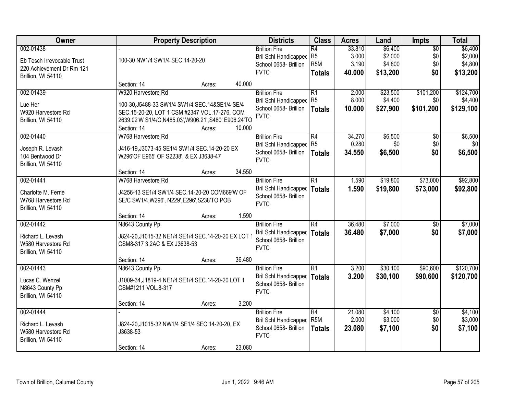| Owner                      |                                                            | <b>Property Description</b> |        | <b>Districts</b>                                     | <b>Class</b>     | <b>Acres</b> | Land     | <b>Impts</b>    | <b>Total</b> |
|----------------------------|------------------------------------------------------------|-----------------------------|--------|------------------------------------------------------|------------------|--------------|----------|-----------------|--------------|
| 002-01438                  |                                                            |                             |        | <b>Brillion Fire</b>                                 | $\overline{R4}$  | 33.810       | \$6,400  | $\overline{50}$ | \$6,400      |
| Eb Tesch Irrevocable Trust | 100-30 NW1/4 SW1/4 SEC.14-20-20                            |                             |        | <b>Bril Schl Handicapped</b>                         | R <sub>5</sub>   | 3.000        | \$2,000  | \$0             | \$2,000      |
| 220 Achievement Dr Rm 121  |                                                            |                             |        | School 0658- Brillion                                | R <sub>5</sub> M | 3.190        | \$4,800  | \$0             | \$4,800      |
| Brillion, WI 54110         |                                                            |                             |        | <b>FVTC</b>                                          | <b>Totals</b>    | 40.000       | \$13,200 | \$0             | \$13,200     |
|                            | Section: 14                                                | Acres:                      | 40.000 |                                                      |                  |              |          |                 |              |
| 002-01439                  | W920 Harvestore Rd                                         |                             |        | <b>Brillion Fire</b>                                 | $\overline{R1}$  | 2.000        | \$23,500 | \$101,200       | \$124,700    |
| Lue Her                    | 100-30, J5488-33 SW1/4 SW1/4 SEC. 14&SE1/4 SE/4            |                             |        | <b>Bril Schl Handicapped</b>                         | R <sub>5</sub>   | 8.000        | \$4,400  | \$0             | \$4,400      |
| W920 Harvestore Rd         | SEC.15-20-20, LOT 1 CSM #2347 VOL.17-276, COM              |                             |        | School 0658- Brillion                                | <b>Totals</b>    | 10.000       | \$27,900 | \$101,200       | \$129,100    |
| Brillion, WI 54110         | 2639.02'W S1/4/C,N485.03',W906.21',S480' E906.24'TO        |                             |        | <b>FVTC</b>                                          |                  |              |          |                 |              |
|                            | Section: 14                                                | Acres:                      | 10.000 |                                                      |                  |              |          |                 |              |
| 002-01440                  | W768 Harvestore Rd                                         |                             |        | <b>Brillion Fire</b>                                 | R4               | 34.270       | \$6,500  | \$0             | \$6,500      |
|                            |                                                            |                             |        | Bril Schl Handicapped                                | R <sub>5</sub>   | 0.280        | \$0      | \$0             | 30           |
| Joseph R. Levash           | J416-19, J3073-45 SE1/4 SW1/4 SEC. 14-20-20 EX             |                             |        | School 0658- Brillion                                | <b>Totals</b>    | 34.550       | \$6,500  | \$0             | \$6,500      |
| 104 Bentwood Dr            | W296'OF E965' OF S2238', & EX J3638-47                     |                             |        | <b>FVTC</b>                                          |                  |              |          |                 |              |
| Brillion, WI 54110         |                                                            |                             | 34.550 |                                                      |                  |              |          |                 |              |
| 002-01441                  | Section: 14<br>W768 Harvestore Rd                          | Acres:                      |        |                                                      | $\overline{R1}$  | 1.590        | \$19,800 | \$73,000        | \$92,800     |
|                            |                                                            |                             |        | <b>Brillion Fire</b><br><b>Bril Schl Handicapped</b> |                  |              |          |                 |              |
| Charlotte M. Ferrie        | J4256-13 SE1/4 SW1/4 SEC.14-20-20 COM669'W OF              |                             |        | School 0658- Brillion                                | <b>Totals</b>    | 1.590        | \$19,800 | \$73,000        | \$92,800     |
| W768 Harvestore Rd         | SE/C SW1/4, W296', N229', E296', S238'TO POB               |                             |        | <b>FVTC</b>                                          |                  |              |          |                 |              |
| Brillion, WI 54110         |                                                            |                             |        |                                                      |                  |              |          |                 |              |
|                            | Section: 14                                                | Acres:                      | 1.590  |                                                      |                  |              |          |                 |              |
| 002-01442                  | N8643 County Pp                                            |                             |        | <b>Brillion Fire</b>                                 | $\overline{R4}$  | 36.480       | \$7,000  | \$0             | \$7,000      |
| Richard L. Levash          | J824-20, J1015-32 NE1/4 SE1/4 SEC. 14-20-20 EX LOT         |                             |        | <b>Bril Schl Handicapped</b>                         | <b>Totals</b>    | 36.480       | \$7,000  | \$0             | \$7,000      |
| W580 Harvestore Rd         | CSM8-317 3.2AC & EX J3638-53                               |                             |        | School 0658- Brillion                                |                  |              |          |                 |              |
| Brillion, WI 54110         |                                                            |                             |        | <b>FVTC</b>                                          |                  |              |          |                 |              |
|                            | Section: 14                                                | Acres:                      | 36.480 |                                                      |                  |              |          |                 |              |
| 002-01443                  | N8643 County Pp                                            |                             |        | <b>Brillion Fire</b>                                 | $\overline{R1}$  | 3.200        | \$30,100 | \$90,600        | \$120,700    |
| Lucas C. Wenzel            | J1009-34, J1819-4 NE1/4 SE1/4 SEC. 14-20-20 LOT 1          |                             |        | Bril Schl Handicapped                                | <b>Totals</b>    | 3.200        | \$30,100 | \$90,600        | \$120,700    |
| N8643 County Pp            | CSM#1211 VOL.8-317                                         |                             |        | School 0658- Brillion                                |                  |              |          |                 |              |
| Brillion, WI 54110         |                                                            |                             |        | <b>FVTC</b>                                          |                  |              |          |                 |              |
|                            | Section: 14                                                | Acres:                      | 3.200  |                                                      |                  |              |          |                 |              |
| 002-01444                  |                                                            |                             |        | <b>Brillion Fire</b>                                 | R4               | 21.080       | \$4,100  | $\overline{50}$ | \$4,100      |
| Richard L. Levash          |                                                            |                             |        | <b>Bril Schl Handicapped</b>                         | R <sub>5</sub> M | 2.000        | \$3,000  | \$0             | \$3,000      |
| W580 Harvestore Rd         | J824-20, J1015-32 NW1/4 SE1/4 SEC.14-20-20, EX<br>J3638-53 |                             |        | School 0658- Brillion                                | <b>Totals</b>    | 23.080       | \$7,100  | \$0             | \$7,100      |
| Brillion, WI 54110         |                                                            |                             |        | <b>FVTC</b>                                          |                  |              |          |                 |              |
|                            | Section: 14                                                | Acres:                      | 23.080 |                                                      |                  |              |          |                 |              |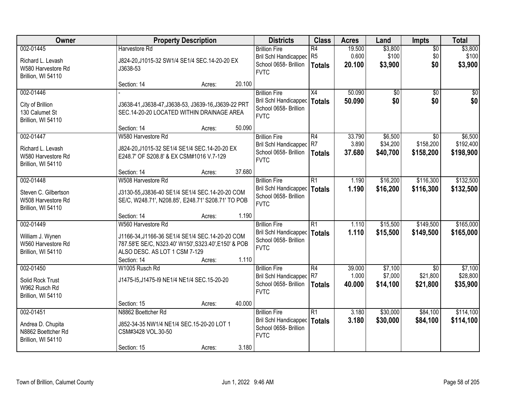| Owner                                                                         | <b>Property Description</b>                                                                                                                                                   |                  | <b>Districts</b>                                                                                      | <b>Class</b>                          | <b>Acres</b>              | Land                           | Impts                                   | <b>Total</b>                    |
|-------------------------------------------------------------------------------|-------------------------------------------------------------------------------------------------------------------------------------------------------------------------------|------------------|-------------------------------------------------------------------------------------------------------|---------------------------------------|---------------------------|--------------------------------|-----------------------------------------|---------------------------------|
| 002-01445<br>Richard L. Levash<br>W580 Harvestore Rd<br>Brillion, WI 54110    | Harvestore Rd<br>J824-20, J1015-32 SW1/4 SE1/4 SEC. 14-20-20 EX<br>J3638-53                                                                                                   |                  | <b>Brillion Fire</b><br><b>Bril Schl Handicapped</b><br>School 0658- Brillion<br><b>FVTC</b>          | R4<br>R <sub>5</sub><br><b>Totals</b> | 19.500<br>0.600<br>20.100 | \$3,800<br>\$100<br>\$3,900    | $\overline{50}$<br>\$0<br>\$0           | \$3,800<br>\$100<br>\$3,900     |
|                                                                               | Section: 14                                                                                                                                                                   | 20.100<br>Acres: |                                                                                                       |                                       |                           |                                |                                         |                                 |
| 002-01446<br>City of Brillion<br>130 Calumet St<br>Brillion, WI 54110         | J3638-41, J3638-47, J3638-53, J3639-16, J3639-22 PRT<br>SEC.14-20-20 LOCATED WITHIN DRAINAGE AREA                                                                             |                  | <b>Brillion Fire</b><br><b>Bril Schl Handicapped</b><br>School 0658- Brillion<br><b>FVTC</b>          | X4<br><b>Totals</b>                   | 50.090<br>50.090          | $\overline{50}$<br>\$0         | $\overline{50}$<br>\$0                  | $\overline{30}$<br>\$0          |
| 002-01447                                                                     | Section: 14<br>W580 Harvestore Rd                                                                                                                                             | 50.090<br>Acres: | <b>Brillion Fire</b>                                                                                  | R4                                    | 33.790                    | \$6,500                        | \$0                                     | \$6,500                         |
| Richard L. Levash<br>W580 Harvestore Rd<br>Brillion, WI 54110                 | J824-20, J1015-32 SE1/4 SE1/4 SEC. 14-20-20 EX<br>E248.7' OF S208.8' & EX CSM#1016 V.7-129                                                                                    |                  | Bril Schl Handicapped R7<br>School 0658- Brillion<br><b>FVTC</b>                                      | <b>Totals</b>                         | 3.890<br>37.680           | \$34,200<br>\$40,700           | \$158,200<br>\$158,200                  | \$192,400<br>\$198,900          |
|                                                                               | Section: 14                                                                                                                                                                   | 37.680<br>Acres: |                                                                                                       |                                       |                           |                                |                                         |                                 |
| 002-01448<br>Steven C. Gilbertson<br>W508 Harvestore Rd<br>Brillion, WI 54110 | W508 Harvestore Rd<br>J3130-55, J3836-40 SE1/4 SE1/4 SEC. 14-20-20 COM<br>SE/C, W248.71', N208.85', E248.71' S208.71' TO POB                                                  |                  | <b>Brillion Fire</b><br><b>Bril Schl Handicapped</b><br>School 0658- Brillion<br><b>FVTC</b>          | $\overline{R1}$<br><b>Totals</b>      | 1.190<br>1.190            | \$16,200<br>\$16,200           | \$116,300<br>\$116,300                  | \$132,500<br>\$132,500          |
|                                                                               | Section: 14                                                                                                                                                                   | 1.190<br>Acres:  |                                                                                                       |                                       |                           |                                |                                         |                                 |
| 002-01449<br>William J. Wynen<br>W560 Harvestore Rd<br>Brillion, WI 54110     | W560 Harvestore Rd<br>J1166-34, J1166-36 SE1/4 SE1/4 SEC.14-20-20 COM<br>787.58'E SE/C, N323.40' W150', S323.40', E150' & POB<br>ALSO DESC. AS LOT 1 CSM 7-129<br>Section: 14 | 1.110<br>Acres:  | <b>Brillion Fire</b><br><b>Bril Schl Handicapped</b><br>School 0658- Brillion<br><b>FVTC</b>          | $\overline{R1}$<br><b>Totals</b>      | 1.110<br>1.110            | \$15,500<br>\$15,500           | \$149,500<br>\$149,500                  | \$165,000<br>\$165,000          |
| 002-01450<br>Solid Rock Trust<br>W962 Rusch Rd<br>Brillion, WI 54110          | W1005 Rusch Rd<br>J1475-15, J1475-19 NE1/4 NE1/4 SEC. 15-20-20<br>Section: 15                                                                                                 | 40.000<br>Acres: | <b>Brillion Fire</b><br>Bril Schl Handicapped R7<br>School 0658- Brillion<br><b>FVTC</b>              | $\overline{R4}$<br><b>Totals</b>      | 39.000<br>1.000<br>40,000 | \$7,100<br>\$7,000<br>\$14,100 | $\overline{50}$<br>\$21,800<br>\$21,800 | \$7,100<br>\$28,800<br>\$35,900 |
| 002-01451<br>Andrea D. Chupita<br>N8862 Boettcher Rd<br>Brillion, WI 54110    | N8862 Boettcher Rd<br>J852-34-35 NW1/4 NE1/4 SEC.15-20-20 LOT 1<br>CSM#3428 VOL.30-50<br>Section: 15                                                                          | Acres:           | <b>Brillion Fire</b><br><b>Bril Schl Handicapped</b><br>School 0658- Brillion<br><b>FVTC</b><br>3.180 | $\overline{R1}$<br><b>Totals</b>      | 3.180<br>3.180            | \$30,000<br>\$30,000           | \$84,100<br>\$84,100                    | \$114,100<br>\$114,100          |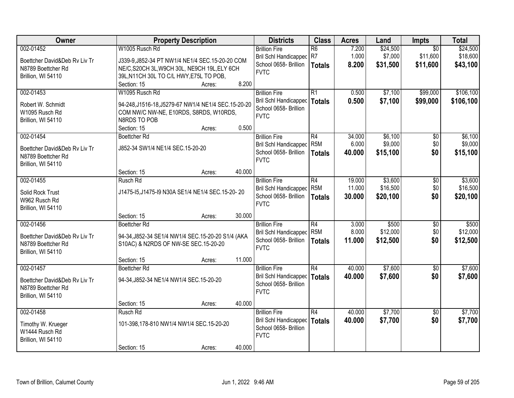| Owner                                                                                  | <b>Property Description</b>                                                                                                                                                                          | <b>Districts</b>                                                                             | <b>Class</b>                                         | <b>Acres</b>               | Land                            | <b>Impts</b>                            | <b>Total</b>                     |
|----------------------------------------------------------------------------------------|------------------------------------------------------------------------------------------------------------------------------------------------------------------------------------------------------|----------------------------------------------------------------------------------------------|------------------------------------------------------|----------------------------|---------------------------------|-----------------------------------------|----------------------------------|
| 002-01452<br>Boettcher David&Deb Rv Liv Tr<br>N8789 Boettcher Rd<br>Brillion, WI 54110 | W1005 Rusch Rd<br>J339-9, J852-34 PT NW1/4 NE1/4 SEC.15-20-20 COM<br>NE/C, S20CH 3L, W9CH 30L, NE9CH 19L, ELY 6CH<br>39L, N11CH 30L TO C/L HWY, E75L TO POB,                                         | <b>Brillion Fire</b><br><b>Bril Schl Handicapped</b><br>School 0658- Brillion<br><b>FVTC</b> | $\overline{R6}$<br>R7<br><b>Totals</b>               | 7.200<br>1.000<br>8.200    | \$24,500<br>\$7,000<br>\$31,500 | $\overline{50}$<br>\$11,600<br>\$11,600 | \$24,500<br>\$18,600<br>\$43,100 |
| 002-01453<br>Robert W. Schmidt<br>W1095 Rusch Rd<br>Brillion, WI 54110                 | 8.200<br>Section: 15<br>Acres:<br>W1095 Rusch Rd<br>94-248, J1516-18, J5279-67 NW1/4 NE1/4 SEC. 15-20-20<br>COM NW/C NW-NE, E10RDS, S8RDS, W10RDS,<br>N8RDS TO POB<br>0.500<br>Section: 15<br>Acres: | <b>Brillion Fire</b><br><b>Bril Schl Handicapped</b><br>School 0658- Brillion<br><b>FVTC</b> | $\overline{R1}$<br><b>Totals</b>                     | 0.500<br>0.500             | \$7,100<br>\$7,100              | \$99,000<br>\$99,000                    | \$106,100<br>\$106,100           |
| 002-01454<br>Boettcher David&Deb Ry Liv Tr<br>N8789 Boettcher Rd<br>Brillion, WI 54110 | <b>Boettcher Rd</b><br>J852-34 SW1/4 NE1/4 SEC.15-20-20                                                                                                                                              | <b>Brillion Fire</b><br><b>Bril Schl Handicapped</b><br>School 0658- Brillion<br><b>FVTC</b> | R4<br>R <sub>5</sub> M<br><b>Totals</b>              | 34.000<br>6.000<br>40.000  | \$6,100<br>\$9,000<br>\$15,100  | \$0<br>\$0<br>\$0                       | \$6,100<br>\$9,000<br>\$15,100   |
| 002-01455<br>Solid Rock Trust<br>W962 Rusch Rd<br>Brillion, WI 54110                   | Section: 15<br>40.000<br>Acres:<br>Rusch Rd<br>J1475-15, J1475-19 N30A SE1/4 NE1/4 SEC. 15-20-20                                                                                                     | <b>Brillion Fire</b><br><b>Bril Schl Handicapped</b><br>School 0658- Brillion<br><b>FVTC</b> | R4<br>R <sub>5</sub> M<br><b>Totals</b>              | 19.000<br>11.000<br>30.000 | \$3,600<br>\$16,500<br>\$20,100 | \$0<br>\$0<br>\$0                       | \$3,600<br>\$16,500<br>\$20,100  |
| 002-01456<br>Boettcher David&Deb Rv Liv Tr<br>N8789 Boettcher Rd<br>Brillion, WI 54110 | 30.000<br>Section: 15<br>Acres:<br><b>Boettcher Rd</b><br>94-34, J852-34 SE1/4 NW1/4 SEC. 15-20-20 S1/4 (AKA<br>S10AC) & N2RDS OF NW-SE SEC.15-20-20                                                 | <b>Brillion Fire</b><br><b>Bril Schl Handicapped</b><br>School 0658- Brillion<br><b>FVTC</b> | $\overline{R4}$<br>R <sub>5</sub> M<br><b>Totals</b> | 3.000<br>8.000<br>11.000   | \$500<br>\$12,000<br>\$12,500   | $\overline{50}$<br>\$0<br>\$0           | \$500<br>\$12,000<br>\$12,500    |
| 002-01457<br>Boettcher David&Deb Rv Liv Tr<br>N8789 Boettcher Rd<br>Brillion, WI 54110 | 11.000<br>Section: 15<br>Acres:<br><b>Boettcher Rd</b><br>94-34, J852-34 NE1/4 NW1/4 SEC. 15-20-20<br>40.000<br>Section: 15<br>Acres:                                                                | <b>Brillion Fire</b><br><b>Bril Schl Handicapped</b><br>School 0658- Brillion<br><b>FVTC</b> | $\overline{R4}$<br><b>Totals</b>                     | 40.000<br>40.000           | \$7,600<br>\$7,600              | $\overline{50}$<br>\$0                  | \$7,600<br>\$7,600               |
| 002-01458<br>Timothy W. Krueger<br>W1444 Rusch Rd<br>Brillion, WI 54110                | Rusch Rd<br>101-398,178-810 NW1/4 NW1/4 SEC.15-20-20<br>40.000<br>Section: 15<br>Acres:                                                                                                              | <b>Brillion Fire</b><br><b>Bril Schl Handicapped</b><br>School 0658- Brillion<br><b>FVTC</b> | $\overline{R4}$<br><b>Totals</b>                     | 40.000<br>40.000           | \$7,700<br>\$7,700              | $\overline{50}$<br>\$0                  | \$7,700<br>\$7,700               |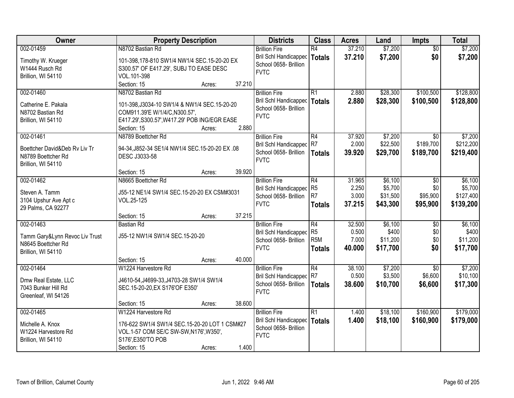| Owner                                                                     | <b>Property Description</b>                                                                           |                  | <b>Districts</b>                                                              | <b>Class</b>                                          | <b>Acres</b>             | Land                         | <b>Impts</b>                  | <b>Total</b>                 |
|---------------------------------------------------------------------------|-------------------------------------------------------------------------------------------------------|------------------|-------------------------------------------------------------------------------|-------------------------------------------------------|--------------------------|------------------------------|-------------------------------|------------------------------|
| 002-01459                                                                 | N8702 Bastian Rd                                                                                      |                  | <b>Brillion Fire</b>                                                          | R4                                                    | 37.210                   | \$7,200                      | $\overline{50}$               | \$7,200                      |
| Timothy W. Krueger<br>W1444 Rusch Rd<br>Brillion, WI 54110                | 101-398,178-810 SW1/4 NW1/4 SEC.15-20-20 EX<br>S300.57' OF E417.29', SUBJ TO EASE DESC<br>VOL.101-398 |                  | <b>Bril Schl Handicapped</b><br>School 0658- Brillion<br><b>FVTC</b>          | <b>Totals</b>                                         | 37.210                   | \$7,200                      | \$0                           | \$7,200                      |
|                                                                           | Section: 15                                                                                           | 37.210<br>Acres: |                                                                               |                                                       |                          |                              |                               |                              |
| 002-01460<br>Catherine E. Pakala                                          | N8702 Bastian Rd<br>101-398, J3034-10 SW1/4 & NW1/4 SEC. 15-20-20                                     |                  | <b>Brillion Fire</b><br><b>Bril Schl Handicapped</b><br>School 0658- Brillion | $\overline{R1}$<br><b>Totals</b>                      | 2.880<br>2.880           | \$28,300<br>\$28,300         | \$100,500<br>\$100,500        | \$128,800<br>\$128,800       |
| N8702 Bastian Rd<br>Brillion, WI 54110                                    | COM911.39'E W/1/4/C,N300.57',<br>E417.29', S300.57', W417.29' POB ING/EGR EASE<br>Section: 15         | 2.880<br>Acres:  | <b>FVTC</b>                                                                   |                                                       |                          |                              |                               |                              |
| 002-01461                                                                 | N8789 Boettcher Rd                                                                                    |                  | <b>Brillion Fire</b>                                                          | R4                                                    | 37.920                   | \$7,200                      | $\overline{50}$               | \$7,200                      |
| Boettcher David&Deb Ry Liv Tr<br>N8789 Boettcher Rd<br>Brillion, WI 54110 | 94-34, J852-34 SE1/4 NW1/4 SEC. 15-20-20 EX. 08<br>DESC J3033-58                                      |                  | Bril Schl Handicapped<br>School 0658- Brillion<br><b>FVTC</b>                 | R7<br><b>Totals</b>                                   | 2.000<br>39.920          | \$22,500<br>\$29,700         | \$189,700<br>\$189,700        | \$212,200<br>\$219,400       |
|                                                                           | Section: 15                                                                                           | 39.920<br>Acres: |                                                                               |                                                       |                          |                              |                               |                              |
| 002-01462                                                                 | N8665 Boettcher Rd                                                                                    |                  | <b>Brillion Fire</b>                                                          | R4<br>R <sub>5</sub>                                  | 31.965<br>2.250          | \$6,100<br>\$5,700           | $\sqrt[6]{}$<br>\$0           | \$6,100<br>\$5,700           |
| Steven A. Tamm<br>3104 Upshur Ave Apt c<br>29 Palms, CA 92277             | J55-12 NE1/4 SW1/4 SEC.15-20-20 EX CSM#3031<br>VOL.25-125                                             |                  | <b>Bril Schl Handicapped</b><br>School 0658- Brillion<br><b>FVTC</b>          | R <sub>7</sub><br><b>Totals</b>                       | 3.000<br>37.215          | \$31,500<br>\$43,300         | \$95,900<br>\$95,900          | \$127,400<br>\$139,200       |
|                                                                           | Section: 15                                                                                           | 37.215<br>Acres: |                                                                               |                                                       |                          |                              |                               |                              |
| 002-01463<br>Tamm Gary&Lynn Revoc Liv Trust                               | <b>Bastian Rd</b><br>J55-12 NW1/4 SW1/4 SEC.15-20-20                                                  |                  | <b>Brillion Fire</b><br><b>Bril Schl Handicapped</b><br>School 0658- Brillion | $\overline{R4}$<br>R <sub>5</sub><br>R <sub>5</sub> M | 32.500<br>0.500<br>7.000 | \$6,100<br>\$400<br>\$11,200 | $\overline{30}$<br>\$0<br>\$0 | \$6,100<br>\$400<br>\$11,200 |
| N8645 Boettcher Rd<br>Brillion, WI 54110                                  |                                                                                                       |                  | <b>FVTC</b>                                                                   | <b>Totals</b>                                         | 40.000                   | \$17,700                     | \$0                           | \$17,700                     |
|                                                                           | Section: 15                                                                                           | 40.000<br>Acres: |                                                                               |                                                       |                          |                              |                               |                              |
| 002-01464                                                                 | W1224 Harvestore Rd                                                                                   |                  | <b>Brillion Fire</b>                                                          | $\overline{R4}$                                       | 38.100                   | \$7,200                      | $\overline{50}$               | \$7,200                      |
| Dmw Real Estate, LLC<br>7043 Bunker Hill Rd<br>Greenleaf, WI 54126        | J4610-54, J4699-33, J4703-28 SW1/4 SW1/4<br>SEC.15-20-20, EX S176' OF E350'                           |                  | Bril Schl Handicapped<br>School 0658- Brillion<br><b>FVTC</b>                 | R7<br><b>Totals</b>                                   | 0.500<br>38,600          | \$3,500<br>\$10,700          | \$6,600<br>\$6,600            | \$10,100<br>\$17,300         |
|                                                                           | Section: 15                                                                                           | 38.600<br>Acres: |                                                                               |                                                       |                          |                              |                               |                              |
| 002-01465<br>Michelle A. Knox                                             | W1224 Harvestore Rd<br>176-622 SW1/4 SW1/4 SEC.15-20-20 LOT 1 CSM#27                                  |                  | <b>Brillion Fire</b><br><b>Bril Schl Handicapped</b>                          | $\overline{R1}$<br><b>Totals</b>                      | 1.400<br>1.400           | \$18,100<br>\$18,100         | \$160,900<br>\$160,900        | \$179,000<br>\$179,000       |
| W1224 Harvestore Rd<br>Brillion, WI 54110                                 | VOL.1-57 COM SE/C SW-SW, N176', W350',<br>S176', E350'TO POB                                          |                  | School 0658- Brillion<br><b>FVTC</b>                                          |                                                       |                          |                              |                               |                              |
|                                                                           | Section: 15                                                                                           | 1.400<br>Acres:  |                                                                               |                                                       |                          |                              |                               |                              |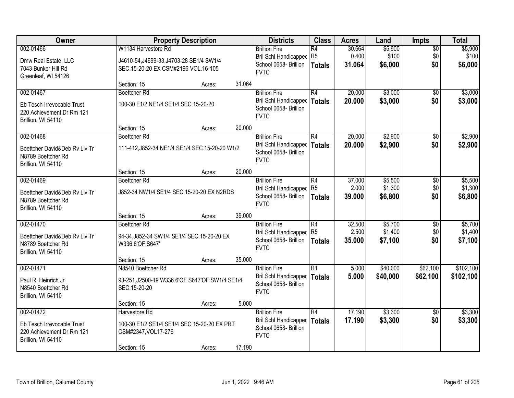| \$5,900<br>002-01466<br>W1134 Harvestore Rd<br>30.664<br>\$5,900<br><b>Brillion Fire</b><br>R4<br>$\overline{50}$<br>R <sub>5</sub><br>0.400<br>\$100<br>\$0<br>\$100<br>Bril Schl Handicapped<br>Dmw Real Estate, LLC<br>J4610-54, J4699-33, J4703-28 SE1/4 SW1/4<br>School 0658- Brillion<br>\$0<br>31.064<br>\$6,000<br>\$6,000<br><b>Totals</b><br>7043 Bunker Hill Rd<br>SEC.15-20-20 EX CSM#2196 VOL.16-105<br><b>FVTC</b><br>Greenleaf, WI 54126<br>31.064<br>Section: 15<br>Acres:<br>R4<br>\$3,000<br>002-01467<br>20.000<br><b>Boettcher Rd</b><br><b>Brillion Fire</b><br>$\overline{50}$<br>\$0<br>Bril Schl Handicapped<br>20.000<br>\$3,000<br>\$3,000<br>Totals<br>100-30 E1/2 NE1/4 SE1/4 SEC.15-20-20<br>Eb Tesch Irrevocable Trust<br>School 0658- Brillion<br>220 Achievement Dr Rm 121<br><b>FVTC</b><br>Brillion, WI 54110<br>20.000<br>Section: 15<br>Acres:<br>\$2,900<br>002-01468<br><b>Brillion Fire</b><br>R4<br>20.000<br><b>Boettcher Rd</b><br>\$0<br>\$0<br><b>Bril Schl Handicapped</b><br>20.000<br>\$2,900<br><b>Totals</b><br>111-412, J852-34 NE1/4 SE1/4 SEC. 15-20-20 W1/2<br>Boettcher David&Deb Ry Liv Tr<br>School 0658- Brillion<br>N8789 Boettcher Rd<br><b>FVTC</b><br>Brillion, WI 54110<br>20.000<br>Section: 15<br>Acres:<br>\$5,500<br>002-01469<br><b>Boettcher Rd</b><br><b>Brillion Fire</b><br>R4<br>37.000<br>\$0<br>\$1,300<br>Bril Schl Handicapped R5<br>2.000<br>\$0<br>Boettcher David&Deb Ry Liv Tr<br>J852-34 NW1/4 SE1/4 SEC.15-20-20 EX N2RDS<br>School 0658- Brillion<br>\$0<br>39.000<br>\$6,800<br>\$6,800<br><b>Totals</b><br>N8789 Boettcher Rd<br><b>FVTC</b><br>Brillion, WI 54110<br>39.000<br>Section: 15<br>Acres:<br>R4<br>32.500<br>\$5,700<br>002-01470<br><b>Boettcher Rd</b><br><b>Brillion Fire</b><br>$\overline{50}$<br>R <sub>5</sub><br>2.500<br>\$1,400<br>\$0<br><b>Bril Schl Handicapped</b><br>Boettcher David&Deb Rv Liv Tr<br>94-34, J852-34 SW1/4 SE1/4 SEC. 15-20-20 EX<br>School 0658- Brillion<br>35.000<br>\$7,100<br>\$0<br>\$7,100<br>Totals<br>N8789 Boettcher Rd<br>W336.6'OF S647'<br><b>FVTC</b><br>Brillion, WI 54110<br>35.000<br>Section: 15<br>Acres:<br>IR1<br>\$62,100<br>002-01471<br>N8540 Boettcher Rd<br><b>Brillion Fire</b><br>5.000<br>\$40,000<br><b>Bril Schl Handicapped</b><br>5.000<br>\$40,000<br>\$62,100<br>Totals<br>Paul R. Heinrich Jr<br>93-251, J2500-19 W336.6' OF S647' OF SW1/4 SE1/4<br>School 0658- Brillion<br>N8540 Boettcher Rd<br>SEC.15-20-20<br><b>FVTC</b><br>Brillion, WI 54110<br>5.000<br>Section: 15<br>Acres:<br>17.190<br>\$3,300<br>002-01472<br>R4<br>Harvestore Rd<br><b>Brillion Fire</b><br>$\overline{30}$<br>17.190<br><b>Bril Schl Handicapped</b><br>\$3,300<br>\$0<br>\$3,300<br>Totals<br>Eb Tesch Irrevocable Trust<br>100-30 E1/2 SE1/4 SE1/4 SEC 15-20-20 EX PRT<br>School 0658- Brillion<br>220 Achievement Dr Rm 121<br>CSM#2347, VOL17-276 | Owner | <b>Property Description</b> | <b>Districts</b> | <b>Class</b> | <b>Acres</b> | Land | <b>Impts</b> | <b>Total</b> |
|------------------------------------------------------------------------------------------------------------------------------------------------------------------------------------------------------------------------------------------------------------------------------------------------------------------------------------------------------------------------------------------------------------------------------------------------------------------------------------------------------------------------------------------------------------------------------------------------------------------------------------------------------------------------------------------------------------------------------------------------------------------------------------------------------------------------------------------------------------------------------------------------------------------------------------------------------------------------------------------------------------------------------------------------------------------------------------------------------------------------------------------------------------------------------------------------------------------------------------------------------------------------------------------------------------------------------------------------------------------------------------------------------------------------------------------------------------------------------------------------------------------------------------------------------------------------------------------------------------------------------------------------------------------------------------------------------------------------------------------------------------------------------------------------------------------------------------------------------------------------------------------------------------------------------------------------------------------------------------------------------------------------------------------------------------------------------------------------------------------------------------------------------------------------------------------------------------------------------------------------------------------------------------------------------------------------------------------------------------------------------------------------------------------------------------------------------------------------------------------------------------------------------------------------------------------------------------------------------------------------------------------------------------------------------------------------------------------------------------------------------------------------------------------------------------------------------------------------------------------------------------------------------------|-------|-----------------------------|------------------|--------------|--------------|------|--------------|--------------|
|                                                                                                                                                                                                                                                                                                                                                                                                                                                                                                                                                                                                                                                                                                                                                                                                                                                                                                                                                                                                                                                                                                                                                                                                                                                                                                                                                                                                                                                                                                                                                                                                                                                                                                                                                                                                                                                                                                                                                                                                                                                                                                                                                                                                                                                                                                                                                                                                                                                                                                                                                                                                                                                                                                                                                                                                                                                                                                            |       |                             |                  |              |              |      |              |              |
|                                                                                                                                                                                                                                                                                                                                                                                                                                                                                                                                                                                                                                                                                                                                                                                                                                                                                                                                                                                                                                                                                                                                                                                                                                                                                                                                                                                                                                                                                                                                                                                                                                                                                                                                                                                                                                                                                                                                                                                                                                                                                                                                                                                                                                                                                                                                                                                                                                                                                                                                                                                                                                                                                                                                                                                                                                                                                                            |       |                             |                  |              |              |      |              |              |
| \$3,000<br>\$2,900<br>\$2,900<br>\$5,500<br>\$1,300<br>\$5,700<br>\$1,400<br>\$102,100<br>\$102,100<br>\$3,300                                                                                                                                                                                                                                                                                                                                                                                                                                                                                                                                                                                                                                                                                                                                                                                                                                                                                                                                                                                                                                                                                                                                                                                                                                                                                                                                                                                                                                                                                                                                                                                                                                                                                                                                                                                                                                                                                                                                                                                                                                                                                                                                                                                                                                                                                                                                                                                                                                                                                                                                                                                                                                                                                                                                                                                             |       |                             |                  |              |              |      |              |              |
|                                                                                                                                                                                                                                                                                                                                                                                                                                                                                                                                                                                                                                                                                                                                                                                                                                                                                                                                                                                                                                                                                                                                                                                                                                                                                                                                                                                                                                                                                                                                                                                                                                                                                                                                                                                                                                                                                                                                                                                                                                                                                                                                                                                                                                                                                                                                                                                                                                                                                                                                                                                                                                                                                                                                                                                                                                                                                                            |       |                             |                  |              |              |      |              |              |
|                                                                                                                                                                                                                                                                                                                                                                                                                                                                                                                                                                                                                                                                                                                                                                                                                                                                                                                                                                                                                                                                                                                                                                                                                                                                                                                                                                                                                                                                                                                                                                                                                                                                                                                                                                                                                                                                                                                                                                                                                                                                                                                                                                                                                                                                                                                                                                                                                                                                                                                                                                                                                                                                                                                                                                                                                                                                                                            |       |                             |                  |              |              |      |              |              |
|                                                                                                                                                                                                                                                                                                                                                                                                                                                                                                                                                                                                                                                                                                                                                                                                                                                                                                                                                                                                                                                                                                                                                                                                                                                                                                                                                                                                                                                                                                                                                                                                                                                                                                                                                                                                                                                                                                                                                                                                                                                                                                                                                                                                                                                                                                                                                                                                                                                                                                                                                                                                                                                                                                                                                                                                                                                                                                            |       |                             |                  |              |              |      |              |              |
|                                                                                                                                                                                                                                                                                                                                                                                                                                                                                                                                                                                                                                                                                                                                                                                                                                                                                                                                                                                                                                                                                                                                                                                                                                                                                                                                                                                                                                                                                                                                                                                                                                                                                                                                                                                                                                                                                                                                                                                                                                                                                                                                                                                                                                                                                                                                                                                                                                                                                                                                                                                                                                                                                                                                                                                                                                                                                                            |       |                             |                  |              |              |      |              |              |
|                                                                                                                                                                                                                                                                                                                                                                                                                                                                                                                                                                                                                                                                                                                                                                                                                                                                                                                                                                                                                                                                                                                                                                                                                                                                                                                                                                                                                                                                                                                                                                                                                                                                                                                                                                                                                                                                                                                                                                                                                                                                                                                                                                                                                                                                                                                                                                                                                                                                                                                                                                                                                                                                                                                                                                                                                                                                                                            |       |                             |                  |              |              |      |              |              |
|                                                                                                                                                                                                                                                                                                                                                                                                                                                                                                                                                                                                                                                                                                                                                                                                                                                                                                                                                                                                                                                                                                                                                                                                                                                                                                                                                                                                                                                                                                                                                                                                                                                                                                                                                                                                                                                                                                                                                                                                                                                                                                                                                                                                                                                                                                                                                                                                                                                                                                                                                                                                                                                                                                                                                                                                                                                                                                            |       |                             |                  |              |              |      |              |              |
|                                                                                                                                                                                                                                                                                                                                                                                                                                                                                                                                                                                                                                                                                                                                                                                                                                                                                                                                                                                                                                                                                                                                                                                                                                                                                                                                                                                                                                                                                                                                                                                                                                                                                                                                                                                                                                                                                                                                                                                                                                                                                                                                                                                                                                                                                                                                                                                                                                                                                                                                                                                                                                                                                                                                                                                                                                                                                                            |       |                             |                  |              |              |      |              |              |
|                                                                                                                                                                                                                                                                                                                                                                                                                                                                                                                                                                                                                                                                                                                                                                                                                                                                                                                                                                                                                                                                                                                                                                                                                                                                                                                                                                                                                                                                                                                                                                                                                                                                                                                                                                                                                                                                                                                                                                                                                                                                                                                                                                                                                                                                                                                                                                                                                                                                                                                                                                                                                                                                                                                                                                                                                                                                                                            |       |                             |                  |              |              |      |              |              |
|                                                                                                                                                                                                                                                                                                                                                                                                                                                                                                                                                                                                                                                                                                                                                                                                                                                                                                                                                                                                                                                                                                                                                                                                                                                                                                                                                                                                                                                                                                                                                                                                                                                                                                                                                                                                                                                                                                                                                                                                                                                                                                                                                                                                                                                                                                                                                                                                                                                                                                                                                                                                                                                                                                                                                                                                                                                                                                            |       |                             |                  |              |              |      |              |              |
|                                                                                                                                                                                                                                                                                                                                                                                                                                                                                                                                                                                                                                                                                                                                                                                                                                                                                                                                                                                                                                                                                                                                                                                                                                                                                                                                                                                                                                                                                                                                                                                                                                                                                                                                                                                                                                                                                                                                                                                                                                                                                                                                                                                                                                                                                                                                                                                                                                                                                                                                                                                                                                                                                                                                                                                                                                                                                                            |       |                             |                  |              |              |      |              |              |
|                                                                                                                                                                                                                                                                                                                                                                                                                                                                                                                                                                                                                                                                                                                                                                                                                                                                                                                                                                                                                                                                                                                                                                                                                                                                                                                                                                                                                                                                                                                                                                                                                                                                                                                                                                                                                                                                                                                                                                                                                                                                                                                                                                                                                                                                                                                                                                                                                                                                                                                                                                                                                                                                                                                                                                                                                                                                                                            |       |                             |                  |              |              |      |              |              |
|                                                                                                                                                                                                                                                                                                                                                                                                                                                                                                                                                                                                                                                                                                                                                                                                                                                                                                                                                                                                                                                                                                                                                                                                                                                                                                                                                                                                                                                                                                                                                                                                                                                                                                                                                                                                                                                                                                                                                                                                                                                                                                                                                                                                                                                                                                                                                                                                                                                                                                                                                                                                                                                                                                                                                                                                                                                                                                            |       |                             |                  |              |              |      |              |              |
|                                                                                                                                                                                                                                                                                                                                                                                                                                                                                                                                                                                                                                                                                                                                                                                                                                                                                                                                                                                                                                                                                                                                                                                                                                                                                                                                                                                                                                                                                                                                                                                                                                                                                                                                                                                                                                                                                                                                                                                                                                                                                                                                                                                                                                                                                                                                                                                                                                                                                                                                                                                                                                                                                                                                                                                                                                                                                                            |       |                             |                  |              |              |      |              |              |
|                                                                                                                                                                                                                                                                                                                                                                                                                                                                                                                                                                                                                                                                                                                                                                                                                                                                                                                                                                                                                                                                                                                                                                                                                                                                                                                                                                                                                                                                                                                                                                                                                                                                                                                                                                                                                                                                                                                                                                                                                                                                                                                                                                                                                                                                                                                                                                                                                                                                                                                                                                                                                                                                                                                                                                                                                                                                                                            |       |                             |                  |              |              |      |              |              |
|                                                                                                                                                                                                                                                                                                                                                                                                                                                                                                                                                                                                                                                                                                                                                                                                                                                                                                                                                                                                                                                                                                                                                                                                                                                                                                                                                                                                                                                                                                                                                                                                                                                                                                                                                                                                                                                                                                                                                                                                                                                                                                                                                                                                                                                                                                                                                                                                                                                                                                                                                                                                                                                                                                                                                                                                                                                                                                            |       |                             |                  |              |              |      |              |              |
|                                                                                                                                                                                                                                                                                                                                                                                                                                                                                                                                                                                                                                                                                                                                                                                                                                                                                                                                                                                                                                                                                                                                                                                                                                                                                                                                                                                                                                                                                                                                                                                                                                                                                                                                                                                                                                                                                                                                                                                                                                                                                                                                                                                                                                                                                                                                                                                                                                                                                                                                                                                                                                                                                                                                                                                                                                                                                                            |       |                             |                  |              |              |      |              |              |
|                                                                                                                                                                                                                                                                                                                                                                                                                                                                                                                                                                                                                                                                                                                                                                                                                                                                                                                                                                                                                                                                                                                                                                                                                                                                                                                                                                                                                                                                                                                                                                                                                                                                                                                                                                                                                                                                                                                                                                                                                                                                                                                                                                                                                                                                                                                                                                                                                                                                                                                                                                                                                                                                                                                                                                                                                                                                                                            |       |                             |                  |              |              |      |              |              |
|                                                                                                                                                                                                                                                                                                                                                                                                                                                                                                                                                                                                                                                                                                                                                                                                                                                                                                                                                                                                                                                                                                                                                                                                                                                                                                                                                                                                                                                                                                                                                                                                                                                                                                                                                                                                                                                                                                                                                                                                                                                                                                                                                                                                                                                                                                                                                                                                                                                                                                                                                                                                                                                                                                                                                                                                                                                                                                            |       |                             |                  |              |              |      |              |              |
|                                                                                                                                                                                                                                                                                                                                                                                                                                                                                                                                                                                                                                                                                                                                                                                                                                                                                                                                                                                                                                                                                                                                                                                                                                                                                                                                                                                                                                                                                                                                                                                                                                                                                                                                                                                                                                                                                                                                                                                                                                                                                                                                                                                                                                                                                                                                                                                                                                                                                                                                                                                                                                                                                                                                                                                                                                                                                                            |       |                             |                  |              |              |      |              |              |
|                                                                                                                                                                                                                                                                                                                                                                                                                                                                                                                                                                                                                                                                                                                                                                                                                                                                                                                                                                                                                                                                                                                                                                                                                                                                                                                                                                                                                                                                                                                                                                                                                                                                                                                                                                                                                                                                                                                                                                                                                                                                                                                                                                                                                                                                                                                                                                                                                                                                                                                                                                                                                                                                                                                                                                                                                                                                                                            |       |                             |                  |              |              |      |              |              |
|                                                                                                                                                                                                                                                                                                                                                                                                                                                                                                                                                                                                                                                                                                                                                                                                                                                                                                                                                                                                                                                                                                                                                                                                                                                                                                                                                                                                                                                                                                                                                                                                                                                                                                                                                                                                                                                                                                                                                                                                                                                                                                                                                                                                                                                                                                                                                                                                                                                                                                                                                                                                                                                                                                                                                                                                                                                                                                            |       |                             |                  |              |              |      |              |              |
|                                                                                                                                                                                                                                                                                                                                                                                                                                                                                                                                                                                                                                                                                                                                                                                                                                                                                                                                                                                                                                                                                                                                                                                                                                                                                                                                                                                                                                                                                                                                                                                                                                                                                                                                                                                                                                                                                                                                                                                                                                                                                                                                                                                                                                                                                                                                                                                                                                                                                                                                                                                                                                                                                                                                                                                                                                                                                                            |       |                             |                  |              |              |      |              |              |
|                                                                                                                                                                                                                                                                                                                                                                                                                                                                                                                                                                                                                                                                                                                                                                                                                                                                                                                                                                                                                                                                                                                                                                                                                                                                                                                                                                                                                                                                                                                                                                                                                                                                                                                                                                                                                                                                                                                                                                                                                                                                                                                                                                                                                                                                                                                                                                                                                                                                                                                                                                                                                                                                                                                                                                                                                                                                                                            |       |                             |                  |              |              |      |              |              |
|                                                                                                                                                                                                                                                                                                                                                                                                                                                                                                                                                                                                                                                                                                                                                                                                                                                                                                                                                                                                                                                                                                                                                                                                                                                                                                                                                                                                                                                                                                                                                                                                                                                                                                                                                                                                                                                                                                                                                                                                                                                                                                                                                                                                                                                                                                                                                                                                                                                                                                                                                                                                                                                                                                                                                                                                                                                                                                            |       |                             |                  |              |              |      |              |              |
|                                                                                                                                                                                                                                                                                                                                                                                                                                                                                                                                                                                                                                                                                                                                                                                                                                                                                                                                                                                                                                                                                                                                                                                                                                                                                                                                                                                                                                                                                                                                                                                                                                                                                                                                                                                                                                                                                                                                                                                                                                                                                                                                                                                                                                                                                                                                                                                                                                                                                                                                                                                                                                                                                                                                                                                                                                                                                                            |       |                             |                  |              |              |      |              |              |
|                                                                                                                                                                                                                                                                                                                                                                                                                                                                                                                                                                                                                                                                                                                                                                                                                                                                                                                                                                                                                                                                                                                                                                                                                                                                                                                                                                                                                                                                                                                                                                                                                                                                                                                                                                                                                                                                                                                                                                                                                                                                                                                                                                                                                                                                                                                                                                                                                                                                                                                                                                                                                                                                                                                                                                                                                                                                                                            |       |                             |                  |              |              |      |              |              |
|                                                                                                                                                                                                                                                                                                                                                                                                                                                                                                                                                                                                                                                                                                                                                                                                                                                                                                                                                                                                                                                                                                                                                                                                                                                                                                                                                                                                                                                                                                                                                                                                                                                                                                                                                                                                                                                                                                                                                                                                                                                                                                                                                                                                                                                                                                                                                                                                                                                                                                                                                                                                                                                                                                                                                                                                                                                                                                            |       |                             |                  |              |              |      |              |              |
|                                                                                                                                                                                                                                                                                                                                                                                                                                                                                                                                                                                                                                                                                                                                                                                                                                                                                                                                                                                                                                                                                                                                                                                                                                                                                                                                                                                                                                                                                                                                                                                                                                                                                                                                                                                                                                                                                                                                                                                                                                                                                                                                                                                                                                                                                                                                                                                                                                                                                                                                                                                                                                                                                                                                                                                                                                                                                                            |       |                             |                  |              |              |      |              |              |
|                                                                                                                                                                                                                                                                                                                                                                                                                                                                                                                                                                                                                                                                                                                                                                                                                                                                                                                                                                                                                                                                                                                                                                                                                                                                                                                                                                                                                                                                                                                                                                                                                                                                                                                                                                                                                                                                                                                                                                                                                                                                                                                                                                                                                                                                                                                                                                                                                                                                                                                                                                                                                                                                                                                                                                                                                                                                                                            |       |                             |                  |              |              |      |              |              |
| Brillion, WI 54110                                                                                                                                                                                                                                                                                                                                                                                                                                                                                                                                                                                                                                                                                                                                                                                                                                                                                                                                                                                                                                                                                                                                                                                                                                                                                                                                                                                                                                                                                                                                                                                                                                                                                                                                                                                                                                                                                                                                                                                                                                                                                                                                                                                                                                                                                                                                                                                                                                                                                                                                                                                                                                                                                                                                                                                                                                                                                         |       |                             | <b>FVTC</b>      |              |              |      |              |              |
| 17.190<br>Section: 15<br>Acres:                                                                                                                                                                                                                                                                                                                                                                                                                                                                                                                                                                                                                                                                                                                                                                                                                                                                                                                                                                                                                                                                                                                                                                                                                                                                                                                                                                                                                                                                                                                                                                                                                                                                                                                                                                                                                                                                                                                                                                                                                                                                                                                                                                                                                                                                                                                                                                                                                                                                                                                                                                                                                                                                                                                                                                                                                                                                            |       |                             |                  |              |              |      |              |              |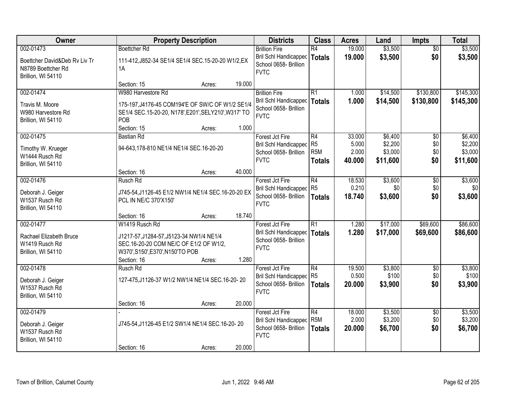| Owner                                    |                                                                             | <b>Property Description</b> |        | <b>Districts</b>                                     | <b>Class</b>                      | <b>Acres</b>    | Land                | <b>Impts</b>           | <b>Total</b>        |
|------------------------------------------|-----------------------------------------------------------------------------|-----------------------------|--------|------------------------------------------------------|-----------------------------------|-----------------|---------------------|------------------------|---------------------|
| 002-01473                                | <b>Boettcher Rd</b>                                                         |                             |        | <b>Brillion Fire</b><br><b>Bril Schl Handicapped</b> | $\overline{R4}$                   | 19.000          | \$3,500             | $\overline{50}$<br>\$0 | \$3,500             |
| Boettcher David&Deb Rv Liv Tr            | 111-412, J852-34 SE1/4 SE1/4 SEC. 15-20-20 W1/2, EX                         |                             |        | School 0658- Brillion                                | <b>Totals</b>                     | 19.000          | \$3,500             |                        | \$3,500             |
| N8789 Boettcher Rd<br>Brillion, WI 54110 | 1A                                                                          |                             |        | <b>FVTC</b>                                          |                                   |                 |                     |                        |                     |
|                                          | Section: 15                                                                 | Acres:                      | 19.000 |                                                      |                                   |                 |                     |                        |                     |
| 002-01474                                | W980 Harvestore Rd                                                          |                             |        | <b>Brillion Fire</b>                                 | $\overline{R1}$                   | 1.000           | \$14,500            | \$130,800              | \$145,300           |
| Travis M. Moore                          | 175-197, J4176-45 COM194'E OF SW/C OF W1/2 SE1/4                            |                             |        | Bril Schl Handicapped<br>School 0658- Brillion       | Totals                            | 1.000           | \$14,500            | \$130,800              | \$145,300           |
| W980 Harvestore Rd                       | SE1/4 SEC.15-20-20, N178', E201', SELY210', W317' TO                        |                             |        | <b>FVTC</b>                                          |                                   |                 |                     |                        |                     |
| Brillion, WI 54110                       | POB<br>Section: 15                                                          | Acres:                      | 1.000  |                                                      |                                   |                 |                     |                        |                     |
| 002-01475                                | <b>Bastian Rd</b>                                                           |                             |        | Forest Jct Fire                                      | R4                                | 33.000          | \$6,400             | \$0                    | \$6,400             |
| Timothy W. Krueger                       | 94-643,178-810 NE1/4 NE1/4 SEC.16-20-20                                     |                             |        | Bril Schl Handicapped                                | R <sub>5</sub>                    | 5.000           | \$2,200             | \$0                    | \$2,200             |
| W1444 Rusch Rd                           |                                                                             |                             |        | School 0658- Brillion<br><b>FVTC</b>                 | R <sub>5</sub> M<br><b>Totals</b> | 2.000<br>40,000 | \$3,000<br>\$11,600 | \$0<br>\$0             | \$3,000<br>\$11,600 |
| Brillion, WI 54110                       |                                                                             |                             |        |                                                      |                                   |                 |                     |                        |                     |
| 002-01476                                | Section: 16<br>Rusch Rd                                                     | Acres:                      | 40.000 | Forest Jct Fire                                      | R4                                | 18.530          | \$3,600             | $\sqrt[6]{3}$          | \$3,600             |
|                                          |                                                                             |                             |        | Bril Schl Handicapped                                | R <sub>5</sub>                    | 0.210           | \$0                 | \$0                    | \$0                 |
| Deborah J. Geiger<br>W1537 Rusch Rd      | J745-54, J1126-45 E1/2 NW1/4 NE1/4 SEC.16-20-20 EX<br>PCL IN NE/C 370'X150' |                             |        | School 0658- Brillion                                | <b>Totals</b>                     | 18.740          | \$3,600             | \$0                    | \$3,600             |
| Brillion, WI 54110                       |                                                                             |                             |        | <b>FVTC</b>                                          |                                   |                 |                     |                        |                     |
|                                          | Section: 16                                                                 | Acres:                      | 18.740 |                                                      |                                   |                 |                     |                        |                     |
| 002-01477                                | W1419 Rusch Rd                                                              |                             |        | Forest Jct Fire                                      | $\overline{R1}$                   | 1.280           | \$17,000            | \$69,600               | \$86,600            |
| Rachael Elizabeth Bruce                  | J1217-57, J1284-57, J5123-34 NW1/4 NE1/4                                    |                             |        | Bril Schl Handicapped<br>School 0658- Brillion       | Totals                            | 1.280           | \$17,000            | \$69,600               | \$86,600            |
| W1419 Rusch Rd                           | SEC.16-20-20 COM NE/C OF E1/2 OF W1/2,                                      |                             |        | <b>FVTC</b>                                          |                                   |                 |                     |                        |                     |
| Brillion, WI 54110                       | W370', S150', E370', N150'TO POB<br>Section: 16                             | Acres:                      | 1.280  |                                                      |                                   |                 |                     |                        |                     |
| 002-01478                                | Rusch Rd                                                                    |                             |        | Forest Jct Fire                                      | R4                                | 19.500          | \$3,800             | \$0                    | \$3,800             |
| Deborah J. Geiger                        | 127-475, J1126-37 W1/2 NW1/4 NE1/4 SEC.16-20-20                             |                             |        | Bril Schl Handicapped                                | R5                                | 0.500           | \$100               | \$0                    | \$100               |
| W1537 Rusch Rd                           |                                                                             |                             |        | School 0658- Brillion<br><b>FVTC</b>                 | <b>Totals</b>                     | 20.000          | \$3,900             | \$0                    | \$3,900             |
| Brillion, WI 54110                       |                                                                             |                             |        |                                                      |                                   |                 |                     |                        |                     |
| 002-01479                                | Section: 16                                                                 | Acres:                      | 20.000 |                                                      | R4                                | 18.000          | \$3,500             |                        | \$3,500             |
|                                          |                                                                             |                             |        | Forest Jct Fire<br>Bril Schl Handicapped             | R <sub>5</sub> M                  | 2.000           | \$3,200             | $\overline{60}$<br>\$0 | \$3,200             |
| Deborah J. Geiger<br>W1537 Rusch Rd      | J745-54, J1126-45 E1/2 SW1/4 NE1/4 SEC.16-20-20                             |                             |        | School 0658- Brillion                                | <b>Totals</b>                     | 20.000          | \$6,700             | \$0                    | \$6,700             |
| Brillion, WI 54110                       |                                                                             |                             |        | <b>FVTC</b>                                          |                                   |                 |                     |                        |                     |
|                                          | Section: 16                                                                 | Acres:                      | 20.000 |                                                      |                                   |                 |                     |                        |                     |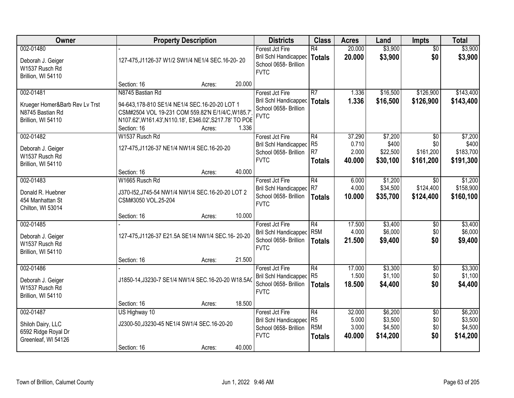| Owner                                                                                 |                                                                                                                                                                                                 | <b>Property Description</b> |        | <b>Districts</b>                                                                        | <b>Class</b>                                              | <b>Acres</b>                       | Land                                      | <b>Impts</b>                              | <b>Total</b>                               |
|---------------------------------------------------------------------------------------|-------------------------------------------------------------------------------------------------------------------------------------------------------------------------------------------------|-----------------------------|--------|-----------------------------------------------------------------------------------------|-----------------------------------------------------------|------------------------------------|-------------------------------------------|-------------------------------------------|--------------------------------------------|
| 002-01480<br>Deborah J. Geiger<br>W1537 Rusch Rd<br>Brillion, WI 54110                | 127-475, J1126-37 W1/2 SW1/4 NE1/4 SEC.16-20-20                                                                                                                                                 |                             |        | Forest Jct Fire<br><b>Bril Schl Handicapped</b><br>School 0658- Brillion<br><b>FVTC</b> | $\overline{R4}$<br><b>Totals</b>                          | 20.000<br>20.000                   | \$3,900<br>\$3,900                        | $\overline{50}$<br>\$0                    | \$3,900<br>\$3,900                         |
|                                                                                       | Section: 16                                                                                                                                                                                     | Acres:                      | 20.000 |                                                                                         |                                                           |                                    |                                           |                                           |                                            |
| 002-01481<br>Krueger Homer&Barb Rev Lv Trst<br>N8745 Bastian Rd<br>Brillion, WI 54110 | N8745 Bastian Rd<br>94-643,178-810 SE1/4 NE1/4 SEC.16-20-20 LOT 1<br>CSM#2504 VOL 19-231 COM 559.82'N E/1/4/C, W185.7<br>N107.62', W161.43', N110.18', E346.02', S217.78' TO POE<br>Section: 16 | Acres:                      | 1.336  | Forest Jct Fire<br>Bril Schl Handicapped<br>School 0658- Brillion<br><b>FVTC</b>        | $\overline{R7}$<br><b>Totals</b>                          | 1.336<br>1.336                     | \$16,500<br>\$16,500                      | \$126,900<br>\$126,900                    | \$143,400<br>\$143,400                     |
| 002-01482<br>Deborah J. Geiger<br>W1537 Rusch Rd<br>Brillion, WI 54110                | W1537 Rusch Rd<br>127-475, J1126-37 NE1/4 NW1/4 SEC. 16-20-20                                                                                                                                   |                             |        | Forest Jct Fire<br>Bril Schl Handicapped<br>School 0658- Brillion<br><b>FVTC</b>        | R4<br>R <sub>5</sub><br>R <sub>7</sub><br><b>Totals</b>   | 37.290<br>0.710<br>2.000<br>40.000 | \$7,200<br>\$400<br>\$22,500<br>\$30,100  | \$0<br>\$0<br>\$161,200<br>\$161,200      | \$7,200<br>\$400<br>\$183,700<br>\$191,300 |
|                                                                                       | Section: 16                                                                                                                                                                                     | Acres:                      | 40.000 |                                                                                         |                                                           |                                    |                                           |                                           |                                            |
| 002-01483<br>Donald R. Huebner<br>454 Manhattan St<br>Chilton, WI 53014               | W1665 Rusch Rd<br>J370-152, J745-54 NW1/4 NW1/4 SEC. 16-20-20 LOT 2<br>CSM#3050 VOL.25-204                                                                                                      |                             |        | Forest Jct Fire<br><b>Bril Schl Handicapped</b><br>School 0658- Brillion<br><b>FVTC</b> | R4<br>R7<br><b>Totals</b>                                 | 6.000<br>4.000<br>10.000           | \$1,200<br>\$34,500<br>\$35,700           | $\overline{50}$<br>\$124,400<br>\$124,400 | \$1,200<br>\$158,900<br>\$160,100          |
|                                                                                       | Section: 16                                                                                                                                                                                     | Acres:                      | 10.000 |                                                                                         |                                                           |                                    |                                           |                                           |                                            |
| 002-01485<br>Deborah J. Geiger<br>W1537 Rusch Rd<br>Brillion, WI 54110                | 127-475, J1126-37 E21.5A SE1/4 NW1/4 SEC.16-20-20                                                                                                                                               |                             |        | Forest Jct Fire<br><b>Bril Schl Handicapped</b><br>School 0658- Brillion<br><b>FVTC</b> | $\overline{R4}$<br>R <sub>5</sub> M<br><b>Totals</b>      | 17.500<br>4.000<br>21.500          | \$3,400<br>\$6,000<br>\$9,400             | \$0<br>\$0<br>\$0                         | \$3,400<br>\$6,000<br>\$9,400              |
|                                                                                       | Section: 16                                                                                                                                                                                     | Acres:                      | 21.500 |                                                                                         |                                                           |                                    |                                           |                                           |                                            |
| 002-01486<br>Deborah J. Geiger<br>W1537 Rusch Rd<br>Brillion, WI 54110                | J1850-14, J3230-7 SE1/4 NW1/4 SEC. 16-20-20 W18.5A0                                                                                                                                             |                             |        | Forest Jct Fire<br>Bril Schl Handicapped<br>School 0658- Brillion<br><b>FVTC</b>        | $\overline{R4}$<br>R <sub>5</sub><br><b>Totals</b>        | 17.000<br>1.500<br>18.500          | \$3,300<br>\$1,100<br>\$4,400             | $\sqrt{$0}$<br>\$0<br>\$0                 | \$3,300<br>\$1,100<br>\$4,400              |
|                                                                                       | Section: 16                                                                                                                                                                                     | Acres:                      | 18.500 |                                                                                         |                                                           |                                    |                                           |                                           |                                            |
| 002-01487<br>Shiloh Dairy, LLC<br>6592 Ridge Royal Dr<br>Greenleaf, WI 54126          | US Highway 10<br>J2300-50, J3230-45 NE1/4 SW1/4 SEC. 16-20-20<br>Section: 16                                                                                                                    |                             | 40.000 | Forest Jct Fire<br><b>Bril Schl Handicapped</b><br>School 0658- Brillion<br><b>FVTC</b> | R4<br>R <sub>5</sub><br>R <sub>5</sub> M<br><b>Totals</b> | 32.000<br>5.000<br>3.000<br>40.000 | \$6,200<br>\$3,500<br>\$4,500<br>\$14,200 | $\overline{60}$<br>\$0<br>\$0<br>\$0      | \$6,200<br>\$3,500<br>\$4,500<br>\$14,200  |
|                                                                                       |                                                                                                                                                                                                 | Acres:                      |        |                                                                                         |                                                           |                                    |                                           |                                           |                                            |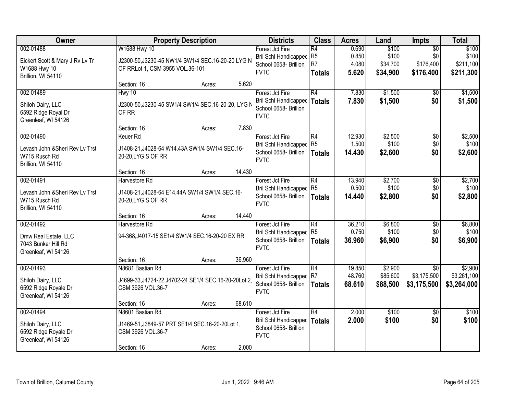| 002-01488<br>Eickert Scott & Mary J Rv Lv Tr<br>W1688 Hwy 10<br>Brillion, WI 54110  | W1688 Hwy 10<br>J2300-50, J3230-45 NW1/4 SW1/4 SEC. 16-20-20 LYG N<br>OF RRLot 1, CSM 3955 VOL.36-101<br>Section: 16<br>Hwy 10<br>J2300-50, J3230-45 SW1/4 SW1/4 SEC. 16-20-20, LYG N | Acres: | 5.620  | Forest Jct Fire<br><b>Bril Schl Handicapped</b><br>School 0658- Brillion<br><b>FVTC</b> | R4<br>R <sub>5</sub><br>R <sub>7</sub><br><b>Totals</b> | 0.690<br>0.850<br>4.080<br>5.620 | \$100<br>\$100<br>\$34,700<br>\$34,900 | $\overline{50}$<br>\$0<br>\$176,400<br>\$176,400 | \$100<br>\$100<br>\$211,100           |
|-------------------------------------------------------------------------------------|---------------------------------------------------------------------------------------------------------------------------------------------------------------------------------------|--------|--------|-----------------------------------------------------------------------------------------|---------------------------------------------------------|----------------------------------|----------------------------------------|--------------------------------------------------|---------------------------------------|
|                                                                                     |                                                                                                                                                                                       |        |        |                                                                                         |                                                         |                                  |                                        |                                                  | \$211,300                             |
|                                                                                     |                                                                                                                                                                                       |        |        |                                                                                         |                                                         |                                  |                                        |                                                  |                                       |
| 002-01489<br>Shiloh Dairy, LLC<br>6592 Ridge Royal Dr<br>Greenleaf, WI 54126        | OF RR                                                                                                                                                                                 |        |        | Forest Jct Fire<br>Bril Schl Handicapped<br>School 0658- Brillion<br><b>FVTC</b>        | $\overline{R4}$<br><b>Totals</b>                        | 7.830<br>7.830                   | \$1,500<br>\$1,500                     | \$0<br>\$0                                       | \$1,500<br>\$1,500                    |
|                                                                                     | Section: 16                                                                                                                                                                           | Acres: | 7.830  |                                                                                         |                                                         |                                  |                                        |                                                  |                                       |
| 002-01490<br>Levash John & Sheri Rev Ly Trst<br>W715 Rusch Rd<br>Brillion, WI 54110 | <b>Keuer Rd</b><br>J1408-21, J4028-64 W14.43A SW1/4 SW1/4 SEC.16-<br>20-20, LYG S OF RR                                                                                               |        |        | Forest Jct Fire<br><b>Bril Schl Handicapped</b><br>School 0658- Brillion<br><b>FVTC</b> | $\overline{R4}$<br>R <sub>5</sub><br><b>Totals</b>      | 12.930<br>1.500<br>14.430        | \$2,500<br>\$100<br>\$2,600            | $\overline{50}$<br>\$0<br>\$0                    | \$2,500<br>\$100<br>\$2,600           |
|                                                                                     | Section: 16                                                                                                                                                                           | Acres: | 14.430 |                                                                                         |                                                         |                                  |                                        |                                                  |                                       |
| 002-01491<br>Levash John & Sheri Rev Ly Trst<br>W715 Rusch Rd<br>Brillion, WI 54110 | Harvestore Rd<br>J1408-21, J4028-64 E14.44A SW1/4 SW1/4 SEC.16-<br>20-20, LYG S OF RR                                                                                                 |        |        | Forest Jct Fire<br><b>Bril Schl Handicapped</b><br>School 0658- Brillion<br><b>FVTC</b> | R4<br>R <sub>5</sub><br><b>Totals</b>                   | 13.940<br>0.500<br>14.440        | \$2,700<br>\$100<br>\$2,800            | \$0<br>\$0<br>\$0                                | \$2,700<br>\$100<br>\$2,800           |
|                                                                                     | Section: 16                                                                                                                                                                           | Acres: | 14.440 |                                                                                         |                                                         |                                  |                                        |                                                  |                                       |
| 002-01492<br>Dmw Real Estate, LLC<br>7043 Bunker Hill Rd<br>Greenleaf, WI 54126     | Harvestore Rd<br>94-368, J4017-15 SE1/4 SW1/4 SEC. 16-20-20 EX RR                                                                                                                     |        |        | Forest Jct Fire<br><b>Bril Schl Handicapped</b><br>School 0658- Brillion<br><b>FVTC</b> | $\overline{R4}$<br>R <sub>5</sub><br><b>Totals</b>      | 36.210<br>0.750<br>36.960        | \$6,800<br>\$100<br>\$6,900            | $\overline{50}$<br>\$0<br>\$0                    | \$6,800<br>\$100<br>\$6,900           |
|                                                                                     | Section: 16                                                                                                                                                                           | Acres: | 36.960 |                                                                                         |                                                         |                                  |                                        |                                                  |                                       |
| 002-01493<br>Shiloh Dairy, LLC<br>6592 Ridge Royale Dr<br>Greenleaf, WI 54126       | N8681 Bastian Rd<br>J4699-33, J4724-22, J4702-24 SE1/4 SEC. 16-20-20Lot 2,<br>CSM 3926 VOL.36-7                                                                                       |        |        | Forest Jct Fire<br>Bril Schl Handicapped R7<br>School 0658- Brillion<br><b>FVTC</b>     | R4<br><b>Totals</b>                                     | 19.850<br>48.760<br>68.610       | \$2,900<br>\$85,600<br>\$88,500        | $\overline{50}$<br>\$3,175,500<br>\$3,175,500    | \$2,900<br>\$3,261,100<br>\$3,264,000 |
|                                                                                     | Section: 16                                                                                                                                                                           | Acres: | 68.610 |                                                                                         |                                                         |                                  |                                        |                                                  |                                       |
| 002-01494<br>Shiloh Dairy, LLC<br>6592 Ridge Royale Dr<br>Greenleaf, WI 54126       | N8601 Bastian Rd<br>J1469-51, J3849-57 PRT SE1/4 SEC. 16-20-20Lot 1,<br>CSM 3926 VOL.36-7<br>Section: 16                                                                              | Acres: | 2.000  | Forest Jct Fire<br><b>Bril Schl Handicapped</b><br>School 0658- Brillion<br><b>FVTC</b> | $\overline{R4}$<br><b>Totals</b>                        | 2.000<br>2.000                   | \$100<br>\$100                         | $\overline{50}$<br>\$0                           | \$100<br>\$100                        |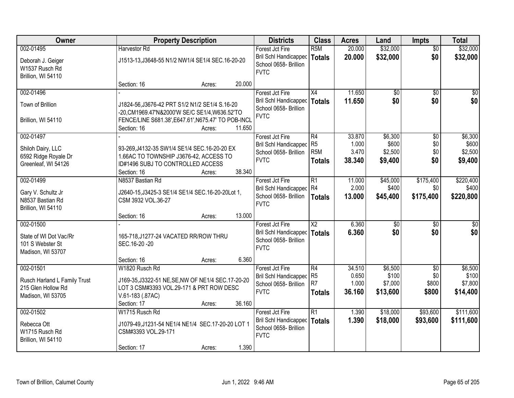| Owner                                                     |                                                                                                  | <b>Property Description</b> |        | <b>Districts</b>                                              | <b>Class</b>     | <b>Acres</b> | Land            | <b>Impts</b>    | <b>Total</b>    |
|-----------------------------------------------------------|--------------------------------------------------------------------------------------------------|-----------------------------|--------|---------------------------------------------------------------|------------------|--------------|-----------------|-----------------|-----------------|
| 002-01495                                                 | Harvestor Rd                                                                                     |                             |        | Forest Jct Fire                                               | R <sub>5</sub> M | 20.000       | \$32,000        | $\overline{50}$ | \$32,000        |
| Deborah J. Geiger<br>W1537 Rusch Rd<br>Brillion, WI 54110 | J1513-13, J3648-55 N1/2 NW1/4 SE1/4 SEC.16-20-20                                                 |                             |        | Bril Schl Handicapped<br>School 0658- Brillion<br><b>FVTC</b> | <b>Totals</b>    | 20.000       | \$32,000        | \$0             | \$32,000        |
|                                                           | Section: 16                                                                                      | Acres:                      | 20.000 |                                                               |                  |              |                 |                 |                 |
| 002-01496                                                 |                                                                                                  |                             |        | Forest Jct Fire                                               | X4               | 11.650       | $\overline{50}$ | $\overline{50}$ | $\overline{30}$ |
| Town of Brillion                                          | J1824-56, J3676-42 PRT S1/2 N1/2 SE1/4 S.16-20<br>-20, CM1969.47'N&2000'W SE/C SE1/4, W636.52'TO |                             |        | Bril Schl Handicapped<br>School 0658- Brillion                | Totals           | 11.650       | \$0             | \$0             | \$0             |
| Brillion, WI 54110                                        | FENCE/LINE S681.38', E647.61', N675.47' TO POB-INCL<br>Section: 16                               | Acres:                      | 11.650 | <b>FVTC</b>                                                   |                  |              |                 |                 |                 |
| 002-01497                                                 |                                                                                                  |                             |        | Forest Jct Fire                                               | R4               | 33.870       | \$6,300         | \$0             | \$6,300         |
| Shiloh Dairy, LLC                                         | 93-269, J4132-35 SW1/4 SE1/4 SEC. 16-20-20 EX                                                    |                             |        | Bril Schl Handicapped                                         | R <sub>5</sub>   | 1.000        | \$600           | \$0             | \$600           |
| 6592 Ridge Royale Dr                                      | 1.66AC TO TOWNSHIP J3676-42, ACCESS TO                                                           |                             |        | School 0658- Brillion                                         | R <sub>5</sub> M | 3.470        | \$2,500         | \$0             | \$2,500         |
| Greenleaf, WI 54126                                       | ID#1496 SUBJ TO CONTROLLED ACCESS                                                                |                             |        | <b>FVTC</b>                                                   | <b>Totals</b>    | 38.340       | \$9,400         | \$0             | \$9,400         |
|                                                           | Section: 16                                                                                      | Acres:                      | 38.340 |                                                               |                  |              |                 |                 |                 |
| 002-01499                                                 | N8537 Bastian Rd                                                                                 |                             |        | Forest Jct Fire                                               | $\overline{R1}$  | 11.000       | \$45,000        | \$175,400       | \$220,400       |
| Gary V. Schultz Jr                                        | J2640-15, J3425-3 SE1/4 SE1/4 SEC. 16-20-20Lot 1,                                                |                             |        | Bril Schl Handicapped                                         | R4               | 2.000        | \$400           | \$0             | \$400           |
| N8537 Bastian Rd                                          | CSM 3932 VOL.36-27                                                                               |                             |        | School 0658- Brillion                                         | <b>Totals</b>    | 13.000       | \$45,400        | \$175,400       | \$220,800       |
| Brillion, WI 54110                                        |                                                                                                  |                             |        | <b>FVTC</b>                                                   |                  |              |                 |                 |                 |
|                                                           | Section: 16                                                                                      | Acres:                      | 13.000 |                                                               |                  |              |                 |                 |                 |
| 002-01500                                                 |                                                                                                  |                             |        | Forest Jct Fire                                               | $\overline{X2}$  | 6.360        | $\overline{50}$ | $\overline{30}$ | $\overline{30}$ |
| State of WI Dot Vac/Rr                                    | 165-718, J1277-24 VACATED RR/ROW THRU                                                            |                             |        | Bril Schl Handicapped                                         | Totals           | 6.360        | \$0             | \$0             | \$0             |
| 101 S Webster St                                          | SEC.16-20-20                                                                                     |                             |        | School 0658- Brillion                                         |                  |              |                 |                 |                 |
| Madison, WI 53707                                         |                                                                                                  |                             |        | <b>FVTC</b>                                                   |                  |              |                 |                 |                 |
|                                                           | Section: 16                                                                                      | Acres:                      | 6.360  |                                                               |                  |              |                 |                 |                 |
| 002-01501                                                 | W1820 Rusch Rd                                                                                   |                             |        | Forest Jct Fire                                               | R4               | 34.510       | \$6,500         | $\overline{50}$ | \$6,500         |
| Rusch Harland L Family Trust                              | J169-35, J3322-51 NE, SE, NW OF NE1/4 SEC. 17-20-20                                              |                             |        | Bril Schl Handicapped                                         | R5               | 0.650        | \$100           | \$0             | \$100           |
| 215 Glen Hollow Rd                                        | LOT 3 CSM#3393 VOL.29-171 & PRT ROW DESC                                                         |                             |        | School 0658- Brillion                                         | R7               | 1.000        | \$7,000         | \$800           | \$7,800         |
| Madison, WI 53705                                         | V.61-183 (.87AC)                                                                                 |                             |        | <b>FVTC</b>                                                   | <b>Totals</b>    | 36.160       | \$13,600        | \$800           | \$14,400        |
|                                                           | Section: 17                                                                                      | Acres:                      | 36.160 |                                                               |                  |              |                 |                 |                 |
| 002-01502                                                 | W1715 Rusch Rd                                                                                   |                             |        | Forest Jct Fire                                               | $\overline{R1}$  | 1.390        | \$18,000        | \$93,600        | \$111,600       |
| Rebecca Ott                                               | J1079-49, J1231-54 NE1/4 NE1/4 SEC.17-20-20 LOT 1                                                |                             |        | <b>Bril Schl Handicapped</b>                                  | <b>Totals</b>    | 1.390        | \$18,000        | \$93,600        | \$111,600       |
| W1715 Rusch Rd                                            | CSM#3393 VOL.29-171                                                                              |                             |        | School 0658- Brillion                                         |                  |              |                 |                 |                 |
| Brillion, WI 54110                                        |                                                                                                  |                             |        | <b>FVTC</b>                                                   |                  |              |                 |                 |                 |
|                                                           | Section: 17                                                                                      | Acres:                      | 1.390  |                                                               |                  |              |                 |                 |                 |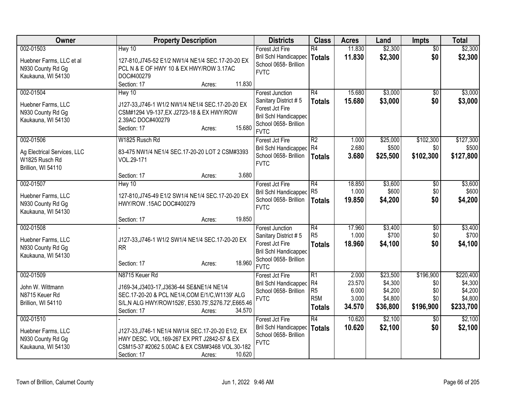| Owner                                                                            | <b>Property Description</b>                                                                                                                                                                               | <b>Districts</b>                                                                                                                          | <b>Class</b>                                            | <b>Acres</b>                                | Land                                                  | <b>Impts</b>                                | <b>Total</b>                                            |
|----------------------------------------------------------------------------------|-----------------------------------------------------------------------------------------------------------------------------------------------------------------------------------------------------------|-------------------------------------------------------------------------------------------------------------------------------------------|---------------------------------------------------------|---------------------------------------------|-------------------------------------------------------|---------------------------------------------|---------------------------------------------------------|
| 002-01503<br>Huebner Farms, LLC et al<br>N930 County Rd Gg<br>Kaukauna, WI 54130 | Hwy 10<br>127-810, J745-52 E1/2 NW1/4 NE1/4 SEC.17-20-20 EX<br>PCL N & E OF HWY 10 & EX HWY/ROW 3.17AC<br>DOC#400279<br>11.830<br>Section: 17<br>Acres:                                                   | Forest Jct Fire<br>Bril Schl Handicapped<br>School 0658- Brillion<br><b>FVTC</b>                                                          | $\overline{R4}$<br>Totals                               | 11.830<br>11.830                            | \$2,300<br>\$2,300                                    | $\overline{50}$<br>\$0                      | \$2,300<br>\$2,300                                      |
| 002-01504<br>Huebner Farms, LLC<br>N930 County Rd Gg<br>Kaukauna, WI 54130       | Hwy 10<br>J127-33, J746-1 W1/2 NW1/4 NE1/4 SEC.17-20-20 EX<br>CSM#1294 V9-137, EX J2723-18 & EX HWY/ROW<br>2.39AC DOC#400279<br>15.680<br>Section: 17<br>Acres:                                           | <b>Forest Junction</b><br>Sanitary District #5<br>Forest Jct Fire<br><b>Bril Schl Handicapped</b><br>School 0658- Brillion<br><b>FVTC</b> | R4<br><b>Totals</b>                                     | 15.680<br>15.680                            | \$3,000<br>\$3,000                                    | $\overline{30}$<br>\$0                      | \$3,000<br>\$3,000                                      |
| 002-01506<br>Ag Electrical Services, LLC<br>W1825 Rusch Rd<br>Brillion, WI 54110 | W1825 Rusch Rd<br>83-475 NW1/4 NE1/4 SEC.17-20-20 LOT 2 CSM#3393<br>VOL.29-171<br>3.680<br>Section: 17<br>Acres:                                                                                          | Forest Jct Fire<br>Bril Schl Handicapped R4<br>School 0658- Brillion<br><b>FVTC</b>                                                       | R <sub>2</sub><br>Totals                                | 1.000<br>2.680<br>3.680                     | \$25,000<br>\$500<br>\$25,500                         | \$102,300<br>\$0<br>\$102,300               | \$127,300<br>\$500<br>\$127,800                         |
| 002-01507<br>Huebner Farms, LLC<br>N930 County Rd Gg<br>Kaukauna, WI 54130       | Hwy 10<br>127-810, J745-49 E1/2 SW1/4 NE1/4 SEC. 17-20-20 EX<br>HWY/ROW .15AC DOC#400279<br>19.850<br>Section: 17<br>Acres:                                                                               | Forest Jct Fire<br><b>Bril Schl Handicapped</b><br>School 0658- Brillion<br><b>FVTC</b>                                                   | R4<br>R <sub>5</sub><br><b>Totals</b>                   | 18.850<br>1.000<br>19.850                   | \$3,600<br>\$600<br>\$4,200                           | $\overline{60}$<br>\$0<br>\$0               | \$3,600<br>\$600<br>\$4,200                             |
| 002-01508<br>Huebner Farms, LLC<br>N930 County Rd Gg<br>Kaukauna, WI 54130       | J127-33, J746-1 W1/2 SW1/4 NE1/4 SEC.17-20-20 EX<br><b>RR</b><br>18.960<br>Section: 17<br>Acres:                                                                                                          | <b>Forest Junction</b><br>Sanitary District #5<br>Forest Jct Fire<br><b>Bril Schl Handicapped</b><br>School 0658- Brillion<br><b>FVTC</b> | R4<br>R <sub>5</sub><br><b>Totals</b>                   | 17.960<br>1.000<br>18.960                   | \$3,400<br>\$700<br>\$4,100                           | $\overline{50}$<br>\$0<br>\$0               | \$3,400<br>\$700<br>\$4,100                             |
| 002-01509<br>John W. Wittmann<br>N8715 Keuer Rd<br>Brillion, WI 54110            | N8715 Keuer Rd<br>J169-34, J3403-17, J3636-44 SE&NE1/4 NE1/4<br>SEC.17-20-20 & PCL NE1/4, COM E/1/C, W1139' ALG<br>S/L,N ALG HWY/ROW1526', E530.75', S276.72', E665.46<br>Section: 17<br>34.570<br>Acres: | Forest Jct Fire<br>Bril Schl Handicapped<br>School 0658- Brillion<br><b>FVTC</b>                                                          | R1<br>R4<br>R <sub>5</sub><br>R <sub>5M</sub><br>Totals | 2.000<br>23.570<br>6.000<br>3.000<br>34.570 | \$23,500<br>\$4,300<br>\$4,200<br>\$4,800<br>\$36,800 | \$196,900<br>\$0<br>\$0<br>\$0<br>\$196,900 | \$220,400<br>\$4,300<br>\$4,200<br>\$4,800<br>\$233,700 |
| 002-01510<br>Huebner Farms, LLC<br>N930 County Rd Gg<br>Kaukauna, WI 54130       | J127-33, J746-1 NE1/4 NW1/4 SEC.17-20-20 E1/2, EX<br>HWY DESC. VOL.169-267 EX PRT J2842-57 & EX<br>CSM15-37 #2062 5.00AC & EX CSM#3468 VOL.30-182<br>10.620<br>Section: 17<br>Acres:                      | Forest Jct Fire<br><b>Bril Schl Handicapped</b><br>School 0658- Brillion<br><b>FVTC</b>                                                   | $\overline{R4}$<br>Totals                               | 10.620<br>10.620                            | \$2,100<br>\$2,100                                    | $\overline{50}$<br>\$0                      | \$2,100<br>\$2,100                                      |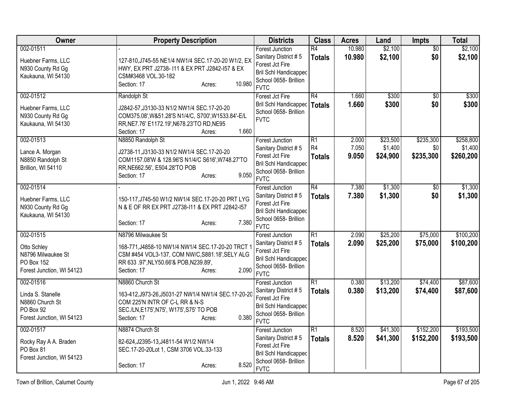| <b>Owner</b>                                                                                     | <b>Property Description</b>                                                                                                                                                                            | <b>Districts</b>                                                                                                                          | <b>Class</b>                                       | <b>Acres</b>            | Land                            | Impts                         | <b>Total</b>                      |
|--------------------------------------------------------------------------------------------------|--------------------------------------------------------------------------------------------------------------------------------------------------------------------------------------------------------|-------------------------------------------------------------------------------------------------------------------------------------------|----------------------------------------------------|-------------------------|---------------------------------|-------------------------------|-----------------------------------|
| 002-01511<br>Huebner Farms, LLC<br>N930 County Rd Gg<br>Kaukauna, WI 54130                       | 127-810, J745-55 NE1/4 NW1/4 SEC.17-20-20 W1/2, EX<br>HWY, EX PRT J2738-111 & EX PRT J2842-157 & EX<br>CSM#3468 VOL.30-182<br>10.980<br>Section: 17<br>Acres:                                          | <b>Forest Junction</b><br>Sanitary District #5<br>Forest Jct Fire<br><b>Bril Schl Handicapped</b><br>School 0658- Brillion<br><b>FVTC</b> | $\overline{R4}$<br><b>Totals</b>                   | 10.980<br>10.980        | \$2,100<br>\$2,100              | $\overline{50}$<br>\$0        | \$2,100<br>\$2,100                |
| 002-01512<br>Huebner Farms, LLC<br>N930 County Rd Gg<br>Kaukauna, WI 54130                       | Randolph St<br>J2842-57, J3130-33 N1/2 NW1/4 SEC.17-20-20<br>COM375.08', W&51.28'S N1/4/C, S700', W1533.84'-E/L<br>RR, NE7.76' E1172.19', N678.23'TO RD, NE95<br>1.660<br>Section: 17<br>Acres:        | Forest Jct Fire<br><b>Bril Schl Handicapped</b><br>School 0658- Brillion<br><b>FVTC</b>                                                   | $\overline{R4}$<br><b>Totals</b>                   | 1.660<br>1.660          | \$300<br>\$300                  | $\overline{30}$<br>\$0        | \$300<br>\$300                    |
| 002-01513<br>Lance A. Morgan<br>N8850 Randolph St<br>Brillion, WI 54110                          | N8850 Randolph St<br>J2738-11, J3130-33 N1/2 NW1/4 SEC.17-20-20<br>COM1157.08'W & 128.96'S N1/4/C S616', W748.27'TO<br>RR, NE662.56', E504.28'TO POB<br>9.050<br>Section: 17<br>Acres:                 | <b>Forest Junction</b><br>Sanitary District #5<br>Forest Jct Fire<br><b>Bril Schl Handicapped</b><br>School 0658- Brillion<br><b>FVTC</b> | $\overline{R1}$<br>R <sub>4</sub><br><b>Totals</b> | 2.000<br>7.050<br>9.050 | \$23,500<br>\$1,400<br>\$24,900 | \$235,300<br>\$0<br>\$235,300 | \$258,800<br>\$1,400<br>\$260,200 |
| 002-01514<br>Huebner Farms, LLC<br>N930 County Rd Gg<br>Kaukauna, WI 54130                       | 150-117, J745-50 W1/2 NW1/4 SEC.17-20-20 PRT LYG<br>N & E OF RR EX PRT J2738-111 & EX PRT J2842-157<br>7.380<br>Section: 17<br>Acres:                                                                  | <b>Forest Junction</b><br>Sanitary District #5<br>Forest Jct Fire<br><b>Bril Schl Handicapped</b><br>School 0658- Brillion<br><b>FVTC</b> | $\overline{R4}$<br><b>Totals</b>                   | 7.380<br>7.380          | \$1,300<br>\$1,300              | \$0<br>\$0                    | \$1,300<br>\$1,300                |
| 002-01515<br>Otto Schley<br>N8796 Milwaukee St<br><b>PO Box 152</b><br>Forest Junction, WI 54123 | N8796 Milwaukee St<br>168-771, J4858-10 NW1/4 NW1/4 SEC.17-20-20 TRCT 1<br>CSM #454 VOL3-137, COM NW/C, S881.18', SELY ALG<br>RR 633 .97', NLY50.66'& POB, N239.89',<br>2.090<br>Section: 17<br>Acres: | <b>Forest Junction</b><br>Sanitary District #5<br>Forest Jct Fire<br><b>Bril Schl Handicapped</b><br>School 0658- Brillion<br><b>FVTC</b> | $\overline{R1}$<br><b>Totals</b>                   | 2.090<br>2.090          | \$25,200<br>\$25,200            | \$75,000<br>\$75,000          | \$100,200<br>\$100,200            |
| 002-01516<br>Linda S. Stanelle<br>N8860 Church St<br>PO Box 92<br>Forest Junction, WI 54123      | N8860 Church St<br>163-412, J973-26, J5031-27 NW1/4 NW1/4 SEC. 17-20-20<br>COM 225'N INTR OF C-L RR & N-S<br>SEC./LN, E175', N75', W175', S75' TO POB<br>0.380<br>Section: 17<br>Acres:                | <b>Forest Junction</b><br>Sanitary District #5<br>Forest Jct Fire<br><b>Bril Schl Handicapped</b><br>School 0658- Brillion<br><b>FVTC</b> | $\overline{R1}$<br><b>Totals</b>                   | 0.380<br>0.380          | \$13,200<br>\$13,200            | \$74,400<br>\$74,400          | \$87,600<br>\$87,600              |
| 002-01517<br>Rocky Ray A A. Braden<br>PO Box 81<br>Forest Junction, WI 54123                     | N8874 Church St<br>82-624, J2395-13, J4811-54 W1/2 NW1/4<br>SEC.17-20-20Lot 1, CSM 3706 VOL.33-133<br>8.520<br>Section: 17<br>Acres:                                                                   | <b>Forest Junction</b><br>Sanitary District #5<br>Forest Jct Fire<br><b>Bril Schl Handicapped</b><br>School 0658- Brillion<br><b>FVTC</b> | $\overline{R1}$<br><b>Totals</b>                   | 8.520<br>8.520          | \$41,300<br>\$41,300            | \$152,200<br>\$152,200        | \$193,500<br>\$193,500            |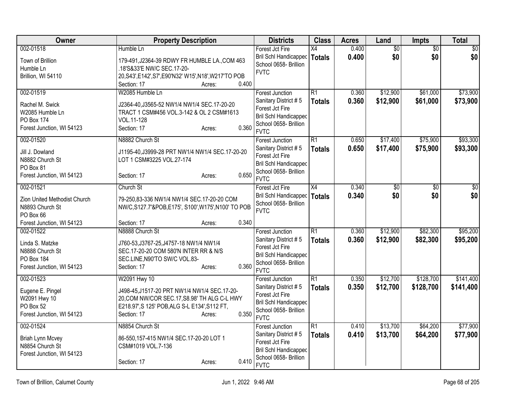| Owner                                                                                                                   | <b>Property Description</b>                                                                                                                                                                              | <b>Districts</b>                                                                                                                          | <b>Class</b>                     | <b>Acres</b>   | Land                   | Impts                  | <b>Total</b>            |
|-------------------------------------------------------------------------------------------------------------------------|----------------------------------------------------------------------------------------------------------------------------------------------------------------------------------------------------------|-------------------------------------------------------------------------------------------------------------------------------------------|----------------------------------|----------------|------------------------|------------------------|-------------------------|
| 002-01518<br>Town of Brillion<br>Humble Ln<br>Brillion, WI 54110                                                        | Humble Ln<br>179-491, J2364-39 RDWY FR HUMBLE LA., COM 463<br>.18'S&33'E NW/C SEC.17-20-<br>20, S43', E142', S7', E90'N32' W15', N18', W217'TO POB<br>0.400<br>Section: 17<br>Acres:                     | Forest Jct Fire<br>Bril Schl Handicapped<br>School 0658- Brillion<br><b>FVTC</b>                                                          | $\overline{X4}$<br><b>Totals</b> | 0.400<br>0.400 | $\overline{50}$<br>\$0 | $\overline{50}$<br>\$0 | $\overline{\$0}$<br>\$0 |
| 002-01519<br>Rachel M. Swick<br>W2085 Humble Ln<br><b>PO Box 174</b><br>Forest Junction, WI 54123                       | W2085 Humble Ln<br>J2364-40, J3565-52 NW1/4 NW1/4 SEC.17-20-20<br>TRACT 1 CSM#456 VOL.3-142 & OL 2 CSM#1613<br>VOL.11-128<br>0.360<br>Section: 17<br>Acres:                                              | <b>Forest Junction</b><br>Sanitary District #5<br>Forest Jct Fire<br><b>Bril Schl Handicapped</b><br>School 0658- Brillion<br><b>FVTC</b> | $\overline{R1}$<br><b>Totals</b> | 0.360<br>0.360 | \$12,900<br>\$12,900   | \$61,000<br>\$61,000   | \$73,900<br>\$73,900    |
| 002-01520<br>Jill J. Dowland<br>N8882 Church St<br>PO Box 81<br>Forest Junction, WI 54123                               | N8882 Church St<br>J1195-40, J3999-28 PRT NW1/4 NW1/4 SEC. 17-20-20<br>LOT 1 CSM#3225 VOL.27-174<br>0.650<br>Section: 17<br>Acres:                                                                       | Forest Junction<br>Sanitary District #5<br>Forest Jct Fire<br>Bril Schl Handicapped<br>School 0658- Brillion<br><b>FVTC</b>               | $\overline{R1}$<br><b>Totals</b> | 0.650<br>0.650 | \$17,400<br>\$17,400   | \$75,900<br>\$75,900   | \$93,300<br>\$93,300    |
| 002-01521<br>Zion United Methodist Church<br>N8893 Church St<br>PO Box 66                                               | Church St<br>79-250,83-336 NW1/4 NW1/4 SEC.17-20-20 COM<br>NW/C,S127.7'&POB,E175', S100',W175',N100' TO POB                                                                                              | Forest Jct Fire<br><b>Bril Schl Handicapped</b><br>School 0658- Brillion<br><b>FVTC</b>                                                   | $\overline{X4}$<br><b>Totals</b> | 0.340<br>0.340 | \$0<br>\$0             | \$0<br>\$0             | \$0<br>\$0              |
| Forest Junction, WI 54123<br>002-01522<br>Linda S. Matzke<br>N8888 Church St<br>PO Box 184<br>Forest Junction, WI 54123 | 0.340<br>Section: 17<br>Acres:<br>N8888 Church St<br>J760-53, J3767-25, J4757-18 NW1/4 NW1/4<br>SEC.17-20-20 COM 580'N INTER RR & N/S<br>SEC.LINE, N90'TO SW/C VOL.83-<br>0.360<br>Section: 17<br>Acres: | <b>Forest Junction</b><br>Sanitary District #5<br>Forest Jct Fire<br><b>Bril Schl Handicapped</b><br>School 0658- Brillion<br><b>FVTC</b> | $\overline{R1}$<br><b>Totals</b> | 0.360<br>0.360 | \$12,900<br>\$12,900   | \$82,300<br>\$82,300   | \$95,200<br>\$95,200    |
| 002-01523<br>Eugene E. Pingel<br>W2091 Hwy 10<br>PO Box 52<br>Forest Junction, WI 54123                                 | W2091 Hwy 10<br>J498-45, J1517-20 PRT NW1/4 NW1/4 SEC.17-20-<br>20, COM NW/COR SEC. 17, S8.98' TH ALG C-L HWY<br>E218.97', S 125' POB, ALG S-L E134', S112 FT,<br>0.350<br>Section: 17<br>Acres:         | <b>Forest Junction</b><br>Sanitary District #5<br>Forest Jct Fire<br><b>Bril Schl Handicapped</b><br>School 0658- Brillion<br><b>FVTC</b> | $\overline{R1}$<br><b>Totals</b> | 0.350<br>0.350 | \$12,700<br>\$12,700   | \$128,700<br>\$128,700 | \$141,400<br>\$141,400  |
| 002-01524<br><b>Briah Lynn Mcvey</b><br>N8854 Church St<br>Forest Junction, WI 54123                                    | N8854 Church St<br>86-550, 157-415 NW1/4 SEC. 17-20-20 LOT 1<br>CSM#1019 VOL.7-136<br>0.410<br>Section: 17<br>Acres:                                                                                     | <b>Forest Junction</b><br>Sanitary District #5<br>Forest Jct Fire<br><b>Bril Schl Handicapped</b><br>School 0658- Brillion<br><b>FVTC</b> | $\overline{R1}$<br><b>Totals</b> | 0.410<br>0.410 | \$13,700<br>\$13,700   | \$64,200<br>\$64,200   | \$77,900<br>\$77,900    |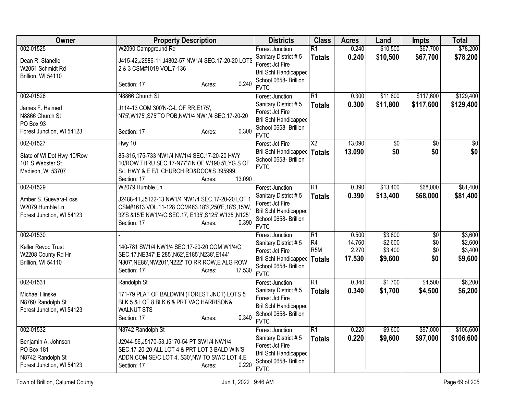| Owner                                                                                            | <b>Property Description</b>                                                                                                                                                                                            | <b>Districts</b>                                                                                                                          | <b>Class</b>                                                           | <b>Acres</b>                       | Land                                     | Impts                    | <b>Total</b>                             |
|--------------------------------------------------------------------------------------------------|------------------------------------------------------------------------------------------------------------------------------------------------------------------------------------------------------------------------|-------------------------------------------------------------------------------------------------------------------------------------------|------------------------------------------------------------------------|------------------------------------|------------------------------------------|--------------------------|------------------------------------------|
| 002-01525<br>Dean R. Stanelle<br>W2051 Schmidt Rd<br>Brillion, WI 54110                          | W2090 Campground Rd<br>J415-42, J2986-11, J4802-57 NW1/4 SEC.17-20-20 LOTS<br>2 & 3 CSM#1019 VOL.7-136<br>0.240<br>Section: 17<br>Acres:                                                                               | <b>Forest Junction</b><br>Sanitary District #5<br>Forest Jct Fire<br><b>Bril Schl Handicapped</b><br>School 0658- Brillion<br><b>FVTC</b> | $\overline{R1}$<br><b>Totals</b>                                       | 0.240<br>0.240                     | \$10,500<br>\$10,500                     | \$67,700<br>\$67,700     | \$78,200<br>\$78,200                     |
| 002-01526<br>James F. Heimerl<br>N8866 Church St<br>PO Box 93<br>Forest Junction, WI 54123       | N8866 Church St<br>J114-13 COM 300'N-C-L OF RR, E175',<br>N75', W175', S75'TO POB, NW1/4 NW1/4 SEC.17-20-20<br>0.300<br>Section: 17<br>Acres:                                                                          | Forest Junction<br>Sanitary District #5<br>Forest Jct Fire<br><b>Bril Schl Handicapped</b><br>School 0658- Brillion<br><b>FVTC</b>        | $\overline{R1}$<br><b>Totals</b>                                       | 0.300<br>0.300                     | \$11,800<br>\$11,800                     | \$117,600<br>\$117,600   | \$129,400<br>\$129,400                   |
| 002-01527<br>State of WI Dot Hwy 10/Row<br>101 S Webster St<br>Madison, WI 53707                 | Hwy 10<br>85-315,175-733 NW1/4 NW1/4 SEC.17-20-20 HWY<br>10/ROW THRU SEC.17-N77'7IN OF W190.5'LYG S OF<br>S/L HWY & E E/L CHURCH RD&DOC#'S 395999,<br>13.090<br>Section: 17<br>Acres:                                  | Forest Jct Fire<br>Bril Schl Handicapped<br>School 0658- Brillion<br><b>FVTC</b>                                                          | $\overline{X2}$<br><b>Totals</b>                                       | 13.090<br>13.090                   | \$0<br>\$0                               | \$0<br>\$0               | \$0<br>\$0                               |
| 002-01529<br>Amber S. Guevara-Foss<br>W2079 Humble Ln<br>Forest Junction, WI 54123               | W2079 Humble Ln<br>J2488-41, J5122-13 NW1/4 NW1/4 SEC.17-20-20 LOT 1<br>CSM#1613 VOL.11-128 COM463.18'S,250'E,18'S,15'W,<br>32'S & 15'E NW1/4/C, SEC. 17, E135', S125', W135', N125'<br>0.390<br>Section: 17<br>Acres: | <b>Forest Junction</b><br>Sanitary District #5<br>Forest Jct Fire<br><b>Bril Schl Handicapped</b><br>School 0658- Brillion<br><b>FVTC</b> | $\overline{R1}$<br><b>Totals</b>                                       | 0.390<br>0.390                     | \$13,400<br>\$13,400                     | \$68,000<br>\$68,000     | \$81,400<br>\$81,400                     |
| 002-01530<br>Keller Revoc Trust<br>W2208 County Rd Hr<br>Brillion, WI 54110                      | 140-781 SW1/4 NW1/4 SEC.17-20-20 COM W1/4/C<br>SEC.17, NE347', E 285', N62', E185', N238', E144'<br>N307', NE86', NW201', N222' TO RR ROW, E ALG ROW<br>17.530<br>Section: 17<br>Acres:                                | <b>Forest Junction</b><br>Sanitary District #5<br>Forest Jct Fire<br><b>Bril Schl Handicapped</b><br>School 0658- Brillion<br><b>FVTC</b> | $\overline{R1}$<br>R <sub>4</sub><br>R <sub>5</sub> M<br><b>Totals</b> | 0.500<br>14.760<br>2.270<br>17.530 | \$3,600<br>\$2,600<br>\$3,400<br>\$9,600 | \$0<br>\$0<br>\$0<br>\$0 | \$3,600<br>\$2,600<br>\$3,400<br>\$9,600 |
| 002-01531<br>Michael Hinske<br>N8760 Randolph St<br>Forest Junction, WI 54123                    | Randolph St<br>171-79 PLAT OF BALDWIN (FOREST JNCT) LOTS 5<br>BLK 5 & LOT 8 BLK 6 & PRT VAC HARRISON&<br><b>WALNUT STS</b><br>0.340<br>Section: 17<br>Acres:                                                           | <b>Forest Junction</b><br>Sanitary District #5<br>Forest Jct Fire<br><b>Bril Schl Handicapped</b><br>School 0658- Brillion<br><b>FVTC</b> | $\overline{R1}$<br><b>Totals</b>                                       | 0.340<br>0.340                     | \$1,700<br>\$1,700                       | \$4,500<br>\$4,500       | \$6,200<br>\$6,200                       |
| 002-01532<br>Benjamin A. Johnson<br>PO Box 181<br>N8742 Randolph St<br>Forest Junction, WI 54123 | N8742 Randolph St<br>J2944-56, J5170-53, J5170-54 PT SW1/4 NW1/4<br>SEC.17-20-20 ALL LOT 4 & PRT LOT 3 BALD WIN'S<br>ADDN, COM SE/C LOT 4, S30', NW TO SW/C LOT 4, E<br>0.220<br>Section: 17<br>Acres:                 | <b>Forest Junction</b><br>Sanitary District #5<br>Forest Jct Fire<br><b>Bril Schl Handicapped</b><br>School 0658- Brillion<br><b>FVTC</b> | $\overline{R1}$<br><b>Totals</b>                                       | 0.220<br>0.220                     | \$9,600<br>\$9,600                       | \$97,000<br>\$97,000     | \$106,600<br>\$106,600                   |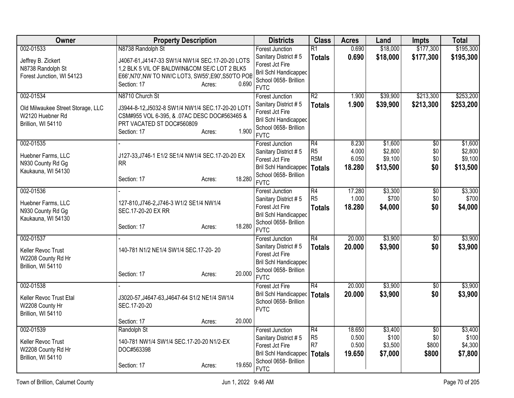| <b>Owner</b>                                                                             | <b>Property Description</b>                                                                                                                                                                                     | <b>Districts</b>                                                                                                                          | <b>Class</b>                                                         | <b>Acres</b>                       | Land                                      | <b>Impts</b>                  | <b>Total</b>                              |
|------------------------------------------------------------------------------------------|-----------------------------------------------------------------------------------------------------------------------------------------------------------------------------------------------------------------|-------------------------------------------------------------------------------------------------------------------------------------------|----------------------------------------------------------------------|------------------------------------|-------------------------------------------|-------------------------------|-------------------------------------------|
| 002-01533<br>Jeffrey B. Zickert<br>N8738 Randolph St<br>Forest Junction, WI 54123        | N8738 Randolph St<br>J4067-61, J4147-33 SW1/4 NW1/4 SEC.17-20-20 LOTS<br>1,2 BLK 5 VIL OF BALDWIN&COM SE/C LOT 2 BLK5<br>E66', N70', NW TO NW/C LOT3, SW55', E90', S50'TO POB<br>0.690<br>Section: 17<br>Acres: | <b>Forest Junction</b><br>Sanitary District #5<br>Forest Jct Fire<br>Bril Schl Handicapped<br>School 0658- Brillion<br><b>FVTC</b>        | R1<br><b>Totals</b>                                                  | 0.690<br>0.690                     | \$18,000<br>\$18,000                      | \$177,300<br>\$177,300        | \$195,300<br>\$195,300                    |
| 002-01534<br>Old Milwaukee Street Storage, LLC<br>W2120 Huebner Rd<br>Brillion, WI 54110 | N8710 Church St<br>J3944-8-12, J5032-8 SW1/4 NW1/4 SEC.17-20-20 LOT1<br>CSM#955 VOL 6-395, & .07AC DESC DOC#563465 &<br>PRT VACATED ST DOC#560809<br>1.900<br>Section: 17<br>Acres:                             | <b>Forest Junction</b><br>Sanitary District #5<br>Forest Jct Fire<br><b>Bril Schl Handicapped</b><br>School 0658- Brillion<br><b>FVTC</b> | $\overline{R2}$<br><b>Totals</b>                                     | 1.900<br>1.900                     | \$39,900<br>\$39,900                      | \$213,300<br>\$213,300        | \$253,200<br>\$253,200                    |
| 002-01535<br>Huebner Farms, LLC<br>N930 County Rd Gg<br>Kaukauna, WI 54130               | J127-33, J746-1 E1/2 SE1/4 NW1/4 SEC.17-20-20 EX<br><b>RR</b><br>18.280<br>Section: 17<br>Acres:                                                                                                                | <b>Forest Junction</b><br>Sanitary District #5<br>Forest Jct Fire<br><b>Bril Schl Handicapped</b><br>School 0658- Brillion<br><b>FVTC</b> | R4<br>R <sub>5</sub><br>R <sub>5</sub> M<br><b>Totals</b>            | 8.230<br>4.000<br>6.050<br>18.280  | \$1,600<br>\$2,800<br>\$9,100<br>\$13,500 | \$0<br>\$0<br>\$0<br>\$0      | \$1,600<br>\$2,800<br>\$9,100<br>\$13,500 |
| 002-01536<br>Huebner Farms, LLC<br>N930 County Rd Gg<br>Kaukauna, WI 54130               | 127-810, J746-2, J746-3 W1/2 SE1/4 NW1/4<br>SEC.17-20-20 EX RR<br>18.280<br>Section: 17<br>Acres:                                                                                                               | Forest Junction<br>Sanitary District #5<br>Forest Jct Fire<br><b>Bril Schl Handicapped</b><br>School 0658- Brillion<br><b>FVTC</b>        | R4<br>R <sub>5</sub><br><b>Totals</b>                                | 17.280<br>1.000<br>18.280          | \$3,300<br>\$700<br>\$4,000               | $\overline{50}$<br>\$0<br>\$0 | \$3,300<br>\$700<br>\$4,000               |
| 002-01537<br>Keller Revoc Trust<br>W2208 County Rd Hr<br>Brillion, WI 54110              | 140-781 N1/2 NE1/4 SW1/4 SEC.17-20-20<br>20.000<br>Section: 17<br>Acres:                                                                                                                                        | <b>Forest Junction</b><br>Sanitary District #5<br>Forest Jct Fire<br><b>Bril Schl Handicapped</b><br>School 0658- Brillion<br><b>FVTC</b> | $\overline{R4}$<br><b>Totals</b>                                     | 20.000<br>20,000                   | \$3,900<br>\$3,900                        | $\overline{50}$<br>\$0        | \$3,900<br>\$3,900                        |
| 002-01538<br>Keller Revoc Trust Etal<br>W2208 County Hr<br>Brillion, WI 54110            | J3020-57, J4647-63, J4647-64 S1/2 NE1/4 SW1/4<br>SEC.17-20-20<br>20.000<br>Section: 17<br>Acres:                                                                                                                | Forest Jct Fire<br>Bril Schl Handicapped<br>School 0658- Brillion<br><b>FVTC</b>                                                          | R4<br><b>Totals</b>                                                  | 20.000<br>20.000                   | \$3,900<br>\$3,900                        | $\overline{50}$<br>\$0        | \$3,900<br>\$3,900                        |
| 002-01539<br>Keller Revoc Trust<br>W2208 County Rd Hr<br>Brillion, WI 54110              | Randolph St<br>140-781 NW1/4 SW1/4 SEC.17-20-20 N1/2-EX<br>DOC#563398<br>19.650<br>Section: 17<br>Acres:                                                                                                        | <b>Forest Junction</b><br>Sanitary District #5<br>Forest Jct Fire<br><b>Bril Schl Handicapped</b><br>School 0658- Brillion<br><b>FVTC</b> | $\overline{R4}$<br>R <sub>5</sub><br>R <sub>7</sub><br><b>Totals</b> | 18.650<br>0.500<br>0.500<br>19.650 | \$3,400<br>\$100<br>\$3,500<br>\$7,000    | \$0<br>\$0<br>\$800<br>\$800  | \$3,400<br>\$100<br>\$4,300<br>\$7,800    |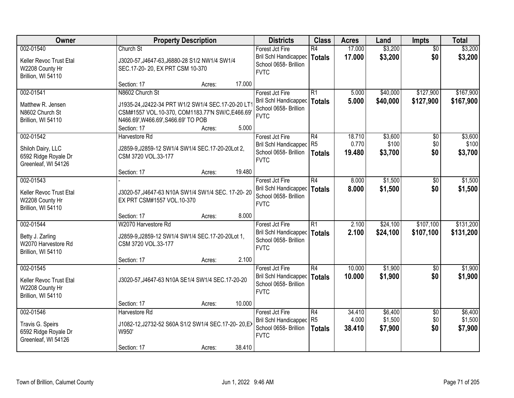| Owner                                                                         | <b>Property Description</b>                                                                                                                                                             |        | <b>Districts</b>                                                                          | <b>Class</b>                          | <b>Acres</b>              | Land                          | <b>Impts</b>                  | <b>Total</b>                  |
|-------------------------------------------------------------------------------|-----------------------------------------------------------------------------------------------------------------------------------------------------------------------------------------|--------|-------------------------------------------------------------------------------------------|---------------------------------------|---------------------------|-------------------------------|-------------------------------|-------------------------------|
| 002-01540<br>Keller Revoc Trust Etal<br>W2208 County Hr<br>Brillion, WI 54110 | Church St<br>J3020-57, J4647-63, J6880-28 S1/2 NW1/4 SW1/4<br>SEC.17-20-20, EX PRT CSM 10-370                                                                                           |        | Forest Jct Fire<br>Bril Schl Handicapped<br>School 0658- Brillion<br><b>FVTC</b>          | R4<br>Totals                          | 17.000<br>17.000          | \$3,200<br>\$3,200            | $\overline{50}$<br>\$0        | \$3,200<br>\$3,200            |
|                                                                               | Section: 17<br>Acres:                                                                                                                                                                   | 17.000 |                                                                                           |                                       |                           |                               |                               |                               |
| 002-01541<br>Matthew R. Jensen<br>N8602 Church St<br>Brillion, WI 54110       | N8602 Church St<br>J1935-24, J2422-34 PRT W1/2 SW1/4 SEC.17-20-20 LT<br>CSM#1557 VOL.10-370, COM1183.77'N SW/C,E466.69'<br>N466.69', W466.69', S466.69' TO POB<br>Section: 17<br>Acres: | 5.000  | Forest Jct Fire<br>Bril Schl Handicapped<br>School 0658- Brillion<br><b>FVTC</b>          | R1<br>Totals                          | 5.000<br>5.000            | \$40,000<br>\$40,000          | \$127,900<br>\$127,900        | \$167,900<br>\$167,900        |
| 002-01542                                                                     | Harvestore Rd                                                                                                                                                                           |        | Forest Jct Fire                                                                           | R4                                    | 18.710                    | \$3,600                       | \$0                           | \$3,600                       |
| Shiloh Dairy, LLC<br>6592 Ridge Royale Dr<br>Greenleaf, WI 54126              | J2859-9, J2859-12 SW1/4 SW1/4 SEC.17-20-20Lot 2,<br>CSM 3720 VOL.33-177                                                                                                                 |        | Bril Schl Handicapped R5<br>School 0658- Brillion<br><b>FVTC</b>                          | Totals                                | 0.770<br>19.480           | \$100<br>\$3,700              | \$0<br>\$0                    | \$100<br>\$3,700              |
|                                                                               | Section: 17<br>Acres:                                                                                                                                                                   | 19.480 |                                                                                           |                                       |                           |                               |                               |                               |
| 002-01543<br>Keller Revoc Trust Etal<br>W2208 County Hr<br>Brillion, WI 54110 | J3020-57, J4647-63 N10A SW1/4 SW1/4 SEC. 17-20-20<br>EX PRT CSM#1557 VOL.10-370                                                                                                         |        | Forest Jct Fire<br>Bril Schl Handicapped<br>School 0658- Brillion<br><b>FVTC</b>          | R4<br>Totals                          | 8.000<br>8.000            | \$1,500<br>\$1,500            | $\sqrt[6]{}$<br>\$0           | \$1,500<br>\$1,500            |
|                                                                               | Section: 17<br>Acres:                                                                                                                                                                   | 8.000  |                                                                                           |                                       |                           |                               |                               |                               |
| 002-01544<br>Betty J. Zarling<br>W2070 Harvestore Rd<br>Brillion, WI 54110    | W2070 Harvestore Rd<br>J2859-9, J2859-12 SW1/4 SW1/4 SEC. 17-20-20Lot 1,<br>CSM 3720 VOL.33-177                                                                                         |        | Forest Jct Fire<br>Bril Schl Handicapped   Totals<br>School 0658- Brillion<br><b>FVTC</b> | $\overline{R1}$                       | 2.100<br>2.100            | \$24,100<br>\$24,100          | \$107,100<br>\$107,100        | \$131,200<br>\$131,200        |
|                                                                               | Section: 17<br>Acres:                                                                                                                                                                   | 2.100  |                                                                                           |                                       |                           |                               |                               |                               |
| 002-01545<br>Keller Revoc Trust Etal<br>W2208 County Hr<br>Brillion, WI 54110 | J3020-57, J4647-63 N10A SE1/4 SW1/4 SEC.17-20-20                                                                                                                                        |        | Forest Jct Fire<br>Bril Schl Handicapped   Totals<br>School 0658- Brillion<br><b>FVTC</b> | R4                                    | 10.000<br>10.000          | \$1,900<br>\$1,900            | \$0<br>\$0                    | \$1,900<br>\$1,900            |
|                                                                               | Section: 17<br>Acres:                                                                                                                                                                   | 10.000 |                                                                                           |                                       |                           |                               |                               |                               |
| 002-01546<br>Travis G. Speirs<br>6592 Ridge Royale Dr<br>Greenleaf, WI 54126  | Harvestore Rd<br>J1082-12, J2732-52 S60A S1/2 SW1/4 SEC.17-20-20, EX<br>W950'<br>Section: 17<br>Acres:                                                                                  | 38.410 | Forest Jct Fire<br>Bril Schl Handicapped<br>School 0658- Brillion<br><b>FVTC</b>          | R4<br>R <sub>5</sub><br><b>Totals</b> | 34.410<br>4.000<br>38.410 | \$6,400<br>\$1,500<br>\$7,900 | $\overline{60}$<br>\$0<br>\$0 | \$6,400<br>\$1,500<br>\$7,900 |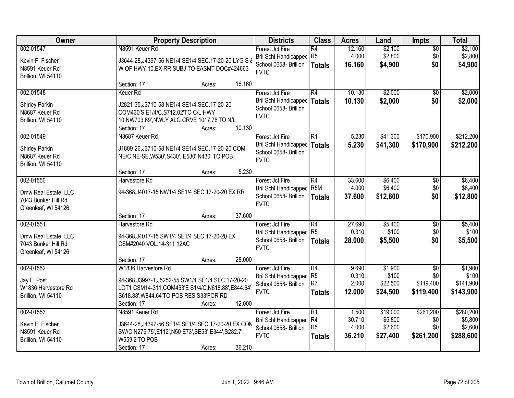| <b>Owner</b>                                                                    | <b>Property Description</b>                                                                                                                                                                                     | <b>Districts</b>                                                                        | <b>Class</b>                                                         | <b>Acres</b>                       | Land                                       | <b>Impts</b>                                | <b>Total</b>                                 |
|---------------------------------------------------------------------------------|-----------------------------------------------------------------------------------------------------------------------------------------------------------------------------------------------------------------|-----------------------------------------------------------------------------------------|----------------------------------------------------------------------|------------------------------------|--------------------------------------------|---------------------------------------------|----------------------------------------------|
| 002-01547<br>Kevin F. Fischer<br>N8591 Keuer Rd<br>Brillion, WI 54110           | N8591 Keuer Rd<br>J3644-28, J4397-56 NE1/4 SE1/4 SEC.17-20-20 LYG S &<br>W OF HWY 10, EX RR SUBJ TO EASMT DOC#424663                                                                                            | Forest Jct Fire<br>Bril Schl Handicapped<br>School 0658- Brillion<br><b>FVTC</b>        | R4<br>R <sub>5</sub><br><b>Totals</b>                                | 12.160<br>4.000<br>16.160          | \$2,100<br>\$2,800<br>\$4,900              | $\overline{50}$<br>\$0<br>\$0               | \$2,100<br>\$2,800<br>\$4,900                |
|                                                                                 | 16.160<br>Section: 17<br>Acres:                                                                                                                                                                                 |                                                                                         |                                                                      |                                    |                                            |                                             |                                              |
| 002-01548<br>Shirley Parkin<br>N8687 Keuer Rd<br>Brillion, WI 54110             | Keuer <sub>Rd</sub><br>J2821-35, J3710-58 NE1/4 SE1/4 SEC.17-20-20<br>COM430'S E1/4/C, S712.02'TO C/L HWY<br>10, NW703.69', NWLY ALG CRVE 1017.78'TO N/L<br>10.130<br>Section: 17<br>Acres:                     | Forest Jct Fire<br>Bril Schl Handicapped<br>School 0658- Brillion<br><b>FVTC</b>        | $\overline{R4}$<br><b>Totals</b>                                     | 10.130<br>10.130                   | \$2,000<br>\$2,000                         | \$0<br>\$0                                  | \$2,000<br>\$2,000                           |
| 002-01549<br><b>Shirley Parkin</b><br>N8687 Keuer Rd<br>Brillion, WI 54110      | N8687 Keuer Rd<br>J1889-26, J3710-58 NE1/4 SE1/4 SEC.17-20-20 COM<br>NE/C NE-SE, W530', S430', E530', N430' TO POB<br>5.230<br>Section: 17<br>Acres:                                                            | Forest Jct Fire<br>Bril Schl Handicapped<br>School 0658- Brillion<br><b>FVTC</b>        | $\overline{R1}$<br><b>Totals</b>                                     | 5.230<br>5.230                     | \$41,300<br>\$41,300                       | \$170,900<br>\$170,900                      | \$212,200<br>\$212,200                       |
| 002-01550<br>Dmw Real Estate, LLC<br>7043 Bunker Hill Rd<br>Greenleaf, WI 54126 | Harvestore Rd<br>94-368, J4017-15 NW1/4 SE1/4 SEC. 17-20-20 EX RR                                                                                                                                               | Forest Jct Fire<br><b>Bril Schl Handicapped</b><br>School 0658- Brillion<br><b>FVTC</b> | R4<br>R <sub>5</sub> M<br><b>Totals</b>                              | 33.600<br>4.000<br>37.600          | \$6,400<br>\$6,400<br>\$12,800             | $\sqrt[6]{}$<br>\$0<br>\$0                  | \$6,400<br>\$6,400<br>\$12,800               |
|                                                                                 | 37.600<br>Section: 17<br>Acres:                                                                                                                                                                                 |                                                                                         |                                                                      |                                    |                                            |                                             |                                              |
| 002-01551<br>Dmw Real Estate, LLC<br>7043 Bunker Hill Rd<br>Greenleaf, WI 54126 | Harvestore Rd<br>94-368, J4017-15 SW1/4 SE1/4 SEC. 17-20-20 EX<br>CSM#2040 VOL.14-311 12AC                                                                                                                      | Forest Jct Fire<br><b>Bril Schl Handicapped</b><br>School 0658- Brillion<br><b>FVTC</b> | $\overline{R4}$<br>R <sub>5</sub><br><b>Totals</b>                   | 27.690<br>0.310<br>28,000          | \$5,400<br>\$100<br>\$5,500                | $\overline{50}$<br>\$0<br>\$0               | \$5,400<br>\$100<br>\$5,500                  |
|                                                                                 | 28.000<br>Section: 17<br>Acres:                                                                                                                                                                                 |                                                                                         |                                                                      |                                    |                                            |                                             |                                              |
| 002-01552<br>Jay F. Post<br>W1836 Harvestore Rd<br>Brillion, WI 54110           | W1836 Harvestore Rd<br>94-368, J3997-1, J5252-55 SW1/4 SE1/4 SEC. 17-20-20<br>LOT1 CSM14-311, COM453'E S1/4/C, N618.88', E844.64'<br>S618.88', W844.64'TO POB RES S33'FOR RD<br>12.000<br>Section: 17<br>Acres: | Forest Jct Fire<br><b>Bril Schl Handicapped</b><br>School 0658- Brillion<br><b>FVTC</b> | R4<br>R <sub>5</sub><br>R <sub>7</sub><br><b>Totals</b>              | 9.690<br>0.310<br>2.000<br>12.000  | \$1,900<br>\$100<br>\$22,500<br>\$24,500   | $\sqrt{6}$<br>\$0<br>\$119,400<br>\$119,400 | \$1,900<br>\$100<br>\$141,900<br>\$143,900   |
| 002-01553<br>Kevin F. Fischer<br>N8591 Keuer Rd<br>Brillion, WI 54110           | N8591 Keuer Rd<br>J3644-28, J4397-56 SE1/4 SE1/4 SEC.17-20-20, EX COM<br>SW/C N275.75', E112', N50 E73', SE53', E344', S282.7',<br>W559.2'TO POB<br>36.210<br>Section: 17<br>Acres:                             | Forest Jct Fire<br><b>Bril Schl Handicapped</b><br>School 0658- Brillion<br><b>FVTC</b> | $\overline{R1}$<br>R <sub>4</sub><br>R <sub>5</sub><br><b>Totals</b> | 1.500<br>30.710<br>4.000<br>36.210 | \$19,000<br>\$5,800<br>\$2,600<br>\$27,400 | \$261,200<br>\$0<br>\$0<br>\$261,200        | \$280,200<br>\$5,800<br>\$2,600<br>\$288,600 |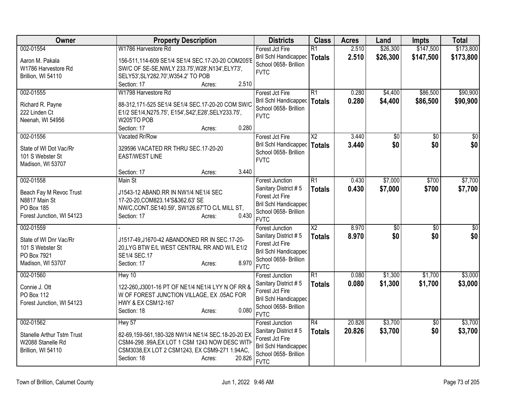| Owner                                                                                            | <b>Property Description</b>                                                                                                                                                                                          | <b>Districts</b>                                                                                                                          | <b>Class</b>                     | <b>Acres</b>     | Land                   | <b>Impts</b>           | <b>Total</b>            |
|--------------------------------------------------------------------------------------------------|----------------------------------------------------------------------------------------------------------------------------------------------------------------------------------------------------------------------|-------------------------------------------------------------------------------------------------------------------------------------------|----------------------------------|------------------|------------------------|------------------------|-------------------------|
| 002-01554<br>Aaron M. Pakala<br>W1786 Harvestore Rd<br>Brillion, WI 54110                        | W1786 Harvestore Rd<br>156-511,114-609 SE1/4 SE1/4 SEC.17-20-20 COM205'E<br>SW/C OF SE-SE, NWLY 233.75', W28', N134', ELY73',<br>SELY53', SLY282.70', W354.2' TO POB                                                 | Forest Jct Fire<br>Bril Schl Handicapped<br>School 0658- Brillion<br><b>FVTC</b>                                                          | R1<br>Totals                     | 2.510<br>2.510   | \$26,300<br>\$26,300   | \$147,500<br>\$147,500 | \$173,800<br>\$173,800  |
| 002-01555<br>Richard R. Payne<br>222 Linden Ct<br>Neenah, WI 54956                               | 2.510<br>Section: 17<br>Acres:<br>W1798 Harvestore Rd<br>88-312,171-525 SE1/4 SE1/4 SEC.17-20-20 COM SW/C<br>E1/2 SE1/4, N275.75', E154', S42', E28', SELY 233.75',<br>W205'TO POB<br>0.280<br>Section: 17<br>Acres: | Forest Jct Fire<br>Bril Schl Handicapped   Totals<br>School 0658- Brillion<br><b>FVTC</b>                                                 | R <sub>1</sub>                   | 0.280<br>0.280   | \$4,400<br>\$4,400     | \$86,500<br>\$86,500   | \$90,900<br>\$90,900    |
| 002-01556<br>State of WI Dot Vac/Rr<br>101 S Webster St<br>Madison, WI 53707                     | Vacated Rr/Row<br>329596 VACATED RR THRU SEC.17-20-20<br><b>EAST/WEST LINE</b><br>3.440<br>Section: 17<br>Acres:                                                                                                     | Forest Jct Fire<br>Bril Schl Handicapped   Totals<br>School 0658- Brillion<br><b>FVTC</b>                                                 | $\overline{\text{X2}}$           | 3.440<br>3.440   | $\overline{50}$<br>\$0 | \$0<br>\$0             | $\overline{\$0}$<br>\$0 |
| 002-01558<br>Beach Fay M Revoc Trust<br>N8817 Main St<br>PO Box 185<br>Forest Junction, WI 54123 | Main St<br>J1543-12 ABAND.RR IN NW1/4 NE1/4 SEC<br>17-20-20.COM823.14'S&362.63' SE<br>NW/C,CONT.SE140.59', SW126.67'TO C/L MILL ST,<br>0.430<br>Section: 17<br>Acres:                                                | <b>Forest Junction</b><br>Sanitary District #5<br>Forest Jct Fire<br><b>Bril Schl Handicapped</b><br>School 0658- Brillion<br><b>FVTC</b> | R1<br><b>Totals</b>              | 0.430<br>0.430   | \$7,000<br>\$7,000     | \$700<br>\$700         | \$7,700<br>\$7,700      |
| 002-01559<br>State of WI Dnr Vac/Rr<br>101 S Webster St<br>PO Box 7921<br>Madison, WI 53707      | J1517-49, J1670-42 ABANDONED RR IN SEC. 17-20-<br>20, LYG BTW E/L WEST CENTRAL RR AND W/L E1/2<br>SE1/4 SEC.17<br>8.970<br>Section: 17<br>Acres:                                                                     | <b>Forest Junction</b><br>Sanitary District #5<br>Forest Jct Fire<br><b>Bril Schl Handicapped</b><br>School 0658- Brillion<br><b>FVTC</b> | $\overline{X2}$<br><b>Totals</b> | 8.970<br>8.970   | $\overline{60}$<br>\$0 | $\overline{50}$<br>\$0 | $\sqrt{50}$<br>\$0      |
| 002-01560<br>Connie J. Ott<br>PO Box 112<br>Forest Junction, WI 54123                            | $Hwy$ 10<br>122-260, J3001-16 PT OF NE1/4 NE1/4 LYY N OF RR &<br>W OF FOREST JUNCTION VILLAGE, EX .05AC FOR<br>HWY & EX CSM12-167<br>0.080<br>Section: 18<br>Acres:                                                  | <b>Forest Junction</b><br>Sanitary District #5<br>Forest Jct Fire<br>Bril Schl Handicapped<br>School 0658- Brillion<br><b>FVTC</b>        | R1<br><b>Totals</b>              | 0.080<br>0.080   | \$1,300<br>\$1,300     | \$1,700<br>\$1,700     | \$3,000<br>\$3,000      |
| 002-01562<br>Stanelle Arthur Tstm Trust<br>W2088 Stanelle Rd<br>Brillion, WI 54110               | Hwy 57<br>82-69,159-561,180-328 NW1/4 NE1/4 SEC.18-20-20 EX<br>CSM4-298 .99A, EX LOT 1 CSM 1243 NOW DESC WITH<br>CSM3038, EX LOT 2 CSM1243, EX CSM9-271 1.94AC,<br>20.826<br>Section: 18<br>Acres:                   | <b>Forest Junction</b><br>Sanitary District #5<br>Forest Jct Fire<br>Bril Schl Handicapped<br>School 0658- Brillion<br><b>FVTC</b>        | R4<br><b>Totals</b>              | 20.826<br>20.826 | \$3,700<br>\$3,700     | \$0<br>\$0             | \$3,700<br>\$3,700      |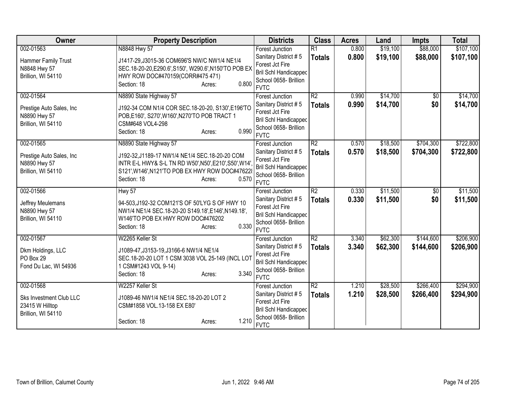| Owner                     | <b>Property Description</b>                           | <b>Districts</b>                               | <b>Class</b>    | <b>Acres</b> | Land     | <b>Impts</b>    | <b>Total</b> |
|---------------------------|-------------------------------------------------------|------------------------------------------------|-----------------|--------------|----------|-----------------|--------------|
| 002-01563                 | N8848 Hwy 57                                          | Forest Junction                                | $\overline{R1}$ | 0.800        | \$19,100 | \$88,000        | \$107,100    |
| Hammer Family Trust       | J1417-29, J3015-36 COM696'S NW/C NW1/4 NE1/4          | Sanitary District #5                           | <b>Totals</b>   | 0.800        | \$19,100 | \$88,000        | \$107,100    |
| N8848 Hwy 57              | SEC.18-20-20, E290.6', S150', W290.6', N150'TO POB EX | Forest Jct Fire                                |                 |              |          |                 |              |
| Brillion, WI 54110        | HWY ROW DOC#470159(CORR#475 471)                      | <b>Bril Schl Handicapped</b>                   |                 |              |          |                 |              |
|                           | 0.800<br>Section: 18<br>Acres:                        | School 0658- Brillion<br><b>FVTC</b>           |                 |              |          |                 |              |
| 002-01564                 | N8890 State Highway 57                                | <b>Forest Junction</b>                         | $\overline{R2}$ | 0.990        | \$14,700 | $\overline{50}$ | \$14,700     |
|                           |                                                       | Sanitary District #5                           | <b>Totals</b>   | 0.990        | \$14,700 | \$0             | \$14,700     |
| Prestige Auto Sales, Inc. | J192-34 COM N1/4 COR SEC.18-20-20, S130', E196'TO     | Forest Jct Fire                                |                 |              |          |                 |              |
| N8890 Hwy 57              | POB, E160', S270', W160', N270'TO POB TRACT 1         | <b>Bril Schl Handicapped</b>                   |                 |              |          |                 |              |
| Brillion, WI 54110        | CSM#648 VOL4-298                                      | School 0658- Brillion                          |                 |              |          |                 |              |
|                           | 0.990<br>Section: 18<br>Acres:                        | <b>FVTC</b>                                    |                 |              |          |                 |              |
| 002-01565                 | N8890 State Highway 57                                | Forest Junction                                | $\overline{R2}$ | 0.570        | \$18,500 | \$704,300       | \$722,800    |
| Prestige Auto Sales, Inc. | J192-32, J1189-17 NW1/4 NE1/4 SEC.18-20-20 COM        | Sanitary District #5                           | <b>Totals</b>   | 0.570        | \$18,500 | \$704,300       | \$722,800    |
| N8890 Hwy 57              | INTR E-L HWY& S-L TN RD W50', N50', E210', S50', W14' | Forest Jct Fire                                |                 |              |          |                 |              |
| Brillion, WI 54110        | S121', W146', N121'TO POB EX HWY ROW DOC#47622        | <b>Bril Schl Handicapped</b>                   |                 |              |          |                 |              |
|                           | 0.570<br>Section: 18<br>Acres:                        | School 0658- Brillion                          |                 |              |          |                 |              |
|                           |                                                       | <b>FVTC</b>                                    |                 |              |          |                 |              |
| 002-01566                 | Hwy 57                                                | <b>Forest Junction</b>                         | R2              | 0.330        | \$11,500 | $\overline{50}$ | \$11,500     |
| Jeffrey Meulemans         | 94-503, J192-32 COM121'S OF 50'LYG S OF HWY 10        | Sanitary District #5                           | <b>Totals</b>   | 0.330        | \$11,500 | \$0             | \$11,500     |
| N8890 Hwy 57              | NW1/4 NE1/4 SEC.18-20-20 S149.18', E146', N149.18',   | Forest Jct Fire                                |                 |              |          |                 |              |
| Brillion, WI 54110        | W146'TO POB EX HWY ROW DOC#476202                     | Bril Schl Handicapped<br>School 0658- Brillion |                 |              |          |                 |              |
|                           | 0.330<br>Section: 18<br>Acres:                        | <b>FVTC</b>                                    |                 |              |          |                 |              |
| 002-01567                 | W2265 Keller St                                       | Forest Junction                                | $\overline{R2}$ | 3.340        | \$62,300 | \$144,600       | \$206,900    |
|                           |                                                       | Sanitary District #5                           | <b>Totals</b>   | 3.340        | \$62,300 | \$144,600       | \$206,900    |
| Dkm Holdings, LLC         | J1089-47, J3153-19, J3166-6 NW1/4 NE1/4               | Forest Jct Fire                                |                 |              |          |                 |              |
| PO Box 29                 | SEC.18-20-20 LOT 1 CSM 3038 VOL 25-149 (INCL LOT      | <b>Bril Schl Handicapped</b>                   |                 |              |          |                 |              |
| Fond Du Lac, WI 54936     | 1 CSM#1243 VOL 9-14)<br>3.340                         | School 0658- Brillion                          |                 |              |          |                 |              |
|                           | Section: 18<br>Acres:                                 | <b>FVTC</b>                                    |                 |              |          |                 |              |
| 002-01568                 | W2257 Keller St                                       | Forest Junction                                | $\overline{R2}$ | 1.210        | \$28,500 | \$266,400       | \$294,900    |
| Sks Investment Club LLC   | J1089-46 NW1/4 NE1/4 SEC.18-20-20 LOT 2               | Sanitary District #5                           | <b>Totals</b>   | 1.210        | \$28,500 | \$266,400       | \$294,900    |
| 23415 W Hilltop           | CSM#1858 VOL.13-158 EX E80'                           | Forest Jct Fire                                |                 |              |          |                 |              |
| Brillion, WI 54110        |                                                       | <b>Bril Schl Handicapped</b>                   |                 |              |          |                 |              |
|                           | 1.210<br>Section: 18<br>Acres:                        | School 0658- Brillion                          |                 |              |          |                 |              |
|                           |                                                       | <b>FVTC</b>                                    |                 |              |          |                 |              |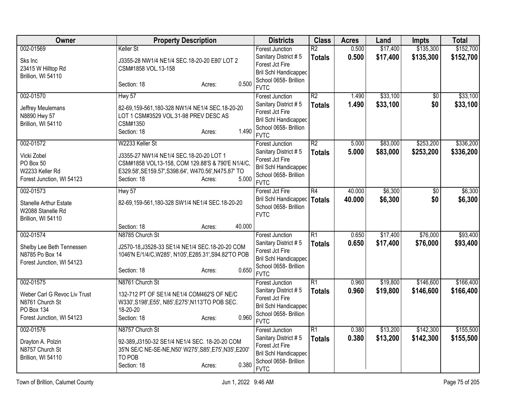| <b>Owner</b>                                                                                            | <b>Property Description</b>                                                                                                                                                                              | <b>Districts</b>                                                                                                                          | <b>Class</b>                     | <b>Acres</b>     | Land                 | <b>Impts</b>           | <b>Total</b>           |
|---------------------------------------------------------------------------------------------------------|----------------------------------------------------------------------------------------------------------------------------------------------------------------------------------------------------------|-------------------------------------------------------------------------------------------------------------------------------------------|----------------------------------|------------------|----------------------|------------------------|------------------------|
| 002-01569<br>Sks Inc<br>23415 W Hilltop Rd<br>Brillion, WI 54110                                        | Keller St<br>J3355-28 NW1/4 NE1/4 SEC.18-20-20 E80' LOT 2<br>CSM#1858 VOL.13-158<br>0.500<br>Section: 18<br>Acres:                                                                                       | <b>Forest Junction</b><br>Sanitary District #5<br>Forest Jct Fire<br>Bril Schl Handicapped<br>School 0658- Brillion<br><b>FVTC</b>        | $\overline{R2}$<br><b>Totals</b> | 0.500<br>0.500   | \$17,400<br>\$17,400 | \$135,300<br>\$135,300 | \$152,700<br>\$152,700 |
| 002-01570<br>Jeffrey Meulemans<br>N8890 Hwy 57<br>Brillion, WI 54110                                    | Hwy 57<br>82-69,159-561,180-328 NW1/4 NE1/4 SEC.18-20-20<br>LOT 1 CSM#3529 VOL.31-98 PREV DESC AS<br>CSM#1350<br>1.490<br>Section: 18<br>Acres:                                                          | <b>Forest Junction</b><br>Sanitary District #5<br>Forest Jct Fire<br><b>Bril Schl Handicapped</b><br>School 0658- Brillion<br><b>FVTC</b> | $\overline{R2}$<br><b>Totals</b> | 1.490<br>1.490   | \$33,100<br>\$33,100 | $\overline{50}$<br>\$0 | \$33,100<br>\$33,100   |
| 002-01572<br>Vicki Zobel<br>PO Box 50<br>W2233 Keller Rd<br>Forest Junction, WI 54123                   | W2233 Keller St<br>J3355-27 NW1/4 NE1/4 SEC.18-20-20 LOT 1<br>CSM#1858 VOL13-158, COM 129.88'S & 790'E N1/4/C,<br>E329.58', SE159.57', S398.64', W470.56', N475.87' TO<br>5.000<br>Section: 18<br>Acres: | <b>Forest Junction</b><br>Sanitary District #5<br>Forest Jct Fire<br><b>Bril Schl Handicapped</b><br>School 0658- Brillion<br><b>FVTC</b> | R2<br><b>Totals</b>              | 5.000<br>5.000   | \$83,000<br>\$83,000 | \$253,200<br>\$253,200 | \$336,200<br>\$336,200 |
| 002-01573<br><b>Stanelle Arthur Estate</b><br>W2088 Stanelle Rd<br>Brillion, WI 54110                   | Hwy 57<br>82-69,159-561,180-328 SW1/4 NE1/4 SEC.18-20-20                                                                                                                                                 | Forest Jct Fire<br><b>Bril Schl Handicapped</b><br>School 0658- Brillion<br><b>FVTC</b>                                                   | R4<br><b>Totals</b>              | 40.000<br>40.000 | \$6,300<br>\$6,300   | $\overline{50}$<br>\$0 | \$6,300<br>\$6,300     |
| 002-01574<br>Shelby Lee Beth Tennessen<br>N8785 Po Box 14<br>Forest Junction, WI 54123                  | 40.000<br>Section: 18<br>Acres:<br>N8785 Church St<br>J2570-18, J3528-33 SE1/4 NE1/4 SEC. 18-20-20 COM<br>1046'N E/1/4/C, W285', N105', E285.31', S94.82'TO POB<br>0.650<br>Section: 18<br>Acres:        | <b>Forest Junction</b><br>Sanitary District #5<br>Forest Jct Fire<br><b>Bril Schl Handicapped</b><br>School 0658- Brillion<br><b>FVTC</b> | $\overline{R1}$<br><b>Totals</b> | 0.650<br>0.650   | \$17,400<br>\$17,400 | \$76,000<br>\$76,000   | \$93,400<br>\$93,400   |
| 002-01575<br>Weber Carl G Revoc Liv Trust<br>N8761 Church St<br>PO Box 134<br>Forest Junction, WI 54123 | N8761 Church St<br>132-712 PT OF SE1/4 NE1/4 COM462'S OF NE/C<br>W330', S198', E55', N85', E275', N113'TO POB SEC.<br>18-20-20<br>0.960<br>Section: 18<br>Acres:                                         | <b>Forest Junction</b><br>Sanitary District #5<br>Forest Jct Fire<br><b>Bril Schl Handicapped</b><br>School 0658- Brillion<br><b>FVTC</b> | $\overline{R1}$<br><b>Totals</b> | 0.960<br>0.960   | \$19,800<br>\$19,800 | \$146,600<br>\$146,600 | \$166,400<br>\$166,400 |
| 002-01576<br>Drayton A. Polzin<br>N8757 Church St<br>Brillion, WI 54110                                 | N8757 Church St<br>92-389, J3150-32 SE1/4 NE1/4 SEC. 18-20-20 COM<br>35'N SE/C NE-SE-NE, N50' W275', S85', E75', N35', E200'<br>TO POB<br>0.380<br>Section: 18<br>Acres:                                 | <b>Forest Junction</b><br>Sanitary District #5<br>Forest Jct Fire<br><b>Bril Schl Handicapped</b><br>School 0658- Brillion<br><b>FVTC</b> | $\overline{R1}$<br><b>Totals</b> | 0.380<br>0.380   | \$13,200<br>\$13,200 | \$142,300<br>\$142,300 | \$155,500<br>\$155,500 |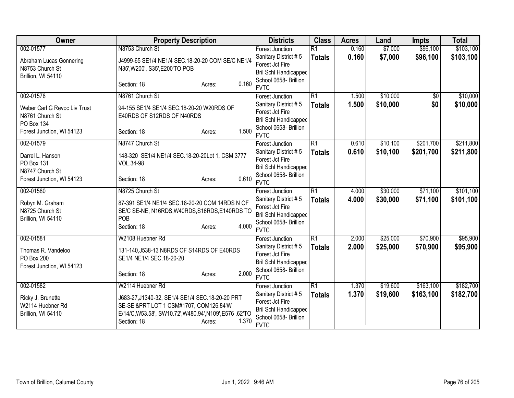| Owner                              | <b>Property Description</b>                           | <b>Districts</b>                        | <b>Class</b>    | <b>Acres</b> | Land     | <b>Impts</b>    | <b>Total</b> |
|------------------------------------|-------------------------------------------------------|-----------------------------------------|-----------------|--------------|----------|-----------------|--------------|
| 002-01577                          | N8753 Church St                                       | Forest Junction                         | $\overline{R1}$ | 0.160        | \$7,000  | \$96,100        | \$103,100    |
| Abraham Lucas Gonnering            | J4999-65 SE1/4 NE1/4 SEC.18-20-20 COM SE/C NE1/4      | Sanitary District #5                    | <b>Totals</b>   | 0.160        | \$7,000  | \$96,100        | \$103,100    |
| N8753 Church St                    | N35', W200', S35', E200'TO POB                        | Forest Jct Fire                         |                 |              |          |                 |              |
| Brillion, WI 54110                 |                                                       | <b>Bril Schl Handicapped</b>            |                 |              |          |                 |              |
|                                    | 0.160<br>Section: 18<br>Acres:                        | School 0658- Brillion                   |                 |              |          |                 |              |
|                                    |                                                       | <b>FVTC</b>                             |                 |              |          |                 |              |
| 002-01578                          | N8761 Church St                                       | Forest Junction                         | $\overline{R1}$ | 1.500        | \$10,000 | $\overline{50}$ | \$10,000     |
| Weber Carl G Revoc Liv Trust       | 94-155 SE1/4 SE1/4 SEC.18-20-20 W20RDS OF             | Sanitary District #5                    | <b>Totals</b>   | 1.500        | \$10,000 | \$0             | \$10,000     |
| N8761 Church St                    | E40RDS OF S12RDS OF N40RDS                            | Forest Jct Fire                         |                 |              |          |                 |              |
| PO Box 134                         |                                                       | <b>Bril Schl Handicapped</b>            |                 |              |          |                 |              |
| Forest Junction, WI 54123          | 1.500<br>Section: 18<br>Acres:                        | School 0658- Brillion<br><b>FVTC</b>    |                 |              |          |                 |              |
| 002-01579                          | N8747 Church St                                       | <b>Forest Junction</b>                  | $\overline{R1}$ | 0.610        | \$10,100 | \$201,700       | \$211,800    |
|                                    |                                                       |                                         |                 |              |          |                 |              |
| Darrel L. Hanson                   | 148-320 SE1/4 NE1/4 SEC.18-20-20Lot 1, CSM 3777       | Sanitary District #5<br>Forest Jct Fire | <b>Totals</b>   | 0.610        | \$10,100 | \$201,700       | \$211,800    |
| PO Box 131                         | VOL.34-98                                             | <b>Bril Schl Handicapped</b>            |                 |              |          |                 |              |
| N8747 Church St                    |                                                       | School 0658- Brillion                   |                 |              |          |                 |              |
| Forest Junction, WI 54123          | 0.610<br>Section: 18<br>Acres:                        | <b>FVTC</b>                             |                 |              |          |                 |              |
| 002-01580                          | N8725 Church St                                       | <b>Forest Junction</b>                  | $\overline{R1}$ | 4.000        | \$30,000 | \$71,100        | \$101,100    |
|                                    |                                                       | Sanitary District #5                    | <b>Totals</b>   | 4.000        | \$30,000 | \$71,100        | \$101,100    |
| Robyn M. Graham<br>N8725 Church St | 87-391 SE1/4 NE1/4 SEC.18-20-20 COM 14RDS N OF        | Forest Jct Fire                         |                 |              |          |                 |              |
| Brillion, WI 54110                 | SE/C SE-NE, N16RDS, W40RDS, S16RDS, E140RDS TO<br>POB | <b>Bril Schl Handicapped</b>            |                 |              |          |                 |              |
|                                    | 4.000<br>Section: 18<br>Acres:                        | School 0658- Brillion                   |                 |              |          |                 |              |
|                                    |                                                       | <b>FVTC</b>                             |                 |              |          |                 |              |
| 002-01581                          | W2108 Huebner Rd                                      | Forest Junction                         | $\overline{R1}$ | 2.000        | \$25,000 | \$70,900        | \$95,900     |
| Thomas R. Vandeloo                 | 131-140, J538-13 N8RDS OF S14RDS OF E40RDS            | Sanitary District #5                    | <b>Totals</b>   | 2.000        | \$25,000 | \$70,900        | \$95,900     |
| PO Box 200                         | SE1/4 NE1/4 SEC.18-20-20                              | Forest Jct Fire                         |                 |              |          |                 |              |
| Forest Junction, WI 54123          |                                                       | <b>Bril Schl Handicapped</b>            |                 |              |          |                 |              |
|                                    | 2.000<br>Section: 18<br>Acres:                        | School 0658- Brillion                   |                 |              |          |                 |              |
|                                    |                                                       | <b>FVTC</b>                             |                 |              |          |                 |              |
| 002-01582                          | W2114 Huebner Rd                                      | <b>Forest Junction</b>                  | $\overline{R1}$ | 1.370        | \$19,600 | \$163,100       | \$182,700    |
| Ricky J. Brunette                  | J683-27, J1340-32, SE1/4 SE1/4 SEC. 18-20-20 PRT      | Sanitary District #5                    | <b>Totals</b>   | 1.370        | \$19,600 | \$163,100       | \$182,700    |
| W2114 Huebner Rd                   | SE-SE & PRT LOT 1 CSM#1707, COM126.84'W               | Forest Jct Fire                         |                 |              |          |                 |              |
| Brillion, WI 54110                 | E/14/C,W53.58', SW10.72',W480.94',N109',E576.62'TO    | <b>Bril Schl Handicapped</b>            |                 |              |          |                 |              |
|                                    | 1.370<br>Section: 18<br>Acres:                        | School 0658- Brillion<br><b>FVTC</b>    |                 |              |          |                 |              |
|                                    |                                                       |                                         |                 |              |          |                 |              |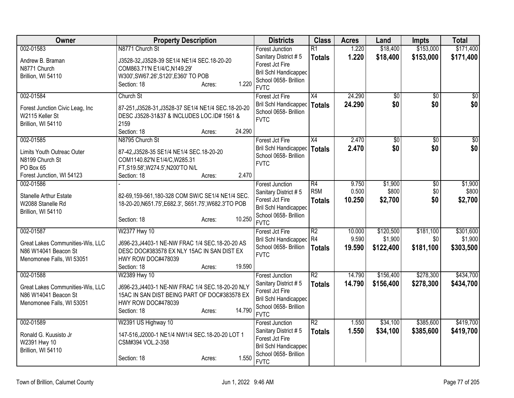| Owner                                                                                              | <b>Property Description</b>                                                                                                                                                | <b>Districts</b>                                                                                                                          | <b>Class</b>                      | <b>Acres</b>              | Land                              | <b>Impts</b>                  | <b>Total</b>                      |
|----------------------------------------------------------------------------------------------------|----------------------------------------------------------------------------------------------------------------------------------------------------------------------------|-------------------------------------------------------------------------------------------------------------------------------------------|-----------------------------------|---------------------------|-----------------------------------|-------------------------------|-----------------------------------|
| 002-01583                                                                                          | N8771 Church St                                                                                                                                                            | <b>Forest Junction</b>                                                                                                                    | $\overline{R1}$                   | 1.220                     | \$18,400                          | \$153,000                     | \$171,400                         |
| Andrew B. Braman<br>N8771 Church<br>Brillion, WI 54110                                             | J3528-32, J3528-39 SE1/4 NE1/4 SEC.18-20-20<br>COM863.71'N E1/4/C, N149.29'<br>W300', SW67.26', S120', E360' TO POB<br>1.220<br>Section: 18<br>Acres:                      | Sanitary District #5<br>Forest Jct Fire<br><b>Bril Schl Handicapped</b><br>School 0658- Brillion<br><b>FVTC</b>                           | <b>Totals</b>                     | 1.220                     | \$18,400                          | \$153,000                     | \$171,400                         |
| 002-01584                                                                                          | Church St                                                                                                                                                                  | Forest Jct Fire                                                                                                                           | X4                                | 24.290                    | $\overline{60}$                   | $\overline{50}$               | $\overline{50}$                   |
| Forest Junction Civic Leag, Inc<br>W2115 Keller St<br>Brillion, WI 54110                           | 87-251, J3528-31, J3528-37 SE1/4 NE1/4 SEC. 18-20-20<br>DESC J3528-31&37 & INCLUDES LOC.ID# 1561 &<br>2159<br>24.290<br>Section: 18<br>Acres:                              | <b>Bril Schl Handicapped</b><br>School 0658- Brillion<br><b>FVTC</b>                                                                      | <b>Totals</b>                     | 24.290                    | \$0                               | \$0                           | \$0                               |
| 002-01585                                                                                          | N8795 Church St                                                                                                                                                            | Forest Jct Fire                                                                                                                           | X4                                | 2.470                     | \$0                               | $\overline{50}$               | $\overline{50}$                   |
| Limits Youth Outreac Outer<br>N8199 Church St<br>PO Box 65<br>Forest Junction, WI 54123            | 87-42, J3528-35 SE1/4 NE1/4 SEC. 18-20-20<br>COM1140.82'N E1/4/C, W285.31<br>FT, S19.58', W274.5', N200'TO N/L<br>2.470<br>Section: 18<br>Acres:                           | <b>Bril Schl Handicapped</b><br>School 0658- Brillion<br><b>FVTC</b>                                                                      | <b>Totals</b>                     | 2.470                     | \$0                               | \$0                           | \$0                               |
| 002-01586                                                                                          |                                                                                                                                                                            | <b>Forest Junction</b>                                                                                                                    | $\overline{R4}$                   | 9.750                     | \$1,900                           | $\overline{50}$               | \$1,900                           |
| <b>Stanelle Arthur Estate</b><br>W2088 Stanelle Rd<br>Brillion, WI 54110                           | 82-69,159-561,180-328 COM SW/C SE1/4 NE1/4 SEC.<br>18-20-20, N651.75', E682.3', S651.75', W682.3'TO POB                                                                    | Sanitary District #5<br>Forest Jct Fire<br><b>Bril Schl Handicapped</b><br>School 0658- Brillion                                          | R <sub>5</sub> M<br><b>Totals</b> | 0.500<br>10.250           | \$800<br>\$2,700                  | \$0<br>\$0                    | \$800<br>\$2,700                  |
|                                                                                                    | 10.250<br>Section: 18<br>Acres:                                                                                                                                            | <b>FVTC</b>                                                                                                                               |                                   |                           |                                   |                               |                                   |
| 002-01587<br>Great Lakes Communities-Wis, LLC<br>N86 W14041 Beacon St<br>Menomonee Falls, WI 53051 | W2377 Hwy 10<br>J696-23, J4403-1 NE-NW FRAC 1/4 SEC. 18-20-20 AS<br>DESC DOC#383578 EX NLY 15AC IN SAN DIST EX<br>HWY ROW DOC#478039                                       | Forest Jct Fire<br>Bril Schl Handicapped R4<br>School 0658- Brillion<br><b>FVTC</b>                                                       | $\overline{R2}$<br><b>Totals</b>  | 10.000<br>9.590<br>19.590 | \$120,500<br>\$1,900<br>\$122,400 | \$181,100<br>\$0<br>\$181,100 | \$301,600<br>\$1,900<br>\$303,500 |
|                                                                                                    | 19.590<br>Section: 18<br>Acres:                                                                                                                                            |                                                                                                                                           |                                   |                           |                                   |                               |                                   |
| 002-01588<br>Great Lakes Communities-Wis, LLC<br>N86 W14041 Beacon St<br>Menomonee Falls, WI 53051 | W2389 Hwy 10<br>J696-23, J4403-1 NE-NW FRAC 1/4 SEC. 18-20-20 NLY<br>15AC IN SAN DIST BEING PART OF DOC#383578 EX<br>HWY ROW DOC#478039<br>14.790<br>Section: 18<br>Acres: | Forest Junction<br>Sanitary District #5<br>Forest Jct Fire<br><b>Bril Schl Handicapped</b><br>School 0658- Brillion<br><b>FVTC</b>        | $\overline{R2}$<br><b>Totals</b>  | 14.790<br>14.790          | \$156,400<br>\$156,400            | \$278,300<br>\$278,300        | \$434,700<br>\$434,700            |
| 002-01589<br>Ronald G. Kuusisto Jr<br>W2391 Hwy 10<br>Brillion, WI 54110                           | W2391 US Highway 10<br>147-516, J2000-1 NE1/4 NW1/4 SEC. 18-20-20 LOT 1<br>CSM#394 VOL.2-358<br>1.550<br>Section: 18<br>Acres:                                             | <b>Forest Junction</b><br>Sanitary District #5<br>Forest Jct Fire<br><b>Bril Schl Handicapped</b><br>School 0658- Brillion<br><b>FVTC</b> | $\overline{R2}$<br><b>Totals</b>  | 1.550<br>1.550            | \$34,100<br>\$34,100              | \$385,600<br>\$385,600        | \$419,700<br>\$419,700            |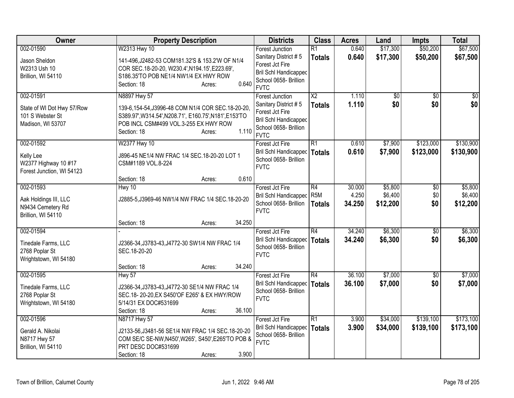| Owner                                                                       | <b>Property Description</b>                                                                                                                                                           | <b>Districts</b>                                                                                                | <b>Class</b>    | <b>Acres</b>     | Land                | <b>Impts</b> | <b>Total</b>        |
|-----------------------------------------------------------------------------|---------------------------------------------------------------------------------------------------------------------------------------------------------------------------------------|-----------------------------------------------------------------------------------------------------------------|-----------------|------------------|---------------------|--------------|---------------------|
| 002-01590                                                                   | W2313 Hwy 10                                                                                                                                                                          | <b>Forest Junction</b>                                                                                          | $\overline{R1}$ | 0.640            | \$17,300            | \$50,200     | \$67,500            |
| Jason Sheldon<br>W2313 Ush 10<br>Brillion, WI 54110                         | 141-496, J2482-53 COM181.32'S & 153.2'W OF N1/4<br>COR SEC.18-20-20, W230.4', N194.15', E223.69',<br>S186.35'TO POB NE1/4 NW1/4 EX HWY ROW<br>0.640<br>Section: 18<br>Acres:          | Sanitary District #5<br>Forest Jct Fire<br>Bril Schl Handicapped<br>School 0658- Brillion<br><b>FVTC</b>        | <b>Totals</b>   | 0.640            | \$17,300            | \$50,200     | \$67,500            |
| 002-01591                                                                   | N8897 Hwy 57                                                                                                                                                                          | <b>Forest Junction</b>                                                                                          | $\overline{X2}$ | 1.110            | $\overline{50}$     | $\sqrt{6}$   | $\sqrt{50}$         |
| State of WI Dot Hwy 57/Row<br>101 S Webster St<br>Madison, WI 53707         | 139-6,154-54,J3996-48 COM N1/4 COR SEC.18-20-20,<br>S389.97', W314.54', N208.71', E160.75', N181', E153'TO<br>POB INCL CSM#499 VOL.3-255 EX HWY ROW<br>1.110<br>Section: 18<br>Acres: | Sanitary District #5<br>Forest Jct Fire<br><b>Bril Schl Handicapped</b><br>School 0658- Brillion<br><b>FVTC</b> | <b>Totals</b>   | 1.110            | \$0                 | \$0          | \$0                 |
| 002-01592                                                                   | W2377 Hwy 10                                                                                                                                                                          | Forest Jct Fire                                                                                                 | R1              | 0.610            | \$7,900             | \$123,000    | \$130,900           |
| Kelly Lee<br>W2377 Highway 10 #17<br>Forest Junction, WI 54123              | J896-45 NE1/4 NW FRAC 1/4 SEC.18-20-20 LOT 1<br>CSM#1189 VOL.8-224                                                                                                                    | Bril Schl Handicapped   Totals<br>School 0658- Brillion<br><b>FVTC</b>                                          |                 | 0.610            | \$7,900             | \$123,000    | \$130,900           |
|                                                                             | 0.610<br>Section: 18<br>Acres:                                                                                                                                                        |                                                                                                                 |                 |                  |                     |              |                     |
| 002-01593                                                                   | Hwy 10                                                                                                                                                                                | Forest Jct Fire                                                                                                 | R4              | 30.000           | \$5,800             | $\sqrt[6]{}$ | \$5,800             |
| Aak Holdings III, LLC<br>N9434 Cemetery Rd<br>Brillion, WI 54110            | J2885-5, J3969-46 NW1/4 NW FRAC 1/4 SEC.18-20-20                                                                                                                                      | Bril Schl Handicapped   R5M<br>School 0658- Brillion<br><b>FVTC</b>                                             | <b>Totals</b>   | 4.250<br>34.250  | \$6,400<br>\$12,200 | \$0<br>\$0   | \$6,400<br>\$12,200 |
|                                                                             | 34.250<br>Section: 18<br>Acres:                                                                                                                                                       |                                                                                                                 |                 |                  |                     |              |                     |
| 002-01594<br>Tinedale Farms, LLC<br>2768 Poplar St<br>Wrightstown, WI 54180 | J2366-34, J3783-43, J4772-30 SW1/4 NW FRAC 1/4<br>SEC.18-20-20                                                                                                                        | Forest Jct Fire<br>Bril Schl Handicapped<br>School 0658- Brillion<br><b>FVTC</b>                                | R4<br>Totals    | 34.240<br>34.240 | \$6,300<br>\$6,300  | \$0<br>\$0   | \$6,300<br>\$6,300  |
|                                                                             | 34.240<br>Section: 18<br>Acres:                                                                                                                                                       |                                                                                                                 |                 |                  |                     |              |                     |
| 002-01595                                                                   | Hwy 57                                                                                                                                                                                | Forest Jct Fire                                                                                                 | R4              | 36.100           | \$7,000             | \$0          | \$7,000             |
| Tinedale Farms, LLC<br>2768 Poplar St<br>Wrightstown, WI 54180              | J2366-34, J3783-43, J4772-30 SE1/4 NW FRAC 1/4<br>SEC.18-20-20, EX S450'OF E265' & EX HWY/ROW<br>5/14/31 EX DOC#531699                                                                | Bril Schl Handicapped<br>School 0658- Brillion<br><b>FVTC</b>                                                   | <b>Totals</b>   | 36.100           | \$7,000             | \$0          | \$7,000             |
| 002-01596                                                                   | 36.100<br>Section: 18<br>Acres:<br>N8717 Hwy 57                                                                                                                                       | Forest Jct Fire                                                                                                 | R1              | 3.900            | \$34,000            | \$139,100    | \$173,100           |
| Gerald A. Nikolai<br>N8717 Hwy 57<br>Brillion, WI 54110                     | J2133-56, J3481-56 SE1/4 NW FRAC 1/4 SEC. 18-20-20<br>COM SE/C SE-NW, N450', W265', S450', E265'TO POB &<br>PRT DESC DOC#531699<br>3.900<br>Section: 18<br>Acres:                     | Bril Schl Handicapped<br>School 0658- Brillion<br><b>FVTC</b>                                                   | Totals          | 3.900            | \$34,000            | \$139,100    | \$173,100           |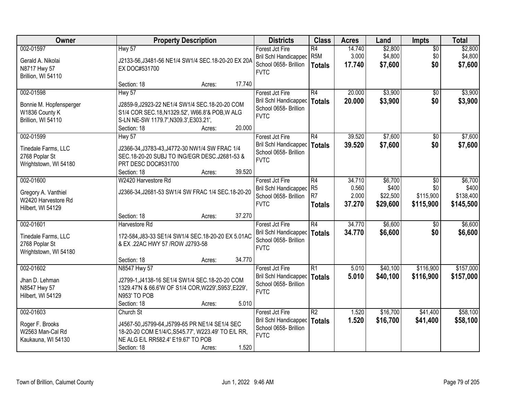| Owner                                                                        |                                                                                                                                                                     | <b>Property Description</b> |        |                                                                                  | <b>Class</b>                           | <b>Acres</b>              | Land                          | <b>Impts</b>                  | <b>Total</b>                    |
|------------------------------------------------------------------------------|---------------------------------------------------------------------------------------------------------------------------------------------------------------------|-----------------------------|--------|----------------------------------------------------------------------------------|----------------------------------------|---------------------------|-------------------------------|-------------------------------|---------------------------------|
| 002-01597<br>Gerald A. Nikolai<br>N8717 Hwy 57<br>Brillion, WI 54110         | Hwy 57<br>J2133-56, J3481-56 NE1/4 SW1/4 SEC. 18-20-20 EX 20A<br>EX DOC#531700                                                                                      |                             |        | Forest Jct Fire<br>Bril Schl Handicapped<br>School 0658- Brillion<br><b>FVTC</b> | R4<br>R <sub>5M</sub><br><b>Totals</b> | 14.740<br>3.000<br>17.740 | \$2,800<br>\$4,800<br>\$7,600 | $\overline{50}$<br>\$0<br>\$0 | \$2,800<br>\$4,800<br>\$7,600   |
|                                                                              | Section: 18                                                                                                                                                         | Acres:                      | 17.740 |                                                                                  |                                        |                           |                               |                               |                                 |
| 002-01598<br>Bonnie M. Hopfensperger<br>W1836 County K<br>Brillion, WI 54110 | Hwy 57<br>J2859-9, J2923-22 NE1/4 SW1/4 SEC.18-20-20 COM<br>S1/4 COR SEC.18, N1329.52', W66.8'& POB, W ALG<br>S-LN NE-SW 1179.7', N309.3', E303.21',<br>Section: 18 | Acres:                      | 20.000 | Forest Jct Fire<br>Bril Schl Handicapped<br>School 0658- Brillion<br><b>FVTC</b> | R4<br>Totals                           | 20.000<br>20.000          | \$3,900<br>\$3,900            | $\overline{50}$<br>\$0        | \$3,900<br>\$3,900              |
| 002-01599                                                                    | Hwy 57                                                                                                                                                              |                             |        | Forest Jct Fire                                                                  | R4                                     | 39.520                    | \$7,600                       | \$0                           | \$7,600                         |
| Tinedale Farms, LLC<br>2768 Poplar St<br>Wrightstown, WI 54180               | J2366-34, J3783-43, J4772-30 NW1/4 SW FRAC 1/4<br>SEC.18-20-20 SUBJ TO ING/EGR DESC.J2681-53 &<br>PRT DESC DOC#531700<br>Section: 18                                | Acres:                      | 39.520 | <b>Bril Schl Handicapped</b><br>School 0658- Brillion<br><b>FVTC</b>             | Totals                                 | 39.520                    | \$7,600                       | \$0                           | \$7,600                         |
| 002-01600                                                                    | W2420 Harvestore Rd                                                                                                                                                 |                             |        | Forest Jct Fire                                                                  | R4                                     | 34.710                    | \$6,700                       | $\sqrt{6}$                    | \$6,700                         |
| Gregory A. Vanthiel<br>W2420 Harvestore Rd<br>Hilbert, WI 54129              | J2366-34, J2681-53 SW1/4 SW FRAC 1/4 SEC. 18-20-20                                                                                                                  |                             |        | Bril Schl Handicapped<br>School 0658- Brillion<br><b>FVTC</b>                    | R <sub>5</sub><br>R7<br><b>Totals</b>  | 0.560<br>2.000<br>37.270  | \$400<br>\$22,500<br>\$29,600 | \$0<br>\$115,900<br>\$115,900 | \$400<br>\$138,400<br>\$145,500 |
|                                                                              | Section: 18                                                                                                                                                         | Acres:                      | 37.270 |                                                                                  |                                        |                           |                               |                               |                                 |
| 002-01601<br>Tinedale Farms, LLC<br>2768 Poplar St<br>Wrightstown, WI 54180  | Harvestore Rd<br>172-584, J83-33 SE1/4 SW1/4 SEC. 18-20-20 EX 5.01AC<br>& EX .22AC HWY 57 /ROW J2793-58                                                             |                             |        | Forest Jct Fire<br>Bril Schl Handicapped<br>School 0658- Brillion<br><b>FVTC</b> | R4<br><b>Totals</b>                    | 34.770<br>34.770          | \$6,600<br>\$6,600            | $\overline{50}$<br>\$0        | \$6,600<br>\$6,600              |
|                                                                              | Section: 18                                                                                                                                                         | Acres:                      | 34.770 |                                                                                  |                                        |                           |                               |                               |                                 |
| 002-01602<br>Jhan D. Lehman<br>N8547 Hwy 57<br>Hilbert, WI 54129             | N8547 Hwy 57<br>J2799-1, J4138-16 SE1/4 SW1/4 SEC.18-20-20 COM<br>1329.47'N & 66.6'W OF S1/4 COR, W229', S953', E229',<br>N953' TO POB<br>Section: 18               | Acres:                      | 5.010  | Forest Jct Fire<br>Bril Schl Handicapped<br>School 0658- Brillion<br><b>FVTC</b> | IR1<br>Totals                          | 5.010<br>5.010            | \$40,100<br>\$40,100          | \$116,900<br>\$116,900        | \$157,000<br>\$157,000          |
| 002-01603                                                                    | Church St                                                                                                                                                           |                             |        | Forest Jct Fire                                                                  | $\overline{R2}$                        | 1.520                     | \$16,700                      | \$41,400                      | \$58,100                        |
| Roger F. Brooks<br>W2563 Man-Cal Rd<br>Kaukauna, WI 54130                    | J4567-50, J5799-64, J5799-65 PR NE1/4 SE1/4 SEC<br>18-20-20 COM E1/4/C, S545.77', W223.49' TO E/L RR,<br>NE ALG E/L RR582.4' E19.67' TO POB<br>Section: 18          | Acres:                      | 1.520  | Bril Schl Handicapped<br>School 0658- Brillion<br><b>FVTC</b>                    | Totals                                 | 1.520                     | \$16,700                      | \$41,400                      | \$58,100                        |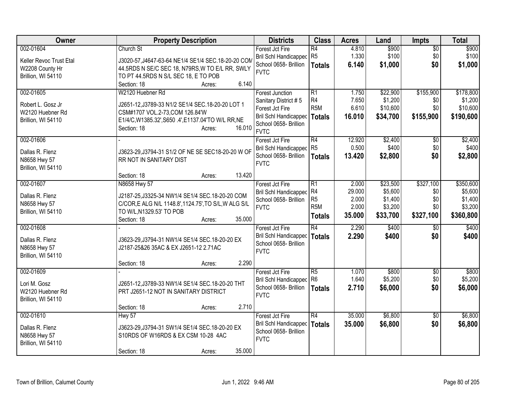| Owner                                                                         | <b>Property Description</b>                                                                                                                                                                                                         | <b>Districts</b>                                                                                                                   | <b>Class</b>                                                    | <b>Acres</b>                                | Land                                                  | <b>Impts</b>                                | <b>Total</b>                                            |
|-------------------------------------------------------------------------------|-------------------------------------------------------------------------------------------------------------------------------------------------------------------------------------------------------------------------------------|------------------------------------------------------------------------------------------------------------------------------------|-----------------------------------------------------------------|---------------------------------------------|-------------------------------------------------------|---------------------------------------------|---------------------------------------------------------|
| 002-01604<br>Keller Revoc Trust Etal<br>W2208 County Hr<br>Brillion, WI 54110 | Church St<br>J3020-57, J4647-63-64 NE1/4 SE1/4 SEC. 18-20-20 CON<br>44.5RDS N SE/C SEC 18, N79RS, W TO E/L RR, SWLY<br>TO PT 44.5RDS N S/L SEC 18, E TO POB                                                                         | Forest Jct Fire<br>Bril Schl Handicapped R5<br>School 0658- Brillion<br><b>FVTC</b>                                                | R4<br><b>Totals</b>                                             | 4.810<br>1.330<br>6.140                     | \$900<br>\$100<br>\$1,000                             | $\sqrt{6}$<br>\$0<br>\$0                    | \$900<br>\$100<br>\$1,000                               |
| 002-01605<br>Robert L. Gosz Jr<br>W2120 Huebner Rd<br>Brillion, WI 54110      | 6.140<br>Section: 18<br>Acres:<br>W2120 Huebner Rd<br>J2651-12, J3789-33 N1/2 SE1/4 SEC.18-20-20 LOT 1<br>CSM#1707 VOL.2-73, COM 126.84'W<br>E1/4/C, W1385.32', S650 .4', E1137.04'TO W/L RR, NE<br>16.010<br>Section: 18<br>Acres: | <b>Forest Junction</b><br>Sanitary District #5<br>Forest Jct Fire<br>Bril Schl Handicapped<br>School 0658- Brillion<br><b>FVTC</b> | R1<br>R4<br>R <sub>5</sub> M<br>Totals                          | 1.750<br>7.650<br>6.610<br>16.010           | \$22,900<br>\$1,200<br>\$10,600<br>\$34,700           | \$155,900<br>\$0<br>\$0<br>\$155,900        | \$178,800<br>\$1,200<br>\$10,600<br>\$190,600           |
| 002-01606<br>Dallas R. Flenz<br>N8658 Hwy 57<br>Brillion, WI 54110            | J3623-29, J3794-31 S1/2 OF NE SE SEC18-20-20 W OF<br>RR NOT IN SANITARY DIST                                                                                                                                                        | Forest Jct Fire<br><b>Bril Schl Handicapped</b><br>School 0658- Brillion<br><b>FVTC</b>                                            | $\overline{R4}$<br>R <sub>5</sub><br><b>Totals</b>              | 12.920<br>0.500<br>13.420                   | \$2,400<br>\$400<br>\$2,800                           | $\overline{50}$<br>\$0<br>\$0               | \$2,400<br>\$400<br>\$2,800                             |
| 002-01607<br>Dallas R. Flenz<br>N8658 Hwy 57<br>Brillion, WI 54110            | 13.420<br>Section: 18<br>Acres:<br>N8658 Hwy 57<br>J2187-25, J3325-34 NW1/4 SE1/4 SEC. 18-20-20 COM<br>C/COR, E ALG N/L 1148.8', 1124.75', TO S/L, W ALG S/L<br>TO W/L, N1329.53' TO POB<br>35.000<br>Section: 18<br>Acres:         | Forest Jct Fire<br><b>Bril Schl Handicapped</b><br>School 0658- Brillion<br><b>FVTC</b>                                            | R1<br>R4<br>R <sub>5</sub><br>R <sub>5</sub> M<br><b>Totals</b> | 2.000<br>29.000<br>2.000<br>2.000<br>35.000 | \$23,500<br>\$5,600<br>\$1,400<br>\$3,200<br>\$33,700 | \$327,100<br>\$0<br>\$0<br>\$0<br>\$327,100 | \$350,600<br>\$5,600<br>\$1,400<br>\$3,200<br>\$360,800 |
| 002-01608<br>Dallas R. Flenz<br>N8658 Hwy 57<br>Brillion, WI 54110            | J3623-29, J3794-31 NW1/4 SE1/4 SEC. 18-20-20 EX<br>J2187-25&26 35AC & EX J2651-12 2.71AC<br>2.290<br>Section: 18<br>Acres:                                                                                                          | Forest Jct Fire<br>Bril Schl Handicapped<br>School 0658- Brillion<br><b>FVTC</b>                                                   | R4<br>Totals                                                    | 2.290<br>2.290                              | \$400<br>\$400                                        | $\overline{50}$<br>\$0                      | \$400<br>\$400                                          |
| 002-01609<br>Lori M. Gosz<br>W2120 Huebner Rd<br>Brillion, WI 54110           | J2651-12, J3789-33 NW1/4 SE1/4 SEC. 18-20-20 THT<br>PRT J2651-12 NOT IN SANITARY DISTRICT<br>2.710<br>Section: 18<br>Acres:                                                                                                         | Forest Jct Fire<br>Bril Schl Handicapped<br>School 0658- Brillion<br><b>FVTC</b>                                                   | $\overline{R5}$<br>R6<br><b>Totals</b>                          | 1.070<br>1.640<br>2.710                     | \$800<br>\$5,200<br>\$6,000                           | $\sqrt[6]{}$<br>\$0<br>\$0                  | \$800<br>\$5,200<br>\$6,000                             |
| 002-01610<br>Dallas R. Flenz<br>N8658 Hwy 57<br>Brillion, WI 54110            | Hwy 57<br>J3623-29, J3794-31 SW1/4 SE1/4 SEC. 18-20-20 EX<br>S10RDS OF W16RDS & EX CSM 10-28 4AC<br>35.000<br>Section: 18<br>Acres:                                                                                                 | Forest Jct Fire<br>Bril Schl Handicapped<br>School 0658- Brillion<br><b>FVTC</b>                                                   | R4<br><b>Totals</b>                                             | 35.000<br>35.000                            | \$6,800<br>\$6,800                                    | \$0<br>\$0                                  | \$6,800<br>\$6,800                                      |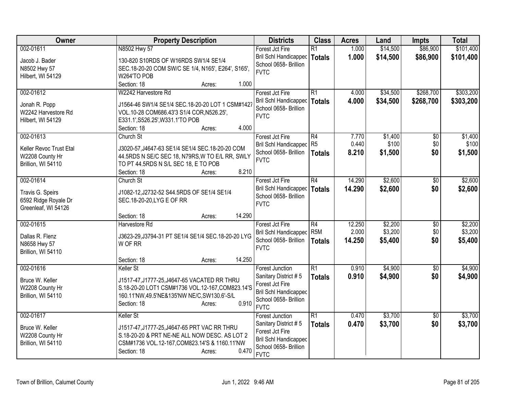| Owner                   | <b>Property Description</b>                                                                   | <b>Districts</b>                                      | <b>Class</b>     | <b>Acres</b>   | Land             | <b>Impts</b>           | <b>Total</b>     |
|-------------------------|-----------------------------------------------------------------------------------------------|-------------------------------------------------------|------------------|----------------|------------------|------------------------|------------------|
| 002-01611               | N8502 Hwy 57                                                                                  | Forest Jct Fire                                       | $\overline{R1}$  | 1.000          | \$14,500         | \$86,900               | \$101,400        |
| Jacob J. Bader          | 130-820 S10RDS OF W16RDS SW1/4 SE1/4                                                          | Bril Schl Handicapped                                 | <b>Totals</b>    | 1.000          | \$14,500         | \$86,900               | \$101,400        |
| N8502 Hwy 57            | SEC.18-20-20 COM SW/C SE 1/4, N165', E264', S165',                                            | School 0658- Brillion                                 |                  |                |                  |                        |                  |
| Hilbert, WI 54129       | W264'TO POB                                                                                   | <b>FVTC</b>                                           |                  |                |                  |                        |                  |
|                         | Section: 18<br>1.000<br>Acres:                                                                |                                                       |                  |                |                  |                        |                  |
| 002-01612               | W2242 Harvestore Rd                                                                           | Forest Jct Fire                                       | $\overline{R1}$  | 4.000          | \$34,500         | \$268,700              | \$303,200        |
|                         |                                                                                               | <b>Bril Schl Handicapped</b>                          | <b>Totals</b>    | 4.000          | \$34,500         | \$268,700              | \$303,200        |
| Jonah R. Popp           | J1564-46 SW1/4 SE1/4 SEC.18-20-20 LOT 1 CSM#1427                                              | School 0658- Brillion                                 |                  |                |                  |                        |                  |
| W2242 Harvestore Rd     | VOL.10-28 COM686.43'3 S1/4 COR, N526.25',                                                     | <b>FVTC</b>                                           |                  |                |                  |                        |                  |
| Hilbert, WI 54129       | E331.1', S526.25', W331.1'TO POB<br>4.000<br>Section: 18                                      |                                                       |                  |                |                  |                        |                  |
| 002-01613               | Acres:                                                                                        |                                                       | $\overline{R4}$  |                |                  |                        |                  |
|                         | Church St                                                                                     | Forest Jct Fire                                       | R <sub>5</sub>   | 7.770<br>0.440 | \$1,400<br>\$100 | $\overline{50}$<br>\$0 | \$1,400<br>\$100 |
| Keller Revoc Trust Etal | J3020-57, J4647-63 SE1/4 SE1/4 SEC.18-20-20 COM                                               | <b>Bril Schl Handicapped</b><br>School 0658- Brillion |                  | 8.210          |                  | \$0                    |                  |
| W2208 County Hr         | 44.5RDS N SE/C SEC 18, N79RS, W TO E/L RR, SWLY                                               | <b>FVTC</b>                                           | <b>Totals</b>    |                | \$1,500          |                        | \$1,500          |
| Brillion, WI 54110      | TO PT 44.5RDS N S/L SEC 18, E TO POB                                                          |                                                       |                  |                |                  |                        |                  |
|                         | 8.210<br>Section: 18<br>Acres:                                                                |                                                       |                  |                |                  |                        |                  |
| 002-01614               | Church St                                                                                     | Forest Jct Fire                                       | R4               | 14.290         | \$2,600          | $\overline{50}$        | \$2,600          |
| Travis G. Speirs        | J1082-12, J2732-52 S44.5RDS OF SE1/4 SE1/4                                                    | Bril Schl Handicapped                                 | <b>Totals</b>    | 14.290         | \$2,600          | \$0                    | \$2,600          |
| 6592 Ridge Royale Dr    | SEC.18-20-20, LYG E OF RR                                                                     | School 0658- Brillion                                 |                  |                |                  |                        |                  |
| Greenleaf, WI 54126     |                                                                                               | <b>FVTC</b>                                           |                  |                |                  |                        |                  |
|                         | 14.290<br>Section: 18<br>Acres:                                                               |                                                       |                  |                |                  |                        |                  |
| 002-01615               | Harvestore Rd                                                                                 | Forest Jct Fire                                       | $\overline{R4}$  | 12.250         | \$2,200          | $\overline{50}$        | \$2,200          |
|                         |                                                                                               | <b>Bril Schl Handicapped</b>                          | R <sub>5</sub> M | 2.000          | \$3,200          | \$0                    | \$3,200          |
| Dallas R. Flenz         | J3623-29, J3794-31 PT SE1/4 SE1/4 SEC.18-20-20 LYG                                            | School 0658- Brillion                                 | <b>Totals</b>    | 14.250         | \$5,400          | \$0                    | \$5,400          |
| N8658 Hwy 57            | W OF RR                                                                                       | <b>FVTC</b>                                           |                  |                |                  |                        |                  |
| Brillion, WI 54110      | 14.250                                                                                        |                                                       |                  |                |                  |                        |                  |
| 002-01616               | Section: 18<br>Acres:<br>Keller St                                                            | <b>Forest Junction</b>                                | $\overline{R1}$  | 0.910          | \$4,900          | $\sqrt{6}$             | \$4,900          |
|                         |                                                                                               | Sanitary District #5                                  |                  | 0.910          | \$4,900          | \$0                    |                  |
| Bruce W. Keller         | J1517-47, J1777-25, J4647-65 VACATED RR THRU                                                  | Forest Jct Fire                                       | <b>Totals</b>    |                |                  |                        | \$4,900          |
| W2208 County Hr         | S.18-20-20 LOT1 CSM#1736 VOL.12-167, COM823.14'S                                              | <b>Bril Schl Handicapped</b>                          |                  |                |                  |                        |                  |
| Brillion, WI 54110      | 160.11'NW,49.5'NE&135'NW NE/C,SW130.6'-S/L                                                    | School 0658- Brillion                                 |                  |                |                  |                        |                  |
|                         | 0.910<br>Section: 18<br>Acres:                                                                | <b>FVTC</b>                                           |                  |                |                  |                        |                  |
| 002-01617               | Keller St                                                                                     | <b>Forest Junction</b>                                | $\overline{R1}$  | 0.470          | \$3,700          | $\sqrt{$0}$            | \$3,700          |
| Bruce W. Keller         |                                                                                               | Sanitary District #5                                  | <b>Totals</b>    | 0.470          | \$3,700          | \$0                    | \$3,700          |
| W2208 County Hr         | J1517-47, J1777-25, J4647-65 PRT VAC RR THRU<br>S.18-20-20 & PRT NE-NE ALL NOW DESC. AS LOT 2 | Forest Jct Fire                                       |                  |                |                  |                        |                  |
| Brillion, WI 54110      | CSM#1736 VOL.12-167, COM823.14'S & 1160.11'NW                                                 | <b>Bril Schl Handicapped</b>                          |                  |                |                  |                        |                  |
|                         | 0.470<br>Section: 18<br>Acres:                                                                | School 0658- Brillion                                 |                  |                |                  |                        |                  |
|                         |                                                                                               | <b>FVTC</b>                                           |                  |                |                  |                        |                  |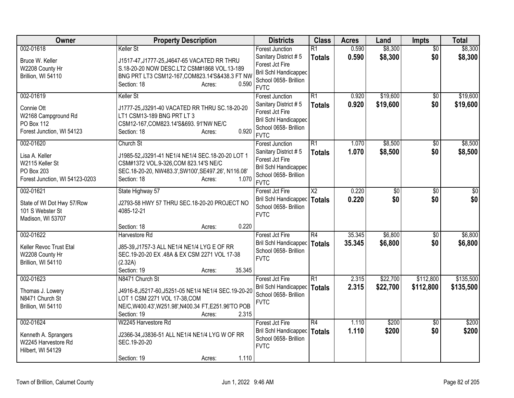| Owner                                                                             | <b>Property Description</b>                                                                                                                                                          | <b>Districts</b>                                                                                                | <b>Class</b>                     | <b>Acres</b>   | Land               | <b>Impts</b>           | <b>Total</b>       |
|-----------------------------------------------------------------------------------|--------------------------------------------------------------------------------------------------------------------------------------------------------------------------------------|-----------------------------------------------------------------------------------------------------------------|----------------------------------|----------------|--------------------|------------------------|--------------------|
| 002-01618<br>Bruce W. Keller                                                      | Keller St<br>J1517-47, J1777-25, J4647-65 VACATED RR THRU                                                                                                                            | <b>Forest Junction</b><br>Sanitary District #5                                                                  | $\overline{R1}$<br><b>Totals</b> | 0.590<br>0.590 | \$8,300<br>\$8,300 | $\overline{50}$<br>\$0 | \$8,300<br>\$8,300 |
| W2208 County Hr<br>Brillion, WI 54110                                             | S.18-20-20 NOW DESC.LT2 CSM#1868 VOL.13-189<br>BNG PRT LT3 CSM12-167, COM823.14'S&438.3 FT NW<br>0.590<br>Section: 18<br>Acres:                                                      | Forest Jct Fire<br><b>Bril Schl Handicapped</b><br>School 0658- Brillion<br><b>FVTC</b>                         |                                  |                |                    |                        |                    |
| 002-01619                                                                         | Keller St                                                                                                                                                                            | Forest Junction                                                                                                 | $\overline{R1}$                  | 0.920          | \$19,600           | $\overline{50}$        | \$19,600           |
| Connie Ott<br>W2168 Campground Rd<br>PO Box 112<br>Forest Junction, WI 54123      | J1777-25, J3291-40 VACATED RR THRU SC.18-20-20<br>LT1 CSM13-189 BNG PRT LT 3<br>CSM12-167, COM823.14'S&693. 91'NW NE/C<br>0.920<br>Section: 18<br>Acres:                             | Sanitary District #5<br>Forest Jct Fire<br><b>Bril Schl Handicapped</b><br>School 0658- Brillion<br><b>FVTC</b> | <b>Totals</b>                    | 0.920          | \$19,600           | \$0                    | \$19,600           |
| 002-01620                                                                         | Church St                                                                                                                                                                            | <b>Forest Junction</b>                                                                                          | $\overline{R1}$                  | 1.070          | \$8,500            | \$0                    | \$8,500            |
| Lisa A. Keller<br>W2115 Keller St<br>PO Box 203<br>Forest Junction, WI 54123-0203 | J1985-52, J3291-41 NE1/4 NE1/4 SEC. 18-20-20 LOT 1<br>CSM#1372 VOL.9-326, COM 823.14'S NE/C<br>SEC.18-20-20, NW483.3', SW100', SE497.26', N116.08'<br>1.070<br>Section: 18<br>Acres: | Sanitary District #5<br>Forest Jct Fire<br><b>Bril Schl Handicapped</b><br>School 0658- Brillion<br><b>FVTC</b> | <b>Totals</b>                    | 1.070          | \$8,500            | \$0                    | \$8,500            |
| 002-01621                                                                         | State Highway 57                                                                                                                                                                     | Forest Jct Fire                                                                                                 | $\overline{\text{X2}}$           | 0.220          | $\overline{50}$    | $\overline{50}$        | $\sqrt{30}$        |
| State of WI Dot Hwy 57/Row<br>101 S Webster St<br>Madison, WI 53707               | J2793-58 HWY 57 THRU SEC.18-20-20 PROJECT NO<br>4085-12-21                                                                                                                           | <b>Bril Schl Handicapped</b><br>School 0658- Brillion<br><b>FVTC</b>                                            | <b>Totals</b>                    | 0.220          | \$0                | \$0                    | \$0                |
|                                                                                   | 0.220<br>Section: 18<br>Acres:                                                                                                                                                       |                                                                                                                 |                                  |                |                    |                        |                    |
| 002-01622                                                                         | Harvestore Rd                                                                                                                                                                        | Forest Jct Fire                                                                                                 | R4                               | 35.345         | \$6,800            | $\overline{50}$        | \$6,800            |
| Keller Revoc Trust Etal<br>W2208 County Hr<br>Brillion, WI 54110                  | J85-39, J1757-3 ALL NE1/4 NE1/4 LYG E OF RR<br>SEC.19-20-20 EX .48A & EX CSM 2271 VOL 17-38<br>(2.32A)<br>35.345<br>Section: 19<br>Acres:                                            | <b>Bril Schl Handicapped</b><br>School 0658- Brillion<br><b>FVTC</b>                                            | <b>Totals</b>                    | 35.345         | \$6,800            | \$0                    | \$6,800            |
| 002-01623                                                                         | N8471 Church St                                                                                                                                                                      | Forest Jct Fire                                                                                                 | $\overline{R1}$                  | 2.315          | \$22,700           | \$112,800              | \$135,500          |
| Thomas J. Lowery<br>N8471 Church St<br>Brillion, WI 54110                         | J4916-8, J5217-60, J5251-05 NE1/4 NE1/4 SEC. 19-20-20<br>LOT 1 CSM 2271 VOL 17-38, COM<br>NE/C, W400.43', W251.98', N400.34 FT, E251.96'TO POB<br>2.315<br>Section: 19<br>Acres:     | <b>Bril Schl Handicapped</b><br>School 0658- Brillion<br><b>FVTC</b>                                            | <b>Totals</b>                    | 2.315          | \$22,700           | \$112,800              | \$135,500          |
| 002-01624                                                                         | W2245 Harvestore Rd                                                                                                                                                                  | Forest Jct Fire                                                                                                 | R4                               | 1.110          | \$200              | \$0                    | \$200              |
| Kenneth A. Sprangers<br>W2245 Harvestore Rd<br>Hilbert, WI 54129                  | J2366-34, J3836-51 ALL NE1/4 NE1/4 LYG W OF RR<br>SEC.19-20-20                                                                                                                       | <b>Bril Schl Handicapped</b><br>School 0658- Brillion<br><b>FVTC</b>                                            | <b>Totals</b>                    | 1.110          | \$200              | \$0                    | \$200              |
|                                                                                   | 1.110<br>Section: 19<br>Acres:                                                                                                                                                       |                                                                                                                 |                                  |                |                    |                        |                    |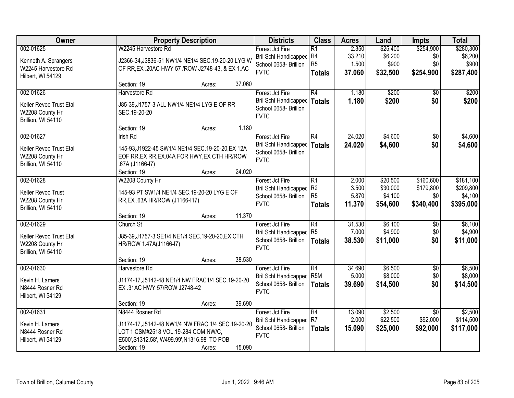| Owner                                    |                                                    | <b>Property Description</b> |        | <b>Districts</b>                                | <b>Class</b>          | <b>Acres</b>    | Land                | <b>Impts</b>     | <b>Total</b>         |
|------------------------------------------|----------------------------------------------------|-----------------------------|--------|-------------------------------------------------|-----------------------|-----------------|---------------------|------------------|----------------------|
| 002-01625                                | W2245 Harvestore Rd                                |                             |        | Forest Jct Fire<br><b>Bril Schl Handicapped</b> | $\overline{R1}$<br>R4 | 2.350<br>33.210 | \$25,400<br>\$6,200 | \$254,900<br>\$0 | \$280,300<br>\$6,200 |
| Kenneth A. Sprangers                     | J2366-34, J3836-51 NW1/4 NE1/4 SEC.19-20-20 LYG W  |                             |        | School 0658- Brillion                           | R <sub>5</sub>        | 1.500           | \$900               | \$0              | \$900                |
| W2245 Harvestore Rd<br>Hilbert, WI 54129 | OF RR, EX .20AC HWY 57 / ROW J2748-43, & EX 1.AC   |                             |        | <b>FVTC</b>                                     | <b>Totals</b>         | 37.060          | \$32,500            | \$254,900        | \$287,400            |
|                                          | Section: 19                                        | Acres:                      | 37.060 |                                                 |                       |                 |                     |                  |                      |
| 002-01626                                | Harvestore Rd                                      |                             |        | Forest Jct Fire                                 | R4                    | 1.180           | \$200               | $\overline{50}$  | \$200                |
| Keller Revoc Trust Etal                  | J85-39, J1757-3 ALL NW1/4 NE1/4 LYG E OF RR        |                             |        | <b>Bril Schl Handicapped</b>                    | <b>Totals</b>         | 1.180           | \$200               | \$0              | \$200                |
| W2208 County Hr                          | SEC.19-20-20                                       |                             |        | School 0658- Brillion                           |                       |                 |                     |                  |                      |
| Brillion, WI 54110                       |                                                    |                             |        | <b>FVTC</b>                                     |                       |                 |                     |                  |                      |
|                                          | Section: 19                                        | Acres:                      | 1.180  |                                                 |                       |                 |                     |                  |                      |
| 002-01627                                | <b>Irish Rd</b>                                    |                             |        | Forest Jct Fire                                 | R4                    | 24.020          | \$4,600             | \$0              | \$4,600              |
| Keller Revoc Trust Etal                  | 145-93, J1922-45 SW1/4 NE1/4 SEC. 19-20-20, EX 12A |                             |        | <b>Bril Schl Handicapped</b>                    | <b>Totals</b>         | 24.020          | \$4,600             | \$0              | \$4,600              |
| W2208 County Hr                          | EOF RR, EX RR, EX.04A FOR HWY, EX CTH HR/ROW       |                             |        | School 0658- Brillion                           |                       |                 |                     |                  |                      |
| Brillion, WI 54110                       | .67A (J1166-I7)                                    |                             |        | <b>FVTC</b>                                     |                       |                 |                     |                  |                      |
|                                          | Section: 19                                        | Acres:                      | 24.020 |                                                 |                       |                 |                     |                  |                      |
| 002-01628                                | W2208 County Hr                                    |                             |        | Forest Jct Fire                                 | $\overline{R1}$       | 2.000           | \$20,500            | \$160,600        | \$181,100            |
| Keller Revoc Trust                       | 145-93 PT SW1/4 NE1/4 SEC.19-20-20 LYG E OF        |                             |        | <b>Bril Schl Handicapped</b>                    | R <sub>2</sub>        | 3.500           | \$30,000            | \$179,800        | \$209,800            |
| W2208 County Hr                          | RR, EX .63A HR/ROW (J1166-I17)                     |                             |        | School 0658- Brillion                           | R <sub>5</sub>        | 5.870           | \$4,100             | \$0              | \$4,100              |
| Brillion, WI 54110                       |                                                    |                             |        | <b>FVTC</b>                                     | <b>Totals</b>         | 11.370          | \$54,600            | \$340,400        | \$395,000            |
|                                          | Section: 19                                        | Acres:                      | 11.370 |                                                 |                       |                 |                     |                  |                      |
| 002-01629                                | Church St                                          |                             |        | Forest Jct Fire                                 | $\overline{R4}$       | 31.530          | \$6,100             | \$0              | \$6,100              |
| Keller Revoc Trust Etal                  | J85-39, J1757-3 SE1/4 NE1/4 SEC. 19-20-20, EX CTH  |                             |        | <b>Bril Schl Handicapped</b>                    | R <sub>5</sub>        | 7.000           | \$4,900             | \$0              | \$4,900              |
| W2208 County Hr                          | HR/ROW 1.47A(J1166-I7)                             |                             |        | School 0658- Brillion                           | <b>Totals</b>         | 38.530          | \$11,000            | \$0              | \$11,000             |
| Brillion, WI 54110                       |                                                    |                             |        | <b>FVTC</b>                                     |                       |                 |                     |                  |                      |
|                                          | Section: 19                                        | Acres:                      | 38.530 |                                                 |                       |                 |                     |                  |                      |
| 002-01630                                | Harvestore Rd                                      |                             |        | Forest Jct Fire                                 | R4                    | 34.690          | \$6,500             | $\overline{50}$  | \$6,500              |
| Kevin H. Lamers                          | J1174-17, J5142-48 NE1/4 NW FRAC1/4 SEC.19-20-20   |                             |        | Bril Schl Handicapped                           | R <sub>5</sub> M      | 5.000           | \$8,000             | \$0              | \$8,000              |
| N8444 Rosner Rd                          | EX .31AC HWY 57/ROW J2748-42                       |                             |        | School 0658- Brillion<br><b>FVTC</b>            | <b>Totals</b>         | 39,690          | \$14,500            | \$0              | \$14,500             |
| Hilbert, WI 54129                        |                                                    |                             |        |                                                 |                       |                 |                     |                  |                      |
|                                          | Section: 19                                        | Acres:                      | 39.690 |                                                 |                       |                 |                     |                  |                      |
| 002-01631                                | N8444 Rosner Rd                                    |                             |        | Forest Jct Fire                                 | R4                    | 13.090          | \$2,500             | $\overline{30}$  | \$2,500              |
| Kevin H. Lamers                          | J1174-17, J5142-48 NW1/4 NW FRAC 1/4 SEC.19-20-20  |                             |        | <b>Bril Schl Handicapped</b>                    | R <sub>7</sub>        | 2.000           | \$22,500            | \$92,000         | \$114,500            |
| N8444 Rosner Rd                          | LOT 1 CSM#2518 VOL.19-284 COM NW/C,                |                             |        | School 0658- Brillion<br><b>FVTC</b>            | <b>Totals</b>         | 15.090          | \$25,000            | \$92,000         | \$117,000            |
| Hilbert, WI 54129                        | E500', S1312.58', W499.99', N1316.98' TO POB       |                             |        |                                                 |                       |                 |                     |                  |                      |
|                                          | Section: 19                                        | Acres:                      | 15.090 |                                                 |                       |                 |                     |                  |                      |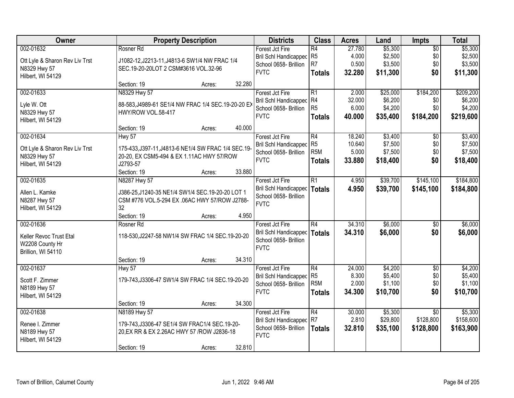| Owner                                          |                                                                                                    | <b>Property Description</b> |        | <b>Districts</b>             | <b>Class</b>     | <b>Acres</b> | Land     | <b>Impts</b>    | <b>Total</b> |
|------------------------------------------------|----------------------------------------------------------------------------------------------------|-----------------------------|--------|------------------------------|------------------|--------------|----------|-----------------|--------------|
| 002-01632                                      | Rosner Rd                                                                                          |                             |        | Forest Jct Fire              | $\overline{R4}$  | 27.780       | \$5,300  | $\overline{50}$ | \$5,300      |
| Ott Lyle & Sharon Rev Liv Trst                 | J1082-12, J2213-11, J4813-6 SW1/4 NW FRAC 1/4                                                      |                             |        | Bril Schl Handicapped        | R <sub>5</sub>   | 4.000        | \$2,500  | \$0             | \$2,500      |
| N8329 Hwy 57                                   | SEC.19-20-20LOT 2 CSM#3616 VOL.32-96                                                               |                             |        | School 0658- Brillion        | R <sub>7</sub>   | 0.500        | \$3,500  | \$0             | \$3,500      |
| Hilbert, WI 54129                              |                                                                                                    |                             |        | <b>FVTC</b>                  | <b>Totals</b>    | 32.280       | \$11,300 | \$0             | \$11,300     |
|                                                | Section: 19                                                                                        | Acres:                      | 32.280 |                              |                  |              |          |                 |              |
| 002-01633                                      | N8329 Hwy 57                                                                                       |                             |        | Forest Jct Fire              | $\overline{R1}$  | 2.000        | \$25,000 | \$184,200       | \$209,200    |
| Lyle W. Ott                                    | 88-583, J4989-61 SE1/4 NW FRAC 1/4 SEC. 19-20-20 EX                                                |                             |        | Bril Schl Handicapped        | R4               | 32.000       | \$6,200  | \$0             | \$6,200      |
| N8329 Hwy 57                                   | HWY/ROW VOL.58-417                                                                                 |                             |        | School 0658- Brillion        | R <sub>5</sub>   | 6.000        | \$4,200  | \$0             | \$4,200      |
| Hilbert, WI 54129                              |                                                                                                    |                             |        | <b>FVTC</b>                  | <b>Totals</b>    | 40.000       | \$35,400 | \$184,200       | \$219,600    |
|                                                | Section: 19                                                                                        | Acres:                      | 40.000 |                              |                  |              |          |                 |              |
| 002-01634                                      | Hwy 57                                                                                             |                             |        | Forest Jct Fire              | R4               | 18.240       | \$3,400  | $\sqrt{6}$      | \$3,400      |
|                                                | 175-433, J397-11, J4813-6 NE1/4 SW FRAC 1/4 SEC. 19-                                               |                             |        | <b>Bril Schl Handicapped</b> | R <sub>5</sub>   | 10.640       | \$7,500  | \$0             | \$7,500      |
| Ott Lyle & Sharon Rev Liv Trst<br>N8329 Hwy 57 | 20-20, EX CSM5-494 & EX 1.11AC HWY 57/ROW                                                          |                             |        | School 0658- Brillion        | R <sub>5</sub> M | 5.000        | \$7,500  | \$0             | \$7,500      |
| Hilbert, WI 54129                              | J2793-57                                                                                           |                             |        | <b>FVTC</b>                  | <b>Totals</b>    | 33.880       | \$18,400 | \$0             | \$18,400     |
|                                                | Section: 19                                                                                        | Acres:                      | 33.880 |                              |                  |              |          |                 |              |
| 002-01635                                      | N8287 Hwy 57                                                                                       |                             |        | Forest Jct Fire              | R1               | 4.950        | \$39,700 | \$145,100       | \$184,800    |
|                                                |                                                                                                    |                             |        | Bril Schl Handicapped        | <b>Totals</b>    | 4.950        | \$39,700 | \$145,100       | \$184,800    |
| Allen L. Kamke<br>N8287 Hwy 57                 | J386-25, J1240-35 NE1/4 SW1/4 SEC. 19-20-20 LOT 1<br>CSM #776 VOL.5-294 EX .06AC HWY 57/ROW J2788- |                             |        | School 0658- Brillion        |                  |              |          |                 |              |
| Hilbert, WI 54129                              | 32                                                                                                 |                             |        | <b>FVTC</b>                  |                  |              |          |                 |              |
|                                                | Section: 19                                                                                        | Acres:                      | 4.950  |                              |                  |              |          |                 |              |
| 002-01636                                      | Rosner Rd                                                                                          |                             |        | Forest Jct Fire              | $\overline{R4}$  | 34.310       | \$6,000  | \$0             | \$6,000      |
|                                                |                                                                                                    |                             |        | Bril Schl Handicapped        | Totals           | 34.310       | \$6,000  | \$0             | \$6,000      |
| Keller Revoc Trust Etal                        | 118-530, J2247-58 NW1/4 SW FRAC 1/4 SEC. 19-20-20                                                  |                             |        | School 0658- Brillion        |                  |              |          |                 |              |
| W2208 County Hr                                |                                                                                                    |                             |        | <b>FVTC</b>                  |                  |              |          |                 |              |
| Brillion, WI 54110                             |                                                                                                    |                             |        |                              |                  |              |          |                 |              |
|                                                | Section: 19                                                                                        | Acres:                      | 34.310 |                              |                  |              |          |                 |              |
| 002-01637                                      | Hwy 57                                                                                             |                             |        | Forest Jct Fire              | R4               | 24.000       | \$4,200  | $\overline{50}$ | \$4,200      |
| Scott F. Zimmer                                | 179-743, J3306-47 SW1/4 SW FRAC 1/4 SEC. 19-20-20                                                  |                             |        | Bril Schl Handicapped        | R <sub>5</sub>   | 8.300        | \$5,400  | \$0             | \$5,400      |
| N8189 Hwy 57                                   |                                                                                                    |                             |        | School 0658- Brillion        | R <sub>5</sub> M | 2.000        | \$1,100  | \$0             | \$1,100      |
| Hilbert, WI 54129                              |                                                                                                    |                             |        | <b>FVTC</b>                  | <b>Totals</b>    | 34.300       | \$10,700 | \$0             | \$10,700     |
|                                                | Section: 19                                                                                        | Acres:                      | 34.300 |                              |                  |              |          |                 |              |
| 002-01638                                      | N8189 Hwy 57                                                                                       |                             |        | Forest Jct Fire              | R4               | 30.000       | \$5,300  | $\overline{50}$ | \$5,300      |
| Renee I. Zimmer                                | 179-743, J3306-47 SE1/4 SW FRAC1/4 SEC. 19-20-                                                     |                             |        | Bril Schl Handicapped        | R <sub>7</sub>   | 2.810        | \$29,800 | \$128,800       | \$158,600    |
| N8189 Hwy 57                                   | 20, EX RR & EX 2.26AC HWY 57 / ROW J2836-18                                                        |                             |        | School 0658- Brillion        | <b>Totals</b>    | 32.810       | \$35,100 | \$128,800       | \$163,900    |
| Hilbert, WI 54129                              |                                                                                                    |                             |        | <b>FVTC</b>                  |                  |              |          |                 |              |
|                                                | Section: 19                                                                                        | Acres:                      | 32.810 |                              |                  |              |          |                 |              |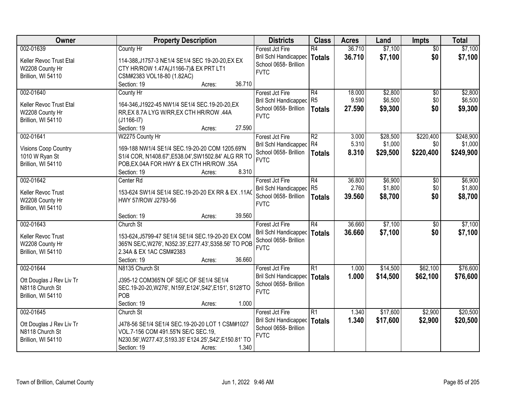| Owner                                                            | <b>Property Description</b>                                                                                             | <b>Districts</b>                                                     | <b>Class</b>    | <b>Acres</b> | Land     | <b>Impts</b>    | <b>Total</b> |
|------------------------------------------------------------------|-------------------------------------------------------------------------------------------------------------------------|----------------------------------------------------------------------|-----------------|--------------|----------|-----------------|--------------|
| 002-01639                                                        | County Hr                                                                                                               | Forest Jct Fire                                                      | R4              | 36.710       | \$7,100  | $\overline{50}$ | \$7,100      |
| Keller Revoc Trust Etal<br>W2208 County Hr<br>Brillion, WI 54110 | 114-388, J1757-3 NE1/4 SE1/4 SEC 19-20-20, EX EX<br>CTY HR/ROW 1.47A(J1166-7)& EX PRT LT1<br>CSM#2383 VOL18-80 (1.82AC) | <b>Bril Schl Handicapped</b><br>School 0658- Brillion<br><b>FVTC</b> | <b>Totals</b>   | 36.710       | \$7,100  | \$0             | \$7,100      |
|                                                                  | 36.710<br>Section: 19<br>Acres:                                                                                         |                                                                      |                 |              |          |                 |              |
| 002-01640                                                        | County Hr                                                                                                               | Forest Jct Fire                                                      | R4              | 18.000       | \$2,800  | $\overline{50}$ | \$2,800      |
| Keller Revoc Trust Etal                                          | 164-346, J1922-45 NW1/4 SE1/4 SEC. 19-20-20, EX                                                                         | <b>Bril Schl Handicapped</b>                                         | R <sub>5</sub>  | 9.590        | \$6,500  | \$0             | \$6,500      |
| W2208 County Hr                                                  | RR, EX 8.7A LYG W/RR, EX CTH HR/ROW .44A                                                                                | School 0658- Brillion                                                | Totals          | 27.590       | \$9,300  | \$0             | \$9,300      |
| Brillion, WI 54110                                               | $(J1166-I7)$                                                                                                            | <b>FVTC</b>                                                          |                 |              |          |                 |              |
|                                                                  | 27.590<br>Section: 19<br>Acres:                                                                                         |                                                                      |                 |              |          |                 |              |
| 002-01641                                                        | W2275 County Hr                                                                                                         | Forest Jct Fire                                                      | R2              | 3.000        | \$28,500 | \$220,400       | \$248,900    |
| <b>Visions Coop Country</b>                                      | 169-188 NW1/4 SE1/4 SEC.19-20-20 COM 1205.69'N                                                                          | Bril Schl Handicapped R4                                             |                 | 5.310        | \$1,000  | \$0             | \$1,000      |
| 1010 W Ryan St                                                   | S1/4 COR, N1408.67', E538.04', SW1502.84' ALG RR TO                                                                     | School 0658- Brillion                                                | Totals          | 8.310        | \$29,500 | \$220,400       | \$249,900    |
| Brillion, WI 54110                                               | POB, EX.04A FOR HWY & EX CTH HR/ROW .35A                                                                                | <b>FVTC</b>                                                          |                 |              |          |                 |              |
|                                                                  | 8.310<br>Section: 19<br>Acres:                                                                                          |                                                                      |                 |              |          |                 |              |
| 002-01642                                                        | Center Rd                                                                                                               | Forest Jct Fire                                                      | R4              | 36.800       | \$6,900  | \$0             | \$6,900      |
| Keller Revoc Trust                                               | 11AC 153-624 SW1/4 SE1/4 SEC.19-20-20 EX RR & EX.11AC                                                                   | Bril Schl Handicapped R5                                             |                 | 2.760        | \$1,800  | \$0             | \$1,800      |
| W2208 County Hr                                                  | HWY 57/ROW J2793-56                                                                                                     | School 0658- Brillion                                                | <b>Totals</b>   | 39.560       | \$8,700  | \$0             | \$8,700      |
| Brillion, WI 54110                                               |                                                                                                                         | <b>FVTC</b>                                                          |                 |              |          |                 |              |
|                                                                  | 39.560<br>Section: 19<br>Acres:                                                                                         |                                                                      |                 |              |          |                 |              |
| 002-01643                                                        | Church St                                                                                                               | Forest Jct Fire                                                      | $\overline{R4}$ | 36.660       | \$7,100  | $\overline{50}$ | \$7,100      |
| Keller Revoc Trust                                               | 153-624, J5799-47 SE1/4 SE1/4 SEC. 19-20-20 EX COM                                                                      | Bril Schl Handicapped                                                | <b>Totals</b>   | 36.660       | \$7,100  | \$0             | \$7,100      |
| W2208 County Hr                                                  | 365'N SE/C, W276', N352.35', E277.43', S358.56' TO POB                                                                  | School 0658- Brillion                                                |                 |              |          |                 |              |
| Brillion, WI 54110                                               | 2.34A & EX 1AC CSM#2383                                                                                                 | <b>FVTC</b>                                                          |                 |              |          |                 |              |
|                                                                  | Section: 19<br>36.660<br>Acres:                                                                                         |                                                                      |                 |              |          |                 |              |
| 002-01644                                                        | N8135 Church St                                                                                                         | Forest Jct Fire                                                      | R <sub>1</sub>  | 1.000        | \$14,500 | \$62,100        | \$76,600     |
| Ott Douglas J Rev Liv Tr                                         | J395-12 COM365'N OF SE/C OF SE1/4 SE1/4                                                                                 | <b>Bril Schl Handicapped</b>                                         | <b>Totals</b>   | 1.000        | \$14,500 | \$62,100        | \$76,600     |
| N8118 Church St                                                  | SEC.19-20-20, W276', N159', E124', S42', E151', S128'TO                                                                 | School 0658- Brillion                                                |                 |              |          |                 |              |
| Brillion, WI 54110                                               | POB                                                                                                                     | <b>FVTC</b>                                                          |                 |              |          |                 |              |
|                                                                  | 1.000<br>Section: 19<br>Acres:                                                                                          |                                                                      |                 |              |          |                 |              |
| 002-01645                                                        | Church St                                                                                                               | Forest Jct Fire                                                      | R1              | 1.340        | \$17,600 | \$2,900         | \$20,500     |
|                                                                  | J478-56 SE1/4 SE1/4 SEC.19-20-20 LOT 1 CSM#1027                                                                         | <b>Bril Schl Handicapped</b>                                         | <b>Totals</b>   | 1.340        | \$17,600 | \$2,900         | \$20,500     |
| Ott Douglas J Rev Liv Tr<br>N8118 Church St                      | VOL.7-156 COM 491.55'N SE/C SEC.19,                                                                                     | School 0658- Brillion                                                |                 |              |          |                 |              |
| Brillion, WI 54110                                               | N230.56', W277.43', S193.35' E124.25', S42', E150.81' TO                                                                | <b>FVTC</b>                                                          |                 |              |          |                 |              |
|                                                                  | 1.340<br>Section: 19<br>Acres:                                                                                          |                                                                      |                 |              |          |                 |              |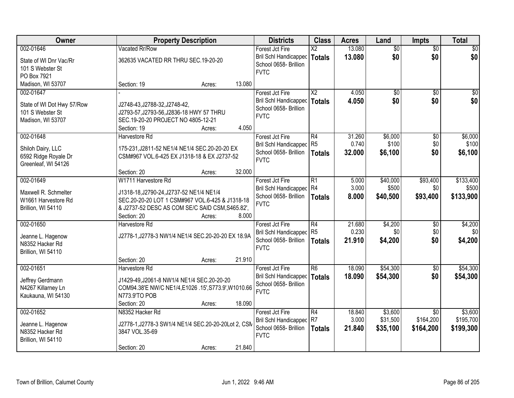| Owner                                                                            |                                                                                                                                                                                      | <b>Property Description</b> |        | <b>Districts</b>                                                                        | <b>Class</b>                            | <b>Acres</b>            | Land                          | Impts                       | <b>Total</b>                    |
|----------------------------------------------------------------------------------|--------------------------------------------------------------------------------------------------------------------------------------------------------------------------------------|-----------------------------|--------|-----------------------------------------------------------------------------------------|-----------------------------------------|-------------------------|-------------------------------|-----------------------------|---------------------------------|
| 002-01646                                                                        | Vacated Rr/Row                                                                                                                                                                       |                             |        | Forest Jct Fire                                                                         | $\overline{\mathsf{X2}}$                | 13.080                  | $\overline{50}$               | $\overline{50}$             | $\overline{50}$                 |
| State of WI Dnr Vac/Rr<br>101 S Webster St<br>PO Box 7921                        | 362635 VACATED RR THRU SEC.19-20-20                                                                                                                                                  |                             |        | <b>Bril Schl Handicapped</b><br>School 0658- Brillion<br><b>FVTC</b>                    | <b>Totals</b>                           | 13.080                  | \$0                           | \$0                         | \$0                             |
| Madison, WI 53707                                                                | Section: 19                                                                                                                                                                          | Acres:                      | 13.080 |                                                                                         |                                         |                         |                               |                             |                                 |
| 002-01647<br>State of WI Dot Hwy 57/Row<br>101 S Webster St<br>Madison, WI 53707 | J2748-43, J2788-32, J2748-42,<br>J2793-57, J2793-56, J2836-18 HWY 57 THRU<br>SEC.19-20-20 PROJECT NO 4805-12-21<br>Section: 19                                                       | Acres:                      | 4.050  | Forest Jct Fire<br><b>Bril Schl Handicapped</b><br>School 0658- Brillion<br><b>FVTC</b> | $\overline{\text{X2}}$<br><b>Totals</b> | 4.050<br>4.050          | $\overline{50}$<br>\$0        | $\overline{30}$<br>\$0      | $\overline{50}$<br>\$0          |
| 002-01648                                                                        | Harvestore Rd                                                                                                                                                                        |                             |        | Forest Jct Fire                                                                         | R4                                      | 31.260                  | \$6,000                       | \$0                         | \$6,000                         |
| Shiloh Dairy, LLC<br>6592 Ridge Royale Dr<br>Greenleaf, WI 54126                 | 175-231, J2811-52 NE1/4 NE1/4 SEC. 20-20-20 EX<br>CSM#967 VOL.6-425 EX J1318-18 & EX J2737-52                                                                                        |                             |        | Bril Schl Handicapped R5<br>School 0658- Brillion<br><b>FVTC</b>                        | <b>Totals</b>                           | 0.740<br>32.000         | \$100<br>\$6,100              | \$0<br>\$0                  | \$100<br>\$6,100                |
|                                                                                  | Section: 20                                                                                                                                                                          | Acres:                      | 32.000 |                                                                                         |                                         |                         |                               |                             |                                 |
| 002-01649<br>Maxwell R. Schmelter<br>W1661 Harvestore Rd<br>Brillion, WI 54110   | W1711 Harvestore Rd<br>J1318-18, J2790-24, J2737-52 NE1/4 NE1/4<br>SEC.20-20-20 LOT 1 CSM#967 VOL.6-425 & J1318-18<br>& J2737-52 DESC AS COM SE/C SAID CSM, S465.82',<br>Section: 20 | Acres:                      | 8.000  | Forest Jct Fire<br><b>Bril Schl Handicapped</b><br>School 0658- Brillion<br><b>FVTC</b> | $\overline{R1}$<br>R4<br><b>Totals</b>  | 5.000<br>3.000<br>8.000 | \$40,000<br>\$500<br>\$40,500 | \$93,400<br>\$0<br>\$93,400 | \$133,400<br>\$500<br>\$133,900 |
| 002-01650                                                                        | Harvestore Rd                                                                                                                                                                        |                             |        | Forest Jct Fire                                                                         | $\overline{R4}$                         | 21.680                  | \$4,200                       | $\overline{50}$             | \$4,200                         |
| Jeanne L. Hagenow<br>N8352 Hacker Rd<br>Brillion, WI 54110                       | J2778-1, J2778-3 NW1/4 NE1/4 SEC.20-20-20 EX 18.9A                                                                                                                                   |                             |        | Bril Schl Handicapped<br>School 0658- Brillion<br><b>FVTC</b>                           | R <sub>5</sub><br><b>Totals</b>         | 0.230<br>21.910         | \$0<br>\$4,200                | \$0<br>\$0                  | 30 <br>\$4,200                  |
|                                                                                  | Section: 20                                                                                                                                                                          | Acres:                      | 21.910 |                                                                                         |                                         |                         |                               |                             |                                 |
| 002-01651<br>Jeffrey Gerdmann<br>N4267 Killarney Ln<br>Kaukauna, WI 54130        | Harvestore Rd<br>J1429-49, J2061-8 NW1/4 NE1/4 SEC.20-20-20<br>COM94.38'E NW/C NE1/4,E1026 .15',S773.9',W1010.66<br>N773.9'TO POB<br>Section: 20                                     | Acres:                      | 18.090 | Forest Jct Fire<br><b>Bril Schl Handicapped</b><br>School 0658- Brillion<br><b>FVTC</b> | $\overline{R6}$<br><b>Totals</b>        | 18.090<br>18.090        | \$54,300<br>\$54,300          | $\overline{50}$<br>\$0      | \$54,300<br>\$54,300            |
| 002-01652                                                                        | N8352 Hacker Rd                                                                                                                                                                      |                             |        | Forest Jct Fire                                                                         | $\overline{R4}$                         | 18.840                  | \$3,600                       | $\overline{30}$             | \$3,600                         |
| Jeanne L. Hagenow<br>N8352 Hacker Rd<br>Brillion, WI 54110                       | J2778-1, J2778-3 SW1/4 NE1/4 SEC.20-20-20Lot 2, CSM<br>3847 VOL.35-69                                                                                                                |                             |        | <b>Bril Schl Handicapped</b><br>School 0658- Brillion<br><b>FVTC</b>                    | R <sub>7</sub><br><b>Totals</b>         | 3.000<br>21.840         | \$31,500<br>\$35,100          | \$164,200<br>\$164,200      | \$195,700<br>\$199,300          |
|                                                                                  | Section: 20                                                                                                                                                                          | Acres:                      | 21.840 |                                                                                         |                                         |                         |                               |                             |                                 |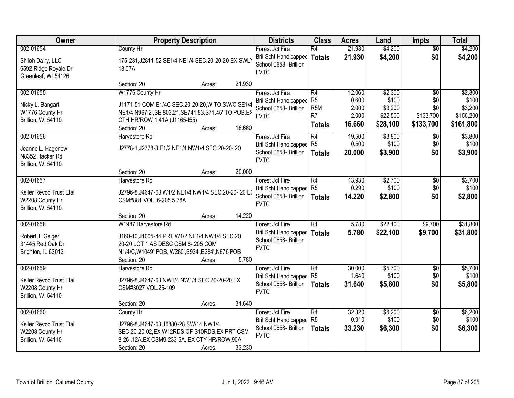| Owner                                                                         | <b>Property Description</b>                                                                                                                                                                      | <b>Districts</b>                                                                        | <b>Class</b>                                         | <b>Acres</b>              | Land                         | <b>Impts</b>                  | <b>Total</b>                  |
|-------------------------------------------------------------------------------|--------------------------------------------------------------------------------------------------------------------------------------------------------------------------------------------------|-----------------------------------------------------------------------------------------|------------------------------------------------------|---------------------------|------------------------------|-------------------------------|-------------------------------|
| 002-01654                                                                     | County Hr                                                                                                                                                                                        | Forest Jct Fire                                                                         | R4                                                   | 21.930                    | \$4,200                      | $\overline{50}$               | \$4,200                       |
| Shiloh Dairy, LLC<br>6592 Ridge Royale Dr<br>Greenleaf, WI 54126              | 175-231, J2811-52 SE1/4 NE1/4 SEC.20-20-20 EX SWLY<br>18.07A                                                                                                                                     | Bril Schl Handicapped<br>School 0658- Brillion<br><b>FVTC</b>                           | <b>Totals</b>                                        | 21.930                    | \$4,200                      | \$0                           | \$4,200                       |
|                                                                               | 21.930<br>Section: 20<br>Acres:                                                                                                                                                                  |                                                                                         |                                                      |                           |                              |                               |                               |
| 002-01655                                                                     | W1776 County Hr                                                                                                                                                                                  | Forest Jct Fire                                                                         | R4                                                   | 12.060                    | \$2,300                      | $\overline{50}$               | \$2,300                       |
| Nicky L. Bangart<br>W1776 County Hr<br>Brillion, WI 54110                     | J1171-51 COM E1/4C SEC.20-20-20, W TO SW/C SE1/4<br>NE1/4 N997.2', SE 803.21, SE741.83, S71.45' TO POB, EX<br>CTH HR/ROW 1.41A (J1165-155)                                                       | <b>Bril Schl Handicapped</b><br>School 0658- Brillion<br><b>FVTC</b>                    | R <sub>5</sub><br>R <sub>5</sub> M<br>R <sub>7</sub> | 0.600<br>2.000<br>2.000   | \$100<br>\$3,200<br>\$22,500 | \$0<br>\$0<br>\$133,700       | \$100<br>\$3,200<br>\$156,200 |
|                                                                               | 16.660<br>Section: 20<br>Acres:                                                                                                                                                                  |                                                                                         | <b>Totals</b>                                        | 16.660                    | \$28,100                     | \$133,700                     | \$161,800                     |
| 002-01656<br>Jeanne L. Hagenow<br>N8352 Hacker Rd<br>Brillion, WI 54110       | Harvestore Rd<br>J2778-1, J2778-3 E1/2 NE1/4 NW1/4 SEC.20-20-20                                                                                                                                  | Forest Jct Fire<br>Bril Schl Handicapped<br>School 0658- Brillion<br><b>FVTC</b>        | R4<br>R <sub>5</sub><br><b>Totals</b>                | 19.500<br>0.500<br>20.000 | \$3,800<br>\$100<br>\$3,900  | $\sqrt[6]{}$<br>\$0<br>\$0    | \$3,800<br>\$100<br>\$3,900   |
|                                                                               | 20.000<br>Section: 20<br>Acres:                                                                                                                                                                  |                                                                                         |                                                      |                           |                              |                               |                               |
| 002-01657<br>Keller Revoc Trust Etal<br>W2208 County Hr                       | Harvestore Rd<br>J2796-8,J4647-63 W1/2 NE1/4 NW1/4 SEC.20-20-20 EX<br>CSM#881 VOL. 6-205 5.78A                                                                                                   | Forest Jct Fire<br>Bril Schl Handicapped<br>School 0658- Brillion                       | R4<br>R <sub>5</sub><br><b>Totals</b>                | 13.930<br>0.290<br>14.220 | \$2,700<br>\$100<br>\$2,800  | $\sqrt[6]{3}$<br>\$0<br>\$0   | \$2,700<br>\$100<br>\$2,800   |
| Brillion, WI 54110                                                            | 14.220<br>Section: 20<br>Acres:                                                                                                                                                                  | <b>FVTC</b>                                                                             |                                                      |                           |                              |                               |                               |
| 002-01658<br>Robert J. Geiger<br>31445 Red Oak Dr<br>Brighton, IL 62012       | W1987 Harvestore Rd<br>J160-10, J1005-44 PRT W1/2 NE1/4 NW1/4 SEC.20<br>20-20 LOT 1 AS DESC CSM 6-205 COM<br>N1/4/C, W1049' POB, W280', S924', E284', N876'POB<br>5.780<br>Section: 20<br>Acres: | Forest Jct Fire<br>Bril Schl Handicapped<br>School 0658- Brillion<br><b>FVTC</b>        | $\overline{R1}$<br>Totals                            | 5.780<br>5.780            | \$22,100<br>\$22,100         | \$9,700<br>\$9,700            | \$31,800<br>\$31,800          |
| 002-01659<br>Keller Revoc Trust Etal<br>W2208 County Hr<br>Brillion, WI 54110 | Harvestore Rd<br>J2796-8, J4647-63 NW1/4 NW1/4 SEC.20-20-20 EX<br>CSM#3027 VOL.25-109<br>31.640<br>Section: 20<br>Acres:                                                                         | Forest Jct Fire<br>Bril Schl Handicapped R5<br>School 0658- Brillion<br><b>FVTC</b>     | R4<br><b>Totals</b>                                  | 30.000<br>1.640<br>31.640 | \$5,700<br>\$100<br>\$5,800  | $\sqrt{$0}$<br>\$0<br>\$0     | \$5,700<br>\$100<br>\$5,800   |
| 002-01660<br>Keller Revoc Trust Etal<br>W2208 County Hr<br>Brillion, WI 54110 | County Hr<br>J2796-8, J4647-63, J6880-28 SW/14 NW1/4<br>SEC.20-20-02, EX W12RDS OF S10RDS, EX PRT CSM<br>8-26 .12A, EX CSM9-233 5A, EX CTY HR/ROW.90A<br>33.230<br>Section: 20<br>Acres:         | Forest Jct Fire<br><b>Bril Schl Handicapped</b><br>School 0658- Brillion<br><b>FVTC</b> | R4<br>R <sub>5</sub><br><b>Totals</b>                | 32.320<br>0.910<br>33.230 | \$6,200<br>\$100<br>\$6,300  | $\overline{50}$<br>\$0<br>\$0 | \$6,200<br>\$100<br>\$6,300   |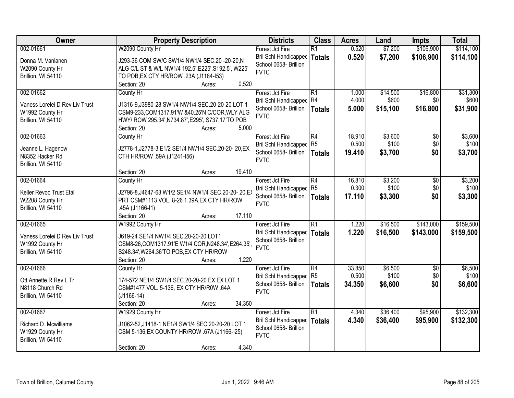| Owner                          | <b>Property Description</b>                                                                         | <b>Districts</b>                               | <b>Class</b>    | <b>Acres</b> | Land     | <b>Impts</b>    | <b>Total</b> |
|--------------------------------|-----------------------------------------------------------------------------------------------------|------------------------------------------------|-----------------|--------------|----------|-----------------|--------------|
| 002-01661                      | W2090 County Hr                                                                                     | Forest Jct Fire                                | $\overline{R1}$ | 0.520        | \$7,200  | \$106,900       | \$114,100    |
| Donna M. Vanlanen              | J293-36 COM SW/C SW1/4 NW1/4 SEC.20 -20-20, N                                                       | <b>Bril Schl Handicapped</b>                   | <b>Totals</b>   | 0.520        | \$7,200  | \$106,900       | \$114,100    |
| W2090 County Hr                | ALG C/L ST & W/L NW1/4 192.5', E225', S192.5', W225'                                                | School 0658- Brillion                          |                 |              |          |                 |              |
| Brillion, WI 54110             | TO POB, EX CTY HR/ROW .23A (J1184-153)                                                              | <b>FVTC</b>                                    |                 |              |          |                 |              |
|                                | 0.520<br>Section: 20<br>Acres:                                                                      |                                                |                 |              |          |                 |              |
| 002-01662                      | County Hr                                                                                           | Forest Jct Fire                                | R1              | 1.000        | \$14,500 | \$16,800        | \$31,300     |
| Vaness Lorelei D Rev Liv Trust |                                                                                                     | Bril Schl Handicapped R4                       |                 | 4.000        | \$600    | \$0             | \$600        |
| W1992 County Hr                | J1316-9, J3980-28 SW1/4 NW1/4 SEC.20-20-20 LOT 1<br>CSM9-233, COM1317.91'W & 40.25'N C/COR, WLY ALG | School 0658- Brillion                          | <b>Totals</b>   | 5.000        | \$15,100 | \$16,800        | \$31,900     |
| Brillion, WI 54110             | HWY/ ROW 295.34', N734.87', E295', S737.17'TO POB                                                   | <b>FVTC</b>                                    |                 |              |          |                 |              |
|                                | 5.000<br>Section: 20<br>Acres:                                                                      |                                                |                 |              |          |                 |              |
| 002-01663                      | County Hr                                                                                           | Forest Jct Fire                                | R4              | 18.910       | \$3,600  | \$0             | \$3,600      |
|                                |                                                                                                     | Bril Schl Handicapped R5                       |                 | 0.500        | \$100    | \$0             | \$100        |
| Jeanne L. Hagenow              | J2778-1, J2778-3 E1/2 SE1/4 NW1/4 SEC.20-20-20, EX                                                  | School 0658- Brillion                          | <b>Totals</b>   | 19.410       | \$3,700  | \$0             | \$3,700      |
| N8352 Hacker Rd                | CTH HR/ROW .59A (J1241-156)                                                                         | <b>FVTC</b>                                    |                 |              |          |                 |              |
| Brillion, WI 54110             |                                                                                                     |                                                |                 |              |          |                 |              |
|                                | 19.410<br>Section: 20<br>Acres:                                                                     |                                                |                 |              |          |                 |              |
| 002-01664                      | County Hr                                                                                           | Forest Jct Fire                                | R4              | 16.810       | \$3,200  | \$0             | \$3,200      |
| Keller Revoc Trust Etal        | J2796-8,J4647-63 W1/2 SE1/4 NW1/4 SEC.20-20-20,EX                                                   | Bril Schl Handicapped<br>School 0658- Brillion | R5              | 0.300        | \$100    | \$0             | \$100        |
| W2208 County Hr                | PRT CSM#1113 VOL. 8-26 1.39A, EX CTY HR/ROW                                                         | <b>FVTC</b>                                    | <b>Totals</b>   | 17.110       | \$3,300  | \$0             | \$3,300      |
| Brillion, WI 54110             | .45A (J1166-I1)                                                                                     |                                                |                 |              |          |                 |              |
|                                | 17.110<br>Section: 20<br>Acres:                                                                     |                                                |                 |              |          |                 |              |
| 002-01665                      | W1992 County Hr                                                                                     | Forest Jct Fire                                | $\overline{R1}$ | 1.220        | \$16,500 | \$143,000       | \$159,500    |
| Vaness Lorelei D Rev Liv Trust | J619-24 SE1/4 NW1/4 SEC.20-20-20 LOT1                                                               | Bril Schl Handicapped                          | Totals          | 1.220        | \$16,500 | \$143,000       | \$159,500    |
| W1992 County Hr                | CSM8-26, COM1317.91'E W1/4 COR, N248.34', E264.35'                                                  | School 0658- Brillion                          |                 |              |          |                 |              |
| Brillion, WI 54110             | S248.34', W264.36'TO POB, EX CTY HR/ROW                                                             | <b>FVTC</b>                                    |                 |              |          |                 |              |
|                                | Section: 20<br>1.220<br>Acres:                                                                      |                                                |                 |              |          |                 |              |
| 002-01666                      | County Hr                                                                                           | Forest Jct Fire                                | R4              | 33.850       | \$6,500  | $\overline{50}$ | \$6,500      |
| Ott Annette R Rev L Tr         | 174-572 NE1/4 SW1/4 SEC.20-20-20 EX EX LOT 1                                                        | Bril Schl Handicapped R5                       |                 | 0.500        | \$100    | \$0             | \$100        |
| N8118 Church Rd                | CSM#1477 VOL. 5-136, EX CTY HR/R0W .64A                                                             | School 0658- Brillion                          | Totals          | 34.350       | \$6,600  | \$0             | \$6,600      |
| Brillion, WI 54110             | $(J1166-14)$                                                                                        | <b>FVTC</b>                                    |                 |              |          |                 |              |
|                                | 34.350<br>Section: 20<br>Acres:                                                                     |                                                |                 |              |          |                 |              |
| 002-01667                      | W1929 County Hr                                                                                     | Forest Jct Fire                                | R1              | 4.340        | \$36,400 | \$95,900        | \$132,300    |
|                                |                                                                                                     | Bril Schl Handicapped                          | <b>Totals</b>   | 4.340        | \$36,400 | \$95,900        | \$132,300    |
| Richard D. Mcwilliams          | J1062-52, J1418-1 NE1/4 SW1/4 SEC.20-20-20 LOT 1                                                    | School 0658- Brillion                          |                 |              |          |                 |              |
| W1929 County Hr                | CSM 5-136, EX COUNTY HR/ROW .67A (J1166-I25)                                                        | <b>FVTC</b>                                    |                 |              |          |                 |              |
| Brillion, WI 54110             |                                                                                                     |                                                |                 |              |          |                 |              |
|                                | 4.340<br>Section: 20<br>Acres:                                                                      |                                                |                 |              |          |                 |              |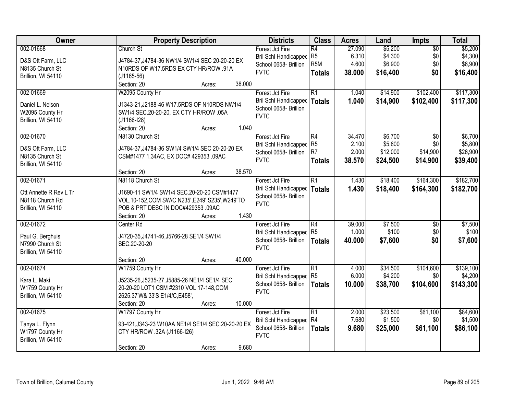| Owner                  | <b>Property Description</b>                        | <b>Districts</b>                                      | <b>Class</b>     | <b>Acres</b> | Land     | <b>Impts</b>    | <b>Total</b> |
|------------------------|----------------------------------------------------|-------------------------------------------------------|------------------|--------------|----------|-----------------|--------------|
| 002-01668              | Church St                                          | Forest Jct Fire                                       | R4               | 27.090       | \$5,200  | $\overline{50}$ | \$5,200      |
| D&S Ott Farm, LLC      | J4784-37, J4784-36 NW1/4 SW1/4 SEC 20-20-20 EX     | Bril Schl Handicapped                                 | R <sub>5</sub>   | 6.310        | \$4,300  | \$0             | \$4,300      |
| N8135 Church St        | N10RDS OF W17.5RDS EX CTY HR/ROW .91A              | School 0658- Brillion                                 | R <sub>5</sub> M | 4.600        | \$6,900  | \$0             | \$6,900      |
|                        |                                                    | <b>FVTC</b>                                           | <b>Totals</b>    | 38.000       | \$16,400 | \$0             | \$16,400     |
| Brillion, WI 54110     | $(J1165-56)$                                       |                                                       |                  |              |          |                 |              |
|                        | 38.000<br>Section: 20<br>Acres:                    |                                                       |                  |              |          |                 |              |
| 002-01669              | W2095 County Hr                                    | Forest Jct Fire                                       | R1               | 1.040        | \$14,900 | \$102,400       | \$117,300    |
| Daniel L. Nelson       | J1343-21, J2188-46 W17.5RDS OF N10RDS NW1/4        | Bril Schl Handicapped                                 | Totals           | 1.040        | \$14,900 | \$102,400       | \$117,300    |
| W2095 County Hr        | SW1/4 SEC.20-20-20, EX CTY HR/ROW .05A             | School 0658- Brillion                                 |                  |              |          |                 |              |
| Brillion, WI 54110     | $(J1166-I28)$                                      | <b>FVTC</b>                                           |                  |              |          |                 |              |
|                        | 1.040<br>Section: 20<br>Acres:                     |                                                       |                  |              |          |                 |              |
| 002-01670              | N8130 Church St                                    | Forest Jct Fire                                       | R4               | 34.470       | \$6,700  | $\sqrt{6}$      | \$6,700      |
|                        |                                                    | Bril Schl Handicapped                                 | R <sub>5</sub>   | 2.100        | \$5,800  | \$0             | \$5,800      |
| D&S Ott Farm, LLC      | J4784-37, J4784-36 SW1/4 SW1/4 SEC 20-20-20 EX     | School 0658- Brillion                                 | R7               | 2.000        | \$12,000 | \$14,900        | \$26,900     |
| N8135 Church St        | CSM#1477 1.34AC, EX DOC# 429353 .09AC              | <b>FVTC</b>                                           | <b>Totals</b>    | 38.570       | \$24,500 | \$14,900        | \$39,400     |
| Brillion, WI 54110     |                                                    |                                                       |                  |              |          |                 |              |
|                        | 38.570<br>Section: 20<br>Acres:                    |                                                       |                  |              |          |                 |              |
| 002-01671              | N8118 Church St                                    | Forest Jct Fire                                       | R1               | 1.430        | \$18,400 | \$164,300       | \$182,700    |
| Ott Annette R Rev L Tr | J1690-11 SW1/4 SW1/4 SEC.20-20-20 CSM#1477         | Bril Schl Handicapped                                 | <b>Totals</b>    | 1.430        | \$18,400 | \$164,300       | \$182,700    |
| N8118 Church Rd        | VOL.10-152, COM SW/C N235', E249', S235', W249'TO  | School 0658- Brillion                                 |                  |              |          |                 |              |
| Brillion, WI 54110     | POB & PRT DESC IN DOC#429353 .09AC                 | <b>FVTC</b>                                           |                  |              |          |                 |              |
|                        | 1.430<br>Section: 20<br>Acres:                     |                                                       |                  |              |          |                 |              |
| 002-01672              | Center Rd                                          | Forest Jct Fire                                       | R4               | 39.000       | \$7,500  | $\overline{50}$ | \$7,500      |
|                        |                                                    |                                                       | R <sub>5</sub>   | 1.000        | \$100    | \$0             | \$100        |
| Paul G. Berghuis       | J4720-35, J4741-46, J5766-28 SE1/4 SW1/4           | <b>Bril Schl Handicapped</b><br>School 0658- Brillion |                  |              |          | \$0             |              |
| N7990 Church St        | SEC.20-20-20                                       | <b>FVTC</b>                                           | <b>Totals</b>    | 40.000       | \$7,600  |                 | \$7,600      |
| Brillion, WI 54110     |                                                    |                                                       |                  |              |          |                 |              |
|                        | 40.000<br>Section: 20<br>Acres:                    |                                                       |                  |              |          |                 |              |
| 002-01674              | W1759 County Hr                                    | Forest Jct Fire                                       | R1               | 4.000        | \$34,500 | \$104,600       | \$139,100    |
| Kara L. Maki           | J5235-26, J5235-27, J5885-26 NE1/4 SE1/4 SEC       | Bril Schl Handicapped R5                              |                  | 6.000        | \$4,200  | \$0             | \$4,200      |
| W1759 County Hr        | 20-20-20 LOT1 CSM #2310 VOL 17-148, COM            | School 0658- Brillion                                 | Totals           | 10.000       | \$38,700 | \$104,600       | \$143,300    |
|                        | 2625.37'W& 33'S E1/4/C, E458',                     | <b>FVTC</b>                                           |                  |              |          |                 |              |
| Brillion, WI 54110     | 10.000                                             |                                                       |                  |              |          |                 |              |
|                        | Section: 20<br>Acres:                              |                                                       |                  |              |          |                 |              |
| 002-01675              | W1797 County Hr                                    | Forest Jct Fire                                       | R1               | 2.000        | \$23,500 | \$61,100        | \$84,600     |
| Tanya L. Flynn         | 93-421, J343-23 W10AA NE1/4 SE1/4 SEC. 20-20-20 EX | <b>Bril Schl Handicapped</b>                          | R4               | 7.680        | \$1,500  | \$0             | \$1,500      |
| W1797 County Hr        | CTY HR/ROW .32A (J1166-I26)                        | School 0658- Brillion                                 | <b>Totals</b>    | 9.680        | \$25,000 | \$61,100        | \$86,100     |
| Brillion, WI 54110     |                                                    | <b>FVTC</b>                                           |                  |              |          |                 |              |
|                        | 9.680<br>Section: 20<br>Acres:                     |                                                       |                  |              |          |                 |              |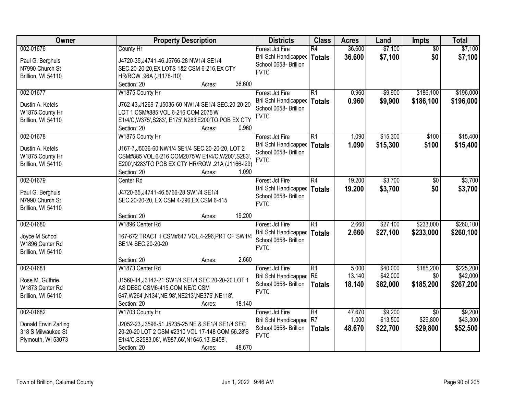| Owner                | <b>Property Description</b>                          | <b>Districts</b>               | <b>Class</b>    | <b>Acres</b> | Land     | <b>Impts</b>    | <b>Total</b> |
|----------------------|------------------------------------------------------|--------------------------------|-----------------|--------------|----------|-----------------|--------------|
| 002-01676            | County Hr                                            | Forest Jct Fire                | $\overline{R4}$ | 36.600       | \$7,100  | $\overline{50}$ | \$7,100      |
| Paul G. Berghuis     | J4720-35, J4741-46, J5766-28 NW1/4 SE1/4             | <b>Bril Schl Handicapped</b>   | Totals          | 36.600       | \$7,100  | \$0             | \$7,100      |
| N7990 Church St      | SEC.20-20-20, EX LOTS 1&2 CSM 6-216, EX CTY          | School 0658- Brillion          |                 |              |          |                 |              |
| Brillion, WI 54110   | HR/ROW .96A (J1178-I10)                              | <b>FVTC</b>                    |                 |              |          |                 |              |
|                      | 36.600<br>Section: 20<br>Acres:                      |                                |                 |              |          |                 |              |
| 002-01677            | W1875 County Hr                                      | Forest Jct Fire                | R1              | 0.960        | \$9,900  | \$186,100       | \$196,000    |
|                      |                                                      | Bril Schl Handicapped          | Totals          | 0.960        | \$9,900  | \$186,100       | \$196,000    |
| Dustin A. Ketels     | J762-43, J1269-7, J5036-60 NW1/4 SE1/4 SEC.20-20-20  | School 0658- Brillion          |                 |              |          |                 |              |
| W1875 County Hr      | LOT 1 CSM#885 VOL.6-216 COM 2075'W                   | <b>FVTC</b>                    |                 |              |          |                 |              |
| Brillion, WI 54110   | E1/4/C, W375', S283', E175', N283'E200'TO POB EX CTY |                                |                 |              |          |                 |              |
|                      | 0.960<br>Section: 20<br>Acres:                       |                                |                 |              |          |                 |              |
| 002-01678            | W1875 County Hr                                      | Forest Jct Fire                | R1              | 1.090        | \$15,300 | \$100           | \$15,400     |
| Dustin A. Ketels     | J167-7, J5036-60 NW1/4 SE1/4 SEC.20-20-20, LOT 2     | Bril Schl Handicapped   Totals |                 | 1.090        | \$15,300 | \$100           | \$15,400     |
| W1875 County Hr      | CSM#885 VOL.6-216 COM2075'W E1/4/C, W200', S283',    | School 0658- Brillion          |                 |              |          |                 |              |
| Brillion, WI 54110   | E200', N283'TO POB EX CTY HR/ROW .21A (J1166-I29)    | <b>FVTC</b>                    |                 |              |          |                 |              |
|                      | Section: 20<br>1.090<br>Acres:                       |                                |                 |              |          |                 |              |
| 002-01679            | Center Rd                                            | Forest Jct Fire                | R4              | 19.200       | \$3,700  | $\sqrt{6}$      | \$3,700      |
|                      |                                                      | Bril Schl Handicapped          | <b>Totals</b>   | 19.200       | \$3,700  | \$0             | \$3,700      |
| Paul G. Berghuis     | J4720-35, J4741-46, 5766-28 SW1/4 SE1/4              | School 0658- Brillion          |                 |              |          |                 |              |
| N7990 Church St      | SEC.20-20-20, EX CSM 4-296, EX CSM 6-415             | <b>FVTC</b>                    |                 |              |          |                 |              |
| Brillion, WI 54110   |                                                      |                                |                 |              |          |                 |              |
|                      | 19.200<br>Section: 20<br>Acres:                      |                                |                 |              |          |                 |              |
| 002-01680            | W1896 Center Rd                                      | Forest Jct Fire                | $\overline{R1}$ | 2.660        | \$27,100 | \$233,000       | \$260,100    |
| Joyce M School       | 167-672 TRACT 1 CSM#647 VOL.4-296, PRT OF SW1/4      | Bril Schl Handicapped          | Totals          | 2.660        | \$27,100 | \$233,000       | \$260,100    |
| W1896 Center Rd      | SE1/4 SEC.20-20-20                                   | School 0658- Brillion          |                 |              |          |                 |              |
| Brillion, WI 54110   |                                                      | <b>FVTC</b>                    |                 |              |          |                 |              |
|                      | 2.660<br>Section: 20<br>Acres:                       |                                |                 |              |          |                 |              |
| 002-01681            | W1873 Center Rd                                      | Forest Jct Fire                | R1              | 5.000        | \$40,000 | \$185,200       | \$225,200    |
|                      |                                                      | Bril Schl Handicapped R6       |                 | 13.140       | \$42,000 | \$0             | \$42,000     |
| Rose M. Guthrie      | J1560-14, J3142-21 SW1/4 SE1/4 SEC.20-20-20 LOT 1    | School 0658- Brillion          | Totals          | 18.140       | \$82,000 | \$185,200       | \$267,200    |
| W1873 Center Rd      | AS DESC CSM6-415, COM NE/C CSM                       | <b>FVTC</b>                    |                 |              |          |                 |              |
| Brillion, WI 54110   | 647, W264', N134', NE 98', NE213', NE376', NE118',   |                                |                 |              |          |                 |              |
|                      | 18.140<br>Section: 20<br>Acres:                      |                                |                 |              |          |                 |              |
| 002-01682            | W1703 County Hr                                      | Forest Jct Fire                | R4              | 47.670       | \$9,200  | $\overline{30}$ | \$9,200      |
| Donald Erwin Zarling | J2052-23, J3596-51, J5235-25 NE & SE1/4 SE1/4 SEC    | Bril Schl Handicapped          | R7              | 1.000        | \$13,500 | \$29,800        | \$43,300     |
| 318 S Milwaukee St   | 20-20-20 LOT 2 CSM #2310 VOL 17-148 COM 56.28'S      | School 0658- Brillion          | <b>Totals</b>   | 48.670       | \$22,700 | \$29,800        | \$52,500     |
| Plymouth, WI 53073   | E1/4/C, S2583, 08', W987.66', N1645.13', E458',      | <b>FVTC</b>                    |                 |              |          |                 |              |
|                      | 48.670<br>Section: 20<br>Acres:                      |                                |                 |              |          |                 |              |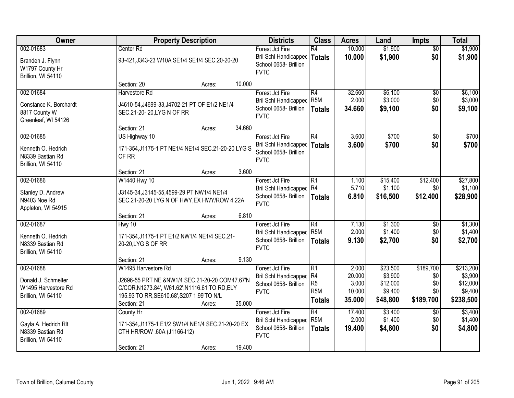| Owner                                                                         | <b>Property Description</b>                                                                                                                                                                              | <b>Districts</b>                                                                        | <b>Class</b>                                              | <b>Acres</b>                                 | Land                                                   | <b>Impts</b>                                | <b>Total</b>                                             |
|-------------------------------------------------------------------------------|----------------------------------------------------------------------------------------------------------------------------------------------------------------------------------------------------------|-----------------------------------------------------------------------------------------|-----------------------------------------------------------|----------------------------------------------|--------------------------------------------------------|---------------------------------------------|----------------------------------------------------------|
| 002-01683<br>Branden J. Flynn<br>W1797 County Hr<br>Brillion, WI 54110        | Center Rd<br>93-421, J343-23 W10A SE1/4 SE1/4 SEC. 20-20-20                                                                                                                                              | Forest Jct Fire<br>Bril Schl Handicapped<br>School 0658- Brillion<br><b>FVTC</b>        | R4<br><b>Totals</b>                                       | 10.000<br>10.000                             | \$1,900<br>\$1,900                                     | $\overline{50}$<br>\$0                      | \$1,900<br>\$1,900                                       |
|                                                                               | 10.000<br>Section: 20<br>Acres:                                                                                                                                                                          |                                                                                         |                                                           |                                              |                                                        |                                             |                                                          |
| 002-01684<br>Constance K. Borchardt<br>8817 County W<br>Greenleaf, WI 54126   | Harvestore Rd<br>J4610-54, J4699-33, J4702-21 PT OF E1/2 NE1/4<br>SEC.21-20-20, LYGN OF RR                                                                                                               | Forest Jct Fire<br><b>Bril Schl Handicapped</b><br>School 0658- Brillion<br><b>FVTC</b> | R4<br>R <sub>5</sub> M<br><b>Totals</b>                   | 32.660<br>2.000<br>34.660                    | \$6,100<br>\$3,000<br>\$9,100                          | \$0<br>\$0<br>\$0                           | \$6,100<br>\$3,000<br>\$9,100                            |
|                                                                               | 34.660<br>Section: 21<br>Acres:                                                                                                                                                                          |                                                                                         |                                                           |                                              |                                                        |                                             |                                                          |
| 002-01685<br>Kenneth O. Hedrich<br>N8339 Bastian Rd<br>Brillion, WI 54110     | US Highway 10<br>171-354, J1175-1 PT NE1/4 NE1/4 SEC.21-20-20 LYG S<br>OF RR                                                                                                                             | Forest Jct Fire<br>Bril Schl Handicapped<br>School 0658- Brillion<br><b>FVTC</b>        | R4<br>Totals                                              | 3.600<br>3.600                               | \$700<br>\$700                                         | \$0<br>\$0                                  | \$700<br>\$700                                           |
|                                                                               | 3.600<br>Section: 21<br>Acres:                                                                                                                                                                           |                                                                                         |                                                           |                                              |                                                        |                                             |                                                          |
| 002-01686<br>Stanley D. Andrew<br>N9403 Noe Rd<br>Appleton, WI 54915          | W1440 Hwy 10<br>J3145-34, J3145-55, 4599-29 PT NW1/4 NE1/4<br>SEC.21-20-20 LYG N OF HWY, EX HWY/ROW 4.22A                                                                                                | Forest Jct Fire<br>Bril Schl Handicapped R4<br>School 0658- Brillion<br><b>FVTC</b>     | R1<br><b>Totals</b>                                       | 1.100<br>5.710<br>6.810                      | \$15,400<br>\$1,100<br>\$16,500                        | \$12,400<br>\$0<br>\$12,400                 | \$27,800<br>\$1,100<br>\$28,900                          |
|                                                                               | 6.810<br>Section: 21<br>Acres:                                                                                                                                                                           |                                                                                         |                                                           |                                              |                                                        |                                             |                                                          |
| 002-01687<br>Kenneth O. Hedrich<br>N8339 Bastian Rd<br>Brillion, WI 54110     | Hwy 10<br>171-354, J1175-1 PT E1/2 NW1/4 NE1/4 SEC.21-<br>20-20, LYG S OF RR                                                                                                                             | Forest Jct Fire<br>Bril Schl Handicapped<br>School 0658- Brillion<br><b>FVTC</b>        | $\overline{R4}$<br>R <sub>5</sub> M<br><b>Totals</b>      | 7.130<br>2.000<br>9.130                      | \$1,300<br>\$1,400<br>\$2,700                          | \$0<br>\$0<br>\$0                           | \$1,300<br>\$1,400<br>\$2,700                            |
|                                                                               | 9.130<br>Section: 21<br>Acres:                                                                                                                                                                           |                                                                                         |                                                           |                                              |                                                        |                                             |                                                          |
| 002-01688<br>Donald J. Schmelter<br>W1495 Harvestore Rd<br>Brillion, WI 54110 | W1495 Harvestore Rd<br>J2696-55 PRT NE &NW1/4 SEC.21-20-20 COM47.67'N<br>C/COR, N1273.84', W61.62', N1116.61' TO RD, ELY<br>195.93'TO RR, SE610.68', S207 1.99'TO N/L<br>35.000<br>Section: 21<br>Acres: | Forest Jct Fire<br>Bril Schl Handicapped R4<br>School 0658- Brillion<br><b>FVTC</b>     | R1<br>R <sub>5</sub><br>R <sub>5</sub> M<br><b>Totals</b> | 2.000<br>20.000<br>3.000<br>10.000<br>35.000 | \$23,500<br>\$3,900<br>\$12,000<br>\$9,400<br>\$48,800 | \$189,700<br>\$0<br>\$0<br>\$0<br>\$189,700 | \$213,200<br>\$3,900<br>\$12,000<br>\$9,400<br>\$238,500 |
| 002-01689<br>Gayla A. Hedrich Rlt<br>N8339 Bastian Rd<br>Brillion, WI 54110   | County Hr<br>171-354, J1175-1 E1/2 SW1/4 NE1/4 SEC.21-20-20 EX<br>CTH HR/ROW .60A (J1166-I12)<br>19.400<br>Section: 21<br>Acres:                                                                         | Forest Jct Fire<br><b>Bril Schl Handicapped</b><br>School 0658- Brillion<br><b>FVTC</b> | $\overline{R4}$<br>R <sub>5</sub> M<br><b>Totals</b>      | 17.400<br>2.000<br>19.400                    | \$3,400<br>\$1,400<br>\$4,800                          | $\overline{30}$<br>\$0<br>\$0               | \$3,400<br>\$1,400<br>\$4,800                            |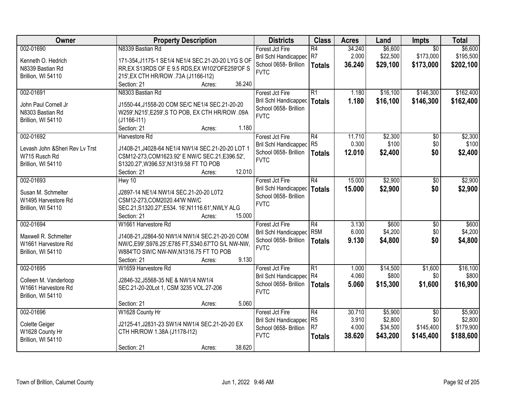| Owner                           | <b>Property Description</b>                        | <b>Districts</b>             | <b>Class</b>     | <b>Acres</b> | Land     | Impts           | <b>Total</b> |
|---------------------------------|----------------------------------------------------|------------------------------|------------------|--------------|----------|-----------------|--------------|
| 002-01690                       | N8339 Bastian Rd                                   | Forest Jct Fire              | $\overline{R4}$  | 34.240       | \$6,600  | $\overline{50}$ | \$6,600      |
| Kenneth O. Hedrich              | 171-354, J1175-1 SE1/4 NE1/4 SEC.21-20-20 LYG S OF | Bril Schl Handicapped        | R7               | 2.000        | \$22,500 | \$173,000       | \$195,500    |
| N8339 Bastian Rd                | RR, EX S13RDS OF E 9.5 RDS, EX W102' OF E259' OF S | School 0658- Brillion        | <b>Totals</b>    | 36.240       | \$29,100 | \$173,000       | \$202,100    |
| Brillion, WI 54110              | 215', EX CTH HR/ROW .73A (J1166-I12)               | <b>FVTC</b>                  |                  |              |          |                 |              |
|                                 | 36.240<br>Section: 21<br>Acres:                    |                              |                  |              |          |                 |              |
| 002-01691                       | N8303 Bastian Rd                                   | Forest Jct Fire              | $\overline{R1}$  | 1.180        | \$16,100 | \$146,300       | \$162,400    |
|                                 |                                                    | Bril Schl Handicapped        | <b>Totals</b>    | 1.180        | \$16,100 | \$146,300       | \$162,400    |
| John Paul Cornell Jr            | J1550-44, J1558-20 COM SE/C NE1/4 SEC.21-20-20     | School 0658- Brillion        |                  |              |          |                 |              |
| N8303 Bastian Rd                | W259', N215', E259', S TO POB, EX CTH HR/ROW .09A  | <b>FVTC</b>                  |                  |              |          |                 |              |
| Brillion, WI 54110              | $(J1166-I11)$                                      |                              |                  |              |          |                 |              |
|                                 | 1.180<br>Section: 21<br>Acres:                     |                              |                  |              |          |                 |              |
| 002-01692                       | Harvestore Rd                                      | Forest Jct Fire              | R4               | 11.710       | \$2,300  | \$0             | \$2,300      |
| Levash John & Sheri Rev Lv Trst | J1408-21, J4028-64 NE1/4 NW1/4 SEC.21-20-20 LOT 1  | <b>Bril Schl Handicapped</b> | R <sub>5</sub>   | 0.300        | \$100    | \$0             | \$100        |
| W715 Rusch Rd                   | CSM12-273, COM1623.92' E NW/C SEC.21, E396.52',    | School 0658- Brillion        | <b>Totals</b>    | 12.010       | \$2,400  | \$0             | \$2,400      |
| Brillion, WI 54110              | S1320.27', W396.53', N1319.58 FT TO POB            | <b>FVTC</b>                  |                  |              |          |                 |              |
|                                 | 12.010<br>Section: 21<br>Acres:                    |                              |                  |              |          |                 |              |
| 002-01693                       | Hwy 10                                             | Forest Jct Fire              | $\overline{R4}$  | 15.000       | \$2,900  | \$0             | \$2,900      |
|                                 |                                                    | <b>Bril Schl Handicapped</b> |                  |              |          | \$0             |              |
| Susan M. Schmelter              | J2897-14 NE1/4 NW1/4 SEC.21-20-20 L0T2             | School 0658- Brillion        | <b>Totals</b>    | 15.000       | \$2,900  |                 | \$2,900      |
| W1495 Harvestore Rd             | CSM12-273, COM2020.44'W NW/C                       | <b>FVTC</b>                  |                  |              |          |                 |              |
| Brillion, WI 54110              | SEC.21, S1320.27', E534. 16', N1116.61', NWLY ALG  |                              |                  |              |          |                 |              |
|                                 | 15.000<br>Section: 21<br>Acres:                    |                              |                  |              |          |                 |              |
| 002-01694                       | W1661 Harvestore Rd                                | Forest Jct Fire              | $\overline{R4}$  | 3.130        | \$600    | $\overline{50}$ | \$600        |
|                                 |                                                    | <b>Bril Schl Handicapped</b> | R <sub>5</sub> M | 6.000        | \$4,200  | \$0             | \$4,200      |
| Maxwell R. Schmelter            | J1408-21, J2864-50 NW1/4 NW1/4 SEC.21-20-20 COM    | School 0658- Brillion        | <b>Totals</b>    | 9.130        | \$4,800  | \$0             | \$4,800      |
| W1661 Harvestore Rd             | NW/C,E99',S976.25',E785 FT,S340.67'TO S/L NW-NW,   | <b>FVTC</b>                  |                  |              |          |                 |              |
| Brillion, WI 54110              | W884'TO SW/C NW-NW, N1316.75 FT TO POB             |                              |                  |              |          |                 |              |
|                                 | 9.130<br>Section: 21<br>Acres:                     |                              |                  |              |          |                 |              |
| 002-01695                       | W1659 Harvestore Rd                                | Forest Jct Fire              | $\overline{R1}$  | 1.000        | \$14,500 | \$1,600         | \$16,100     |
| Colleen M. Vanderloop           | J2846-32, J5568-35 NE & NW1/4 NW1/4                | Bril Schl Handicapped R4     |                  | 4.060        | \$800    | \$0             | \$800        |
| W1661 Harvestore Rd             | SEC.21-20-20Lot 1, CSM 3235 VOL.27-206             | School 0658- Brillion        | <b>Totals</b>    | 5.060        | \$15,300 | \$1,600         | \$16,900     |
| Brillion, WI 54110              |                                                    | <b>FVTC</b>                  |                  |              |          |                 |              |
|                                 | 5.060<br>Section: 21<br>Acres:                     |                              |                  |              |          |                 |              |
| 002-01696                       | W1628 County Hr                                    | Forest Jct Fire              | R4               | 30.710       | \$5,900  | $\overline{30}$ | \$5,900      |
|                                 |                                                    | <b>Bril Schl Handicapped</b> | R <sub>5</sub>   | 3.910        | \$2,800  | \$0             | \$2,800      |
| Colette Geiger                  | J2125-41, J2831-23 SW1/4 NW1/4 SEC.21-20-20 EX     | School 0658- Brillion        | R <sub>7</sub>   | 4.000        | \$34,500 | \$145,400       | \$179,900    |
| W1628 County Hr                 | CTH HR/ROW 1.38A (J1178-I12)                       | <b>FVTC</b>                  | <b>Totals</b>    | 38.620       | \$43,200 | \$145,400       | \$188,600    |
| Brillion, WI 54110              |                                                    |                              |                  |              |          |                 |              |
|                                 | 38.620<br>Section: 21<br>Acres:                    |                              |                  |              |          |                 |              |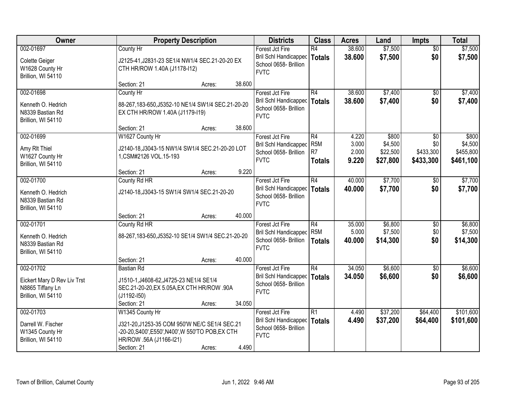| Owner                                                                              | <b>Property Description</b>                                                                                                                   |                  | <b>Districts</b>                                                                        | <b>Class</b>                                              | <b>Acres</b>                     | Land                                     | <b>Impts</b>                         | <b>Total</b>                               |
|------------------------------------------------------------------------------------|-----------------------------------------------------------------------------------------------------------------------------------------------|------------------|-----------------------------------------------------------------------------------------|-----------------------------------------------------------|----------------------------------|------------------------------------------|--------------------------------------|--------------------------------------------|
| 002-01697<br>Colette Geiger<br>W1628 County Hr<br>Brillion, WI 54110               | County Hr<br>J2125-41, J2831-23 SE1/4 NW1/4 SEC. 21-20-20 EX<br>CTH HR/ROW 1.40A (J1178-I12)                                                  |                  | Forest Jct Fire<br><b>Bril Schl Handicapped</b><br>School 0658- Brillion<br><b>FVTC</b> | $\overline{R4}$<br><b>Totals</b>                          | 38.600<br>38.600                 | \$7,500<br>\$7,500                       | $\overline{50}$<br>\$0               | \$7,500<br>\$7,500                         |
|                                                                                    | Section: 21                                                                                                                                   | 38.600<br>Acres: |                                                                                         |                                                           |                                  |                                          |                                      |                                            |
| 002-01698<br>Kenneth O. Hedrich<br>N8339 Bastian Rd<br>Brillion, WI 54110          | County Hr<br>88-267,183-650,J5352-10 NE1/4 SW1/4 SEC.21-20-20<br>EX CTH HR/ROW 1.40A (J1179-119)                                              |                  | Forest Jct Fire<br>Bril Schl Handicapped<br>School 0658- Brillion<br><b>FVTC</b>        | R4<br><b>Totals</b>                                       | 38.600<br>38.600                 | \$7,400<br>\$7,400                       | \$0<br>\$0                           | \$7,400<br>\$7,400                         |
|                                                                                    | Section: 21                                                                                                                                   | 38.600<br>Acres: |                                                                                         |                                                           |                                  |                                          |                                      |                                            |
| 002-01699<br>Amy RIt Thiel<br>W1627 County Hr<br>Brillion, WI 54110                | W1627 County Hr<br>J2140-18, J3043-15 NW1/4 SW1/4 SEC. 21-20-20 LOT<br>1, CSM#2126 VOL. 15-193                                                |                  | Forest Jct Fire<br>Bril Schl Handicapped<br>School 0658- Brillion<br><b>FVTC</b>        | R4<br>R <sub>5</sub> M<br>R <sub>7</sub><br><b>Totals</b> | 4.220<br>3.000<br>2.000<br>9.220 | \$800<br>\$4,500<br>\$22,500<br>\$27,800 | \$0<br>\$0<br>\$433,300<br>\$433,300 | \$800<br>\$4,500<br>\$455,800<br>\$461,100 |
|                                                                                    | Section: 21                                                                                                                                   | 9.220<br>Acres:  |                                                                                         |                                                           |                                  |                                          |                                      |                                            |
| 002-01700<br>Kenneth O. Hedrich<br>N8339 Bastian Rd<br>Brillion, WI 54110          | County Rd HR<br>J2140-18, J3043-15 SW1/4 SW1/4 SEC. 21-20-20                                                                                  |                  | Forest Jct Fire<br><b>Bril Schl Handicapped</b><br>School 0658- Brillion<br><b>FVTC</b> | R4<br><b>Totals</b>                                       | 40.000<br>40,000                 | \$7,700<br>\$7,700                       | $\sqrt[6]{3}$<br>\$0                 | \$7,700<br>\$7,700                         |
|                                                                                    | Section: 21                                                                                                                                   | 40.000<br>Acres: |                                                                                         |                                                           |                                  |                                          |                                      |                                            |
| 002-01701<br>Kenneth O. Hedrich<br>N8339 Bastian Rd<br>Brillion, WI 54110          | County Rd HR<br>88-267,183-650,J5352-10 SE1/4 SW1/4 SEC.21-20-20                                                                              |                  | Forest Jct Fire<br>Bril Schl Handicapped<br>School 0658- Brillion<br><b>FVTC</b>        | $\overline{R4}$<br>R <sub>5</sub> M<br><b>Totals</b>      | 35.000<br>5.000<br>40.000        | \$6,800<br>\$7,500<br>\$14,300           | \$0<br>\$0<br>\$0                    | \$6,800<br>\$7,500<br>\$14,300             |
|                                                                                    | Section: 21                                                                                                                                   | 40.000<br>Acres: |                                                                                         |                                                           |                                  |                                          |                                      |                                            |
| 002-01702<br>Eickert Mary D Rev Liv Trst<br>N8865 Tiffany Ln<br>Brillion, WI 54110 | <b>Bastian Rd</b><br>J1510-1, J4608-62, J4725-23 NE1/4 SE1/4<br>SEC.21-20-20, EX 5.05A, EX CTH HR/ROW . 90A<br>$(J1192 - 150)$<br>Section: 21 | 34.050<br>Acres: | Forest Jct Fire<br>Bril Schl Handicapped<br>School 0658- Brillion<br><b>FVTC</b>        | $\overline{R4}$<br><b>Totals</b>                          | 34.050<br>34.050                 | \$6,600<br>\$6,600                       | $\overline{50}$<br>\$0               | \$6,600<br>\$6,600                         |
| 002-01703                                                                          | W1345 County Hr                                                                                                                               |                  | Forest Jct Fire                                                                         | $\overline{R1}$                                           | 4.490                            | \$37,200                                 | \$64,400                             | \$101,600                                  |
| Darrell W. Fischer<br>W1345 County Hr<br>Brillion, WI 54110                        | J321-20, J1253-35 COM 950'W NE/C SE1/4 SEC.21<br>-20-20, S400', E550', N400', W 550'TO POB, EX CTH<br>HR/ROW .56A (J1166-I21)<br>Section: 21  | 4.490<br>Acres:  | Bril Schl Handicapped<br>School 0658- Brillion<br><b>FVTC</b>                           | <b>Totals</b>                                             | 4.490                            | \$37,200                                 | \$64,400                             | \$101,600                                  |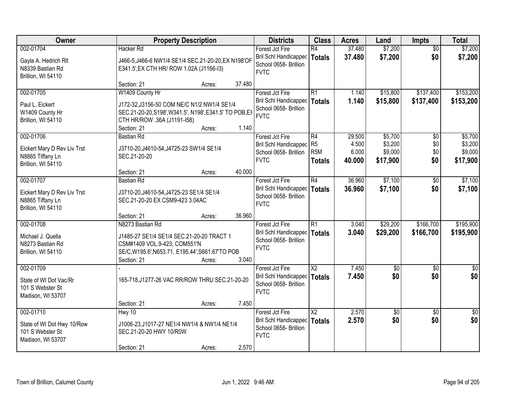| Owner                                                                              |                                                                                                                                                                                        | <b>Property Description</b> |                 | <b>Districts</b>                                                                        | <b>Class</b>                                 | <b>Acres</b>                       | Land                                      | <b>Impts</b>             | <b>Total</b>                              |
|------------------------------------------------------------------------------------|----------------------------------------------------------------------------------------------------------------------------------------------------------------------------------------|-----------------------------|-----------------|-----------------------------------------------------------------------------------------|----------------------------------------------|------------------------------------|-------------------------------------------|--------------------------|-------------------------------------------|
| 002-01704<br>Gayla A. Hedrich Rlt<br>N8339 Bastian Rd<br>Brillion, WI 54110        | <b>Hacker Rd</b><br>J466-5, J466-6 NW1/4 SE1/4 SEC.21-20-20, EX N198'OF<br>E341.5', EX CTH HR/ ROW 1.02A (J1166-I3)                                                                    |                             |                 | Forest Jct Fire<br>Bril Schl Handicapped<br>School 0658- Brillion<br><b>FVTC</b>        | R4<br><b>Totals</b>                          | 37.480<br>37.480                   | \$7,200<br>\$7,200                        | $\overline{50}$<br>\$0   | \$7,200<br>\$7,200                        |
| 002-01705<br>Paul L. Eickert<br>W1409 County Hr<br>Brillion, WI 54110              | Section: 21<br>W1409 County Hr<br>J172-32, J3156-50 COM NE/C N1/2 NW1/4 SE1/4<br>SEC.21-20-20, S198', W341.5', N198', E341.5' TO POB, EX<br>CTH HR/ROW .36A (J1191-I58)<br>Section: 21 | Acres:<br>Acres:            | 37.480<br>1.140 | Forest Jct Fire<br>Bril Schl Handicapped<br>School 0658- Brillion<br><b>FVTC</b>        | R1<br><b>Totals</b>                          | 1.140<br>1.140                     | \$15,800<br>\$15,800                      | \$137,400<br>\$137,400   | \$153,200<br>\$153,200                    |
| 002-01706<br>Eickert Mary D Rev Liv Trst<br>N8865 Tiffany Ln<br>Brillion, WI 54110 | <b>Bastian Rd</b><br>J3710-20, J4610-54, J4725-23 SW1/4 SE1/4<br>SEC.21-20-20<br>Section: 21                                                                                           | Acres:                      | 40.000          | Forest Jct Fire<br><b>Bril Schl Handicapped</b><br>School 0658- Brillion<br><b>FVTC</b> | R4<br>R5<br>R <sub>5M</sub><br><b>Totals</b> | 29.500<br>4.500<br>6.000<br>40.000 | \$5,700<br>\$3,200<br>\$9,000<br>\$17,900 | \$0<br>\$0<br>\$0<br>\$0 | \$5,700<br>\$3,200<br>\$9,000<br>\$17,900 |
| 002-01707<br>Eickert Mary D Rev Liv Trst<br>N8865 Tiffany Ln<br>Brillion, WI 54110 | <b>Bastian Rd</b><br>J3710-20, J4610-54, J4725-23 SE1/4 SE1/4<br>SEC.21-20-20 EX CSM9-423 3.04AC<br>Section: 21                                                                        | Acres:                      | 36.960          | Forest Jct Fire<br>Bril Schl Handicapped<br>School 0658- Brillion<br><b>FVTC</b>        | R4<br><b>Totals</b>                          | 36.960<br>36.960                   | \$7,100<br>\$7,100                        | $\sqrt[6]{}$<br>\$0      | \$7,100<br>\$7,100                        |
| 002-01708<br>Michael J. Quella<br>N8273 Bastian Rd<br>Brillion, WI 54110           | N8273 Bastian Rd<br>J1485-27 SE1/4 SE1/4 SEC.21-20-20 TRACT 1<br>CSM#1409 VOL.9-423, COM551'N<br>SE/C, W195.6', N653.71, E195.44', S661.67'TO POB<br>Section: 21                       | Acres:                      | 3.040           | Forest Jct Fire<br><b>Bril Schl Handicapped</b><br>School 0658- Brillion<br><b>FVTC</b> | $\overline{R1}$<br>Totals                    | 3.040<br>3.040                     | \$29,200<br>\$29,200                      | \$166,700<br>\$166,700   | \$195,900<br>\$195,900                    |
| 002-01709<br>State of WI Dot Vac/Rr<br>101 S Webster St<br>Madison, WI 53707       | 165-718, J1277-26 VAC RR/ROW THRU SEC.21-20-20<br>Section: 21                                                                                                                          | Acres:                      | 7.450           | Forest Jct Fire<br><b>Bril Schl Handicapped</b><br>School 0658- Brillion<br><b>FVTC</b> | $\overline{\mathsf{X2}}$<br>Totals           | 7.450<br>7.450                     | $\sqrt{$0}$<br>\$0                        | \$0<br>\$0               | $\sqrt{50}$<br>\$0                        |
| 002-01710<br>State of WI Dot Hwy 10/Row<br>101 S Webster St<br>Madison, WI 53707   | Hwy 10<br>J1006-23, J1017-27 NE1/4 NW1/4 & NW1/4 NE1/4<br>SEC.21-20-20 HWY 10/R0W<br>Section: 21                                                                                       | Acres:                      | 2.570           | Forest Jct Fire<br><b>Bril Schl Handicapped</b><br>School 0658- Brillion<br><b>FVTC</b> | $\overline{X2}$<br>Totals                    | 2.570<br>2.570                     | $\overline{50}$<br>\$0                    | $\overline{50}$<br>\$0   | $\frac{1}{2}$<br>\$0                      |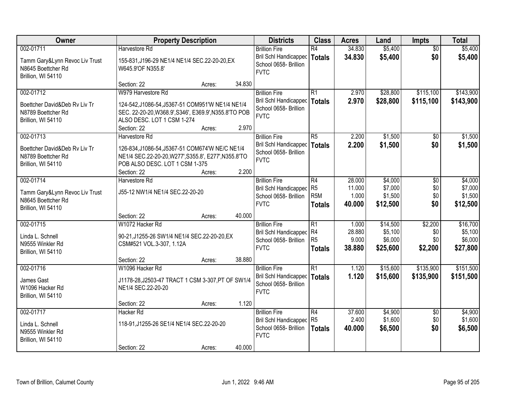| Owner                                                                                   |                                                                                                                                                          | <b>Property Description</b> |        | <b>Districts</b>                                                                      | <b>Class</b>                                             | <b>Acres</b>                       | Land                                       | <b>Impts</b>                     | <b>Total</b>                               |
|-----------------------------------------------------------------------------------------|----------------------------------------------------------------------------------------------------------------------------------------------------------|-----------------------------|--------|---------------------------------------------------------------------------------------|----------------------------------------------------------|------------------------------------|--------------------------------------------|----------------------------------|--------------------------------------------|
| 002-01711<br>Tamm Gary&Lynn Revoc Liv Trust<br>N8645 Boettcher Rd<br>Brillion, WI 54110 | Harvestore Rd<br>155-831, J196-29 NE1/4 NE1/4 SEC.22-20-20, EX<br>W645.9'OF N355.8'                                                                      |                             |        | <b>Brillion Fire</b><br>Bril Schl Handicapped<br>School 0658- Brillion<br><b>FVTC</b> | R4<br>Totals                                             | 34.830<br>34.830                   | \$5,400<br>\$5,400                         | $\overline{50}$<br>\$0           | \$5,400<br>\$5,400                         |
| 002-01712                                                                               | Section: 22<br>W979 Harvestore Rd                                                                                                                        | Acres:                      | 34.830 | <b>Brillion Fire</b>                                                                  | R1                                                       | 2.970                              | \$28,800                                   | \$115,100                        | \$143,900                                  |
| Boettcher David&Deb Rv Liv Tr<br>N8789 Boettcher Rd<br>Brillion, WI 54110               | 124-542, J1086-54, J5367-51 COM951'W NE1/4 NE1/4<br>SEC. 22-20-20, W368.9', S346', E369.9', N355.8'TO POB<br>ALSO DESC. LOT 1 CSM 1-274<br>Section: 22   | Acres:                      | 2.970  | Bril Schl Handicapped   Totals<br>School 0658- Brillion<br><b>FVTC</b>                |                                                          | 2.970                              | \$28,800                                   | \$115,100                        | \$143,900                                  |
| 002-01713                                                                               | Harvestore Rd                                                                                                                                            |                             |        | <b>Brillion Fire</b>                                                                  | R5                                                       | 2.200                              | \$1,500                                    | $\sqrt{6}$                       | \$1,500                                    |
| Boettcher David&Deb Ry Liv Tr<br>N8789 Boettcher Rd<br>Brillion, WI 54110               | 126-834, J1086-54, J5367-51 COM674'W NE/C NE1/4<br>NE1/4 SEC.22-20-20, W277', S355.8', E277', N355.8'TO<br>POB ALSO DESC. LOT 1 CSM 1-375<br>Section: 22 | Acres:                      | 2.200  | Bril Schl Handicapped<br>School 0658- Brillion<br><b>FVTC</b>                         | Totals                                                   | 2.200                              | \$1,500                                    | \$0                              | \$1,500                                    |
| 002-01714                                                                               | Harvestore Rd                                                                                                                                            |                             |        | <b>Brillion Fire</b>                                                                  | R4                                                       | 28.000                             | \$4,000                                    | \$0                              | \$4,000                                    |
| Tamm Gary&Lynn Revoc Liv Trust<br>N8645 Boettcher Rd<br>Brillion, WI 54110              | J55-12 NW1/4 NE1/4 SEC.22-20-20                                                                                                                          |                             |        | <b>Bril Schl Handicapped</b><br>School 0658- Brillion<br><b>FVTC</b>                  | R <sub>5</sub><br>R <sub>5M</sub><br><b>Totals</b>       | 11.000<br>1.000<br>40.000          | \$7,000<br>\$1,500<br>\$12,500             | \$0<br>\$0<br>\$0                | \$7,000<br>\$1,500<br>\$12,500             |
|                                                                                         | Section: 22                                                                                                                                              | Acres:                      | 40.000 |                                                                                       |                                                          |                                    |                                            |                                  |                                            |
| 002-01715<br>Linda L. Schnell<br>N9555 Winkler Rd<br>Brillion, WI 54110                 | W1072 Hacker Rd<br>90-21, J1255-26 SW1/4 NE1/4 SEC.22-20-20, EX<br>CSM#521 VOL.3-307, 1.12A<br>Section: 22                                               | Acres:                      | 38.880 | <b>Brillion Fire</b><br>Bril Schl Handicapped<br>School 0658- Brillion<br><b>FVTC</b> | $\overline{R1}$<br>R4<br>R <sub>5</sub><br><b>Totals</b> | 1.000<br>28.880<br>9.000<br>38.880 | \$14,500<br>\$5,100<br>\$6,000<br>\$25,600 | \$2,200<br>\$0<br>\$0<br>\$2,200 | \$16,700<br>\$5,100<br>\$6,000<br>\$27,800 |
| 002-01716                                                                               | W1096 Hacker Rd                                                                                                                                          |                             |        | <b>Brillion Fire</b>                                                                  | $\overline{R1}$                                          | 1.120                              | \$15,600                                   | \$135,900                        | \$151,500                                  |
| James Gast<br>W1096 Hacker Rd<br>Brillion, WI 54110                                     | J1178-28, J2503-47 TRACT 1 CSM 3-307, PT OF SW1/4<br>NE1/4 SEC.22-20-20                                                                                  |                             |        | Bril Schl Handicapped<br>School 0658- Brillion<br><b>FVTC</b>                         | <b>Totals</b>                                            | 1.120                              | \$15,600                                   | \$135,900                        | \$151,500                                  |
|                                                                                         | Section: 22                                                                                                                                              | Acres:                      | 1.120  |                                                                                       |                                                          |                                    |                                            |                                  |                                            |
| 002-01717<br>Linda L. Schnell<br>N9555 Winkler Rd<br>Brillion, WI 54110                 | <b>Hacker Rd</b><br>118-91, J1255-26 SE1/4 NE1/4 SEC.22-20-20                                                                                            |                             |        | <b>Brillion Fire</b><br>Bril Schl Handicapped<br>School 0658- Brillion<br><b>FVTC</b> | R4<br>R <sub>5</sub><br><b>Totals</b>                    | 37,600<br>2.400<br>40.000          | \$4,900<br>\$1,600<br>\$6,500              | $\overline{50}$<br>\$0<br>\$0    | \$4,900<br>\$1,600<br>\$6,500              |
|                                                                                         | Section: 22                                                                                                                                              | Acres:                      | 40.000 |                                                                                       |                                                          |                                    |                                            |                                  |                                            |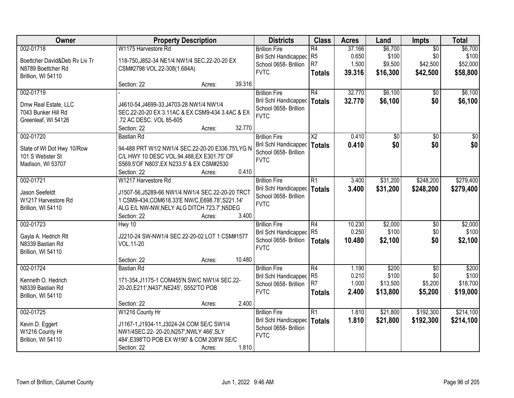| Owner                         |                                                  | <b>Property Description</b> |        | <b>Districts</b>             | <b>Class</b>   | <b>Acres</b> | Land     | <b>Impts</b>    | <b>Total</b> |
|-------------------------------|--------------------------------------------------|-----------------------------|--------|------------------------------|----------------|--------------|----------|-----------------|--------------|
| 002-01718                     | W1175 Harvestore Rd                              |                             |        | <b>Brillion Fire</b>         | R4             | 37.166       | \$6,700  | $\overline{50}$ | \$6,700      |
| Boettcher David&Deb Rv Liv Tr | 118-750, J852-34 NE1/4 NW1/4 SEC.22-20-20 EX     |                             |        | Bril Schl Handicapped        | R <sub>5</sub> | 0.650        | \$100    | \$0             | \$100        |
| N8789 Boettcher Rd            | CSM#2798 VOL.22-308(1.684A)                      |                             |        | School 0658- Brillion        | R7             | 1.500        | \$9,500  | \$42,500        | \$52,000     |
| Brillion, WI 54110            |                                                  |                             |        | <b>FVTC</b>                  | <b>Totals</b>  | 39.316       | \$16,300 | \$42,500        | \$58,800     |
|                               | Section: 22                                      | Acres:                      | 39.316 |                              |                |              |          |                 |              |
| 002-01719                     |                                                  |                             |        | <b>Brillion Fire</b>         | R4             | 32.770       | \$6,100  | $\overline{50}$ | \$6,100      |
|                               |                                                  |                             |        | <b>Bril Schl Handicapped</b> | Totals         | 32.770       | \$6,100  | \$0             | \$6,100      |
| Dmw Real Estate, LLC          | J4610-54, J4699-33, J4703-28 NW1/4 NW1/4         |                             |        | School 0658- Brillion        |                |              |          |                 |              |
| 7043 Bunker Hill Rd           | SEC.22-20-20 EX 3.11AC & EX CSM9-434 3.4AC & EX  |                             |        | <b>FVTC</b>                  |                |              |          |                 |              |
| Greenleaf, WI 54126           | .72 AC DESC. VOL 85-605                          |                             |        |                              |                |              |          |                 |              |
|                               | Section: 22                                      | Acres:                      | 32.770 |                              |                |              |          |                 |              |
| 002-01720                     | Bastian Rd                                       |                             |        | <b>Brillion Fire</b>         | X <sub>2</sub> | 0.410        | \$0      | \$0             | \$0          |
| State of WI Dot Hwy 10/Row    | 94-488 PRT W1/2 NW1/4 SEC.22-20-20 E336.75'LYG N |                             |        | Bril Schl Handicapped        | Totals         | 0.410        | \$0      | \$0             | \$0          |
| 101 S Webster St              | C/L HWY 10 DESC VOL.94.488, EX E301.75' OF       |                             |        | School 0658- Brillion        |                |              |          |                 |              |
| Madison, WI 53707             | S569.5'OF N803', EX N233.5' & EX CSM#2530        |                             |        | <b>FVTC</b>                  |                |              |          |                 |              |
|                               | Section: 22                                      | Acres:                      | 0.410  |                              |                |              |          |                 |              |
| 002-01721                     | W1217 Harvestore Rd                              |                             |        | <b>Brillion Fire</b>         | R1             | 3.400        | \$31,200 | \$248,200       | \$279,400    |
|                               |                                                  |                             |        | Bril Schl Handicapped        | Totals         | 3.400        | \$31,200 | \$248,200       | \$279,400    |
| Jason Seefeldt                | J1507-56, J5289-66 NW1/4 NW1/4 SEC.22-20-20 TRCT |                             |        | School 0658- Brillion        |                |              |          |                 |              |
| W1217 Harvestore Rd           | 1 CSM9-434, COM618.33'E NW/C, E698.78', S221.14' |                             |        | <b>FVTC</b>                  |                |              |          |                 |              |
| Brillion, WI 54110            | ALG E/L NW-NW, NELY ALG DITCH 723.7', N5DEG      |                             |        |                              |                |              |          |                 |              |
|                               | Section: 22                                      | Acres:                      | 3.400  |                              |                |              |          |                 |              |
| 002-01723                     | Hwy 10                                           |                             |        | <b>Brillion Fire</b>         | R4             | 10.230       | \$2,000  | $\overline{30}$ | \$2,000      |
| Gayla A. Hedrich Rlt          | J2210-24 SW-NW1/4 SEC.22-20-02 LOT 1 CSM#1577    |                             |        | Bril Schl Handicapped        | R <sub>5</sub> | 0.250        | \$100    | \$0             | \$100        |
| N8339 Bastian Rd              | VOL.11-20                                        |                             |        | School 0658- Brillion        | <b>Totals</b>  | 10.480       | \$2,100  | \$0             | \$2,100      |
| Brillion, WI 54110            |                                                  |                             |        | <b>FVTC</b>                  |                |              |          |                 |              |
|                               | Section: 22                                      | Acres:                      | 10.480 |                              |                |              |          |                 |              |
| 002-01724                     | <b>Bastian Rd</b>                                |                             |        | <b>Brillion Fire</b>         | R4             | 1.190        | \$200    | $\overline{30}$ | \$200        |
| Kenneth O. Hedrich            | 171-354, J1175-1 COM455'N SW/C NW1/4 SEC.22-     |                             |        | Bril Schl Handicapped        | R5             | 0.210        | \$100    | \$0             | \$100        |
|                               |                                                  |                             |        | School 0658- Brillion        | R7             | 1.000        | \$13,500 | \$5,200         | \$18,700     |
| N8339 Bastian Rd              | 20-20, E211', N437', NE245', S552'TO POB         |                             |        | <b>FVTC</b>                  | <b>Totals</b>  | 2.400        | \$13,800 | \$5,200         | \$19,000     |
| Brillion, WI 54110            | Section: 22                                      | Acres:                      | 2.400  |                              |                |              |          |                 |              |
| 002-01725                     | W1216 County Hr                                  |                             |        | <b>Brillion Fire</b>         | R1             | 1.810        | \$21,800 | \$192,300       | \$214,100    |
|                               |                                                  |                             |        | Bril Schl Handicapped        | Totals         | 1.810        | \$21,800 | \$192,300       | \$214,100    |
| Kevin D. Eggert               | J1167-1, J1934-11, J3024-24 COM SE/C SW1/4       |                             |        | School 0658- Brillion        |                |              |          |                 |              |
| W1216 County Hr               | NW1/4SEC.22-20-20, N257', NWLY 466', SLY         |                             |        | <b>FVTC</b>                  |                |              |          |                 |              |
| Brillion, WI 54110            | 484', E398'TO POB EX W190' & COM 208'W SE/C      |                             |        |                              |                |              |          |                 |              |
|                               | Section: 22                                      | Acres:                      | 1.810  |                              |                |              |          |                 |              |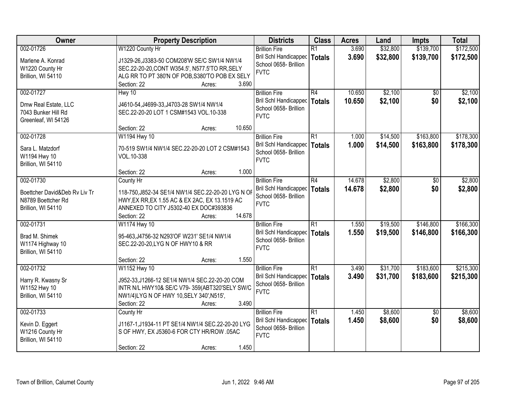| Owner                                                                     | <b>Property Description</b>                                                                                                                                                                   | <b>Districts</b>                                                                      | <b>Class</b>                     | <b>Acres</b>     | Land                 | <b>Impts</b>           | <b>Total</b>           |
|---------------------------------------------------------------------------|-----------------------------------------------------------------------------------------------------------------------------------------------------------------------------------------------|---------------------------------------------------------------------------------------|----------------------------------|------------------|----------------------|------------------------|------------------------|
| 002-01726                                                                 | W1220 County Hr                                                                                                                                                                               | <b>Brillion Fire</b>                                                                  | $\overline{R1}$                  | 3.690            | \$32,800             | \$139,700              | \$172,500              |
| Marlene A. Konrad<br>W1220 County Hr<br>Brillion, WI 54110                | J1329-26, J3383-50 COM208'W SE/C SW1/4 NW1/4<br>SEC.22-20-20, CONT W354.5', N577.5'TO RR, SELY<br>ALG RR TO PT 380'N OF POB, S380'TO POB EX SELY                                              | <b>Bril Schl Handicapped</b><br>School 0658- Brillion<br><b>FVTC</b>                  | <b>Totals</b>                    | 3.690            | \$32,800             | \$139,700              | \$172,500              |
|                                                                           | 3.690<br>Section: 22<br>Acres:                                                                                                                                                                |                                                                                       |                                  |                  |                      |                        |                        |
| 002-01727<br>Dmw Real Estate, LLC<br>7043 Bunker Hill Rd                  | Hwy 10<br>J4610-54, J4699-33, J4703-28 SW1/4 NW1/4<br>SEC.22-20-20 LOT 1 CSM#1543 VOL.10-338                                                                                                  | <b>Brillion Fire</b><br>Bril Schl Handicapped<br>School 0658- Brillion<br><b>FVTC</b> | R4<br><b>Totals</b>              | 10.650<br>10.650 | \$2,100<br>\$2,100   | $\overline{50}$<br>\$0 | \$2,100<br>\$2,100     |
| Greenleaf, WI 54126                                                       | 10.650<br>Section: 22<br>Acres:                                                                                                                                                               |                                                                                       |                                  |                  |                      |                        |                        |
| 002-01728                                                                 | W1194 Hwy 10                                                                                                                                                                                  | <b>Brillion Fire</b>                                                                  | $\overline{R1}$                  | 1.000            | \$14,500             | \$163,800              | \$178,300              |
| Sara L. Matzdorf<br>W1194 Hwy 10<br>Brillion, WI 54110                    | 70-519 SW1/4 NW1/4 SEC.22-20-20 LOT 2 CSM#1543<br>VOL.10-338                                                                                                                                  | Bril Schl Handicapped<br>School 0658- Brillion<br><b>FVTC</b>                         | <b>Totals</b>                    | 1.000            | \$14,500             | \$163,800              | \$178,300              |
|                                                                           | Section: 22<br>1.000<br>Acres:                                                                                                                                                                |                                                                                       |                                  |                  |                      |                        |                        |
| 002-01730                                                                 | County Hr                                                                                                                                                                                     | <b>Brillion Fire</b>                                                                  | $\overline{R4}$                  | 14.678           | \$2,800              | \$0                    | \$2,800                |
| Boettcher David&Deb Rv Liv Tr<br>N8789 Boettcher Rd<br>Brillion, WI 54110 | 118-750, J852-34 SE1/4 NW1/4 SEC.22-20-20 LYG N OF<br>HWY, EX RR, EX 1.55 AC & EX 2AC, EX 13.1519 AC<br>ANNEXED TO CITY J5302-40 EX DOC#393836                                                | <b>Bril Schl Handicapped</b><br>School 0658- Brillion<br><b>FVTC</b>                  | <b>Totals</b>                    | 14.678           | \$2,800              | \$0                    | \$2,800                |
| 002-01731                                                                 | 14.678<br>Section: 22<br>Acres:<br>W1174 Hwy 10                                                                                                                                               |                                                                                       | $\overline{R1}$                  | 1.550            |                      | \$146,800              | \$166,300              |
| Brad M. Shimek<br>W1174 Highway 10<br>Brillion, WI 54110                  | 95-463, J4756-32 N293'OF W231' SE1/4 NW1/4<br>SEC.22-20-20, LYG N OF HWY10 & RR                                                                                                               | <b>Brillion Fire</b><br>Bril Schl Handicapped<br>School 0658- Brillion<br><b>FVTC</b> | <b>Totals</b>                    | 1.550            | \$19,500<br>\$19,500 | \$146,800              | \$166,300              |
|                                                                           | 1.550<br>Section: 22<br>Acres:                                                                                                                                                                |                                                                                       |                                  |                  |                      |                        |                        |
| 002-01732<br>Harry R. Kwasny Sr<br>W1152 Hwy 10<br>Brillion, WI 54110     | W1152 Hwy 10<br>J952-33, J1266-12 SE1/4 NW1/4 SEC.22-20-20 COM<br>INTR N/L HWY10& SE/C V79-359(ABT320'SELY SW/C<br>NW1/4)LYG N OF HWY 10, SELY 340', N515',<br>Section: 22<br>3.490<br>Acres: | <b>Brillion Fire</b><br>Bril Schl Handicapped<br>School 0658- Brillion<br><b>FVTC</b> | $\overline{R1}$<br><b>Totals</b> | 3.490<br>3.490   | \$31,700<br>\$31,700 | \$183,600<br>\$183,600 | \$215,300<br>\$215,300 |
| 002-01733                                                                 | County Hr                                                                                                                                                                                     | <b>Brillion Fire</b>                                                                  | $\overline{R1}$                  | 1.450            | \$8,600              | $\overline{50}$        | \$8,600                |
| Kevin D. Eggert<br>W1216 County Hr<br>Brillion, WI 54110                  | J1167-1, J1934-11 PT SE1/4 NW1/4 SEC.22-20-20 LYG<br>S OF HWY, EX J5360-6 FOR CTY HR/ROW .05AC                                                                                                | Bril Schl Handicapped<br>School 0658- Brillion<br><b>FVTC</b>                         | <b>Totals</b>                    | 1.450            | \$8,600              | \$0                    | \$8,600                |
|                                                                           | 1.450<br>Section: 22<br>Acres:                                                                                                                                                                |                                                                                       |                                  |                  |                      |                        |                        |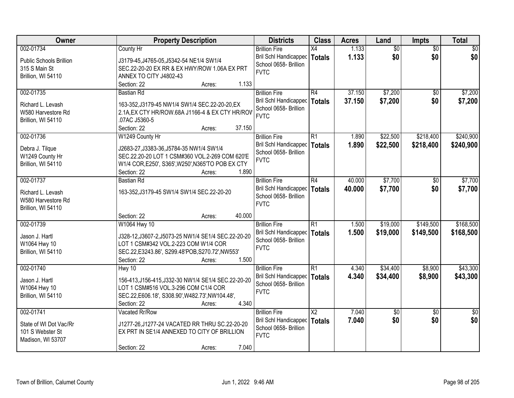| Owner                          | <b>Property Description</b>                                              | <b>Districts</b>                     | <b>Class</b>           | <b>Acres</b> | Land            | <b>Impts</b>    | <b>Total</b>    |
|--------------------------------|--------------------------------------------------------------------------|--------------------------------------|------------------------|--------------|-----------------|-----------------|-----------------|
| 002-01734                      | County Hr                                                                | <b>Brillion Fire</b>                 | X4                     | 1.133        | $\overline{60}$ | $\overline{50}$ | $\overline{50}$ |
| <b>Public Schools Brillion</b> | J3179-45, J4765-05, J5342-54 NE1/4 SW1/4                                 | Bril Schl Handicapped                | <b>Totals</b>          | 1.133        | \$0             | \$0             | \$0             |
| 315 S Main St                  | SEC.22-20-20 EX RR & EX HWY/ROW 1.06A EX PRT                             | School 0658- Brillion                |                        |              |                 |                 |                 |
| Brillion, WI 54110             | ANNEX TO CITY J4802-43                                                   | <b>FVTC</b>                          |                        |              |                 |                 |                 |
|                                | 1.133<br>Section: 22<br>Acres:                                           |                                      |                        |              |                 |                 |                 |
| 002-01735                      | <b>Bastian Rd</b>                                                        | <b>Brillion Fire</b>                 | R4                     | 37.150       | \$7,200         | \$0             | \$7,200         |
| Richard L. Levash              | 163-352, J3179-45 NW1/4 SW1/4 SEC.22-20-20, EX                           | <b>Bril Schl Handicapped</b>         | <b>Totals</b>          | 37.150       | \$7,200         | \$0             | \$7,200         |
| W580 Harvestore Rd             | 2.1A, EX CTY HR/ROW.68A J1166-4 & EX CTY HR/ROV                          | School 0658- Brillion                |                        |              |                 |                 |                 |
| Brillion, WI 54110             | .07AC J5360-5                                                            | <b>FVTC</b>                          |                        |              |                 |                 |                 |
|                                | 37.150<br>Section: 22<br>Acres:                                          |                                      |                        |              |                 |                 |                 |
| 002-01736                      | W1249 County Hr                                                          | <b>Brillion Fire</b>                 | R1                     | 1.890        | \$22,500        | \$218,400       | \$240,900       |
|                                |                                                                          | Bril Schl Handicapped                | <b>Totals</b>          | 1.890        | \$22,500        | \$218,400       | \$240,900       |
| Debra J. Tilque                | J2683-27, J3383-36, J5784-35 NW1/4 SW1/4                                 | School 0658- Brillion                |                        |              |                 |                 |                 |
| W1249 County Hr                | SEC.22.20-20 LOT 1 CSM#360 VOL.2-269 COM 620'E                           | <b>FVTC</b>                          |                        |              |                 |                 |                 |
| Brillion, WI 54110             | W1/4 COR, E250', S365', W250', N365'TO POB EX CTY                        |                                      |                        |              |                 |                 |                 |
|                                | Section: 22<br>1.890<br>Acres:                                           |                                      |                        |              |                 |                 |                 |
| 002-01737                      | <b>Bastian Rd</b>                                                        | <b>Brillion Fire</b>                 | R4                     | 40.000       | \$7,700         | $\sqrt[6]{}$    | \$7,700         |
| Richard L. Levash              | 163-352, J3179-45 SW1/4 SW1/4 SEC.22-20-20                               | <b>Bril Schl Handicapped</b>         | <b>Totals</b>          | 40.000       | \$7,700         | \$0             | \$7,700         |
| W580 Harvestore Rd             |                                                                          | School 0658- Brillion<br><b>FVTC</b> |                        |              |                 |                 |                 |
| Brillion, WI 54110             |                                                                          |                                      |                        |              |                 |                 |                 |
|                                | 40.000<br>Section: 22<br>Acres:                                          |                                      |                        |              |                 |                 |                 |
| 002-01739                      | W1064 Hwy 10                                                             | <b>Brillion Fire</b>                 | $\overline{R1}$        | 1.500        | \$19,000        | \$149,500       | \$168,500       |
| Jason J. Hartl                 | J328-12, J3607-2, J5073-25 NW1/4 SE1/4 SEC.22-20-20                      | Bril Schl Handicapped                | <b>Totals</b>          | 1.500        | \$19,000        | \$149,500       | \$168,500       |
| W1064 Hwy 10                   | LOT 1 CSM#342 VOL.2-223 COM W1/4 COR                                     | School 0658- Brillion                |                        |              |                 |                 |                 |
| Brillion, WI 54110             | SEC.22, E3243.86', S299.48'POB, S270.72', NW553'                         | <b>FVTC</b>                          |                        |              |                 |                 |                 |
|                                | 1.500<br>Section: 22<br>Acres:                                           |                                      |                        |              |                 |                 |                 |
| 002-01740                      | Hwy 10                                                                   | <b>Brillion Fire</b>                 | $\overline{R1}$        | 4.340        | \$34,400        | \$8,900         | \$43,300        |
|                                |                                                                          | Bril Schl Handicapped                | <b>Totals</b>          | 4.340        | \$34,400        | \$8,900         | \$43,300        |
| Jason J. Hartl                 | 156-413, J156-415, J332-30 NW1/4 SE1/4 SEC. 22-20-20                     | School 0658- Brillion                |                        |              |                 |                 |                 |
| W1064 Hwy 10                   | LOT 1 CSM#516 VOL.3-296 COM C1/4 COR                                     | <b>FVTC</b>                          |                        |              |                 |                 |                 |
| Brillion, WI 54110             | SEC.22, E606.18', S308.90', W482.73', NW104.48',<br>4.340<br>Section: 22 |                                      |                        |              |                 |                 |                 |
| 002-01741                      | Acres:<br>Vacated Rr/Row                                                 | <b>Brillion Fire</b>                 | $\overline{\text{X2}}$ | 7.040        | $\sqrt{50}$     | $\overline{50}$ | $\overline{50}$ |
|                                |                                                                          | Bril Schl Handicapped                |                        | 7.040        | \$0             | \$0             | \$0             |
| State of WI Dot Vac/Rr         | J1277-26, J1277-24 VACATED RR THRU SC.22-20-20                           | School 0658- Brillion                | <b>Totals</b>          |              |                 |                 |                 |
| 101 S Webster St               | EX PRT IN SE1/4 ANNEXED TO CITY OF BRILLION                              | <b>FVTC</b>                          |                        |              |                 |                 |                 |
| Madison, WI 53707              |                                                                          |                                      |                        |              |                 |                 |                 |
|                                | 7.040<br>Section: 22<br>Acres:                                           |                                      |                        |              |                 |                 |                 |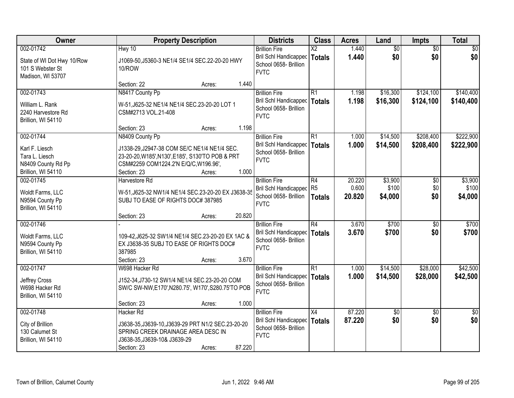| Owner                                                                  | <b>Property Description</b>                                                                                                                                                     | <b>Districts</b>                                                                               | <b>Class</b>              | <b>Acres</b>              | Land                        | <b>Impts</b>                 | <b>Total</b>                |
|------------------------------------------------------------------------|---------------------------------------------------------------------------------------------------------------------------------------------------------------------------------|------------------------------------------------------------------------------------------------|---------------------------|---------------------------|-----------------------------|------------------------------|-----------------------------|
| 002-01742                                                              | Hwy 10                                                                                                                                                                          | <b>Brillion Fire</b>                                                                           | $\overline{X2}$           | 1.440                     | $\overline{60}$             | $\overline{50}$              | $\overline{50}$             |
| State of WI Dot Hwy 10/Row<br>101 S Webster St<br>Madison, WI 53707    | J1069-50, J5360-3 NE1/4 SE1/4 SEC.22-20-20 HWY<br><b>10/ROW</b>                                                                                                                 | Bril Schl Handicapped<br>School 0658- Brillion<br><b>FVTC</b>                                  | Totals                    | 1.440                     | \$0                         | \$0                          | \$0                         |
|                                                                        | Section: 22<br>Acres:                                                                                                                                                           | 1.440                                                                                          |                           |                           |                             |                              |                             |
| 002-01743                                                              | N8417 County Pp                                                                                                                                                                 | <b>Brillion Fire</b>                                                                           | R1                        | 1.198                     | \$16,300                    | \$124,100                    | \$140,400                   |
| William L. Rank<br>2240 Harvestore Rd<br>Brillion, WI 54110            | W-51, J625-32 NE1/4 NE1/4 SEC. 23-20-20 LOT 1<br>CSM#2713 VOL.21-408                                                                                                            | <b>Bril Schl Handicapped</b><br>School 0658- Brillion<br><b>FVTC</b>                           | Totals                    | 1.198                     | \$16,300                    | \$124,100                    | \$140,400                   |
|                                                                        | Section: 23<br>Acres:                                                                                                                                                           | 1.198                                                                                          |                           |                           |                             |                              |                             |
| 002-01744                                                              | N8409 County Pp                                                                                                                                                                 | <b>Brillion Fire</b>                                                                           | R1                        | 1.000                     | \$14,500                    | \$208,400                    | \$222,900                   |
| Karl F. Liesch<br>Tara L. Liesch<br>N8409 County Rd Pp                 | J1338-29, J2947-38 COM SE/C NE1/4 NE1/4 SEC.<br>23-20-20, W185', N130', E185', S130'TO POB & PRT<br>CSM#2259 COM1224.2'N E/Q/C, W196.96',                                       | Bril Schl Handicapped<br>School 0658- Brillion<br><b>FVTC</b>                                  | Totals                    | 1.000                     | \$14,500                    | \$208,400                    | \$222,900                   |
| Brillion, WI 54110                                                     | Section: 23<br>Acres:                                                                                                                                                           | 1.000                                                                                          |                           |                           |                             |                              |                             |
| 002-01745<br>Woldt Farms, LLC<br>N9594 County Pp<br>Brillion, WI 54110 | Harvestore Rd<br>W-51, J625-32 NW1/4 NE1/4 SEC.23-20-20 EX J3638-35<br>SUBJ TO EASE OF RIGHTS DOC# 387985                                                                       | <b>Brillion Fire</b><br>Bril Schl Handicapped R5<br>School 0658- Brillion<br><b>FVTC</b>       | R4<br><b>Totals</b>       | 20.220<br>0.600<br>20.820 | \$3,900<br>\$100<br>\$4,000 | $\sqrt[6]{30}$<br>\$0<br>\$0 | \$3,900<br>\$100<br>\$4,000 |
|                                                                        | 20.820<br>Section: 23<br>Acres:                                                                                                                                                 |                                                                                                |                           |                           |                             |                              |                             |
| 002-01746<br>Woldt Farms, LLC<br>N9594 County Pp<br>Brillion, WI 54110 | 109-42, J625-32 SW1/4 NE1/4 SEC.23-20-20 EX 1AC &<br>EX J3638-35 SUBJ TO EASE OF RIGHTS DOC#<br>387985                                                                          | <b>Brillion Fire</b><br>Bril Schl Handicapped   Totals<br>School 0658- Brillion<br><b>FVTC</b> | $\overline{R4}$           | 3.670<br>3.670            | \$700<br>\$700              | $\overline{50}$<br>\$0       | \$700<br>\$700              |
|                                                                        | Section: 23<br>Acres:                                                                                                                                                           | 3.670                                                                                          |                           |                           |                             |                              |                             |
| 002-01747<br>Jeffrey Cross<br>W698 Hacker Rd<br>Brillion, WI 54110     | W698 Hacker Rd<br>J152-34, J730-12 SW1/4 NE1/4 SEC.23-20-20 COM<br>SW/C SW-NW, E170', N280.75', W170', S280.75'TO POB                                                           | <b>Brillion Fire</b><br>Bril Schl Handicapped<br>School 0658- Brillion<br><b>FVTC</b>          | $\overline{R1}$<br>Totals | 1.000<br>1.000            | \$14,500<br>\$14,500        | \$28,000<br>\$28,000         | \$42,500<br>\$42,500        |
|                                                                        | Section: 23<br>Acres:                                                                                                                                                           | 1.000                                                                                          |                           |                           |                             |                              |                             |
| 002-01748<br>City of Brillion<br>130 Calumet St<br>Brillion, WI 54110  | <b>Hacker Rd</b><br>J3638-35, J3639-10, J3639-29 PRT N1/2 SEC.23-20-20<br>SPRING CREEK DRAINAGE AREA DESC IN<br>J3638-35, J3639-10& J3639-29<br>87.220<br>Section: 23<br>Acres: | <b>Brillion Fire</b><br>Bril Schl Handicapped<br>School 0658- Brillion<br><b>FVTC</b>          | $\overline{X4}$<br>Totals | 87.220<br>87.220          | $\sqrt{50}$<br>\$0          | $\overline{50}$<br>\$0       | $\overline{50}$<br>\$0      |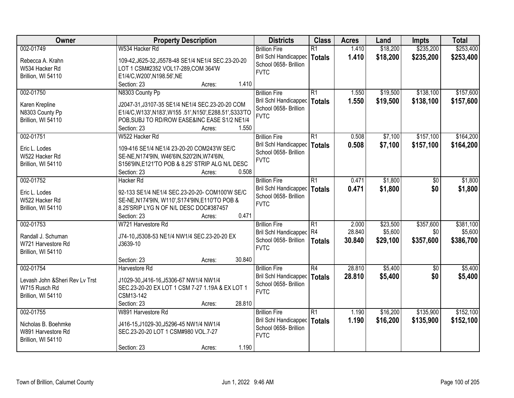| Owner                           | <b>Property Description</b>                         | <b>Districts</b>             | <b>Class</b>    | <b>Acres</b>    | Land     | Impts     | <b>Total</b> |
|---------------------------------|-----------------------------------------------------|------------------------------|-----------------|-----------------|----------|-----------|--------------|
| 002-01749                       | W534 Hacker Rd                                      | <b>Brillion Fire</b>         | $\overline{R1}$ | 1.410           | \$18,200 | \$235,200 | \$253,400    |
| Rebecca A. Krahn                | 109-42, J625-32, J5578-48 SE1/4 NE1/4 SEC.23-20-20  | Bril Schl Handicapped        | <b>Totals</b>   | 1.410           | \$18,200 | \$235,200 | \$253,400    |
| W534 Hacker Rd                  | LOT 1 CSM#2352 VOL17-289, COM 364'W                 | School 0658- Brillion        |                 |                 |          |           |              |
| Brillion, WI 54110              | E1/4/C, W200', N198.56', NE                         | <b>FVTC</b>                  |                 |                 |          |           |              |
|                                 | 1.410<br>Section: 23<br>Acres:                      |                              |                 |                 |          |           |              |
| 002-01750                       | N8303 County Pp                                     | <b>Brillion Fire</b>         | $\overline{R1}$ | 1.550           | \$19,500 | \$138,100 | \$157,600    |
|                                 |                                                     | Bril Schl Handicapped        | <b>Totals</b>   | 1.550           | \$19,500 | \$138,100 | \$157,600    |
| Karen Krepline                  | J2047-31, J3107-35 SE1/4 NE1/4 SEC.23-20-20 COM     | School 0658- Brillion        |                 |                 |          |           |              |
| N8303 County Pp                 | E1/4/C,W133',N183',W155 .51',N150',E288.51',S333'TO | <b>FVTC</b>                  |                 |                 |          |           |              |
| Brillion, WI 54110              | POB, SUBJ TO RD/ROW EASE&INC EASE S1/2 NE1/4        |                              |                 |                 |          |           |              |
|                                 | 1.550<br>Section: 23<br>Acres:                      |                              |                 |                 |          |           |              |
| 002-01751                       | W522 Hacker Rd                                      | <b>Brillion Fire</b>         | $\overline{R1}$ | 0.508           | \$7,100  | \$157,100 | \$164,200    |
| Eric L. Lodes                   | 109-416 SE1/4 NE1/4 23-20-20 COM243'W SE/C          | Bril Schl Handicapped        | <b>Totals</b>   | 0.508           | \$7,100  | \$157,100 | \$164,200    |
| W522 Hacker Rd                  | SE-NE, N174'9IN, W46'6IN, S20'2IN, W74'6IN,         | School 0658- Brillion        |                 |                 |          |           |              |
| Brillion, WI 54110              | S156'9IN, E121'TO POB & 8.25' STRIP ALG N/L DESC    | <b>FVTC</b>                  |                 |                 |          |           |              |
|                                 | 0.508<br>Section: 23<br>Acres:                      |                              |                 |                 |          |           |              |
| 002-01752                       | <b>Hacker Rd</b>                                    | <b>Brillion Fire</b>         | $\overline{R1}$ | 0.471           | \$1,800  | \$0       | \$1,800      |
|                                 |                                                     | <b>Bril Schl Handicapped</b> | <b>Totals</b>   | 0.471           | \$1,800  | \$0       | \$1,800      |
| Eric L. Lodes                   | 92-133 SE1/4 NE1/4 SEC.23-20-20- COM100'W SE/C      | School 0658- Brillion        |                 |                 |          |           |              |
| W522 Hacker Rd                  | SE-NE, N174'9IN, W110', S174'9IN, E110'TO POB &     | <b>FVTC</b>                  |                 |                 |          |           |              |
| Brillion, WI 54110              | 8.25'SRIP LYG N OF N/L DESC DOC#387457<br>0.471     |                              |                 |                 |          |           |              |
| 002-01753                       | Section: 23<br>Acres:<br>W721 Harvestore Rd         |                              | $\overline{R1}$ |                 |          | \$357,600 | \$381,100    |
|                                 |                                                     | <b>Brillion Fire</b>         |                 | 2.000<br>28.840 | \$23,500 |           |              |
| Randall J. Schuman              | J74-10, J5308-53 NE1/4 NW1/4 SEC.23-20-20 EX        | Bril Schl Handicapped R4     |                 |                 | \$5,600  | \$0       | \$5,600      |
| W721 Harvestore Rd              | J3639-10                                            | School 0658- Brillion        | <b>Totals</b>   | 30.840          | \$29,100 | \$357,600 | \$386,700    |
| Brillion, WI 54110              |                                                     | <b>FVTC</b>                  |                 |                 |          |           |              |
|                                 | 30.840<br>Section: 23<br>Acres:                     |                              |                 |                 |          |           |              |
| 002-01754                       | Harvestore Rd                                       | <b>Brillion Fire</b>         | $\overline{R4}$ | 28.810          | \$5,400  | \$0       | \$5,400      |
| Levash John & Sheri Rev Ly Trst | J1029-30.J416-16.J5306-67 NW1/4 NW1/4               | Bril Schl Handicapped        | <b>Totals</b>   | 28.810          | \$5,400  | \$0       | \$5,400      |
| W715 Rusch Rd                   | SEC.23-20-20 EX LOT 1 CSM 7-27 1.19A & EX LOT 1     | School 0658- Brillion        |                 |                 |          |           |              |
| Brillion, WI 54110              | CSM13-142                                           | <b>FVTC</b>                  |                 |                 |          |           |              |
|                                 | Section: 23<br>28.810<br>Acres:                     |                              |                 |                 |          |           |              |
| 002-01755                       | W891 Harvestore Rd                                  | <b>Brillion Fire</b>         | $\overline{R1}$ | 1.190           | \$16,200 | \$135,900 | \$152,100    |
|                                 |                                                     | Bril Schl Handicapped        | <b>Totals</b>   | 1.190           | \$16,200 | \$135,900 | \$152,100    |
| Nicholas B. Boehmke             | J416-15, J1029-30, J5296-45 NW1/4 NW1/4             | School 0658- Brillion        |                 |                 |          |           |              |
| W891 Harvestore Rd              | SEC.23-20-20 LOT 1 CSM#980 VOL.7-27                 | <b>FVTC</b>                  |                 |                 |          |           |              |
| Brillion, WI 54110              |                                                     |                              |                 |                 |          |           |              |
|                                 | 1.190<br>Section: 23<br>Acres:                      |                              |                 |                 |          |           |              |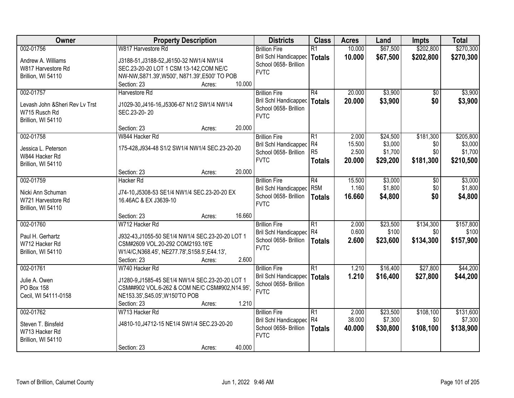| Owner                                                                               | <b>Property Description</b>                                                                                                                                                                | <b>Districts</b>                                                                             | <b>Class</b>                                 | <b>Acres</b>                       | Land                                       | <b>Impts</b>                         | <b>Total</b>                                 |
|-------------------------------------------------------------------------------------|--------------------------------------------------------------------------------------------------------------------------------------------------------------------------------------------|----------------------------------------------------------------------------------------------|----------------------------------------------|------------------------------------|--------------------------------------------|--------------------------------------|----------------------------------------------|
| 002-01756                                                                           | W817 Harvestore Rd                                                                                                                                                                         | <b>Brillion Fire</b>                                                                         | $\overline{R1}$                              | 10.000                             | \$67,500                                   | \$202,800                            | \$270,300                                    |
| Andrew A. Williams<br>W817 Harvestore Rd<br>Brillion, WI 54110                      | J3188-51, J3188-52, J6150-32 NW1/4 NW1/4<br>SEC.23-20-20 LOT 1 CSM 13-142, COM NE/C<br>NW-NW, S871.39', W500', N871.39', E500' TO POB                                                      | <b>Bril Schl Handicapped</b><br>School 0658- Brillion<br><b>FVTC</b>                         | <b>Totals</b>                                | 10.000                             | \$67,500                                   | \$202,800                            | \$270,300                                    |
|                                                                                     | 10.000<br>Section: 23<br>Acres:                                                                                                                                                            |                                                                                              |                                              |                                    |                                            |                                      |                                              |
| 002-01757<br>Levash John & Sheri Rev Ly Trst<br>W715 Rusch Rd<br>Brillion, WI 54110 | Harvestore Rd<br>J1029-30, J416-16, J5306-67 N1/2 SW1/4 NW1/4<br>SEC.23-20-20                                                                                                              | <b>Brillion Fire</b><br>Bril Schl Handicapped<br>School 0658- Brillion<br><b>FVTC</b>        | $\overline{R4}$<br><b>Totals</b>             | 20.000<br>20.000                   | \$3,900<br>\$3,900                         | \$0<br>\$0                           | \$3,900<br>\$3,900                           |
|                                                                                     | 20.000<br>Section: 23<br>Acres:                                                                                                                                                            |                                                                                              |                                              |                                    |                                            |                                      |                                              |
| 002-01758<br>Jessica L. Peterson<br>W844 Hacker Rd<br>Brillion, WI 54110            | W844 Hacker Rd<br>175-428, J934-48 S1/2 SW1/4 NW1/4 SEC.23-20-20                                                                                                                           | <b>Brillion Fire</b><br>Bril Schl Handicapped<br>School 0658- Brillion<br><b>FVTC</b>        | R1<br> R4<br>R <sub>5</sub><br><b>Totals</b> | 2.000<br>15.500<br>2.500<br>20,000 | \$24,500<br>\$3,000<br>\$1,700<br>\$29,200 | \$181,300<br>\$0<br>\$0<br>\$181,300 | \$205,800<br>\$3,000<br>\$1,700<br>\$210,500 |
|                                                                                     | Section: 23<br>20.000<br>Acres:                                                                                                                                                            |                                                                                              |                                              |                                    |                                            |                                      |                                              |
| 002-01759<br>Nicki Ann Schuman<br>W721 Harvestore Rd<br>Brillion, WI 54110          | <b>Hacker Rd</b><br>J74-10, J5308-53 SE1/4 NW1/4 SEC.23-20-20 EX<br>16.46AC & EX J3639-10                                                                                                  | <b>Brillion Fire</b><br>Bril Schl Handicapped<br>School 0658- Brillion<br><b>FVTC</b>        | R4<br>R <sub>5</sub> M<br><b>Totals</b>      | 15.500<br>1.160<br>16.660          | \$3,000<br>\$1,800<br>\$4,800              | \$0<br>\$0<br>\$0                    | \$3,000<br>\$1,800<br>\$4,800                |
|                                                                                     | 16.660<br>Section: 23<br>Acres:                                                                                                                                                            |                                                                                              |                                              |                                    |                                            |                                      |                                              |
| 002-01760<br>Paul H. Gerhartz<br>W712 Hacker Rd<br>Brillion, WI 54110               | W712 Hacker Rd<br>J932-43,J1055-50 SE1/4 NW1/4 SEC.23-20-20 LOT 1<br>CSM#2609 VOL.20-292 COM2193.16'E<br>W1/4/C, N368.45', NE277.78', S158.5', E44.13',<br>2.600<br>Section: 23<br>Acres:  | <b>Brillion Fire</b><br>Bril Schl Handicapped R4<br>School 0658- Brillion<br><b>FVTC</b>     | $\overline{R1}$<br><b>Totals</b>             | 2.000<br>0.600<br>2.600            | \$23,500<br>\$100<br>\$23,600              | \$134,300<br>\$0<br>\$134,300        | \$157,800<br>\$100<br>\$157,900              |
| 002-01761<br>Julie A. Owen<br>PO Box 158<br>Cecil, WI 54111-0158                    | W740 Hacker Rd<br>J1280-9, J1585-45 SE1/4 NW1/4 SEC.23-20-20 LOT 1<br>CSM##902 VOL.6-262 & COM NE/C CSM#902, N14.95',<br>NE153.35', S45.05', W150'TO POB<br>1.210<br>Section: 23<br>Acres: | <b>Brillion Fire</b><br><b>Bril Schl Handicapped</b><br>School 0658- Brillion<br><b>FVTC</b> | $\overline{R1}$<br><b>Totals</b>             | 1.210<br>1.210                     | \$16,400<br>\$16,400                       | \$27,800<br>\$27,800                 | \$44,200<br>\$44,200                         |
| 002-01762<br>Steven T. Binsfeld<br>W713 Hacker Rd<br>Brillion, WI 54110             | W713 Hacker Rd<br>J4810-10, J4712-15 NE1/4 SW1/4 SEC.23-20-20<br>40.000<br>Section: 23<br>Acres:                                                                                           | <b>Brillion Fire</b><br>Bril Schl Handicapped<br>School 0658- Brillion<br><b>FVTC</b>        | $\overline{R1}$<br>R4<br><b>Totals</b>       | 2.000<br>38.000<br>40.000          | \$23,500<br>\$7,300<br>\$30,800            | \$108,100<br>\$0<br>\$108,100        | \$131,600<br>\$7,300<br>\$138,900            |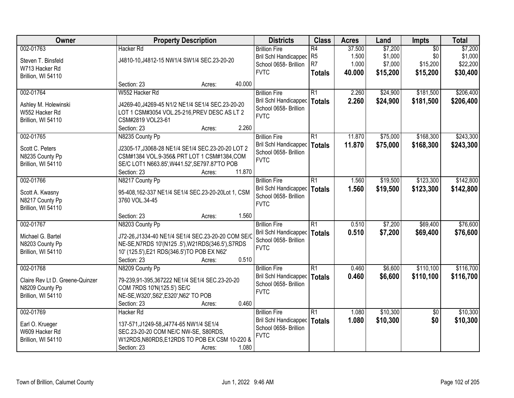| Owner                           |                                                    | <b>Property Description</b> |        |                              | <b>Class</b>    | <b>Acres</b> | Land     | <b>Impts</b>    | <b>Total</b> |
|---------------------------------|----------------------------------------------------|-----------------------------|--------|------------------------------|-----------------|--------------|----------|-----------------|--------------|
| 002-01763                       | <b>Hacker Rd</b>                                   |                             |        | <b>Brillion Fire</b>         | R4              | 37.500       | \$7,200  | $\overline{50}$ | \$7,200      |
| Steven T. Binsfeld              | J4810-10, J4812-15 NW1/4 SW1/4 SEC. 23-20-20       |                             |        | <b>Bril Schl Handicapped</b> | R <sub>5</sub>  | 1.500        | \$1,000  | \$0             | \$1,000      |
| W713 Hacker Rd                  |                                                    |                             |        | School 0658- Brillion        | R <sub>7</sub>  | 1.000        | \$7,000  | \$15,200        | \$22,200     |
| Brillion, WI 54110              |                                                    |                             |        | <b>FVTC</b>                  | <b>Totals</b>   | 40.000       | \$15,200 | \$15,200        | \$30,400     |
|                                 | Section: 23                                        | Acres:                      | 40.000 |                              |                 |              |          |                 |              |
| 002-01764                       | W552 Hacker Rd                                     |                             |        | <b>Brillion Fire</b>         | $\overline{R1}$ | 2.260        | \$24,900 | \$181,500       | \$206,400    |
| Ashley M. Holewinski            | J4269-40, J4269-45 N1/2 NE1/4 SE1/4 SEC.23-20-20   |                             |        | Bril Schl Handicapped        | <b>Totals</b>   | 2.260        | \$24,900 | \$181,500       | \$206,400    |
| W552 Hacker Rd                  | LOT 1 CSM#3054 VOL.25-216, PREV DESC AS LT 2       |                             |        | School 0658- Brillion        |                 |              |          |                 |              |
| Brillion, WI 54110              | CSM#2819 VOL23-61                                  |                             |        | <b>FVTC</b>                  |                 |              |          |                 |              |
|                                 | Section: 23                                        | Acres:                      | 2.260  |                              |                 |              |          |                 |              |
| 002-01765                       | N8235 County Pp                                    |                             |        | <b>Brillion Fire</b>         | $\overline{R1}$ | 11.870       | \$75,000 | \$168,300       | \$243,300    |
| Scott C. Peters                 | J2305-17, J3068-28 NE1/4 SE1/4 SEC.23-20-20 LOT 2  |                             |        | Bril Schl Handicapped        | <b>Totals</b>   | 11.870       | \$75,000 | \$168,300       | \$243,300    |
| N8235 County Pp                 | CSM#1384 VOL.9-356& PRT LOT 1 CSM#1384, COM        |                             |        | School 0658- Brillion        |                 |              |          |                 |              |
| Brillion, WI 54110              | SE/C LOT1 N663.85', W441.52', SE797.87'TO POB      |                             |        | <b>FVTC</b>                  |                 |              |          |                 |              |
|                                 | Section: 23                                        | Acres:                      | 11.870 |                              |                 |              |          |                 |              |
| 002-01766                       | N8217 County Pp                                    |                             |        | <b>Brillion Fire</b>         | R1              | 1.560        | \$19,500 | \$123,300       | \$142,800    |
|                                 |                                                    |                             |        | <b>Bril Schl Handicapped</b> | <b>Totals</b>   | 1.560        | \$19,500 | \$123,300       | \$142,800    |
| Scott A. Kwasny                 | 95-408,162-337 NE1/4 SE1/4 SEC.23-20-20Lot 1, CSM  |                             |        | School 0658- Brillion        |                 |              |          |                 |              |
| N8217 County Pp                 | 3760 VOL.34-45                                     |                             |        | <b>FVTC</b>                  |                 |              |          |                 |              |
| Brillion, WI 54110              |                                                    |                             | 1.560  |                              |                 |              |          |                 |              |
| 002-01767                       | Section: 23<br>N8203 County Pp                     | Acres:                      |        | <b>Brillion Fire</b>         | $\overline{R1}$ | 0.510        | \$7,200  | \$69,400        | \$76,600     |
|                                 |                                                    |                             |        | <b>Bril Schl Handicapped</b> |                 | 0.510        |          |                 |              |
| Michael G. Bartel               | J72-26, J1334-40 NE1/4 SE1/4 SEC.23-20-20 COM SE/C |                             |        | School 0658- Brillion        | <b>Totals</b>   |              | \$7,200  | \$69,400        | \$76,600     |
| N8203 County Pp                 | NE-SE, N7RDS 10'(N125 .5'), W21RDS(346.5'), S7RDS  |                             |        | <b>FVTC</b>                  |                 |              |          |                 |              |
| Brillion, WI 54110              | 10' (125.5'), E21 RDS(346.5') TO POB EX N62'       |                             |        |                              |                 |              |          |                 |              |
|                                 | Section: 23                                        | Acres:                      | 0.510  |                              |                 |              |          |                 |              |
| 002-01768                       | N8209 County Pp                                    |                             |        | <b>Brillion Fire</b>         | $\overline{R1}$ | 0.460        | \$6,600  | \$110,100       | \$116,700    |
| Claire Rev Lt D. Greene-Quinzer | 79-239,91-395,367222 NE1/4 SE1/4 SEC.23-20-20      |                             |        | Bril Schl Handicapped        | <b>Totals</b>   | 0.460        | \$6,600  | \$110,100       | \$116,700    |
| N8209 County Pp                 | COM 7RDS 10'N(125.5') SE/C                         |                             |        | School 0658- Brillion        |                 |              |          |                 |              |
| Brillion, WI 54110              | NE-SE, W320', S62', E320', N62' TO POB             |                             |        | <b>FVTC</b>                  |                 |              |          |                 |              |
|                                 | Section: 23                                        | Acres:                      | 0.460  |                              |                 |              |          |                 |              |
| 002-01769                       | <b>Hacker Rd</b>                                   |                             |        | <b>Brillion Fire</b>         | $\overline{R1}$ | 1.080        | \$10,300 | $\overline{50}$ | \$10,300     |
| Earl O. Krueger                 | 137-571, J1249-58, J4774-65 NW1/4 SE1/4            |                             |        | Bril Schl Handicapped        | <b>Totals</b>   | 1.080        | \$10,300 | \$0             | \$10,300     |
| W609 Hacker Rd                  | SEC.23-20-20 COM NE/C NW-SE, S80RDS,               |                             |        | School 0658- Brillion        |                 |              |          |                 |              |
| Brillion, WI 54110              | W12RDS, N80RDS, E12RDS TO POB EX CSM 10-220 &      |                             |        | <b>FVTC</b>                  |                 |              |          |                 |              |
|                                 | Section: 23                                        | Acres:                      | 1.080  |                              |                 |              |          |                 |              |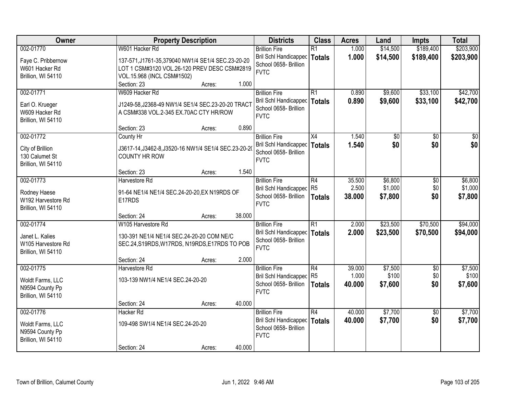| Owner                                                                    | <b>Property Description</b>                                                                                                              | <b>Districts</b>                                                                               | <b>Class</b>                          | <b>Acres</b>              | Land                          | <b>Impts</b>           | <b>Total</b>                  |
|--------------------------------------------------------------------------|------------------------------------------------------------------------------------------------------------------------------------------|------------------------------------------------------------------------------------------------|---------------------------------------|---------------------------|-------------------------------|------------------------|-------------------------------|
| 002-01770                                                                | W601 Hacker Rd                                                                                                                           | <b>Brillion Fire</b>                                                                           | $\overline{R1}$                       | 1.000                     | \$14,500                      | \$189,400              | \$203,900                     |
| Faye C. Pribbernow<br>W601 Hacker Rd<br>Brillion, WI 54110               | 137-571, J1761-35, 379040 NW1/4 SE1/4 SEC. 23-20-20<br>LOT 1 CSM#3120 VOL.26-120 PREV DESC CSM#2819<br>VOL.15.968 (INCL CSM#1502)        | Bril Schl Handicapped<br>School 0658- Brillion<br><b>FVTC</b>                                  | <b>Totals</b>                         | 1.000                     | \$14,500                      | \$189,400              | \$203,900                     |
|                                                                          | 1.000<br>Section: 23<br>Acres:                                                                                                           |                                                                                                |                                       |                           |                               |                        |                               |
| 002-01771<br>Earl O. Krueger<br>W609 Hacker Rd<br>Brillion, WI 54110     | W609 Hacker Rd<br>J1249-58, J2368-49 NW1/4 SE1/4 SEC.23-20-20 TRACT<br>A CSM#338 VOL.2-345 EX.70AC CTY HR/ROW                            | <b>Brillion Fire</b><br><b>Bril Schl Handicapped</b><br>School 0658- Brillion<br><b>FVTC</b>   | R1<br>Totals                          | 0.890<br>0.890            | \$9,600<br>\$9,600            | \$33,100<br>\$33,100   | \$42,700<br>\$42,700          |
|                                                                          | 0.890<br>Section: 23<br>Acres:                                                                                                           |                                                                                                |                                       |                           |                               |                        |                               |
| 002-01772<br>City of Brillion<br>130 Calumet St<br>Brillion, WI 54110    | County Hr<br>J3617-14, J3462-8, J3520-16 NW1/4 SE1/4 SEC.23-20-20<br><b>COUNTY HR ROW</b>                                                | <b>Brillion Fire</b><br>Bril Schl Handicapped<br>School 0658- Brillion<br><b>FVTC</b>          | X4<br><b>Totals</b>                   | 1.540<br>1.540            | \$0<br>\$0                    | \$0<br>\$0             | \$0<br>\$0                    |
|                                                                          | 1.540<br>Section: 23<br>Acres:                                                                                                           |                                                                                                |                                       |                           |                               |                        |                               |
| 002-01773<br>Rodney Haese<br>W192 Harvestore Rd<br>Brillion, WI 54110    | Harvestore Rd<br>91-64 NE1/4 NE1/4 SEC.24-20-20, EX N19RDS OF<br>E17RDS                                                                  | <b>Brillion Fire</b><br><b>Bril Schl Handicapped</b><br>School 0658- Brillion<br><b>FVTC</b>   | R4<br>R <sub>5</sub><br><b>Totals</b> | 35.500<br>2.500<br>38.000 | \$6,800<br>\$1,000<br>\$7,800 | \$0<br>\$0<br>\$0      | \$6,800<br>\$1,000<br>\$7,800 |
|                                                                          | 38.000<br>Section: 24<br>Acres:                                                                                                          |                                                                                                |                                       |                           |                               |                        |                               |
| 002-01774<br>Janet L. Kalies<br>W105 Harvestore Rd<br>Brillion, WI 54110 | W105 Harvestore Rd<br>130-391 NE1/4 NE1/4 SEC.24-20-20 COM NE/C<br>SEC.24, S19RDS, W17RDS, N19RDS, E17RDS TO POB<br>2.000<br>Section: 24 | <b>Brillion Fire</b><br>Bril Schl Handicapped   Totals<br>School 0658- Brillion<br><b>FVTC</b> | $\overline{R1}$                       | 2.000<br>2.000            | \$23,500<br>\$23,500          | \$70,500<br>\$70,500   | \$94,000<br>\$94,000          |
| 002-01775                                                                | Acres:<br>Harvestore Rd                                                                                                                  | <b>Brillion Fire</b>                                                                           | R4                                    | 39.000                    | \$7,500                       | $\sqrt{6}$             | \$7,500                       |
| Woldt Farms, LLC<br>N9594 County Pp<br>Brillion, WI 54110                | 103-139 NW1/4 NE1/4 SEC.24-20-20                                                                                                         | Bril Schl Handicapped R5<br>School 0658- Brillion<br><b>FVTC</b>                               | Totals                                | 1.000<br>40.000           | \$100<br>\$7,600              | \$0<br>\$0             | \$100<br>\$7,600              |
|                                                                          | 40.000<br>Section: 24<br>Acres:                                                                                                          |                                                                                                |                                       |                           |                               |                        |                               |
| 002-01776<br>Woldt Farms, LLC<br>N9594 County Pp<br>Brillion, WI 54110   | <b>Hacker Rd</b><br>109-498 SW1/4 NE1/4 SEC.24-20-20                                                                                     | <b>Brillion Fire</b><br>Bril Schl Handicapped<br>School 0658- Brillion<br><b>FVTC</b>          | R4<br><b>Totals</b>                   | 40.000<br>40.000          | \$7,700<br>\$7,700            | $\overline{30}$<br>\$0 | \$7,700<br>\$7,700            |
|                                                                          | 40.000<br>Section: 24<br>Acres:                                                                                                          |                                                                                                |                                       |                           |                               |                        |                               |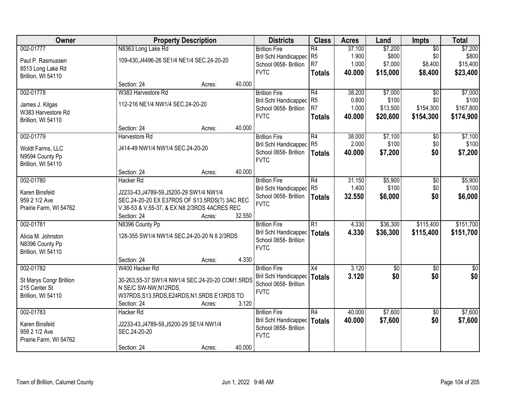| Owner                                 | <b>Property Description</b>                              |        |        | <b>Districts</b>                     | <b>Class</b>    | <b>Acres</b> | Land        | Impts           | <b>Total</b> |
|---------------------------------------|----------------------------------------------------------|--------|--------|--------------------------------------|-----------------|--------------|-------------|-----------------|--------------|
| 002-01777                             | N8363 Long Lake Rd                                       |        |        | <b>Brillion Fire</b>                 | $\overline{R4}$ | 37.100       | \$7,200     | $\overline{50}$ | \$7,200      |
| Paul P. Rasmussen                     | 109-430, J4496-26 SE1/4 NE1/4 SEC.24-20-20               |        |        | Bril Schl Handicapped                | R <sub>5</sub>  | 1.900        | \$800       | \$0             | \$800        |
| 8513 Long Lake Rd                     |                                                          |        |        | School 0658- Brillion                | R <sub>7</sub>  | 1.000        | \$7,000     | \$8,400         | \$15,400     |
| Brillion, WI 54110                    |                                                          |        |        | <b>FVTC</b>                          | <b>Totals</b>   | 40.000       | \$15,000    | \$8,400         | \$23,400     |
|                                       | Section: 24                                              | Acres: | 40.000 |                                      |                 |              |             |                 |              |
| 002-01778                             | W383 Harvestore Rd                                       |        |        | <b>Brillion Fire</b>                 | R4              | 38.200       | \$7,000     | $\overline{30}$ | \$7,000      |
|                                       | 112-216 NE1/4 NW1/4 SEC.24-20-20                         |        |        | <b>Bril Schl Handicapped</b>         | R <sub>5</sub>  | 0.800        | \$100       | \$0             | \$100        |
| James J. Kilgas<br>W383 Harvestore Rd |                                                          |        |        | School 0658- Brillion                | R <sub>7</sub>  | 1.000        | \$13,500    | \$154,300       | \$167,800    |
| Brillion, WI 54110                    |                                                          |        |        | <b>FVTC</b>                          | <b>Totals</b>   | 40.000       | \$20,600    | \$154,300       | \$174,900    |
|                                       | Section: 24                                              | Acres: | 40.000 |                                      |                 |              |             |                 |              |
| 002-01779                             | Harvestore Rd                                            |        |        | <b>Brillion Fire</b>                 | R4              | 38.000       | \$7,100     | \$0             | \$7,100      |
|                                       |                                                          |        |        | <b>Bril Schl Handicapped</b>         | R <sub>5</sub>  | 2.000        | \$100       | \$0             | \$100        |
| Woldt Farms, LLC                      | J414-49 NW1/4 NW1/4 SEC.24-20-20                         |        |        | School 0658- Brillion                | <b>Totals</b>   | 40.000       | \$7,200     | \$0             | \$7,200      |
| N9594 County Pp                       |                                                          |        |        | <b>FVTC</b>                          |                 |              |             |                 |              |
| Brillion, WI 54110                    | Section: 24                                              | Acres: | 40.000 |                                      |                 |              |             |                 |              |
| 002-01780                             | <b>Hacker Rd</b>                                         |        |        | <b>Brillion Fire</b>                 | R4              | 31.150       | \$5,900     | \$0             | \$5,900      |
|                                       |                                                          |        |        | <b>Bril Schl Handicapped</b>         | R <sub>5</sub>  | 1.400        | \$100       | \$0             | \$100        |
| Karen Binsfeld                        | J2233-43, J4789-59, J5200-29 SW1/4 NW1/4                 |        |        | School 0658- Brillion                | <b>Totals</b>   | 32.550       | \$6,000     | \$0             | \$6,000      |
| 959 2 1/2 Ave                         | SEC.24-20-20 EX E37RDS OF S13.5RDS(?) 3AC REC            |        |        | <b>FVTC</b>                          |                 |              |             |                 |              |
| Prairie Farm, WI 54762                | V.36-53 & V.55-37, & EX N8 2/3RDS 4ACRES REC             |        |        |                                      |                 |              |             |                 |              |
|                                       | Section: 24                                              | Acres: | 32.550 |                                      |                 |              |             |                 |              |
| 002-01781                             | N8396 County Pp                                          |        |        | <b>Brillion Fire</b>                 | $\overline{R1}$ | 4.330        | \$36,300    | \$115,400       | \$151,700    |
| Alicia M. Johnston                    | 128-355 SW1/4 NW1/4 SEC.24-20-20 N 8 2/3RDS              |        |        | Bril Schl Handicapped                | <b>Totals</b>   | 4.330        | \$36,300    | \$115,400       | \$151,700    |
| N8396 County Pp                       |                                                          |        |        | School 0658- Brillion<br><b>FVTC</b> |                 |              |             |                 |              |
| Brillion, WI 54110                    |                                                          |        |        |                                      |                 |              |             |                 |              |
|                                       | Section: 24                                              | Acres: | 4.330  |                                      |                 |              |             |                 |              |
| 002-01782                             | W400 Hacker Rd                                           |        |        | <b>Brillion Fire</b>                 | $\overline{X4}$ | 3.120        | $\sqrt{50}$ | $\overline{60}$ | $\sqrt{50}$  |
| St Marys Congr Brillion               | 30-263,55-37 SW1/4 NW1/4 SEC.24-20-20 COM1.5RDS          |        |        | Bril Schl Handicapped                | <b>Totals</b>   | 3.120        | \$0         | \$0             | \$0          |
| 215 Center St                         | N SE/C SW-NW, N12RDS,                                    |        |        | School 0658- Brillion                |                 |              |             |                 |              |
| Brillion, WI 54110                    | W37RDS, S13.5RDS, E24RDS, N1.5RDS E13RDS TO              |        |        | <b>FVTC</b>                          |                 |              |             |                 |              |
|                                       | Section: 24                                              | Acres: | 3.120  |                                      |                 |              |             |                 |              |
| 002-01783                             | Hacker Rd                                                |        |        | <b>Brillion Fire</b>                 | R4              | 40.000       | \$7,600     | $\overline{50}$ | \$7,600      |
| Karen Binsfeld                        |                                                          |        |        | <b>Bril Schl Handicapped</b>         | <b>Totals</b>   | 40.000       | \$7,600     | \$0             | \$7,600      |
| 959 2 1/2 Ave                         | J2233-43, J4789-59, J5200-29 SE1/4 NW1/4<br>SEC.24-20-20 |        |        | School 0658- Brillion                |                 |              |             |                 |              |
| Prairie Farm, WI 54762                |                                                          |        |        | <b>FVTC</b>                          |                 |              |             |                 |              |
|                                       | Section: 24                                              | Acres: | 40.000 |                                      |                 |              |             |                 |              |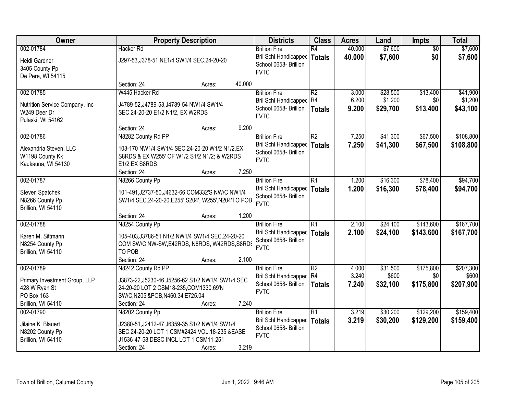| Owner                           | <b>Property Description</b>                          |        |        | <b>Districts</b>                                              | <b>Class</b>    | <b>Acres</b> | Land     | <b>Impts</b>    | <b>Total</b> |
|---------------------------------|------------------------------------------------------|--------|--------|---------------------------------------------------------------|-----------------|--------------|----------|-----------------|--------------|
| 002-01784                       | <b>Hacker Rd</b>                                     |        |        | <b>Brillion Fire</b>                                          | $\overline{R4}$ | 40.000       | \$7,600  | $\overline{50}$ | \$7,600      |
| Heidi Gardner<br>3405 County Pp | J297-53, J378-51 NE1/4 SW1/4 SEC.24-20-20            |        |        | Bril Schl Handicapped<br>School 0658- Brillion<br><b>FVTC</b> | Totals          | 40.000       | \$7,600  | \$0             | \$7,600      |
| De Pere, WI 54115               |                                                      |        |        |                                                               |                 |              |          |                 |              |
|                                 | Section: 24                                          | Acres: | 40.000 |                                                               |                 |              |          |                 |              |
| 002-01785                       | W445 Hacker Rd                                       |        |        | <b>Brillion Fire</b>                                          | R <sub>2</sub>  | 3.000        | \$28,500 | \$13,400        | \$41,900     |
| Nutrition Service Company, Inc. | J4789-52, J4789-53, J4789-54 NW1/4 SW1/4             |        |        | Bril Schl Handicapped R4                                      |                 | 6.200        | \$1,200  | \$0             | \$1,200      |
| W249 Deer Dr                    | SEC.24-20-20 E1/2 N1/2, EX W2RDS                     |        |        | School 0658- Brillion                                         | <b>Totals</b>   | 9.200        | \$29,700 | \$13,400        | \$43,100     |
| Pulaski, WI 54162               |                                                      |        |        | <b>FVTC</b>                                                   |                 |              |          |                 |              |
|                                 | Section: 24                                          | Acres: | 9.200  |                                                               |                 |              |          |                 |              |
| 002-01786                       | N8282 County Rd PP                                   |        |        | <b>Brillion Fire</b>                                          | R2              | 7.250        | \$41,300 | \$67,500        | \$108,800    |
| Alexandria Steven, LLC          | 103-170 NW1/4 SW1/4 SEC.24-20-20 W1/2 N1/2, EX       |        |        | Bril Schl Handicapped                                         | Totals          | 7.250        | \$41,300 | \$67,500        | \$108,800    |
| W1198 County Kk                 | S8RDS & EX W255' OF W1/2 S1/2 N1/2; & W2RDS          |        |        | School 0658- Brillion                                         |                 |              |          |                 |              |
| Kaukauna, WI 54130              | E1/2,EX S8RDS                                        |        |        | <b>FVTC</b>                                                   |                 |              |          |                 |              |
|                                 | Section: 24                                          | Acres: | 7.250  |                                                               |                 |              |          |                 |              |
| 002-01787                       | N8266 County Pp                                      |        |        | <b>Brillion Fire</b>                                          | R1              | 1.200        | \$16,300 | \$78,400        | \$94,700     |
|                                 |                                                      |        |        | Bril Schl Handicapped                                         | <b>Totals</b>   | 1.200        | \$16,300 | \$78,400        | \$94,700     |
| Steven Spatchek                 | 101-491, J2737-50, J4632-66 COM332'S NW/C NW1/4      |        |        | School 0658- Brillion                                         |                 |              |          |                 |              |
| N8266 County Pp                 | SW1/4 SEC.24-20-20, E255', S204', W255', N204'TO POB |        |        | <b>FVTC</b>                                                   |                 |              |          |                 |              |
| Brillion, WI 54110              |                                                      |        |        |                                                               |                 |              |          |                 |              |
| 002-01788                       | Section: 24                                          | Acres: | 1.200  |                                                               | $\overline{R1}$ | 2.100        | \$24,100 | \$143,600       | \$167,700    |
|                                 | N8254 County Pp                                      |        |        | <b>Brillion Fire</b>                                          |                 |              |          |                 |              |
| Karen M. Sittmann               | 105-403, J3786-51 N1/2 NW1/4 SW1/4 SEC.24-20-20      |        |        | Bril Schl Handicapped   Totals<br>School 0658- Brillion       |                 | 2.100        | \$24,100 | \$143,600       | \$167,700    |
| N8254 County Pp                 | COM SW/C NW-SW, E42RDS, N8RDS, W42RDS, S8RDS         |        |        | <b>FVTC</b>                                                   |                 |              |          |                 |              |
| Brillion, WI 54110              | TO POB                                               |        |        |                                                               |                 |              |          |                 |              |
|                                 | Section: 24                                          | Acres: | 2.100  |                                                               |                 |              |          |                 |              |
| 002-01789                       | N8242 County Rd PP                                   |        |        | <b>Brillion Fire</b>                                          | R2              | 4.000        | \$31,500 | \$175,800       | \$207,300    |
| Primary Investment Group, LLP   | J3873-22, J5230-46, J5256-62 S1/2 NW1/4 SW1/4 SEC    |        |        | Bril Schl Handicapped R4                                      |                 | 3.240        | \$600    | \$0             | \$600        |
| 428 W Ryan St                   | 24-20-20 LOT 2 CSM18-235, COM1330.69'N               |        |        | School 0658- Brillion                                         | Totals          | 7.240        | \$32,100 | \$175,800       | \$207,900    |
| PO Box 163                      | SW/C,N205'&POB,N460.34'E725.04                       |        |        | <b>FVTC</b>                                                   |                 |              |          |                 |              |
| Brillion, WI 54110              | Section: 24                                          | Acres: | 7.240  |                                                               |                 |              |          |                 |              |
| 002-01790                       | N8202 County Pp                                      |        |        | <b>Brillion Fire</b>                                          | R1              | 3.219        | \$30,200 | \$129,200       | \$159,400    |
| Jilaine K. Blauert              | J2380-51, J2412-47, J6359-35 S1/2 NW1/4 SW1/4        |        |        | Bril Schl Handicapped                                         | Totals          | 3.219        | \$30,200 | \$129,200       | \$159,400    |
| N8202 County Pp                 | SEC.24-20-20 LOT 1 CSM#2424 VOL.18-235 &EASE         |        |        | School 0658- Brillion                                         |                 |              |          |                 |              |
| Brillion, WI 54110              | J1536-47-58, DESC INCL LOT 1 CSM11-251               |        |        | <b>FVTC</b>                                                   |                 |              |          |                 |              |
|                                 | Section: 24                                          | Acres: | 3.219  |                                                               |                 |              |          |                 |              |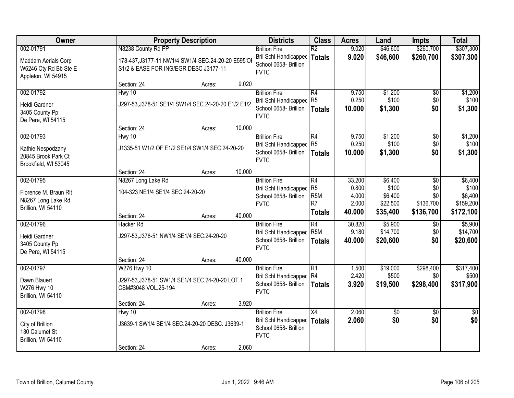| Owner                                                                 |                                                                                             | <b>Property Description</b> |        |                                                                                          | <b>Class</b>                                         | <b>Acres</b>            | Land                          | Impts                         | <b>Total</b>                    |
|-----------------------------------------------------------------------|---------------------------------------------------------------------------------------------|-----------------------------|--------|------------------------------------------------------------------------------------------|------------------------------------------------------|-------------------------|-------------------------------|-------------------------------|---------------------------------|
| 002-01791                                                             | N8238 County Rd PP                                                                          |                             |        | <b>Brillion Fire</b>                                                                     | $\overline{R2}$                                      | 9.020                   | \$46,600                      | \$260,700                     | \$307,300                       |
| Maddam Aerials Corp<br>W6246 Cty Rd Bb Ste E<br>Appleton, WI 54915    | 178-437, J3177-11 NW1/4 SW1/4 SEC.24-20-20 E595'OI<br>S1/2 & EASE FOR ING/EGR DESC J3177-11 |                             |        | Bril Schl Handicapped<br>School 0658- Brillion<br><b>FVTC</b>                            | <b>Totals</b>                                        | 9.020                   | \$46,600                      | \$260,700                     | \$307,300                       |
|                                                                       | Section: 24                                                                                 | Acres:                      | 9.020  |                                                                                          |                                                      |                         |                               |                               |                                 |
| 002-01792                                                             | Hwy 10                                                                                      |                             |        | <b>Brillion Fire</b>                                                                     | R4                                                   | 9.750                   | \$1,200                       | $\overline{50}$               | \$1,200                         |
| Heidi Gardner<br>3405 County Pp<br>De Pere, WI 54115                  | J297-53, J378-51 SE1/4 SW1/4 SEC.24-20-20 E1/2 E1/2                                         |                             |        | <b>Bril Schl Handicapped</b><br>School 0658- Brillion<br><b>FVTC</b>                     | R <sub>5</sub><br><b>Totals</b>                      | 0.250<br>10.000         | \$100<br>\$1,300              | \$0<br>\$0                    | \$100<br>\$1,300                |
|                                                                       | Section: 24                                                                                 | Acres:                      | 10.000 |                                                                                          |                                                      |                         |                               |                               |                                 |
| 002-01793                                                             | Hwy 10                                                                                      |                             |        | <b>Brillion Fire</b>                                                                     | R4                                                   | 9.750                   | \$1,200                       | \$0                           | \$1,200                         |
| Kathie Nespodzany<br>20845 Brook Park Ct<br>Brookfield, WI 53045      | J1335-51 W1/2 OF E1/2 SE1/4 SW1/4 SEC.24-20-20                                              |                             |        | Bril Schl Handicapped<br>School 0658- Brillion<br><b>FVTC</b>                            | R5<br><b>Totals</b>                                  | 0.250<br>10.000         | \$100<br>\$1,300              | \$0<br>\$0                    | \$100<br>\$1,300                |
|                                                                       | Section: 24                                                                                 | Acres:                      | 10.000 |                                                                                          |                                                      |                         |                               |                               |                                 |
| 002-01795                                                             | N8267 Long Lake Rd                                                                          |                             |        | <b>Brillion Fire</b>                                                                     | R4                                                   | 33.200                  | \$6,400                       | \$0                           | \$6,400                         |
| Florence M. Braun Rlt<br>N8267 Long Lake Rd<br>Brillion, WI 54110     | 104-323 NE1/4 SE1/4 SEC.24-20-20                                                            |                             |        | <b>Bril Schl Handicapped</b><br>School 0658- Brillion<br><b>FVTC</b>                     | R <sub>5</sub><br>R <sub>5</sub> M<br>R <sub>7</sub> | 0.800<br>4.000<br>2.000 | \$100<br>\$6,400<br>\$22,500  | \$0<br>\$0<br>\$136,700       | \$100<br>\$6,400<br>\$159,200   |
|                                                                       | Section: 24                                                                                 | Acres:                      | 40.000 |                                                                                          | <b>Totals</b>                                        | 40.000                  | \$35,400                      | \$136,700                     | \$172,100                       |
| 002-01796                                                             | <b>Hacker Rd</b>                                                                            |                             |        | <b>Brillion Fire</b>                                                                     | $\overline{R4}$                                      | 30.820                  | \$5,900                       | $\overline{60}$               | \$5,900                         |
| Heidi Gardner<br>3405 County Pp<br>De Pere, WI 54115                  | J297-53, J378-51 NW1/4 SE1/4 SEC.24-20-20                                                   |                             |        | Bril Schl Handicapped<br>School 0658- Brillion<br><b>FVTC</b>                            | R <sub>5</sub> M<br><b>Totals</b>                    | 9.180<br>40.000         | \$14,700<br>\$20,600          | \$0<br>\$0                    | \$14,700<br>\$20,600            |
|                                                                       | Section: 24                                                                                 | Acres:                      | 40.000 |                                                                                          |                                                      |                         |                               |                               |                                 |
| 002-01797<br>Dawn Blauert<br>W276 Hwy 10<br>Brillion, WI 54110        | W276 Hwy 10<br>J297-53, J378-51 SW1/4 SE1/4 SEC.24-20-20 LOT 1<br>CSM#3048 VOL.25-194       |                             |        | <b>Brillion Fire</b><br>Bril Schl Handicapped R4<br>School 0658- Brillion<br><b>FVTC</b> | $\overline{R1}$<br><b>Totals</b>                     | 1.500<br>2.420<br>3.920 | \$19,000<br>\$500<br>\$19,500 | \$298,400<br>\$0<br>\$298,400 | \$317,400<br>\$500<br>\$317,900 |
|                                                                       | Section: 24                                                                                 | Acres:                      | 3.920  |                                                                                          |                                                      |                         |                               |                               |                                 |
| 002-01798<br>City of Brillion<br>130 Calumet St<br>Brillion, WI 54110 | Hwy 10<br>J3639-1 SW1/4 SE1/4 SEC.24-20-20 DESC. J3639-1                                    |                             |        | <b>Brillion Fire</b><br>Bril Schl Handicapped<br>School 0658- Brillion<br><b>FVTC</b>    | $\overline{X4}$<br><b>Totals</b>                     | 2.060<br>2.060          | $\sqrt{50}$<br>\$0            | $\overline{50}$<br>\$0        | $\overline{50}$<br>\$0          |
|                                                                       | Section: 24                                                                                 | Acres:                      | 2.060  |                                                                                          |                                                      |                         |                               |                               |                                 |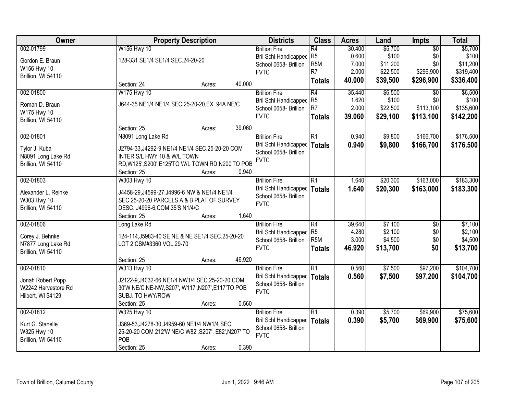| Owner               | <b>Property Description</b>                         |        |        | <b>Districts</b>                     | <b>Class</b>                      | <b>Acres</b>   | Land               | <b>Impts</b>    | <b>Total</b>       |
|---------------------|-----------------------------------------------------|--------|--------|--------------------------------------|-----------------------------------|----------------|--------------------|-----------------|--------------------|
| 002-01799           | W156 Hwy 10                                         |        |        | <b>Brillion Fire</b>                 | R4                                | 30.400         | \$5,700            | $\overline{50}$ | \$5,700            |
| Gordon E. Braun     | 128-331 SE1/4 SE1/4 SEC.24-20-20                    |        |        | Bril Schl Handicapped                | R <sub>5</sub>                    | 0.600          | \$100              | \$0             | \$100              |
| W156 Hwy 10         |                                                     |        |        | School 0658- Brillion                | R <sub>5</sub> M                  | 7.000          | \$11,200           | \$0             | \$11,200           |
| Brillion, WI 54110  |                                                     |        |        | <b>FVTC</b>                          | R <sub>7</sub>                    | 2.000          | \$22,500           | \$296,900       | \$319,400          |
|                     | Section: 24                                         | Acres: | 40.000 |                                      | <b>Totals</b>                     | 40.000         | \$39,500           | \$296,900       | \$336,400          |
| 002-01800           | W175 Hwy 10                                         |        |        | <b>Brillion Fire</b>                 | $\overline{R4}$                   | 35.440         | \$6,500            | $\overline{30}$ | \$6,500            |
| Roman D. Braun      | J644-35 NE1/4 NE1/4 SEC.25-20-20, EX. 94A NE/C      |        |        | Bril Schl Handicapped                | R <sub>5</sub>                    | 1.620          | \$100              | \$0             | \$100              |
| W175 Hwy 10         |                                                     |        |        | School 0658- Brillion                | R <sub>7</sub>                    | 2.000          | \$22,500           | \$113,100       | \$135,600          |
| Brillion, WI 54110  |                                                     |        |        | <b>FVTC</b>                          | <b>Totals</b>                     | 39.060         | \$29,100           | \$113,100       | \$142,200          |
|                     | Section: 25                                         | Acres: | 39.060 |                                      |                                   |                |                    |                 |                    |
| 002-01801           | N8091 Long Lake Rd                                  |        |        | <b>Brillion Fire</b>                 | $\overline{R1}$                   | 0.940          | \$9,800            | \$166,700       | \$176,500          |
| Tylor J. Kuba       | J2794-33, J4292-9 NE1/4 NE1/4 SEC.25-20-20 COM      |        |        | Bril Schl Handicapped                | <b>Totals</b>                     | 0.940          | \$9,800            | \$166,700       | \$176,500          |
| N8091 Long Lake Rd  | INTER S/L HWY 10 & W/L TOWN                         |        |        | School 0658- Brillion                |                                   |                |                    |                 |                    |
| Brillion, WI 54110  | RD, W125', S200', E125'TO W/L TOWN RD, N200'TO POB  |        |        | <b>FVTC</b>                          |                                   |                |                    |                 |                    |
|                     | Section: 25                                         | Acres: | 0.940  |                                      |                                   |                |                    |                 |                    |
| 002-01803           | W303 Hwy 10                                         |        |        | <b>Brillion Fire</b>                 | R1                                | 1.640          | \$20,300           | \$163,000       | \$183,300          |
|                     |                                                     |        |        | <b>Bril Schl Handicapped</b>         | <b>Totals</b>                     | 1.640          | \$20,300           | \$163,000       | \$183,300          |
| Alexander L. Reinke | J4458-29, J4599-27, J4996-6 NW & NE1/4 NE1/4        |        |        | School 0658- Brillion                |                                   |                |                    |                 |                    |
| W303 Hwy 10         | SEC.25-20-20 PARCELS A & B PLAT OF SURVEY           |        |        | <b>FVTC</b>                          |                                   |                |                    |                 |                    |
| Brillion, WI 54110  | DESC. J4996-6, COM 35'S N1/4/C                      |        |        |                                      |                                   |                |                    |                 |                    |
|                     | Section: 25                                         | Acres: | 1.640  |                                      |                                   |                |                    |                 |                    |
| 002-01806           | Long Lake Rd                                        |        |        | <b>Brillion Fire</b>                 | $\overline{R4}$<br>R <sub>5</sub> | 39.640         | \$7,100            | $\overline{50}$ | \$7,100<br>\$2,100 |
| Corey J. Behnke     | 124-114, J5983-40 SE NE & NE SE1/4 SEC.25-20-20     |        |        | Bril Schl Handicapped                | R <sub>5</sub> M                  | 4.280<br>3.000 | \$2,100<br>\$4,500 | \$0<br>\$0      | \$4,500            |
| N7877 Long Lake Rd  | LOT 2 CSM#3360 VOL.29-70                            |        |        | School 0658- Brillion<br><b>FVTC</b> |                                   | 46.920         |                    | \$0             |                    |
| Brillion, WI 54110  |                                                     |        |        |                                      | <b>Totals</b>                     |                | \$13,700           |                 | \$13,700           |
|                     | Section: 25                                         | Acres: | 46.920 |                                      |                                   |                |                    |                 |                    |
| 002-01810           | W313 Hwy 10                                         |        |        | <b>Brillion Fire</b>                 | $\overline{R1}$                   | 0.560          | \$7,500            | \$97,200        | \$104,700          |
| Jonah Robert Popp   | J2122-9,J4032-66 NE1/4 NW1/4 SEC.25-20-20 COM       |        |        | <b>Bril Schl Handicapped</b>         | <b>Totals</b>                     | 0.560          | \$7,500            | \$97,200        | \$104,700          |
| W2242 Harvestore Rd | 30'W NE/C NE-NW, S207', W117', N207', E117'TO POB   |        |        | School 0658- Brillion                |                                   |                |                    |                 |                    |
| Hilbert, WI 54129   | SUBJ. TO HWY/ROW                                    |        |        | <b>FVTC</b>                          |                                   |                |                    |                 |                    |
|                     | Section: 25                                         | Acres: | 0.560  |                                      |                                   |                |                    |                 |                    |
| 002-01812           | W325 Hwy 10                                         |        |        | <b>Brillion Fire</b>                 | $\overline{R1}$                   | 0.390          | \$5,700            | \$69,900        | \$75,600           |
| Kurt G. Stanelle    | J369-53, J4278-30, J4959-60 NE1/4 NW1/4 SEC         |        |        | Bril Schl Handicapped                | <b>Totals</b>                     | 0.390          | \$5,700            | \$69,900        | \$75,600           |
| W325 Hwy 10         | 25-20-20 COM 212'W NE/C W82', S207', E82', N207' TO |        |        | School 0658- Brillion                |                                   |                |                    |                 |                    |
| Brillion, WI 54110  | POB                                                 |        |        | <b>FVTC</b>                          |                                   |                |                    |                 |                    |
|                     | Section: 25                                         | Acres: | 0.390  |                                      |                                   |                |                    |                 |                    |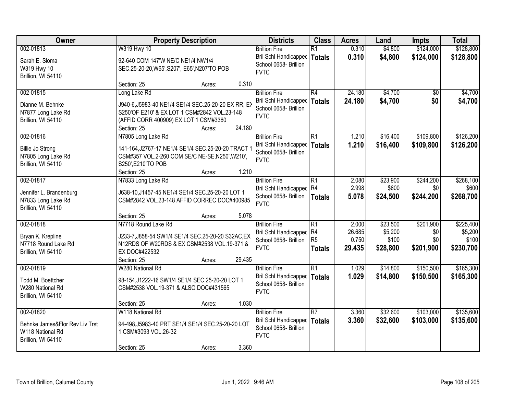| Owner                                                                                 | <b>Property Description</b>                                                                                                                                                  | <b>Districts</b> | <b>Class</b> | <b>Acres</b>                                                                                 | Land                                                     | Impts                              | <b>Total</b>                             |                                      |                                            |
|---------------------------------------------------------------------------------------|------------------------------------------------------------------------------------------------------------------------------------------------------------------------------|------------------|--------------|----------------------------------------------------------------------------------------------|----------------------------------------------------------|------------------------------------|------------------------------------------|--------------------------------------|--------------------------------------------|
| 002-01813                                                                             | W319 Hwy 10                                                                                                                                                                  |                  |              | <b>Brillion Fire</b>                                                                         | $\overline{R1}$                                          | 0.310                              | \$4,800                                  | \$124,000                            | \$128,800                                  |
| Sarah E. Sloma<br>W319 Hwy 10<br>Brillion, WI 54110                                   | 92-640 COM 147'W NE/C NE1/4 NW1/4<br>SEC.25-20-20, W65', S207', E65', N207'TO POB                                                                                            |                  |              | <b>Bril Schl Handicapped</b><br>School 0658- Brillion<br><b>FVTC</b>                         | <b>Totals</b>                                            | 0.310                              | \$4,800                                  | \$124,000                            | \$128,800                                  |
|                                                                                       | Section: 25                                                                                                                                                                  | Acres:           | 0.310        |                                                                                              |                                                          |                                    |                                          |                                      |                                            |
| 002-01815<br>Dianne M. Behnke<br>N7877 Long Lake Rd<br>Brillion, WI 54110             | Long Lake Rd<br>J940-6, J5983-40 NE1/4 SE1/4 SEC. 25-20-20 EX RR, EX<br>S250'OF E210' & EX LOT 1 CSM#2842 VOL.23-148<br>(AFFID CORR 400909) EX LOT 1 CSM#3360<br>Section: 25 | Acres:           | 24.180       | <b>Brillion Fire</b><br><b>Bril Schl Handicapped</b><br>School 0658- Brillion<br><b>FVTC</b> | R4<br><b>Totals</b>                                      | 24.180<br>24.180                   | \$4,700<br>\$4,700                       | $\overline{50}$<br>\$0               | \$4,700<br>\$4,700                         |
| 002-01816                                                                             | N7805 Long Lake Rd                                                                                                                                                           |                  |              | <b>Brillion Fire</b>                                                                         | $\overline{R1}$                                          | 1.210                              | \$16,400                                 | \$109,800                            | \$126,200                                  |
| <b>Billie Jo Strong</b><br>N7805 Long Lake Rd<br>Brillion, WI 54110                   | 141-164, J2767-17 NE1/4 SE1/4 SEC.25-20-20 TRACT '<br>CSM#357 VOL.2-260 COM SE/C NE-SE, N250', W210',<br>S250', E210'TO POB<br>Section: 25                                   | Acres:           | 1.210        | Bril Schl Handicapped<br>School 0658- Brillion<br><b>FVTC</b>                                | <b>Totals</b>                                            | 1.210                              | \$16,400                                 | \$109,800                            | \$126,200                                  |
| 002-01817                                                                             | N7833 Long Lake Rd                                                                                                                                                           |                  |              | <b>Brillion Fire</b>                                                                         | $\overline{R1}$                                          | 2.080                              | \$23,900                                 | \$244,200                            | \$268,100                                  |
| Jennifer L. Brandenburg<br>N7833 Long Lake Rd<br>Brillion, WI 54110                   | J638-10, J1457-45 NE1/4 SE1/4 SEC. 25-20-20 LOT 1<br>CSM#2842 VOL.23-148 AFFID CORREC DOC#400985                                                                             |                  |              | <b>Bril Schl Handicapped</b><br>School 0658- Brillion<br><b>FVTC</b>                         | R4<br><b>Totals</b>                                      | 2.998<br>5.078                     | \$600<br>\$24,500                        | \$0<br>\$244,200                     | \$600<br>\$268,700                         |
|                                                                                       | Section: 25                                                                                                                                                                  | Acres:           | 5.078        |                                                                                              |                                                          |                                    |                                          |                                      |                                            |
| 002-01818<br>Bryan K. Krepline<br>N7718 Round Lake Rd<br>Brillion, WI 54110           | N7718 Round Lake Rd<br>J233-7, J858-54 SW1/4 SE1/4 SEC.25-20-20 S32AC, EX<br>N12RDS OF W20RDS & EX CSM#2538 VOL.19-371 &<br>EX DOC#422532<br>Section: 25                     | Acres:           | 29.435       | <b>Brillion Fire</b><br>Bril Schl Handicapped<br>School 0658- Brillion<br><b>FVTC</b>        | $\overline{R1}$<br>R4<br>R <sub>5</sub><br><b>Totals</b> | 2.000<br>26.685<br>0.750<br>29.435 | \$23,500<br>\$5,200<br>\$100<br>\$28,800 | \$201,900<br>\$0<br>\$0<br>\$201,900 | \$225,400<br>\$5,200<br>\$100<br>\$230,700 |
| 002-01819                                                                             | W280 National Rd                                                                                                                                                             |                  |              | <b>Brillion Fire</b>                                                                         | $\overline{R1}$                                          | 1.029                              | \$14,800                                 | \$150,500                            | \$165,300                                  |
| Todd M. Boettcher<br>W280 National Rd<br>Brillion, WI 54110                           | 98-154, J1222-16 SW1/4 SE1/4 SEC. 25-20-20 LOT 1<br>CSM#2538 VOL.19-371 & ALSO DOC#431565                                                                                    |                  |              | <b>Bril Schl Handicapped</b><br>School 0658- Brillion<br><b>FVTC</b>                         | <b>Totals</b>                                            | 1.029                              | \$14,800                                 | \$150,500                            | \$165,300                                  |
|                                                                                       | Section: 25                                                                                                                                                                  | Acres:           | 1.030        |                                                                                              |                                                          |                                    |                                          |                                      |                                            |
| 002-01820<br>Behnke James&Flor Rev Liv Trst<br>W118 National Rd<br>Brillion, WI 54110 | W118 National Rd<br>94-498, J5983-40 PRT SE1/4 SE1/4 SEC.25-20-20 LOT<br>1 CSM#3093 VOL.26-32                                                                                |                  | 3.360        | <b>Brillion Fire</b><br><b>Bril Schl Handicapped</b><br>School 0658- Brillion<br><b>FVTC</b> | $\overline{R7}$<br><b>Totals</b>                         | 3.360<br>3.360                     | \$32,600<br>\$32,600                     | \$103,000<br>\$103,000               | \$135,600<br>\$135,600                     |
|                                                                                       | Section: 25                                                                                                                                                                  | Acres:           |              |                                                                                              |                                                          |                                    |                                          |                                      |                                            |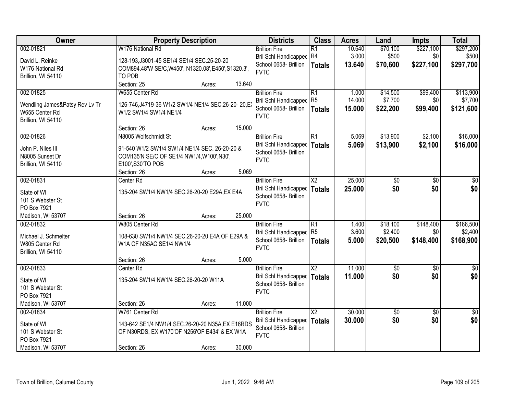| Owner                                | <b>Property Description</b>                          |        |        | <b>Districts</b>                               | <b>Class</b>    | <b>Acres</b> | Land        | <b>Impts</b>      | <b>Total</b>           |
|--------------------------------------|------------------------------------------------------|--------|--------|------------------------------------------------|-----------------|--------------|-------------|-------------------|------------------------|
| 002-01821                            | W176 National Rd                                     |        |        | <b>Brillion Fire</b>                           | R1              | 10.640       | \$70,100    | \$227,100         | \$297,200              |
| David L. Reinke                      | 128-193, J3001-45 SE1/4 SE1/4 SEC. 25-20-20          |        |        | <b>Bril Schl Handicapped</b>                   | R4              | 3.000        | \$500       | \$0               | \$500                  |
| W176 National Rd                     | COM894.48'W SE/C, W450', N1320.08', E450', S1320.3', |        |        | School 0658- Brillion                          | <b>Totals</b>   | 13.640       | \$70,600    | \$227,100         | \$297,700              |
| Brillion, WI 54110                   | TO POB                                               |        |        | <b>FVTC</b>                                    |                 |              |             |                   |                        |
|                                      | Section: 25                                          | Acres: | 13.640 |                                                |                 |              |             |                   |                        |
| 002-01825                            | W655 Center Rd                                       |        |        | <b>Brillion Fire</b>                           | $\overline{R1}$ | 1.000        | \$14,500    | \$99,400          | \$113,900              |
| Wendling James&Patsy Rev Lv Tr       | 126-746, J4719-36 W1/2 SW1/4 NE1/4 SEC.26-20-20, EX  |        |        | <b>Bril Schl Handicapped</b>                   | R <sub>5</sub>  | 14.000       | \$7,700     | \$0               | \$7,700                |
| W655 Center Rd                       | W1/2 SW1/4 SW1/4 NE1/4                               |        |        | School 0658- Brillion                          | <b>Totals</b>   | 15.000       | \$22,200    | \$99,400          | \$121,600              |
| Brillion, WI 54110                   |                                                      |        |        | <b>FVTC</b>                                    |                 |              |             |                   |                        |
|                                      | Section: 26                                          | Acres: | 15.000 |                                                |                 |              |             |                   |                        |
| 002-01826                            | N8005 Wolfschmidt St                                 |        |        | <b>Brillion Fire</b>                           | $\overline{R1}$ | 5.069        | \$13,900    | \$2,100           | \$16,000               |
| John P. Niles III                    | 91-540 W1/2 SW1/4 SW1/4 NE1/4 SEC. 26-20-20 &        |        |        | <b>Bril Schl Handicapped</b>                   | <b>Totals</b>   | 5.069        | \$13,900    | \$2,100           | \$16,000               |
| N8005 Sunset Dr                      | COM135'N SE/C OF SE1/4 NW1/4, W100', N30',           |        |        | School 0658- Brillion                          |                 |              |             |                   |                        |
| Brillion, WI 54110                   | E100', S30'TO POB                                    |        |        | <b>FVTC</b>                                    |                 |              |             |                   |                        |
|                                      | Section: 26                                          | Acres: | 5.069  |                                                |                 |              |             |                   |                        |
| 002-01831                            | Center Rd                                            |        |        | <b>Brillion Fire</b>                           | X <sub>2</sub>  | 25,000       | \$0         | \$0               | \$0                    |
| State of WI                          | 135-204 SW1/4 NW1/4 SEC.26-20-20 E29A, EX E4A        |        |        | <b>Bril Schl Handicapped</b>                   | <b>Totals</b>   | 25.000       | \$0         | \$0               | \$0                    |
| 101 S Webster St                     |                                                      |        |        | School 0658- Brillion                          |                 |              |             |                   |                        |
| PO Box 7921                          |                                                      |        |        | <b>FVTC</b>                                    |                 |              |             |                   |                        |
| Madison, WI 53707                    | Section: 26                                          | Acres: | 25.000 |                                                |                 |              |             |                   |                        |
| 002-01832                            | W805 Center Rd                                       |        |        | <b>Brillion Fire</b>                           | $\overline{R1}$ | 1.400        | \$18,100    | \$148,400         | \$166,500              |
|                                      |                                                      |        |        | <b>Bril Schl Handicapped</b>                   | R <sub>5</sub>  | 3.600        | \$2,400     | \$0               | \$2,400                |
| Michael J. Schmelter                 | 108-630 SW1/4 NW1/4 SEC.26-20-20 E4A OF E29A &       |        |        | School 0658- Brillion                          | <b>Totals</b>   | 5.000        | \$20,500    | \$148,400         | \$168,900              |
| W805 Center Rd<br>Brillion, WI 54110 | W1A OF N35AC SE1/4 NW1/4                             |        |        | <b>FVTC</b>                                    |                 |              |             |                   |                        |
|                                      | Section: 26                                          | Acres: | 5.000  |                                                |                 |              |             |                   |                        |
| 002-01833                            | Center Rd                                            |        |        | <b>Brillion Fire</b>                           | $\overline{X2}$ | 11.000       | $\sqrt{50}$ | $\overline{50}$   | $\frac{1}{6}$          |
|                                      |                                                      |        |        | <b>Bril Schl Handicapped</b>                   | Totals          | 11.000       | \$0         | \$0               | \$0                    |
| State of WI                          | 135-204 SW1/4 NW1/4 SEC.26-20-20 W11A                |        |        | School 0658- Brillion                          |                 |              |             |                   |                        |
| 101 S Webster St                     |                                                      |        |        | <b>FVTC</b>                                    |                 |              |             |                   |                        |
| PO Box 7921                          |                                                      |        | 11.000 |                                                |                 |              |             |                   |                        |
| Madison, WI 53707                    | Section: 26                                          | Acres: |        |                                                | $\overline{X2}$ | 30.000       |             |                   |                        |
| 002-01834                            | W761 Center Rd                                       |        |        | <b>Brillion Fire</b>                           |                 | 30.000       | \$0<br>\$0  | $\sqrt{6}$<br>\$0 | $\overline{50}$<br>\$0 |
| State of WI                          | 143-642 SE1/4 NW1/4 SEC.26-20-20 N35A,EX E16RDS      |        |        | Bril Schl Handicapped<br>School 0658- Brillion | <b>Totals</b>   |              |             |                   |                        |
| 101 S Webster St                     | OF N30RDS, EX W170'OF N256'OF E434' & EX W1A         |        |        | <b>FVTC</b>                                    |                 |              |             |                   |                        |
| PO Box 7921                          |                                                      |        |        |                                                |                 |              |             |                   |                        |
| Madison, WI 53707                    | Section: 26                                          | Acres: | 30.000 |                                                |                 |              |             |                   |                        |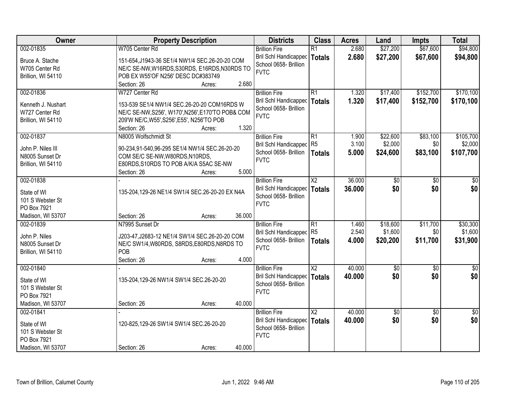| Owner              | <b>Property Description</b>                       |                  | <b>Districts</b>             | <b>Class</b>             | <b>Acres</b> | Land        | <b>Impts</b>    | <b>Total</b>    |
|--------------------|---------------------------------------------------|------------------|------------------------------|--------------------------|--------------|-------------|-----------------|-----------------|
| 002-01835          | W705 Center Rd                                    |                  | <b>Brillion Fire</b>         | $\overline{R1}$          | 2.680        | \$27,200    | \$67,600        | \$94,800        |
| Bruce A. Stache    | 151-654, J1943-36 SE1/4 NW1/4 SEC.26-20-20 COM    |                  | Bril Schl Handicapped        | <b>Totals</b>            | 2.680        | \$27,200    | \$67,600        | \$94,800        |
| W705 Center Rd     | NE/C SE-NW, W16RDS, S30RDS, E16RDS, N30RDS TO     |                  | School 0658- Brillion        |                          |              |             |                 |                 |
| Brillion, WI 54110 | POB EX W55'OF N256' DESC DC#383749                |                  | <b>FVTC</b>                  |                          |              |             |                 |                 |
|                    | Section: 26                                       | 2.680<br>Acres:  |                              |                          |              |             |                 |                 |
| 002-01836          | W727 Center Rd                                    |                  | <b>Brillion Fire</b>         | $\overline{R1}$          | 1.320        | \$17,400    | \$152,700       | \$170,100       |
|                    |                                                   |                  | Bril Schl Handicapped        | <b>Totals</b>            | 1.320        | \$17,400    | \$152,700       | \$170,100       |
| Kenneth J. Nushart | 153-539 SE1/4 NW1/4 SEC.26-20-20 COM16RDS W       |                  | School 0658- Brillion        |                          |              |             |                 |                 |
| W727 Center Rd     | NE/C SE-NW, S256', W170', N256', E170'TO POB& COM |                  | <b>FVTC</b>                  |                          |              |             |                 |                 |
| Brillion, WI 54110 | 209'W NE/C, W55', S256', E55', N256'TO POB        |                  |                              |                          |              |             |                 |                 |
|                    | Section: 26                                       | 1.320<br>Acres:  |                              |                          |              |             |                 |                 |
| 002-01837          | N8005 Wolfschmidt St                              |                  | <b>Brillion Fire</b>         | R1                       | 1.900        | \$22,600    | \$83,100        | \$105,700       |
| John P. Niles III  | 90-234,91-540,96-295 SE1/4 NW1/4 SEC.26-20-20     |                  | Bril Schl Handicapped        | R <sub>5</sub>           | 3.100        | \$2,000     | \$0             | \$2,000         |
| N8005 Sunset Dr    | COM SE/C SE-NW, W80RDS, N10RDS,                   |                  | School 0658- Brillion        | <b>Totals</b>            | 5.000        | \$24,600    | \$83,100        | \$107,700       |
| Brillion, WI 54110 | E80RDS, S10RDS TO POB A/K/A S5AC SE-NW            |                  | <b>FVTC</b>                  |                          |              |             |                 |                 |
|                    | Section: 26                                       | 5.000<br>Acres:  |                              |                          |              |             |                 |                 |
| 002-01838          |                                                   |                  | <b>Brillion Fire</b>         | X <sub>2</sub>           | 36,000       | \$0         | \$0             | \$0             |
|                    |                                                   |                  | <b>Bril Schl Handicapped</b> | <b>Totals</b>            | 36.000       | \$0         | \$0             | \$0             |
| State of WI        | 135-204, 129-26 NE1/4 SW1/4 SEC. 26-20-20 EX N4A  |                  | School 0658- Brillion        |                          |              |             |                 |                 |
| 101 S Webster St   |                                                   |                  | <b>FVTC</b>                  |                          |              |             |                 |                 |
| PO Box 7921        |                                                   |                  |                              |                          |              |             |                 |                 |
| Madison, WI 53707  | Section: 26                                       | 36.000<br>Acres: |                              |                          |              |             |                 |                 |
| 002-01839          | N7995 Sunset Dr                                   |                  | <b>Brillion Fire</b>         | $\overline{R1}$          | 1.460        | \$18,600    | \$11,700        | \$30,300        |
| John P. Niles      | J203-47, J2683-12 NE1/4 SW1/4 SEC.26-20-20 COM    |                  | <b>Bril Schl Handicapped</b> | R <sub>5</sub>           | 2.540        | \$1,600     | \$0             | \$1,600         |
| N8005 Sunset Dr    | NE/C SW1/4, W80RDS, S8RDS, E80RDS, N8RDS TO       |                  | School 0658- Brillion        | <b>Totals</b>            | 4.000        | \$20,200    | \$11,700        | \$31,900        |
| Brillion, WI 54110 | POB                                               |                  | <b>FVTC</b>                  |                          |              |             |                 |                 |
|                    | Section: 26                                       | 4.000<br>Acres:  |                              |                          |              |             |                 |                 |
| 002-01840          |                                                   |                  | <b>Brillion Fire</b>         | $\overline{X2}$          | 40.000       | $\sqrt{50}$ | $\overline{60}$ | $\sqrt{50}$     |
|                    |                                                   |                  | Bril Schl Handicapped        | <b>Totals</b>            | 40.000       | \$0         | \$0             | \$0             |
| State of WI        | 135-204,129-26 NW1/4 SW1/4 SEC.26-20-20           |                  | School 0658- Brillion        |                          |              |             |                 |                 |
| 101 S Webster St   |                                                   |                  | <b>FVTC</b>                  |                          |              |             |                 |                 |
| PO Box 7921        |                                                   |                  |                              |                          |              |             |                 |                 |
| Madison, WI 53707  | Section: 26                                       | 40.000<br>Acres: |                              |                          |              |             |                 |                 |
| 002-01841          |                                                   |                  | <b>Brillion Fire</b>         | $\overline{\mathsf{X2}}$ | 40.000       | \$0         | $\overline{50}$ | $\overline{50}$ |
| State of WI        | 120-825, 129-26 SW1/4 SW1/4 SEC.26-20-20          |                  | <b>Bril Schl Handicapped</b> | <b>Totals</b>            | 40.000       | \$0         | \$0             | \$0             |
| 101 S Webster St   |                                                   |                  | School 0658- Brillion        |                          |              |             |                 |                 |
| PO Box 7921        |                                                   |                  | <b>FVTC</b>                  |                          |              |             |                 |                 |
| Madison, WI 53707  | Section: 26                                       | 40.000<br>Acres: |                              |                          |              |             |                 |                 |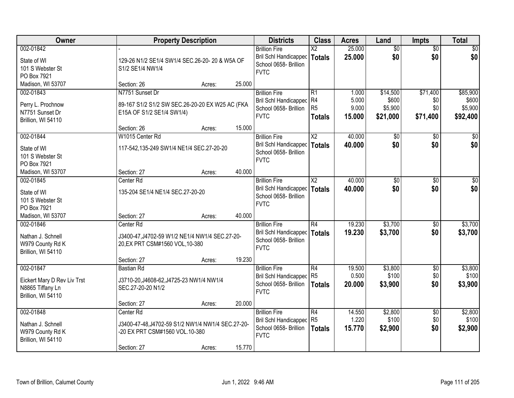| Owner                          |                                                  | <b>Property Description</b> |        | <b>Districts</b>                                  | <b>Class</b>           | <b>Acres</b>    | Land             | <b>Impts</b>           | <b>Total</b>     |
|--------------------------------|--------------------------------------------------|-----------------------------|--------|---------------------------------------------------|------------------------|-----------------|------------------|------------------------|------------------|
| 002-01842                      |                                                  |                             |        | <b>Brillion Fire</b>                              | $\overline{\text{X2}}$ | 25.000          | $\overline{50}$  | $\overline{50}$        | \$0              |
| State of WI                    | 129-26 N1/2 SE1/4 SW1/4 SEC.26-20-20 & W5A OF    |                             |        | Bril Schl Handicapped<br>School 0658- Brillion    | <b>Totals</b>          | 25.000          | \$0              | \$0                    | \$0              |
| 101 S Webster St               | S1/2 SE1/4 NW1/4                                 |                             |        | <b>FVTC</b>                                       |                        |                 |                  |                        |                  |
| PO Box 7921                    | Section: 26                                      |                             | 25.000 |                                                   |                        |                 |                  |                        |                  |
| Madison, WI 53707<br>002-01843 | N7751 Sunset Dr                                  | Acres:                      |        | <b>Brillion Fire</b>                              | $\overline{R1}$        | 1.000           | \$14,500         | \$71,400               | \$85,900         |
|                                |                                                  |                             |        | Bril Schl Handicapped                             | R4                     | 5.000           | \$600            | \$0                    | \$600            |
| Perry L. Prochnow              | 89-167 S1/2 S1/2 SW SEC.26-20-20 EX W25 AC (FKA  |                             |        | School 0658- Brillion                             | R <sub>5</sub>         | 9.000           | \$5,900          | \$0                    | \$5,900          |
| N7751 Sunset Dr                | E15A OF S1/2 SE1/4 SW1/4)                        |                             |        | <b>FVTC</b>                                       | <b>Totals</b>          | 15.000          | \$21,000         | \$71,400               | \$92,400         |
| Brillion, WI 54110             | Section: 26                                      | Acres:                      | 15.000 |                                                   |                        |                 |                  |                        |                  |
| 002-01844                      | W1015 Center Rd                                  |                             |        | <b>Brillion Fire</b>                              | X <sub>2</sub>         | 40.000          | \$0              | $\sqrt{6}$             | $\overline{30}$  |
| State of WI                    | 117-542,135-249 SW1/4 NE1/4 SEC.27-20-20         |                             |        | Bril Schl Handicapped                             | Totals                 | 40.000          | \$0              | \$0                    | \$0              |
| 101 S Webster St               |                                                  |                             |        | School 0658- Brillion                             |                        |                 |                  |                        |                  |
| PO Box 7921                    |                                                  |                             |        | <b>FVTC</b>                                       |                        |                 |                  |                        |                  |
| Madison, WI 53707              | Section: 27                                      | Acres:                      | 40.000 |                                                   |                        |                 |                  |                        |                  |
| 002-01845                      | Center Rd                                        |                             |        | <b>Brillion Fire</b>                              | X <sub>2</sub>         | 40.000          | \$0              | $\sqrt[6]{3}$          | \$0              |
| State of WI                    | 135-204 SE1/4 NE1/4 SEC.27-20-20                 |                             |        | Bril Schl Handicapped                             | <b>Totals</b>          | 40.000          | \$0              | \$0                    | \$0              |
| 101 S Webster St               |                                                  |                             |        | School 0658- Brillion                             |                        |                 |                  |                        |                  |
| PO Box 7921                    |                                                  |                             |        | <b>FVTC</b>                                       |                        |                 |                  |                        |                  |
| Madison, WI 53707              | Section: 27                                      | Acres:                      | 40.000 |                                                   |                        |                 |                  |                        |                  |
| 002-01846                      | Center Rd                                        |                             |        | <b>Brillion Fire</b>                              | $\overline{R4}$        | 19.230          | \$3,700          | \$0                    | \$3,700          |
| Nathan J. Schnell              | J3400-47, J4702-59 W1/2 NE1/4 NW1/4 SEC.27-20-   |                             |        | Bril Schl Handicapped                             | <b>Totals</b>          | 19.230          | \$3,700          | \$0                    | \$3,700          |
| W979 County Rd K               | 20, EX PRT CSM#1560 VOL, 10-380                  |                             |        | School 0658- Brillion<br><b>FVTC</b>              |                        |                 |                  |                        |                  |
| Brillion, WI 54110             |                                                  |                             |        |                                                   |                        |                 |                  |                        |                  |
|                                | Section: 27                                      | Acres:                      | 19.230 |                                                   |                        |                 |                  |                        |                  |
| 002-01847                      | Bastian Rd                                       |                             |        | <b>Brillion Fire</b>                              | R4                     | 19.500          | \$3,800          | $\overline{50}$        | \$3,800          |
| Eickert Mary D Rev Liv Trst    | J3710-20, J4608-62, J4725-23 NW1/4 NW1/4         |                             |        | Bril Schl Handicapped R5<br>School 0658- Brillion |                        | 0.500           | \$100            | \$0<br>\$0             | \$100            |
| N8865 Tiffany Ln               | SEC.27-20-20 N1/2                                |                             |        | <b>FVTC</b>                                       | <b>Totals</b>          | 20,000          | \$3,900          |                        | \$3,900          |
| Brillion, WI 54110             |                                                  |                             |        |                                                   |                        |                 |                  |                        |                  |
|                                | Section: 27                                      | Acres:                      | 20.000 |                                                   |                        |                 |                  |                        |                  |
| 002-01848                      | Center <sub>Rd</sub>                             |                             |        | <b>Brillion Fire</b><br>Bril Schl Handicapped     | R4<br>R <sub>5</sub>   | 14.550<br>1.220 | \$2,800<br>\$100 | $\overline{50}$<br>\$0 | \$2,800<br>\$100 |
| Nathan J. Schnell              | J3400-47-48,J4702-59 S1/2 NW1/4 NW1/4 SEC.27-20- |                             |        | School 0658- Brillion                             | <b>Totals</b>          | 15.770          | \$2,900          | \$0                    | \$2,900          |
| W979 County Rd K               | -20 EX PRT CSM#1560 VOL.10-380                   |                             |        | <b>FVTC</b>                                       |                        |                 |                  |                        |                  |
| Brillion, WI 54110             |                                                  |                             | 15.770 |                                                   |                        |                 |                  |                        |                  |
|                                | Section: 27                                      | Acres:                      |        |                                                   |                        |                 |                  |                        |                  |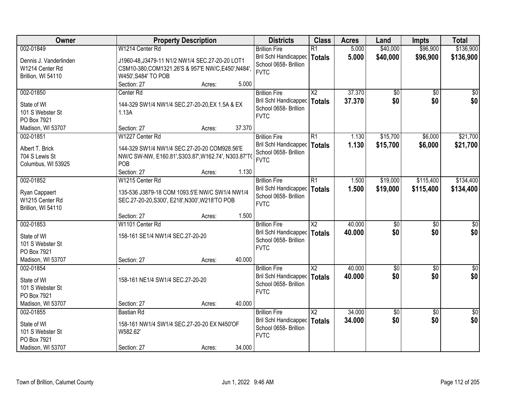| Owner                            | <b>Property Description</b>                                                                      |        |        | <b>Districts</b>                                      | <b>Class</b>             | <b>Acres</b> | Land               | <b>Impts</b>    | <b>Total</b>       |
|----------------------------------|--------------------------------------------------------------------------------------------------|--------|--------|-------------------------------------------------------|--------------------------|--------------|--------------------|-----------------|--------------------|
| 002-01849                        | W1214 Center Rd                                                                                  |        |        | <b>Brillion Fire</b>                                  | $\overline{R1}$          | 5.000        | \$40,000           | \$96,900        | \$136,900          |
| Dennis J. Vanderlinden           | J1960-48, J3479-11 N1/2 NW1/4 SEC.27-20-20 LOT1                                                  |        |        | <b>Bril Schl Handicapped</b>                          | <b>Totals</b>            | 5.000        | \$40,000           | \$96,900        | \$136,900          |
| W1214 Center Rd                  | CSM10-380, COM1321.26'S & 957'E NW/C, E450', N484',                                              |        |        | School 0658- Brillion                                 |                          |              |                    |                 |                    |
| Brillion, WI 54110               | W450', S484' TO POB                                                                              |        |        | <b>FVTC</b>                                           |                          |              |                    |                 |                    |
|                                  | Section: 27                                                                                      | Acres: | 5.000  |                                                       |                          |              |                    |                 |                    |
| 002-01850                        | Center Rd                                                                                        |        |        | <b>Brillion Fire</b>                                  | $\overline{\text{X2}}$   | 37.370       | \$0                | $\overline{50}$ | $\overline{50}$    |
| State of WI                      | 144-329 SW1/4 NW1/4 SEC.27-20-20, EX 1.5A & EX                                                   |        |        | Bril Schl Handicapped                                 | <b>Totals</b>            | 37.370       | \$0                | \$0             | \$0                |
| 101 S Webster St                 | 1.13A                                                                                            |        |        | School 0658- Brillion                                 |                          |              |                    |                 |                    |
| PO Box 7921                      |                                                                                                  |        |        | <b>FVTC</b>                                           |                          |              |                    |                 |                    |
| Madison, WI 53707                | Section: 27                                                                                      | Acres: | 37.370 |                                                       |                          |              |                    |                 |                    |
| 002-01851                        | W1227 Center Rd                                                                                  |        |        | <b>Brillion Fire</b>                                  | $\overline{R1}$          | 1.130        | \$15,700           | \$6,000         | \$21,700           |
| Albert T. Brick                  | 144-329 SW1/4 NW1/4 SEC.27-20-20 COM928.56'E                                                     |        |        | Bril Schl Handicapped                                 | <b>Totals</b>            | 1.130        | \$15,700           | \$6,000         | \$21,700           |
| 704 S Lewis St                   | NW/C SW-NW, E160.81', S303.87', W162.74', N303.87'T                                              |        |        | School 0658- Brillion                                 |                          |              |                    |                 |                    |
| Columbus, WI 53925               | POB                                                                                              |        |        | <b>FVTC</b>                                           |                          |              |                    |                 |                    |
|                                  | Section: 27                                                                                      | Acres: | 1.130  |                                                       |                          |              |                    |                 |                    |
| 002-01852                        | W1215 Center Rd                                                                                  |        |        | <b>Brillion Fire</b>                                  | R1                       | 1.500        | \$19,000           | \$115,400       | \$134,400          |
|                                  |                                                                                                  |        |        | <b>Bril Schl Handicapped</b>                          | <b>Totals</b>            | 1.500        | \$19,000           | \$115,400       | \$134,400          |
| Ryan Cappaert<br>W1215 Center Rd | 135-536 J3879-18 COM 1093.5'E NW/C SW1/4 NW1/4<br>SEC.27-20-20, S300', E218', N300', W218'TO POB |        |        | School 0658- Brillion                                 |                          |              |                    |                 |                    |
| Brillion, WI 54110               |                                                                                                  |        |        | <b>FVTC</b>                                           |                          |              |                    |                 |                    |
|                                  | Section: 27                                                                                      | Acres: | 1.500  |                                                       |                          |              |                    |                 |                    |
| 002-01853                        | W1101 Center Rd                                                                                  |        |        | <b>Brillion Fire</b>                                  | $\overline{\text{X2}}$   | 40.000       | $\sqrt{50}$        | $\overline{50}$ | $\overline{\$0}$   |
|                                  |                                                                                                  |        |        | <b>Bril Schl Handicapped</b>                          | <b>Totals</b>            | 40.000       | \$0                | \$0             | \$0                |
| State of WI                      | 158-161 SE1/4 NW1/4 SEC.27-20-20                                                                 |        |        | School 0658- Brillion                                 |                          |              |                    |                 |                    |
| 101 S Webster St                 |                                                                                                  |        |        | <b>FVTC</b>                                           |                          |              |                    |                 |                    |
| PO Box 7921                      |                                                                                                  |        |        |                                                       |                          |              |                    |                 |                    |
| Madison, WI 53707                | Section: 27                                                                                      | Acres: | 40.000 |                                                       |                          |              |                    |                 |                    |
| 002-01854                        |                                                                                                  |        |        | <b>Brillion Fire</b>                                  | $\overline{X2}$          | 40.000       | $\sqrt{30}$<br>\$0 | $\overline{50}$ | $\sqrt{50}$<br>\$0 |
| State of WI                      | 158-161 NE1/4 SW1/4 SEC.27-20-20                                                                 |        |        | <b>Bril Schl Handicapped</b><br>School 0658- Brillion | <b>Totals</b>            | 40.000       |                    | \$0             |                    |
| 101 S Webster St                 |                                                                                                  |        |        | <b>FVTC</b>                                           |                          |              |                    |                 |                    |
| PO Box 7921                      |                                                                                                  |        |        |                                                       |                          |              |                    |                 |                    |
| Madison, WI 53707                | Section: 27                                                                                      | Acres: | 40.000 |                                                       |                          |              |                    |                 |                    |
| 002-01855                        | <b>Bastian Rd</b>                                                                                |        |        | <b>Brillion Fire</b>                                  | $\overline{\mathsf{X2}}$ | 34.000       | \$0                | $\overline{50}$ | $\overline{50}$    |
| State of WI                      | 158-161 NW1/4 SW1/4 SEC.27-20-20 EX N450'OF                                                      |        |        | <b>Bril Schl Handicapped</b>                          | <b>Totals</b>            | 34.000       | \$0                | \$0             | \$0                |
| 101 S Webster St                 | W582.62'                                                                                         |        |        | School 0658- Brillion                                 |                          |              |                    |                 |                    |
| PO Box 7921                      |                                                                                                  |        |        | <b>FVTC</b>                                           |                          |              |                    |                 |                    |
| Madison, WI 53707                | Section: 27                                                                                      | Acres: | 34.000 |                                                       |                          |              |                    |                 |                    |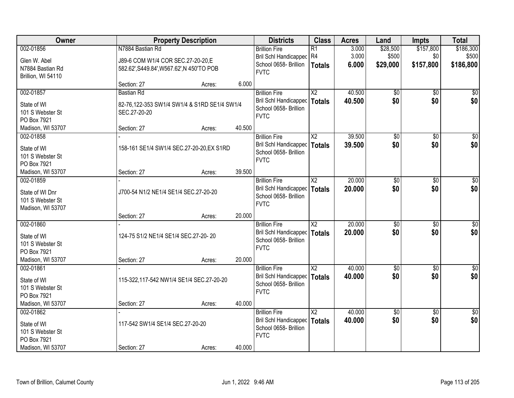| 002-01856<br>N7884 Bastian Rd<br>\$28,500<br>\$157,800<br>\$186,300<br><b>Brillion Fire</b><br>$\overline{R1}$<br>3.000<br>3.000<br>R4<br>\$500<br>\$500<br>Bril Schl Handicapped<br>\$0<br>Glen W. Abel<br>J89-6 COM W1/4 COR SEC.27-20-20, E<br>School 0658- Brillion<br>\$157,800<br>\$186,800<br>6.000<br>\$29,000<br><b>Totals</b><br>N7884 Bastian Rd<br>582.62', S449.84', W567.62', N 450'TO POB<br><b>FVTC</b><br>Brillion, WI 54110<br>6.000<br>Section: 27<br>Acres:<br>$\overline{\text{X2}}$<br>40.500<br>002-01857<br><b>Brillion Fire</b><br>$\overline{50}$<br>$\overline{50}$<br><b>Bastian Rd</b><br>\$0<br><b>Bril Schl Handicapped</b><br>40.500<br>\$0<br><b>Totals</b><br>State of WI<br>82-76,122-353 SW1/4 SW1/4 & S1RD SE1/4 SW1/4<br>School 0658- Brillion<br>101 S Webster St<br>SEC.27-20-20<br><b>FVTC</b><br>PO Box 7921<br>40.500<br>Section: 27<br>Madison, WI 53707<br>Acres:<br>39.500<br>002-01858<br>X2<br>\$0<br>\$0<br><b>Brillion Fire</b><br>\$0<br><b>Bril Schl Handicapped</b><br>\$0<br>39.500<br><b>Totals</b><br>158-161 SE1/4 SW1/4 SEC.27-20-20, EX S1RD<br>State of WI<br>School 0658- Brillion<br>101 S Webster St<br><b>FVTC</b><br>PO Box 7921<br>39.500<br>Madison, WI 53707<br>Section: 27<br>Acres:<br>20.000<br>002-01859<br>X <sub>2</sub><br>\$0<br>\$0<br><b>Brillion Fire</b><br>\$0<br>\$0<br>Bril Schl Handicapped<br>20,000<br><b>Totals</b><br>State of WI Dnr<br>J700-54 N1/2 NE1/4 SE1/4 SEC.27-20-20<br>School 0658- Brillion<br>101 S Webster St<br><b>FVTC</b><br>Madison, WI 53707<br>20.000<br>Section: 27<br>Acres:<br>20.000<br>002-01860<br>$\overline{\text{X2}}$<br>$\overline{50}$<br>$\overline{50}$<br><b>Brillion Fire</b><br>20.000<br>\$0<br><b>Bril Schl Handicapped</b><br>\$0<br><b>Totals</b><br>124-75 S1/2 NE1/4 SE1/4 SEC.27-20-20<br>State of WI<br>School 0658- Brillion<br>101 S Webster St<br><b>FVTC</b><br>PO Box 7921<br>Madison, WI 53707<br>20.000<br>Section: 27<br>Acres:<br>$\overline{\text{X2}}$<br>40.000<br>002-01861<br>$\sqrt{50}$<br>$\overline{50}$<br><b>Brillion Fire</b><br>\$0<br><b>Bril Schl Handicapped</b><br>40.000<br>\$0<br><b>Totals</b><br>115-322,117-542 NW1/4 SE1/4 SEC.27-20-20<br>State of WI<br>School 0658- Brillion<br>101 S Webster St<br><b>FVTC</b><br>PO Box 7921<br>40.000<br>Madison, WI 53707<br>Section: 27<br>Acres:<br>002-01862<br>$\overline{\text{X2}}$<br>40.000<br>\$0<br>$\overline{50}$<br><b>Brillion Fire</b><br>\$0<br>\$0<br><b>Bril Schl Handicapped</b><br>40.000<br><b>Totals</b><br>117-542 SW1/4 SE1/4 SEC.27-20-20<br>State of WI<br>School 0658- Brillion<br>101 S Webster St<br><b>FVTC</b><br>PO Box 7921 | Owner             |             | <b>Property Description</b> |        | <b>Districts</b> | <b>Class</b> | <b>Acres</b> | Land | <b>Impts</b> | <b>Total</b> |
|--------------------------------------------------------------------------------------------------------------------------------------------------------------------------------------------------------------------------------------------------------------------------------------------------------------------------------------------------------------------------------------------------------------------------------------------------------------------------------------------------------------------------------------------------------------------------------------------------------------------------------------------------------------------------------------------------------------------------------------------------------------------------------------------------------------------------------------------------------------------------------------------------------------------------------------------------------------------------------------------------------------------------------------------------------------------------------------------------------------------------------------------------------------------------------------------------------------------------------------------------------------------------------------------------------------------------------------------------------------------------------------------------------------------------------------------------------------------------------------------------------------------------------------------------------------------------------------------------------------------------------------------------------------------------------------------------------------------------------------------------------------------------------------------------------------------------------------------------------------------------------------------------------------------------------------------------------------------------------------------------------------------------------------------------------------------------------------------------------------------------------------------------------------------------------------------------------------------------------------------------------------------------------------------------------------------------------------------------------------------------------------------------------------------------------------------------------------------------------------------------------------------------------------------------------------------------------------------------------------------------------------------------------------------------|-------------------|-------------|-----------------------------|--------|------------------|--------------|--------------|------|--------------|--------------|
|                                                                                                                                                                                                                                                                                                                                                                                                                                                                                                                                                                                                                                                                                                                                                                                                                                                                                                                                                                                                                                                                                                                                                                                                                                                                                                                                                                                                                                                                                                                                                                                                                                                                                                                                                                                                                                                                                                                                                                                                                                                                                                                                                                                                                                                                                                                                                                                                                                                                                                                                                                                                                                                                          |                   |             |                             |        |                  |              |              |      |              |              |
|                                                                                                                                                                                                                                                                                                                                                                                                                                                                                                                                                                                                                                                                                                                                                                                                                                                                                                                                                                                                                                                                                                                                                                                                                                                                                                                                                                                                                                                                                                                                                                                                                                                                                                                                                                                                                                                                                                                                                                                                                                                                                                                                                                                                                                                                                                                                                                                                                                                                                                                                                                                                                                                                          |                   |             |                             |        |                  |              |              |      |              |              |
| $\sqrt{50}$<br>\$0<br>$\sqrt{50}$<br>\$0 <br>\$0<br>\$0<br>$\overline{50}$<br>\$0<br>$\overline{\$0}$<br>\$0<br>$\overline{50}$<br>\$0                                                                                                                                                                                                                                                                                                                                                                                                                                                                                                                                                                                                                                                                                                                                                                                                                                                                                                                                                                                                                                                                                                                                                                                                                                                                                                                                                                                                                                                                                                                                                                                                                                                                                                                                                                                                                                                                                                                                                                                                                                                                                                                                                                                                                                                                                                                                                                                                                                                                                                                                   |                   |             |                             |        |                  |              |              |      |              |              |
|                                                                                                                                                                                                                                                                                                                                                                                                                                                                                                                                                                                                                                                                                                                                                                                                                                                                                                                                                                                                                                                                                                                                                                                                                                                                                                                                                                                                                                                                                                                                                                                                                                                                                                                                                                                                                                                                                                                                                                                                                                                                                                                                                                                                                                                                                                                                                                                                                                                                                                                                                                                                                                                                          |                   |             |                             |        |                  |              |              |      |              |              |
|                                                                                                                                                                                                                                                                                                                                                                                                                                                                                                                                                                                                                                                                                                                                                                                                                                                                                                                                                                                                                                                                                                                                                                                                                                                                                                                                                                                                                                                                                                                                                                                                                                                                                                                                                                                                                                                                                                                                                                                                                                                                                                                                                                                                                                                                                                                                                                                                                                                                                                                                                                                                                                                                          |                   |             |                             |        |                  |              |              |      |              |              |
|                                                                                                                                                                                                                                                                                                                                                                                                                                                                                                                                                                                                                                                                                                                                                                                                                                                                                                                                                                                                                                                                                                                                                                                                                                                                                                                                                                                                                                                                                                                                                                                                                                                                                                                                                                                                                                                                                                                                                                                                                                                                                                                                                                                                                                                                                                                                                                                                                                                                                                                                                                                                                                                                          |                   |             |                             |        |                  |              |              |      |              |              |
|                                                                                                                                                                                                                                                                                                                                                                                                                                                                                                                                                                                                                                                                                                                                                                                                                                                                                                                                                                                                                                                                                                                                                                                                                                                                                                                                                                                                                                                                                                                                                                                                                                                                                                                                                                                                                                                                                                                                                                                                                                                                                                                                                                                                                                                                                                                                                                                                                                                                                                                                                                                                                                                                          |                   |             |                             |        |                  |              |              |      |              |              |
|                                                                                                                                                                                                                                                                                                                                                                                                                                                                                                                                                                                                                                                                                                                                                                                                                                                                                                                                                                                                                                                                                                                                                                                                                                                                                                                                                                                                                                                                                                                                                                                                                                                                                                                                                                                                                                                                                                                                                                                                                                                                                                                                                                                                                                                                                                                                                                                                                                                                                                                                                                                                                                                                          |                   |             |                             |        |                  |              |              |      |              |              |
|                                                                                                                                                                                                                                                                                                                                                                                                                                                                                                                                                                                                                                                                                                                                                                                                                                                                                                                                                                                                                                                                                                                                                                                                                                                                                                                                                                                                                                                                                                                                                                                                                                                                                                                                                                                                                                                                                                                                                                                                                                                                                                                                                                                                                                                                                                                                                                                                                                                                                                                                                                                                                                                                          |                   |             |                             |        |                  |              |              |      |              |              |
|                                                                                                                                                                                                                                                                                                                                                                                                                                                                                                                                                                                                                                                                                                                                                                                                                                                                                                                                                                                                                                                                                                                                                                                                                                                                                                                                                                                                                                                                                                                                                                                                                                                                                                                                                                                                                                                                                                                                                                                                                                                                                                                                                                                                                                                                                                                                                                                                                                                                                                                                                                                                                                                                          |                   |             |                             |        |                  |              |              |      |              |              |
|                                                                                                                                                                                                                                                                                                                                                                                                                                                                                                                                                                                                                                                                                                                                                                                                                                                                                                                                                                                                                                                                                                                                                                                                                                                                                                                                                                                                                                                                                                                                                                                                                                                                                                                                                                                                                                                                                                                                                                                                                                                                                                                                                                                                                                                                                                                                                                                                                                                                                                                                                                                                                                                                          |                   |             |                             |        |                  |              |              |      |              |              |
|                                                                                                                                                                                                                                                                                                                                                                                                                                                                                                                                                                                                                                                                                                                                                                                                                                                                                                                                                                                                                                                                                                                                                                                                                                                                                                                                                                                                                                                                                                                                                                                                                                                                                                                                                                                                                                                                                                                                                                                                                                                                                                                                                                                                                                                                                                                                                                                                                                                                                                                                                                                                                                                                          |                   |             |                             |        |                  |              |              |      |              |              |
|                                                                                                                                                                                                                                                                                                                                                                                                                                                                                                                                                                                                                                                                                                                                                                                                                                                                                                                                                                                                                                                                                                                                                                                                                                                                                                                                                                                                                                                                                                                                                                                                                                                                                                                                                                                                                                                                                                                                                                                                                                                                                                                                                                                                                                                                                                                                                                                                                                                                                                                                                                                                                                                                          |                   |             |                             |        |                  |              |              |      |              |              |
|                                                                                                                                                                                                                                                                                                                                                                                                                                                                                                                                                                                                                                                                                                                                                                                                                                                                                                                                                                                                                                                                                                                                                                                                                                                                                                                                                                                                                                                                                                                                                                                                                                                                                                                                                                                                                                                                                                                                                                                                                                                                                                                                                                                                                                                                                                                                                                                                                                                                                                                                                                                                                                                                          |                   |             |                             |        |                  |              |              |      |              |              |
|                                                                                                                                                                                                                                                                                                                                                                                                                                                                                                                                                                                                                                                                                                                                                                                                                                                                                                                                                                                                                                                                                                                                                                                                                                                                                                                                                                                                                                                                                                                                                                                                                                                                                                                                                                                                                                                                                                                                                                                                                                                                                                                                                                                                                                                                                                                                                                                                                                                                                                                                                                                                                                                                          |                   |             |                             |        |                  |              |              |      |              |              |
|                                                                                                                                                                                                                                                                                                                                                                                                                                                                                                                                                                                                                                                                                                                                                                                                                                                                                                                                                                                                                                                                                                                                                                                                                                                                                                                                                                                                                                                                                                                                                                                                                                                                                                                                                                                                                                                                                                                                                                                                                                                                                                                                                                                                                                                                                                                                                                                                                                                                                                                                                                                                                                                                          |                   |             |                             |        |                  |              |              |      |              |              |
|                                                                                                                                                                                                                                                                                                                                                                                                                                                                                                                                                                                                                                                                                                                                                                                                                                                                                                                                                                                                                                                                                                                                                                                                                                                                                                                                                                                                                                                                                                                                                                                                                                                                                                                                                                                                                                                                                                                                                                                                                                                                                                                                                                                                                                                                                                                                                                                                                                                                                                                                                                                                                                                                          |                   |             |                             |        |                  |              |              |      |              |              |
|                                                                                                                                                                                                                                                                                                                                                                                                                                                                                                                                                                                                                                                                                                                                                                                                                                                                                                                                                                                                                                                                                                                                                                                                                                                                                                                                                                                                                                                                                                                                                                                                                                                                                                                                                                                                                                                                                                                                                                                                                                                                                                                                                                                                                                                                                                                                                                                                                                                                                                                                                                                                                                                                          |                   |             |                             |        |                  |              |              |      |              |              |
|                                                                                                                                                                                                                                                                                                                                                                                                                                                                                                                                                                                                                                                                                                                                                                                                                                                                                                                                                                                                                                                                                                                                                                                                                                                                                                                                                                                                                                                                                                                                                                                                                                                                                                                                                                                                                                                                                                                                                                                                                                                                                                                                                                                                                                                                                                                                                                                                                                                                                                                                                                                                                                                                          |                   |             |                             |        |                  |              |              |      |              |              |
|                                                                                                                                                                                                                                                                                                                                                                                                                                                                                                                                                                                                                                                                                                                                                                                                                                                                                                                                                                                                                                                                                                                                                                                                                                                                                                                                                                                                                                                                                                                                                                                                                                                                                                                                                                                                                                                                                                                                                                                                                                                                                                                                                                                                                                                                                                                                                                                                                                                                                                                                                                                                                                                                          |                   |             |                             |        |                  |              |              |      |              |              |
|                                                                                                                                                                                                                                                                                                                                                                                                                                                                                                                                                                                                                                                                                                                                                                                                                                                                                                                                                                                                                                                                                                                                                                                                                                                                                                                                                                                                                                                                                                                                                                                                                                                                                                                                                                                                                                                                                                                                                                                                                                                                                                                                                                                                                                                                                                                                                                                                                                                                                                                                                                                                                                                                          |                   |             |                             |        |                  |              |              |      |              |              |
|                                                                                                                                                                                                                                                                                                                                                                                                                                                                                                                                                                                                                                                                                                                                                                                                                                                                                                                                                                                                                                                                                                                                                                                                                                                                                                                                                                                                                                                                                                                                                                                                                                                                                                                                                                                                                                                                                                                                                                                                                                                                                                                                                                                                                                                                                                                                                                                                                                                                                                                                                                                                                                                                          |                   |             |                             |        |                  |              |              |      |              |              |
|                                                                                                                                                                                                                                                                                                                                                                                                                                                                                                                                                                                                                                                                                                                                                                                                                                                                                                                                                                                                                                                                                                                                                                                                                                                                                                                                                                                                                                                                                                                                                                                                                                                                                                                                                                                                                                                                                                                                                                                                                                                                                                                                                                                                                                                                                                                                                                                                                                                                                                                                                                                                                                                                          |                   |             |                             |        |                  |              |              |      |              |              |
|                                                                                                                                                                                                                                                                                                                                                                                                                                                                                                                                                                                                                                                                                                                                                                                                                                                                                                                                                                                                                                                                                                                                                                                                                                                                                                                                                                                                                                                                                                                                                                                                                                                                                                                                                                                                                                                                                                                                                                                                                                                                                                                                                                                                                                                                                                                                                                                                                                                                                                                                                                                                                                                                          |                   |             |                             |        |                  |              |              |      |              |              |
|                                                                                                                                                                                                                                                                                                                                                                                                                                                                                                                                                                                                                                                                                                                                                                                                                                                                                                                                                                                                                                                                                                                                                                                                                                                                                                                                                                                                                                                                                                                                                                                                                                                                                                                                                                                                                                                                                                                                                                                                                                                                                                                                                                                                                                                                                                                                                                                                                                                                                                                                                                                                                                                                          |                   |             |                             |        |                  |              |              |      |              |              |
|                                                                                                                                                                                                                                                                                                                                                                                                                                                                                                                                                                                                                                                                                                                                                                                                                                                                                                                                                                                                                                                                                                                                                                                                                                                                                                                                                                                                                                                                                                                                                                                                                                                                                                                                                                                                                                                                                                                                                                                                                                                                                                                                                                                                                                                                                                                                                                                                                                                                                                                                                                                                                                                                          |                   |             |                             |        |                  |              |              |      |              |              |
|                                                                                                                                                                                                                                                                                                                                                                                                                                                                                                                                                                                                                                                                                                                                                                                                                                                                                                                                                                                                                                                                                                                                                                                                                                                                                                                                                                                                                                                                                                                                                                                                                                                                                                                                                                                                                                                                                                                                                                                                                                                                                                                                                                                                                                                                                                                                                                                                                                                                                                                                                                                                                                                                          |                   |             |                             |        |                  |              |              |      |              |              |
|                                                                                                                                                                                                                                                                                                                                                                                                                                                                                                                                                                                                                                                                                                                                                                                                                                                                                                                                                                                                                                                                                                                                                                                                                                                                                                                                                                                                                                                                                                                                                                                                                                                                                                                                                                                                                                                                                                                                                                                                                                                                                                                                                                                                                                                                                                                                                                                                                                                                                                                                                                                                                                                                          |                   |             |                             |        |                  |              |              |      |              |              |
|                                                                                                                                                                                                                                                                                                                                                                                                                                                                                                                                                                                                                                                                                                                                                                                                                                                                                                                                                                                                                                                                                                                                                                                                                                                                                                                                                                                                                                                                                                                                                                                                                                                                                                                                                                                                                                                                                                                                                                                                                                                                                                                                                                                                                                                                                                                                                                                                                                                                                                                                                                                                                                                                          |                   |             |                             |        |                  |              |              |      |              |              |
|                                                                                                                                                                                                                                                                                                                                                                                                                                                                                                                                                                                                                                                                                                                                                                                                                                                                                                                                                                                                                                                                                                                                                                                                                                                                                                                                                                                                                                                                                                                                                                                                                                                                                                                                                                                                                                                                                                                                                                                                                                                                                                                                                                                                                                                                                                                                                                                                                                                                                                                                                                                                                                                                          |                   |             |                             |        |                  |              |              |      |              |              |
|                                                                                                                                                                                                                                                                                                                                                                                                                                                                                                                                                                                                                                                                                                                                                                                                                                                                                                                                                                                                                                                                                                                                                                                                                                                                                                                                                                                                                                                                                                                                                                                                                                                                                                                                                                                                                                                                                                                                                                                                                                                                                                                                                                                                                                                                                                                                                                                                                                                                                                                                                                                                                                                                          |                   |             |                             |        |                  |              |              |      |              |              |
|                                                                                                                                                                                                                                                                                                                                                                                                                                                                                                                                                                                                                                                                                                                                                                                                                                                                                                                                                                                                                                                                                                                                                                                                                                                                                                                                                                                                                                                                                                                                                                                                                                                                                                                                                                                                                                                                                                                                                                                                                                                                                                                                                                                                                                                                                                                                                                                                                                                                                                                                                                                                                                                                          |                   |             |                             |        |                  |              |              |      |              |              |
|                                                                                                                                                                                                                                                                                                                                                                                                                                                                                                                                                                                                                                                                                                                                                                                                                                                                                                                                                                                                                                                                                                                                                                                                                                                                                                                                                                                                                                                                                                                                                                                                                                                                                                                                                                                                                                                                                                                                                                                                                                                                                                                                                                                                                                                                                                                                                                                                                                                                                                                                                                                                                                                                          |                   |             |                             |        |                  |              |              |      |              |              |
| Acres:                                                                                                                                                                                                                                                                                                                                                                                                                                                                                                                                                                                                                                                                                                                                                                                                                                                                                                                                                                                                                                                                                                                                                                                                                                                                                                                                                                                                                                                                                                                                                                                                                                                                                                                                                                                                                                                                                                                                                                                                                                                                                                                                                                                                                                                                                                                                                                                                                                                                                                                                                                                                                                                                   | Madison, WI 53707 | Section: 27 |                             | 40.000 |                  |              |              |      |              |              |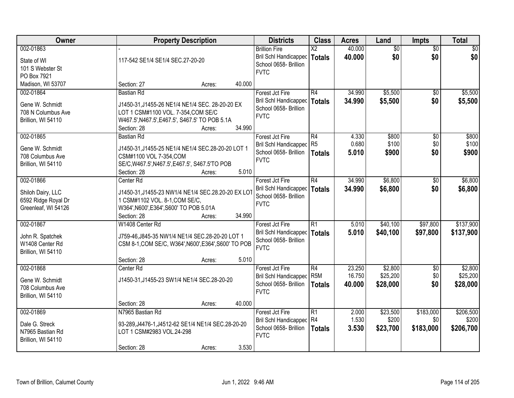| Owner                                                                        | <b>Property Description</b>                                                                                                                                                                      | <b>Districts</b>                                                                      | <b>Class</b>                            | <b>Acres</b>               | Land                            | <b>Impts</b>                  | <b>Total</b>                    |
|------------------------------------------------------------------------------|--------------------------------------------------------------------------------------------------------------------------------------------------------------------------------------------------|---------------------------------------------------------------------------------------|-----------------------------------------|----------------------------|---------------------------------|-------------------------------|---------------------------------|
| 002-01863<br>State of WI<br>101 S Webster St<br>PO Box 7921                  | 117-542 SE1/4 SE1/4 SEC.27-20-20                                                                                                                                                                 | <b>Brillion Fire</b><br>Bril Schl Handicapped<br>School 0658- Brillion<br><b>FVTC</b> | $\overline{\text{X2}}$<br><b>Totals</b> | 40.000<br>40.000           | $\overline{50}$<br>\$0          | $\overline{50}$<br>\$0        | \$0<br>\$0                      |
| Madison, WI 53707                                                            | 40.000<br>Section: 27<br>Acres:                                                                                                                                                                  |                                                                                       |                                         |                            |                                 |                               |                                 |
| 002-01864<br>Gene W. Schmidt<br>708 N Columbus Ave<br>Brillion, WI 54110     | <b>Bastian Rd</b><br>J1450-31, J1455-26 NE1/4 NE1/4 SEC. 28-20-20 EX<br>LOT 1 CSM#1100 VOL. 7-354, COM SE/C<br>W467.5', N467.5', E467.5', S467.5' TO POB 5.1A<br>34.990<br>Section: 28<br>Acres: | Forest Jct Fire<br>Bril Schl Handicapped<br>School 0658- Brillion<br><b>FVTC</b>      | R4<br>Totals                            | 34.990<br>34.990           | \$5,500<br>\$5,500              | \$0<br>\$0                    | \$5,500<br>\$5,500              |
| 002-01865<br>Gene W. Schmidt<br>708 Columbus Ave<br>Brillion, WI 54110       | <b>Bastian Rd</b><br>J1450-31, J1455-25 NE1/4 NE1/4 SEC.28-20-20 LOT 1<br>CSM#1100 VOL 7-354, COM<br>SE/C, W467.5', N467.5', E467.5', S467.5'TO POB<br>5.010<br>Section: 28<br>Acres:            | Forest Jct Fire<br>Bril Schl Handicapped<br>School 0658- Brillion<br><b>FVTC</b>      | R4<br>R <sub>5</sub><br><b>Totals</b>   | 4.330<br>0.680<br>5.010    | \$800<br>\$100<br>\$900         | \$0<br>\$0<br>\$0             | \$800<br>\$100<br>\$900         |
| 002-01866<br>Shiloh Dairy, LLC<br>6592 Ridge Royal Dr<br>Greenleaf, WI 54126 | Center Rd<br>J1450-31, J1455-23 NW1/4 NE1/4 SEC.28.20-20 EX LOT<br>1 CSM#1102 VOL. 8-1, COM SE/C,<br>W364', N600', E364', S600' TO POB 5.01A<br>34.990<br>Section: 28<br>Acres:                  | Forest Jct Fire<br>Bril Schl Handicapped<br>School 0658- Brillion<br><b>FVTC</b>      | $\overline{R4}$<br><b>Totals</b>        | 34.990<br>34.990           | \$6,800<br>\$6,800              | $\sqrt[6]{}$<br>\$0           | \$6,800<br>\$6,800              |
| 002-01867<br>John R. Spatchek<br>W1408 Center Rd<br>Brillion, WI 54110       | W1408 Center Rd<br>J759-46, J845-35 NW1/4 NE1/4 SEC.28-20-20 LOT 1<br>CSM 8-1, COM SE/C, W364', N600', E364', S600' TO POB<br>5.010<br>Section: 28<br>Acres:                                     | Forest Jct Fire<br>Bril Schl Handicapped<br>School 0658- Brillion<br><b>FVTC</b>      | $\overline{R1}$<br>Totals               | 5.010<br>5.010             | \$40,100<br>\$40,100            | \$97,800<br>\$97,800          | \$137,900<br>\$137,900          |
| 002-01868<br>Gene W. Schmidt<br>708 Columbus Ave<br>Brillion, WI 54110       | Center Rd<br>J1450-31, J1455-23 SW1/4 NE1/4 SEC.28-20-20<br>40.000<br>Section: 28<br>Acres:                                                                                                      | Forest Jct Fire<br>Bril Schl Handicapped<br>School 0658- Brillion<br><b>FVTC</b>      | R4<br>R <sub>5M</sub><br><b>Totals</b>  | 23.250<br>16.750<br>40.000 | \$2,800<br>\$25,200<br>\$28,000 | $\overline{50}$<br>\$0<br>\$0 | \$2,800<br>\$25,200<br>\$28,000 |
| 002-01869<br>Dale G. Streck<br>N7965 Bastian Rd<br>Brillion, WI 54110        | N7965 Bastian Rd<br>93-289, J4476-1, J4512-62 SE1/4 NE1/4 SEC.28-20-20<br>LOT 1 CSM#2983 VOL.24-298<br>3.530<br>Section: 28<br>Acres:                                                            | Forest Jct Fire<br>Bril Schl Handicapped<br>School 0658- Brillion<br><b>FVTC</b>      | R1<br>R <sub>4</sub><br><b>Totals</b>   | 2.000<br>1.530<br>3.530    | \$23,500<br>\$200<br>\$23,700   | \$183,000<br>\$0<br>\$183,000 | \$206,500<br>\$200<br>\$206,700 |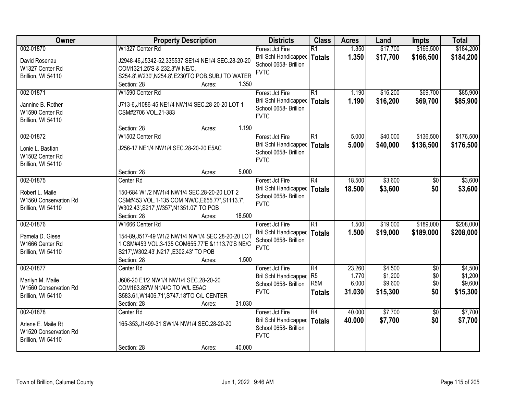| Owner                 | <b>Property Description</b>                          | <b>Districts</b>                                      | <b>Class</b>                      | <b>Acres</b>    | Land               | <b>Impts</b>           | <b>Total</b>       |
|-----------------------|------------------------------------------------------|-------------------------------------------------------|-----------------------------------|-----------------|--------------------|------------------------|--------------------|
| 002-01870             | W1327 Center Rd                                      | Forest Jct Fire                                       | $\overline{R1}$                   | 1.350           | \$17,700           | \$166,500              | \$184,200          |
| David Rosenau         | J2948-46, J5342-52, 335537 SE1/4 NE1/4 SEC. 28-20-20 | Bril Schl Handicapped                                 | <b>Totals</b>                     | 1.350           | \$17,700           | \$166,500              | \$184,200          |
| W1327 Center Rd       | COM1321.25'S & 232.3'W NE/C,                         | School 0658- Brillion                                 |                                   |                 |                    |                        |                    |
| Brillion, WI 54110    | S254.8', W230', N254.8', E230'TO POB, SUBJ TO WATER  | <b>FVTC</b>                                           |                                   |                 |                    |                        |                    |
|                       | 1.350<br>Section: 28<br>Acres:                       |                                                       |                                   |                 |                    |                        |                    |
| 002-01871             | W1590 Center Rd                                      | Forest Jct Fire                                       | $\overline{R1}$                   | 1.190           | \$16,200           | \$69,700               | \$85,900           |
|                       |                                                      | <b>Bril Schl Handicapped</b>                          | <b>Totals</b>                     | 1.190           | \$16,200           | \$69,700               | \$85,900           |
| Jannine B. Rother     | J713-6,J1086-45 NE1/4 NW1/4 SEC.28-20-20 LOT 1       | School 0658- Brillion                                 |                                   |                 |                    |                        |                    |
| W1590 Center Rd       | CSM#2706 VOL.21-383                                  | <b>FVTC</b>                                           |                                   |                 |                    |                        |                    |
| Brillion, WI 54110    | 1.190<br>Section: 28                                 |                                                       |                                   |                 |                    |                        |                    |
| 002-01872             | Acres:<br>W1502 Center Rd                            |                                                       | R1                                | 5.000           | \$40,000           | \$136,500              | \$176,500          |
|                       |                                                      | Forest Jct Fire<br><b>Bril Schl Handicapped</b>       |                                   |                 |                    |                        |                    |
| Lonie L. Bastian      | J256-17 NE1/4 NW1/4 SEC.28-20-20 E5AC                | School 0658- Brillion                                 | <b>Totals</b>                     | 5.000           | \$40,000           | \$136,500              | \$176,500          |
| W1502 Center Rd       |                                                      | <b>FVTC</b>                                           |                                   |                 |                    |                        |                    |
| Brillion, WI 54110    |                                                      |                                                       |                                   |                 |                    |                        |                    |
|                       | Section: 28<br>5.000<br>Acres:                       |                                                       |                                   |                 |                    |                        |                    |
| 002-01875             | Center Rd                                            | Forest Jct Fire                                       | R4                                | 18.500          | \$3,600            | $\sqrt[6]{}$           | \$3,600            |
| Robert L. Maile       | 150-684 W1/2 NW1/4 NW1/4 SEC.28-20-20 LOT 2          | <b>Bril Schl Handicapped</b>                          | <b>Totals</b>                     | 18,500          | \$3,600            | \$0                    | \$3,600            |
| W1560 Conservation Rd | CSM#453 VOL.1-135 COM NW/C, E655.77', S1113.7',      | School 0658- Brillion                                 |                                   |                 |                    |                        |                    |
| Brillion, WI 54110    | W302.43', S217', W357', N1351.07' TO POB             | <b>FVTC</b>                                           |                                   |                 |                    |                        |                    |
|                       | 18.500<br>Section: 28<br>Acres:                      |                                                       |                                   |                 |                    |                        |                    |
| 002-01876             | W1666 Center Rd                                      | Forest Jct Fire                                       | $\overline{R1}$                   | 1.500           | \$19,000           | \$189,000              | \$208,000          |
|                       |                                                      | Bril Schl Handicapped                                 | <b>Totals</b>                     | 1.500           | \$19,000           | \$189,000              | \$208,000          |
| Pamela D. Giese       | 154-89, J517-49 W1/2 NW1/4 NW1/4 SEC.28-20-20 LOT    | School 0658- Brillion                                 |                                   |                 |                    |                        |                    |
| W1666 Center Rd       | 1 CSM#453 VOL.3-135 COM655.77'E &1113.70'S NE/C      | <b>FVTC</b>                                           |                                   |                 |                    |                        |                    |
| Brillion, WI 54110    | S217', W302.43', N217', E302.43' TO POB              |                                                       |                                   |                 |                    |                        |                    |
|                       | Section: 28<br>1.500<br>Acres:                       |                                                       |                                   |                 |                    |                        |                    |
| 002-01877             | Center Rd                                            | Forest Jct Fire                                       | $\overline{R4}$<br>R <sub>5</sub> | 23.260<br>1.770 | \$4,500<br>\$1,200 | $\overline{50}$<br>\$0 | \$4,500<br>\$1,200 |
| Marilyn M. Maile      | J606-20 E1/2 NW1/4 NW1/4 SEC.28-20-20                | <b>Bril Schl Handicapped</b><br>School 0658- Brillion | R <sub>5</sub> M                  | 6.000           | \$9,600            | \$0                    | \$9,600            |
| W1560 Conservation Rd | COM163.85'W N1/4/C TO W/L E5AC                       | <b>FVTC</b>                                           |                                   | 31.030          | \$15,300           | \$0                    | \$15,300           |
| Brillion, WI 54110    | S583.61, W1406.71', S747.18'TO C/L CENTER            |                                                       | <b>Totals</b>                     |                 |                    |                        |                    |
|                       | 31.030<br>Section: 28<br>Acres:                      |                                                       |                                   |                 |                    |                        |                    |
| 002-01878             | Center <sub>Rd</sub>                                 | Forest Jct Fire                                       | $\overline{R4}$                   | 40.000          | \$7,700            | $\overline{50}$        | \$7,700            |
| Arlene E. Maile Rt    | 165-353, J1499-31 SW1/4 NW1/4 SEC.28-20-20           | <b>Bril Schl Handicapped</b>                          | <b>Totals</b>                     | 40.000          | \$7,700            | \$0                    | \$7,700            |
| W1520 Conservation Rd |                                                      | School 0658- Brillion                                 |                                   |                 |                    |                        |                    |
| Brillion, WI 54110    |                                                      | <b>FVTC</b>                                           |                                   |                 |                    |                        |                    |
|                       | 40.000<br>Section: 28<br>Acres:                      |                                                       |                                   |                 |                    |                        |                    |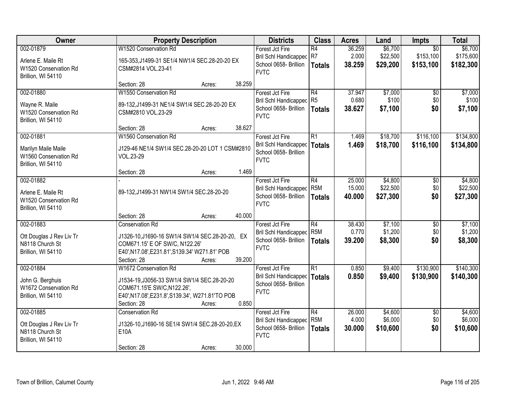| Owner                                                                           | <b>Property Description</b>                                                                                                                                                                       | <b>Districts</b>                                                                        | <b>Class</b>                                         | <b>Acres</b>               | Land                            | Impts                                     | <b>Total</b>                      |
|---------------------------------------------------------------------------------|---------------------------------------------------------------------------------------------------------------------------------------------------------------------------------------------------|-----------------------------------------------------------------------------------------|------------------------------------------------------|----------------------------|---------------------------------|-------------------------------------------|-----------------------------------|
| 002-01879<br>Arlene E. Maile Rt<br>W1520 Conservation Rd<br>Brillion, WI 54110  | W1520 Conservation Rd<br>165-353, J1499-31 SE1/4 NW1/4 SEC.28-20-20 EX<br>CSM#2814 VOL.23-41                                                                                                      | Forest Jct Fire<br>Bril Schl Handicapped R7<br>School 0658- Brillion<br><b>FVTC</b>     | $\overline{R4}$<br><b>Totals</b>                     | 36.259<br>2.000<br>38.259  | \$6,700<br>\$22,500<br>\$29,200 | $\overline{50}$<br>\$153,100<br>\$153,100 | \$6,700<br>\$175,600<br>\$182,300 |
|                                                                                 | 38.259<br>Section: 28<br>Acres:                                                                                                                                                                   |                                                                                         |                                                      |                            |                                 |                                           |                                   |
| 002-01880<br>Wayne R. Maile<br>W1520 Conservation Rd<br>Brillion, WI 54110      | W1550 Conservation Rd<br>89-132, J1499-31 NE1/4 SW1/4 SEC. 28-20-20 EX<br>CSM#2810 VOL.23-29                                                                                                      | Forest Jct Fire<br><b>Bril Schl Handicapped</b><br>School 0658- Brillion<br><b>FVTC</b> | R4<br>R <sub>5</sub><br><b>Totals</b>                | 37.947<br>0.680<br>38.627  | \$7,000<br>\$100<br>\$7,100     | $\overline{50}$<br>\$0<br>\$0             | \$7,000<br>\$100<br>\$7,100       |
|                                                                                 | 38.627<br>Section: 28<br>Acres:                                                                                                                                                                   |                                                                                         |                                                      |                            |                                 |                                           |                                   |
| 002-01881<br>Marilyn Maile Maile<br>W1560 Conservation Rd<br>Brillion, WI 54110 | W1560 Conservation Rd<br>J129-46 NE1/4 SW1/4 SEC.28-20-20 LOT 1 CSM#2810<br>VOL.23-29                                                                                                             | Forest Jct Fire<br><b>Bril Schl Handicapped</b><br>School 0658- Brillion<br><b>FVTC</b> | $\overline{R1}$<br><b>Totals</b>                     | 1.469<br>1.469             | \$18,700<br>\$18,700            | \$116,100<br>\$116,100                    | \$134,800<br>\$134,800            |
|                                                                                 | 1.469<br>Section: 28<br>Acres:                                                                                                                                                                    |                                                                                         |                                                      |                            |                                 |                                           |                                   |
| 002-01882<br>Arlene E. Maile Rt<br>W1520 Conservation Rd<br>Brillion, WI 54110  | 89-132, J1499-31 NW1/4 SW1/4 SEC.28-20-20                                                                                                                                                         | Forest Jct Fire<br><b>Bril Schl Handicapped</b><br>School 0658- Brillion<br><b>FVTC</b> | $\overline{R4}$<br>R <sub>5</sub> M<br><b>Totals</b> | 25.000<br>15.000<br>40.000 | \$4,800<br>\$22,500<br>\$27,300 | \$0<br>\$0<br>\$0                         | \$4,800<br>\$22,500<br>\$27,300   |
|                                                                                 | 40.000<br>Section: 28<br>Acres:                                                                                                                                                                   |                                                                                         |                                                      |                            |                                 |                                           |                                   |
| 002-01883<br>Ott Douglas J Rev Liv Tr<br>N8118 Church St<br>Brillion, WI 54110  | <b>Conservation Rd</b><br>J1326-10, J1690-16 SW1/4 SW1/4 SEC. 28-20-20, EX<br>COM671.15' E OF SW/C, N122.26'<br>E40', N17.08', E231.81', S139.34' W271.81' POB<br>39.200<br>Section: 28<br>Acres: | Forest Jct Fire<br><b>Bril Schl Handicapped</b><br>School 0658- Brillion<br><b>FVTC</b> | $\overline{R4}$<br>R <sub>5</sub> M<br><b>Totals</b> | 38.430<br>0.770<br>39.200  | \$7,100<br>\$1,200<br>\$8,300   | $\overline{50}$<br>\$0<br>\$0             | \$7,100<br>\$1,200<br>\$8,300     |
| 002-01884<br>John G. Berghuis<br>W1672 Conservation Rd<br>Brillion, WI 54110    | W1672 Conservation Rd<br>J1534-19, J3056-33 SW1/4 SW1/4 SEC.28-20-20<br>COM671.15'E SW/C, N122.26',<br>E40', N17.08', E231.8', S139.34', W271.81'TO POB<br>0.850<br>Section: 28<br>Acres:         | Forest Jct Fire<br>Bril Schl Handicapped<br>School 0658- Brillion<br><b>FVTC</b>        | $\overline{R1}$<br><b>Totals</b>                     | 0.850<br>0.850             | \$9,400<br>\$9,400              | \$130,900<br>\$130,900                    | \$140,300<br>\$140,300            |
| 002-01885<br>Ott Douglas J Rev Liv Tr<br>N8118 Church St<br>Brillion, WI 54110  | <b>Conservation Rd</b><br>J1326-10, J1690-16 SE1/4 SW1/4 SEC. 28-20-20, EX<br>E10A<br>30.000<br>Section: 28<br>Acres:                                                                             | Forest Jct Fire<br><b>Bril Schl Handicapped</b><br>School 0658- Brillion<br><b>FVTC</b> | $\overline{R4}$<br>R <sub>5</sub> M<br><b>Totals</b> | 26.000<br>4.000<br>30.000  | \$4,600<br>\$6,000<br>\$10,600  | $\overline{50}$<br>\$0<br>\$0             | \$4,600<br>\$6,000<br>\$10,600    |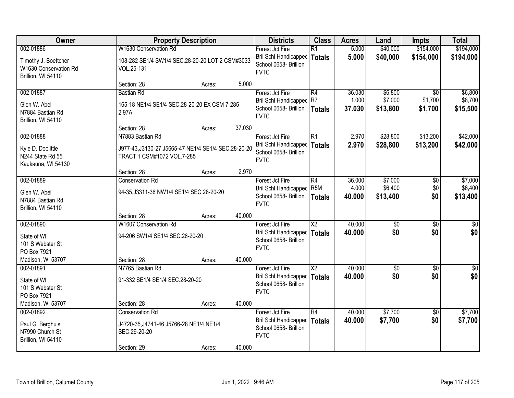| Owner                                                                  |                                                                                                   | <b>Property Description</b> |        | <b>Districts</b>                                                                 | <b>Class</b>                     | <b>Acres</b>     | Land                | <b>Impts</b>           | <b>Total</b>        |
|------------------------------------------------------------------------|---------------------------------------------------------------------------------------------------|-----------------------------|--------|----------------------------------------------------------------------------------|----------------------------------|------------------|---------------------|------------------------|---------------------|
| 002-01886                                                              | W1630 Conservation Rd                                                                             |                             |        | Forest Jct Fire                                                                  | $\overline{R1}$                  | 5.000            | \$40,000            | \$154,000              | \$194,000           |
| Timothy J. Boettcher<br>W1630 Conservation Rd<br>Brillion, WI 54110    | 108-282 SE1/4 SW1/4 SEC.28-20-20 LOT 2 CSM#3033<br>VOL.25-131                                     |                             |        | Bril Schl Handicapped<br>School 0658- Brillion<br><b>FVTC</b>                    | <b>Totals</b>                    | 5.000            | \$40,000            | \$154,000              | \$194,000           |
|                                                                        | Section: 28                                                                                       | Acres:                      | 5.000  |                                                                                  |                                  |                  |                     |                        |                     |
| 002-01887                                                              | <b>Bastian Rd</b>                                                                                 |                             |        | Forest Jct Fire                                                                  | R4                               | 36.030           | \$6,800             | $\overline{30}$        | \$6,800             |
| Glen W. Abel<br>N7884 Bastian Rd<br>Brillion, WI 54110                 | 165-18 NE1/4 SE1/4 SEC.28-20-20 EX CSM 7-285<br>2.97A                                             |                             |        | <b>Bril Schl Handicapped</b><br>School 0658- Brillion<br><b>FVTC</b>             | R7<br><b>Totals</b>              | 1.000<br>37.030  | \$7,000<br>\$13,800 | \$1,700<br>\$1,700     | \$8,700<br>\$15,500 |
|                                                                        | Section: 28                                                                                       | Acres:                      | 37.030 |                                                                                  |                                  |                  |                     |                        |                     |
| 002-01888                                                              | N7883 Bastian Rd                                                                                  |                             |        | Forest Jct Fire                                                                  | R1                               | 2.970            | \$28,800            | \$13,200               | \$42,000            |
| Kyle D. Doolittle<br>N244 State Rd 55<br>Kaukauna, WI 54130            | J977-43, J3130-27, J5665-47 NE1/4 SE1/4 SEC. 28-20-20<br>TRACT 1 CSM#1072 VOL.7-285               |                             |        | Bril Schl Handicapped<br>School 0658- Brillion<br><b>FVTC</b>                    | Totals                           | 2.970            | \$28,800            | \$13,200               | \$42,000            |
|                                                                        | Section: 28                                                                                       | Acres:                      | 2.970  |                                                                                  |                                  |                  |                     |                        |                     |
| 002-01889                                                              | <b>Conservation Rd</b>                                                                            |                             |        | Forest Jct Fire                                                                  | R4                               | 36.000           | \$7,000             | \$0                    | \$7,000             |
| Glen W. Abel<br>N7884 Bastian Rd<br>Brillion, WI 54110                 | 94-35, J3311-36 NW1/4 SE1/4 SEC.28-20-20                                                          |                             |        | Bril Schl Handicapped<br>School 0658- Brillion<br><b>FVTC</b>                    | R <sub>5M</sub><br><b>Totals</b> | 4.000<br>40.000  | \$6,400<br>\$13,400 | \$0<br>\$0             | \$6,400<br>\$13,400 |
|                                                                        | Section: 28                                                                                       | Acres:                      | 40.000 |                                                                                  |                                  |                  |                     |                        |                     |
| 002-01890                                                              | W1607 Conservation Rd                                                                             |                             |        | Forest Jct Fire                                                                  | $\overline{X2}$                  | 40.000           | $\overline{30}$     | $\overline{30}$        | $\overline{30}$     |
| State of WI<br>101 S Webster St<br>PO Box 7921                         | 94-206 SW1/4 SE1/4 SEC.28-20-20                                                                   |                             |        | <b>Bril Schl Handicapped</b><br>School 0658- Brillion<br><b>FVTC</b>             | <b>Totals</b>                    | 40.000           | \$0                 | \$0                    | \$0                 |
| Madison, WI 53707                                                      | Section: 28                                                                                       | Acres:                      | 40.000 |                                                                                  |                                  |                  |                     |                        |                     |
| 002-01891                                                              | N7765 Bastian Rd                                                                                  |                             |        | Forest Jct Fire                                                                  | $\overline{\mathsf{X2}}$         | 40.000           | $\sqrt{$0}$         | $\sqrt{6}$             | $\sqrt{50}$         |
| State of WI<br>101 S Webster St<br>PO Box 7921                         | 91-332 SE1/4 SE1/4 SEC.28-20-20                                                                   |                             |        | Bril Schl Handicapped<br>School 0658- Brillion<br><b>FVTC</b>                    | Totals                           | 40.000           | \$0                 | \$0                    | \$0                 |
| Madison, WI 53707                                                      | Section: 28                                                                                       | Acres:                      | 40.000 |                                                                                  |                                  |                  |                     |                        |                     |
| 002-01892<br>Paul G. Berghuis<br>N7990 Church St<br>Brillion, WI 54110 | <b>Conservation Rd</b><br>J4720-35, J4741-46, J5766-28 NE1/4 NE1/4<br>SEC.29-20-20<br>Section: 29 | Acres:                      | 40.000 | Forest Jct Fire<br>Bril Schl Handicapped<br>School 0658- Brillion<br><b>FVTC</b> | R4<br>Totals                     | 40.000<br>40.000 | \$7,700<br>\$7,700  | $\overline{30}$<br>\$0 | \$7,700<br>\$7,700  |
|                                                                        |                                                                                                   |                             |        |                                                                                  |                                  |                  |                     |                        |                     |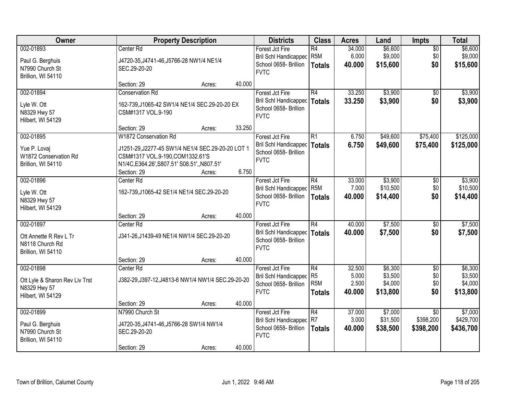| Owner                                                                            | <b>Property Description</b>                                                                                                                                                 |        |        | <b>Districts</b>                                                                                 | <b>Class</b>                                        | <b>Acres</b>                       | Land                                      | <b>Impts</b>                              | <b>Total</b>                              |
|----------------------------------------------------------------------------------|-----------------------------------------------------------------------------------------------------------------------------------------------------------------------------|--------|--------|--------------------------------------------------------------------------------------------------|-----------------------------------------------------|------------------------------------|-------------------------------------------|-------------------------------------------|-------------------------------------------|
| 002-01893<br>Paul G. Berghuis<br>N7990 Church St<br>Brillion, WI 54110           | Center <sub>Rd</sub><br>J4720-35, J4741-46, J5766-28 NW1/4 NE1/4<br>SEC.29-20-20                                                                                            |        |        | Forest Jct Fire<br>Bril Schl Handicapped<br>School 0658- Brillion<br><b>FVTC</b>                 | $\overline{R4}$<br>R <sub>5M</sub><br><b>Totals</b> | 34.000<br>6.000<br>40.000          | \$6,600<br>\$9,000<br>\$15,600            | $\overline{50}$<br>\$0<br>\$0             | \$6,600<br>\$9,000<br>\$15,600            |
|                                                                                  | Section: 29                                                                                                                                                                 | Acres: | 40.000 |                                                                                                  |                                                     |                                    |                                           |                                           |                                           |
| 002-01894<br>Lyle W. Ott<br>N8329 Hwy 57<br>Hilbert, WI 54129                    | <b>Conservation Rd</b><br>162-739, J1065-42 SW1/4 NE1/4 SEC.29-20-20 EX<br>CSM#1317 VOL.9-190                                                                               |        |        | Forest Jct Fire<br><b>Bril Schl Handicapped</b><br>School 0658- Brillion<br><b>FVTC</b>          | R4<br>Totals                                        | 33.250<br>33.250                   | \$3,900<br>\$3,900                        | $\overline{50}$<br>\$0                    | \$3,900<br>\$3,900                        |
|                                                                                  | Section: 29                                                                                                                                                                 | Acres: | 33.250 |                                                                                                  |                                                     |                                    |                                           |                                           |                                           |
| 002-01895<br>Yue P. Lovaj<br>W1872 Conservation Rd<br>Brillion, WI 54110         | W1872 Conservation Rd<br>J1251-29, J2277-45 SW1/4 NE1/4 SEC.29-20-20 LOT 1<br>CSM#1317 VOL.9-190,COM1332.61'S<br>N1/4C, E364.26', S807.51' S08.51', N807.51'<br>Section: 29 | Acres: | 6.750  | Forest Jct Fire<br>Bril Schl Handicapped   Totals<br>School 0658- Brillion<br><b>FVTC</b>        | R1                                                  | 6.750<br>6.750                     | \$49,600<br>\$49,600                      | \$75,400<br>\$75,400                      | \$125,000<br>\$125,000                    |
| 002-01896<br>Lyle W. Ott<br>N8329 Hwy 57<br>Hilbert, WI 54129                    | Center Rd<br>162-739, J1065-42 SE1/4 NE1/4 SEC.29-20-20                                                                                                                     |        |        | Forest Jct Fire<br><b>Bril Schl Handicapped</b><br>School 0658- Brillion<br><b>FVTC</b>          | R4<br>R <sub>5M</sub><br><b>Totals</b>              | 33.000<br>7.000<br>40.000          | \$3,900<br>\$10,500<br>\$14,400           | \$0<br>\$0<br>\$0                         | \$3,900<br>\$10,500<br>\$14,400           |
|                                                                                  | Section: 29                                                                                                                                                                 | Acres: | 40.000 |                                                                                                  |                                                     |                                    |                                           |                                           |                                           |
| 002-01897<br>Ott Annette R Rev L Tr<br>N8118 Church Rd<br>Brillion, WI 54110     | Center Rd<br>J341-26, J1439-49 NE1/4 NW1/4 SEC.29-20-20                                                                                                                     |        |        | Forest Jct Fire<br><b>Bril Schl Handicapped   Totals</b><br>School 0658- Brillion<br><b>FVTC</b> | $\overline{R4}$                                     | 40.000<br>40.000                   | \$7,500<br>\$7,500                        | $\overline{50}$<br>\$0                    | \$7,500<br>\$7,500                        |
|                                                                                  | Section: 29                                                                                                                                                                 | Acres: | 40.000 |                                                                                                  |                                                     |                                    |                                           |                                           |                                           |
| 002-01898<br>Ott Lyle & Sharon Rev Liv Trst<br>N8329 Hwy 57<br>Hilbert, WI 54129 | Center Rd<br>J382-29, J397-12, J4813-6 NW1/4 NW1/4 SEC. 29-20-20                                                                                                            |        |        | Forest Jct Fire<br>Bril Schl Handicapped<br>School 0658- Brillion<br><b>FVTC</b>                 | R4<br>R <sub>5</sub><br>R <sub>5</sub> M<br>Totals  | 32.500<br>5.000<br>2.500<br>40.000 | \$6,300<br>\$3,500<br>\$4,000<br>\$13,800 | $\overline{50}$<br>\$0<br>\$0<br>\$0      | \$6,300<br>\$3,500<br>\$4,000<br>\$13,800 |
| 002-01899                                                                        | Section: 29<br>N7990 Church St                                                                                                                                              | Acres: | 40.000 |                                                                                                  | R4                                                  | 37.000                             | \$7,000                                   |                                           | \$7,000                                   |
| Paul G. Berghuis<br>N7990 Church St<br>Brillion, WI 54110                        | J4720-35, J4741-46, J5766-28 SW1/4 NW1/4<br>SEC.29-20-20<br>Section: 29                                                                                                     | Acres: | 40.000 | Forest Jct Fire<br><b>Bril Schl Handicapped</b><br>School 0658- Brillion<br><b>FVTC</b>          | R7<br><b>Totals</b>                                 | 3.000<br>40.000                    | \$31,500<br>\$38,500                      | $\overline{30}$<br>\$398,200<br>\$398,200 | \$429,700<br>\$436,700                    |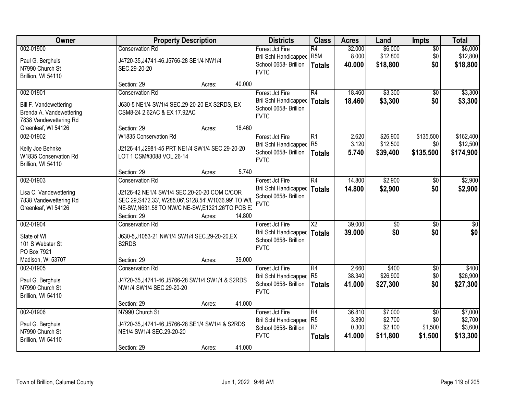| Owner                    | <b>Property Description</b>                            |        |        | <b>Districts</b>             | <b>Class</b>    | <b>Acres</b> | Land            | <b>Impts</b>    | <b>Total</b> |
|--------------------------|--------------------------------------------------------|--------|--------|------------------------------|-----------------|--------------|-----------------|-----------------|--------------|
| 002-01900                | <b>Conservation Rd</b>                                 |        |        | Forest Jct Fire              | R4              | 32.000       | \$6,000         | $\overline{50}$ | \$6,000      |
| Paul G. Berghuis         | J4720-35, J4741-46. J5766-28 SE1/4 NW1/4               |        |        | <b>Bril Schl Handicapped</b> | R <sub>5M</sub> | 8.000        | \$12,800        | \$0             | \$12,800     |
| N7990 Church St          | SEC.29-20-20                                           |        |        | School 0658- Brillion        | <b>Totals</b>   | 40.000       | \$18,800        | \$0             | \$18,800     |
| Brillion, WI 54110       |                                                        |        |        | <b>FVTC</b>                  |                 |              |                 |                 |              |
|                          | Section: 29                                            | Acres: | 40.000 |                              |                 |              |                 |                 |              |
| 002-01901                | <b>Conservation Rd</b>                                 |        |        | Forest Jct Fire              | R4              | 18.460       | \$3,300         | $\overline{50}$ | \$3,300      |
| Bill F. Vandewettering   | J630-5 NE1/4 SW1/4 SEC.29-20-20 EX S2RDS, EX           |        |        | Bril Schl Handicapped        | Totals          | 18.460       | \$3,300         | \$0             | \$3,300      |
| Brenda A. Vandewettering | CSM8-24 2.62AC & EX 17.92AC                            |        |        | School 0658- Brillion        |                 |              |                 |                 |              |
| 7838 Vandewettering Rd   |                                                        |        |        | <b>FVTC</b>                  |                 |              |                 |                 |              |
| Greenleaf, WI 54126      | Section: 29                                            | Acres: | 18.460 |                              |                 |              |                 |                 |              |
| 002-01902                | W1835 Conservation Rd                                  |        |        | Forest Jct Fire              | R1              | 2.620        | \$26,900        | \$135,500       | \$162,400    |
| Kelly Joe Behnke         | J2126-41, J2981-45 PRT NE1/4 SW1/4 SEC.29-20-20        |        |        | Bril Schl Handicapped R5     |                 | 3.120        | \$12,500        | \$0             | \$12,500     |
| W1835 Conservation Rd    | LOT 1 CSM#3088 VOL.26-14                               |        |        | School 0658- Brillion        | Totals          | 5.740        | \$39,400        | \$135,500       | \$174,900    |
| Brillion, WI 54110       |                                                        |        |        | <b>FVTC</b>                  |                 |              |                 |                 |              |
|                          | Section: 29                                            | Acres: | 5.740  |                              |                 |              |                 |                 |              |
| 002-01903                | <b>Conservation Rd</b>                                 |        |        | Forest Jct Fire              | R4              | 14.800       | \$2,900         | $\sqrt{6}$      | \$2,900      |
| Lisa C. Vandewettering   | J2126-42 NE1/4 SW1/4 SEC.20-20-20 COM C/COR            |        |        | Bril Schl Handicapped        | <b>Totals</b>   | 14.800       | \$2,900         | \$0             | \$2,900      |
| 7838 Vandewettering Rd   | SEC.29, S472.33', W285.06', S128.54', W1036.99' TO W/L |        |        | School 0658- Brillion        |                 |              |                 |                 |              |
| Greenleaf, WI 54126      | NE-SW, N631.58'TO NW/C NE-SW, E1321.26'TO POB EX       |        |        | <b>FVTC</b>                  |                 |              |                 |                 |              |
|                          | Section: 29                                            | Acres: | 14.800 |                              |                 |              |                 |                 |              |
| 002-01904                | <b>Conservation Rd</b>                                 |        |        | Forest Jct Fire              | $\overline{X2}$ | 39.000       | $\overline{50}$ | $\overline{50}$ | $\sqrt{30}$  |
| State of WI              | J630-5, J1053-21 NW1/4 SW1/4 SEC.29-20-20, EX          |        |        | <b>Bril Schl Handicapped</b> | <b>Totals</b>   | 39,000       | \$0             | \$0             | \$0          |
| 101 S Webster St         | S2RDS                                                  |        |        | School 0658- Brillion        |                 |              |                 |                 |              |
| PO Box 7921              |                                                        |        |        | <b>FVTC</b>                  |                 |              |                 |                 |              |
| Madison, WI 53707        | Section: 29                                            | Acres: | 39.000 |                              |                 |              |                 |                 |              |
| 002-01905                | <b>Conservation Rd</b>                                 |        |        | Forest Jct Fire              | R4              | 2.660        | \$400           | $\sqrt{$0}$     | \$400        |
| Paul G. Berghuis         | J4720-35, J4741-46, J5766-28 SW1/4 SW1/4 & S2RDS       |        |        | Bril Schl Handicapped R5     |                 | 38.340       | \$26,900        | \$0             | \$26,900     |
| N7990 Church St          | NW1/4 SW1/4 SEC.29-20-20                               |        |        | School 0658- Brillion        | <b>Totals</b>   | 41.000       | \$27,300        | \$0             | \$27,300     |
| Brillion, WI 54110       |                                                        |        |        | <b>FVTC</b>                  |                 |              |                 |                 |              |
|                          | Section: 29                                            | Acres: | 41.000 |                              |                 |              |                 |                 |              |
| 002-01906                | N7990 Church St                                        |        |        | Forest Jct Fire              | R4              | 36.810       | \$7,000         | $\overline{50}$ | \$7,000      |
| Paul G. Berghuis         | J4720-35, J4741-46, J5766-28 SE1/4 SW1/4 & S2RDS       |        |        | Bril Schl Handicapped        | R <sub>5</sub>  | 3.890        | \$2,700         | \$0             | \$2,700      |
| N7990 Church St          | NE1/4 SW1/4 SEC.29-20-20                               |        |        | School 0658- Brillion        | R7              | 0.300        | \$2,100         | \$1,500         | \$3,600      |
| Brillion, WI 54110       |                                                        |        |        | <b>FVTC</b>                  | <b>Totals</b>   | 41.000       | \$11,800        | \$1,500         | \$13,300     |
|                          | Section: 29                                            | Acres: | 41.000 |                              |                 |              |                 |                 |              |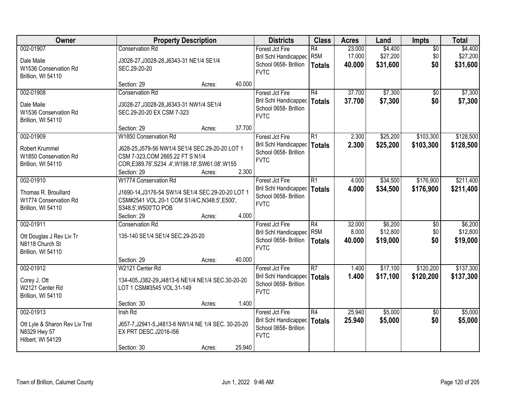| Owner                                                                            | <b>Property Description</b>                                                                                                                         |        |        | <b>Districts</b>                                                                        | <b>Class</b>                            | <b>Acres</b>              | Land                            | Impts                  | <b>Total</b>                    |
|----------------------------------------------------------------------------------|-----------------------------------------------------------------------------------------------------------------------------------------------------|--------|--------|-----------------------------------------------------------------------------------------|-----------------------------------------|---------------------------|---------------------------------|------------------------|---------------------------------|
| 002-01907                                                                        | <b>Conservation Rd</b>                                                                                                                              |        |        | Forest Jct Fire<br>Bril Schl Handicapped                                                | $\overline{R4}$<br>R <sub>5</sub> M     | 23.000<br>17.000          | \$4,400<br>\$27,200             | $\overline{50}$<br>\$0 | \$4,400<br>\$27,200             |
| Dale Maile<br>W1536 Conservation Rd<br>Brillion, WI 54110                        | J3028-27, J3028-28, J6343-31 NE1/4 SE1/4<br>SEC.29-20-20                                                                                            |        |        | School 0658- Brillion<br><b>FVTC</b>                                                    | <b>Totals</b>                           | 40.000                    | \$31,600                        | \$0                    | \$31,600                        |
|                                                                                  | Section: 29                                                                                                                                         | Acres: | 40.000 |                                                                                         |                                         |                           |                                 |                        |                                 |
| 002-01908                                                                        | <b>Conservation Rd</b>                                                                                                                              |        |        | Forest Jct Fire                                                                         | R4                                      | 37.700                    | \$7,300                         | \$0                    | \$7,300                         |
| Dale Maile<br>W1536 Conservation Rd<br>Brillion, WI 54110                        | J3028-27, J3028-28, J6343-31 NW1/4 SE1/4<br>SEC.29-20-20 EX CSM 7-323                                                                               |        |        | Bril Schl Handicapped<br>School 0658- Brillion<br><b>FVTC</b>                           | <b>Totals</b>                           | 37.700                    | \$7,300                         | \$0                    | \$7,300                         |
|                                                                                  | Section: 29                                                                                                                                         | Acres: | 37.700 |                                                                                         |                                         |                           |                                 |                        |                                 |
| 002-01909                                                                        | W1850 Conservation Rd                                                                                                                               |        |        | Forest Jct Fire                                                                         | $\overline{R1}$                         | 2.300                     | \$25,200                        | \$103,300              | \$128,500                       |
| Robert Krummel<br>W1850 Conservation Rd<br>Brillion, WI 54110                    | J628-25, J579-56 NW1/4 SE1/4 SEC.29-20-20 LOT 1<br>CSM 7-323, COM 2665.22 FT S N1/4<br>COR, E389.76', S234 .4', W198.18', SW61.08', W155            |        |        | <b>Bril Schl Handicapped</b><br>School 0658- Brillion<br><b>FVTC</b>                    | <b>Totals</b>                           | 2.300                     | \$25,200                        | \$103,300              | \$128,500                       |
|                                                                                  | Section: 29                                                                                                                                         | Acres: | 2.300  |                                                                                         |                                         |                           |                                 |                        |                                 |
| 002-01910<br>Thomas R. Brouillard<br>W1774 Conservation Rd<br>Brillion, WI 54110 | W1774 Conservation Rd<br>J1690-14, J3176-54 SW1/4 SE1/4 SEC.29-20-20 LOT 1<br>CSM#2541 VOL.20-1 COM S1/4/C, N348.5', E500',<br>S348.5', W500'TO POB |        |        | Forest Jct Fire<br><b>Bril Schl Handicapped</b><br>School 0658- Brillion<br><b>FVTC</b> | $\overline{R1}$<br><b>Totals</b>        | 4.000<br>4.000            | \$34,500<br>\$34,500            | \$176,900<br>\$176,900 | \$211,400<br>\$211,400          |
|                                                                                  | Section: 29                                                                                                                                         | Acres: | 4.000  |                                                                                         |                                         |                           |                                 |                        |                                 |
| 002-01911<br>Ott Douglas J Rev Liv Tr<br>N8118 Church St<br>Brillion, WI 54110   | <b>Conservation Rd</b><br>135-140 SE1/4 SE1/4 SEC.29-20-20                                                                                          |        |        | Forest Jct Fire<br><b>Bril Schl Handicapped</b><br>School 0658- Brillion<br><b>FVTC</b> | R4<br>R <sub>5</sub> M<br><b>Totals</b> | 32.000<br>8.000<br>40.000 | \$6,200<br>\$12,800<br>\$19,000 | \$0<br>\$0<br>\$0      | \$6,200<br>\$12,800<br>\$19,000 |
|                                                                                  | Section: 29                                                                                                                                         | Acres: | 40.000 |                                                                                         |                                         |                           |                                 |                        |                                 |
| 002-01912<br>Corey J. Ott<br>W2121 Center Rd<br>Brillion, WI 54110               | W2121 Center Rd<br>134-405, J382-29, J4813-6 NE1/4 NE1/4 SEC.30-20-20<br>LOT 1 CSM#3545 VOL.31-149<br>Section: 30                                   |        | 1.400  | Forest Jct Fire<br><b>Bril Schl Handicapped</b><br>School 0658- Brillion<br><b>FVTC</b> | $\overline{R7}$<br>Totals               | 1.400<br>1.400            | \$17,100<br>\$17,100            | \$120,200<br>\$120,200 | \$137,300<br>\$137,300          |
| 002-01913                                                                        | <b>Irish Rd</b>                                                                                                                                     | Acres: |        | Forest Jct Fire                                                                         | $\overline{R4}$                         | 25.940                    | \$5,000                         | $\overline{50}$        | \$5,000                         |
| Ott Lyle & Sharon Rev Liv Trst<br>N8329 Hwy 57<br>Hilbert, WI 54129              | J657-7, J2941-5, J4813-6 NW1/4 NE 1/4 SEC. 30-20-20<br>EX PRT DESC.J2016-I56                                                                        |        |        | Bril Schl Handicapped<br>School 0658- Brillion<br><b>FVTC</b>                           | <b>Totals</b>                           | 25.940                    | \$5,000                         | \$0                    | \$5,000                         |
|                                                                                  | Section: 30                                                                                                                                         | Acres: | 25.940 |                                                                                         |                                         |                           |                                 |                        |                                 |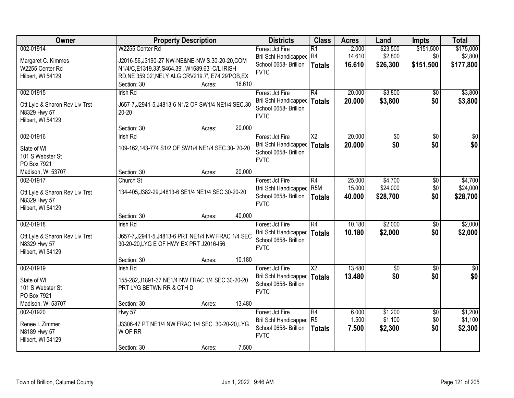| Owner                           | <b>Property Description</b>                          | <b>Districts</b>                     | <b>Class</b>           | <b>Acres</b> | Land        | <b>Impts</b>    | <b>Total</b> |
|---------------------------------|------------------------------------------------------|--------------------------------------|------------------------|--------------|-------------|-----------------|--------------|
| 002-01914                       | W2255 Center Rd                                      | Forest Jct Fire                      | R1                     | 2.000        | \$23,500    | \$151,500       | \$175,000    |
| Margaret C. Kimmes              | J2016-56, J3190-27 NW-NE&NE-NW S.30-20-20, COM       | Bril Schl Handicapped R4             |                        | 14.610       | \$2,800     | \$0             | \$2,800      |
| W2255 Center Rd                 | N1/4/C, E1319.33', S464.39', W1689.63'-C/L IRISH     | School 0658- Brillion                | Totals                 | 16.610       | \$26,300    | \$151,500       | \$177,800    |
| Hilbert, WI 54129               | RD, NE 359.02', NELY ALG CRV219.7', E74.29'POB, EX   | <b>FVTC</b>                          |                        |              |             |                 |              |
|                                 | Section: 30<br>16.610<br>Acres:                      |                                      |                        |              |             |                 |              |
| 002-01915                       | <b>Irish Rd</b>                                      | Forest Jct Fire                      | R4                     | 20.000       | \$3,800     | $\overline{50}$ | \$3,800      |
|                                 |                                                      | Bril Schl Handicapped                | Totals                 | 20.000       | \$3,800     | \$0             | \$3,800      |
| Ott Lyle & Sharon Rev Liv Trst  | J657-7, J2941-5, J4813-6 N1/2 OF SW1/4 NE1/4 SEC.30- | School 0658- Brillion                |                        |              |             |                 |              |
| N8329 Hwy 57                    | $20 - 20$                                            | <b>FVTC</b>                          |                        |              |             |                 |              |
| Hilbert, WI 54129               | 20.000<br>Section: 30<br>Acres:                      |                                      |                        |              |             |                 |              |
| 002-01916                       | <b>Irish Rd</b>                                      | Forest Jct Fire                      | $\overline{\text{X2}}$ | 20.000       | \$0         | \$0             | \$0          |
|                                 |                                                      | Bril Schl Handicapped   Totals       |                        | 20.000       | \$0         | \$0             | \$0          |
| State of WI                     | 109-162,143-774 S1/2 OF SW1/4 NE1/4 SEC.30-20-20     | School 0658- Brillion                |                        |              |             |                 |              |
| 101 S Webster St                |                                                      | <b>FVTC</b>                          |                        |              |             |                 |              |
| PO Box 7921                     |                                                      |                                      |                        |              |             |                 |              |
| Madison, WI 53707               | 20.000<br>Section: 30<br>Acres:                      |                                      |                        |              |             |                 |              |
| 002-01917                       | Church St                                            | Forest Jct Fire                      | R4                     | 25.000       | \$4,700     | \$0             | \$4,700      |
| Ott Lyle & Sharon Rev Liv Trst  | 134-405, J382-29, J4813-6 SE1/4 NE1/4 SEC.30-20-20   | <b>Bril Schl Handicapped</b>         | R <sub>5M</sub>        | 15.000       | \$24,000    | \$0             | \$24,000     |
| N8329 Hwy 57                    |                                                      | School 0658- Brillion<br><b>FVTC</b> | <b>Totals</b>          | 40.000       | \$28,700    | \$0             | \$28,700     |
| Hilbert, WI 54129               |                                                      |                                      |                        |              |             |                 |              |
|                                 | 40.000<br>Section: 30<br>Acres:                      |                                      |                        |              |             |                 |              |
| 002-01918                       | <b>Irish Rd</b>                                      | Forest Jct Fire                      | R4                     | 10.180       | \$2,000     | $\sqrt{6}$      | \$2,000      |
| Ott Lyle & Sharon Rev Liv Trst  | J657-7, J2941-5, J4813-6 PRT NE1/4 NW FRAC 1/4 SEC   | Bril Schl Handicapped                | Totals                 | 10.180       | \$2,000     | \$0             | \$2,000      |
| N8329 Hwy 57                    | 30-20-20, LYG E OF HWY EX PRT J2016-156              | School 0658- Brillion                |                        |              |             |                 |              |
| Hilbert, WI 54129               |                                                      | <b>FVTC</b>                          |                        |              |             |                 |              |
|                                 | 10.180<br>Section: 30<br>Acres:                      |                                      |                        |              |             |                 |              |
| 002-01919                       | Irish Rd                                             | Forest Jct Fire                      | $\overline{\text{X2}}$ | 13.480       | $\sqrt{$0}$ | $\sqrt{6}$      | $\sqrt{50}$  |
|                                 |                                                      | Bril Schl Handicapped   Totals       |                        | 13.480       | \$0         | \$0             | \$0          |
| State of WI                     | 155-282, J1891-37 NE1/4 NW FRAC 1/4 SEC.30-20-20     | School 0658- Brillion                |                        |              |             |                 |              |
| 101 S Webster St<br>PO Box 7921 | PRT LYG BETWN RR & CTH D                             | <b>FVTC</b>                          |                        |              |             |                 |              |
| Madison, WI 53707               | 13.480<br>Section: 30                                |                                      |                        |              |             |                 |              |
| 002-01920                       | Acres:<br>Hwy 57                                     | Forest Jct Fire                      | R4                     | 6.000        | \$1,200     | $\overline{30}$ | \$1,200      |
|                                 |                                                      | Bril Schl Handicapped                | R <sub>5</sub>         | 1.500        | \$1,100     | \$0             | \$1,100      |
| Renee I. Zimmer                 | J3306-47 PT NE1/4 NW FRAC 1/4 SEC. 30-20-20, LYG     | School 0658- Brillion                |                        | 7.500        | \$2,300     | \$0             | \$2,300      |
| N8189 Hwy 57                    | W OF RR                                              | <b>FVTC</b>                          | <b>Totals</b>          |              |             |                 |              |
| Hilbert, WI 54129               |                                                      |                                      |                        |              |             |                 |              |
|                                 | 7.500<br>Section: 30<br>Acres:                       |                                      |                        |              |             |                 |              |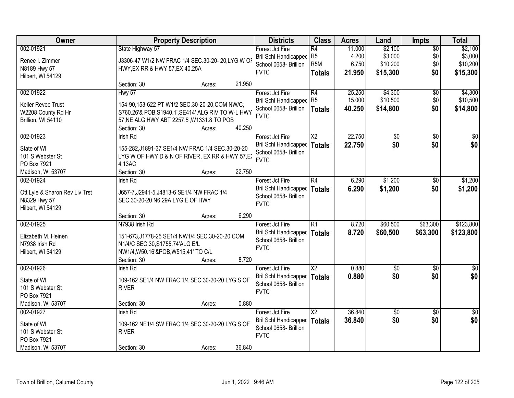| Owner                          |                                                    | <b>Property Description</b> |        | <b>Districts</b>                                      | <b>Class</b>                       | <b>Acres</b>     | Land                | Impts           | <b>Total</b>        |
|--------------------------------|----------------------------------------------------|-----------------------------|--------|-------------------------------------------------------|------------------------------------|------------------|---------------------|-----------------|---------------------|
| 002-01921                      | State Highway 57                                   |                             |        | Forest Jct Fire                                       | R4                                 | 11.000           | \$2,100             | $\overline{50}$ | \$2,100             |
| Renee I. Zimmer                | J3306-47 W1/2 NW FRAC 1/4 SEC.30-20- 20,LYG W OF   |                             |        | <b>Bril Schl Handicapped</b><br>School 0658- Brillion | R <sub>5</sub><br>R <sub>5</sub> M | 4.200<br>6.750   | \$3,000<br>\$10,200 | \$0<br>\$0      | \$3,000<br>\$10,200 |
| N8189 Hwy 57                   | HWY, EX RR & HWY 57, EX 40.25A                     |                             |        | <b>FVTC</b>                                           | <b>Totals</b>                      | 21.950           | \$15,300            | \$0             | \$15,300            |
| Hilbert, WI 54129              |                                                    |                             |        |                                                       |                                    |                  |                     |                 |                     |
|                                | Section: 30                                        | Acres:                      | 21.950 |                                                       |                                    |                  |                     |                 |                     |
| 002-01922                      | Hwy 57                                             |                             |        | Forest Jct Fire                                       | $\overline{R4}$<br>R <sub>5</sub>  | 25.250<br>15.000 | \$4,300             | \$0             | \$4,300             |
| Keller Revoc Trust             | 154-90,153-622 PT W1/2 SEC.30-20-20,COM NW/C,      |                             |        | <b>Bril Schl Handicapped</b><br>School 0658- Brillion |                                    | 40.250           | \$10,500            | \$0<br>\$0      | \$10,500            |
| W2208 County Rd Hr             | S760.26'& POB, S1940.1', SE414' ALG RIV TO W-L HWY |                             |        | <b>FVTC</b>                                           | <b>Totals</b>                      |                  | \$14,800            |                 | \$14,800            |
| Brillion, WI 54110             | 57, NE ALG HWY ABT 2257.5', W1331.8 TO POB         |                             |        |                                                       |                                    |                  |                     |                 |                     |
|                                | Section: 30                                        | Acres:                      | 40.250 |                                                       |                                    |                  |                     |                 |                     |
| 002-01923                      | <b>Irish Rd</b>                                    |                             |        | Forest Jct Fire                                       | $\overline{\text{X2}}$             | 22.750           | \$0                 | $\overline{50}$ | $\overline{50}$     |
| State of WI                    | 155-282, J1891-37 SE1/4 NW FRAC 1/4 SEC.30-20-20   |                             |        | <b>Bril Schl Handicapped</b>                          | <b>Totals</b>                      | 22.750           | \$0                 | \$0             | \$0                 |
| 101 S Webster St               | LYG W OF HWY D & N OF RIVER, EX RR & HWY 57, EX    |                             |        | School 0658- Brillion                                 |                                    |                  |                     |                 |                     |
| PO Box 7921                    | 4.13AC                                             |                             |        | <b>FVTC</b>                                           |                                    |                  |                     |                 |                     |
| Madison, WI 53707              | Section: 30                                        | Acres:                      | 22.750 |                                                       |                                    |                  |                     |                 |                     |
| 002-01924                      | <b>Irish Rd</b>                                    |                             |        | Forest Jct Fire                                       | R4                                 | 6.290            | \$1,200             | $\sqrt[6]{}$    | \$1,200             |
| Ott Lyle & Sharon Rev Liv Trst | J657-7, J2941-5, J4813-6 SE1/4 NW FRAC 1/4         |                             |        | <b>Bril Schl Handicapped</b>                          | <b>Totals</b>                      | 6.290            | \$1,200             | \$0             | \$1,200             |
| N8329 Hwy 57                   | SEC.30-20-20 N6.29A LYG E OF HWY                   |                             |        | School 0658- Brillion                                 |                                    |                  |                     |                 |                     |
| Hilbert, WI 54129              |                                                    |                             |        | <b>FVTC</b>                                           |                                    |                  |                     |                 |                     |
|                                | Section: 30                                        | Acres:                      | 6.290  |                                                       |                                    |                  |                     |                 |                     |
| 002-01925                      | N7938 Irish Rd                                     |                             |        | Forest Jct Fire                                       | $\overline{R1}$                    | 8.720            | \$60,500            | \$63,300        | \$123,800           |
| Elizabeth M. Heinen            | 151-673, J1778-25 SE1/4 NW1/4 SEC.30-20-20 COM     |                             |        | <b>Bril Schl Handicapped</b>                          | <b>Totals</b>                      | 8.720            | \$60,500            | \$63,300        | \$123,800           |
| N7938 Irish Rd                 | N1/4/C SEC.30, S1755.74'ALG E/L                    |                             |        | School 0658- Brillion                                 |                                    |                  |                     |                 |                     |
| Hilbert, WI 54129              | NW1/4, W50.16'&POB, W515.41' TO C/L                |                             |        | <b>FVTC</b>                                           |                                    |                  |                     |                 |                     |
|                                | Section: 30                                        | Acres:                      | 8.720  |                                                       |                                    |                  |                     |                 |                     |
| 002-01926                      | Irish Rd                                           |                             |        | Forest Jct Fire                                       | $\overline{X2}$                    | 0.880            | $\sqrt{30}$         | $\overline{50}$ | $\frac{1}{6}$       |
| State of WI                    | 109-162 SE1/4 NW FRAC 1/4 SEC.30-20-20 LYG S OF    |                             |        | <b>Bril Schl Handicapped</b>                          | <b>Totals</b>                      | 0.880            | \$0                 | \$0             | \$0                 |
| 101 S Webster St               | <b>RIVER</b>                                       |                             |        | School 0658- Brillion                                 |                                    |                  |                     |                 |                     |
| PO Box 7921                    |                                                    |                             |        | <b>FVTC</b>                                           |                                    |                  |                     |                 |                     |
| Madison, WI 53707              | Section: 30                                        | Acres:                      | 0.880  |                                                       |                                    |                  |                     |                 |                     |
| 002-01927                      | <b>Irish Rd</b>                                    |                             |        | Forest Jct Fire                                       | $\overline{\text{X2}}$             | 36.840           | \$0                 | $\overline{50}$ | $\overline{50}$     |
| State of WI                    | 109-162 NE1/4 SW FRAC 1/4 SEC.30-20-20 LYG S OF    |                             |        | <b>Bril Schl Handicapped</b>                          | <b>Totals</b>                      | 36.840           | \$0                 | \$0             | \$0                 |
| 101 S Webster St               | <b>RIVER</b>                                       |                             |        | School 0658- Brillion                                 |                                    |                  |                     |                 |                     |
| PO Box 7921                    |                                                    |                             |        | <b>FVTC</b>                                           |                                    |                  |                     |                 |                     |
| Madison, WI 53707              | Section: 30                                        | Acres:                      | 36.840 |                                                       |                                    |                  |                     |                 |                     |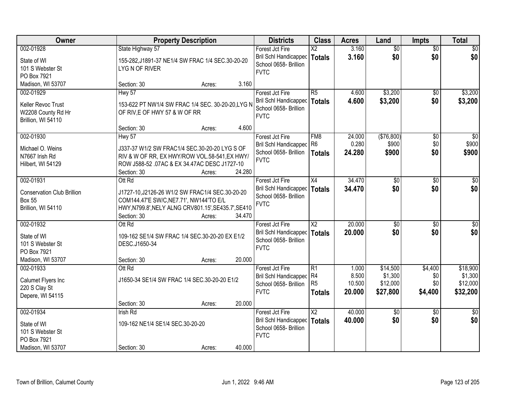| Owner                                                                                 |                                                                    | <b>Property Description</b>                                                                                                                                 |        | <b>Districts</b>                                                                        | <b>Class</b>                              | <b>Acres</b>                       | Land                                        | <b>Impts</b>                     | <b>Total</b>                                |
|---------------------------------------------------------------------------------------|--------------------------------------------------------------------|-------------------------------------------------------------------------------------------------------------------------------------------------------------|--------|-----------------------------------------------------------------------------------------|-------------------------------------------|------------------------------------|---------------------------------------------|----------------------------------|---------------------------------------------|
| 002-01928<br>State of WI<br>101 S Webster St                                          | State Highway 57<br>LYGN OF RIVER                                  | 155-282, J1891-37 NE1/4 SW FRAC 1/4 SEC.30-20-20                                                                                                            |        | Forest Jct Fire<br>Bril Schl Handicapped<br>School 0658- Brillion<br><b>FVTC</b>        | $\overline{\text{X2}}$<br><b>Totals</b>   | 3.160<br>3.160                     | $\overline{60}$<br>\$0                      | $\overline{50}$<br>\$0           | \$0<br>\$0                                  |
| PO Box 7921<br>Madison, WI 53707                                                      | Section: 30                                                        | Acres:                                                                                                                                                      | 3.160  |                                                                                         |                                           |                                    |                                             |                                  |                                             |
| 002-01929<br>Keller Revoc Trust<br>W2208 County Rd Hr<br>Brillion, WI 54110           | <b>Hwy 57</b><br>OF RIV, E OF HWY 57 & W OF RR                     | 153-622 PT NW1/4 SW FRAC 1/4 SEC. 30-20-20, LYG N                                                                                                           |        | Forest Jct Fire<br>Bril Schl Handicapped<br>School 0658- Brillion<br><b>FVTC</b>        | R <sub>5</sub><br><b>Totals</b>           | 4.600<br>4.600                     | \$3,200<br>\$3,200                          | \$0<br>\$0                       | \$3,200<br>\$3,200                          |
|                                                                                       | Section: 30                                                        | Acres:                                                                                                                                                      | 4.600  |                                                                                         |                                           |                                    |                                             |                                  |                                             |
| 002-01930<br>Michael O. Weins<br>N7667 Irish Rd<br>Hilbert, WI 54129                  | <b>Hwy 57</b><br>Section: 30                                       | J337-37 W1/2 SW FRAC1/4 SEC.30-20-20 LYG S OF<br>RIV & W OF RR, EX HWY/ROW VOL.58-541, EX HWY/<br>ROW J588-52 .07AC & EX 34.47AC DESC J1727-10<br>Acres:    | 24.280 | Forest Jct Fire<br>Bril Schl Handicapped R6<br>School 0658- Brillion<br><b>FVTC</b>     | FM8<br><b>Totals</b>                      | 24.000<br>0.280<br>24.280          | (\$76,800)<br>\$900<br>\$900                | \$0<br>\$0<br>\$0                | $\overline{50}$<br>\$900<br>\$900           |
| 002-01931<br><b>Conservation Club Brillion</b><br><b>Box 55</b><br>Brillion, WI 54110 | Ott Rd<br>Section: 30                                              | J1727-10, J2126-26 W1/2 SW FRAC1/4 SEC.30-20-20<br>COM144.47'E SW/C, NE7.71', NW144'TO E/L<br>HWY, N799.8', NELY ALNG CRV801.15', SE435.7', SE410<br>Acres: | 34.470 | Forest Jct Fire<br>Bril Schl Handicapped<br>School 0658- Brillion<br><b>FVTC</b>        | X4<br><b>Totals</b>                       | 34.470<br>34.470                   | \$0<br>\$0                                  | $\sqrt[6]{3}$<br>\$0             | $\sqrt{50}$<br>\$0                          |
| 002-01932<br>State of WI<br>101 S Webster St<br>PO Box 7921<br>Madison, WI 53707      | Ott Rd<br>DESC.J1650-34<br>Section: 30                             | 109-162 SE1/4 SW FRAC 1/4 SEC.30-20-20 EX E1/2<br>Acres:                                                                                                    | 20.000 | Forest Jct Fire<br>Bril Schl Handicapped<br>School 0658- Brillion<br><b>FVTC</b>        | $\overline{\text{X2}}$<br>Totals          | 20.000<br>20.000                   | $\overline{50}$<br>\$0                      | $\overline{50}$<br>\$0           | $\overline{50}$<br>\$0                      |
| 002-01933<br>Calumet Flyers Inc<br>220 S Clay St<br>Depere, WI 54115                  | Ott Rd<br>Section: 30                                              | J1650-34 SE1/4 SW FRAC 1/4 SEC.30-20-20 E1/2<br>Acres:                                                                                                      | 20.000 | Forest Jct Fire<br>Bril Schl Handicapped R4<br>School 0658- Brillion<br><b>FVTC</b>     | R1<br>R <sub>5</sub><br><b>Totals</b>     | 1.000<br>8.500<br>10.500<br>20.000 | \$14,500<br>\$1,300<br>\$12,000<br>\$27,800 | \$4,400<br>\$0<br>\$0<br>\$4,400 | \$18,900<br>\$1,300<br>\$12,000<br>\$32,200 |
| 002-01934<br>State of WI<br>101 S Webster St<br>PO Box 7921<br>Madison, WI 53707      | <b>Irish Rd</b><br>109-162 NE1/4 SE1/4 SEC.30-20-20<br>Section: 30 | Acres:                                                                                                                                                      | 40.000 | Forest Jct Fire<br><b>Bril Schl Handicapped</b><br>School 0658- Brillion<br><b>FVTC</b> | $\overline{\mathsf{X2}}$<br><b>Totals</b> | 40.000<br>40.000                   | $\overline{50}$<br>\$0                      | $\overline{50}$<br>\$0           | $\overline{30}$<br>\$0                      |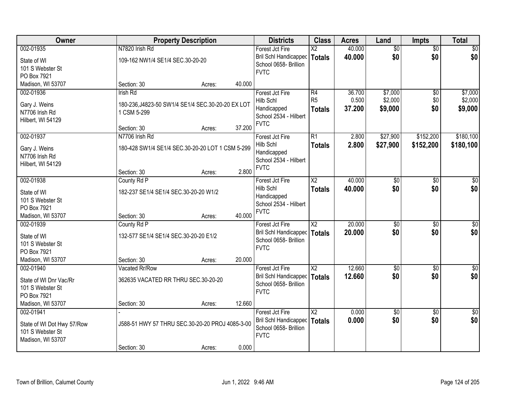| Owner                      |                                                   | <b>Property Description</b> |        | <b>Districts</b>                               | <b>Class</b>             | <b>Acres</b>    | Land            | <b>Impts</b>    | <b>Total</b>    |
|----------------------------|---------------------------------------------------|-----------------------------|--------|------------------------------------------------|--------------------------|-----------------|-----------------|-----------------|-----------------|
| 002-01935                  | N7820 Irish Rd                                    |                             |        | Forest Jct Fire                                | $\overline{\text{X2}}$   | 40.000          | $\overline{50}$ | $\overline{50}$ | $\sqrt{50}$     |
| State of WI                | 109-162 NW1/4 SE1/4 SEC.30-20-20                  |                             |        | Bril Schl Handicapped<br>School 0658- Brillion | Totals                   | 40.000          | \$0             | \$0             | \$0             |
| 101 S Webster St           |                                                   |                             |        | <b>FVTC</b>                                    |                          |                 |                 |                 |                 |
| PO Box 7921                |                                                   |                             |        |                                                |                          |                 |                 |                 |                 |
| Madison, WI 53707          | Section: 30                                       | Acres:                      | 40.000 |                                                |                          |                 |                 |                 |                 |
| 002-01936                  | Irish Rd                                          |                             |        | Forest Jct Fire                                | R4                       | 36.700          | \$7,000         | $\overline{50}$ | \$7,000         |
| Gary J. Weins              | 180-236, J4823-50 SW1/4 SE1/4 SEC.30-20-20 EX LOT |                             |        | Hilb Schl<br>Handicapped                       | R <sub>5</sub>           | 0.500<br>37.200 | \$2,000         | \$0<br>\$0      | \$2,000         |
| N7706 Irish Rd             | 1 CSM 5-299                                       |                             |        | School 2534 - Hilbert                          | <b>Totals</b>            |                 | \$9,000         |                 | \$9,000         |
| Hilbert, WI 54129          |                                                   |                             |        | <b>FVTC</b>                                    |                          |                 |                 |                 |                 |
|                            | Section: 30                                       | Acres:                      | 37.200 |                                                |                          |                 |                 |                 |                 |
| 002-01937                  | N7706 Irish Rd                                    |                             |        | Forest Jct Fire                                | R1                       | 2.800           | \$27,900        | \$152,200       | \$180,100       |
| Gary J. Weins              | 180-428 SW1/4 SE1/4 SEC.30-20-20 LOT 1 CSM 5-299  |                             |        | Hilb Schl                                      | <b>Totals</b>            | 2.800           | \$27,900        | \$152,200       | \$180,100       |
| N7706 Irish Rd             |                                                   |                             |        | Handicapped<br>School 2534 - Hilbert           |                          |                 |                 |                 |                 |
| Hilbert, WI 54129          |                                                   |                             |        | <b>FVTC</b>                                    |                          |                 |                 |                 |                 |
|                            | Section: 30                                       | Acres:                      | 2.800  |                                                |                          |                 |                 |                 |                 |
| 002-01938                  | County Rd P                                       |                             |        | Forest Jct Fire                                | $\overline{\text{X2}}$   | 40.000          | $\overline{50}$ | \$0             | $\overline{50}$ |
| State of WI                | 182-237 SE1/4 SE1/4 SEC.30-20-20 W1/2             |                             |        | Hilb Schl                                      | <b>Totals</b>            | 40.000          | \$0             | \$0             | \$0             |
| 101 S Webster St           |                                                   |                             |        | Handicapped<br>School 2534 - Hilbert           |                          |                 |                 |                 |                 |
| PO Box 7921                |                                                   |                             |        | <b>FVTC</b>                                    |                          |                 |                 |                 |                 |
| Madison, WI 53707          | Section: 30                                       | Acres:                      | 40.000 |                                                |                          |                 |                 |                 |                 |
| 002-01939                  | County Rd P                                       |                             |        | Forest Jct Fire                                | $\overline{\text{X2}}$   | 20.000          | \$0             | $\overline{50}$ | $\sqrt{50}$     |
| State of WI                | 132-577 SE1/4 SE1/4 SEC.30-20-20 E1/2             |                             |        | Bril Schl Handicapped   Totals                 |                          | 20,000          | \$0             | \$0             | \$0             |
| 101 S Webster St           |                                                   |                             |        | School 0658- Brillion<br><b>FVTC</b>           |                          |                 |                 |                 |                 |
| PO Box 7921                |                                                   |                             |        |                                                |                          |                 |                 |                 |                 |
| Madison, WI 53707          | Section: 30                                       | Acres:                      | 20.000 |                                                |                          |                 |                 |                 |                 |
| 002-01940                  | Vacated Rr/Row                                    |                             |        | Forest Jct Fire                                | $\overline{\mathsf{X2}}$ | 12.660          | $\sqrt{$0}$     | \$0             | \$0             |
| State of WI Dnr Vac/Rr     | 362635 VACATED RR THRU SEC.30-20-20               |                             |        | Bril Schl Handicapped                          | Totals                   | 12.660          | \$0             | \$0             | \$0             |
| 101 S Webster St           |                                                   |                             |        | School 0658- Brillion                          |                          |                 |                 |                 |                 |
| PO Box 7921                |                                                   |                             |        | <b>FVTC</b>                                    |                          |                 |                 |                 |                 |
| Madison, WI 53707          | Section: 30                                       | Acres:                      | 12.660 |                                                |                          |                 |                 |                 |                 |
| 002-01941                  |                                                   |                             |        | Forest Jct Fire                                | $\overline{X2}$          | 0.000           | $\overline{50}$ | $\overline{50}$ | $\frac{1}{6}$   |
| State of WI Dot Hwy 57/Row | J588-51 HWY 57 THRU SEC.30-20-20 PROJ 4085-3-00   |                             |        | Bril Schl Handicapped                          | Totals                   | 0.000           | \$0             | \$0             | \$0             |
| 101 S Webster St           |                                                   |                             |        | School 0658- Brillion                          |                          |                 |                 |                 |                 |
| Madison, WI 53707          |                                                   |                             |        | <b>FVTC</b>                                    |                          |                 |                 |                 |                 |
|                            | Section: 30                                       | Acres:                      | 0.000  |                                                |                          |                 |                 |                 |                 |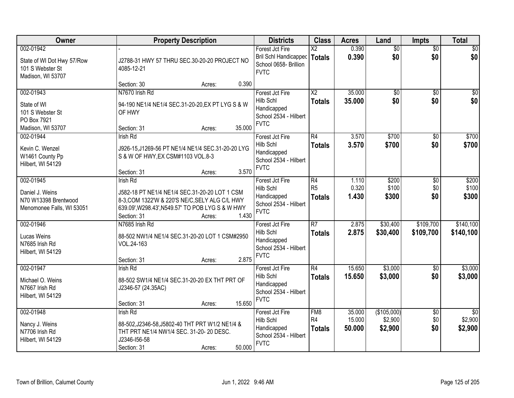| Owner                                                                             | <b>Property Description</b>                                                                                                                                                                              | <b>Districts</b>                                                                        | <b>Class</b>                                       | <b>Acres</b>               | Land                              | <b>Impts</b>                  | <b>Total</b>                      |
|-----------------------------------------------------------------------------------|----------------------------------------------------------------------------------------------------------------------------------------------------------------------------------------------------------|-----------------------------------------------------------------------------------------|----------------------------------------------------|----------------------------|-----------------------------------|-------------------------------|-----------------------------------|
| 002-01942<br>State of WI Dot Hwy 57/Row<br>101 S Webster St<br>Madison, WI 53707  | J2788-31 HWY 57 THRU SEC.30-20-20 PROJECT NO<br>4085-12-21                                                                                                                                               | Forest Jct Fire<br><b>Bril Schl Handicapped</b><br>School 0658- Brillion<br><b>FVTC</b> | $\overline{\mathsf{X2}}$<br><b>Totals</b>          | 0.390<br>0.390             | $\overline{60}$<br>\$0            | $\overline{50}$<br>\$0        | \$0<br>\$0                        |
|                                                                                   | 0.390<br>Section: 30<br>Acres:                                                                                                                                                                           |                                                                                         |                                                    |                            |                                   |                               |                                   |
| 002-01943<br>State of WI<br>101 S Webster St<br>PO Box 7921<br>Madison, WI 53707  | N7670 Irish Rd<br>94-190 NE1/4 NE1/4 SEC.31-20-20, EX PT LYG S & W<br>OF HWY<br>35.000<br>Section: 31<br>Acres:                                                                                          | Forest Jct Fire<br>Hilb Schl<br>Handicapped<br>School 2534 - Hilbert<br><b>FVTC</b>     | $\overline{\text{X2}}$<br><b>Totals</b>            | 35.000<br>35.000           | $\overline{50}$<br>\$0            | $\overline{50}$<br>\$0        | \$0<br>\$0                        |
| 002-01944<br>Kevin C. Wenzel<br>W1461 County Pp<br>Hilbert, WI 54129              | <b>Irish Rd</b><br>J926-15, J1269-56 PT NE1/4 NE1/4 SEC.31-20-20 LYG<br>S & W OF HWY, EX CSM#1103 VOL.8-3<br>3.570<br>Section: 31<br>Acres:                                                              | Forest Jct Fire<br>Hilb Schl<br>Handicapped<br>School 2534 - Hilbert<br><b>FVTC</b>     | R4<br><b>Totals</b>                                | 3.570<br>3.570             | \$700<br>\$700                    | \$0<br>\$0                    | \$700<br>\$700                    |
| 002-01945<br>Daniel J. Weins<br>N70 W13398 Brentwood<br>Menomonee Falls, WI 53051 | <b>Irish Rd</b><br>J582-18 PT NE1/4 NE1/4 SEC.31-20-20 LOT 1 CSM<br>8-3, COM 1322'W & 220'S NE/C, SELY ALG C/L HWY<br>639.09', W298.43', N549.57' TO POB LYG S & W HWY<br>1.430<br>Section: 31<br>Acres: | Forest Jct Fire<br>Hilb Schl<br>Handicapped<br>School 2534 - Hilbert<br><b>FVTC</b>     | R4<br>R <sub>5</sub><br><b>Totals</b>              | 1.110<br>0.320<br>1.430    | \$200<br>\$100<br>\$300           | $\sqrt[6]{3}$<br>\$0<br>\$0   | \$200<br>\$100<br>\$300           |
| 002-01946<br>Lucas Weins<br>N7685 Irish Rd<br>Hilbert, WI 54129                   | N7685 Irish Rd<br>88-502 NW1/4 NE1/4 SEC.31-20-20 LOT 1 CSM#2950<br>VOL.24-163<br>2.875<br>Section: 31<br>Acres:                                                                                         | Forest Jct Fire<br>Hilb Schl<br>Handicapped<br>School 2534 - Hilbert<br><b>FVTC</b>     | $\overline{R7}$<br><b>Totals</b>                   | 2.875<br>2.875             | \$30,400<br>\$30,400              | \$109,700<br>\$109,700        | \$140,100<br>\$140,100            |
| 002-01947<br>Michael O. Weins<br>N7667 Irish Rd<br>Hilbert, WI 54129              | Irish Rd<br>88-502 SW1/4 NE1/4 SEC.31-20-20 EX THT PRT OF<br>J2346-57 (24.35AC)<br>15.650<br>Section: 31<br>Acres:                                                                                       | Forest Jct Fire<br>Hilb Schl<br>Handicapped<br>School 2534 - Hilbert<br><b>FVTC</b>     | R4<br><b>Totals</b>                                | 15.650<br>15.650           | \$3,000<br>\$3,000                | \$0<br>\$0                    | \$3,000<br>\$3,000                |
| 002-01948<br>Nancy J. Weins<br>N7706 Irish Rd<br>Hilbert, WI 54129                | Irish Rd<br>88-502, J2346-58, J5802-40 THT PRT W1/2 NE1/4 &<br>THT PRT NE1/4 NW1/4 SEC. 31-20-20 DESC.<br>J2346-I56-58<br>50.000<br>Section: 31<br>Acres:                                                | Forest Jct Fire<br>Hilb Schl<br>Handicapped<br>School 2534 - Hilbert<br><b>FVTC</b>     | FM <sub>8</sub><br>R <sub>4</sub><br><b>Totals</b> | 35.000<br>15.000<br>50.000 | (\$105,000)<br>\$2,900<br>\$2,900 | $\overline{50}$<br>\$0<br>\$0 | $\sqrt{50}$<br>\$2,900<br>\$2,900 |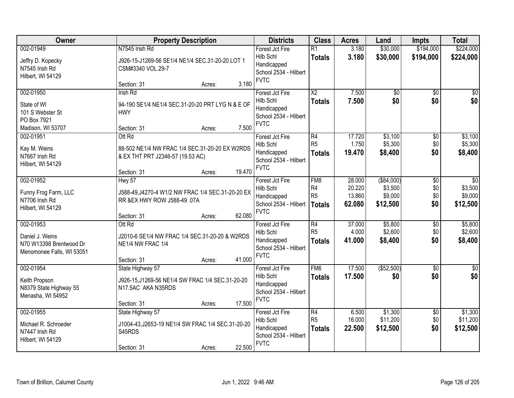| Owner                                                                                |                                                                                                             | <b>Property Description</b> |                                                                                     | <b>Districts</b>                                                                    | <b>Class</b>                                             | <b>Acres</b>                         | Land                                          | <b>Impts</b>                       | <b>Total</b>                                      |
|--------------------------------------------------------------------------------------|-------------------------------------------------------------------------------------------------------------|-----------------------------|-------------------------------------------------------------------------------------|-------------------------------------------------------------------------------------|----------------------------------------------------------|--------------------------------------|-----------------------------------------------|------------------------------------|---------------------------------------------------|
| 002-01949<br>Jeffry D. Kopecky<br>N7545 Irish Rd<br>Hilbert, WI 54129                | N7545 Irish Rd<br>J926-15-J1269-56 SE1/4 NE1/4 SEC.31-20-20 LOT 1<br>CSM#3340 VOL.29-7                      |                             | Forest Jct Fire<br>Hilb Schl<br>Handicapped<br>School 2534 - Hilbert<br><b>FVTC</b> | $\overline{R1}$<br><b>Totals</b>                                                    | 3.180<br>3.180                                           | \$30,000<br>\$30,000                 | \$194,000<br>\$194,000                        | \$224,000<br>\$224,000             |                                                   |
|                                                                                      | Section: 31                                                                                                 | Acres:                      | 3.180                                                                               |                                                                                     |                                                          |                                      |                                               |                                    |                                                   |
| 002-01950<br>State of WI<br>101 S Webster St<br>PO Box 7921<br>Madison, WI 53707     | <b>Irish Rd</b><br>94-190 SE1/4 NE1/4 SEC.31-20-20 PRT LYG N & E OF<br><b>HWY</b><br>Section: 31            | Acres:                      | 7.500                                                                               | Forest Jct Fire<br>Hilb Schl<br>Handicapped<br>School 2534 - Hilbert<br><b>FVTC</b> | $\overline{\text{X2}}$<br><b>Totals</b>                  | 7.500<br>7.500                       | $\overline{50}$<br>\$0                        | \$0<br>\$0                         | \$0<br>\$0                                        |
| 002-01951<br>Kay M. Weins<br>N7667 Irish Rd<br>Hilbert, WI 54129                     | Ott Rd<br>88-502 NE1/4 NW FRAC 1/4 SEC.31-20-20 EX W2RDS<br>& EX THT PRT J2346-57 (19.53 AC)<br>Section: 31 | Acres:                      | 19.470                                                                              | Forest Jct Fire<br>Hilb Schl<br>Handicapped<br>School 2534 - Hilbert<br><b>FVTC</b> | $\overline{R4}$<br>R <sub>5</sub><br><b>Totals</b>       | 17.720<br>1.750<br>19.470            | \$3,100<br>\$5,300<br>\$8,400                 | \$0<br>\$0<br>\$0                  | \$3,100<br>\$5,300<br>\$8,400                     |
| 002-01952<br>Funny Frog Farm, LLC<br>N7706 Irish Rd<br>Hilbert, WI 54129             | Hwy 57<br>J588-49, J4270-4 W1/2 NW FRAC 1/4 SEC.31-20-20 EX<br>RR &EX HWY ROW J588-49 .07A<br>Section: 31   | Acres:                      | 62.080                                                                              | Forest Jct Fire<br>Hilb Schl<br>Handicapped<br>School 2534 - Hilbert<br><b>FVTC</b> | FM <sub>8</sub><br>R4<br>R <sub>5</sub><br><b>Totals</b> | 28.000<br>20.220<br>13.860<br>62.080 | ( \$84,000)<br>\$3,500<br>\$9,000<br>\$12,500 | $\sqrt[6]{3}$<br>\$0<br>\$0<br>\$0 | $\overline{50}$<br>\$3,500<br>\$9,000<br>\$12,500 |
| 002-01953<br>Daniel J. Weins<br>N70 W13398 Brentwood Dr<br>Menomonee Falls, WI 53051 | Ott Rd<br>J2010-6 SE1/4 NW FRAC 1/4 SEC.31-20-20 & W2RDS<br>NE1/4 NW FRAC 1/4<br>Section: 31                | Acres:                      | 41.000                                                                              | Forest Jct Fire<br>Hilb Schl<br>Handicapped<br>School 2534 - Hilbert<br><b>FVTC</b> | $\overline{R4}$<br>R <sub>5</sub><br><b>Totals</b>       | 37.000<br>4.000<br>41.000            | \$5,800<br>\$2,600<br>\$8,400                 | $\overline{50}$<br>\$0<br>\$0      | \$5,800<br>\$2,600<br>\$8,400                     |
| 002-01954<br>Keith Propson<br>N8379 State Highway 55<br>Menasha, WI 54952            | State Highway 57<br>J926-15, J1269-56 NE1/4 SW FRAC 1/4 SEC.31-20-20<br>N17.5AC AKA N35RDS<br>Section: 31   | Acres:                      | 17.500                                                                              | Forest Jct Fire<br>Hilb Schl<br>Handicapped<br>School 2534 - Hilbert<br><b>FVTC</b> | FM <sub>6</sub><br><b>Totals</b>                         | 17.500<br>17.500                     | ( \$52,500)<br>\$0                            | $\overline{50}$<br>\$0             | \$0<br>\$0                                        |
| 002-01955<br>Michael R. Schroeder<br>N7447 Irish Rd<br>Hilbert, WI 54129             | State Highway 57<br>J1004-43, J2653-19 NE1/4 SW FRAC 1/4 SEC.31-20-20<br>S45RDS<br>Section: 31              | Acres:                      | 22.500                                                                              | Forest Jct Fire<br>Hilb Schl<br>Handicapped<br>School 2534 - Hilbert<br><b>FVTC</b> | R4<br>R <sub>5</sub><br><b>Totals</b>                    | 6.500<br>16.000<br>22.500            | \$1,300<br>\$11,200<br>\$12,500               | $\overline{60}$<br>\$0<br>\$0      | \$1,300<br>\$11,200<br>\$12,500                   |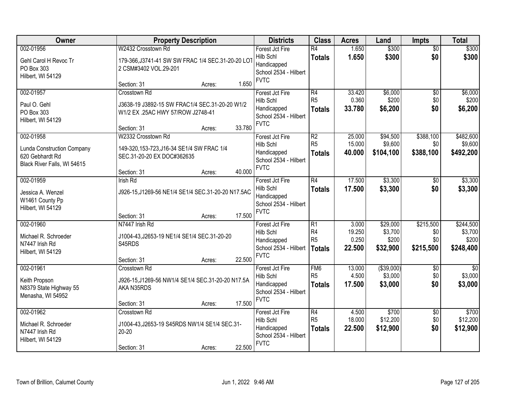| Owner                                                                               | <b>Property Description</b>                                                                                                                                                                    | <b>Districts</b>                                                                                       | <b>Class</b>                                                         | <b>Acres</b>                        | Land                                     | <b>Impts</b>                               | <b>Total</b>                               |
|-------------------------------------------------------------------------------------|------------------------------------------------------------------------------------------------------------------------------------------------------------------------------------------------|--------------------------------------------------------------------------------------------------------|----------------------------------------------------------------------|-------------------------------------|------------------------------------------|--------------------------------------------|--------------------------------------------|
| 002-01956<br>Gehl Carol H Revoc Tr<br>PO Box 303<br>Hilbert, WI 54129               | W2432 Crosstown Rd<br>179-366, J3741-41 SW SW FRAC 1/4 SEC.31-20-20 LOT<br>2 CSM#3402 VOL.29-201                                                                                               | Forest Jct Fire<br>Hilb Schl<br>Handicapped<br>School 2534 - Hilbert<br><b>FVTC</b>                    | $\overline{R4}$<br><b>Totals</b>                                     | 1.650<br>1.650                      | \$300<br>\$300                           | $\overline{50}$<br>\$0                     | \$300<br>\$300                             |
| 002-01957<br>Paul O. Gehl<br>PO Box 303<br>Hilbert, WI 54129<br>002-01958           | 1.650<br>Section: 31<br>Acres:<br>Crosstown Rd<br>J3638-19 J3892-15 SW FRAC1/4 SEC.31-20-20 W1/2<br>W1/2 EX .25AC HWY 57/ROW J2748-41<br>33.780<br>Section: 31<br>Acres:<br>W2332 Crosstown Rd | Forest Jct Fire<br>Hilb Schl<br>Handicapped<br>School 2534 - Hilbert<br><b>FVTC</b><br>Forest Jct Fire | R4<br>R <sub>5</sub><br><b>Totals</b><br>R2                          | 33.420<br>0.360<br>33.780<br>25.000 | \$6,000<br>\$200<br>\$6,200<br>\$94,500  | $\overline{50}$<br>\$0<br>\$0<br>\$388,100 | \$6,000<br>\$200<br>\$6,200<br>\$482,600   |
| <b>Lunda Construction Company</b><br>620 Gebhardt Rd<br>Black River Falls, WI 54615 | 149-320, 153-723, J16-34 SE1/4 SW FRAC 1/4<br>SEC.31-20-20 EX DOC#362635<br>40.000<br>Section: 31<br>Acres:                                                                                    | Hilb Schl<br>Handicapped<br>School 2534 - Hilbert<br><b>FVTC</b>                                       | R <sub>5</sub><br><b>Totals</b>                                      | 15.000<br>40.000                    | \$9,600<br>\$104,100                     | \$0<br>\$388,100                           | \$9,600<br>\$492,200                       |
| 002-01959<br>Jessica A. Wenzel<br>W1461 County Pp<br>Hilbert, WI 54129              | <b>Irish Rd</b><br>J926-15, J1269-56 NE1/4 SE1/4 SEC.31-20-20 N17.5AC<br>17.500<br>Section: 31<br>Acres:                                                                                       | Forest Jct Fire<br>Hilb Schl<br>Handicapped<br>School 2534 - Hilbert<br><b>FVTC</b>                    | $\overline{R4}$<br><b>Totals</b>                                     | 17.500<br>17.500                    | \$3,300<br>\$3,300                       | \$0<br>\$0                                 | \$3,300<br>\$3,300                         |
| 002-01960<br>Michael R. Schroeder<br>N7447 Irish Rd<br>Hilbert, WI 54129            | N7447 Irish Rd<br>J1004-43, J2653-19 NE1/4 SE1/4 SEC.31-20-20<br>S45RDS<br>22.500<br>Section: 31<br>Acres:                                                                                     | Forest Jct Fire<br>Hilb Schl<br>Handicapped<br>School 2534 - Hilbert<br><b>FVTC</b>                    | $\overline{R1}$<br>R <sub>4</sub><br>R <sub>5</sub><br><b>Totals</b> | 3.000<br>19.250<br>0.250<br>22.500  | \$29,000<br>\$3,700<br>\$200<br>\$32,900 | \$215,500<br>\$0<br>\$0<br>\$215,500       | \$244,500<br>\$3,700<br>\$200<br>\$248,400 |
| 002-01961<br>Keith Propson<br>N8379 State Highway 55<br>Menasha, WI 54952           | Crosstown Rd<br>J926-15, J1269-56 NW1/4 SE1/4 SEC.31-20-20 N17.5A<br>AKA N35RDS<br>17.500<br>Section: 31<br>Acres:                                                                             | Forest Jct Fire<br>Hilb Schl<br>Handicapped<br>School 2534 - Hilbert<br><b>FVTC</b>                    | FM <sub>6</sub><br>R <sub>5</sub><br><b>Totals</b>                   | 13.000<br>4.500<br>17.500           | ( \$39,000)<br>\$3,000<br>\$3,000        | $\sqrt{6}$<br>\$0<br>\$0                   | $\overline{30}$<br>\$3,000<br>\$3,000      |
| 002-01962<br>Michael R. Schroeder<br>N7447 Irish Rd<br>Hilbert, WI 54129            | Crosstown Rd<br>J1004-43, J2653-19 S45RDS NW1/4 SE1/4 SEC.31-<br>$20 - 20$<br>22.500<br>Section: 31<br>Acres:                                                                                  | Forest Jct Fire<br>Hilb Schl<br>Handicapped<br>School 2534 - Hilbert<br><b>FVTC</b>                    | R4<br>R <sub>5</sub><br><b>Totals</b>                                | 4.500<br>18.000<br>22.500           | \$700<br>\$12,200<br>\$12,900            | $\overline{30}$<br>\$0<br>\$0              | \$700<br>\$12,200<br>\$12,900              |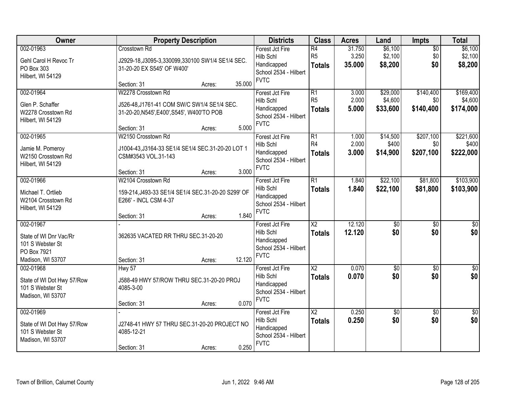| Owner                                                                                       | <b>Property Description</b>                                                                                                                       | <b>Districts</b>                                                                    | <b>Class</b>                                       | <b>Acres</b>              | Land                            | Impts                         | <b>Total</b>                      |
|---------------------------------------------------------------------------------------------|---------------------------------------------------------------------------------------------------------------------------------------------------|-------------------------------------------------------------------------------------|----------------------------------------------------|---------------------------|---------------------------------|-------------------------------|-----------------------------------|
| 002-01963<br>Gehl Carol H Revoc Tr<br>PO Box 303<br>Hilbert, WI 54129                       | Crosstown Rd<br>J2929-18, J3095-3, 330099, 330100 SW1/4 SE1/4 SEC.<br>31-20-20 EX S545' OF W400'                                                  | Forest Jct Fire<br>Hilb Schl<br>Handicapped<br>School 2534 - Hilbert<br><b>FVTC</b> | $\overline{R4}$<br>R <sub>5</sub><br><b>Totals</b> | 31.750<br>3.250<br>35.000 | \$6,100<br>\$2,100<br>\$8,200   | $\overline{50}$<br>\$0<br>\$0 | \$6,100<br>\$2,100<br>\$8,200     |
|                                                                                             | 35.000<br>Section: 31<br>Acres:                                                                                                                   |                                                                                     |                                                    |                           |                                 |                               |                                   |
| 002-01964<br>Glen P. Schaffer<br>W2278 Crosstown Rd<br>Hilbert, WI 54129                    | W2278 Crosstown Rd<br>J526-48, J1761-41 COM SW/C SW1/4 SE1/4 SEC.<br>31-20-20, N545', E400', S545', W400'TO POB<br>5.000<br>Section: 31<br>Acres: | Forest Jct Fire<br>Hilb Schl<br>Handicapped<br>School 2534 - Hilbert<br><b>FVTC</b> | $\overline{R1}$<br>R <sub>5</sub><br><b>Totals</b> | 3.000<br>2.000<br>5.000   | \$29,000<br>\$4,600<br>\$33,600 | \$140,400<br>\$0<br>\$140,400 | \$169,400<br>\$4,600<br>\$174,000 |
| 002-01965<br>Jamie M. Pomeroy<br>W2150 Crosstown Rd<br>Hilbert, WI 54129                    | W2150 Crosstown Rd<br>J1004-43, J3164-33 SE1/4 SE1/4 SEC.31-20-20 LOT 1<br>CSM#3543 VOL.31-143<br>3.000<br>Section: 31<br>Acres:                  | Forest Jct Fire<br>Hilb Schl<br>Handicapped<br>School 2534 - Hilbert<br><b>FVTC</b> | $\overline{R1}$<br>R <sub>4</sub><br><b>Totals</b> | 1.000<br>2.000<br>3.000   | \$14,500<br>\$400<br>\$14,900   | \$207,100<br>\$0<br>\$207,100 | \$221,600<br>\$400<br>\$222,000   |
| 002-01966<br>Michael T. Ortlieb<br>W2104 Crosstown Rd<br>Hilbert, WI 54129                  | W2104 Crosstown Rd<br>159-214, J493-33 SE1/4 SE1/4 SEC.31-20-20 S299' OF<br>E266' - INCL CSM 4-37<br>1.840<br>Section: 31<br>Acres:               | Forest Jct Fire<br>Hilb Schl<br>Handicapped<br>School 2534 - Hilbert<br><b>FVTC</b> | $\overline{R1}$<br><b>Totals</b>                   | 1.840<br>1.840            | \$22,100<br>\$22,100            | \$81,800<br>\$81,800          | \$103,900<br>\$103,900            |
| 002-01967<br>State of WI Dnr Vac/Rr<br>101 S Webster St<br>PO Box 7921<br>Madison, WI 53707 | 362635 VACATED RR THRU SEC.31-20-20<br>12.120<br>Section: 31<br>Acres:                                                                            | Forest Jct Fire<br>Hilb Schl<br>Handicapped<br>School 2534 - Hilbert<br><b>FVTC</b> | $\overline{\text{X2}}$<br><b>Totals</b>            | 12.120<br>12.120          | $\overline{50}$<br>\$0          | $\overline{50}$<br>\$0        | $\overline{50}$<br>\$0            |
| 002-01968<br>State of WI Dot Hwy 57/Row<br>101 S Webster St<br>Madison, WI 53707            | Hwy 57<br>J588-49 HWY 57/ROW THRU SEC.31-20-20 PROJ<br>4085-3-00<br>0.070<br>Section: 31<br>Acres:                                                | Forest Jct Fire<br>Hilb Schl<br>Handicapped<br>School 2534 - Hilbert<br><b>FVTC</b> | $\overline{\text{X2}}$<br><b>Totals</b>            | 0.070<br>0.070            | \$0<br>\$0                      | $\overline{60}$<br>\$0        | $\sqrt{50}$<br>\$0                |
| 002-01969<br>State of WI Dot Hwy 57/Row<br>101 S Webster St<br>Madison, WI 53707            | J2748-41 HWY 57 THRU SEC.31-20-20 PROJECT NO<br>4085-12-21<br>0.250<br>Section: 31<br>Acres:                                                      | Forest Jct Fire<br>Hilb Schl<br>Handicapped<br>School 2534 - Hilbert<br><b>FVTC</b> | $\overline{\text{X2}}$<br><b>Totals</b>            | 0.250<br>0.250            | \$0<br>\$0                      | $\overline{50}$<br>\$0        | \$0<br>\$0                        |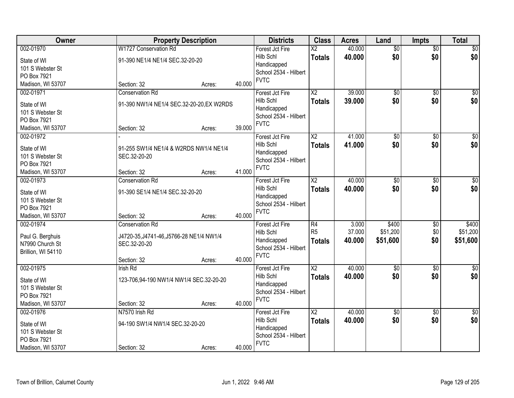| Owner                            | <b>Property Description</b>               |        |        | <b>Districts</b>                     | <b>Class</b>           | <b>Acres</b> | Land            | <b>Impts</b>    | <b>Total</b>    |
|----------------------------------|-------------------------------------------|--------|--------|--------------------------------------|------------------------|--------------|-----------------|-----------------|-----------------|
| 002-01970                        | W1727 Conservation Rd                     |        |        | Forest Jct Fire                      | $\overline{\text{X2}}$ | 40.000       | $\overline{50}$ | $\overline{50}$ | $\sqrt{50}$     |
| State of WI                      | 91-390 NE1/4 NE1/4 SEC.32-20-20           |        |        | Hilb Schl                            | <b>Totals</b>          | 40.000       | \$0             | \$0             | \$0             |
| 101 S Webster St                 |                                           |        |        | Handicapped                          |                        |              |                 |                 |                 |
| PO Box 7921                      |                                           |        |        | School 2534 - Hilbert                |                        |              |                 |                 |                 |
| Madison, WI 53707                | Section: 32                               | Acres: | 40.000 | <b>FVTC</b>                          |                        |              |                 |                 |                 |
| 002-01971                        | <b>Conservation Rd</b>                    |        |        | Forest Jct Fire                      | $\overline{\text{X2}}$ | 39.000       | $\overline{50}$ | $\overline{50}$ | $\sqrt{50}$     |
| State of WI                      | 91-390 NW1/4 NE1/4 SEC.32-20-20, EX W2RDS |        |        | Hilb Schl                            | <b>Totals</b>          | 39.000       | \$0             | \$0             | \$0             |
| 101 S Webster St                 |                                           |        |        | Handicapped                          |                        |              |                 |                 |                 |
| PO Box 7921                      |                                           |        |        | School 2534 - Hilbert                |                        |              |                 |                 |                 |
| Madison, WI 53707                | Section: 32                               | Acres: | 39.000 | <b>FVTC</b>                          |                        |              |                 |                 |                 |
| 002-01972                        |                                           |        |        | Forest Jct Fire                      | X <sub>2</sub>         | 41.000       | \$0             | \$0             | $\overline{50}$ |
|                                  |                                           |        |        | Hilb Schl                            | <b>Totals</b>          | 41.000       | \$0             | \$0             | \$0             |
| State of WI                      | 91-255 SW1/4 NE1/4 & W2RDS NW1/4 NE1/4    |        |        | Handicapped                          |                        |              |                 |                 |                 |
| 101 S Webster St                 | SEC.32-20-20                              |        |        | School 2534 - Hilbert                |                        |              |                 |                 |                 |
| PO Box 7921<br>Madison, WI 53707 | Section: 32                               | Acres: | 41.000 | <b>FVTC</b>                          |                        |              |                 |                 |                 |
| 002-01973                        | <b>Conservation Rd</b>                    |        |        | Forest Jct Fire                      | $\overline{\text{X2}}$ | 40.000       | $\overline{60}$ | \$0             | $\sqrt{50}$     |
|                                  |                                           |        |        | Hilb Schl                            | <b>Totals</b>          | 40.000       | \$0             | \$0             | \$0             |
| State of WI                      | 91-390 SE1/4 NE1/4 SEC.32-20-20           |        |        | Handicapped                          |                        |              |                 |                 |                 |
| 101 S Webster St                 |                                           |        |        | School 2534 - Hilbert                |                        |              |                 |                 |                 |
| PO Box 7921                      |                                           |        |        | <b>FVTC</b>                          |                        |              |                 |                 |                 |
| Madison, WI 53707                | Section: 32                               | Acres: | 40.000 |                                      |                        |              |                 |                 |                 |
| 002-01974                        | <b>Conservation Rd</b>                    |        |        | Forest Jct Fire                      | R4                     | 3.000        | \$400           | \$0             | \$400           |
| Paul G. Berghuis                 | J4720-35, J4741-46, J5766-28 NE1/4 NW1/4  |        |        | Hilb Schl                            | R <sub>5</sub>         | 37.000       | \$51,200        | \$0             | \$51,200        |
| N7990 Church St                  | SEC.32-20-20                              |        |        | Handicapped                          | <b>Totals</b>          | 40.000       | \$51,600        | \$0             | \$51,600        |
| Brillion, WI 54110               |                                           |        |        | School 2534 - Hilbert<br><b>FVTC</b> |                        |              |                 |                 |                 |
|                                  | Section: 32                               | Acres: | 40.000 |                                      |                        |              |                 |                 |                 |
| 002-01975                        | <b>Irish Rd</b>                           |        |        | Forest Jct Fire                      | $\overline{X2}$        | 40.000       | $\overline{60}$ | $\overline{50}$ | $\overline{50}$ |
| State of WI                      | 123-706,94-190 NW1/4 NW1/4 SEC.32-20-20   |        |        | Hilb Schl                            | <b>Totals</b>          | 40.000       | \$0             | \$0             | \$0             |
| 101 S Webster St                 |                                           |        |        | Handicapped                          |                        |              |                 |                 |                 |
| PO Box 7921                      |                                           |        |        | School 2534 - Hilbert                |                        |              |                 |                 |                 |
| Madison, WI 53707                | Section: 32                               | Acres: | 40.000 | <b>FVTC</b>                          |                        |              |                 |                 |                 |
| 002-01976                        | N7570 Irish Rd                            |        |        | Forest Jct Fire                      | $\overline{X2}$        | 40.000       | $\overline{60}$ | $\overline{50}$ | $\sqrt{50}$     |
|                                  |                                           |        |        | Hilb Schl                            | <b>Totals</b>          | 40.000       | \$0             | \$0             | \$0             |
| State of WI                      | 94-190 SW1/4 NW1/4 SEC.32-20-20           |        |        | Handicapped                          |                        |              |                 |                 |                 |
| 101 S Webster St<br>PO Box 7921  |                                           |        |        | School 2534 - Hilbert                |                        |              |                 |                 |                 |
| Madison, WI 53707                | Section: 32                               | Acres: | 40.000 | <b>FVTC</b>                          |                        |              |                 |                 |                 |
|                                  |                                           |        |        |                                      |                        |              |                 |                 |                 |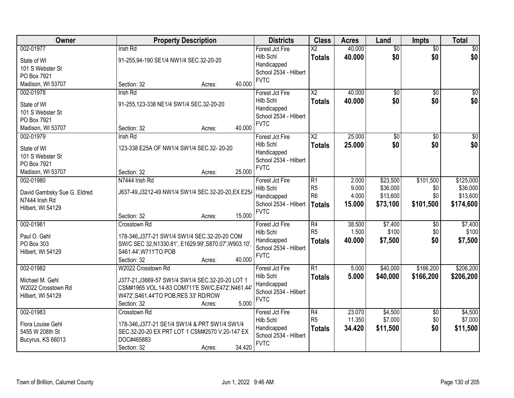| Owner                            |                                                        | <b>Property Description</b> |        | <b>Districts</b>             | <b>Class</b>                            | <b>Acres</b>     | Land                   | <b>Impts</b>           | <b>Total</b>           |
|----------------------------------|--------------------------------------------------------|-----------------------------|--------|------------------------------|-----------------------------------------|------------------|------------------------|------------------------|------------------------|
| 002-01977                        | <b>Irish Rd</b>                                        |                             |        | Forest Jct Fire<br>Hilb Schl | $\overline{\text{X2}}$<br><b>Totals</b> | 40.000<br>40.000 | $\overline{50}$<br>\$0 | $\overline{50}$<br>\$0 | $\sqrt{50}$<br>\$0     |
| State of WI                      | 91-255,94-190 SE1/4 NW1/4 SEC.32-20-20                 |                             |        | Handicapped                  |                                         |                  |                        |                        |                        |
| 101 S Webster St<br>PO Box 7921  |                                                        |                             |        | School 2534 - Hilbert        |                                         |                  |                        |                        |                        |
| Madison, WI 53707                | Section: 32                                            | Acres:                      | 40.000 | <b>FVTC</b>                  |                                         |                  |                        |                        |                        |
| 002-01978                        | <b>Irish Rd</b>                                        |                             |        | Forest Jct Fire              | $\overline{\text{X2}}$                  | 40.000           | $\overline{50}$        | $\overline{50}$        | $\sqrt{50}$            |
|                                  |                                                        |                             |        | Hilb Schl                    | <b>Totals</b>                           | 40.000           | \$0                    | \$0                    | \$0                    |
| State of WI                      | 91-255,123-338 NE1/4 SW1/4 SEC.32-20-20                |                             |        | Handicapped                  |                                         |                  |                        |                        |                        |
| 101 S Webster St                 |                                                        |                             |        | School 2534 - Hilbert        |                                         |                  |                        |                        |                        |
| PO Box 7921<br>Madison, WI 53707 | Section: 32                                            | Acres:                      | 40.000 | <b>FVTC</b>                  |                                         |                  |                        |                        |                        |
| 002-01979                        | <b>Irish Rd</b>                                        |                             |        | Forest Jct Fire              | X <sub>2</sub>                          | 25.000           | \$0                    | \$0                    | $\overline{50}$        |
|                                  |                                                        |                             |        | Hilb Schl                    | <b>Totals</b>                           | 25.000           | \$0                    | \$0                    | \$0                    |
| State of WI                      | 123-338 E25A OF NW1/4 SW1/4 SEC.32- 20-20              |                             |        | Handicapped                  |                                         |                  |                        |                        |                        |
| 101 S Webster St                 |                                                        |                             |        | School 2534 - Hilbert        |                                         |                  |                        |                        |                        |
| PO Box 7921<br>Madison, WI 53707 | Section: 32                                            | Acres:                      | 25.000 | <b>FVTC</b>                  |                                         |                  |                        |                        |                        |
| 002-01980                        | N7444 Irish Rd                                         |                             |        | Forest Jct Fire              | R1                                      | 2.000            | \$23,500               | \$101,500              | \$125,000              |
|                                  |                                                        |                             |        | Hilb Schl                    | R <sub>5</sub>                          | 9.000            | \$36,000               | \$0                    | \$36,000               |
| David Gambsky Sue G. Eldred      | J637-49, J3212-49 NW1/4 SW1/4 SEC.32-20-20, EX E25/    |                             |        | Handicapped                  | R <sub>6</sub>                          | 4.000            | \$13,600               | \$0                    | \$13,600               |
| N7444 Irish Rd                   |                                                        |                             |        | School 2534 - Hilbert        | Totals                                  | 15.000           | \$73,100               | \$101,500              | \$174,600              |
| Hilbert, WI 54129                | Section: 32                                            |                             | 15.000 | <b>FVTC</b>                  |                                         |                  |                        |                        |                        |
| 002-01981                        | Crosstown Rd                                           | Acres:                      |        | Forest Jct Fire              | $\overline{R4}$                         | 38.500           | \$7,400                | $\overline{50}$        | \$7,400                |
|                                  |                                                        |                             |        | Hilb Schl                    | R <sub>5</sub>                          | 1.500            | \$100                  | \$0                    | \$100                  |
| Paul O. Gehl                     | 178-346, J377-21 SW1/4 SW1/4 SEC.32-20-20 COM          |                             |        | Handicapped                  | <b>Totals</b>                           | 40.000           | \$7,500                | \$0                    | \$7,500                |
| PO Box 303                       | SW/C SEC 32, N1330.81', E1629.99', S870.07', W903.10', |                             |        | School 2534 - Hilbert        |                                         |                  |                        |                        |                        |
| Hilbert, WI 54129                | S461.44', W711'TO POB                                  |                             |        | <b>FVTC</b>                  |                                         |                  |                        |                        |                        |
|                                  | Section: 32                                            | Acres:                      | 40.000 |                              | $\overline{R1}$                         |                  |                        |                        |                        |
| 002-01982                        | W2022 Crosstown Rd                                     |                             |        | Forest Jct Fire<br>Hilb Schl | <b>Totals</b>                           | 5.000<br>5.000   | \$40,000<br>\$40,000   | \$166,200<br>\$166,200 | \$206,200<br>\$206,200 |
| Michael M. Gehl                  | J377-21, J3669-57 SW1/4 SW1/4 SEC.32-20-20 LOT 1       |                             |        | Handicapped                  |                                         |                  |                        |                        |                        |
| W2022 Crosstown Rd               | CSM#1965 VOL.14-83 COM711'E SW/C, E472', N461.44       |                             |        | School 2534 - Hilbert        |                                         |                  |                        |                        |                        |
| Hilbert, WI 54129                | W472', S461.44'TO POB, RES 33' RD/ROW                  |                             |        | <b>FVTC</b>                  |                                         |                  |                        |                        |                        |
|                                  | Section: 32                                            | Acres:                      | 5.000  |                              |                                         |                  |                        |                        |                        |
| 002-01983                        | Crosstown Rd                                           |                             |        | Forest Jct Fire<br>Hilb Schl | R4<br>R <sub>5</sub>                    | 23.070<br>11.350 | \$4,500<br>\$7,000     | $\overline{30}$<br>\$0 | \$4,500<br>\$7,000     |
| Flora Louise Gehl                | 178-346, J377-21 SE1/4 SW1/4 & PRT SW1/4 SW1/4         |                             |        | Handicapped                  |                                         | 34.420           | \$11,500               | \$0                    | \$11,500               |
| 5455 W 208th St                  | SEC.32-20-20 EX PRT LOT 1 CSM#2570 V.20-147 EX         |                             |        | School 2534 - Hilbert        | <b>Totals</b>                           |                  |                        |                        |                        |
| Bucyrus, KS 66013                | DOC#465883                                             |                             |        | <b>FVTC</b>                  |                                         |                  |                        |                        |                        |
|                                  | Section: 32                                            | Acres:                      | 34.420 |                              |                                         |                  |                        |                        |                        |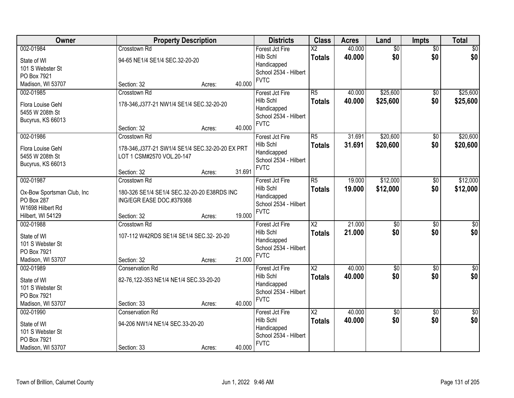| Owner                      |                                                  | <b>Property Description</b> |        | <b>Districts</b>                     | <b>Class</b>             | <b>Acres</b> | Land            | Impts           | <b>Total</b>     |
|----------------------------|--------------------------------------------------|-----------------------------|--------|--------------------------------------|--------------------------|--------------|-----------------|-----------------|------------------|
| 002-01984                  | Crosstown Rd                                     |                             |        | Forest Jct Fire                      | $\overline{\text{X2}}$   | 40.000       | $\overline{50}$ | $\overline{50}$ | \$0              |
| State of WI                | 94-65 NE1/4 SE1/4 SEC.32-20-20                   |                             |        | Hilb Schl                            | <b>Totals</b>            | 40.000       | \$0             | \$0             | \$0              |
| 101 S Webster St           |                                                  |                             |        | Handicapped                          |                          |              |                 |                 |                  |
| PO Box 7921                |                                                  |                             |        | School 2534 - Hilbert<br><b>FVTC</b> |                          |              |                 |                 |                  |
| Madison, WI 53707          | Section: 32                                      | Acres:                      | 40.000 |                                      |                          |              |                 |                 |                  |
| 002-01985                  | Crosstown Rd                                     |                             |        | Forest Jct Fire                      | $\overline{R5}$          | 40.000       | \$25,600        | $\overline{50}$ | \$25,600         |
| Flora Louise Gehl          | 178-346, J377-21 NW1/4 SE1/4 SEC.32-20-20        |                             |        | Hilb Schl                            | <b>Totals</b>            | 40.000       | \$25,600        | \$0             | \$25,600         |
| 5455 W 208th St            |                                                  |                             |        | Handicapped                          |                          |              |                 |                 |                  |
| Bucyrus, KS 66013          |                                                  |                             |        | School 2534 - Hilbert<br><b>FVTC</b> |                          |              |                 |                 |                  |
|                            | Section: 32                                      | Acres:                      | 40.000 |                                      |                          |              |                 |                 |                  |
| 002-01986                  | Crosstown Rd                                     |                             |        | Forest Jct Fire                      | $\overline{R5}$          | 31.691       | \$20,600        | $\overline{50}$ | \$20,600         |
| Flora Louise Gehl          | 178-346, J377-21 SW1/4 SE1/4 SEC.32-20-20 EX PRT |                             |        | Hilb Schl                            | <b>Totals</b>            | 31.691       | \$20,600        | \$0             | \$20,600         |
| 5455 W 208th St            | LOT 1 CSM#2570 VOL.20-147                        |                             |        | Handicapped                          |                          |              |                 |                 |                  |
| Bucyrus, KS 66013          |                                                  |                             |        | School 2534 - Hilbert                |                          |              |                 |                 |                  |
|                            | Section: 32                                      | Acres:                      | 31.691 | <b>FVTC</b>                          |                          |              |                 |                 |                  |
| 002-01987                  | Crosstown Rd                                     |                             |        | Forest Jct Fire                      | $\overline{\text{R5}}$   | 19.000       | \$12,000        | \$0             | \$12,000         |
| Ox-Bow Sportsman Club, Inc | 180-326 SE1/4 SE1/4 SEC.32-20-20 E38RDS INC      |                             |        | Hilb Schl                            | <b>Totals</b>            | 19.000       | \$12,000        | \$0             | \$12,000         |
| PO Box 287                 | ING/EGR EASE DOC.#379368                         |                             |        | Handicapped                          |                          |              |                 |                 |                  |
| W1698 Hilbert Rd           |                                                  |                             |        | School 2534 - Hilbert                |                          |              |                 |                 |                  |
| Hilbert, WI 54129          | Section: 32                                      | Acres:                      | 19.000 | <b>FVTC</b>                          |                          |              |                 |                 |                  |
| 002-01988                  | Crosstown Rd                                     |                             |        | Forest Jct Fire                      | $\overline{\text{X2}}$   | 21.000       | $\overline{50}$ | $\overline{50}$ | $\overline{\$0}$ |
| State of WI                | 107-112 W42RDS SE1/4 SE1/4 SEC.32-20-20          |                             |        | Hilb Schl                            | <b>Totals</b>            | 21.000       | \$0             | \$0             | \$0              |
| 101 S Webster St           |                                                  |                             |        | Handicapped                          |                          |              |                 |                 |                  |
| PO Box 7921                |                                                  |                             |        | School 2534 - Hilbert                |                          |              |                 |                 |                  |
| Madison, WI 53707          | Section: 32                                      | Acres:                      | 21.000 | <b>FVTC</b>                          |                          |              |                 |                 |                  |
| 002-01989                  | <b>Conservation Rd</b>                           |                             |        | Forest Jct Fire                      | $\overline{\text{X2}}$   | 40.000       | 30              | $\sqrt{6}$      | \$0              |
| State of WI                | 82-76,122-353 NE1/4 NE1/4 SEC.33-20-20           |                             |        | Hilb Schl                            | <b>Totals</b>            | 40.000       | \$0             | \$0             | \$0              |
| 101 S Webster St           |                                                  |                             |        | Handicapped                          |                          |              |                 |                 |                  |
| PO Box 7921                |                                                  |                             |        | School 2534 - Hilbert<br><b>FVTC</b> |                          |              |                 |                 |                  |
| Madison, WI 53707          | Section: 33                                      | Acres:                      | 40.000 |                                      |                          |              |                 |                 |                  |
| 002-01990                  | <b>Conservation Rd</b>                           |                             |        | Forest Jct Fire                      | $\overline{\mathsf{x2}}$ | 40.000       | \$0             | $\overline{30}$ | \$0              |
| State of WI                | 94-206 NW1/4 NE1/4 SEC.33-20-20                  |                             |        | Hilb Schl                            | <b>Totals</b>            | 40.000       | \$0             | \$0             | \$0              |
| 101 S Webster St           |                                                  |                             |        | Handicapped                          |                          |              |                 |                 |                  |
| PO Box 7921                |                                                  |                             |        | School 2534 - Hilbert<br><b>FVTC</b> |                          |              |                 |                 |                  |
| Madison, WI 53707          | Section: 33                                      | Acres:                      | 40.000 |                                      |                          |              |                 |                 |                  |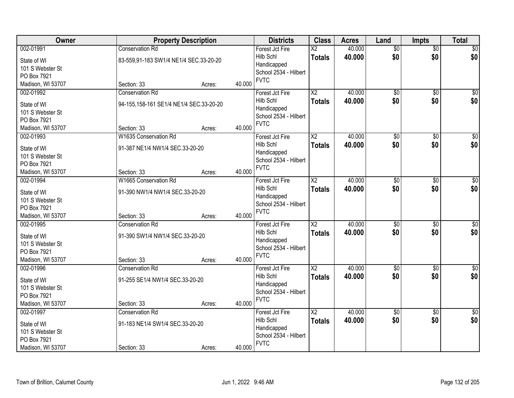| Owner                           | <b>Property Description</b>             |        |        | <b>Districts</b>                     | <b>Class</b>           | <b>Acres</b> | Land            | <b>Impts</b>    | <b>Total</b>     |
|---------------------------------|-----------------------------------------|--------|--------|--------------------------------------|------------------------|--------------|-----------------|-----------------|------------------|
| 002-01991                       | <b>Conservation Rd</b>                  |        |        | Forest Jct Fire                      | $\overline{\text{X2}}$ | 40.000       | $\overline{50}$ | $\overline{50}$ | \$0              |
| State of WI                     | 83-559,91-183 SW1/4 NE1/4 SEC.33-20-20  |        |        | Hilb Schl                            | <b>Totals</b>          | 40.000       | \$0             | \$0             | \$0              |
| 101 S Webster St                |                                         |        |        | Handicapped                          |                        |              |                 |                 |                  |
| PO Box 7921                     |                                         |        |        | School 2534 - Hilbert                |                        |              |                 |                 |                  |
| Madison, WI 53707               | Section: 33                             | Acres: | 40.000 | <b>FVTC</b>                          |                        |              |                 |                 |                  |
| 002-01992                       | <b>Conservation Rd</b>                  |        |        | Forest Jct Fire                      | $\overline{\text{X2}}$ | 40.000       | $\overline{60}$ | $\overline{50}$ | \$0              |
| State of WI                     | 94-155,158-161 SE1/4 NE1/4 SEC.33-20-20 |        |        | Hilb Schl                            | <b>Totals</b>          | 40.000       | \$0             | \$0             | \$0              |
| 101 S Webster St                |                                         |        |        | Handicapped                          |                        |              |                 |                 |                  |
| PO Box 7921                     |                                         |        |        | School 2534 - Hilbert                |                        |              |                 |                 |                  |
| Madison, WI 53707               | Section: 33                             | Acres: | 40.000 | <b>FVTC</b>                          |                        |              |                 |                 |                  |
| 002-01993                       | W1635 Conservation Rd                   |        |        | Forest Jct Fire                      | $\overline{\text{X2}}$ | 40.000       | $\overline{50}$ | \$0             | $\overline{\$0}$ |
|                                 |                                         |        |        | Hilb Schl                            | <b>Totals</b>          | 40.000       | \$0             | \$0             | \$0              |
| State of WI                     | 91-387 NE1/4 NW1/4 SEC.33-20-20         |        |        | Handicapped                          |                        |              |                 |                 |                  |
| 101 S Webster St<br>PO Box 7921 |                                         |        |        | School 2534 - Hilbert                |                        |              |                 |                 |                  |
| Madison, WI 53707               | Section: 33                             | Acres: | 40.000 | <b>FVTC</b>                          |                        |              |                 |                 |                  |
| 002-01994                       | <b>W1665 Conservation Rd</b>            |        |        | Forest Jct Fire                      | X <sub>2</sub>         | 40.000       | \$0             | \$0             | $\sqrt{60}$      |
|                                 |                                         |        |        | Hilb Schl                            | <b>Totals</b>          | 40.000       | \$0             | \$0             | \$0              |
| State of WI                     | 91-390 NW1/4 NW1/4 SEC.33-20-20         |        |        | Handicapped                          |                        |              |                 |                 |                  |
| 101 S Webster St                |                                         |        |        | School 2534 - Hilbert                |                        |              |                 |                 |                  |
| PO Box 7921                     |                                         |        |        | <b>FVTC</b>                          |                        |              |                 |                 |                  |
| Madison, WI 53707               | Section: 33                             | Acres: | 40.000 |                                      |                        |              |                 |                 |                  |
| 002-01995                       | <b>Conservation Rd</b>                  |        |        | Forest Jct Fire                      | $\overline{\text{X2}}$ | 40.000       | $\overline{50}$ | $\overline{50}$ | $\sqrt{50}$      |
| State of WI                     | 91-390 SW1/4 NW1/4 SEC.33-20-20         |        |        | Hilb Schl                            | <b>Totals</b>          | 40.000       | \$0             | \$0             | \$0              |
| 101 S Webster St                |                                         |        |        | Handicapped<br>School 2534 - Hilbert |                        |              |                 |                 |                  |
| PO Box 7921                     |                                         |        |        | <b>FVTC</b>                          |                        |              |                 |                 |                  |
| Madison, WI 53707               | Section: 33                             | Acres: | 40.000 |                                      |                        |              |                 |                 |                  |
| 002-01996                       | <b>Conservation Rd</b>                  |        |        | Forest Jct Fire                      | X <sub>2</sub>         | 40.000       | $\overline{60}$ | $\overline{50}$ | $\overline{50}$  |
| State of WI                     | 91-255 SE1/4 NW1/4 SEC.33-20-20         |        |        | Hilb Schl                            | <b>Totals</b>          | 40.000       | \$0             | \$0             | \$0              |
| 101 S Webster St                |                                         |        |        | Handicapped                          |                        |              |                 |                 |                  |
| PO Box 7921                     |                                         |        |        | School 2534 - Hilbert                |                        |              |                 |                 |                  |
| Madison, WI 53707               | Section: 33                             | Acres: | 40.000 | <b>FVTC</b>                          |                        |              |                 |                 |                  |
| 002-01997                       | <b>Conservation Rd</b>                  |        |        | Forest Jct Fire                      | $\overline{\text{X2}}$ | 40.000       | $\overline{60}$ | $\overline{50}$ | $\sqrt{30}$      |
| State of WI                     | 91-183 NE1/4 SW1/4 SEC.33-20-20         |        |        | Hilb Schl                            | <b>Totals</b>          | 40.000       | \$0             | \$0             | \$0              |
| 101 S Webster St                |                                         |        |        | Handicapped                          |                        |              |                 |                 |                  |
| PO Box 7921                     |                                         |        |        | School 2534 - Hilbert                |                        |              |                 |                 |                  |
| Madison, WI 53707               | Section: 33                             | Acres: | 40.000 | <b>FVTC</b>                          |                        |              |                 |                 |                  |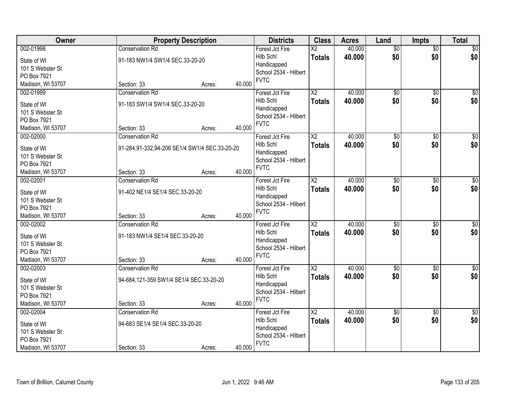| Owner                           | <b>Property Description</b>                   |        |        | <b>Districts</b>                     | <b>Class</b>           | <b>Acres</b> | Land            | <b>Impts</b>    | <b>Total</b>    |
|---------------------------------|-----------------------------------------------|--------|--------|--------------------------------------|------------------------|--------------|-----------------|-----------------|-----------------|
| 002-01998                       | <b>Conservation Rd</b>                        |        |        | Forest Jct Fire                      | $\overline{\text{X2}}$ | 40.000       | $\overline{50}$ | $\overline{50}$ | $\sqrt{50}$     |
| State of WI                     | 91-183 NW1/4 SW1/4 SEC.33-20-20               |        |        | Hilb Schl                            | <b>Totals</b>          | 40.000       | \$0             | \$0             | \$0             |
| 101 S Webster St                |                                               |        |        | Handicapped                          |                        |              |                 |                 |                 |
| PO Box 7921                     |                                               |        |        | School 2534 - Hilbert                |                        |              |                 |                 |                 |
| Madison, WI 53707               | Section: 33                                   | Acres: | 40.000 | <b>FVTC</b>                          |                        |              |                 |                 |                 |
| 002-01999                       | <b>Conservation Rd</b>                        |        |        | Forest Jct Fire                      | $\overline{\text{X2}}$ | 40.000       | $\overline{50}$ | $\overline{50}$ | $\sqrt{50}$     |
| State of WI                     | 91-183 SW1/4 SW1/4 SEC.33-20-20               |        |        | Hilb Schl                            | <b>Totals</b>          | 40.000       | \$0             | \$0             | \$0             |
| 101 S Webster St                |                                               |        |        | Handicapped                          |                        |              |                 |                 |                 |
| PO Box 7921                     |                                               |        |        | School 2534 - Hilbert                |                        |              |                 |                 |                 |
| Madison, WI 53707               | Section: 33                                   | Acres: | 40.000 | <b>FVTC</b>                          |                        |              |                 |                 |                 |
| 002-02000                       | <b>Conservation Rd</b>                        |        |        | Forest Jct Fire                      | X <sub>2</sub>         | 40.000       | \$0             | \$0             | $\overline{50}$ |
|                                 |                                               |        |        | Hilb Schl                            | <b>Totals</b>          | 40.000       | \$0             | \$0             | \$0             |
| State of WI                     | 91-284,91-332,94-206 SE1/4 SW1/4 SEC.33-20-20 |        |        | Handicapped                          |                        |              |                 |                 |                 |
| 101 S Webster St<br>PO Box 7921 |                                               |        |        | School 2534 - Hilbert                |                        |              |                 |                 |                 |
| Madison, WI 53707               | Section: 33                                   | Acres: | 40.000 | <b>FVTC</b>                          |                        |              |                 |                 |                 |
| 002-02001                       | <b>Conservation Rd</b>                        |        |        | Forest Jct Fire                      | $\overline{\text{X2}}$ | 40.000       | $\overline{60}$ | \$0             | $\sqrt{50}$     |
|                                 |                                               |        |        | Hilb Schl                            | <b>Totals</b>          | 40.000       | \$0             | \$0             | \$0             |
| State of WI                     | 91-402 NE1/4 SE1/4 SEC.33-20-20               |        |        | Handicapped                          |                        |              |                 |                 |                 |
| 101 S Webster St                |                                               |        |        | School 2534 - Hilbert                |                        |              |                 |                 |                 |
| PO Box 7921                     |                                               |        |        | <b>FVTC</b>                          |                        |              |                 |                 |                 |
| Madison, WI 53707               | Section: 33                                   | Acres: | 40.000 |                                      |                        |              |                 |                 |                 |
| 002-02002                       | <b>Conservation Rd</b>                        |        |        | Forest Jct Fire                      | $\overline{\text{X2}}$ | 40.000       | $\overline{50}$ | $\overline{50}$ | $\overline{50}$ |
| State of WI                     | 91-183 NW1/4 SE1/4 SEC.33-20-20               |        |        | Hilb Schl                            | <b>Totals</b>          | 40.000       | \$0             | \$0             | \$0             |
| 101 S Webster St                |                                               |        |        | Handicapped<br>School 2534 - Hilbert |                        |              |                 |                 |                 |
| PO Box 7921                     |                                               |        |        | <b>FVTC</b>                          |                        |              |                 |                 |                 |
| Madison, WI 53707               | Section: 33                                   | Acres: | 40.000 |                                      |                        |              |                 |                 |                 |
| 002-02003                       | <b>Conservation Rd</b>                        |        |        | Forest Jct Fire                      | $\overline{X2}$        | 40.000       | $\overline{60}$ | $\overline{50}$ | $\overline{50}$ |
| State of WI                     | 94-684,121-359 SW1/4 SE1/4 SEC.33-20-20       |        |        | Hilb Schl                            | <b>Totals</b>          | 40.000       | \$0             | \$0             | \$0             |
| 101 S Webster St                |                                               |        |        | Handicapped                          |                        |              |                 |                 |                 |
| PO Box 7921                     |                                               |        |        | School 2534 - Hilbert                |                        |              |                 |                 |                 |
| Madison, WI 53707               | Section: 33                                   | Acres: | 40.000 | <b>FVTC</b>                          |                        |              |                 |                 |                 |
| 002-02004                       | <b>Conservation Rd</b>                        |        |        | Forest Jct Fire                      | $\overline{X2}$        | 40.000       | $\overline{60}$ | $\overline{50}$ | $\sqrt{50}$     |
| State of WI                     | 94-683 SE1/4 SE1/4 SEC.33-20-20               |        |        | Hilb Schl                            | <b>Totals</b>          | 40.000       | \$0             | \$0             | \$0             |
| 101 S Webster St                |                                               |        |        | Handicapped                          |                        |              |                 |                 |                 |
| PO Box 7921                     |                                               |        |        | School 2534 - Hilbert                |                        |              |                 |                 |                 |
| Madison, WI 53707               | Section: 33                                   | Acres: | 40.000 | <b>FVTC</b>                          |                        |              |                 |                 |                 |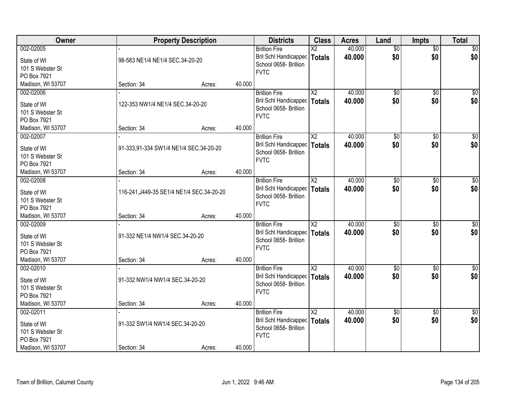| Owner                                                       |                                           | <b>Property Description</b> |        | <b>Districts</b>                                                                               | <b>Class</b>                     | <b>Acres</b>     | Land                   | <b>Impts</b>           | <b>Total</b>           |
|-------------------------------------------------------------|-------------------------------------------|-----------------------------|--------|------------------------------------------------------------------------------------------------|----------------------------------|------------------|------------------------|------------------------|------------------------|
| 002-02005<br>State of WI<br>101 S Webster St<br>PO Box 7921 | 98-583 NE1/4 NE1/4 SEC.34-20-20           |                             |        | <b>Brillion Fire</b><br>Bril Schl Handicapped<br>School 0658- Brillion<br><b>FVTC</b>          | $\overline{X2}$<br><b>Totals</b> | 40.000<br>40.000 | $\overline{50}$<br>\$0 | $\overline{50}$<br>\$0 | \$0<br>\$0             |
| Madison, WI 53707                                           | Section: 34                               | Acres:                      | 40.000 |                                                                                                |                                  |                  |                        |                        |                        |
| 002-02006<br>State of WI<br>101 S Webster St<br>PO Box 7921 | 122-353 NW1/4 NE1/4 SEC.34-20-20          |                             |        | <b>Brillion Fire</b><br>Bril Schl Handicapped<br>School 0658- Brillion<br><b>FVTC</b>          | X <sub>2</sub><br><b>Totals</b>  | 40.000<br>40.000 | \$0<br>\$0             | \$0<br>\$0             | $\sqrt{50}$<br>\$0     |
| Madison, WI 53707                                           | Section: 34                               | Acres:                      | 40.000 |                                                                                                |                                  |                  |                        |                        |                        |
| 002-02007<br>State of WI<br>101 S Webster St<br>PO Box 7921 | 91-333,91-334 SW1/4 NE1/4 SEC.34-20-20    |                             |        | <b>Brillion Fire</b><br>Bril Schl Handicapped<br>School 0658- Brillion<br><b>FVTC</b>          | $\overline{X2}$<br>Totals        | 40.000<br>40.000 | $\overline{50}$<br>\$0 | \$0<br>\$0             | $\overline{50}$<br>\$0 |
| Madison, WI 53707                                           | Section: 34                               | Acres:                      | 40.000 |                                                                                                |                                  |                  |                        |                        |                        |
| 002-02008<br>State of WI<br>101 S Webster St<br>PO Box 7921 | 116-241, J449-35 SE1/4 NE1/4 SEC.34-20-20 |                             |        | <b>Brillion Fire</b><br>Bril Schl Handicapped<br>School 0658- Brillion<br><b>FVTC</b>          | X <sub>2</sub><br><b>Totals</b>  | 40.000<br>40.000 | \$0<br>\$0             | \$0<br>\$0             | $\sqrt{50}$<br>\$0     |
| Madison, WI 53707                                           | Section: 34                               | Acres:                      | 40.000 |                                                                                                |                                  |                  |                        |                        |                        |
| 002-02009<br>State of WI<br>101 S Webster St<br>PO Box 7921 | 91-332 NE1/4 NW1/4 SEC.34-20-20           |                             |        | <b>Brillion Fire</b><br>Bril Schl Handicapped<br>School 0658- Brillion<br><b>FVTC</b>          | $\overline{\text{X2}}$<br>Totals | 40.000<br>40.000 | \$0<br>\$0             | $\overline{50}$<br>\$0 | $\sqrt{50}$<br>\$0     |
| Madison, WI 53707                                           | Section: 34                               | Acres:                      | 40.000 |                                                                                                |                                  |                  |                        |                        |                        |
| 002-02010<br>State of WI<br>101 S Webster St<br>PO Box 7921 | 91-332 NW1/4 NW1/4 SEC.34-20-20           |                             |        | <b>Brillion Fire</b><br>Bril Schl Handicapped   Totals<br>School 0658- Brillion<br><b>FVTC</b> | $\overline{X2}$                  | 40.000<br>40.000 | $\sqrt{6}$<br>\$0      | $\overline{50}$<br>\$0 | $\overline{50}$<br>\$0 |
| Madison, WI 53707                                           | Section: 34                               | Acres:                      | 40.000 |                                                                                                |                                  |                  |                        |                        |                        |
| 002-02011<br>State of WI<br>101 S Webster St<br>PO Box 7921 | 91-332 SW1/4 NW1/4 SEC.34-20-20           |                             |        | <b>Brillion Fire</b><br>Bril Schl Handicapped<br>School 0658- Brillion<br><b>FVTC</b>          | X <sub>2</sub><br><b>Totals</b>  | 40.000<br>40.000 | $\overline{50}$<br>\$0 | $\overline{50}$<br>\$0 | $\overline{50}$<br>\$0 |
| Madison, WI 53707                                           | Section: 34                               | Acres:                      | 40.000 |                                                                                                |                                  |                  |                        |                        |                        |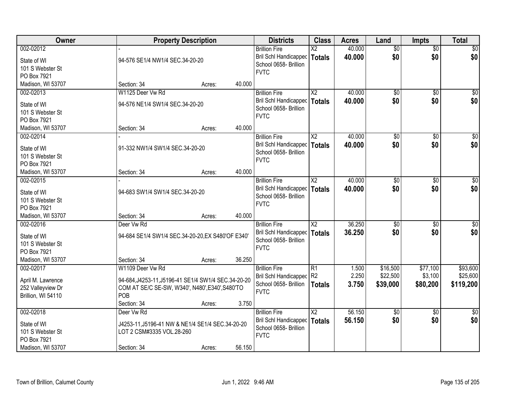| Owner                                                                     | <b>Property Description</b>                                                                                                                | <b>Districts</b>                                                                         | <b>Class</b>                     | <b>Acres</b>            | Land                             | <b>Impts</b>                    | <b>Total</b>                      |
|---------------------------------------------------------------------------|--------------------------------------------------------------------------------------------------------------------------------------------|------------------------------------------------------------------------------------------|----------------------------------|-------------------------|----------------------------------|---------------------------------|-----------------------------------|
| 002-02012<br>State of WI<br>101 S Webster St<br>PO Box 7921               | 94-576 SE1/4 NW1/4 SEC.34-20-20                                                                                                            | <b>Brillion Fire</b><br>Bril Schl Handicapped<br>School 0658- Brillion<br><b>FVTC</b>    | $\overline{X2}$<br><b>Totals</b> | 40.000<br>40.000        | $\overline{50}$<br>\$0           | $\overline{50}$<br>\$0          | \$0<br>\$0                        |
| Madison, WI 53707                                                         | 40.000<br>Section: 34<br>Acres:                                                                                                            |                                                                                          |                                  |                         |                                  |                                 |                                   |
| 002-02013<br>State of WI<br>101 S Webster St<br>PO Box 7921               | W1125 Deer Vw Rd<br>94-576 NE1/4 SW1/4 SEC.34-20-20                                                                                        | <b>Brillion Fire</b><br>Bril Schl Handicapped<br>School 0658- Brillion<br><b>FVTC</b>    | $\overline{X2}$<br><b>Totals</b> | 40.000<br>40.000        | $\overline{60}$<br>\$0           | $\overline{50}$<br>\$0          | \$0<br>\$0                        |
| Madison, WI 53707                                                         | 40.000<br>Section: 34<br>Acres:                                                                                                            |                                                                                          |                                  |                         |                                  |                                 |                                   |
| 002-02014<br>State of WI<br>101 S Webster St<br>PO Box 7921               | 91-332 NW1/4 SW1/4 SEC.34-20-20                                                                                                            | <b>Brillion Fire</b><br>Bril Schl Handicapped<br>School 0658- Brillion<br><b>FVTC</b>    | $\overline{X2}$<br>Totals        | 40.000<br>40.000        | $\overline{50}$<br>\$0           | \$0<br>\$0                      | $\overline{\$0}$<br>\$0           |
| Madison, WI 53707                                                         | 40.000<br>Section: 34<br>Acres:                                                                                                            |                                                                                          |                                  |                         |                                  |                                 |                                   |
| 002-02015<br>State of WI<br>101 S Webster St<br>PO Box 7921               | 94-683 SW1/4 SW1/4 SEC.34-20-20                                                                                                            | <b>Brillion Fire</b><br>Bril Schl Handicapped<br>School 0658- Brillion<br><b>FVTC</b>    | X <sub>2</sub><br><b>Totals</b>  | 40.000<br>40.000        | \$0<br>\$0                       | $\sqrt[6]{3}$<br>\$0            | $\sqrt{50}$<br>\$0                |
| Madison, WI 53707                                                         | 40.000<br>Section: 34<br>Acres:                                                                                                            |                                                                                          |                                  |                         |                                  |                                 |                                   |
| 002-02016<br>State of WI<br>101 S Webster St<br>PO Box 7921               | Deer Vw Rd<br>94-684 SE1/4 SW1/4 SEC.34-20-20, EX S480'OF E340'                                                                            | <b>Brillion Fire</b><br>Bril Schl Handicapped<br>School 0658- Brillion<br><b>FVTC</b>    | $\overline{X2}$<br><b>Totals</b> | 36.250<br>36.250        | $\overline{50}$<br>\$0           | $\overline{50}$<br>\$0          | $\sqrt{50}$<br>\$0                |
| Madison, WI 53707                                                         | 36.250<br>Section: 34<br>Acres:                                                                                                            |                                                                                          |                                  |                         |                                  |                                 |                                   |
| 002-02017<br>April M. Lawrence<br>252 Valleyview Dr<br>Brillion, WI 54110 | W1109 Deer Vw Rd<br>94-684, J4253-11, J5196-41 SE1/4 SW1/4 SEC.34-20-20<br>COM AT SE/C SE-SW, W340', N480', E340', S480'TO<br>POB<br>3.750 | <b>Brillion Fire</b><br>Bril Schl Handicapped R2<br>School 0658- Brillion<br><b>FVTC</b> | R1<br><b>Totals</b>              | 1.500<br>2.250<br>3.750 | \$16,500<br>\$22,500<br>\$39,000 | \$77,100<br>\$3,100<br>\$80,200 | \$93,600<br>\$25,600<br>\$119,200 |
| 002-02018                                                                 | Section: 34<br>Acres:<br>Deer Vw Rd                                                                                                        | <b>Brillion Fire</b>                                                                     | X <sub>2</sub>                   | 56.150                  | $\overline{60}$                  | $\overline{50}$                 | $\overline{50}$                   |
| State of WI<br>101 S Webster St<br>PO Box 7921                            | J4253-11, J5196-41 NW & NE1/4 SE1/4 SEC.34-20-20<br>LOT 2 CSM#3335 VOL.28-260                                                              | Bril Schl Handicapped<br>School 0658- Brillion<br><b>FVTC</b>                            | <b>Totals</b>                    | 56.150                  | \$0                              | \$0                             | \$0                               |
| Madison, WI 53707                                                         | 56.150<br>Section: 34<br>Acres:                                                                                                            |                                                                                          |                                  |                         |                                  |                                 |                                   |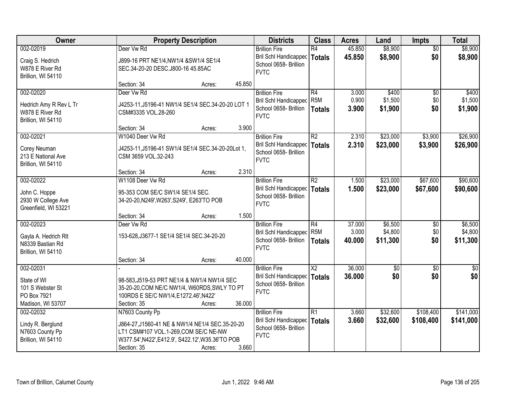| Owner                                      |                                                   | <b>Property Description</b> |        | <b>Districts</b>                                        | <b>Class</b>             | <b>Acres</b> | Land            | <b>Impts</b>    | <b>Total</b> |
|--------------------------------------------|---------------------------------------------------|-----------------------------|--------|---------------------------------------------------------|--------------------------|--------------|-----------------|-----------------|--------------|
| 002-02019                                  | Deer Vw Rd                                        |                             |        | <b>Brillion Fire</b>                                    | R4                       | 45.850       | \$8,900         | $\overline{50}$ | \$8,900      |
| Craig S. Hedrich                           | J899-16 PRT NE1/4, NW1/4 & SW1/4 SE1/4            |                             |        | Bril Schl Handicapped                                   | Totals                   | 45.850       | \$8,900         | \$0             | \$8,900      |
| W878 E River Rd                            | SEC.34-20-20 DESC.J800-16 45.85AC                 |                             |        | School 0658- Brillion                                   |                          |              |                 |                 |              |
| Brillion, WI 54110                         |                                                   |                             |        | <b>FVTC</b>                                             |                          |              |                 |                 |              |
|                                            | Section: 34                                       | Acres:                      | 45.850 |                                                         |                          |              |                 |                 |              |
| 002-02020                                  | Deer Vw Rd                                        |                             |        | <b>Brillion Fire</b>                                    | R4                       | 3.000        | \$400           | $\overline{50}$ | \$400        |
| Hedrich Amy R Rev L Tr                     | J4253-11, J5196-41 NW1/4 SE1/4 SEC.34-20-20 LOT 1 |                             |        | Bril Schl Handicapped                                   | R <sub>5M</sub>          | 0.900        | \$1,500         | \$0             | \$1,500      |
| W878 E River Rd                            | CSM#3335 VOL.28-260                               |                             |        | School 0658- Brillion                                   | <b>Totals</b>            | 3.900        | \$1,900         | \$0             | \$1,900      |
| Brillion, WI 54110                         |                                                   |                             |        | <b>FVTC</b>                                             |                          |              |                 |                 |              |
|                                            | Section: 34                                       | Acres:                      | 3.900  |                                                         |                          |              |                 |                 |              |
| 002-02021                                  | W1040 Deer Vw Rd                                  |                             |        | <b>Brillion Fire</b>                                    | R2                       | 2.310        | \$23,000        | \$3,900         | \$26,900     |
| Corey Neuman                               | J4253-11, J5196-41 SW1/4 SE1/4 SEC.34-20-20Lot 1, |                             |        | Bril Schl Handicapped   Totals                          |                          | 2.310        | \$23,000        | \$3,900         | \$26,900     |
| 213 E National Ave                         | CSM 3659 VOL.32-243                               |                             |        | School 0658- Brillion                                   |                          |              |                 |                 |              |
| Brillion, WI 54110                         |                                                   |                             |        | <b>FVTC</b>                                             |                          |              |                 |                 |              |
|                                            | Section: 34                                       | Acres:                      | 2.310  |                                                         |                          |              |                 |                 |              |
| 002-02022                                  | W1108 Deer Vw Rd                                  |                             |        | <b>Brillion Fire</b>                                    | R2                       | 1.500        | \$23,000        | \$67,600        | \$90,600     |
|                                            |                                                   |                             |        | <b>Bril Schl Handicapped</b>                            | <b>Totals</b>            | 1.500        | \$23,000        | \$67,600        | \$90,600     |
| John C. Hoppe                              | 95-353 COM SE/C SW1/4 SE1/4 SEC.                  |                             |        | School 0658- Brillion                                   |                          |              |                 |                 |              |
| 2930 W College Ave<br>Greenfield, WI 53221 | 34-20-20, N249', W263', S249', E263'TO POB        |                             |        | <b>FVTC</b>                                             |                          |              |                 |                 |              |
|                                            | Section: 34                                       | Acres:                      | 1.500  |                                                         |                          |              |                 |                 |              |
| 002-02023                                  | Deer Vw Rd                                        |                             |        | <b>Brillion Fire</b>                                    | R4                       | 37.000       | \$6,500         | $\sqrt{6}$      | \$6,500      |
|                                            |                                                   |                             |        | Bril Schl Handicapped                                   | R <sub>5M</sub>          | 3.000        | \$4,800         | \$0             | \$4,800      |
| Gayla A. Hedrich Rlt                       | 153-628, J3677-1 SE1/4 SE1/4 SEC.34-20-20         |                             |        | School 0658- Brillion                                   | Totals                   | 40.000       | \$11,300        | \$0             | \$11,300     |
| N8339 Bastian Rd                           |                                                   |                             |        | <b>FVTC</b>                                             |                          |              |                 |                 |              |
| Brillion, WI 54110                         |                                                   |                             |        |                                                         |                          |              |                 |                 |              |
|                                            | Section: 34                                       | Acres:                      | 40.000 |                                                         |                          | 36.000       |                 |                 |              |
| 002-02031                                  |                                                   |                             |        | <b>Brillion Fire</b>                                    | $\overline{\mathsf{X2}}$ |              | $\overline{50}$ | $\overline{50}$ | $\sqrt{50}$  |
| State of WI                                | 98-583, J519-53 PRT NE1/4 & NW1/4 NW1/4 SEC       |                             |        | Bril Schl Handicapped   Totals<br>School 0658- Brillion |                          | 36.000       | \$0             | \$0             | \$0          |
| 101 S Webster St                           | 35-20-20, COM NE/C NW1/4, W60RDS, SWLY TO PT      |                             |        | <b>FVTC</b>                                             |                          |              |                 |                 |              |
| PO Box 7921                                | 100RDS E SE/C NW1/4, E1272.46', N422'             |                             |        |                                                         |                          |              |                 |                 |              |
| Madison, WI 53707                          | Section: 35                                       | Acres:                      | 36.000 |                                                         |                          |              |                 |                 |              |
| 002-02032                                  | N7603 County Pp                                   |                             |        | <b>Brillion Fire</b>                                    | R1                       | 3.660        | \$32,600        | \$108,400       | \$141,000    |
| Lindy R. Berglund                          | J864-27, J1560-41 NE & NW1/4 NE1/4 SEC.35-20-20   |                             |        | Bril Schl Handicapped                                   | <b>Totals</b>            | 3.660        | \$32,600        | \$108,400       | \$141,000    |
| N7603 County Pp                            | LT1 CSM#107 VOL.1-269,COM SE/C NE-NW              |                             |        | School 0658- Brillion                                   |                          |              |                 |                 |              |
| Brillion, WI 54110                         | W377.54', N422', E412.9', S422.12', W35.36'TO POB |                             |        | <b>FVTC</b>                                             |                          |              |                 |                 |              |
|                                            | Section: 35                                       | Acres:                      | 3.660  |                                                         |                          |              |                 |                 |              |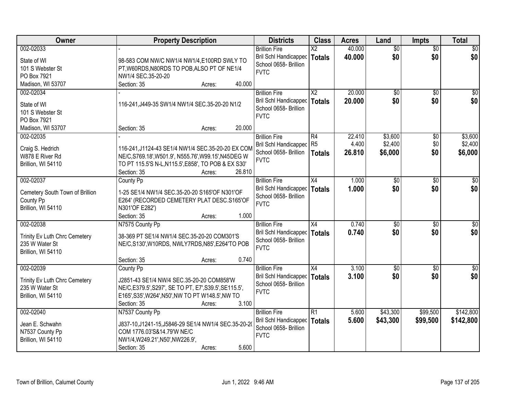| Owner                               | <b>Property Description</b>                                                                                 | <b>Districts</b>                               | <b>Class</b>             | <b>Acres</b> | Land            | <b>Impts</b>    | <b>Total</b>     |
|-------------------------------------|-------------------------------------------------------------------------------------------------------------|------------------------------------------------|--------------------------|--------------|-----------------|-----------------|------------------|
| 002-02033                           |                                                                                                             | <b>Brillion Fire</b>                           | $\overline{\mathsf{X2}}$ | 40.000       | $\overline{50}$ | $\overline{50}$ | \$0              |
| State of WI                         | 98-583 COM NW/C NW1/4 NW1/4, E100RD SWLY TO                                                                 | Bril Schl Handicapped                          | <b>Totals</b>            | 40.000       | \$0             | \$0             | \$0              |
| 101 S Webster St                    | PT, W60RDS, N80RDS TO POB, ALSO PT OF NE1/4                                                                 | School 0658- Brillion                          |                          |              |                 |                 |                  |
| PO Box 7921                         | NW1/4 SEC.35-20-20                                                                                          | <b>FVTC</b>                                    |                          |              |                 |                 |                  |
| Madison, WI 53707                   | Section: 35<br>40.000<br>Acres:                                                                             |                                                |                          |              |                 |                 |                  |
| 002-02034                           |                                                                                                             | <b>Brillion Fire</b>                           | $\overline{X2}$          | 20.000       | $\overline{50}$ | $\overline{50}$ | $\overline{30}$  |
| State of WI                         | 116-241, J449-35 SW1/4 NW1/4 SEC.35-20-20 N1/2                                                              | Bril Schl Handicapped                          | <b>Totals</b>            | 20.000       | \$0             | \$0             | \$0              |
| 101 S Webster St                    |                                                                                                             | School 0658- Brillion                          |                          |              |                 |                 |                  |
| PO Box 7921                         |                                                                                                             | <b>FVTC</b>                                    |                          |              |                 |                 |                  |
| Madison, WI 53707                   | 20.000<br>Section: 35<br>Acres:                                                                             |                                                |                          |              |                 |                 |                  |
| 002-02035                           |                                                                                                             | <b>Brillion Fire</b>                           | R4                       | 22.410       | \$3,600         | \$0             | \$3,600          |
|                                     |                                                                                                             | Bril Schl Handicapped R5                       |                          | 4.400        | \$2,400         | \$0             | \$2,400          |
| Craig S. Hedrich<br>W878 E River Rd | 116-241, J1124-43 SE1/4 NW1/4 SEC.35-20-20 EX COM                                                           | School 0658- Brillion                          | <b>Totals</b>            | 26.810       | \$6,000         | \$0             | \$6,000          |
| Brillion, WI 54110                  | NE/C, S769.18', W501.9', N555.76', W99.15', N45DEG W<br>TO PT 115.5'S N-L, N115.5', E858', TO POB & EX S30' | <b>FVTC</b>                                    |                          |              |                 |                 |                  |
|                                     | Section: 35<br>26.810<br>Acres:                                                                             |                                                |                          |              |                 |                 |                  |
| 002-02037                           | County Pp                                                                                                   | <b>Brillion Fire</b>                           | X4                       | 1.000        | \$0             | $\sqrt[6]{3}$   | \$0              |
|                                     |                                                                                                             | Bril Schl Handicapped                          | <b>Totals</b>            | 1.000        | \$0             | \$0             | \$0              |
| Cemetery South Town of Brillion     | 1-25 SE1/4 NW1/4 SEC.35-20-20 S165'OF N301'OF                                                               | School 0658- Brillion                          |                          |              |                 |                 |                  |
| County Pp                           | E264' (RECORDED CEMETERY PLAT DESC.S165'OF                                                                  | <b>FVTC</b>                                    |                          |              |                 |                 |                  |
| Brillion, WI 54110                  | N301'OF E282')<br>1.000                                                                                     |                                                |                          |              |                 |                 |                  |
| 002-02038                           | Section: 35<br>Acres:<br>N7575 County Pp                                                                    | <b>Brillion Fire</b>                           | X4                       | 0.740        | $\overline{50}$ | $\overline{30}$ | $\overline{50}$  |
|                                     |                                                                                                             |                                                |                          |              | \$0             | \$0             |                  |
| Trinity Ev Luth Chrc Cemetery       | 38-369 PT SE1/4 NW1/4 SEC.35-20-20 COM301'S                                                                 | Bril Schl Handicapped<br>School 0658- Brillion | <b>Totals</b>            | 0.740        |                 |                 | \$0              |
| 235 W Water St                      | NE/C,S130', W10RDS, NWLY7RDS, N85', E264'TO POB                                                             | <b>FVTC</b>                                    |                          |              |                 |                 |                  |
| Brillion, WI 54110                  |                                                                                                             |                                                |                          |              |                 |                 |                  |
|                                     | 0.740<br>Section: 35<br>Acres:                                                                              |                                                |                          |              |                 |                 |                  |
| 002-02039                           | County Pp                                                                                                   | <b>Brillion Fire</b>                           | X4                       | 3.100        | $\overline{50}$ | $\overline{50}$ | $\overline{\$0}$ |
| Trinity Ev Luth Chrc Cemetery       | J2851-43 SE1/4 NW/4 SEC.35-20-20 COM858'W                                                                   | Bril Schl Handicapped                          | Totals                   | 3.100        | \$0             | \$0             | \$0              |
| 235 W Water St                      | NE/C, E379.5', S297', SE TO PT, E7', S39.5', SE115.5',                                                      | School 0658- Brillion<br><b>FVTC</b>           |                          |              |                 |                 |                  |
| Brillion, WI 54110                  | E165', S35', W264', N50', NW TO PT W148.5', NW TO                                                           |                                                |                          |              |                 |                 |                  |
|                                     | 3.100<br>Section: 35<br>Acres:                                                                              |                                                |                          |              |                 |                 |                  |
| 002-02040                           | N7537 County Pp                                                                                             | <b>Brillion Fire</b>                           | R1                       | 5.600        | \$43,300        | \$99,500        | \$142,800        |
| Jean E. Schwahn                     | J837-10, J1241-15, J5846-29 SE1/4 NW1/4 SEC.35-20-20                                                        | Bril Schl Handicapped                          | Totals                   | 5.600        | \$43,300        | \$99,500        | \$142,800        |
| N7537 County Pp                     | COM 1776.03'S&14.79'W NE/C                                                                                  | School 0658- Brillion                          |                          |              |                 |                 |                  |
| Brillion, WI 54110                  | NW1/4, W249.21', N50', NW226.9',                                                                            | <b>FVTC</b>                                    |                          |              |                 |                 |                  |
|                                     | 5.600<br>Section: 35<br>Acres:                                                                              |                                                |                          |              |                 |                 |                  |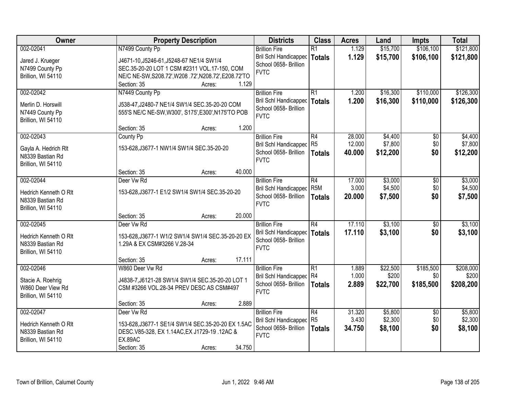| Owner                                    | <b>Property Description</b>                           | <b>Districts</b>                     | <b>Class</b>     | <b>Acres</b> | Land     | <b>Impts</b>    | <b>Total</b> |
|------------------------------------------|-------------------------------------------------------|--------------------------------------|------------------|--------------|----------|-----------------|--------------|
| 002-02041                                | N7499 County Pp                                       | <b>Brillion Fire</b>                 | $\overline{R1}$  | 1.129        | \$15,700 | \$106,100       | \$121,800    |
| Jared J. Krueger                         | J4671-10, J5246-61, J5248-67 NE1/4 SW1/4              | <b>Bril Schl Handicapped</b>         | <b>Totals</b>    | 1.129        | \$15,700 | \$106,100       | \$121,800    |
| N7499 County Pp                          | SEC.35-20-20 LOT 1 CSM #2311 VOL.17-150, COM          | School 0658- Brillion                |                  |              |          |                 |              |
| Brillion, WI 54110                       | NE/C NE-SW, S208.72', W208 .72', N208.72', E208.72'TO | <b>FVTC</b>                          |                  |              |          |                 |              |
|                                          | 1.129<br>Section: 35<br>Acres:                        |                                      |                  |              |          |                 |              |
| 002-02042                                | N7449 County Pp                                       | <b>Brillion Fire</b>                 | $\overline{R1}$  | 1.200        | \$16,300 | \$110,000       | \$126,300    |
| Merlin D. Horswill                       | J538-47, J2480-7 NE1/4 SW1/4 SEC.35-20-20 COM         | Bril Schl Handicapped                | <b>Totals</b>    | 1.200        | \$16,300 | \$110,000       | \$126,300    |
| N7449 County Pp                          | 555'S NE/C NE-SW, W300', S175', E300', N175'TO POB    | School 0658- Brillion                |                  |              |          |                 |              |
| Brillion, WI 54110                       |                                                       | <b>FVTC</b>                          |                  |              |          |                 |              |
|                                          | 1.200<br>Section: 35<br>Acres:                        |                                      |                  |              |          |                 |              |
| 002-02043                                | County Pp                                             | <b>Brillion Fire</b>                 | $\overline{R4}$  | 28.000       | \$4,400  | $\overline{50}$ | \$4,400      |
|                                          |                                                       | Bril Schl Handicapped                | R <sub>5</sub>   | 12.000       | \$7,800  | \$0             | \$7,800      |
| Gayla A. Hedrich Rlt<br>N8339 Bastian Rd | 153-628, J3677-1 NW1/4 SW1/4 SEC.35-20-20             | School 0658- Brillion                | <b>Totals</b>    | 40.000       | \$12,200 | \$0             | \$12,200     |
| Brillion, WI 54110                       |                                                       | <b>FVTC</b>                          |                  |              |          |                 |              |
|                                          | 40.000<br>Section: 35<br>Acres:                       |                                      |                  |              |          |                 |              |
| 002-02044                                | Deer Vw Rd                                            | <b>Brillion Fire</b>                 | R4               | 17.000       | \$3,000  | \$0             | \$3,000      |
|                                          |                                                       | <b>Bril Schl Handicapped</b>         | R <sub>5</sub> M | 3.000        | \$4,500  | \$0             | \$4,500      |
| Hedrich Kenneth O RIt                    | 153-628, J3677-1 E1/2 SW1/4 SW1/4 SEC.35-20-20        | School 0658- Brillion                | <b>Totals</b>    | 20.000       | \$7,500  | \$0             | \$7,500      |
| N8339 Bastian Rd                         |                                                       | <b>FVTC</b>                          |                  |              |          |                 |              |
| Brillion, WI 54110                       | 20.000<br>Section: 35<br>Acres:                       |                                      |                  |              |          |                 |              |
| 002-02045                                | Deer Vw Rd                                            | <b>Brillion Fire</b>                 | $\overline{R4}$  | 17.110       | \$3,100  | $\overline{50}$ | \$3,100      |
|                                          |                                                       | Bril Schl Handicapped                | <b>Totals</b>    | 17.110       | \$3,100  | \$0             | \$3,100      |
| Hedrich Kenneth O Rlt                    | 153-628, J3677-1 W1/2 SW1/4 SW1/4 SEC.35-20-20 EX     | School 0658- Brillion                |                  |              |          |                 |              |
| N8339 Bastian Rd                         | 1.29A & EX CSM#3266 V.28-34                           | <b>FVTC</b>                          |                  |              |          |                 |              |
| Brillion, WI 54110                       |                                                       |                                      |                  |              |          |                 |              |
|                                          | 17.111<br>Section: 35<br>Acres:                       |                                      |                  |              |          |                 |              |
| 002-02046                                | W860 Deer Vw Rd                                       | <b>Brillion Fire</b>                 | $\overline{R1}$  | 1.889        | \$22,500 | \$185,500       | \$208,000    |
| Stacie A. Roehrig                        | J4838-7, J6121-28 SW1/4 SW1/4 SEC.35-20-20 LOT 1      | Bril Schl Handicapped R4             |                  | 1.000        | \$200    | \$0             | \$200        |
| W860 Deer View Rd                        | CSM #3266 VOL.28-34 PREV DESC AS CSM#497              | School 0658- Brillion<br><b>FVTC</b> | <b>Totals</b>    | 2.889        | \$22,700 | \$185,500       | \$208,200    |
| Brillion, WI 54110                       |                                                       |                                      |                  |              |          |                 |              |
|                                          | 2.889<br>Section: 35<br>Acres:                        |                                      |                  |              |          |                 |              |
| 002-02047                                | Deer Vw Rd                                            | <b>Brillion Fire</b>                 | R4               | 31.320       | \$5,800  | $\overline{50}$ | \$5,800      |
| Hedrich Kenneth O RIt                    | 153-628, J3677-1 SE1/4 SW1/4 SEC.35-20-20 EX 1.5AC    | Bril Schl Handicapped                | R <sub>5</sub>   | 3.430        | \$2,300  | \$0             | \$2,300      |
| N8339 Bastian Rd                         | DESC.V85-328, EX 1.14AC, EX J1729-19 .12AC &          | School 0658- Brillion                | <b>Totals</b>    | 34.750       | \$8,100  | \$0             | \$8,100      |
| Brillion, WI 54110                       | <b>EX.89AC</b>                                        | <b>FVTC</b>                          |                  |              |          |                 |              |
|                                          | 34.750<br>Section: 35<br>Acres:                       |                                      |                  |              |          |                 |              |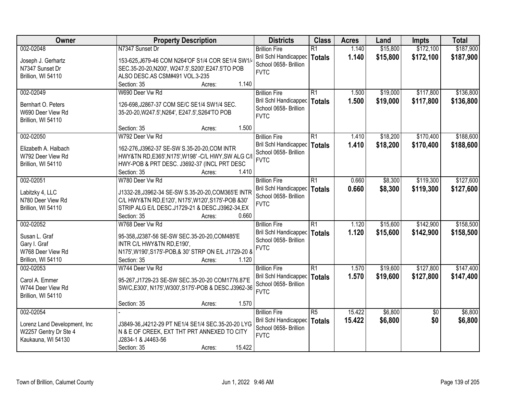| Owner                         | <b>Property Description</b>                           | <b>Districts</b>                     | <b>Class</b>    | <b>Acres</b> | Land     | <b>Impts</b>    | <b>Total</b> |
|-------------------------------|-------------------------------------------------------|--------------------------------------|-----------------|--------------|----------|-----------------|--------------|
| 002-02048                     | N7347 Sunset Dr                                       | <b>Brillion Fire</b>                 | $\overline{R1}$ | 1.140        | \$15,800 | \$172,100       | \$187,900    |
| Joseph J. Gerhartz            | 153-625, J679-46 COM N264'OF S1/4 COR SE1/4 SW1/      | <b>Bril Schl Handicapped</b>         | <b>Totals</b>   | 1.140        | \$15,800 | \$172,100       | \$187,900    |
| N7347 Sunset Dr               | SEC.35-20-20, N200', W247.5', S200', E247.5'TO POB    | School 0658- Brillion                |                 |              |          |                 |              |
| Brillion, WI 54110            | ALSO DESC.AS CSM#491 VOL.3-235                        | <b>FVTC</b>                          |                 |              |          |                 |              |
|                               | 1.140<br>Section: 35<br>Acres:                        |                                      |                 |              |          |                 |              |
| 002-02049                     | W690 Deer Vw Rd                                       | <b>Brillion Fire</b>                 | $\overline{R1}$ | 1.500        | \$19,000 | \$117,800       | \$136,800    |
| Bernhart O. Peters            | 126-698, J2867-37 COM SE/C SE1/4 SW1/4 SEC.           | Bril Schl Handicapped                | <b>Totals</b>   | 1.500        | \$19,000 | \$117,800       | \$136,800    |
| W690 Deer View Rd             | 35-20-20, W247.5', N264', E247.5', S264'TO POB        | School 0658- Brillion                |                 |              |          |                 |              |
| Brillion, WI 54110            |                                                       | <b>FVTC</b>                          |                 |              |          |                 |              |
|                               | 1.500<br>Section: 35<br>Acres:                        |                                      |                 |              |          |                 |              |
| 002-02050                     | W792 Deer Vw Rd                                       | <b>Brillion Fire</b>                 | $\overline{R1}$ | 1.410        | \$18,200 | \$170,400       | \$188,600    |
| Elizabeth A. Halbach          | 162-276, J3962-37 SE-SW S.35-20-20, COM INTR          | Bril Schl Handicapped                | <b>Totals</b>   | 1.410        | \$18,200 | \$170,400       | \$188,600    |
| W792 Deer View Rd             | HWY&TN RD, E365', N175', W198' - C/L HWY, SW ALG C/I  | School 0658- Brillion                |                 |              |          |                 |              |
| Brillion, WI 54110            | HWY-POB & PRT DESC. J3692-37 (INCL PRT DESC           | <b>FVTC</b>                          |                 |              |          |                 |              |
|                               | Section: 35<br>1.410<br>Acres:                        |                                      |                 |              |          |                 |              |
| 002-02051                     | W780 Deer Vw Rd                                       | <b>Brillion Fire</b>                 | $\overline{R1}$ | 0.660        | \$8,300  | \$119,300       | \$127,600    |
|                               |                                                       | <b>Bril Schl Handicapped</b>         | <b>Totals</b>   | 0.660        | \$8,300  | \$119,300       | \$127,600    |
| Labitzky 4, LLC               | J1332-28, J3962-34 SE-SW S.35-20-20, COM365'E INTR    | School 0658- Brillion                |                 |              |          |                 |              |
| N780 Deer View Rd             | C/L HWY&TN RD, E120', N175', W120', S175'-POB &30'    | <b>FVTC</b>                          |                 |              |          |                 |              |
| Brillion, WI 54110            | STRIP ALG E/L DESC.J1729-21 & DESC.J3962-34,EX        |                                      |                 |              |          |                 |              |
|                               | 0.660<br>Section: 35<br>Acres:                        |                                      |                 |              |          |                 |              |
| 002-02052                     | W768 Deer Vw Rd                                       | <b>Brillion Fire</b>                 | $\overline{R1}$ | 1.120        | \$15,600 | \$142,900       | \$158,500    |
| Susan L. Graf                 | 95-358, J2387-56 SE-SW SEC.35-20-20, COM485'E         | <b>Bril Schl Handicapped</b>         | <b>Totals</b>   | 1.120        | \$15,600 | \$142,900       | \$158,500    |
| Gary I. Graf                  | INTR C/L HWY&TN RD, E190',                            | School 0658- Brillion<br><b>FVTC</b> |                 |              |          |                 |              |
| W768 Deer View Rd             | N175', W190', S175'-POB, & 30' STRP ON E/L J1729-20 & |                                      |                 |              |          |                 |              |
| Brillion, WI 54110            | Section: 35<br>1.120<br>Acres:                        |                                      |                 |              |          |                 |              |
| 002-02053                     | W744 Deer Vw Rd                                       | <b>Brillion Fire</b>                 | R1              | 1.570        | \$19,600 | \$127,800       | \$147,400    |
| Carol A. Emmer                | 95-267, J1729-23 SE-SW SEC.35-20-20 COM1776.87'E      | Bril Schl Handicapped                | <b>Totals</b>   | 1.570        | \$19,600 | \$127,800       | \$147,400    |
| W744 Deer View Rd             | SW/C,E300', N175', W300', S175'-POB & DESC.J3962-36   | School 0658- Brillion                |                 |              |          |                 |              |
| Brillion, WI 54110            |                                                       | <b>FVTC</b>                          |                 |              |          |                 |              |
|                               | 1.570<br>Section: 35<br>Acres:                        |                                      |                 |              |          |                 |              |
| 002-02054                     |                                                       | <b>Brillion Fire</b>                 | $\overline{R5}$ | 15.422       | \$6,800  | $\overline{50}$ | \$6,800      |
| Lorenz Land Development, Inc. | J3849-36, J4212-29 PT NE1/4 SE1/4 SEC.35-20-20 LYG    | Bril Schl Handicapped                | <b>Totals</b>   | 15.422       | \$6,800  | \$0             | \$6,800      |
| W2257 Gentry Dr Ste 4         | N & E OF CREEK, EXT THT PRT ANNEXED TO CITY           | School 0658- Brillion                |                 |              |          |                 |              |
| Kaukauna, WI 54130            | J2834-1 & J4463-56                                    | <b>FVTC</b>                          |                 |              |          |                 |              |
|                               | 15.422<br>Section: 35<br>Acres:                       |                                      |                 |              |          |                 |              |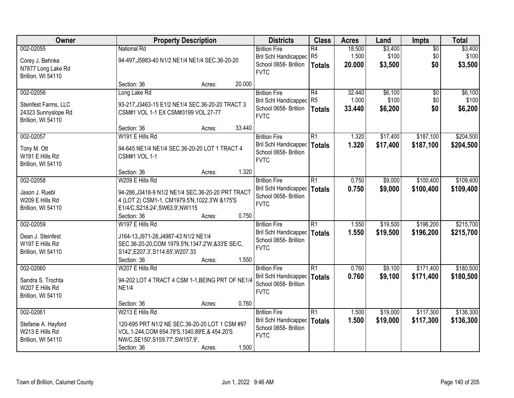| Owner                             |                                                                                                     | <b>Property Description</b> |        | <b>Districts</b>                               | <b>Class</b>    | <b>Acres</b> | Land     | Impts           | <b>Total</b> |
|-----------------------------------|-----------------------------------------------------------------------------------------------------|-----------------------------|--------|------------------------------------------------|-----------------|--------------|----------|-----------------|--------------|
| 002-02055                         | <b>National Rd</b>                                                                                  |                             |        | <b>Brillion Fire</b>                           | $\overline{R4}$ | 18.500       | \$3,400  | $\overline{50}$ | \$3,400      |
| Corey J. Behnke                   | 94-497, J5983-40 N1/2 NE1/4 NE1/4 SEC.36-20-20                                                      |                             |        | <b>Bril Schl Handicapped</b>                   | R <sub>5</sub>  | 1.500        | \$100    | \$0             | \$100        |
| N7877 Long Lake Rd                |                                                                                                     |                             |        | School 0658- Brillion                          | <b>Totals</b>   | 20.000       | \$3,500  | \$0             | \$3,500      |
| Brillion, WI 54110                |                                                                                                     |                             |        | <b>FVTC</b>                                    |                 |              |          |                 |              |
|                                   | Section: 36                                                                                         | Acres:                      | 20.000 |                                                |                 |              |          |                 |              |
| 002-02056                         | Long Lake Rd                                                                                        |                             |        | <b>Brillion Fire</b>                           | R4              | 32.440       | \$6,100  | $\overline{50}$ | \$6,100      |
| Steinfest Farms, LLC              | 93-217, J3463-15 E1/2 NE1/4 SEC.36-20-20 TRACT 3                                                    |                             |        | <b>Bril Schl Handicapped</b>                   | R <sub>5</sub>  | 1.000        | \$100    | \$0             | \$100        |
| 24323 Sunnyslope Rd               | CSM#1 VOL 1-1 EX CSM#3199 VOL.27-77                                                                 |                             |        | School 0658- Brillion                          | <b>Totals</b>   | 33.440       | \$6,200  | \$0             | \$6,200      |
| Brillion, WI 54110                |                                                                                                     |                             |        | <b>FVTC</b>                                    |                 |              |          |                 |              |
|                                   | Section: 36                                                                                         | Acres:                      | 33.440 |                                                |                 |              |          |                 |              |
| 002-02057                         | W191 E Hills Rd                                                                                     |                             |        | <b>Brillion Fire</b>                           | R1              | 1.320        | \$17,400 | \$187,100       | \$204,500    |
| Tony M. Ott                       | 94-645 NE1/4 NE1/4 SEC.36-20-20 LOT 1 TRACT 4                                                       |                             |        | Bril Schl Handicapped                          | <b>Totals</b>   | 1.320        | \$17,400 | \$187,100       | \$204,500    |
| W191 E Hills Rd                   | <b>CSM#1 VOL.1-1</b>                                                                                |                             |        | School 0658- Brillion                          |                 |              |          |                 |              |
| Brillion, WI 54110                |                                                                                                     |                             |        | <b>FVTC</b>                                    |                 |              |          |                 |              |
|                                   | Section: 36                                                                                         | Acres:                      | 1.320  |                                                |                 |              |          |                 |              |
| 002-02058                         | W209 E Hills Rd                                                                                     |                             |        | <b>Brillion Fire</b>                           | R1              | 0.750        | \$9,000  | \$100,400       | \$109,400    |
|                                   |                                                                                                     |                             |        | <b>Bril Schl Handicapped</b>                   | <b>Totals</b>   | 0.750        | \$9,000  | \$100,400       | \$109,400    |
| Jason J. Ruebl<br>W209 E Hills Rd | 94-286, J3418-9 N1/2 NE1/4 SEC.36-20-20 PRT TRACT<br>4 (LOT 2) CSM1-1, CM1979.5'N, 1022.3'W & 175'S |                             |        | School 0658- Brillion                          |                 |              |          |                 |              |
| Brillion, WI 54110                | E1/4/C,S218.24',SW63.9',NW115                                                                       |                             |        | <b>FVTC</b>                                    |                 |              |          |                 |              |
|                                   | Section: 36                                                                                         | Acres:                      | 0.750  |                                                |                 |              |          |                 |              |
| 002-02059                         | W197 E Hills Rd                                                                                     |                             |        | <b>Brillion Fire</b>                           | $\overline{R1}$ | 1.550        | \$19,500 | \$196,200       | \$215,700    |
|                                   |                                                                                                     |                             |        | Bril Schl Handicapped                          | <b>Totals</b>   | 1.550        | \$19,500 | \$196,200       | \$215,700    |
| Dean J. Steinfest                 | J164-13, J971-28, J4987-43 N1/2 NE1/4                                                               |                             |        | School 0658- Brillion                          |                 |              |          |                 |              |
| W197 E Hills Rd                   | SEC.36-20-20, COM 1979.5'N, 1347.2'W, & 33'E SE/C,                                                  |                             |        | <b>FVTC</b>                                    |                 |              |          |                 |              |
| Brillion, WI 54110                | S142', E207.3', S114.65', W207.33                                                                   |                             |        |                                                |                 |              |          |                 |              |
|                                   | Section: 36                                                                                         | Acres:                      | 1.550  |                                                |                 |              |          |                 |              |
| 002-02060                         | W207 E Hills Rd                                                                                     |                             |        | <b>Brillion Fire</b>                           | $\overline{R1}$ | 0.760        | \$9,100  | \$171,400       | \$180,500    |
| Sandra S. Trochta                 | 94-202 LOT 4 TRACT 4 CSM 1-1, BEING PRT OF NE1/4                                                    |                             |        | Bril Schl Handicapped<br>School 0658- Brillion | <b>Totals</b>   | 0.760        | \$9,100  | \$171,400       | \$180,500    |
| W207 E Hills Rd                   | <b>NE1/4</b>                                                                                        |                             |        | <b>FVTC</b>                                    |                 |              |          |                 |              |
| Brillion, WI 54110                |                                                                                                     |                             |        |                                                |                 |              |          |                 |              |
|                                   | Section: 36                                                                                         | Acres:                      | 0.760  |                                                |                 |              |          |                 |              |
| 002-02061                         | W213 E Hills Rd                                                                                     |                             |        | <b>Brillion Fire</b>                           | R1              | 1.500        | \$19,000 | \$117,300       | \$136,300    |
| Stefanie A. Hayford               | 120-695 PRT N1/2 NE SEC.36-20-20 LOT 1 CSM #97                                                      |                             |        | Bril Schl Handicapped                          | <b>Totals</b>   | 1.500        | \$19,000 | \$117,300       | \$136,300    |
| W213 E Hills Rd                   | VOL.1-244, COM 654.78'S, 1340.89'E, & 454.20'S                                                      |                             |        | School 0658- Brillion                          |                 |              |          |                 |              |
| Brillion, WI 54110                | NW/C, SE150', S159.77', SW157.9',                                                                   |                             |        | <b>FVTC</b>                                    |                 |              |          |                 |              |
|                                   | Section: 36                                                                                         | Acres:                      | 1.500  |                                                |                 |              |          |                 |              |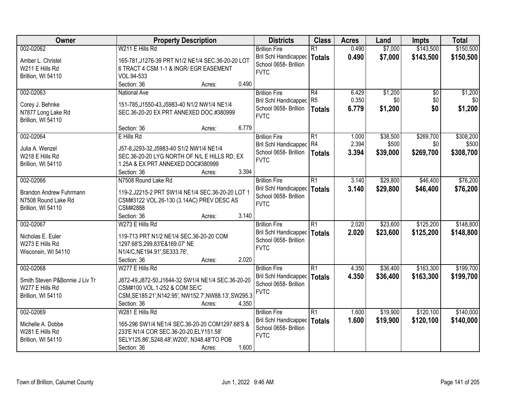| Owner                                 | <b>Property Description</b>                                          | <b>Districts</b>                                      | <b>Class</b>    | <b>Acres</b> | Land     | <b>Impts</b> | <b>Total</b> |
|---------------------------------------|----------------------------------------------------------------------|-------------------------------------------------------|-----------------|--------------|----------|--------------|--------------|
| 002-02062                             | W211 E Hills Rd                                                      | <b>Brillion Fire</b>                                  | $\overline{R1}$ | 0.490        | \$7,000  | \$143,500    | \$150,500    |
| Amber L. Christel                     | 165-781, J1276-39 PRT N1/2 NE1/4 SEC.36-20-20 LOT                    | Bril Schl Handicapped                                 | <b>Totals</b>   | 0.490        | \$7,000  | \$143,500    | \$150,500    |
| W211 E Hills Rd                       | 6 TRACT 4 CSM 1-1 & INGR/ EGR EASEMENT                               | School 0658- Brillion                                 |                 |              |          |              |              |
| Brillion, WI 54110                    | VOL.94-533                                                           | <b>FVTC</b>                                           |                 |              |          |              |              |
|                                       | 0.490<br>Section: 36<br>Acres:                                       |                                                       |                 |              |          |              |              |
| 002-02063                             | <b>National Ave</b>                                                  | <b>Brillion Fire</b>                                  | $\overline{R4}$ | 6.429        | \$1,200  | \$0          | \$1,200      |
|                                       | 151-785, J1550-43, J5983-40 N1/2 NW1/4 NE1/4                         | <b>Bril Schl Handicapped</b>                          | R <sub>5</sub>  | 0.350        | \$0      | \$0          | \$0          |
| Corey J. Behnke<br>N7877 Long Lake Rd | SEC.36-20-20 EX PRT ANNEXED DOC.#380999                              | School 0658- Brillion                                 | <b>Totals</b>   | 6.779        | \$1,200  | \$0          | \$1,200      |
| Brillion, WI 54110                    |                                                                      | <b>FVTC</b>                                           |                 |              |          |              |              |
|                                       | 6.779<br>Section: 36<br>Acres:                                       |                                                       |                 |              |          |              |              |
| 002-02064                             | E Hills Rd                                                           | <b>Brillion Fire</b>                                  | R1              | 1.000        | \$38,500 | \$269,700    | \$308,200    |
| Julia A. Wenzel                       | J57-8, J293-32, J5983-40 S1/2 NW1/4 NE1/4                            | Bril Schl Handicapped R4                              |                 | 2.394        | \$500    | \$0          | \$500        |
| W218 E Hills Rd                       | SEC.36-20-20 LYG NORTH OF N/L E HILLS RD, EX                         | School 0658- Brillion                                 | <b>Totals</b>   | 3.394        | \$39,000 | \$269,700    | \$308,700    |
| Brillion, WI 54110                    | 1.25A & EX PRT ANNEXED DOC#380999                                    | <b>FVTC</b>                                           |                 |              |          |              |              |
|                                       | Section: 36<br>3.394<br>Acres:                                       |                                                       |                 |              |          |              |              |
| 002-02066                             | N7508 Round Lake Rd                                                  | <b>Brillion Fire</b>                                  | $\overline{R1}$ | 3.140        | \$29,800 | \$46,400     | \$76,200     |
|                                       |                                                                      | <b>Bril Schl Handicapped</b>                          | <b>Totals</b>   | 3.140        | \$29,800 | \$46,400     | \$76,200     |
| Brandon Andrew Fuhrmann               | 119-2, J2215-2 PRT SW1/4 NE1/4 SEC.36-20-20 LOT 1                    | School 0658- Brillion                                 |                 |              |          |              |              |
| N7508 Round Lake Rd                   | CSM#3122 VOL.26-130 (3.14AC) PREV DESC AS                            | <b>FVTC</b>                                           |                 |              |          |              |              |
| Brillion, WI 54110                    | CSM#2888                                                             |                                                       |                 |              |          |              |              |
|                                       | 3.140<br>Section: 36<br>Acres:                                       |                                                       |                 |              |          |              |              |
| 002-02067                             | W273 E Hills Rd                                                      | <b>Brillion Fire</b>                                  | $\overline{R1}$ | 2.020        | \$23,600 | \$125,200    | \$148,800    |
| Nicholas E. Euler                     | 119-713 PRT N1/2 NE1/4 SEC.36-20-20 COM                              | <b>Bril Schl Handicapped</b><br>School 0658- Brillion | <b>Totals</b>   | 2.020        | \$23,600 | \$125,200    | \$148,800    |
| W273 E Hills Rd                       | 1297.68'S, 299.83'E&169.07' NE                                       | <b>FVTC</b>                                           |                 |              |          |              |              |
| Wisconsin, WI 54110                   | N1/4/C, NE194.91', SE333.76',                                        |                                                       |                 |              |          |              |              |
|                                       | Section: 36<br>2.020<br>Acres:                                       |                                                       |                 |              |          |              |              |
| 002-02068                             | W277 E Hills Rd                                                      | <b>Brillion Fire</b>                                  | $\overline{R1}$ | 4.350        | \$36,400 | \$163,300    | \$199,700    |
| Smith Steven P&Bonnie J Liv Tr        | J872-49, J872-50, J1644-32 SW1/4 NE1/4 SEC.36-20-20                  | Bril Schl Handicapped                                 | <b>Totals</b>   | 4.350        | \$36,400 | \$163,300    | \$199,700    |
| W277 E Hills Rd                       | CSM#100 VOL.1-252 & COM SE/C                                         | School 0658- Brillion                                 |                 |              |          |              |              |
| Brillion, WI 54110                    | CSM, SE185.21', N142.95', NW152.7', NW88.13', SW295.3                | <b>FVTC</b>                                           |                 |              |          |              |              |
|                                       | 4.350<br>Section: 36<br>Acres:                                       |                                                       |                 |              |          |              |              |
| 002-02069                             | W281 E Hills Rd                                                      | <b>Brillion Fire</b>                                  | $\overline{R1}$ | 1.600        | \$19,900 | \$120,100    | \$140,000    |
|                                       |                                                                      | <b>Bril Schl Handicapped</b>                          | <b>Totals</b>   | 1.600        | \$19,900 | \$120,100    | \$140,000    |
| Michelle A. Dobbe                     | 165-296 SW1/4 NE1/4 SEC.36-20-20 COM1297.68'S &                      | School 0658- Brillion                                 |                 |              |          |              |              |
| W281 E Hills Rd                       | 233'E N1/4 COR SEC.36-20-20, ELY151.58'                              | <b>FVTC</b>                                           |                 |              |          |              |              |
| Brillion, WI 54110                    | SELY125.86', S248.48', W200', N348.48'TO POB<br>1.600<br>Section: 36 |                                                       |                 |              |          |              |              |
|                                       | Acres:                                                               |                                                       |                 |              |          |              |              |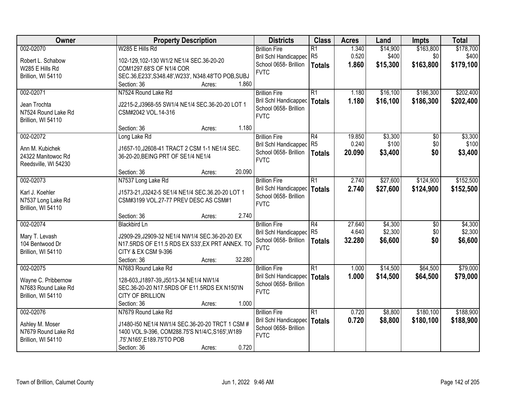| Owner                                 | <b>Property Description</b>                                                               | <b>Districts</b>             | <b>Class</b>    | <b>Acres</b> | Land     | <b>Impts</b>    | <b>Total</b> |
|---------------------------------------|-------------------------------------------------------------------------------------------|------------------------------|-----------------|--------------|----------|-----------------|--------------|
| 002-02070                             | W285 E Hills Rd                                                                           | <b>Brillion Fire</b>         | $\overline{R1}$ | 1.340        | \$14,900 | \$163,800       | \$178,700    |
| Robert L. Schabow                     | 102-129,102-130 W1/2 NE1/4 SEC.36-20-20                                                   | <b>Bril Schl Handicapped</b> | R <sub>5</sub>  | 0.520        | \$400    | \$0             | \$400        |
| W285 E Hills Rd                       | COM1297.68'S OF N1/4 COR                                                                  | School 0658- Brillion        | <b>Totals</b>   | 1.860        | \$15,300 | \$163,800       | \$179,100    |
| Brillion, WI 54110                    | SEC.36, E233', S348.48', W233', N348.48'TO POB, SUBJ                                      | <b>FVTC</b>                  |                 |              |          |                 |              |
|                                       | 1.860<br>Section: 36<br>Acres:                                                            |                              |                 |              |          |                 |              |
| 002-02071                             | N7524 Round Lake Rd                                                                       | <b>Brillion Fire</b>         | $\overline{R1}$ | 1.180        | \$16,100 | \$186,300       | \$202,400    |
| Jean Trochta                          | J2215-2, J3968-55 SW1/4 NE1/4 SEC.36-20-20 LOT 1                                          | <b>Bril Schl Handicapped</b> | <b>Totals</b>   | 1.180        | \$16,100 | \$186,300       | \$202,400    |
| N7524 Round Lake Rd                   | CSM#2042 VOL.14-316                                                                       | School 0658- Brillion        |                 |              |          |                 |              |
| Brillion, WI 54110                    |                                                                                           | <b>FVTC</b>                  |                 |              |          |                 |              |
|                                       | 1.180<br>Section: 36<br>Acres:                                                            |                              |                 |              |          |                 |              |
| 002-02072                             | Long Lake Rd                                                                              | <b>Brillion Fire</b>         | R4              | 19.850       | \$3,300  | \$0             | \$3,300      |
| Ann M. Kubichek                       | J1657-10, J2608-41 TRACT 2 CSM 1-1 NE1/4 SEC.                                             | Bril Schl Handicapped R5     |                 | 0.240        | \$100    | \$0             | \$100        |
| 24322 Manitowoc Rd                    | 36-20-20, BEING PRT OF SE1/4 NE1/4                                                        | School 0658- Brillion        | <b>Totals</b>   | 20.090       | \$3,400  | \$0             | \$3,400      |
| Reedsville, WI 54230                  |                                                                                           | <b>FVTC</b>                  |                 |              |          |                 |              |
|                                       | 20.090<br>Section: 36<br>Acres:                                                           |                              |                 |              |          |                 |              |
| 002-02073                             | N7537 Long Lake Rd                                                                        | <b>Brillion Fire</b>         | $\overline{R1}$ | 2.740        | \$27,600 | \$124,900       | \$152,500    |
|                                       |                                                                                           | Bril Schl Handicapped        | <b>Totals</b>   | 2.740        | \$27,600 | \$124,900       | \$152,500    |
| Karl J. Koehler<br>N7537 Long Lake Rd | J1573-21, J3242-5 SE1/4 NE1/4 SEC.36.20-20 LOT 1<br>CSM#3199 VOL.27-77 PREV DESC AS CSM#1 | School 0658- Brillion        |                 |              |          |                 |              |
| Brillion, WI 54110                    |                                                                                           | <b>FVTC</b>                  |                 |              |          |                 |              |
|                                       | 2.740<br>Section: 36<br>Acres:                                                            |                              |                 |              |          |                 |              |
| 002-02074                             | <b>Blackbird Ln</b>                                                                       | <b>Brillion Fire</b>         | $\overline{R4}$ | 27.640       | \$4,300  | $\overline{50}$ | \$4,300      |
|                                       |                                                                                           | <b>Bril Schl Handicapped</b> | R <sub>5</sub>  | 4.640        | \$2,300  | \$0             | \$2,300      |
| Mary T. Levash                        | J2909-29, J2909-32 NE1/4 NW1/4 SEC.36-20-20 EX                                            | School 0658- Brillion        | <b>Totals</b>   | 32.280       | \$6,600  | \$0             | \$6,600      |
| 104 Bentwood Dr                       | N17.5RDS OF E11.5 RDS EX S33', EX PRT ANNEX. TO                                           | <b>FVTC</b>                  |                 |              |          |                 |              |
| Brillion, WI 54110                    | CITY & EX CSM 9-396                                                                       |                              |                 |              |          |                 |              |
| 002-02075                             | Section: 36<br>32.280<br>Acres:<br>N7683 Round Lake Rd                                    | <b>Brillion Fire</b>         | $\overline{R1}$ | 1.000        | \$14,500 | \$64,500        | \$79,000     |
|                                       |                                                                                           | <b>Bril Schl Handicapped</b> |                 | 1.000        | \$14,500 | \$64,500        |              |
| Wayne C. Pribbernow                   | 128-603, J1897-39, J5013-34 NE1/4 NW1/4                                                   | School 0658- Brillion        | <b>Totals</b>   |              |          |                 | \$79,000     |
| N7683 Round Lake Rd                   | SEC.36-20-20 N17.5RDS OF E11.5RDS EX N150'IN                                              | <b>FVTC</b>                  |                 |              |          |                 |              |
| Brillion, WI 54110                    | <b>CITY OF BRILLION</b>                                                                   |                              |                 |              |          |                 |              |
|                                       | 1.000<br>Section: 36<br>Acres:                                                            |                              |                 |              |          |                 |              |
| 002-02076                             | N7679 Round Lake Rd                                                                       | <b>Brillion Fire</b>         | $\overline{R1}$ | 0.720        | \$8,800  | \$180,100       | \$188,900    |
| Ashley M. Moser                       | J1480-150 NE1/4 NW1/4 SEC.36-20-20 TRCT 1 CSM #                                           | <b>Bril Schl Handicapped</b> | <b>Totals</b>   | 0.720        | \$8,800  | \$180,100       | \$188,900    |
| N7679 Round Lake Rd                   | 1400 VOL.9-396, COM288.75'S N1/4/C, S165', W189                                           | School 0658- Brillion        |                 |              |          |                 |              |
| Brillion, WI 54110                    | .75', N165', E189.75'TO POB                                                               | <b>FVTC</b>                  |                 |              |          |                 |              |
|                                       | 0.720<br>Section: 36<br>Acres:                                                            |                              |                 |              |          |                 |              |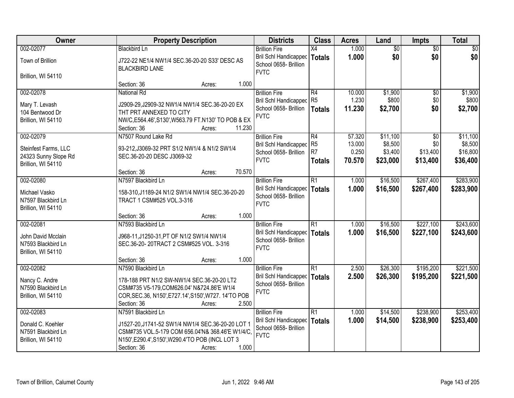| Owner                               | <b>Property Description</b>                                                  | <b>Districts</b>                                              | <b>Class</b>    | <b>Acres</b> | Land            | <b>Impts</b>    | <b>Total</b>    |
|-------------------------------------|------------------------------------------------------------------------------|---------------------------------------------------------------|-----------------|--------------|-----------------|-----------------|-----------------|
| 002-02077                           | <b>Blackbird Ln</b>                                                          | <b>Brillion Fire</b>                                          | X4              | 1.000        | $\overline{50}$ | $\overline{50}$ | $\overline{30}$ |
| Town of Brillion                    | J722-22 NE1/4 NW1/4 SEC.36-20-20 S33' DESC AS<br><b>BLACKBIRD LANE</b>       | Bril Schl Handicapped<br>School 0658- Brillion<br><b>FVTC</b> | <b>Totals</b>   | 1.000        | \$0             | \$0             | \$0             |
| Brillion, WI 54110                  |                                                                              |                                                               |                 |              |                 |                 |                 |
|                                     | 1.000<br>Section: 36<br>Acres:                                               |                                                               |                 |              |                 |                 |                 |
| 002-02078                           | <b>National Rd</b>                                                           | <b>Brillion Fire</b>                                          | R4              | 10.000       | \$1,900         | $\overline{50}$ | \$1,900         |
| Mary T. Levash                      | J2909-29, J2909-32 NW1/4 NW1/4 SEC.36-20-20 EX                               | <b>Bril Schl Handicapped</b><br>School 0658- Brillion         | R <sub>5</sub>  | 1.230        | \$800           | \$0<br>\$0      | \$800           |
| 104 Bentwood Dr                     | THT PRT ANNEXED TO CITY                                                      | <b>FVTC</b>                                                   | <b>Totals</b>   | 11.230       | \$2,700         |                 | \$2,700         |
| Brillion, WI 54110                  | NW/C,E564.46',S130',W563.79 FT.N130' TO POB & EX                             |                                                               |                 |              |                 |                 |                 |
|                                     | 11.230<br>Section: 36<br>Acres:                                              |                                                               |                 |              |                 |                 |                 |
| 002-02079                           | N7507 Round Lake Rd                                                          | <b>Brillion Fire</b>                                          | R4              | 57.320       | \$11,100        | \$0             | \$11,100        |
| Steinfest Farms, LLC                | 93-212, J3069-32 PRT S1/2 NW1/4 & N1/2 SW1/4                                 | Bril Schl Handicapped                                         | R <sub>5</sub>  | 13.000       | \$8,500         | \$0             | \$8,500         |
| 24323 Sunny Slope Rd                | SEC.36-20-20 DESC J3069-32                                                   | School 0658- Brillion                                         | R <sub>7</sub>  | 0.250        | \$3,400         | \$13,400        | \$16,800        |
| Brillion, WI 54110                  |                                                                              | <b>FVTC</b>                                                   | <b>Totals</b>   | 70.570       | \$23,000        | \$13,400        | \$36,400        |
|                                     | 70.570<br>Section: 36<br>Acres:                                              |                                                               |                 |              |                 |                 |                 |
| 002-02080                           | N7597 Blackbird Ln                                                           | <b>Brillion Fire</b>                                          | R1              | 1.000        | \$16,500        | \$267,400       | \$283,900       |
|                                     |                                                                              | Bril Schl Handicapped                                         | <b>Totals</b>   | 1.000        | \$16,500        | \$267,400       | \$283,900       |
| Michael Vasko<br>N7597 Blackbird Ln | 158-310, J1189-24 N1/2 SW1/4 NW1/4 SEC.36-20-20<br>TRACT 1 CSM#525 VOL.3-316 | School 0658- Brillion                                         |                 |              |                 |                 |                 |
| Brillion, WI 54110                  |                                                                              | <b>FVTC</b>                                                   |                 |              |                 |                 |                 |
|                                     | 1.000<br>Section: 36<br>Acres:                                               |                                                               |                 |              |                 |                 |                 |
| 002-02081                           | N7593 Blackbird Ln                                                           | <b>Brillion Fire</b>                                          | $\overline{R1}$ | 1.000        | \$16,500        | \$227,100       | \$243,600       |
|                                     |                                                                              | Bril Schl Handicapped                                         | Totals          | 1.000        | \$16,500        | \$227,100       | \$243,600       |
| John David Mcclain                  | J968-11, J1250-31, PT OF N1/2 SW1/4 NW1/4                                    | School 0658- Brillion                                         |                 |              |                 |                 |                 |
| N7593 Blackbird Ln                  | SEC.36-20-20TRACT 2 CSM#525 VOL. 3-316                                       | <b>FVTC</b>                                                   |                 |              |                 |                 |                 |
| Brillion, WI 54110                  |                                                                              |                                                               |                 |              |                 |                 |                 |
|                                     | 1.000<br>Section: 36<br>Acres:                                               |                                                               |                 |              |                 |                 |                 |
| 002-02082                           | N7590 Blackbird Ln                                                           | <b>Brillion Fire</b>                                          | $\overline{R1}$ | 2.500        | \$26,300        | \$195,200       | \$221,500       |
| Nancy C. Andre                      | 178-188 PRT N1/2 SW-NW1/4 SEC.36-20-20 LT2                                   | Bril Schl Handicapped                                         | <b>Totals</b>   | 2.500        | \$26,300        | \$195,200       | \$221,500       |
| N7590 Blackbird Ln                  | CSM#735 V5-179, COM626.04' N&724.86'E W1/4                                   | School 0658- Brillion                                         |                 |              |                 |                 |                 |
| Brillion, WI 54110                  | COR, SEC.36, N150', E727.14', S150', W727. 14'TO POB                         | <b>FVTC</b>                                                   |                 |              |                 |                 |                 |
|                                     | Section: 36<br>2.500<br>Acres:                                               |                                                               |                 |              |                 |                 |                 |
| 002-02083                           | N7591 Blackbird Ln                                                           | <b>Brillion Fire</b>                                          | $\overline{R1}$ | 1.000        | \$14,500        | \$238,900       | \$253,400       |
| Donald C. Koehler                   | J1527-20, J1741-52 SW1/4 NW1/4 SEC.36-20-20 LOT 1                            | Bril Schl Handicapped                                         | Totals          | 1.000        | \$14,500        | \$238,900       | \$253,400       |
| N7591 Blackbird Ln                  | CSM#735 VOL.5-179 COM 656.04'N& 368.46'E W1/4/C,                             | School 0658- Brillion                                         |                 |              |                 |                 |                 |
| Brillion, WI 54110                  | N150', E290.4', S150', W290.4'TO POB (INCL LOT 3                             | <b>FVTC</b>                                                   |                 |              |                 |                 |                 |
|                                     | 1.000<br>Section: 36<br>Acres:                                               |                                                               |                 |              |                 |                 |                 |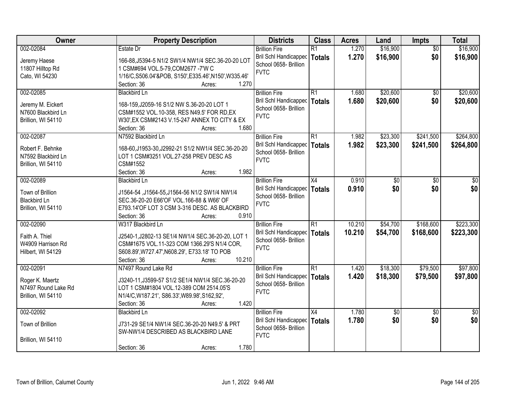| Owner                                    | <b>Property Description</b>                            | <b>Districts</b>             | <b>Class</b>    | <b>Acres</b> | Land        | Impts           | <b>Total</b>    |
|------------------------------------------|--------------------------------------------------------|------------------------------|-----------------|--------------|-------------|-----------------|-----------------|
| 002-02084                                | Estate Dr                                              | <b>Brillion Fire</b>         | $\overline{R1}$ | 1.270        | \$16,900    | $\overline{50}$ | \$16,900        |
| Jeremy Haese                             | 166-88, J5394-5 N1/2 SW1/4 NW1/4 SEC.36-20-20 LOT      | <b>Bril Schl Handicapped</b> | <b>Totals</b>   | 1.270        | \$16,900    | \$0             | \$16,900        |
| 11807 Hilltop Rd                         | 1 CSM#694 VOL.5-79, COM2677 - 7'W C                    | School 0658- Brillion        |                 |              |             |                 |                 |
| Cato, WI 54230                           | 1/16/C, S506.04'&POB, S150', E335.46', N150', W335.46' | <b>FVTC</b>                  |                 |              |             |                 |                 |
|                                          | 1.270<br>Section: 36<br>Acres:                         |                              |                 |              |             |                 |                 |
| 002-02085                                | <b>Blackbird Ln</b>                                    | <b>Brillion Fire</b>         | $\overline{R1}$ | 1.680        | \$20,600    | \$0             | \$20,600        |
| Jeremy M. Eickert                        | 168-159, J2059-16 S1/2 NW S.36-20-20 LOT 1             | <b>Bril Schl Handicapped</b> | <b>Totals</b>   | 1.680        | \$20,600    | \$0             | \$20,600        |
| N7600 Blackbird Ln                       | CSM#1552 VOL.10-358, RES N49.5' FOR RD, EX             | School 0658- Brillion        |                 |              |             |                 |                 |
| Brillion, WI 54110                       | W30', EX CSM#2143 V.15-247 ANNEX TO CITY & EX          | <b>FVTC</b>                  |                 |              |             |                 |                 |
|                                          | 1.680<br>Section: 36<br>Acres:                         |                              |                 |              |             |                 |                 |
| 002-02087                                | N7592 Blackbird Ln                                     | <b>Brillion Fire</b>         | R1              | 1.982        | \$23,300    | \$241,500       | \$264,800       |
|                                          |                                                        | Bril Schl Handicapped        | <b>Totals</b>   | 1.982        | \$23,300    | \$241,500       | \$264,800       |
| Robert F. Behnke                         | 168-60, J1953-30, J2992-21 S1/2 NW1/4 SEC.36-20-20     | School 0658- Brillion        |                 |              |             |                 |                 |
| N7592 Blackbird Ln<br>Brillion, WI 54110 | LOT 1 CSM#3251 VOL.27-258 PREV DESC AS<br>CSM#1552     | <b>FVTC</b>                  |                 |              |             |                 |                 |
|                                          | 1.982<br>Section: 36<br>Acres:                         |                              |                 |              |             |                 |                 |
| 002-02089                                | <b>Blackbird Ln</b>                                    | <b>Brillion Fire</b>         | X4              | 0.910        | \$0         | \$0             | \$0             |
|                                          |                                                        | Bril Schl Handicapped        | <b>Totals</b>   | 0.910        | \$0         | \$0             | \$0             |
| Town of Brillion                         | J1564-54, J1564-55, J1564-56 N1/2 SW1/4 NW1/4          | School 0658- Brillion        |                 |              |             |                 |                 |
| <b>Blackbird Ln</b>                      | SEC.36-20-20 E66'OF VOL.166-88 & W66' OF               | <b>FVTC</b>                  |                 |              |             |                 |                 |
| Brillion, WI 54110                       | E793.14'OF LOT 3 CSM 3-316 DESC. AS BLACKBIRD          |                              |                 |              |             |                 |                 |
|                                          | Section: 36<br>0.910<br>Acres:                         |                              |                 |              |             |                 |                 |
| 002-02090                                | W317 Blackbird Ln                                      | <b>Brillion Fire</b>         | $\overline{R1}$ | 10.210       | \$54,700    | \$168,600       | \$223,300       |
| Faith A. Thiel                           | J2540-1, J2802-13 SE1/4 NW1/4 SEC.36-20-20, LOT 1      | <b>Bril Schl Handicapped</b> | <b>Totals</b>   | 10.210       | \$54,700    | \$168,600       | \$223,300       |
| W4909 Harrison Rd                        | CSM#1675 VOL.11-323 COM 1366.29'S N1/4 COR.            | School 0658- Brillion        |                 |              |             |                 |                 |
| Hilbert, WI 54129                        | S608.89', W727.47', N608.29', E733.18' TO POB          | <b>FVTC</b>                  |                 |              |             |                 |                 |
|                                          | 10.210<br>Section: 36<br>Acres:                        |                              |                 |              |             |                 |                 |
| 002-02091                                | N7497 Round Lake Rd                                    | <b>Brillion Fire</b>         | $\overline{R1}$ | 1.420        | \$18,300    | \$79,500        | \$97,800        |
| Roger K. Maertz                          | J3240-11, J3599-57 S1/2 SE1/4 NW1/4 SEC.36-20-20       | <b>Bril Schl Handicapped</b> | <b>Totals</b>   | 1.420        | \$18,300    | \$79,500        | \$97,800        |
| N7497 Round Lake Rd                      | LOT 1 CSM#1804 VOL.12-389 COM 2514.05'S                | School 0658- Brillion        |                 |              |             |                 |                 |
| Brillion, WI 54110                       | N1/4/C, W187.21', S86.33', W89.98', S162, 92',         | <b>FVTC</b>                  |                 |              |             |                 |                 |
|                                          | 1.420<br>Section: 36<br>Acres:                         |                              |                 |              |             |                 |                 |
| 002-02092                                | <b>Blackbird Ln</b>                                    | <b>Brillion Fire</b>         | $\overline{X4}$ | 1.780        | $\sqrt{50}$ | $\overline{50}$ | $\overline{50}$ |
| Town of Brillion                         | J731-29 SE1/4 NW1/4 SEC.36-20-20 N49.5' & PRT          | Bril Schl Handicapped        | <b>Totals</b>   | 1.780        | \$0         | \$0             | \$0             |
|                                          | SW-NW1/4 DESCRIBED AS BLACKBIRD LANE                   | School 0658- Brillion        |                 |              |             |                 |                 |
| Brillion, WI 54110                       |                                                        | <b>FVTC</b>                  |                 |              |             |                 |                 |
|                                          | 1.780<br>Section: 36<br>Acres:                         |                              |                 |              |             |                 |                 |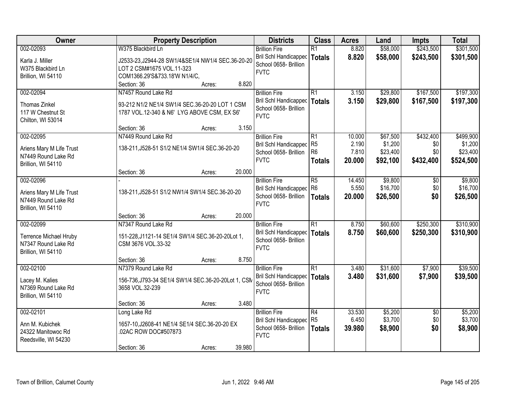| Owner                    | <b>Property Description</b>                         | <b>Districts</b>             | <b>Class</b>    | <b>Acres</b> | Land     | <b>Impts</b>    | <b>Total</b> |
|--------------------------|-----------------------------------------------------|------------------------------|-----------------|--------------|----------|-----------------|--------------|
| 002-02093                | W375 Blackbird Ln                                   | <b>Brillion Fire</b>         | $\overline{R1}$ | 8.820        | \$58,000 | \$243,500       | \$301,500    |
| Karla J. Miller          | J2533-23, J2944-28 SW1/4&SE1/4 NW1/4 SEC.36-20-20   | Bril Schl Handicapped        | <b>Totals</b>   | 8.820        | \$58,000 | \$243,500       | \$301,500    |
| W375 Blackbird Ln        | LOT 2 CSM#1675 VOL.11-323                           | School 0658- Brillion        |                 |              |          |                 |              |
| Brillion, WI 54110       | COM1366.29'S&733.18'W N1/4/C,                       | <b>FVTC</b>                  |                 |              |          |                 |              |
|                          | 8.820<br>Section: 36<br>Acres:                      |                              |                 |              |          |                 |              |
| 002-02094                | N7457 Round Lake Rd                                 | <b>Brillion Fire</b>         | $\overline{R1}$ | 3.150        | \$29,800 | \$167,500       | \$197,300    |
| <b>Thomas Zinkel</b>     | 93-212 N1/2 NE1/4 SW1/4 SEC.36-20-20 LOT 1 CSM      | Bril Schl Handicapped        | <b>Totals</b>   | 3.150        | \$29,800 | \$167,500       | \$197,300    |
| 117 W Chestnut St        | 1787 VOL.12-340 & N6' LYG ABOVE CSM, EX S6'         | School 0658- Brillion        |                 |              |          |                 |              |
| Chilton, WI 53014        |                                                     | <b>FVTC</b>                  |                 |              |          |                 |              |
|                          | 3.150<br>Section: 36<br>Acres:                      |                              |                 |              |          |                 |              |
| 002-02095                | N7449 Round Lake Rd                                 | <b>Brillion Fire</b>         | $\overline{R1}$ | 10.000       | \$67,500 | \$432,400       | \$499,900    |
| Ariens Mary M Life Trust | 138-211, J528-51 S1/2 NE1/4 SW1/4 SEC.36-20-20      | <b>Bril Schl Handicapped</b> | R <sub>5</sub>  | 2.190        | \$1,200  | \$0             | \$1,200      |
| N7449 Round Lake Rd      |                                                     | School 0658- Brillion        | R <sub>6</sub>  | 7.810        | \$23,400 | \$0             | \$23,400     |
| Brillion, WI 54110       |                                                     | <b>FVTC</b>                  | <b>Totals</b>   | 20.000       | \$92,100 | \$432,400       | \$524,500    |
|                          | 20.000<br>Section: 36<br>Acres:                     |                              |                 |              |          |                 |              |
| 002-02096                |                                                     | <b>Brillion Fire</b>         | R5              | 14.450       | \$9,800  | $\sqrt[6]{}$    | \$9,800      |
| Ariens Mary M Life Trust | 138-211, J528-51 S1/2 NW1/4 SW1/4 SEC.36-20-20      | <b>Bril Schl Handicapped</b> | R <sub>6</sub>  | 5.550        | \$16,700 | \$0             | \$16,700     |
| N7449 Round Lake Rd      |                                                     | School 0658- Brillion        | <b>Totals</b>   | 20.000       | \$26,500 | \$0             | \$26,500     |
| Brillion, WI 54110       |                                                     | <b>FVTC</b>                  |                 |              |          |                 |              |
|                          | 20.000<br>Section: 36<br>Acres:                     |                              |                 |              |          |                 |              |
| 002-02099                | N7347 Round Lake Rd                                 | <b>Brillion Fire</b>         | $\overline{R1}$ | 8.750        | \$60,600 | \$250,300       | \$310,900    |
| Terrence Michael Hruby   | 151-228, J1121-14 SE1/4 SW1/4 SEC.36-20-20Lot 1,    | Bril Schl Handicapped        | <b>Totals</b>   | 8.750        | \$60,600 | \$250,300       | \$310,900    |
| N7347 Round Lake Rd      | CSM 3676 VOL.33-32                                  | School 0658- Brillion        |                 |              |          |                 |              |
| Brillion, WI 54110       |                                                     | <b>FVTC</b>                  |                 |              |          |                 |              |
|                          | 8.750<br>Section: 36<br>Acres:                      |                              |                 |              |          |                 |              |
| 002-02100                | N7379 Round Lake Rd                                 | <b>Brillion Fire</b>         | $\overline{R1}$ | 3.480        | \$31,600 | \$7,900         | \$39,500     |
| Lacey M. Kalies          | 156-736, J793-34 SE1/4 SW1/4 SEC.36-20-20Lot 1, CSM | Bril Schl Handicapped        | <b>Totals</b>   | 3.480        | \$31,600 | \$7,900         | \$39,500     |
| N7369 Round Lake Rd      | 3658 VOL.32-239                                     | School 0658- Brillion        |                 |              |          |                 |              |
| Brillion, WI 54110       |                                                     | <b>FVTC</b>                  |                 |              |          |                 |              |
|                          | 3.480<br>Section: 36<br>Acres:                      |                              |                 |              |          |                 |              |
| 002-02101                | Long Lake Rd                                        | <b>Brillion Fire</b>         | $\overline{R4}$ | 33.530       | \$5,200  | $\overline{50}$ | \$5,200      |
| Ann M. Kubichek          | 1657-10, J2608-41 NE1/4 SE1/4 SEC.36-20-20 EX       | <b>Bril Schl Handicapped</b> | R <sub>5</sub>  | 6.450        | \$3,700  | \$0             | \$3,700      |
| 24322 Manitowoc Rd       | .02AC ROW DOC#507873                                | School 0658- Brillion        | <b>Totals</b>   | 39.980       | \$8,900  | \$0             | \$8,900      |
| Reedsville, WI 54230     |                                                     | <b>FVTC</b>                  |                 |              |          |                 |              |
|                          | 39.980<br>Section: 36<br>Acres:                     |                              |                 |              |          |                 |              |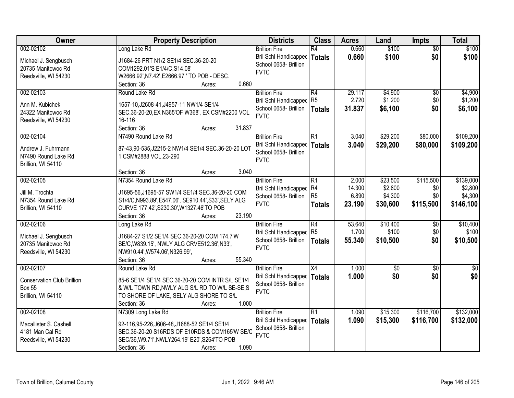| Owner                             | <b>Property Description</b>                       | <b>Districts</b>             | <b>Class</b>    | <b>Acres</b> | Land            | <b>Impts</b>    | <b>Total</b>    |
|-----------------------------------|---------------------------------------------------|------------------------------|-----------------|--------------|-----------------|-----------------|-----------------|
| 002-02102                         | Long Lake Rd                                      | <b>Brillion Fire</b>         | $\overline{R4}$ | 0.660        | \$100           | $\overline{50}$ | \$100           |
| Michael J. Sengbusch              | J1684-26 PRT N1/2 SE1/4 SEC.36-20-20              | Bril Schl Handicapped        | <b>Totals</b>   | 0.660        | \$100           | \$0             | \$100           |
| 20735 Manitowoc Rd                | COM1292.01'S E1/4/C, S14.08'                      | School 0658- Brillion        |                 |              |                 |                 |                 |
| Reedsville, WI 54230              | W2666.92', N7.42', E2666.97 ' TO POB - DESC.      | <b>FVTC</b>                  |                 |              |                 |                 |                 |
|                                   | 0.660<br>Section: 36<br>Acres:                    |                              |                 |              |                 |                 |                 |
| 002-02103                         | Round Lake Rd                                     | <b>Brillion Fire</b>         | R4              | 29.117       | \$4,900         | $\overline{50}$ | \$4,900         |
|                                   |                                                   | Bril Schl Handicapped        | R <sub>5</sub>  | 2.720        | \$1,200         | \$0             | \$1,200         |
| Ann M. Kubichek                   | 1657-10, J2608-41, J4957-11 NW1/4 SE1/4           | School 0658- Brillion        | <b>Totals</b>   | 31.837       | \$6,100         | \$0             | \$6,100         |
| 24322 Manitowoc Rd                | SEC.36-20-20, EX N365' OF W368', EX CSM#2200 VOL  | <b>FVTC</b>                  |                 |              |                 |                 |                 |
| Reedsville, WI 54230              | 16-116                                            |                              |                 |              |                 |                 |                 |
|                                   | Section: 36<br>31.837<br>Acres:                   |                              |                 |              |                 |                 |                 |
| 002-02104                         | N7490 Round Lake Rd                               | <b>Brillion Fire</b>         | $\overline{R1}$ | 3.040        | \$29,200        | \$80,000        | \$109,200       |
| Andrew J. Fuhrmann                | 87-43,90-535,J2215-2 NW1/4 SE1/4 SEC.36-20-20 LOT | Bril Schl Handicapped        | <b>Totals</b>   | 3.040        | \$29,200        | \$80,000        | \$109,200       |
| N7490 Round Lake Rd               | 1 CSM#2888 VOL.23-290                             | School 0658- Brillion        |                 |              |                 |                 |                 |
| Brillion, WI 54110                |                                                   | <b>FVTC</b>                  |                 |              |                 |                 |                 |
|                                   | 3.040<br>Section: 36<br>Acres:                    |                              |                 |              |                 |                 |                 |
| 002-02105                         | N7354 Round Lake Rd                               | <b>Brillion Fire</b>         | $\overline{R1}$ | 2.000        | \$23,500        | \$115,500       | \$139,000       |
|                                   |                                                   | Bril Schl Handicapped        | R4              | 14.300       | \$2,800         | \$0             | \$2,800         |
| Jill M. Trochta                   | J1695-56, J1695-57 SW1/4 SE1/4 SEC.36-20-20 COM   | School 0658- Brillion        | R5              | 6.890        | \$4,300         | \$0             | \$4,300         |
| N7354 Round Lake Rd               | S1/4/C,N993.89',E547.06', SE910.44',S33',SELY ALG | <b>FVTC</b>                  | <b>Totals</b>   | 23.190       | \$30,600        | \$115,500       | \$146,100       |
| Brillion, WI 54110                | CURVE 177.42', S230.30', W1327.46'TO POB          |                              |                 |              |                 |                 |                 |
|                                   | 23.190<br>Section: 36<br>Acres:                   |                              |                 |              |                 |                 |                 |
| 002-02106                         | Long Lake Rd                                      | <b>Brillion Fire</b>         | R4              | 53.640       | \$10,400        | $\overline{30}$ | \$10,400        |
| Michael J. Sengbusch              | J1684-27 S1/2 SE1/4 SEC.36-20-20 COM 174.7'W      | <b>Bril Schl Handicapped</b> | R <sub>5</sub>  | 1.700        | \$100           | \$0             | \$100           |
| 20735 Manitowoc Rd                | SE/C, W839.15', NWLY ALG CRVE512.36', N33',       | School 0658- Brillion        | Totals          | 55.340       | \$10,500        | \$0             | \$10,500        |
| Reedsville, WI 54230              | NW910.44', W574.06', N326.99',                    | <b>FVTC</b>                  |                 |              |                 |                 |                 |
|                                   | 55.340<br>Section: 36<br>Acres:                   |                              |                 |              |                 |                 |                 |
| 002-02107                         | Round Lake Rd                                     | <b>Brillion Fire</b>         | X4              | 1.000        | $\overline{60}$ | $\overline{50}$ | $\overline{30}$ |
| <b>Conservation Club Brillion</b> | 85-6 SE1/4 SE1/4 SEC.36-20-20 COM INTR S/L SE1/4  | <b>Bril Schl Handicapped</b> | Totals          | 1.000        | \$0             | \$0             | \$0             |
| <b>Box 55</b>                     |                                                   | School 0658- Brillion        |                 |              |                 |                 |                 |
|                                   | & W/L TOWN RD, NWLY ALG S/L RD TO W/L SE-SE, S    | <b>FVTC</b>                  |                 |              |                 |                 |                 |
| Brillion, WI 54110                | TO SHORE OF LAKE, SELY ALG SHORE TO S/L           |                              |                 |              |                 |                 |                 |
|                                   | 1.000<br>Section: 36<br>Acres:                    |                              |                 |              |                 |                 |                 |
| 002-02108                         | N7309 Long Lake Rd                                | <b>Brillion Fire</b>         | R1              | 1.090        | \$15,300        | \$116,700       | \$132,000       |
| Macallister S. Cashell            | 92-116,95-226,J606-48,J1688-52 SE1/4 SE1/4        | Bril Schl Handicapped        | <b>Totals</b>   | 1.090        | \$15,300        | \$116,700       | \$132,000       |
| 4181 Man Cal Rd                   | SEC.36-20-20 S16RDS OF E10RDS & COM165'W SE/C     | School 0658- Brillion        |                 |              |                 |                 |                 |
| Reedsville, WI 54230              | SEC/36, W9.71', NWLY264.19' E20', S264'TO POB     | <b>FVTC</b>                  |                 |              |                 |                 |                 |
|                                   | 1.090<br>Section: 36<br>Acres:                    |                              |                 |              |                 |                 |                 |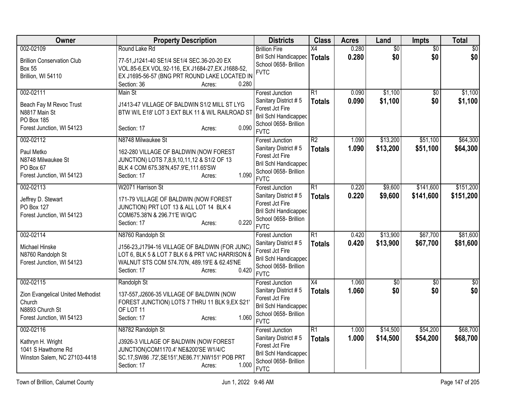| <b>Owner</b>                                                                                             | <b>Property Description</b>                                                                                                                                                                              | <b>Districts</b>                                                                                                                          | <b>Class</b>                     | <b>Acres</b>   | Land                   | Impts                  | <b>Total</b>           |
|----------------------------------------------------------------------------------------------------------|----------------------------------------------------------------------------------------------------------------------------------------------------------------------------------------------------------|-------------------------------------------------------------------------------------------------------------------------------------------|----------------------------------|----------------|------------------------|------------------------|------------------------|
| 002-02109<br><b>Brillion Conservation Club</b><br><b>Box 55</b><br>Brillion, WI 54110                    | Round Lake Rd<br>77-51, J1241-40 SE1/4 SE1/4 SEC.36-20-20 EX<br>VOL.85-6, EX VOL.92-116, EX J1684-27, EX J1688-52,<br>EX J1695-56-57 (BNG PRT ROUND LAKE LOCATED IN<br>0.280<br>Section: 36              | <b>Brillion Fire</b><br><b>Bril Schl Handicapped</b><br>School 0658- Brillion<br><b>FVTC</b>                                              | X4<br><b>Totals</b>              | 0.280<br>0.280 | $\overline{50}$<br>\$0 | $\overline{50}$<br>\$0 | $\overline{50}$<br>\$0 |
| 002-02111<br>Beach Fay M Revoc Trust<br>N8817 Main St<br>PO Box 185<br>Forest Junction, WI 54123         | Acres:<br>Main St<br>J1413-47 VILLAGE OF BALDWIN S1/2 MILL ST LYG<br>BTW W/L E18' LOT 3 EXT BLK 11 & W/L RAILROAD ST<br>0.090<br>Section: 17<br>Acres:                                                   | <b>Forest Junction</b><br>Sanitary District #5<br>Forest Jct Fire<br><b>Bril Schl Handicapped</b><br>School 0658- Brillion<br><b>FVTC</b> | $\overline{R1}$<br><b>Totals</b> | 0.090<br>0.090 | \$1,100<br>\$1,100     | \$0<br>\$0             | \$1,100<br>\$1,100     |
| 002-02112<br>Paul Metko<br>N8748 Milwaukee St<br>PO Box 67<br>Forest Junction, WI 54123                  | N8748 Milwaukee St<br>162-280 VILLAGE OF BALDWIN (NOW FOREST<br>JUNCTION) LOTS 7,8,9,10,11,12 & S1/2 OF 13<br>BLK 4 COM 675.38'N, 457.9'E, 111.65'SW<br>1.090<br>Section: 17<br>Acres:                   | <b>Forest Junction</b><br>Sanitary District #5<br>Forest Jct Fire<br><b>Bril Schl Handicapped</b><br>School 0658- Brillion<br><b>FVTC</b> | $\overline{R2}$<br><b>Totals</b> | 1.090<br>1.090 | \$13,200<br>\$13,200   | \$51,100<br>\$51,100   | \$64,300<br>\$64,300   |
| 002-02113<br>Jeffrey D. Stewart<br>PO Box 127<br>Forest Junction, WI 54123                               | W2071 Harrison St<br>171-79 VILLAGE OF BALDWIN (NOW FOREST<br>JUNCTION) PRT LOT 13 & ALL LOT 14 BLK 4<br>COM675.38'N & 296.71'E W/Q/C<br>0.220<br>Section: 17<br>Acres:                                  | <b>Forest Junction</b><br>Sanitary District #5<br>Forest Jct Fire<br><b>Bril Schl Handicapped</b><br>School 0658- Brillion<br><b>FVTC</b> | $\overline{R1}$<br><b>Totals</b> | 0.220<br>0.220 | \$9,600<br>\$9,600     | \$141,600<br>\$141,600 | \$151,200<br>\$151,200 |
| 002-02114<br>Michael Hinske<br>N8760 Randolph St<br>Forest Junction, WI 54123                            | N8760 Randolph St<br>J156-23,J1794-16 VILLAGE OF BALDWIN (FOR JUNC)<br>LOT 6, BLK 5 & LOT 7 BLK 6 & PRT VAC HARRISON &<br>WALNUT STS COM 574.70'N, 489.19'E & 62.45'NE<br>0.420<br>Section: 17<br>Acres: | <b>Forest Junction</b><br>Sanitary District #5<br>Forest Jct Fire<br><b>Bril Schl Handicapped</b><br>School 0658- Brillion<br><b>FVTC</b> | $\overline{R1}$<br><b>Totals</b> | 0.420<br>0.420 | \$13,900<br>\$13,900   | \$67,700<br>\$67,700   | \$81,600<br>\$81,600   |
| 002-02115<br>Zion Evangelical United Methodist<br>Church<br>N8893 Church St<br>Forest Junction, WI 54123 | Randolph St<br>137-557, J2606-35 VILLAGE OF BALDWIN (NOW<br>FOREST JUNCTION) LOTS 7 THRU 11 BLK 9,EX S21'<br>OF LOT 11<br>1.060<br>Section: 17<br>Acres:                                                 | Forest Junction<br>Sanitary District #5<br>Forest Jct Fire<br><b>Bril Schl Handicapped</b><br>School 0658- Brillion<br><b>FVTC</b>        | $\overline{X4}$<br><b>Totals</b> | 1.060<br>1.060 | $\overline{50}$<br>\$0 | $\overline{50}$<br>\$0 | $\overline{50}$<br>\$0 |
| 002-02116<br>Kathryn H. Wright<br>1041 S Hawthorne Rd<br>Winston Salem, NC 27103-4418                    | N8782 Randolph St<br>J3926-3 VILLAGE OF BALDWIN (NOW FOREST<br>JUNCTION)COM1170.4' NE&200'SE W1/4/C<br>SC.17, SW86 .72', SE151', NE86.71', NW151' POB PRT<br>1.000<br>Section: 17<br>Acres:              | Forest Junction<br>Sanitary District #5<br>Forest Jct Fire<br><b>Bril Schl Handicapped</b><br>School 0658- Brillion<br><b>FVTC</b>        | $\overline{R1}$<br><b>Totals</b> | 1.000<br>1.000 | \$14,500<br>\$14,500   | \$54,200<br>\$54,200   | \$68,700<br>\$68,700   |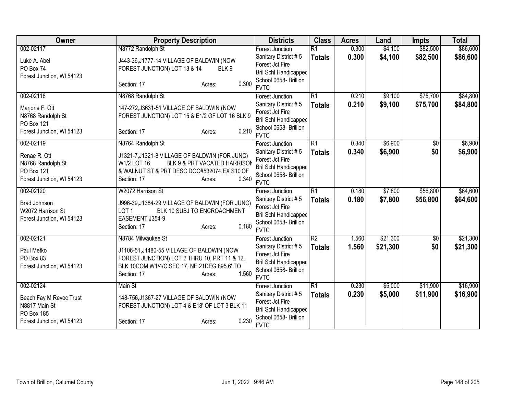| Owner                     | <b>Property Description</b>                     | <b>Districts</b>                     | <b>Class</b>    | <b>Acres</b> | Land     | <b>Impts</b>    | <b>Total</b> |
|---------------------------|-------------------------------------------------|--------------------------------------|-----------------|--------------|----------|-----------------|--------------|
| 002-02117                 | N8772 Randolph St                               | <b>Forest Junction</b>               | $\overline{R1}$ | 0.300        | \$4,100  | \$82,500        | \$86,600     |
| Luke A. Abel              | J443-36, J1777-14 VILLAGE OF BALDWIN (NOW       | Sanitary District #5                 | <b>Totals</b>   | 0.300        | \$4,100  | \$82,500        | \$86,600     |
| PO Box 74                 | FOREST JUNCTION) LOT 13 & 14<br>BLK9            | Forest Jct Fire                      |                 |              |          |                 |              |
| Forest Junction, WI 54123 |                                                 | <b>Bril Schl Handicapped</b>         |                 |              |          |                 |              |
|                           | 0.300<br>Section: 17<br>Acres:                  | School 0658- Brillion<br><b>FVTC</b> |                 |              |          |                 |              |
| 002-02118                 | N8768 Randolph St                               | <b>Forest Junction</b>               | $\overline{R1}$ | 0.210        | \$9,100  | \$75,700        | \$84,800     |
| Marjorie F. Ott           | 147-272, J3631-51 VILLAGE OF BALDWIN (NOW       | Sanitary District #5                 | <b>Totals</b>   | 0.210        | \$9,100  | \$75,700        | \$84,800     |
| N8768 Randolph St         | FOREST JUNCTION) LOT 15 & E1/2 OF LOT 16 BLK 9  | Forest Jct Fire                      |                 |              |          |                 |              |
| <b>PO Box 121</b>         |                                                 | Bril Schl Handicapped                |                 |              |          |                 |              |
| Forest Junction, WI 54123 | 0.210<br>Section: 17<br>Acres:                  | School 0658- Brillion                |                 |              |          |                 |              |
|                           |                                                 | <b>FVTC</b>                          |                 |              |          |                 |              |
| 002-02119                 | N8764 Randolph St                               | <b>Forest Junction</b>               | $\overline{R1}$ | 0.340        | \$6,900  | \$0             | \$6,900      |
| Renae R. Ott              | J1321-7, J1321-8 VILLAGE OF BALDWIN (FOR JUNC)  | Sanitary District #5                 | <b>Totals</b>   | 0.340        | \$6,900  | \$0             | \$6,900      |
| N8768 Randolph St         | BLK 9 & PRT VACATED HARRISOI<br>W1/2 LOT 16     | Forest Jct Fire                      |                 |              |          |                 |              |
| PO Box 121                | & WALNUT ST & PRT DESC DOC#532074,EX S10'OF     | <b>Bril Schl Handicapped</b>         |                 |              |          |                 |              |
| Forest Junction, WI 54123 | 0.340<br>Section: 17<br>Acres:                  | School 0658- Brillion                |                 |              |          |                 |              |
|                           |                                                 | <b>FVTC</b>                          |                 |              |          |                 |              |
| 002-02120                 | W2072 Harrison St                               | <b>Forest Junction</b>               | $\overline{R1}$ | 0.180        | \$7,800  | \$56,800        | \$64,600     |
| Brad Johnson              | J996-39,J1384-29 VILLAGE OF BALDWIN (FOR JUNC)  | Sanitary District #5                 | <b>Totals</b>   | 0.180        | \$7,800  | \$56,800        | \$64,600     |
| W2072 Harrison St         | BLK 10 SUBJ TO ENCROACHMENT<br>LOT <sub>1</sub> | Forest Jct Fire                      |                 |              |          |                 |              |
| Forest Junction, WI 54123 | EASEMENT J354-9                                 | <b>Bril Schl Handicapped</b>         |                 |              |          |                 |              |
|                           | 0.180<br>Section: 17<br>Acres:                  | School 0658- Brillion                |                 |              |          |                 |              |
|                           |                                                 | <b>FVTC</b>                          |                 |              |          |                 |              |
| 002-02121                 | N8784 Milwaukee St                              | <b>Forest Junction</b>               | $\overline{R2}$ | 1.560        | \$21,300 | $\overline{50}$ | \$21,300     |
| Paul Metko                | J1106-51, J1480-55 VILLAGE OF BALDWIN (NOW      | Sanitary District #5                 | <b>Totals</b>   | 1.560        | \$21,300 | \$0             | \$21,300     |
| PO Box 83                 | FOREST JUNCTION) LOT 2 THRU 10, PRT 11 & 12,    | Forest Jct Fire                      |                 |              |          |                 |              |
| Forest Junction, WI 54123 | BLK 10COM W1/4/C SEC 17, NE 21DEG 895.6' TO     | <b>Bril Schl Handicapped</b>         |                 |              |          |                 |              |
|                           | 1.560<br>Section: 17<br>Acres:                  | School 0658- Brillion<br><b>FVTC</b> |                 |              |          |                 |              |
| 002-02124                 | Main St                                         | Forest Junction                      | $\overline{R1}$ | 0.230        | \$5,000  | \$11,900        | \$16,900     |
|                           |                                                 | Sanitary District #5                 |                 |              |          |                 |              |
| Beach Fay M Revoc Trust   | 148-756, J1367-27 VILLAGE OF BALDWIN (NOW       | Forest Jct Fire                      | <b>Totals</b>   | 0.230        | \$5,000  | \$11,900        | \$16,900     |
| N8817 Main St             | FOREST JUNCTION) LOT 4 & E18' OF LOT 3 BLK 11   | <b>Bril Schl Handicapped</b>         |                 |              |          |                 |              |
| <b>PO Box 185</b>         |                                                 | School 0658- Brillion                |                 |              |          |                 |              |
| Forest Junction, WI 54123 | 0.230<br>Section: 17<br>Acres:                  | <b>FVTC</b>                          |                 |              |          |                 |              |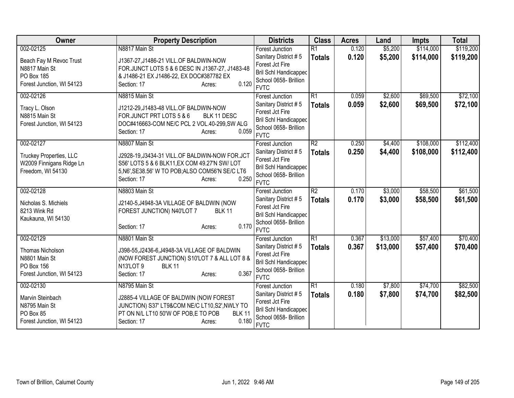| Owner                          | <b>Property Description</b>                          | <b>Districts</b>                                      | <b>Class</b>    | <b>Acres</b> | Land     | <b>Impts</b> | <b>Total</b> |
|--------------------------------|------------------------------------------------------|-------------------------------------------------------|-----------------|--------------|----------|--------------|--------------|
| 002-02125                      | N8817 Main St                                        | <b>Forest Junction</b>                                | $\overline{R1}$ | 0.120        | \$5,200  | \$114,000    | \$119,200    |
| Beach Fay M Revoc Trust        | J1367-27, J1486-21 VILL.OF BALDWIN-NOW               | Sanitary District #5                                  | <b>Totals</b>   | 0.120        | \$5,200  | \$114,000    | \$119,200    |
| N8817 Main St                  | FOR.JUNCT LOTS 5 & 6 DESC IN J1367-27, J1483-48      | Forest Jct Fire                                       |                 |              |          |              |              |
| PO Box 185                     | & J1486-21 EX J1486-22, EX DOC#387782 EX             | <b>Bril Schl Handicapped</b><br>School 0658- Brillion |                 |              |          |              |              |
| Forest Junction, WI 54123      | 0.120<br>Section: 17<br>Acres:                       | <b>FVTC</b>                                           |                 |              |          |              |              |
| 002-02126                      | N8815 Main St                                        | <b>Forest Junction</b>                                | $\overline{R1}$ | 0.059        | \$2,600  | \$69,500     | \$72,100     |
| Tracy L. Olson                 | J1212-29, J1483-48 VILL.OF BALDWIN-NOW               | Sanitary District #5                                  | <b>Totals</b>   | 0.059        | \$2,600  | \$69,500     | \$72,100     |
| N8815 Main St                  | FOR.JUNCT PRT LOTS 5 & 6<br>BLK 11 DESC              | Forest Jct Fire                                       |                 |              |          |              |              |
| Forest Junction, WI 54123      | DOC#416663-COM NE/C PCL 2 VOL.40-299, SW ALG         | <b>Bril Schl Handicapped</b>                          |                 |              |          |              |              |
|                                | 0.059<br>Section: 17<br>Acres:                       | School 0658- Brillion                                 |                 |              |          |              |              |
|                                |                                                      | <b>FVTC</b>                                           |                 |              |          |              |              |
| 002-02127                      | N8807 Main St                                        | <b>Forest Junction</b>                                | $\overline{R2}$ | 0.250        | \$4,400  | \$108,000    | \$112,400    |
| <b>Truckey Properties, LLC</b> | J2928-19, J3434-31 VILL.OF BALDWIN-NOW FOR.JCT       | Sanitary District #5<br>Forest Jct Fire               | <b>Totals</b>   | 0.250        | \$4,400  | \$108,000    | \$112,400    |
| W2009 Finnigans Ridge Ln       | S56' LOTS 5 & 6 BLK11, EX COM 49.27'N SW/ LOT        | <b>Bril Schl Handicapped</b>                          |                 |              |          |              |              |
| Freedom, WI 54130              | 5, N6', SE38.56' W TO POB; ALSO COM56'N SE/C LT6     | School 0658- Brillion                                 |                 |              |          |              |              |
|                                | 0.250<br>Section: 17<br>Acres:                       | <b>FVTC</b>                                           |                 |              |          |              |              |
| 002-02128                      | N8803 Main St                                        | Forest Junction                                       | R2              | 0.170        | \$3,000  | \$58,500     | \$61,500     |
| Nicholas S. Michiels           | J2140-5, J4948-3A VILLAGE OF BALDWIN (NOW            | Sanitary District #5                                  | <b>Totals</b>   | 0.170        | \$3,000  | \$58,500     | \$61,500     |
| 8213 Wink Rd                   | FOREST JUNCTION) N40'LOT 7<br><b>BLK 11</b>          | Forest Jct Fire                                       |                 |              |          |              |              |
| Kaukauna, WI 54130             |                                                      | <b>Bril Schl Handicapped</b>                          |                 |              |          |              |              |
|                                | 0.170<br>Section: 17<br>Acres:                       | School 0658- Brillion                                 |                 |              |          |              |              |
|                                |                                                      | <b>FVTC</b>                                           |                 |              |          |              |              |
| 002-02129                      | N8801 Main St                                        | <b>Forest Junction</b>                                | $\overline{R1}$ | 0.367        | \$13,000 | \$57,400     | \$70,400     |
| Thomas Nicholson               | J398-55, J2436-6, J4948-3A VILLAGE OF BALDWIN        | Sanitary District #5                                  | <b>Totals</b>   | 0.367        | \$13,000 | \$57,400     | \$70,400     |
| N8801 Main St                  | (NOW FOREST JUNCTION) S10'LOT 7 & ALL LOT 8 &        | Forest Jct Fire                                       |                 |              |          |              |              |
| PO Box 156                     | N13'LOT 9<br><b>BLK 11</b>                           | Bril Schl Handicapped<br>School 0658- Brillion        |                 |              |          |              |              |
| Forest Junction, WI 54123      | 0.367<br>Section: 17<br>Acres:                       | <b>FVTC</b>                                           |                 |              |          |              |              |
| 002-02130                      | N8795 Main St                                        | Forest Junction                                       | R1              | 0.180        | \$7,800  | \$74,700     | \$82,500     |
| Marvin Steinbach               | J2885-4 VILLAGE OF BALDWIN (NOW FOREST               | Sanitary District #5                                  | <b>Totals</b>   | 0.180        | \$7,800  | \$74,700     | \$82,500     |
| N8795 Main St                  | JUNCTION) S37' LT9&COM NE/C LT10,S2', NWLY TO        | Forest Jct Fire                                       |                 |              |          |              |              |
| PO Box 85                      | PT ON N/L LT10 50'W OF POB,E TO POB<br><b>BLK 11</b> | <b>Bril Schl Handicapped</b>                          |                 |              |          |              |              |
| Forest Junction, WI 54123      | 0.180<br>Section: 17<br>Acres:                       | School 0658- Brillion                                 |                 |              |          |              |              |
|                                |                                                      | <b>FVTC</b>                                           |                 |              |          |              |              |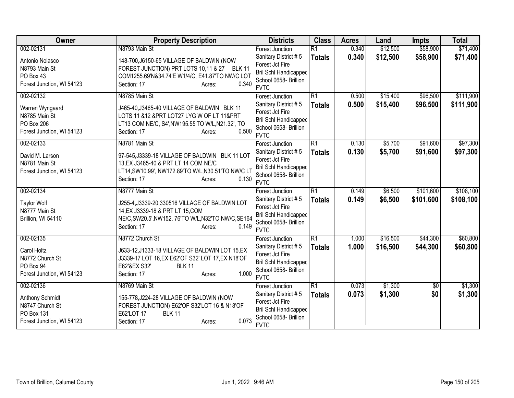| Owner                     | <b>Property Description</b>                         | <b>Districts</b>                                      | <b>Class</b>    | <b>Acres</b> | Land     | <b>Impts</b> | <b>Total</b> |
|---------------------------|-----------------------------------------------------|-------------------------------------------------------|-----------------|--------------|----------|--------------|--------------|
| 002-02131                 | N8793 Main St                                       | <b>Forest Junction</b>                                | $\overline{R1}$ | 0.340        | \$12,500 | \$58,900     | \$71,400     |
| Antonio Nolasco           | 148-700, J6150-65 VILLAGE OF BALDWIN (NOW           | Sanitary District #5                                  | <b>Totals</b>   | 0.340        | \$12,500 | \$58,900     | \$71,400     |
| N8793 Main St             | FOREST JUNCTION) PRT LOTS 10,11 & 27 BLK 11         | Forest Jct Fire                                       |                 |              |          |              |              |
| PO Box 43                 | COM1255.69'N&34.74'E W1/4/C, E41.87'TO NW/C LOT     | <b>Bril Schl Handicapped</b>                          |                 |              |          |              |              |
| Forest Junction, WI 54123 | 0.340<br>Section: 17<br>Acres:                      | School 0658- Brillion<br><b>FVTC</b>                  |                 |              |          |              |              |
|                           |                                                     |                                                       |                 |              |          |              |              |
| 002-02132                 | N8785 Main St                                       | <b>Forest Junction</b>                                | $\overline{R1}$ | 0.500        | \$15,400 | \$96,500     | \$111,900    |
| Warren Wyngaard           | J465-40, J3465-40 VILLAGE OF BALDWIN BLK 11         | Sanitary District #5<br>Forest Jct Fire               | <b>Totals</b>   | 0.500        | \$15,400 | \$96,500     | \$111,900    |
| N8785 Main St             | LOTS 11 &12 &PRT LOT27 LYG W OF LT 11&PRT           | <b>Bril Schl Handicapped</b>                          |                 |              |          |              |              |
| PO Box 206                | LT13 COM NE/C, S4', NW195.55'TO W/L, N21.32', TO    | School 0658- Brillion                                 |                 |              |          |              |              |
| Forest Junction, WI 54123 | 0.500<br>Section: 17<br>Acres:                      | <b>FVTC</b>                                           |                 |              |          |              |              |
| 002-02133                 | N8781 Main St                                       | <b>Forest Junction</b>                                | $\overline{R1}$ | 0.130        | \$5,700  | \$91,600     | \$97,300     |
|                           |                                                     | Sanitary District #5                                  | <b>Totals</b>   | 0.130        | \$5,700  | \$91,600     | \$97,300     |
| David M. Larson           | 97-545, J3339-18 VILLAGE OF BALDWIN BLK 11 LOT      | Forest Jct Fire                                       |                 |              |          |              |              |
| N8781 Main St             | 13, EX J3465-40 & PRT LT 14 COM NE/C                | Bril Schl Handicapped                                 |                 |              |          |              |              |
| Forest Junction, WI 54123 | LT14, SW10.99', NW172.89'TO W/L, N30.51'TO NW/C LT  | School 0658- Brillion                                 |                 |              |          |              |              |
|                           | 0.130<br>Section: 17<br>Acres:                      | <b>FVTC</b>                                           |                 |              |          |              |              |
| 002-02134                 | N8777 Main St                                       | <b>Forest Junction</b>                                | $\overline{R1}$ | 0.149        | \$6,500  | \$101,600    | \$108,100    |
| <b>Taylor Wolf</b>        | J255-4, J3339-20, 330516 VILLAGE OF BALDWIN LOT     | Sanitary District #5                                  | <b>Totals</b>   | 0.149        | \$6,500  | \$101,600    | \$108,100    |
| N8777 Main St             | 14, EX J3339-18 & PRT LT 15, COM                    | Forest Jct Fire                                       |                 |              |          |              |              |
| Brillion, WI 54110        | NE/C, SW20.5', NW152. 76'TO W/L, N32'TO NW/C, SE164 | Bril Schl Handicapped                                 |                 |              |          |              |              |
|                           | 0.149<br>Section: 17<br>Acres:                      | School 0658- Brillion                                 |                 |              |          |              |              |
|                           |                                                     | <b>FVTC</b>                                           |                 |              |          |              |              |
| 002-02135                 | N8772 Church St                                     | <b>Forest Junction</b>                                | $\overline{R1}$ | 1.000        | \$16,500 | \$44,300     | \$60,800     |
| Carol Holtz               | J633-12, J1333-18 VILLAGE OF BALDWIN LOT 15, EX     | Sanitary District #5                                  | <b>Totals</b>   | 1.000        | \$16,500 | \$44,300     | \$60,800     |
| N8772 Church St           | J3339-17 LOT 16, EX E62' OF S32' LOT 17, EX N18' OF | Forest Jct Fire                                       |                 |              |          |              |              |
| PO Box 94                 | E62'&EX S32'<br><b>BLK 11</b>                       | <b>Bril Schl Handicapped</b><br>School 0658- Brillion |                 |              |          |              |              |
| Forest Junction, WI 54123 | 1.000<br>Section: 17<br>Acres:                      | <b>FVTC</b>                                           |                 |              |          |              |              |
| 002-02136                 | N8769 Main St                                       | Forest Junction                                       | R1              | 0.073        | \$1,300  | \$0          | \$1,300      |
|                           |                                                     | Sanitary District #5                                  | <b>Totals</b>   | 0.073        | \$1,300  | \$0          | \$1,300      |
| Anthony Schmidt           | 155-778, J224-28 VILLAGE OF BALDWIN (NOW            | Forest Jct Fire                                       |                 |              |          |              |              |
| N8747 Church St           | FOREST JUNCTION) E62'OF S32'LOT 16 & N18'OF         | <b>Bril Schl Handicapped</b>                          |                 |              |          |              |              |
| PO Box 131                | E62'LOT 17<br><b>BLK 11</b>                         | School 0658- Brillion                                 |                 |              |          |              |              |
| Forest Junction, WI 54123 | 0.073<br>Section: 17<br>Acres:                      | <b>FVTC</b>                                           |                 |              |          |              |              |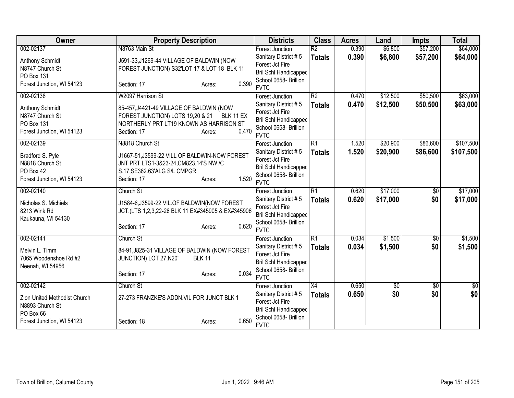| Owner                        | <b>Property Description</b>                                    | <b>Districts</b>                                      | <b>Class</b>             | <b>Acres</b> | Land     | <b>Impts</b> | <b>Total</b>    |
|------------------------------|----------------------------------------------------------------|-------------------------------------------------------|--------------------------|--------------|----------|--------------|-----------------|
| 002-02137                    | N8763 Main St                                                  | <b>Forest Junction</b>                                | $\overline{\mathsf{R2}}$ | 0.390        | \$6,800  | \$57,200     | \$64,000        |
| <b>Anthony Schmidt</b>       | J591-33,J1269-44 VILLAGE OF BALDWIN (NOW                       | Sanitary District #5                                  | <b>Totals</b>            | 0.390        | \$6,800  | \$57,200     | \$64,000        |
| N8747 Church St              | FOREST JUNCTION) S32'LOT 17 & LOT 18 BLK 11                    | Forest Jct Fire                                       |                          |              |          |              |                 |
| PO Box 131                   |                                                                | <b>Bril Schl Handicapped</b>                          |                          |              |          |              |                 |
| Forest Junction, WI 54123    | 0.390<br>Section: 17<br>Acres:                                 | School 0658- Brillion<br><b>FVTC</b>                  |                          |              |          |              |                 |
| 002-02138                    | W2097 Harrison St                                              | <b>Forest Junction</b>                                | $\overline{R2}$          | 0.470        | \$12,500 | \$50,500     | \$63,000        |
| Anthony Schmidt              | 85-457, J4421-49 VILLAGE OF BALDWIN (NOW                       | Sanitary District #5                                  | <b>Totals</b>            | 0.470        | \$12,500 | \$50,500     | \$63,000        |
| N8747 Church St              | FOREST JUNCTION) LOTS 19,20 & 21 BLK 11 EX                     | Forest Jct Fire                                       |                          |              |          |              |                 |
| <b>PO Box 131</b>            | NORTHERLY PRT LT19 KNOWN AS HARRISON ST                        | <b>Bril Schl Handicapped</b>                          |                          |              |          |              |                 |
| Forest Junction, WI 54123    | 0.470<br>Section: 17<br>Acres:                                 | School 0658- Brillion                                 |                          |              |          |              |                 |
|                              |                                                                | <b>FVTC</b>                                           |                          |              |          |              |                 |
| 002-02139                    | N8818 Church St                                                | <b>Forest Junction</b>                                | $\overline{R1}$          | 1.520        | \$20,900 | \$86,600     | \$107,500       |
| Bradford S. Pyle             | J1667-51, J3599-22 VILL OF BALDWIN-NOW FOREST                  | Sanitary District #5                                  | <b>Totals</b>            | 1.520        | \$20,900 | \$86,600     | \$107,500       |
| N8818 Church St              | JNT PRT LTS1-3&23-24, CM823.14'S NW /C                         | Forest Jct Fire                                       |                          |              |          |              |                 |
| PO Box 42                    | S.17, SE362.63' ALG S/L CMPGR                                  | <b>Bril Schl Handicapped</b>                          |                          |              |          |              |                 |
| Forest Junction, WI 54123    | 1.520<br>Section: 17<br>Acres:                                 | School 0658- Brillion                                 |                          |              |          |              |                 |
|                              |                                                                | <b>FVTC</b>                                           |                          |              |          |              |                 |
| 002-02140                    | Church St                                                      | <b>Forest Junction</b>                                | $\overline{R1}$          | 0.620        | \$17,000 | \$0          | \$17,000        |
| Nicholas S. Michiels         | J1584-6, J3599-22 VIL.OF BALDWIN (NOW FOREST                   | Sanitary District #5                                  | <b>Totals</b>            | 0.620        | \$17,000 | \$0          | \$17,000        |
| 8213 Wink Rd                 | JCT.)LTS 1,2,3,22-26 BLK 11 EX#345905 & EX#345906              | Forest Jct Fire                                       |                          |              |          |              |                 |
| Kaukauna, WI 54130           |                                                                | <b>Bril Schl Handicapped</b><br>School 0658- Brillion |                          |              |          |              |                 |
|                              | 0.620<br>Section: 17<br>Acres:                                 | <b>FVTC</b>                                           |                          |              |          |              |                 |
| 002-02141                    | Church St                                                      | <b>Forest Junction</b>                                | $\overline{R1}$          | 0.034        | \$1,500  | $\sqrt{6}$   | \$1,500         |
|                              |                                                                | Sanitary District #5                                  | <b>Totals</b>            | 0.034        | \$1,500  | \$0          | \$1,500         |
| Melvin L. Timm               | 84-91, J825-31 VILLAGE OF BALDWIN (NOW FOREST<br><b>BLK 11</b> | Forest Jct Fire                                       |                          |              |          |              |                 |
| 7065 Woodenshoe Rd #2        | JUNCTION) LOT 27, N20'                                         | Bril Schl Handicapped                                 |                          |              |          |              |                 |
| Neenah, WI 54956             | 0.034<br>Section: 17<br>Acres:                                 | School 0658- Brillion                                 |                          |              |          |              |                 |
|                              |                                                                | <b>FVTC</b>                                           |                          |              |          |              |                 |
| 002-02142                    | Church St                                                      | Forest Junction                                       | $\overline{X4}$          | 0.650        | \$0      | \$0          | $\overline{50}$ |
| Zion United Methodist Church | 27-273 FRANZKE'S ADDN. VIL FOR JUNCT BLK 1                     | Sanitary District #5                                  | <b>Totals</b>            | 0.650        | \$0      | \$0          | \$0             |
| N8893 Church St              |                                                                | Forest Jct Fire                                       |                          |              |          |              |                 |
| PO Box 66                    |                                                                | <b>Bril Schl Handicapped</b>                          |                          |              |          |              |                 |
| Forest Junction, WI 54123    | 0.650<br>Section: 18<br>Acres:                                 | School 0658- Brillion                                 |                          |              |          |              |                 |
|                              |                                                                | <b>FVTC</b>                                           |                          |              |          |              |                 |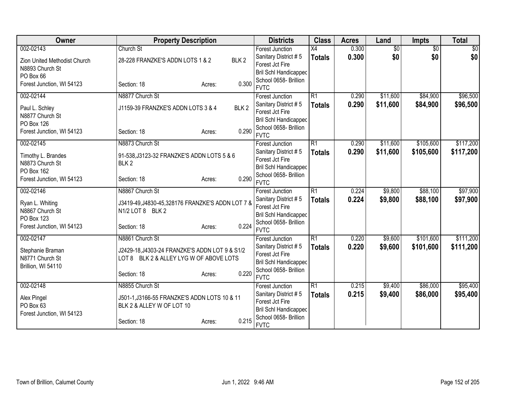| Owner                             | <b>Property Description</b>                       |                  | <b>Districts</b>                                      | <b>Class</b>    | <b>Acres</b> | Land            | <b>Impts</b>    | <b>Total</b>   |
|-----------------------------------|---------------------------------------------------|------------------|-------------------------------------------------------|-----------------|--------------|-----------------|-----------------|----------------|
| 002-02143                         | Church St                                         |                  | <b>Forest Junction</b>                                | $\overline{X4}$ | 0.300        | $\overline{50}$ | $\overline{50}$ | $\frac{1}{20}$ |
| Zion United Methodist Church      | 28-228 FRANZKE'S ADDN LOTS 1 & 2                  | BLK <sub>2</sub> | Sanitary District #5                                  | <b>Totals</b>   | 0.300        | \$0             | \$0             | \$0            |
| N8893 Church St                   |                                                   |                  | Forest Jct Fire                                       |                 |              |                 |                 |                |
| PO Box 66                         |                                                   |                  | Bril Schl Handicapped                                 |                 |              |                 |                 |                |
| Forest Junction, WI 54123         | Section: 18                                       | 0.300<br>Acres:  | School 0658- Brillion<br><b>FVTC</b>                  |                 |              |                 |                 |                |
| 002-02144                         | N8877 Church St                                   |                  | <b>Forest Junction</b>                                | $\overline{R1}$ | 0.290        | \$11,600        | \$84,900        | \$96,500       |
|                                   |                                                   |                  | Sanitary District #5                                  | <b>Totals</b>   | 0.290        | \$11,600        | \$84,900        | \$96,500       |
| Paul L. Schley<br>N8877 Church St | J1159-39 FRANZKE'S ADDN LOTS 3 & 4                | BLK <sub>2</sub> | Forest Jct Fire                                       |                 |              |                 |                 |                |
| PO Box 126                        |                                                   |                  | <b>Bril Schl Handicapped</b>                          |                 |              |                 |                 |                |
| Forest Junction, WI 54123         | Section: 18                                       | 0.290<br>Acres:  | School 0658- Brillion                                 |                 |              |                 |                 |                |
|                                   |                                                   |                  | <b>FVTC</b>                                           |                 |              |                 |                 |                |
| 002-02145                         | N8873 Church St                                   |                  | <b>Forest Junction</b>                                | $\overline{R1}$ | 0.290        | \$11,600        | \$105,600       | \$117,200      |
| Timothy L. Brandes                | 91-538, J3123-32 FRANZKE'S ADDN LOTS 5 & 6        |                  | Sanitary District #5                                  | <b>Totals</b>   | 0.290        | \$11,600        | \$105,600       | \$117,200      |
| N8873 Church St                   | BLK <sub>2</sub>                                  |                  | Forest Jct Fire                                       |                 |              |                 |                 |                |
| PO Box 162                        |                                                   |                  | <b>Bril Schl Handicapped</b><br>School 0658- Brillion |                 |              |                 |                 |                |
| Forest Junction, WI 54123         | Section: 18                                       | 0.290<br>Acres:  | <b>FVTC</b>                                           |                 |              |                 |                 |                |
| 002-02146                         | N8867 Church St                                   |                  | <b>Forest Junction</b>                                | $\overline{R1}$ | 0.224        | \$9,800         | \$88,100        | \$97,900       |
| Ryan L. Whiting                   | J3419-49, J4830-45, 328176 FRANZKE'S ADDN LOT 7 & |                  | Sanitary District #5                                  | <b>Totals</b>   | 0.224        | \$9,800         | \$88,100        | \$97,900       |
| N8867 Church St                   | N1/2 LOT 8 BLK 2                                  |                  | Forest Jct Fire                                       |                 |              |                 |                 |                |
| <b>PO Box 123</b>                 |                                                   |                  | <b>Bril Schl Handicapped</b>                          |                 |              |                 |                 |                |
| Forest Junction, WI 54123         | Section: 18                                       | 0.224<br>Acres:  | School 0658- Brillion                                 |                 |              |                 |                 |                |
|                                   |                                                   |                  | <b>FVTC</b>                                           |                 |              |                 |                 |                |
| 002-02147                         | N8861 Church St                                   |                  | <b>Forest Junction</b>                                | $\overline{R1}$ | 0.220        | \$9,600         | \$101,600       | \$111,200      |
| Stephanie Braman                  | J2429-18, J4303-24 FRANZKE'S ADDN LOT 9 & S1/2    |                  | Sanitary District #5<br>Forest Jct Fire               | <b>Totals</b>   | 0.220        | \$9,600         | \$101,600       | \$111,200      |
| N8771 Church St                   | LOT 8 BLK 2 & ALLEY LYG W OF ABOVE LOTS           |                  | Bril Schl Handicapped                                 |                 |              |                 |                 |                |
| Brillion, WI 54110                |                                                   |                  | School 0658- Brillion                                 |                 |              |                 |                 |                |
|                                   | Section: 18                                       | 0.220<br>Acres:  | <b>FVTC</b>                                           |                 |              |                 |                 |                |
| 002-02148                         | N8855 Church St                                   |                  | Forest Junction                                       | R1              | 0.215        | \$9,400         | \$86,000        | \$95,400       |
| Alex Pingel                       | J501-1, J3166-55 FRANZKE'S ADDN LOTS 10 & 11      |                  | Sanitary District #5                                  | <b>Totals</b>   | 0.215        | \$9,400         | \$86,000        | \$95,400       |
| PO Box 63                         | BLK 2 & ALLEY W OF LOT 10                         |                  | Forest Jct Fire                                       |                 |              |                 |                 |                |
| Forest Junction, WI 54123         |                                                   |                  | <b>Bril Schl Handicapped</b>                          |                 |              |                 |                 |                |
|                                   | Section: 18                                       | 0.215<br>Acres:  | School 0658- Brillion<br><b>FVTC</b>                  |                 |              |                 |                 |                |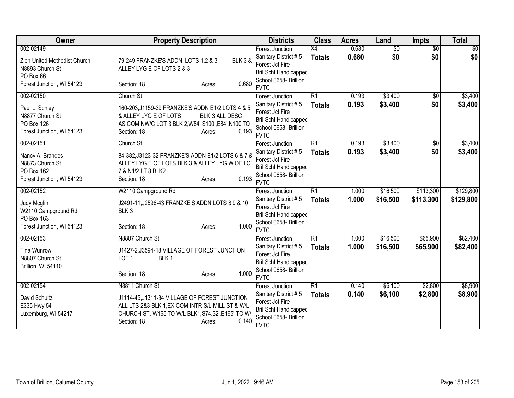| Owner                                                                                                  | <b>Property Description</b>                                                                                                                                                                                 | <b>Districts</b>                                                                                                                                         | <b>Class</b>                     | <b>Acres</b>   | Land                   | <b>Impts</b>           | <b>Total</b>           |
|--------------------------------------------------------------------------------------------------------|-------------------------------------------------------------------------------------------------------------------------------------------------------------------------------------------------------------|----------------------------------------------------------------------------------------------------------------------------------------------------------|----------------------------------|----------------|------------------------|------------------------|------------------------|
| 002-02149<br>Zion United Methodist Church<br>N8893 Church St<br>PO Box 66<br>Forest Junction, WI 54123 | 79-249 FRANZKE'S ADDN. LOTS 1,2 & 3<br><b>BLK 3 &amp;</b><br>ALLEY LYG E OF LOTS 2 & 3<br>0.680<br>Section: 18<br>Acres:                                                                                    | <b>Forest Junction</b><br>Sanitary District #5<br>Forest Jct Fire<br><b>Bril Schl Handicapped</b><br>School 0658- Brillion                               | X4<br><b>Totals</b>              | 0.680<br>0.680 | $\overline{50}$<br>\$0 | $\overline{50}$<br>\$0 | \$0<br>\$0             |
| 002-02150<br>Paul L. Schley<br>N8877 Church St<br>PO Box 126<br>Forest Junction, WI 54123              | Church St<br>160-203, J1159-39 FRANZKE'S ADDN E1/2 LOTS 4 & 5<br>& ALLEY LYG E OF LOTS<br>BLK 3 ALL DESC<br>AS:COM NW/C LOT 3 BLK 2, W84', S100', E84', N100'TO<br>0.193<br>Section: 18<br>Acres:           | <b>FVTC</b><br><b>Forest Junction</b><br>Sanitary District #5<br>Forest Jct Fire<br><b>Bril Schl Handicapped</b><br>School 0658- Brillion<br><b>FVTC</b> | R1<br><b>Totals</b>              | 0.193<br>0.193 | \$3,400<br>\$3,400     | \$0<br>\$0             | \$3,400<br>\$3,400     |
| 002-02151<br>Nancy A. Brandes<br>N8873 Church St<br>PO Box 162<br>Forest Junction, WI 54123            | Church St<br>84-382, J3123-32 FRANZKE'S ADDN E1/2 LOTS 6 & 7 &<br>ALLEY LYG E OF LOTS, BLK 3,& ALLEY LYG W OF LO<br>7 & N1/2 LT 8 BLK2<br>0.193<br>Section: 18<br>Acres:                                    | <b>Forest Junction</b><br>Sanitary District #5<br>Forest Jct Fire<br><b>Bril Schl Handicapped</b><br>School 0658- Brillion<br><b>FVTC</b>                | $\overline{R1}$<br><b>Totals</b> | 0.193<br>0.193 | \$3,400<br>\$3,400     | \$0<br>\$0             | \$3,400<br>\$3,400     |
| 002-02152<br>Judy Mcglin<br>W2110 Campground Rd<br>PO Box 163<br>Forest Junction, WI 54123             | W2110 Campground Rd<br>J2491-11, J2596-43 FRANZKE'S ADDN LOTS 8,9 & 10<br>BLK <sub>3</sub><br>1.000<br>Section: 18<br>Acres:                                                                                | <b>Forest Junction</b><br>Sanitary District #5<br>Forest Jct Fire<br>Bril Schl Handicapped<br>School 0658- Brillion<br><b>FVTC</b>                       | $\overline{R1}$<br><b>Totals</b> | 1.000<br>1.000 | \$16,500<br>\$16,500   | \$113,300<br>\$113,300 | \$129,800<br>\$129,800 |
| 002-02153<br><b>Tina Wunrow</b><br>N8807 Church St<br>Brillion, WI 54110                               | N8807 Church St<br>J1427-2, J3594-18 VILLAGE OF FOREST JUNCTION<br>BLK <sub>1</sub><br>LOT <sub>1</sub><br>1.000<br>Section: 18<br>Acres:                                                                   | <b>Forest Junction</b><br>Sanitary District #5<br>Forest Jct Fire<br><b>Bril Schl Handicapped</b><br>School 0658- Brillion<br><b>FVTC</b>                | R1<br><b>Totals</b>              | 1.000<br>1.000 | \$16,500<br>\$16,500   | \$65,900<br>\$65,900   | \$82,400<br>\$82,400   |
| 002-02154<br>David Schultz<br>E335 Hwy 54<br>Luxemburg, WI 54217                                       | N8811 Church St<br>J1114-45, J1311-34 VILLAGE OF FOREST JUNCTION<br>ALL LTS 2&3 BLK 1, EX COM INTR S/L MILL ST & W/L<br>CHURCH ST, W165'TO W/L BLK1, S74.32', E165' TO W/<br>0.140<br>Section: 18<br>Acres: | Forest Junction<br>Sanitary District #5<br>Forest Jct Fire<br>Bril Schl Handicapped<br>School 0658- Brillion<br><b>FVTC</b>                              | R1<br><b>Totals</b>              | 0.140<br>0.140 | \$6,100<br>\$6,100     | \$2,800<br>\$2,800     | \$8,900<br>\$8,900     |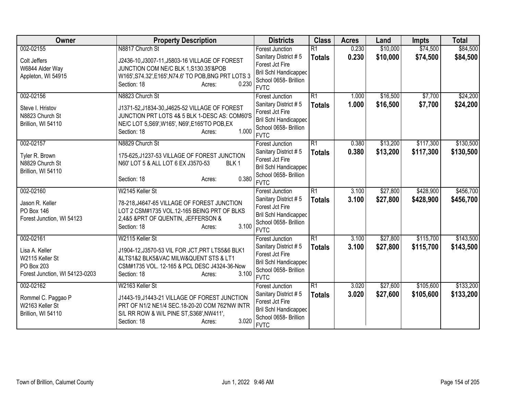| Owner                          | <b>Property Description</b>                            | <b>Districts</b>                                      | <b>Class</b>    | <b>Acres</b> | Land     | <b>Impts</b> | <b>Total</b> |
|--------------------------------|--------------------------------------------------------|-------------------------------------------------------|-----------------|--------------|----------|--------------|--------------|
| 002-02155                      | N8817 Church St                                        | <b>Forest Junction</b>                                | $\overline{R1}$ | 0.230        | \$10,000 | \$74,500     | \$84,500     |
| Colt Jeffers                   | J2436-10, J3007-11, J5803-16 VILLAGE OF FOREST         | Sanitary District #5                                  | <b>Totals</b>   | 0.230        | \$10,000 | \$74,500     | \$84,500     |
| W6844 Alder Way                | JUNCTION COM NE/C BLK 1, S130.35'&POB                  | Forest Jct Fire                                       |                 |              |          |              |              |
| Appleton, WI 54915             | W165', S74.32', E165', N74.6' TO POB, BNG PRT LOTS 3   | Bril Schl Handicapped                                 |                 |              |          |              |              |
|                                | 0.230<br>Section: 18<br>Acres:                         | School 0658- Brillion<br><b>FVTC</b>                  |                 |              |          |              |              |
| 002-02156                      | N8823 Church St                                        | <b>Forest Junction</b>                                | $\overline{R1}$ | 1.000        | \$16,500 | \$7,700      | \$24,200     |
|                                |                                                        | Sanitary District #5                                  | <b>Totals</b>   | 1.000        | \$16,500 | \$7,700      | \$24,200     |
| Steve I. Hristov               | J1371-52, J1834-30, J4625-52 VILLAGE OF FOREST         | Forest Jct Fire                                       |                 |              |          |              |              |
| N8823 Church St                | JUNCTION PRT LOTS 4& 5 BLK 1-DESC AS: COM60'S          | Bril Schl Handicapped                                 |                 |              |          |              |              |
| Brillion, WI 54110             | NE/C LOT 5, S69', W165', N69', E165'TO POB, EX         | School 0658- Brillion                                 |                 |              |          |              |              |
|                                | 1.000<br>Section: 18<br>Acres:                         | <b>FVTC</b>                                           |                 |              |          |              |              |
| 002-02157                      | N8829 Church St                                        | <b>Forest Junction</b>                                | $\overline{R1}$ | 0.380        | \$13,200 | \$117,300    | \$130,500    |
| Tyler R. Brown                 | 175-625, J1237-53 VILLAGE OF FOREST JUNCTION           | Sanitary District #5                                  | <b>Totals</b>   | 0.380        | \$13,200 | \$117,300    | \$130,500    |
| N8829 Church St                | N60' LOT 5 & ALL LOT 6 EX J3570-53<br>BLK <sub>1</sub> | Forest Jct Fire                                       |                 |              |          |              |              |
| Brillion, WI 54110             |                                                        | <b>Bril Schl Handicapped</b>                          |                 |              |          |              |              |
|                                | 0.380<br>Section: 18<br>Acres:                         | School 0658- Brillion                                 |                 |              |          |              |              |
|                                |                                                        | <b>FVTC</b>                                           |                 |              |          |              |              |
| 002-02160                      | W2145 Keller St                                        | <b>Forest Junction</b>                                | $\overline{R1}$ | 3.100        | \$27,800 | \$428,900    | \$456,700    |
| Jason R. Keller                | 78-218, J4647-65 VILLAGE OF FOREST JUNCTION            | Sanitary District #5                                  | <b>Totals</b>   | 3.100        | \$27,800 | \$428,900    | \$456,700    |
| <b>PO Box 146</b>              | LOT 2 CSM#1735 VOL.12-165 BEING PRT OF BLKS            | Forest Jct Fire                                       |                 |              |          |              |              |
| Forest Junction, WI 54123      | 2,4&5 &PRT OF QUENTIN, JEFFERSON &                     | <b>Bril Schl Handicapped</b><br>School 0658- Brillion |                 |              |          |              |              |
|                                | 3.100<br>Section: 18<br>Acres:                         | <b>FVTC</b>                                           |                 |              |          |              |              |
| 002-02161                      | W2115 Keller St                                        | <b>Forest Junction</b>                                | $\overline{R1}$ | 3.100        | \$27,800 | \$115,700    | \$143,500    |
|                                |                                                        | Sanitary District #5                                  | <b>Totals</b>   | 3.100        | \$27,800 | \$115,700    | \$143,500    |
| Lisa A. Keller                 | J1904-12, J3570-53 VIL FOR JCT, PRT LTS5&6 BLK1        | Forest Jct Fire                                       |                 |              |          |              |              |
| W2115 Keller St                | &LTS1&2 BLK5&VAC MILW&QUENT STS & LT1                  | Bril Schl Handicapped                                 |                 |              |          |              |              |
| PO Box 203                     | CSM#1735 VOL. 12-165 & PCL DESC J4324-36-Now           | School 0658- Brillion                                 |                 |              |          |              |              |
| Forest Junction, WI 54123-0203 | 3.100<br>Section: 18<br>Acres:                         | <b>FVTC</b>                                           |                 |              |          |              |              |
| 002-02162                      | W2163 Keller St                                        | Forest Junction                                       | $\overline{R1}$ | 3.020        | \$27,600 | \$105,600    | \$133,200    |
| Rommel C. Paggao P             | J1443-19, J1443-21 VILLAGE OF FOREST JUNCTION          | Sanitary District #5                                  | <b>Totals</b>   | 3.020        | \$27,600 | \$105,600    | \$133,200    |
| W2163 Keller St                | PRT OF N1/2 NE1/4 SEC.18-20-20 COM 762'NW INTR         | Forest Jct Fire                                       |                 |              |          |              |              |
| Brillion, WI 54110             | S/L RR ROW & W/L PINE ST, S368', NW411',               | <b>Bril Schl Handicapped</b>                          |                 |              |          |              |              |
|                                | 3.020<br>Section: 18<br>Acres:                         | School 0658- Brillion                                 |                 |              |          |              |              |
|                                |                                                        | <b>FVTC</b>                                           |                 |              |          |              |              |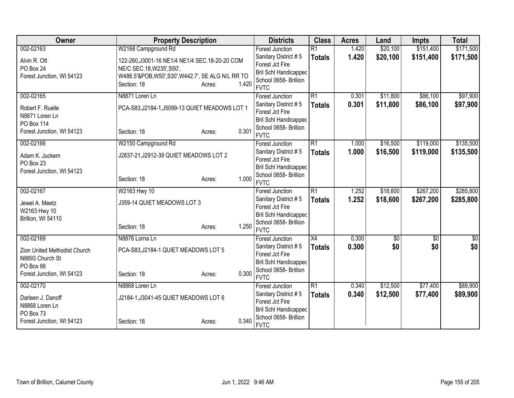| Owner                                  | <b>Property Description</b>                        |                 | <b>Districts</b>                        | <b>Class</b>    | <b>Acres</b> | Land        | <b>Impts</b> | <b>Total</b> |
|----------------------------------------|----------------------------------------------------|-----------------|-----------------------------------------|-----------------|--------------|-------------|--------------|--------------|
| 002-02163                              | W2168 Campground Rd                                |                 | <b>Forest Junction</b>                  | $\overline{R1}$ | 1.420        | \$20,100    | \$151,400    | \$171,500    |
| Alvin R. Ott                           | 122-260, J3001-16 NE1/4 NE1/4 SEC. 18-20-20 COM    |                 | Sanitary District #5                    | <b>Totals</b>   | 1.420        | \$20,100    | \$151,400    | \$171,500    |
| PO Box 24                              | NE/C SEC.18, W235', S50',                          |                 | Forest Jct Fire                         |                 |              |             |              |              |
| Forest Junction, WI 54123              | W486.5'&POB, W50', S30', W442.7', SE ALG N/L RR TO |                 | <b>Bril Schl Handicapped</b>            |                 |              |             |              |              |
|                                        | Section: 18                                        | 1.420<br>Acres: | School 0658- Brillion                   |                 |              |             |              |              |
|                                        |                                                    |                 | <b>FVTC</b>                             |                 |              |             |              |              |
| 002-02165                              | N8871 Loren Ln                                     |                 | <b>Forest Junction</b>                  | R1              | 0.301        | \$11,800    | \$86,100     | \$97,900     |
| Robert F. Ruelle                       | PCA-S83,J2184-1,J5099-13 QUIET MEADOWS LOT 1       |                 | Sanitary District #5<br>Forest Jct Fire | <b>Totals</b>   | 0.301        | \$11,800    | \$86,100     | \$97,900     |
| N8871 Loren Ln                         |                                                    |                 | <b>Bril Schl Handicapped</b>            |                 |              |             |              |              |
| <b>PO Box 114</b>                      |                                                    |                 | School 0658- Brillion                   |                 |              |             |              |              |
| Forest Junction, WI 54123              | Section: 18                                        | 0.301<br>Acres: | <b>FVTC</b>                             |                 |              |             |              |              |
| 002-02166                              | W2150 Campground Rd                                |                 | <b>Forest Junction</b>                  | R1              | 1.000        | \$16,500    | \$119,000    | \$135,500    |
|                                        |                                                    |                 | Sanitary District #5                    | <b>Totals</b>   | 1.000        | \$16,500    | \$119,000    | \$135,500    |
| Adam K. Juckem                         | J2837-21, J2912-39 QUIET MEADOWS LOT 2             |                 | Forest Jct Fire                         |                 |              |             |              |              |
| PO Box 23<br>Forest Junction, WI 54123 |                                                    |                 | <b>Bril Schl Handicapped</b>            |                 |              |             |              |              |
|                                        | Section: 18                                        | 1.000<br>Acres: | School 0658- Brillion                   |                 |              |             |              |              |
|                                        |                                                    |                 | <b>FVTC</b>                             |                 |              |             |              |              |
| 002-02167                              | W2163 Hwy 10                                       |                 | <b>Forest Junction</b>                  | R1              | 1.252        | \$18,600    | \$267,200    | \$285,800    |
| Jewel A. Meetz                         | J359-14 QUIET MEADOWS LOT 3                        |                 | Sanitary District #5                    | <b>Totals</b>   | 1.252        | \$18,600    | \$267,200    | \$285,800    |
| W2163 Hwy 10                           |                                                    |                 | Forest Jct Fire                         |                 |              |             |              |              |
| Brillion, WI 54110                     |                                                    |                 | Bril Schl Handicapped                   |                 |              |             |              |              |
|                                        | Section: 18                                        | 1.250<br>Acres: | School 0658- Brillion<br><b>FVTC</b>    |                 |              |             |              |              |
| 002-02169                              | N8876 Lorna Ln                                     |                 | Forest Junction                         | $\overline{X4}$ | 0.300        | $\sqrt{$0}$ | $\sqrt{6}$   | $\sqrt{50}$  |
|                                        |                                                    |                 | Sanitary District #5                    | <b>Totals</b>   | 0.300        | \$0         | \$0          | \$0          |
| Zion United Methodist Church           | PCA-S83,J2184-1 QUIET MEADOWS LOT 5                |                 | Forest Jct Fire                         |                 |              |             |              |              |
| N8893 Church St                        |                                                    |                 | <b>Bril Schl Handicapped</b>            |                 |              |             |              |              |
| PO Box 66                              |                                                    |                 | School 0658- Brillion                   |                 |              |             |              |              |
| Forest Junction, WI 54123              | Section: 18                                        | 0.300<br>Acres: | <b>FVTC</b>                             |                 |              |             |              |              |
| 002-02170                              | N8868 Loren Ln                                     |                 | <b>Forest Junction</b>                  | R1              | 0.340        | \$12,500    | \$77,400     | \$89,900     |
| Darleen J. Danoff                      | J2184-1, J3041-45 QUIET MEADOWS LOT 6              |                 | Sanitary District #5                    | <b>Totals</b>   | 0.340        | \$12,500    | \$77,400     | \$89,900     |
| N8868 Loren Ln                         |                                                    |                 | Forest Jct Fire                         |                 |              |             |              |              |
| PO Box 73                              |                                                    |                 | <b>Bril Schl Handicapped</b>            |                 |              |             |              |              |
| Forest Junction, WI 54123              | Section: 18                                        | 0.340<br>Acres: | School 0658- Brillion                   |                 |              |             |              |              |
|                                        |                                                    |                 | <b>FVTC</b>                             |                 |              |             |              |              |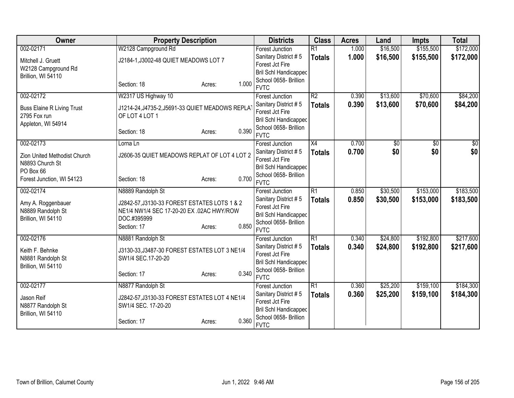| Owner                             | <b>Property Description</b>                     |                 | <b>Districts</b>                        | <b>Class</b>    | <b>Acres</b> | Land     | <b>Impts</b> | <b>Total</b> |
|-----------------------------------|-------------------------------------------------|-----------------|-----------------------------------------|-----------------|--------------|----------|--------------|--------------|
| 002-02171                         | W2128 Campground Rd                             |                 | <b>Forest Junction</b>                  | $\overline{R1}$ | 1.000        | \$16,500 | \$155,500    | \$172,000    |
| Mitchell J. Gruett                | J2184-1, J3002-48 QUIET MEADOWS LOT 7           |                 | Sanitary District #5                    | <b>Totals</b>   | 1.000        | \$16,500 | \$155,500    | \$172,000    |
| W2128 Campground Rd               |                                                 |                 | Forest Jct Fire                         |                 |              |          |              |              |
| Brillion, WI 54110                |                                                 |                 | <b>Bril Schl Handicapped</b>            |                 |              |          |              |              |
|                                   | Section: 18                                     | 1.000<br>Acres: | School 0658- Brillion<br><b>FVTC</b>    |                 |              |          |              |              |
| 002-02172                         | W2317 US Highway 10                             |                 | <b>Forest Junction</b>                  | $\overline{R2}$ | 0.390        | \$13,600 | \$70,600     | \$84,200     |
|                                   |                                                 |                 | Sanitary District #5                    |                 | 0.390        | \$13,600 | \$70,600     | \$84,200     |
| <b>Buss Elaine R Living Trust</b> | J1214-24, J4735-2, J5691-33 QUIET MEADOWS REPLA |                 | Forest Jct Fire                         | <b>Totals</b>   |              |          |              |              |
| 2795 Fox run                      | OF LOT 4 LOT 1                                  |                 | <b>Bril Schl Handicapped</b>            |                 |              |          |              |              |
| Appleton, WI 54914                |                                                 |                 | School 0658- Brillion                   |                 |              |          |              |              |
|                                   | Section: 18                                     | 0.390<br>Acres: | <b>FVTC</b>                             |                 |              |          |              |              |
| 002-02173                         | Lorna Ln                                        |                 | <b>Forest Junction</b>                  | X4              | 0.700        | \$0      | \$0          | \$0          |
| Zion United Methodist Church      | J2606-35 QUIET MEADOWS REPLAT OF LOT 4 LOT 2    |                 | Sanitary District #5                    | <b>Totals</b>   | 0.700        | \$0      | \$0          | \$0          |
| N8893 Church St                   |                                                 |                 | Forest Jct Fire                         |                 |              |          |              |              |
| PO Box 66                         |                                                 |                 | Bril Schl Handicapped                   |                 |              |          |              |              |
| Forest Junction, WI 54123         | Section: 18                                     | 0.700<br>Acres: | School 0658- Brillion                   |                 |              |          |              |              |
|                                   |                                                 |                 | <b>FVTC</b>                             |                 |              |          |              |              |
| 002-02174                         | N8889 Randolph St                               |                 | <b>Forest Junction</b>                  | R1              | 0.850        | \$30,500 | \$153,000    | \$183,500    |
| Amy A. Roggenbauer                | J2842-57, J3130-33 FOREST ESTATES LOTS 1 & 2    |                 | Sanitary District #5<br>Forest Jct Fire | <b>Totals</b>   | 0.850        | \$30,500 | \$153,000    | \$183,500    |
| N8889 Randolph St                 | NE1/4 NW1/4 SEC 17-20-20 EX .02AC HWY/ROW       |                 | Bril Schl Handicapped                   |                 |              |          |              |              |
| Brillion, WI 54110                | DOC.#395999                                     |                 | School 0658- Brillion                   |                 |              |          |              |              |
|                                   | Section: 17                                     | 0.850<br>Acres: | <b>FVTC</b>                             |                 |              |          |              |              |
| 002-02176                         | N8881 Randolph St                               |                 | <b>Forest Junction</b>                  | R1              | 0.340        | \$24,800 | \$192,800    | \$217,600    |
| Keith F. Behnke                   | J3130-33, J3487-30 FOREST ESTATES LOT 3 NE1/4   |                 | Sanitary District #5                    | <b>Totals</b>   | 0.340        | \$24,800 | \$192,800    | \$217,600    |
| N8881 Randolph St                 | SW1/4 SEC.17-20-20                              |                 | Forest Jct Fire                         |                 |              |          |              |              |
| Brillion, WI 54110                |                                                 |                 | Bril Schl Handicapped                   |                 |              |          |              |              |
|                                   | Section: 17                                     | 0.340<br>Acres: | School 0658- Brillion                   |                 |              |          |              |              |
|                                   |                                                 |                 | <b>FVTC</b>                             |                 |              |          |              |              |
| 002-02177                         | N8877 Randolph St                               |                 | Forest Junction<br>Sanitary District #5 | R1              | 0.360        | \$25,200 | \$159,100    | \$184,300    |
| Jason Reif                        | J2842-57, J3130-33 FOREST ESTATES LOT 4 NE1/4   |                 | Forest Jct Fire                         | <b>Totals</b>   | 0.360        | \$25,200 | \$159,100    | \$184,300    |
| N8877 Randolph St                 | SW1/4 SEC. 17-20-20                             |                 | <b>Bril Schl Handicapped</b>            |                 |              |          |              |              |
| Brillion, WI 54110                |                                                 |                 | School 0658- Brillion                   |                 |              |          |              |              |
|                                   | Section: 17                                     | 0.360<br>Acres: | <b>FVTC</b>                             |                 |              |          |              |              |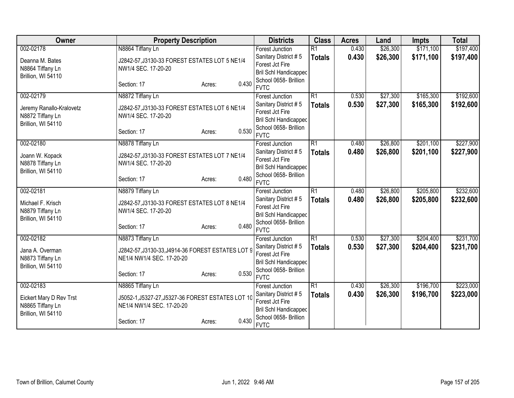| Owner                    | <b>Property Description</b>                       |                 | <b>Districts</b>                        | <b>Class</b>    | <b>Acres</b> | Land     | <b>Impts</b> | <b>Total</b> |
|--------------------------|---------------------------------------------------|-----------------|-----------------------------------------|-----------------|--------------|----------|--------------|--------------|
| 002-02178                | N8864 Tiffany Ln                                  |                 | Forest Junction                         | $\overline{R1}$ | 0.430        | \$26,300 | \$171,100    | \$197,400    |
| Deanna M. Bates          | J2842-57, J3130-33 FOREST ESTATES LOT 5 NE1/4     |                 | Sanitary District #5                    | <b>Totals</b>   | 0.430        | \$26,300 | \$171,100    | \$197,400    |
| N8864 Tiffany Ln         | NW1/4 SEC. 17-20-20                               |                 | Forest Jct Fire                         |                 |              |          |              |              |
| Brillion, WI 54110       |                                                   |                 | <b>Bril Schl Handicapped</b>            |                 |              |          |              |              |
|                          | Section: 17                                       | 0.430<br>Acres: | School 0658- Brillion                   |                 |              |          |              |              |
|                          |                                                   |                 | <b>FVTC</b>                             |                 |              |          |              |              |
| 002-02179                | N8872 Tiffany Ln                                  |                 | Forest Junction                         | $\overline{R1}$ | 0.530        | \$27,300 | \$165,300    | \$192,600    |
| Jeremy Ranallo-Kralovetz | J2842-57, J3130-33 FOREST ESTATES LOT 6 NE1/4     |                 | Sanitary District #5                    | <b>Totals</b>   | 0.530        | \$27,300 | \$165,300    | \$192,600    |
| N8872 Tiffany Ln         | NW1/4 SEC. 17-20-20                               |                 | Forest Jct Fire                         |                 |              |          |              |              |
| Brillion, WI 54110       |                                                   |                 | <b>Bril Schl Handicapped</b>            |                 |              |          |              |              |
|                          | Section: 17                                       | 0.530<br>Acres: | School 0658- Brillion<br><b>FVTC</b>    |                 |              |          |              |              |
| 002-02180                | N8878 Tiffany Ln                                  |                 |                                         | $\overline{R1}$ | 0.480        | \$26,800 | \$201,100    | \$227,900    |
|                          |                                                   |                 | <b>Forest Junction</b>                  |                 |              |          |              |              |
| Joann W. Kopack          | J2842-57, J3130-33 FOREST ESTATES LOT 7 NE1/4     |                 | Sanitary District #5<br>Forest Jct Fire | <b>Totals</b>   | 0.480        | \$26,800 | \$201,100    | \$227,900    |
| N8878 Tiffany Ln         | NW1/4 SEC. 17-20-20                               |                 | <b>Bril Schl Handicapped</b>            |                 |              |          |              |              |
| Brillion, WI 54110       |                                                   |                 | School 0658- Brillion                   |                 |              |          |              |              |
|                          | Section: 17                                       | 0.480<br>Acres: | <b>FVTC</b>                             |                 |              |          |              |              |
| 002-02181                | N8879 Tiffany Ln                                  |                 | Forest Junction                         | $\overline{R1}$ | 0.480        | \$26,800 | \$205,800    | \$232,600    |
|                          |                                                   |                 | Sanitary District #5                    | <b>Totals</b>   | 0.480        | \$26,800 | \$205,800    | \$232,600    |
| Michael F. Krisch        | J2842-57, J3130-33 FOREST ESTATES LOT 8 NE1/4     |                 | Forest Jct Fire                         |                 |              |          |              |              |
| N8879 Tiffany Ln         | NW1/4 SEC. 17-20-20                               |                 | <b>Bril Schl Handicapped</b>            |                 |              |          |              |              |
| Brillion, WI 54110       |                                                   |                 | School 0658- Brillion                   |                 |              |          |              |              |
|                          | Section: 17                                       | 0.480<br>Acres: | <b>FVTC</b>                             |                 |              |          |              |              |
| 002-02182                | N8873 Tiffany Ln                                  |                 | <b>Forest Junction</b>                  | $\overline{R1}$ | 0.530        | \$27,300 | \$204,400    | \$231,700    |
| Jana A. Overman          | J2842-57, J3130-33, J4914-36 FOREST ESTATES LOT 9 |                 | Sanitary District #5                    | <b>Totals</b>   | 0.530        | \$27,300 | \$204,400    | \$231,700    |
| N8873 Tiffany Ln         | NE1/4 NW1/4 SEC. 17-20-20                         |                 | Forest Jct Fire                         |                 |              |          |              |              |
| Brillion, WI 54110       |                                                   |                 | <b>Bril Schl Handicapped</b>            |                 |              |          |              |              |
|                          | Section: 17                                       | 0.530<br>Acres: | School 0658- Brillion                   |                 |              |          |              |              |
|                          |                                                   |                 | <b>FVTC</b>                             |                 |              |          |              |              |
| 002-02183                | N8865 Tiffany Ln                                  |                 | Forest Junction                         | $\overline{R1}$ | 0.430        | \$26,300 | \$196,700    | \$223,000    |
| Eickert Mary D Rev Trst  | J5052-1, J5327-27, J5327-36 FOREST ESTATES LOT 10 |                 | Sanitary District #5                    | <b>Totals</b>   | 0.430        | \$26,300 | \$196,700    | \$223,000    |
| N8865 Tiffany Ln         | NE1/4 NW1/4 SEC. 17-20-20                         |                 | Forest Jct Fire                         |                 |              |          |              |              |
| Brillion, WI 54110       |                                                   |                 | <b>Bril Schl Handicapped</b>            |                 |              |          |              |              |
|                          | Section: 17                                       | 0.430<br>Acres: | School 0658- Brillion                   |                 |              |          |              |              |
|                          |                                                   |                 | <b>FVTC</b>                             |                 |              |          |              |              |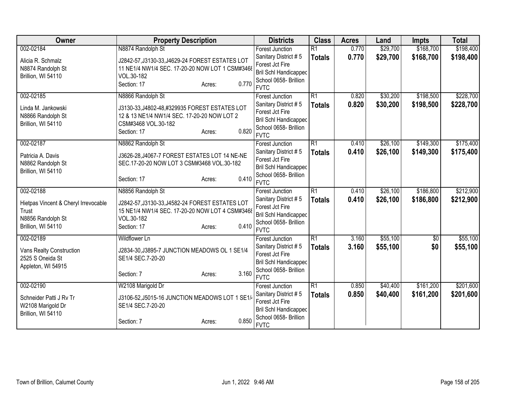| Owner                                | <b>Property Description</b>                     |       | <b>Districts</b>                                      | <b>Class</b>    | <b>Acres</b> | Land     | <b>Impts</b>    | <b>Total</b> |
|--------------------------------------|-------------------------------------------------|-------|-------------------------------------------------------|-----------------|--------------|----------|-----------------|--------------|
| 002-02184                            | N8874 Randolph St                               |       | <b>Forest Junction</b>                                | $\overline{R1}$ | 0.770        | \$29,700 | \$168,700       | \$198,400    |
| Alicia R. Schmalz                    | J2842-57, J3130-33, J4629-24 FOREST ESTATES LOT |       | Sanitary District #5                                  | <b>Totals</b>   | 0.770        | \$29,700 | \$168,700       | \$198,400    |
| N8874 Randolph St                    | 11 NE1/4 NW1/4 SEC. 17-20-20 NOW LOT 1 CSM#3468 |       | Forest Jct Fire                                       |                 |              |          |                 |              |
| Brillion, WI 54110                   | VOL.30-182                                      |       | <b>Bril Schl Handicapped</b>                          |                 |              |          |                 |              |
|                                      | Section: 17<br>Acres:                           | 0.770 | School 0658- Brillion                                 |                 |              |          |                 |              |
|                                      |                                                 |       | <b>FVTC</b>                                           |                 |              |          |                 |              |
| 002-02185                            | N8866 Randolph St                               |       | <b>Forest Junction</b>                                | $\overline{R1}$ | 0.820        | \$30,200 | \$198,500       | \$228,700    |
| Linda M. Jankowski                   | J3130-33, J4802-48, #329935 FOREST ESTATES LOT  |       | Sanitary District #5                                  | <b>Totals</b>   | 0.820        | \$30,200 | \$198,500       | \$228,700    |
| N8866 Randolph St                    | 12 & 13 NE1/4 NW1/4 SEC. 17-20-20 NOW LOT 2     |       | Forest Jct Fire                                       |                 |              |          |                 |              |
| Brillion, WI 54110                   | CSM#3468 VOL.30-182                             |       | <b>Bril Schl Handicapped</b><br>School 0658- Brillion |                 |              |          |                 |              |
|                                      | Section: 17<br>Acres:                           | 0.820 | <b>FVTC</b>                                           |                 |              |          |                 |              |
| 002-02187                            | N8862 Randolph St                               |       | Forest Junction                                       | $\overline{R1}$ | 0.410        | \$26,100 | \$149,300       | \$175,400    |
| Patricia A. Davis                    | J3626-28, J4067-7 FOREST ESTATES LOT 14 NE-NE   |       | Sanitary District #5                                  | <b>Totals</b>   | 0.410        | \$26,100 | \$149,300       | \$175,400    |
| N8862 Randolph St                    | SEC.17-20-20 NOW LOT 3 CSM#3468 VOL.30-182      |       | Forest Jct Fire                                       |                 |              |          |                 |              |
| Brillion, WI 54110                   |                                                 |       | <b>Bril Schl Handicapped</b>                          |                 |              |          |                 |              |
|                                      | Section: 17<br>Acres:                           | 0.410 | School 0658- Brillion                                 |                 |              |          |                 |              |
|                                      |                                                 |       | <b>FVTC</b>                                           |                 |              |          |                 |              |
| 002-02188                            | N8856 Randolph St                               |       | <b>Forest Junction</b>                                | $\overline{R1}$ | 0.410        | \$26,100 | \$186,800       | \$212,900    |
| Hietpas Vincent & Cheryl Irrevocable | J2842-57, J3130-33, J4582-24 FOREST ESTATES LOT |       | Sanitary District #5                                  | <b>Totals</b>   | 0.410        | \$26,100 | \$186,800       | \$212,900    |
| Trust                                | 15 NE1/4 NW1/4 SEC. 17-20-20 NOW LOT 4 CSM#3468 |       | Forest Jct Fire                                       |                 |              |          |                 |              |
| N8856 Randolph St                    | VOL.30-182                                      |       | <b>Bril Schl Handicapped</b>                          |                 |              |          |                 |              |
| Brillion, WI 54110                   | Section: 17<br>Acres:                           | 0.410 | School 0658- Brillion<br><b>FVTC</b>                  |                 |              |          |                 |              |
| 002-02189                            | <b>Wildflower Ln</b>                            |       | Forest Junction                                       | $\overline{R1}$ | 3.160        | \$55,100 | $\overline{50}$ | \$55,100     |
|                                      |                                                 |       | Sanitary District #5                                  | <b>Totals</b>   | 3.160        | \$55,100 | \$0             | \$55,100     |
| <b>Vans Realty Construction</b>      | J2834-30, J3895-7 JUNCTION MEADOWS OL 1 SE1/4   |       | Forest Jct Fire                                       |                 |              |          |                 |              |
| 2525 S Oneida St                     | SE1/4 SEC.7-20-20                               |       | Bril Schl Handicapped                                 |                 |              |          |                 |              |
| Appleton, WI 54915                   | Section: 7<br>Acres:                            | 3.160 | School 0658- Brillion                                 |                 |              |          |                 |              |
|                                      |                                                 |       | <b>FVTC</b>                                           |                 |              |          |                 |              |
| 002-02190                            | W2108 Marigold Dr                               |       | Forest Junction                                       | R1              | 0.850        | \$40,400 | \$161,200       | \$201,600    |
| Schneider Patti J Rv Tr              | J3106-52, J5015-16 JUNCTION MEADOWS LOT 1 SE1/  |       | Sanitary District #5                                  | <b>Totals</b>   | 0.850        | \$40,400 | \$161,200       | \$201,600    |
| W2108 Marigold Dr                    | SE1/4 SEC.7-20-20                               |       | Forest Jct Fire                                       |                 |              |          |                 |              |
| Brillion, WI 54110                   |                                                 |       | Bril Schl Handicapped                                 |                 |              |          |                 |              |
|                                      | Section: 7<br>Acres:                            | 0.850 | School 0658- Brillion<br><b>FVTC</b>                  |                 |              |          |                 |              |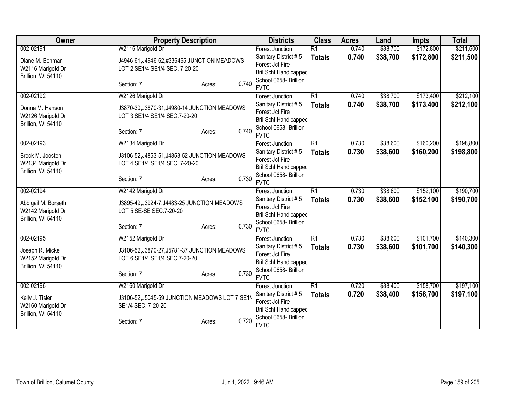| Owner               | <b>Property Description</b>                    |                                               | <b>Districts</b>                               | <b>Class</b>                     | <b>Acres</b> | Land     | <b>Impts</b> | <b>Total</b> |
|---------------------|------------------------------------------------|-----------------------------------------------|------------------------------------------------|----------------------------------|--------------|----------|--------------|--------------|
| 002-02191           | W2116 Marigold Dr                              |                                               | <b>Forest Junction</b>                         | $\overline{R1}$                  | 0.740        | \$38,700 | \$172,800    | \$211,500    |
| Diane M. Bohman     | J4946-61, J4946-62, #336465 JUNCTION MEADOWS   |                                               | Sanitary District #5                           | <b>Totals</b>                    | 0.740        | \$38,700 | \$172,800    | \$211,500    |
| W2116 Marigold Dr   | LOT 2 SE1/4 SE1/4 SEC. 7-20-20                 |                                               | Forest Jct Fire                                |                                  |              |          |              |              |
| Brillion, WI 54110  |                                                |                                               | Bril Schl Handicapped                          |                                  |              |          |              |              |
|                     | Section: 7                                     | 0.740<br>Acres:                               | School 0658- Brillion                          |                                  |              |          |              |              |
|                     |                                                |                                               | <b>FVTC</b>                                    |                                  |              |          |              |              |
| 002-02192           | W2126 Marigold Dr                              |                                               | <b>Forest Junction</b><br>Sanitary District #5 | $\overline{R1}$<br><b>Totals</b> | 0.740        | \$38,700 | \$173,400    | \$212,100    |
| Donna M. Hanson     |                                                | J3870-30, J3870-31, J4980-14 JUNCTION MEADOWS |                                                |                                  | 0.740        | \$38,700 | \$173,400    | \$212,100    |
| W2126 Marigold Dr   | LOT 3 SE1/4 SE1/4 SEC.7-20-20                  | Forest Jct Fire                               |                                                |                                  |              |          |              |              |
| Brillion, WI 54110  |                                                |                                               | Bril Schl Handicapped                          |                                  |              |          |              |              |
|                     | Section: 7                                     | 0.740<br>Acres:                               | School 0658- Brillion                          |                                  |              |          |              |              |
|                     |                                                |                                               | <b>FVTC</b>                                    |                                  |              |          |              |              |
| 002-02193           | W2134 Marigold Dr                              |                                               | Forest Junction                                | $\overline{R1}$                  | 0.730        | \$38,600 | \$160,200    | \$198,800    |
| Brock M. Joosten    | J3106-52, J4853-51, J4853-52 JUNCTION MEADOWS  |                                               | Sanitary District #5                           | <b>Totals</b>                    | 0.730        | \$38,600 | \$160,200    | \$198,800    |
| W2134 Marigold Dr   | LOT 4 SE1/4 SE1/4 SEC. 7-20-20                 |                                               | Forest Jct Fire                                |                                  |              |          |              |              |
| Brillion, WI 54110  |                                                |                                               | Bril Schl Handicapped                          |                                  |              |          |              |              |
|                     | Section: 7                                     | 0.730<br>Acres:                               | School 0658- Brillion                          |                                  |              |          |              |              |
|                     |                                                |                                               | <b>FVTC</b>                                    |                                  |              |          |              |              |
| 002-02194           | W2142 Marigold Dr                              |                                               | <b>Forest Junction</b>                         | $\overline{R1}$                  | 0.730        | \$38,600 | \$152,100    | \$190,700    |
| Abbigail M. Borseth | J3895-49, J3924-7, J4483-25 JUNCTION MEADOWS   |                                               | Sanitary District #5                           | <b>Totals</b>                    | 0.730        | \$38,600 | \$152,100    | \$190,700    |
| W2142 Marigold Dr   | LOT 5 SE-SE SEC.7-20-20                        |                                               | Forest Jct Fire                                |                                  |              |          |              |              |
| Brillion, WI 54110  |                                                |                                               | Bril Schl Handicapped                          |                                  |              |          |              |              |
|                     | Section: 7                                     | 0.730<br>Acres:                               | School 0658- Brillion                          |                                  |              |          |              |              |
|                     |                                                |                                               | <b>FVTC</b>                                    |                                  |              |          |              |              |
| 002-02195           | W2152 Marigold Dr                              |                                               | Forest Junction                                | $\overline{R1}$                  | 0.730        | \$38,600 | \$101,700    | \$140,300    |
| Joseph R. Micke     | J3106-52, J3870-27, J5781-37 JUNCTION MEADOWS  |                                               | Sanitary District #5                           | <b>Totals</b>                    | 0.730        | \$38,600 | \$101,700    | \$140,300    |
| W2152 Marigold Dr   | LOT 6 SE1/4 SE1/4 SEC.7-20-20                  |                                               | Forest Jct Fire                                |                                  |              |          |              |              |
| Brillion, WI 54110  |                                                |                                               | Bril Schl Handicapped                          |                                  |              |          |              |              |
|                     | Section: 7                                     | 0.730<br>Acres:                               | School 0658- Brillion<br><b>FVTC</b>           |                                  |              |          |              |              |
|                     |                                                |                                               |                                                | R1                               |              | \$38,400 | \$158,700    | \$197,100    |
| 002-02196           | W2160 Marigold Dr                              |                                               | Forest Junction                                |                                  | 0.720        |          |              |              |
| Kelly J. Tisler     | J3106-52, J5045-59 JUNCTION MEADOWS LOT 7 SE1/ |                                               | Sanitary District #5<br>Forest Jct Fire        | <b>Totals</b>                    | 0.720        | \$38,400 | \$158,700    | \$197,100    |
| W2160 Marigold Dr   | SE1/4 SEC. 7-20-20                             |                                               | Bril Schl Handicapped                          |                                  |              |          |              |              |
| Brillion, WI 54110  |                                                |                                               | School 0658- Brillion                          |                                  |              |          |              |              |
|                     | Section: 7                                     | 0.720<br>Acres:                               | <b>FVTC</b>                                    |                                  |              |          |              |              |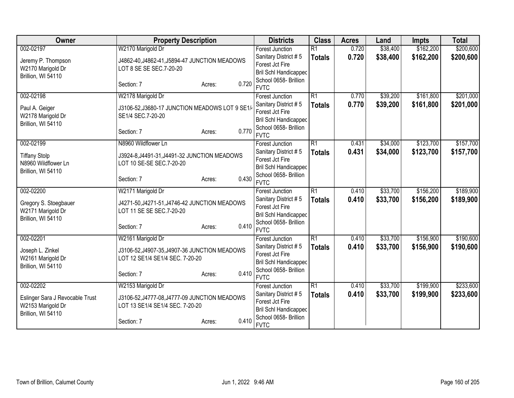| Owner                                      | <b>Property Description</b>                                               |                      | <b>Districts</b>                               | <b>Class</b>    | <b>Acres</b> | Land      | <b>Impts</b> | <b>Total</b> |
|--------------------------------------------|---------------------------------------------------------------------------|----------------------|------------------------------------------------|-----------------|--------------|-----------|--------------|--------------|
| 002-02197                                  | W2170 Marigold Dr                                                         |                      | <b>Forest Junction</b>                         | $\overline{R1}$ | 0.720        | \$38,400  | \$162,200    | \$200,600    |
| Jeremy P. Thompson                         | J4862-40, J4862-41, J5894-47 JUNCTION MEADOWS                             |                      | Sanitary District #5                           | <b>Totals</b>   | 0.720        | \$38,400  | \$162,200    | \$200,600    |
| W2170 Marigold Dr                          | LOT 8 SE SE SEC.7-20-20                                                   |                      | Forest Jct Fire                                |                 |              |           |              |              |
| Brillion, WI 54110                         |                                                                           |                      | Bril Schl Handicapped                          |                 |              |           |              |              |
|                                            | Section: 7                                                                | 0.720<br>Acres:      | School 0658- Brillion<br><b>FVTC</b>           |                 |              |           |              |              |
| 002-02198                                  | W2178 Marigold Dr                                                         |                      | Forest Junction                                | $\overline{R1}$ | 0.770        | \$39,200  | \$161,800    | \$201,000    |
| Paul A. Geiger                             | J3106-52, J3680-17 JUNCTION MEADOWS LOT 9 SE1/                            |                      | Sanitary District #5                           | <b>Totals</b>   | 0.770        | \$39,200  | \$161,800    | \$201,000    |
| W2178 Marigold Dr                          | SE1/4 SEC.7-20-20                                                         |                      | Forest Jct Fire                                |                 |              |           |              |              |
| Brillion, WI 54110                         |                                                                           |                      | Bril Schl Handicapped                          |                 |              |           |              |              |
|                                            | Section: 7                                                                | 0.770<br>Acres:      | School 0658- Brillion                          |                 |              |           |              |              |
|                                            |                                                                           |                      | <b>FVTC</b><br><b>Forest Junction</b>          | $\overline{R1}$ |              |           |              |              |
| 002-02199                                  | N8960 Wildflower Ln                                                       |                      |                                                |                 | 0.431        | \$34,000  | \$123,700    | \$157,700    |
| <b>Tiffany Stolp</b>                       | J3924-8, J4491-31, J4491-32 JUNCTION MEADOWS                              | Sanitary District #5 | <b>Totals</b>                                  | 0.431           | \$34,000     | \$123,700 | \$157,700    |              |
| N8960 Wildflower Ln                        | LOT 10 SE-SE SEC.7-20-20                                                  |                      | Forest Jct Fire                                |                 |              |           |              |              |
| Brillion, WI 54110                         |                                                                           |                      | Bril Schl Handicapped<br>School 0658- Brillion |                 |              |           |              |              |
|                                            | Section: 7                                                                | 0.430<br>Acres:      | <b>FVTC</b>                                    |                 |              |           |              |              |
| 002-02200                                  | W2171 Marigold Dr                                                         |                      | Forest Junction                                | $\overline{R1}$ | 0.410        | \$33,700  | \$156,200    | \$189,900    |
|                                            |                                                                           |                      | Sanitary District #5                           | <b>Totals</b>   | 0.410        | \$33,700  | \$156,200    | \$189,900    |
| Gregory S. Stoegbauer<br>W2171 Marigold Dr | J4271-50, J4271-51, J4746-42 JUNCTION MEADOWS<br>LOT 11 SE SE SEC.7-20-20 |                      | Forest Jct Fire                                |                 |              |           |              |              |
| Brillion, WI 54110                         |                                                                           |                      | Bril Schl Handicapped                          |                 |              |           |              |              |
|                                            | Section: 7                                                                | 0.410<br>Acres:      | School 0658- Brillion                          |                 |              |           |              |              |
|                                            |                                                                           |                      | <b>FVTC</b>                                    |                 |              |           |              |              |
| 002-02201                                  | W2161 Marigold Dr                                                         |                      | <b>Forest Junction</b>                         | $\overline{R1}$ | 0.410        | \$33,700  | \$156,900    | \$190,600    |
| Joseph L. Zinkel                           | J3106-52, J4907-35, J4907-36 JUNCTION MEADOWS                             |                      | Sanitary District #5                           | <b>Totals</b>   | 0.410        | \$33,700  | \$156,900    | \$190,600    |
| W2161 Marigold Dr                          | LOT 12 SE1/4 SE1/4 SEC. 7-20-20                                           |                      | Forest Jct Fire                                |                 |              |           |              |              |
| Brillion, WI 54110                         |                                                                           |                      | Bril Schl Handicapped                          |                 |              |           |              |              |
|                                            | Section: 7                                                                | 0.410<br>Acres:      | School 0658- Brillion<br><b>FVTC</b>           |                 |              |           |              |              |
| 002-02202                                  | W2153 Marigold Dr                                                         |                      |                                                | $\overline{R1}$ | 0.410        | \$33,700  | \$199,900    | \$233,600    |
|                                            |                                                                           |                      | Forest Junction<br>Sanitary District #5        |                 | 0.410        | \$33,700  | \$199,900    | \$233,600    |
| Eslinger Sara J Revocable Trust            | J3106-52, J4777-08, J4777-09 JUNCTION MEADOWS                             |                      | Forest Jct Fire                                | <b>Totals</b>   |              |           |              |              |
| W2153 Marigold Dr                          | LOT 13 SE1/4 SE1/4 SEC. 7-20-20                                           |                      | Bril Schl Handicapped                          |                 |              |           |              |              |
| Brillion, WI 54110                         |                                                                           |                      | School 0658- Brillion                          |                 |              |           |              |              |
|                                            | Section: 7                                                                | 0.410<br>Acres:      | <b>FVTC</b>                                    |                 |              |           |              |              |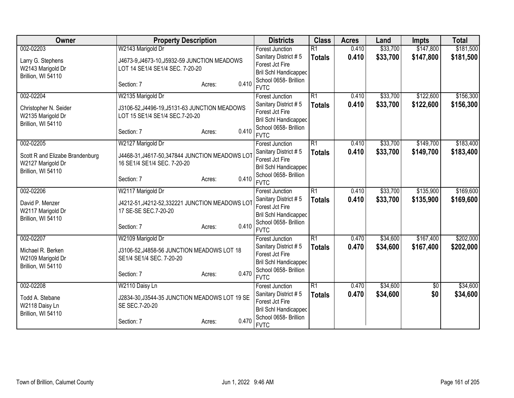| Owner                           | <b>Property Description</b>                    |                 | <b>Districts</b>                     | <b>Class</b>    | <b>Acres</b> | Land     | <b>Impts</b> | <b>Total</b> |
|---------------------------------|------------------------------------------------|-----------------|--------------------------------------|-----------------|--------------|----------|--------------|--------------|
| 002-02203                       | W2143 Marigold Dr                              |                 | <b>Forest Junction</b>               | $\overline{R1}$ | 0.410        | \$33,700 | \$147,800    | \$181,500    |
| Larry G. Stephens               | J4673-9, J4673-10, J5932-59 JUNCTION MEADOWS   |                 | Sanitary District #5                 | <b>Totals</b>   | 0.410        | \$33,700 | \$147,800    | \$181,500    |
| W2143 Marigold Dr               | LOT 14 SE1/4 SE1/4 SEC. 7-20-20                |                 | Forest Jct Fire                      |                 |              |          |              |              |
| Brillion, WI 54110              |                                                |                 | Bril Schl Handicapped                |                 |              |          |              |              |
|                                 | Section: 7                                     | 0.410<br>Acres: | School 0658- Brillion                |                 |              |          |              |              |
|                                 |                                                |                 | <b>FVTC</b>                          |                 |              |          |              |              |
| 002-02204                       | W2135 Marigold Dr                              |                 | <b>Forest Junction</b>               | $\overline{R1}$ | 0.410        | \$33,700 | \$122,600    | \$156,300    |
| Christopher N. Seider           | J3106-52, J4496-19, J5131-63 JUNCTION MEADOWS  |                 | Sanitary District #5                 | <b>Totals</b>   | 0.410        | \$33,700 | \$122,600    | \$156,300    |
| W2135 Marigold Dr               | LOT 15 SE1/4 SE1/4 SEC.7-20-20                 | Forest Jct Fire |                                      |                 |              |          |              |              |
| Brillion, WI 54110              |                                                |                 | Bril Schl Handicapped                |                 |              |          |              |              |
|                                 | Section: 7                                     | 0.410<br>Acres: | School 0658- Brillion                |                 |              |          |              |              |
|                                 |                                                |                 | <b>FVTC</b>                          |                 |              |          |              |              |
| 002-02205                       | W2127 Marigold Dr                              |                 | <b>Forest Junction</b>               | $\overline{R1}$ | 0.410        | \$33,700 | \$149,700    | \$183,400    |
| Scott R and Elizabe Brandenburg | J4468-31, J4617-50, 347844 JUNCTION MEADOWS LO |                 | Sanitary District #5                 | <b>Totals</b>   | 0.410        | \$33,700 | \$149,700    | \$183,400    |
| W2127 Marigold Dr               | 16 SE1/4 SE1/4 SEC. 7-20-20                    |                 | Forest Jct Fire                      |                 |              |          |              |              |
| Brillion, WI 54110              |                                                |                 | <b>Bril Schl Handicapped</b>         |                 |              |          |              |              |
|                                 | Section: 7                                     | 0.410<br>Acres: | School 0658- Brillion                |                 |              |          |              |              |
|                                 |                                                |                 | <b>FVTC</b>                          |                 |              |          |              |              |
| 002-02206                       | W2117 Marigold Dr                              |                 | <b>Forest Junction</b>               | $\overline{R1}$ | 0.410        | \$33,700 | \$135,900    | \$169,600    |
| David P. Menzer                 | J4212-51, J4212-52, 332221 JUNCTION MEADOWS LO |                 | Sanitary District #5                 | <b>Totals</b>   | 0.410        | \$33,700 | \$135,900    | \$169,600    |
| W2117 Marigold Dr               | 17 SE-SE SEC.7-20-20                           |                 | Forest Jct Fire                      |                 |              |          |              |              |
| Brillion, WI 54110              |                                                |                 | <b>Bril Schl Handicapped</b>         |                 |              |          |              |              |
|                                 | Section: 7                                     | 0.410<br>Acres: | School 0658- Brillion                |                 |              |          |              |              |
|                                 |                                                |                 | <b>FVTC</b>                          |                 |              |          |              |              |
| 002-02207                       | W2109 Marigold Dr                              |                 | <b>Forest Junction</b>               | $\overline{R1}$ | 0.470        | \$34,600 | \$167,400    | \$202,000    |
| Michael R. Berken               | J3106-52, J4858-56 JUNCTION MEADOWS LOT 18     |                 | Sanitary District #5                 | <b>Totals</b>   | 0.470        | \$34,600 | \$167,400    | \$202,000    |
| W2109 Marigold Dr               | SE1/4 SE1/4 SEC. 7-20-20                       |                 | Forest Jct Fire                      |                 |              |          |              |              |
| Brillion, WI 54110              |                                                |                 | Bril Schl Handicapped                |                 |              |          |              |              |
|                                 | Section: 7                                     | 0.470<br>Acres: | School 0658- Brillion                |                 |              |          |              |              |
|                                 |                                                |                 | <b>FVTC</b>                          |                 |              |          |              |              |
| 002-02208                       | W2110 Daisy Ln                                 |                 | Forest Junction                      | R1              | 0.470        | \$34,600 | \$0          | \$34,600     |
| Todd A. Stebane                 | J2834-30, J3544-35 JUNCTION MEADOWS LOT 19 SE  |                 | Sanitary District #5                 | <b>Totals</b>   | 0.470        | \$34,600 | \$0          | \$34,600     |
| W2118 Daisy Ln                  | SE SEC.7-20-20                                 |                 | Forest Jct Fire                      |                 |              |          |              |              |
| Brillion, WI 54110              |                                                |                 | Bril Schl Handicapped                |                 |              |          |              |              |
|                                 | Section: 7                                     | 0.470<br>Acres: | School 0658- Brillion<br><b>FVTC</b> |                 |              |          |              |              |
|                                 |                                                |                 |                                      |                 |              |          |              |              |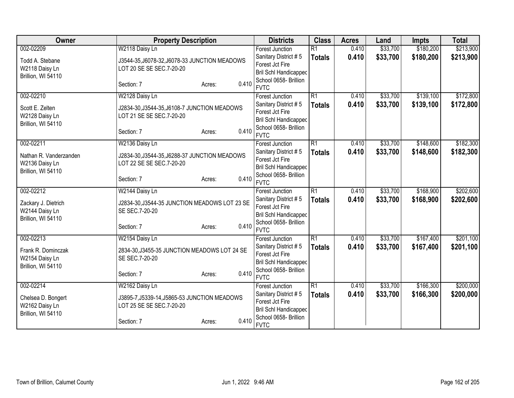| Owner                  | <b>Property Description</b>                   |                                              | <b>Districts</b>                               | <b>Class</b>                     | <b>Acres</b> | Land     | <b>Impts</b> | <b>Total</b> |
|------------------------|-----------------------------------------------|----------------------------------------------|------------------------------------------------|----------------------------------|--------------|----------|--------------|--------------|
| 002-02209              | W2118 Daisy Ln                                |                                              | <b>Forest Junction</b>                         | $\overline{R1}$                  | 0.410        | \$33,700 | \$180,200    | \$213,900    |
| Todd A. Stebane        | J3544-35, J6078-32, J6078-33 JUNCTION MEADOWS |                                              | Sanitary District #5                           | <b>Totals</b>                    | 0.410        | \$33,700 | \$180,200    | \$213,900    |
| W2118 Daisy Ln         | LOT 20 SE SE SEC.7-20-20                      |                                              | Forest Jct Fire                                |                                  |              |          |              |              |
| Brillion, WI 54110     |                                               |                                              | Bril Schl Handicapped                          |                                  |              |          |              |              |
|                        | Section: 7                                    | 0.410<br>Acres:                              | School 0658- Brillion                          |                                  |              |          |              |              |
|                        |                                               |                                              | <b>FVTC</b>                                    |                                  |              |          |              |              |
| 002-02210              | W2128 Daisy Ln                                |                                              | <b>Forest Junction</b><br>Sanitary District #5 | $\overline{R1}$<br><b>Totals</b> | 0.410        | \$33,700 | \$139,100    | \$172,800    |
| Scott E. Zelten        |                                               | J2834-30, J3544-35, J6108-7 JUNCTION MEADOWS |                                                |                                  | 0.410        | \$33,700 | \$139,100    | \$172,800    |
| W2128 Daisy Ln         | LOT 21 SE SE SEC.7-20-20                      | Forest Jct Fire                              |                                                |                                  |              |          |              |              |
| Brillion, WI 54110     |                                               |                                              | Bril Schl Handicapped                          |                                  |              |          |              |              |
|                        | Section: 7                                    | 0.410<br>Acres:                              | School 0658- Brillion                          |                                  |              |          |              |              |
|                        |                                               |                                              | <b>FVTC</b>                                    |                                  |              |          |              |              |
| 002-02211              | W2136 Daisy Ln                                |                                              | Forest Junction                                | $\overline{R1}$                  | 0.410        | \$33,700 | \$148,600    | \$182,300    |
| Nathan R. Vanderzanden | J2834-30, J3544-35, J6288-37 JUNCTION MEADOWS |                                              | Sanitary District #5                           | <b>Totals</b>                    | 0.410        | \$33,700 | \$148,600    | \$182,300    |
| W2136 Daisy Ln         | LOT 22 SE SE SEC.7-20-20                      |                                              | Forest Jct Fire                                |                                  |              |          |              |              |
| Brillion, WI 54110     |                                               |                                              | Bril Schl Handicapped                          |                                  |              |          |              |              |
|                        | Section: 7                                    | 0.410<br>Acres:                              | School 0658- Brillion                          |                                  |              |          |              |              |
|                        |                                               |                                              | <b>FVTC</b>                                    |                                  |              |          |              |              |
| 002-02212              | W2144 Daisy Ln                                |                                              | <b>Forest Junction</b>                         | $\overline{R1}$                  | 0.410        | \$33,700 | \$168,900    | \$202,600    |
| Zackary J. Dietrich    | J2834-30, J3544-35 JUNCTION MEADOWS LOT 23 SE |                                              | Sanitary District #5                           | <b>Totals</b>                    | 0.410        | \$33,700 | \$168,900    | \$202,600    |
| W2144 Daisy Ln         | SE SEC.7-20-20                                |                                              | Forest Jct Fire                                |                                  |              |          |              |              |
| Brillion, WI 54110     |                                               |                                              | Bril Schl Handicapped                          |                                  |              |          |              |              |
|                        | Section: 7                                    | 0.410<br>Acres:                              | School 0658- Brillion                          |                                  |              |          |              |              |
|                        |                                               |                                              | <b>FVTC</b>                                    |                                  |              |          |              |              |
| 002-02213              | W2154 Daisy Ln                                |                                              | Forest Junction                                | $\overline{R1}$                  | 0.410        | \$33,700 | \$167,400    | \$201,100    |
| Frank R. Dominczak     | 2834-30, J3455-35 JUNCTION MEADOWS LOT 24 SE  |                                              | Sanitary District #5                           | <b>Totals</b>                    | 0.410        | \$33,700 | \$167,400    | \$201,100    |
| W2154 Daisy Ln         | SE SEC.7-20-20                                |                                              | Forest Jct Fire                                |                                  |              |          |              |              |
| Brillion, WI 54110     |                                               |                                              | Bril Schl Handicapped                          |                                  |              |          |              |              |
|                        | Section: 7                                    | 0.410<br>Acres:                              | School 0658- Brillion                          |                                  |              |          |              |              |
|                        |                                               |                                              | <b>FVTC</b>                                    |                                  |              |          |              |              |
| 002-02214              | W2162 Daisy Ln                                |                                              | Forest Junction                                | R1                               | 0.410        | \$33,700 | \$166,300    | \$200,000    |
| Chelsea D. Bongert     | J3895-7, J5339-14, J5865-53 JUNCTION MEADOWS  |                                              | Sanitary District #5                           | <b>Totals</b>                    | 0.410        | \$33,700 | \$166,300    | \$200,000    |
| W2162 Daisy Ln         | LOT 25 SE SE SEC.7-20-20                      |                                              | Forest Jct Fire                                |                                  |              |          |              |              |
| Brillion, WI 54110     |                                               |                                              | <b>Bril Schl Handicapped</b>                   |                                  |              |          |              |              |
|                        | Section: 7                                    | 0.410<br>Acres:                              | School 0658- Brillion                          |                                  |              |          |              |              |
|                        |                                               |                                              | <b>FVTC</b>                                    |                                  |              |          |              |              |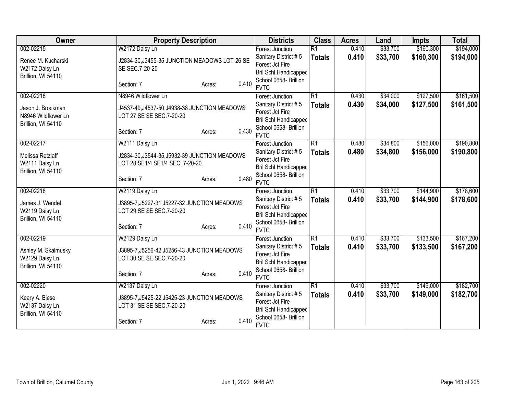| Owner               | <b>Property Description</b>                                                      |                 | <b>Districts</b>             | <b>Class</b>    | <b>Acres</b> | Land     | <b>Impts</b> | <b>Total</b> |
|---------------------|----------------------------------------------------------------------------------|-----------------|------------------------------|-----------------|--------------|----------|--------------|--------------|
| 002-02215           | W2172 Daisy Ln                                                                   |                 | Forest Junction              | $\overline{R1}$ | 0.410        | \$33,700 | \$160,300    | \$194,000    |
| Renee M. Kucharski  | J2834-30, J3455-35 JUNCTION MEADOWS LOT 26 SE                                    |                 | Sanitary District #5         | <b>Totals</b>   | 0.410        | \$33,700 | \$160,300    | \$194,000    |
| W2172 Daisy Ln      | SE SEC.7-20-20                                                                   |                 | Forest Jct Fire              |                 |              |          |              |              |
| Brillion, WI 54110  |                                                                                  |                 | <b>Bril Schl Handicapped</b> |                 |              |          |              |              |
|                     | Section: 7                                                                       | 0.410<br>Acres: | School 0658- Brillion        |                 |              |          |              |              |
|                     |                                                                                  |                 | <b>FVTC</b>                  |                 |              |          |              |              |
| 002-02216           | N8946 Wildflower Ln                                                              |                 | <b>Forest Junction</b>       | $\overline{R1}$ | 0.430        | \$34,000 | \$127,500    | \$161,500    |
| Jason J. Brockman   | J4537-49, J4537-50, J4938-38 JUNCTION MEADOWS                                    |                 | Sanitary District #5         | <b>Totals</b>   | 0.430        | \$34,000 | \$127,500    | \$161,500    |
| N8946 Wildflower Ln | LOT 27 SE SE SEC.7-20-20                                                         |                 | Forest Jct Fire              |                 |              |          |              |              |
| Brillion, WI 54110  |                                                                                  |                 | <b>Bril Schl Handicapped</b> |                 |              |          |              |              |
|                     | Section: 7                                                                       | 0.430           | School 0658- Brillion        |                 |              |          |              |              |
|                     |                                                                                  | Acres:          | <b>FVTC</b>                  |                 |              |          |              |              |
| 002-02217           | W2111 Daisy Ln                                                                   |                 | Forest Junction              | $\overline{R1}$ | 0.480        | \$34,800 | \$156,000    | \$190,800    |
| Melissa Retzlaff    |                                                                                  |                 | Sanitary District #5         | <b>Totals</b>   | 0.480        | \$34,800 | \$156,000    | \$190,800    |
|                     | J2834-30, J3544-35, J5932-39 JUNCTION MEADOWS<br>LOT 28 SE1/4 SE1/4 SEC. 7-20-20 |                 | Forest Jct Fire              |                 |              |          |              |              |
| W2111 Daisy Ln      |                                                                                  |                 | <b>Bril Schl Handicapped</b> |                 |              |          |              |              |
| Brillion, WI 54110  |                                                                                  | 0.480           | School 0658- Brillion        |                 |              |          |              |              |
|                     | Section: 7                                                                       | Acres:          | <b>FVTC</b>                  |                 |              |          |              |              |
| 002-02218           | W2119 Daisy Ln                                                                   |                 | <b>Forest Junction</b>       | $\overline{R1}$ | 0.410        | \$33,700 | \$144,900    | \$178,600    |
| James J. Wendel     | J3895-7, J5227-31, J5227-32 JUNCTION MEADOWS                                     |                 | Sanitary District #5         | <b>Totals</b>   | 0.410        | \$33,700 | \$144,900    | \$178,600    |
| W2119 Daisy Ln      | LOT 29 SE SE SEC.7-20-20                                                         |                 | Forest Jct Fire              |                 |              |          |              |              |
| Brillion, WI 54110  |                                                                                  |                 | <b>Bril Schl Handicapped</b> |                 |              |          |              |              |
|                     | Section: 7                                                                       | 0.410<br>Acres: | School 0658- Brillion        |                 |              |          |              |              |
|                     |                                                                                  |                 | <b>FVTC</b>                  |                 |              |          |              |              |
| 002-02219           | W2129 Daisy Ln                                                                   |                 | Forest Junction              | $\overline{R1}$ | 0.410        | \$33,700 | \$133,500    | \$167,200    |
| Ashley M. Skalmusky | J3895-7, J5256-42, J5256-43 JUNCTION MEADOWS                                     |                 | Sanitary District #5         | <b>Totals</b>   | 0.410        | \$33,700 | \$133,500    | \$167,200    |
| W2129 Daisy Ln      | LOT 30 SE SE SEC.7-20-20                                                         |                 | Forest Jct Fire              |                 |              |          |              |              |
| Brillion, WI 54110  |                                                                                  |                 | <b>Bril Schl Handicapped</b> |                 |              |          |              |              |
|                     | Section: 7                                                                       | 0.410<br>Acres: | School 0658- Brillion        |                 |              |          |              |              |
|                     |                                                                                  |                 | <b>FVTC</b>                  |                 |              |          |              |              |
| 002-02220           | W2137 Daisy Ln                                                                   |                 | Forest Junction              | R1              | 0.410        | \$33,700 | \$149,000    | \$182,700    |
| Keary A. Biese      | J3895-7, J5425-22, J5425-23 JUNCTION MEADOWS                                     |                 | Sanitary District #5         | <b>Totals</b>   | 0.410        | \$33,700 | \$149,000    | \$182,700    |
| W2137 Daisy Ln      | LOT 31 SE SE SEC.7-20-20                                                         |                 | Forest Jct Fire              |                 |              |          |              |              |
| Brillion, WI 54110  |                                                                                  |                 | <b>Bril Schl Handicapped</b> |                 |              |          |              |              |
|                     | Section: 7                                                                       | 0.410<br>Acres: | School 0658- Brillion        |                 |              |          |              |              |
|                     |                                                                                  |                 | <b>FVTC</b>                  |                 |              |          |              |              |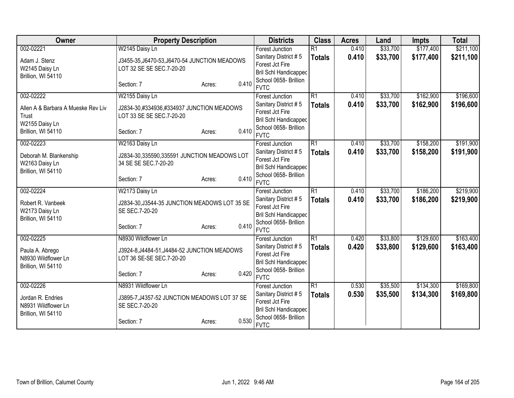| Owner                                | <b>Property Description</b>                                     |                 | <b>Districts</b>                     | <b>Class</b>    | <b>Acres</b> | Land     | <b>Impts</b> | <b>Total</b> |
|--------------------------------------|-----------------------------------------------------------------|-----------------|--------------------------------------|-----------------|--------------|----------|--------------|--------------|
| 002-02221                            | W2145 Daisy Ln                                                  |                 | <b>Forest Junction</b>               | $\overline{R1}$ | 0.410        | \$33,700 | \$177,400    | \$211,100    |
| Adam J. Stenz                        | J3455-35, J6470-53, J6470-54 JUNCTION MEADOWS                   |                 | Sanitary District #5                 | <b>Totals</b>   | 0.410        | \$33,700 | \$177,400    | \$211,100    |
| W2145 Daisy Ln                       | LOT 32 SE SE SEC.7-20-20                                        |                 | Forest Jct Fire                      |                 |              |          |              |              |
| Brillion, WI 54110                   |                                                                 |                 | Bril Schl Handicapped                |                 |              |          |              |              |
|                                      | Section: 7                                                      | 0.410<br>Acres: | School 0658- Brillion                |                 |              |          |              |              |
|                                      |                                                                 |                 | <b>FVTC</b>                          |                 |              |          |              |              |
| 002-02222                            | W2155 Daisy Ln                                                  |                 | <b>Forest Junction</b>               | $\overline{R1}$ | 0.410        | \$33,700 | \$162,900    | \$196,600    |
| Allen A & Barbara A Mueske Rev Liv   | J2834-30,#334936,#334937 JUNCTION MEADOWS                       |                 | Sanitary District #5                 | <b>Totals</b>   | 0.410        | \$33,700 | \$162,900    | \$196,600    |
| Trust                                | LOT 33 SE SE SEC.7-20-20                                        |                 | Forest Jct Fire                      |                 |              |          |              |              |
| W2155 Daisy Ln                       |                                                                 |                 | Bril Schl Handicapped                |                 |              |          |              |              |
| Brillion, WI 54110                   | Section: 7                                                      | 0.410<br>Acres: | School 0658- Brillion<br><b>FVTC</b> |                 |              |          |              |              |
| 002-02223                            | W2163 Daisy Ln                                                  |                 | Forest Junction                      | $\overline{R1}$ | 0.410        | \$33,700 | \$158,200    | \$191,900    |
|                                      |                                                                 |                 | Sanitary District #5                 |                 |              |          |              |              |
| Deborah M. Blankenship               | J2834-30,335590,335591 JUNCTION MEADOWS LOT                     |                 | Forest Jct Fire                      | <b>Totals</b>   | 0.410        | \$33,700 | \$158,200    | \$191,900    |
| W2163 Daisy Ln                       | 34 SE SE SEC.7-20-20                                            |                 | Bril Schl Handicapped                |                 |              |          |              |              |
| Brillion, WI 54110                   |                                                                 |                 | School 0658- Brillion                |                 |              |          |              |              |
|                                      | Section: 7                                                      | 0.410<br>Acres: | <b>FVTC</b>                          |                 |              |          |              |              |
| 002-02224                            | W2173 Daisy Ln                                                  |                 | <b>Forest Junction</b>               | $\overline{R1}$ | 0.410        | \$33,700 | \$186,200    | \$219,900    |
|                                      |                                                                 |                 | Sanitary District #5                 | <b>Totals</b>   | 0.410        | \$33,700 | \$186,200    | \$219,900    |
| Robert R. Vanbeek                    | J2834-30, J3544-35 JUNCTION MEADOWS LOT 35 SE<br>SE SEC.7-20-20 |                 | Forest Jct Fire                      |                 |              |          |              |              |
| W2173 Daisy Ln<br>Brillion, WI 54110 |                                                                 |                 | Bril Schl Handicapped                |                 |              |          |              |              |
|                                      | Section: 7                                                      | 0.410<br>Acres: | School 0658- Brillion                |                 |              |          |              |              |
|                                      |                                                                 |                 | <b>FVTC</b>                          |                 |              |          |              |              |
| 002-02225                            | N8930 Wildflower Ln                                             |                 | Forest Junction                      | $\overline{R1}$ | 0.420        | \$33,800 | \$129,600    | \$163,400    |
| Paula A. Abrego                      | J3924-8, J4484-51, J4484-52 JUNCTION MEADOWS                    |                 | Sanitary District #5                 | <b>Totals</b>   | 0.420        | \$33,800 | \$129,600    | \$163,400    |
| N8930 Wildflower Ln                  | LOT 36 SE-SE SEC.7-20-20                                        |                 | Forest Jct Fire                      |                 |              |          |              |              |
| Brillion, WI 54110                   |                                                                 |                 | Bril Schl Handicapped                |                 |              |          |              |              |
|                                      | Section: 7                                                      | 0.420<br>Acres: | School 0658- Brillion                |                 |              |          |              |              |
|                                      |                                                                 |                 | <b>FVTC</b>                          |                 |              |          |              |              |
| 002-02226                            | N8931 Wildflower Ln                                             |                 | Forest Junction                      | R1              | 0.530        | \$35,500 | \$134,300    | \$169,800    |
| Jordan R. Endries                    | J3895-7, J4357-52 JUNCTION MEADOWS LOT 37 SE                    |                 | Sanitary District #5                 | <b>Totals</b>   | 0.530        | \$35,500 | \$134,300    | \$169,800    |
| N8931 Wildflower Ln                  | SE SEC.7-20-20                                                  |                 | Forest Jct Fire                      |                 |              |          |              |              |
| Brillion, WI 54110                   |                                                                 |                 | Bril Schl Handicapped                |                 |              |          |              |              |
|                                      | Section: 7                                                      | 0.530<br>Acres: | School 0658- Brillion<br><b>FVTC</b> |                 |              |          |              |              |
|                                      |                                                                 |                 |                                      |                 |              |          |              |              |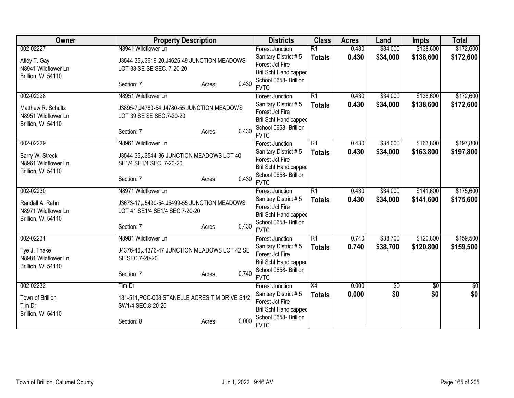| Owner                                  | <b>Property Description</b>                                            |                                              | <b>Districts</b>                               | <b>Class</b>    | <b>Acres</b> | Land     | <b>Impts</b> | <b>Total</b> |
|----------------------------------------|------------------------------------------------------------------------|----------------------------------------------|------------------------------------------------|-----------------|--------------|----------|--------------|--------------|
| 002-02227                              | N8941 Wildflower Ln                                                    |                                              | <b>Forest Junction</b>                         | $\overline{R1}$ | 0.430        | \$34,000 | \$138,600    | \$172,600    |
| Atley T. Gay                           | J3544-35, J3619-20, J4626-49 JUNCTION MEADOWS                          |                                              | Sanitary District #5                           | <b>Totals</b>   | 0.430        | \$34,000 | \$138,600    | \$172,600    |
| N8941 Wildflower Ln                    | LOT 38 SE-SE SEC. 7-20-20                                              |                                              | Forest Jct Fire                                |                 |              |          |              |              |
| Brillion, WI 54110                     |                                                                        |                                              | Bril Schl Handicapped                          |                 |              |          |              |              |
|                                        | Section: 7                                                             | 0.430<br>Acres:                              | School 0658- Brillion                          |                 |              |          |              |              |
| 002-02228                              | N8951 Wildflower Ln                                                    |                                              | <b>FVTC</b>                                    | $\overline{R1}$ | 0.430        | \$34,000 | \$138,600    | \$172,600    |
|                                        |                                                                        |                                              | <b>Forest Junction</b><br>Sanitary District #5 | <b>Totals</b>   |              |          |              |              |
| Matthew R. Schultz                     |                                                                        | J3895-7, J4780-54, J4780-55 JUNCTION MEADOWS |                                                |                 | 0.430        | \$34,000 | \$138,600    | \$172,600    |
| N8951 Wildflower Ln                    | LOT 39 SE SE SEC.7-20-20                                               |                                              | Forest Jct Fire<br>Bril Schl Handicapped       |                 |              |          |              |              |
| Brillion, WI 54110                     |                                                                        |                                              | School 0658- Brillion                          |                 |              |          |              |              |
|                                        | Section: 7                                                             | 0.430<br>Acres:                              | <b>FVTC</b>                                    |                 |              |          |              |              |
| 002-02229                              | N8961 Wildflower Ln                                                    |                                              | Forest Junction                                | $\overline{R1}$ | 0.430        | \$34,000 | \$163,800    | \$197,800    |
|                                        |                                                                        |                                              | Sanitary District #5                           | <b>Totals</b>   | 0.430        | \$34,000 | \$163,800    | \$197,800    |
| Barry W. Streck<br>N8961 Wildflower Ln | J3544-35, J3544-36 JUNCTION MEADOWS LOT 40<br>SE1/4 SE1/4 SEC. 7-20-20 |                                              | Forest Jct Fire                                |                 |              |          |              |              |
| Brillion, WI 54110                     |                                                                        |                                              | Bril Schl Handicapped                          |                 |              |          |              |              |
|                                        | Section: 7                                                             | 0.430<br>Acres:                              | School 0658- Brillion                          |                 |              |          |              |              |
|                                        |                                                                        |                                              | <b>FVTC</b>                                    |                 |              |          |              |              |
| 002-02230                              | N8971 Wildflower Ln                                                    |                                              | <b>Forest Junction</b>                         | $\overline{R1}$ | 0.430        | \$34,000 | \$141,600    | \$175,600    |
| Randall A. Rahn                        | J3673-17, J5499-54, J5499-55 JUNCTION MEADOWS                          |                                              | Sanitary District #5                           | <b>Totals</b>   | 0.430        | \$34,000 | \$141,600    | \$175,600    |
| N8971 Wildflower Ln                    | LOT 41 SE1/4 SE1/4 SEC.7-20-20                                         |                                              | Forest Jct Fire                                |                 |              |          |              |              |
| Brillion, WI 54110                     |                                                                        |                                              | Bril Schl Handicapped                          |                 |              |          |              |              |
|                                        | Section: 7                                                             | 0.430<br>Acres:                              | School 0658- Brillion                          |                 |              |          |              |              |
| 002-02231                              | N8981 Wildflower Ln                                                    |                                              | <b>FVTC</b><br>Forest Junction                 | $\overline{R1}$ | 0.740        | \$38,700 | \$120,800    | \$159,500    |
|                                        |                                                                        |                                              | Sanitary District #5                           | <b>Totals</b>   | 0.740        | \$38,700 | \$120,800    | \$159,500    |
| Tye J. Thake                           | J4376-46, J4376-47 JUNCTION MEADOWS LOT 42 SE                          |                                              | Forest Jct Fire                                |                 |              |          |              |              |
| N8981 Wildflower Ln                    | SE SEC.7-20-20                                                         |                                              | Bril Schl Handicapped                          |                 |              |          |              |              |
| Brillion, WI 54110                     |                                                                        |                                              | School 0658- Brillion                          |                 |              |          |              |              |
|                                        | Section: 7                                                             | 0.740<br>Acres:                              | <b>FVTC</b>                                    |                 |              |          |              |              |
| 002-02232                              | Tim Dr                                                                 |                                              | Forest Junction                                | X4              | 0.000        | \$0      | \$0          | \$0          |
| Town of Brillion                       | 181-511, PCC-008 STANELLE ACRES TIM DRIVE S1/2                         |                                              | Sanitary District #5                           | <b>Totals</b>   | 0.000        | \$0      | \$0          | \$0          |
| Tim Dr                                 | SW1/4 SEC.8-20-20                                                      |                                              | Forest Jct Fire                                |                 |              |          |              |              |
| Brillion, WI 54110                     |                                                                        |                                              | Bril Schl Handicapped                          |                 |              |          |              |              |
|                                        | Section: 8                                                             | 0.000<br>Acres:                              | School 0658- Brillion                          |                 |              |          |              |              |
|                                        |                                                                        |                                              | <b>FVTC</b>                                    |                 |              |          |              |              |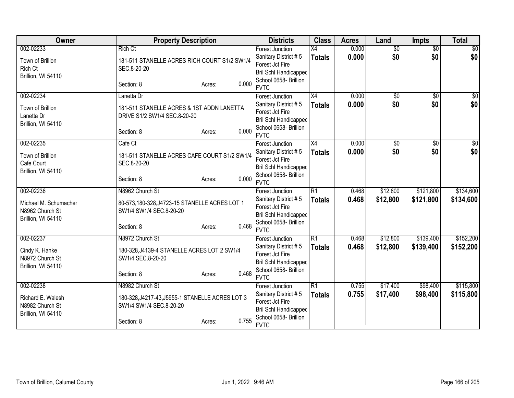| Owner                 | <b>Property Description</b>                     |                 | <b>Districts</b>                                      | <b>Class</b>    | <b>Acres</b> | Land            | <b>Impts</b>    | <b>Total</b>    |
|-----------------------|-------------------------------------------------|-----------------|-------------------------------------------------------|-----------------|--------------|-----------------|-----------------|-----------------|
| 002-02233             | <b>Rich Ct</b>                                  |                 | <b>Forest Junction</b>                                | $\overline{X4}$ | 0.000        | $\overline{50}$ | $\overline{50}$ | $\overline{50}$ |
| Town of Brillion      | 181-511 STANELLE ACRES RICH COURT S1/2 SW1/4    |                 | Sanitary District #5                                  | <b>Totals</b>   | 0.000        | \$0             | \$0             | \$0             |
| Rich Ct               | SEC.8-20-20                                     |                 | Forest Jct Fire                                       |                 |              |                 |                 |                 |
| Brillion, WI 54110    |                                                 |                 | <b>Bril Schl Handicapped</b>                          |                 |              |                 |                 |                 |
|                       | Section: 8                                      | 0.000<br>Acres: | School 0658- Brillion                                 |                 |              |                 |                 |                 |
|                       |                                                 |                 | <b>FVTC</b>                                           |                 |              |                 |                 |                 |
| 002-02234             | Lanetta Dr                                      |                 | <b>Forest Junction</b>                                | X4              | 0.000        | $\overline{50}$ | $\overline{50}$ | \$0             |
| Town of Brillion      | 181-511 STANELLE ACRES & 1ST ADDN LANETTA       |                 | Sanitary District #5                                  | <b>Totals</b>   | 0.000        | \$0             | \$0             | \$0             |
| Lanetta Dr            | DRIVE S1/2 SW1/4 SEC.8-20-20                    |                 | Forest Jct Fire                                       |                 |              |                 |                 |                 |
| Brillion, WI 54110    |                                                 |                 | <b>Bril Schl Handicapped</b>                          |                 |              |                 |                 |                 |
|                       | Section: 8                                      | 0.000<br>Acres: | School 0658- Brillion                                 |                 |              |                 |                 |                 |
|                       |                                                 |                 | <b>FVTC</b>                                           |                 |              |                 |                 |                 |
| 002-02235             | Cafe Ct                                         |                 | <b>Forest Junction</b>                                | X4              | 0.000        | \$0             | \$0             | \$0             |
| Town of Brillion      | 181-511 STANELLE ACRES CAFE COURT S1/2 SW1/4    |                 | Sanitary District #5                                  | <b>Totals</b>   | 0.000        | \$0             | \$0             | \$0             |
| Cafe Court            | SEC.8-20-20                                     |                 | Forest Jct Fire                                       |                 |              |                 |                 |                 |
| Brillion, WI 54110    |                                                 |                 | <b>Bril Schl Handicapped</b>                          |                 |              |                 |                 |                 |
|                       | Section: 8                                      | 0.000<br>Acres: | School 0658- Brillion                                 |                 |              |                 |                 |                 |
|                       |                                                 |                 | <b>FVTC</b>                                           |                 |              |                 |                 |                 |
| 002-02236             | N8962 Church St                                 |                 | <b>Forest Junction</b>                                | R1              | 0.468        | \$12,800        | \$121,800       | \$134,600       |
| Michael M. Schumacher | 80-573,180-328,J4723-15 STANELLE ACRES LOT 1    |                 | Sanitary District #5                                  | <b>Totals</b>   | 0.468        | \$12,800        | \$121,800       | \$134,600       |
| N8962 Church St       | SW1/4 SW1/4 SEC.8-20-20                         |                 | Forest Jct Fire                                       |                 |              |                 |                 |                 |
| Brillion, WI 54110    |                                                 |                 | Bril Schl Handicapped                                 |                 |              |                 |                 |                 |
|                       | Section: 8                                      | 0.468<br>Acres: | School 0658- Brillion<br><b>FVTC</b>                  |                 |              |                 |                 |                 |
|                       | N8972 Church St                                 |                 |                                                       | R1              |              |                 | \$139,400       | \$152,200       |
| 002-02237             |                                                 |                 | Forest Junction                                       |                 | 0.468        | \$12,800        |                 |                 |
| Cindy K. Hanke        | 180-328, J4139-4 STANELLE ACRES LOT 2 SW1/4     |                 | Sanitary District #5                                  | <b>Totals</b>   | 0.468        | \$12,800        | \$139,400       | \$152,200       |
| N8972 Church St       | SW1/4 SEC.8-20-20                               |                 | Forest Jct Fire                                       |                 |              |                 |                 |                 |
| Brillion, WI 54110    |                                                 |                 | <b>Bril Schl Handicapped</b><br>School 0658- Brillion |                 |              |                 |                 |                 |
|                       | Section: 8                                      | 0.468<br>Acres: | <b>FVTC</b>                                           |                 |              |                 |                 |                 |
| 002-02238             | N8982 Church St                                 |                 | Forest Junction                                       | R1              | 0.755        | \$17,400        | \$98,400        | \$115,800       |
|                       |                                                 |                 | Sanitary District #5                                  |                 | 0.755        | \$17,400        |                 |                 |
| Richard E. Walesh     | 180-328, J4217-43, J5955-1 STANELLE ACRES LOT 3 |                 | Forest Jct Fire                                       | <b>Totals</b>   |              |                 | \$98,400        | \$115,800       |
| N8982 Church St       | SW1/4 SW1/4 SEC.8-20-20                         |                 | <b>Bril Schl Handicapped</b>                          |                 |              |                 |                 |                 |
| Brillion, WI 54110    |                                                 |                 | School 0658- Brillion                                 |                 |              |                 |                 |                 |
|                       | Section: 8                                      | 0.755<br>Acres: | <b>FVTC</b>                                           |                 |              |                 |                 |                 |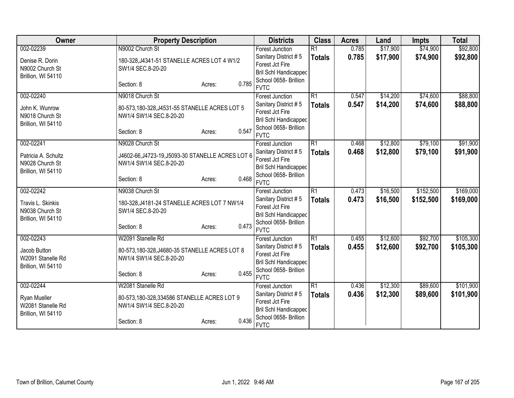| Owner               | <b>Property Description</b>                       |                 | <b>Districts</b>                                | <b>Class</b>    | <b>Acres</b> | Land     | <b>Impts</b> | <b>Total</b> |
|---------------------|---------------------------------------------------|-----------------|-------------------------------------------------|-----------------|--------------|----------|--------------|--------------|
| 002-02239           | N9002 Church St                                   |                 | Forest Junction                                 | $\overline{R1}$ | 0.785        | \$17,900 | \$74,900     | \$92,800     |
| Denise R. Dorin     | 180-328, J4341-51 STANELLE ACRES LOT 4 W1/2       |                 | Sanitary District #5                            | <b>Totals</b>   | 0.785        | \$17,900 | \$74,900     | \$92,800     |
| N9002 Church St     | SW1/4 SEC.8-20-20                                 |                 | Forest Jct Fire                                 |                 |              |          |              |              |
| Brillion, WI 54110  |                                                   |                 | <b>Bril Schl Handicapped</b>                    |                 |              |          |              |              |
|                     | Section: 8                                        | 0.785<br>Acres: | School 0658- Brillion                           |                 |              |          |              |              |
|                     |                                                   |                 | <b>FVTC</b>                                     |                 |              |          |              |              |
| 002-02240           | N9018 Church St                                   |                 | Forest Junction                                 | $\overline{R1}$ | 0.547        | \$14,200 | \$74,600     | \$88,800     |
| John K. Wunrow      | 80-573,180-328,J4531-55 STANELLE ACRES LOT 5      |                 | Sanitary District #5                            | <b>Totals</b>   | 0.547        | \$14,200 | \$74,600     | \$88,800     |
| N9018 Church St     | NW1/4 SW1/4 SEC.8-20-20                           |                 | Forest Jct Fire                                 |                 |              |          |              |              |
| Brillion, WI 54110  |                                                   |                 | <b>Bril Schl Handicapped</b>                    |                 |              |          |              |              |
|                     | Section: 8                                        | 0.547<br>Acres: | School 0658- Brillion                           |                 |              |          |              |              |
|                     |                                                   |                 | <b>FVTC</b>                                     |                 |              |          |              |              |
| 002-02241           | N9028 Church St                                   |                 | <b>Forest Junction</b>                          | $\overline{R1}$ | 0.468        | \$12,800 | \$79,100     | \$91,900     |
| Patricia A. Schultz | J4602-66, J4723-19, J5093-30 STANELLE ACRES LOT 6 |                 | Sanitary District #5                            | <b>Totals</b>   | 0.468        | \$12,800 | \$79,100     | \$91,900     |
| N9028 Church St     | NW1/4 SW1/4 SEC.8-20-20                           |                 | Forest Jct Fire                                 |                 |              |          |              |              |
| Brillion, WI 54110  |                                                   |                 | <b>Bril Schl Handicapped</b>                    |                 |              |          |              |              |
|                     | Section: 8                                        | 0.468<br>Acres: | School 0658- Brillion                           |                 |              |          |              |              |
|                     |                                                   |                 | <b>FVTC</b>                                     |                 |              |          |              |              |
| 002-02242           | N9038 Church St                                   |                 | <b>Forest Junction</b>                          | $\overline{R1}$ | 0.473        | \$16,500 | \$152,500    | \$169,000    |
| Travis L. Skinkis   | 180-328, J4181-24 STANELLE ACRES LOT 7 NW1/4      |                 | Sanitary District #5                            | <b>Totals</b>   | 0.473        | \$16,500 | \$152,500    | \$169,000    |
| N9038 Church St     | SW1/4 SEC.8-20-20                                 |                 | Forest Jct Fire                                 |                 |              |          |              |              |
| Brillion, WI 54110  |                                                   |                 | Bril Schl Handicapped                           |                 |              |          |              |              |
|                     | Section: 8                                        | 0.473<br>Acres: | School 0658- Brillion<br><b>FVTC</b>            |                 |              |          |              |              |
| 002-02243           |                                                   |                 |                                                 | $\overline{R1}$ | 0.455        | \$12,600 | \$92,700     | \$105,300    |
|                     | W2091 Stanelle Rd                                 |                 | Forest Junction                                 |                 |              |          |              |              |
| Jacob Button        | 80-573,180-328,J4680-35 STANELLE ACRES LOT 8      |                 | Sanitary District #5                            | <b>Totals</b>   | 0.455        | \$12,600 | \$92,700     | \$105,300    |
| W2091 Stanelle Rd   | NW1/4 SW1/4 SEC.8-20-20                           |                 | Forest Jct Fire<br><b>Bril Schl Handicapped</b> |                 |              |          |              |              |
| Brillion, WI 54110  |                                                   |                 | School 0658- Brillion                           |                 |              |          |              |              |
|                     | Section: 8                                        | 0.455<br>Acres: | <b>FVTC</b>                                     |                 |              |          |              |              |
| 002-02244           | W2081 Stanelle Rd                                 |                 | <b>Forest Junction</b>                          | $\overline{R1}$ | 0.436        | \$12,300 | \$89,600     | \$101,900    |
|                     |                                                   |                 | Sanitary District #5                            | <b>Totals</b>   | 0.436        | \$12,300 | \$89,600     | \$101,900    |
| <b>Ryan Mueller</b> | 80-573,180-328,334586 STANELLE ACRES LOT 9        |                 | Forest Jct Fire                                 |                 |              |          |              |              |
| W2081 Stanelle Rd   | NW1/4 SW1/4 SEC.8-20-20                           |                 | <b>Bril Schl Handicapped</b>                    |                 |              |          |              |              |
| Brillion, WI 54110  |                                                   |                 | School 0658- Brillion                           |                 |              |          |              |              |
|                     | Section: 8                                        | 0.436<br>Acres: | <b>FVTC</b>                                     |                 |              |          |              |              |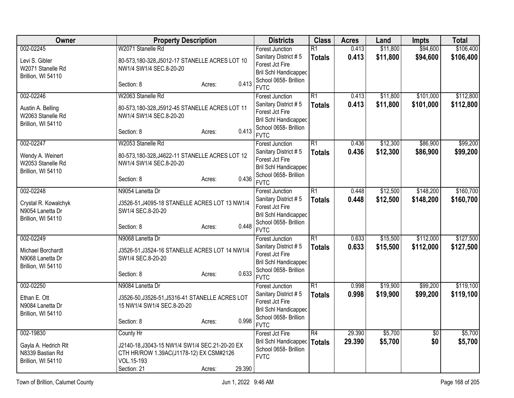| Owner                                                                       | <b>Property Description</b>                                                                                                                             | <b>Districts</b>                                                                                                                          | <b>Class</b>                     | <b>Acres</b>     | Land                 | Impts                  | <b>Total</b>           |
|-----------------------------------------------------------------------------|---------------------------------------------------------------------------------------------------------------------------------------------------------|-------------------------------------------------------------------------------------------------------------------------------------------|----------------------------------|------------------|----------------------|------------------------|------------------------|
| 002-02245<br>Levi S. Gibler<br>W2071 Stanelle Rd<br>Brillion, WI 54110      | W2071 Stanelle Rd<br>80-573,180-328, J5012-17 STANELLE ACRES LOT 10<br>NW1/4 SW1/4 SEC.8-20-20                                                          | <b>Forest Junction</b><br>Sanitary District #5<br>Forest Jct Fire<br>Bril Schl Handicapped<br>School 0658- Brillion                       | $\overline{R1}$<br><b>Totals</b> | 0.413<br>0.413   | \$11,800<br>\$11,800 | \$94,600<br>\$94,600   | \$106,400<br>\$106,400 |
|                                                                             | 0.413<br>Section: 8<br>Acres:                                                                                                                           | <b>FVTC</b>                                                                                                                               |                                  |                  |                      |                        |                        |
| 002-02246<br>Austin A. Belling<br>W2063 Stanelle Rd<br>Brillion, WI 54110   | W2063 Stanelle Rd<br>80-573,180-328, J5912-45 STANELLE ACRES LOT 11<br>NW1/4 SW1/4 SEC.8-20-20<br>0.413<br>Section: 8<br>Acres:                         | <b>Forest Junction</b><br>Sanitary District #5<br>Forest Jct Fire<br><b>Bril Schl Handicapped</b><br>School 0658- Brillion<br><b>FVTC</b> | $\overline{R1}$<br><b>Totals</b> | 0.413<br>0.413   | \$11,800<br>\$11,800 | \$101,000<br>\$101,000 | \$112,800<br>\$112,800 |
| 002-02247<br>Wendy A. Weinert<br>W2053 Stanelle Rd<br>Brillion, WI 54110    | W2053 Stanelle Rd<br>80-573,180-328,J4622-11 STANELLE ACRES LOT 12<br>NW1/4 SW1/4 SEC.8-20-20<br>0.436<br>Section: 8<br>Acres:                          | <b>Forest Junction</b><br>Sanitary District #5<br>Forest Jct Fire<br>Bril Schl Handicapped<br>School 0658- Brillion<br><b>FVTC</b>        | $\overline{R1}$<br><b>Totals</b> | 0.436<br>0.436   | \$12,300<br>\$12,300 | \$86,900<br>\$86,900   | \$99,200<br>\$99,200   |
| 002-02248<br>Crystal R. Kowalchyk<br>N9054 Lanetta Dr<br>Brillion, WI 54110 | N9054 Lanetta Dr<br>J3526-51, J4095-18 STANELLE ACRES LOT 13 NW1/4<br>SW1/4 SEC.8-20-20<br>0.448<br>Section: 8<br>Acres:                                | <b>Forest Junction</b><br>Sanitary District #5<br>Forest Jct Fire<br><b>Bril Schl Handicapped</b><br>School 0658- Brillion<br><b>FVTC</b> | $\overline{R1}$<br><b>Totals</b> | 0.448<br>0.448   | \$12,500<br>\$12,500 | \$148,200<br>\$148,200 | \$160,700<br>\$160,700 |
| 002-02249<br>Michael Borchardt<br>N9068 Lanetta Dr<br>Brillion, WI 54110    | N9068 Lanetta Dr<br>J3526-51, J3524-16 STANELLE ACRES LOT 14 NW1/4<br>SW1/4 SEC.8-20-20<br>0.633<br>Section: 8<br>Acres:                                | <b>Forest Junction</b><br>Sanitary District #5<br>Forest Jct Fire<br><b>Bril Schl Handicapped</b><br>School 0658- Brillion<br><b>FVTC</b> | $\overline{R1}$<br><b>Totals</b> | 0.633<br>0.633   | \$15,500<br>\$15,500 | \$112,000<br>\$112,000 | \$127,500<br>\$127,500 |
| 002-02250<br>Ethan E. Ott<br>N9084 Lanetta Dr<br>Brillion, WI 54110         | N9084 Lanetta Dr<br>J3526-50, J3526-51, J5316-41 STANELLE ACRES LOT<br>15 NW1/4 SW1/4 SEC.8-20-20<br>0.998<br>Section: 8<br>Acres:                      | <b>Forest Junction</b><br>Sanitary District #5<br>Forest Jct Fire<br><b>Bril Schl Handicapped</b><br>School 0658- Brillion<br><b>FVTC</b> | $\overline{R1}$<br><b>Totals</b> | 0.998<br>0.998   | \$19,900<br>\$19,900 | \$99,200<br>\$99,200   | \$119,100<br>\$119,100 |
| 002-19830<br>Gayla A. Hedrich Rlt<br>N8339 Bastian Rd<br>Brillion, WI 54110 | County Hr<br>J2140-18, J3043-15 NW1/4 SW1/4 SEC.21-20-20 EX<br>CTH HR/ROW 1.39AC(J1178-12) EX CSM#2126<br>VOL.15-193<br>29.390<br>Section: 21<br>Acres: | Forest Jct Fire<br>Bril Schl Handicapped<br>School 0658- Brillion<br><b>FVTC</b>                                                          | R4<br>Totals                     | 29.390<br>29.390 | \$5,700<br>\$5,700   | \$0<br>\$0             | \$5,700<br>\$5,700     |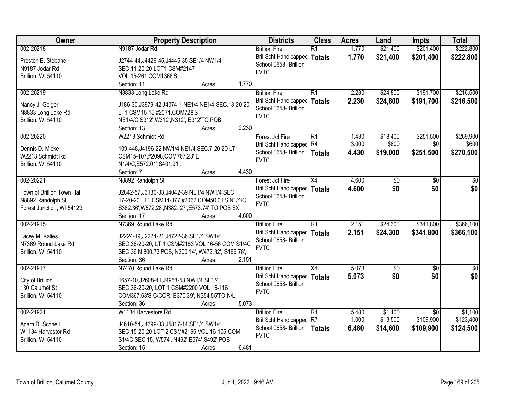| Owner                      | <b>Property Description</b>                          | <b>Districts</b>             | <b>Class</b>         | <b>Acres</b>   | Land                | Impts                        | <b>Total</b>         |
|----------------------------|------------------------------------------------------|------------------------------|----------------------|----------------|---------------------|------------------------------|----------------------|
| 002-20218                  | N9187 Jodar Rd                                       | <b>Brillion Fire</b>         | $\overline{R1}$      | 1.770          | \$21,400            | \$201,400                    | \$222,800            |
| Preston E. Stebane         | J2744-44, J4429-45, J4445-35 SE1/4 NW1/4             | <b>Bril Schl Handicapped</b> | <b>Totals</b>        | 1.770          | \$21,400            | \$201,400                    | \$222,800            |
| N9187 Jodar Rd             | SEC.11-20-20 LOT1 CSM#2147                           | School 0658- Brillion        |                      |                |                     |                              |                      |
| Brillion, WI 54110         | VOL.15-261, COM1366'S                                | <b>FVTC</b>                  |                      |                |                     |                              |                      |
|                            | 1.770<br>Section: 11<br>Acres:                       |                              |                      |                |                     |                              |                      |
| 002-20219                  | N8833 Long Lake Rd                                   | <b>Brillion Fire</b>         | $\overline{R1}$      | 2.230          | \$24,800            | \$191,700                    | \$216,500            |
|                            |                                                      | Bril Schl Handicapped        | <b>Totals</b>        | 2.230          | \$24,800            | \$191,700                    | \$216,500            |
| Nancy J. Geiger            | J186-30, J3979-42, J4074-1 NE1/4 NE1/4 SEC. 13-20-20 | School 0658- Brillion        |                      |                |                     |                              |                      |
| N8833 Long Lake Rd         | LT1 CSM15-15 #2071, COM728'S                         | <b>FVTC</b>                  |                      |                |                     |                              |                      |
| Brillion, WI 54110         | NE1/4/C,S312',W312',N312', E312'TO POB               |                              |                      |                |                     |                              |                      |
|                            | 2.230<br>Section: 13<br>Acres:                       |                              |                      |                |                     |                              |                      |
| 002-20220                  | W2213 Schmidt Rd                                     | Forest Jct Fire              | $\overline{R1}$      | 1.430          | \$18,400            | \$251,500                    | \$269,900            |
| Dennis D. Micke            | 109-448, J4196-22 NW1/4 NE1/4 SEC. 7-20-20 LT1       | Bril Schl Handicapped R4     |                      | 3.000          | \$600               | \$0                          | \$600                |
| W2213 Schmidt Rd           | CSM15-107,#2098,COM767.23' E                         | School 0658- Brillion        | <b>Totals</b>        | 4.430          | \$19,000            | \$251,500                    | \$270,500            |
| Brillion, WI 54110         | N1/4/C,E572.01',S401.91',                            | <b>FVTC</b>                  |                      |                |                     |                              |                      |
|                            | 4.430<br>Section: 7<br>Acres:                        |                              |                      |                |                     |                              |                      |
| 002-20221                  | N8892 Randolph St                                    | Forest Jct Fire              | X4                   | 4.600          | \$0                 | \$0                          | \$0                  |
|                            |                                                      | <b>Bril Schl Handicapped</b> | <b>Totals</b>        | 4.600          | \$0                 | \$0                          | \$0                  |
| Town of Brillion Town Hall | J2842-57, J3130-33, J4042-39 NE1/4 NW1/4 SEC         | School 0658- Brillion        |                      |                |                     |                              |                      |
| N8892 Randolph St          | 17-20-20 LT1 CSM14-377 #2062, COM50.01'S N1/4/C      | <b>FVTC</b>                  |                      |                |                     |                              |                      |
| Forest Junction, WI 54123  | S382.36', W572.28', N382. 27', E573.74' TO POB EX    |                              |                      |                |                     |                              |                      |
|                            | 4.600<br>Section: 17<br>Acres:                       |                              |                      |                |                     |                              |                      |
| 002-21915                  | N7369 Round Lake Rd                                  | <b>Brillion Fire</b>         | $\overline{R1}$      | 2.151          | \$24,300            | \$341,800                    | \$366,100            |
| Lacey M. Kalies            | J2224-19, J2224-21, J4722-36 SE1/4 SW1/4             | Bril Schl Handicapped        | <b>Totals</b>        | 2.151          | \$24,300            | \$341,800                    | \$366,100            |
| N7369 Round Lake Rd        | SEC.36-20-20, LT 1 CSM#2183 VOL 16-56 COM S1/4C      | School 0658- Brillion        |                      |                |                     |                              |                      |
| Brillion, WI 54110         | SEC 36 N 800.73'POB, N200.14', W472.32', S196.78',   | <b>FVTC</b>                  |                      |                |                     |                              |                      |
|                            | Section: 36<br>2.151<br>Acres:                       |                              |                      |                |                     |                              |                      |
| 002-21917                  | N7470 Round Lake Rd                                  | <b>Brillion Fire</b>         | X4                   | 5.073          | $\sqrt{30}$         | $\overline{50}$              | $\frac{6}{3}$        |
|                            |                                                      | Bril Schl Handicapped        | <b>Totals</b>        | 5.073          | \$0                 | \$0                          | \$0                  |
| City of Brillion           | 1657-10, J2608-41, J4958-53 NW1/4 SE1/4              | School 0658- Brillion        |                      |                |                     |                              |                      |
| 130 Calumet St             | SEC.36-20-20, LOT 1 CSM#2200 VOL 16-116              | <b>FVTC</b>                  |                      |                |                     |                              |                      |
| Brillion, WI 54110         | COM367.63'S C/COR, E370.39', N354.55'TO N/L<br>5.073 |                              |                      |                |                     |                              |                      |
|                            | Section: 36<br>Acres:                                |                              |                      |                |                     |                              |                      |
| 002-21921                  | W1134 Harvestore Rd                                  | <b>Brillion Fire</b>         | R4<br>R <sub>7</sub> | 5.480<br>1.000 | \$1,100<br>\$13,500 | $\overline{50}$<br>\$109,900 | \$1,100<br>\$123,400 |
| Adam D. Schnell            | J4610-54, J4699-33, J5817-14 SE1/4 SW1/4             | Bril Schl Handicapped        |                      |                |                     |                              |                      |
| W1134 Harvestor Rd         | SEC.15-20-20 LOT 2 CSM#2196 VOL.16-105 COM           | School 0658- Brillion        | <b>Totals</b>        | 6.480          | \$14,600            | \$109,900                    | \$124,500            |
| Brillion, WI 54110         | S1/4C SEC 15, W574', N492' E574', S492' POB          | <b>FVTC</b>                  |                      |                |                     |                              |                      |
|                            | 6.481<br>Section: 15<br>Acres:                       |                              |                      |                |                     |                              |                      |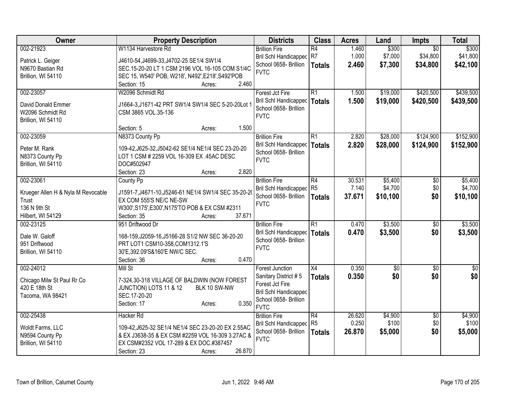| Owner                              | <b>Property Description</b>                          | <b>Districts</b>                        | <b>Class</b>    | <b>Acres</b> | Land       | <b>Impts</b>           | <b>Total</b>           |
|------------------------------------|------------------------------------------------------|-----------------------------------------|-----------------|--------------|------------|------------------------|------------------------|
| 002-21923                          | W1134 Harvestore Rd                                  | <b>Brillion Fire</b>                    | $\overline{R4}$ | 1.460        | \$300      | $\overline{50}$        | \$300                  |
| Patrick L. Geiger                  | J4610-54, J4699-33, J4702-25 SE1/4 SW1/4             | Bril Schl Handicapped R7                |                 | 1.000        | \$7,000    | \$34,800               | \$41,800               |
| N9670 Bastian Rd                   | SEC.15-20-20 LT 1 CSM 2196 VOL 16-105 COM S1/4C      | School 0658- Brillion                   | <b>Totals</b>   | 2.460        | \$7,300    | \$34,800               | \$42,100               |
| Brillion, WI 54110                 | SEC 15, W540' POB, W218', N492', E218', S492'POB     | <b>FVTC</b>                             |                 |              |            |                        |                        |
|                                    | 2.460<br>Section: 15<br>Acres:                       |                                         |                 |              |            |                        |                        |
| 002-23057                          | W2096 Schmidt Rd                                     | Forest Jct Fire                         | $\overline{R1}$ | 1.500        | \$19,000   | \$420,500              | \$439,500              |
|                                    |                                                      | <b>Bril Schl Handicapped</b>            | <b>Totals</b>   | 1.500        | \$19,000   | \$420,500              | \$439,500              |
| David Donald Emmer                 | J1664-3, J1671-42 PRT SW1/4 SW1/4 SEC 5-20-20Lot 1   | School 0658- Brillion                   |                 |              |            |                        |                        |
| W2096 Schmidt Rd                   | CSM 3865 VOL.35-136                                  | <b>FVTC</b>                             |                 |              |            |                        |                        |
| Brillion, WI 54110                 | 1.500<br>Section: 5<br>Acres:                        |                                         |                 |              |            |                        |                        |
| 002-23059                          | N8373 County Pp                                      | <b>Brillion Fire</b>                    | $\overline{R1}$ | 2.820        | \$28,000   | \$124,900              | \$152,900              |
|                                    |                                                      | <b>Bril Schl Handicapped</b>            | <b>Totals</b>   | 2.820        | \$28,000   | \$124,900              | \$152,900              |
| Peter M. Rank                      | 109-42, J625-32, J5042-62 SE1/4 NE1/4 SEC 23-20-20   | School 0658- Brillion                   |                 |              |            |                        |                        |
| N8373 County Pp                    | LOT 1 CSM # 2259 VOL 16-309 EX .45AC DESC            | <b>FVTC</b>                             |                 |              |            |                        |                        |
| Brillion, WI 54110                 | DOC#502947                                           |                                         |                 |              |            |                        |                        |
|                                    | 2.820<br>Section: 23<br>Acres:                       |                                         |                 |              |            |                        |                        |
| 002-23061                          | County Pp                                            | <b>Brillion Fire</b>                    | $\overline{R4}$ | 30.531       | \$5,400    | \$0                    | \$5,400                |
| Krueger Allen H & Nyla M Revocable | J1591-7, J4671-10, J5246-61 NE1/4 SW1/4 SEC 35-20-20 | Bril Schl Handicapped                   | R <sub>5</sub>  | 7.140        | \$4,700    | \$0                    | \$4,700                |
| Trust                              | EX COM 555'S NE/C NE-SW                              | School 0658- Brillion                   | <b>Totals</b>   | 37.671       | \$10,100   | \$0                    | \$10,100               |
| 136 N 9th St                       | W300', S175', E300', N175'TO POB & EX CSM #2311      | <b>FVTC</b>                             |                 |              |            |                        |                        |
| Hilbert, WI 54129                  | 37.671<br>Section: 35<br>Acres:                      |                                         |                 |              |            |                        |                        |
| 002-23125                          | 951 Driftwood Dr                                     | <b>Brillion Fire</b>                    | R1              | 0.470        | \$3,500    | $\sqrt[6]{30}$         | \$3,500                |
|                                    |                                                      | Bril Schl Handicapped                   | <b>Totals</b>   | 0.470        | \$3,500    | \$0                    | \$3,500                |
| Dale W. Galoff                     | 168-159, J2059-16, J5166-28 S1/2 NW SEC 36-20-20     | School 0658- Brillion                   |                 |              |            |                        |                        |
| 951 Driftwood                      | PRT LOT1 CSM10-358, COM1312.1'S                      | <b>FVTC</b>                             |                 |              |            |                        |                        |
| Brillion, WI 54110                 | 30'E,392.09'S&160'E NW/C SEC.<br>0.470               |                                         |                 |              |            |                        |                        |
| 002-24012                          | Section: 36<br>Acres:                                |                                         | $\overline{X4}$ |              |            |                        |                        |
|                                    | Mill St                                              | <b>Forest Junction</b>                  |                 | 0.350        | $\sqrt{6}$ | $\overline{30}$<br>\$0 | $\overline{50}$<br>\$0 |
| Chicago Milw St Paul Rr Co         | 7-324,30-318 VILLAGE OF BALDWIN (NOW FOREST          | Sanitary District #5<br>Forest Jct Fire | <b>Totals</b>   | 0.350        | \$0        |                        |                        |
| 420 E 18th St                      | JUNCTION) LOTS 11 & 12<br>BLK 10 SW-NW               | Bril Schl Handicapped                   |                 |              |            |                        |                        |
| Tacoma, WA 98421                   | SEC.17-20-20                                         | School 0658- Brillion                   |                 |              |            |                        |                        |
|                                    | 0.350<br>Section: 17<br>Acres:                       | <b>FVTC</b>                             |                 |              |            |                        |                        |
| 002-25438                          | Hacker Rd                                            | <b>Brillion Fire</b>                    | $\overline{R4}$ | 26.620       | \$4,900    | $\overline{50}$        | \$4,900                |
|                                    |                                                      | <b>Bril Schl Handicapped</b>            | R <sub>5</sub>  | 0.250        | \$100      | \$0                    | \$100                  |
| Woldt Farms, LLC                   | 109-42, J625-32 SE1/4 NE1/4 SEC 23-20-20 EX 2.55AC   | School 0658- Brillion                   | <b>Totals</b>   | 26.870       | \$5,000    | \$0                    | \$5,000                |
| N9594 County Pp                    | & EX J3638-35 & EX CSM #2259 VOL 16-309 3.27AC &     | <b>FVTC</b>                             |                 |              |            |                        |                        |
| Brillion, WI 54110                 | EX CSM#2352 VOL 17-289 & EX DOC.#387457              |                                         |                 |              |            |                        |                        |
|                                    | 26.870<br>Section: 23<br>Acres:                      |                                         |                 |              |            |                        |                        |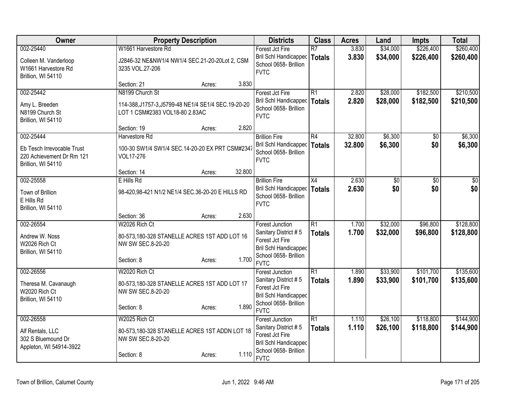| 002-25440<br>3.830<br>\$34,000<br>Forest Jct Fire<br>$\overline{R7}$<br>Bril Schl Handicapped<br>3.830<br>\$34,000<br>\$226,400<br>Totals<br>J2846-32 NE&NW1/4 NW1/4 SEC.21-20-20Lot 2, CSM<br>Colleen M. Vanderloop<br>School 0658- Brillion<br>W1661 Harvestore Rd<br>3235 VOL.27-206<br><b>FVTC</b><br>Brillion, WI 54110<br>3.830<br>Section: 21<br>Acres:<br>002-25442<br>N8199 Church St<br>R1<br>\$28,000<br>\$182,500<br>Forest Jct Fire<br>2.820<br>2.820<br>\$28,000<br>\$182,500<br>Bril Schl Handicapped<br><b>Totals</b><br>Amy L. Breeden<br>114-388, J1757-3, J5799-48 NE1/4 SE1/4 SEC. 19-20-20<br>School 0658- Brillion<br>N8199 Church St<br>LOT 1 CSM#2383 VOL18-80 2.83AC<br><b>FVTC</b><br>Brillion, WI 54110<br>2.820<br>Section: 19<br>Acres:<br>002-25444<br>R4<br>32.800<br>\$6,300<br>Harvestore Rd<br><b>Brillion Fire</b><br>$\sqrt{50}$<br>Bril Schl Handicapped<br>32.800<br>\$6,300<br>\$0<br><b>Totals</b><br>Eb Tesch Irrevocable Trust<br>100-30 SW1/4 SW1/4 SEC.14-20-20 EX PRT CSM#2341<br>School 0658- Brillion<br>220 Achievement Dr Rm 121<br>VOL17-276<br><b>FVTC</b><br>Brillion, WI 54110<br>32.800<br>Section: 14<br>Acres:<br>E Hills Rd<br>2.630<br>002-25558<br><b>Brillion Fire</b><br>X4<br>\$0<br>\$0<br>\$0<br>Bril Schl Handicapped<br>2.630<br>\$0<br><b>Totals</b><br>98-420,98-421 N1/2 NE1/4 SEC.36-20-20 E HILLS RD<br>Town of Brillion<br>School 0658- Brillion<br>E Hills Rd<br><b>FVTC</b><br>Brillion, WI 54110<br>2.630<br>Section: 36<br>Acres:<br>002-26554<br>W2026 Rich Ct<br>$\overline{R1}$<br>\$32,000<br>\$96,800<br>1.700<br><b>Forest Junction</b><br>1.700<br>\$32,000<br>Sanitary District #5<br>\$96,800<br><b>Totals</b><br>80-573,180-328 STANELLE ACRES 1ST ADD LOT 16<br>Andrew W. Noss<br>Forest Jct Fire<br>W2026 Rich Ct<br>NW SW SEC.8-20-20<br><b>Bril Schl Handicapped</b><br>Brillion, WI 54110<br>School 0658- Brillion<br>1.700<br>Section: 8<br>Acres:<br><b>FVTC</b><br>002-26556<br>W2020 Rich Ct<br>R1<br>\$33,900<br>\$101,700<br>1.890<br>Forest Junction<br>Sanitary District #5<br>1.890<br>\$33,900<br>\$101,700<br><b>Totals</b><br>Theresa M. Cavanaugh<br>80-573,180-328 STANELLE ACRES 1ST ADD LOT 17<br>Forest Jct Fire<br>W2020 Rich Ct<br>NW SW SEC.8-20-20<br>Bril Schl Handicapped<br>Brillion, WI 54110<br>School 0658- Brillion<br>1.890<br>Section: 8<br>Acres:<br><b>FVTC</b><br>$\overline{R1}$<br>\$118,800<br>002-26558<br>W2025 Rich Ct<br>1.110<br>\$26,100<br><b>Forest Junction</b><br>Sanitary District #5<br>1.110<br>\$26,100<br>\$118,800<br><b>Totals</b><br>Alf Rentals, LLC<br>80-573,180-328 STANELLE ACRES 1ST ADDN LOT 18<br>Forest Jct Fire<br>302 S Bluemound Dr<br>NW SW SEC.8-20-20<br><b>Bril Schl Handicapped</b> | Owner                   | <b>Property Description</b> | <b>Districts</b> | <b>Class</b> | <b>Acres</b> | Land | <b>Impts</b> | <b>Total</b>           |
|-------------------------------------------------------------------------------------------------------------------------------------------------------------------------------------------------------------------------------------------------------------------------------------------------------------------------------------------------------------------------------------------------------------------------------------------------------------------------------------------------------------------------------------------------------------------------------------------------------------------------------------------------------------------------------------------------------------------------------------------------------------------------------------------------------------------------------------------------------------------------------------------------------------------------------------------------------------------------------------------------------------------------------------------------------------------------------------------------------------------------------------------------------------------------------------------------------------------------------------------------------------------------------------------------------------------------------------------------------------------------------------------------------------------------------------------------------------------------------------------------------------------------------------------------------------------------------------------------------------------------------------------------------------------------------------------------------------------------------------------------------------------------------------------------------------------------------------------------------------------------------------------------------------------------------------------------------------------------------------------------------------------------------------------------------------------------------------------------------------------------------------------------------------------------------------------------------------------------------------------------------------------------------------------------------------------------------------------------------------------------------------------------------------------------------------------------------------------------------------------------------------------------------------------------------------------------------------------------------------------------------------------------------------------------------------------------------------------------------------------------------|-------------------------|-----------------------------|------------------|--------------|--------------|------|--------------|------------------------|
|                                                                                                                                                                                                                                                                                                                                                                                                                                                                                                                                                                                                                                                                                                                                                                                                                                                                                                                                                                                                                                                                                                                                                                                                                                                                                                                                                                                                                                                                                                                                                                                                                                                                                                                                                                                                                                                                                                                                                                                                                                                                                                                                                                                                                                                                                                                                                                                                                                                                                                                                                                                                                                                                                                                                                       |                         | W1661 Harvestore Rd         |                  |              |              |      | \$226,400    | \$260,400<br>\$260,400 |
|                                                                                                                                                                                                                                                                                                                                                                                                                                                                                                                                                                                                                                                                                                                                                                                                                                                                                                                                                                                                                                                                                                                                                                                                                                                                                                                                                                                                                                                                                                                                                                                                                                                                                                                                                                                                                                                                                                                                                                                                                                                                                                                                                                                                                                                                                                                                                                                                                                                                                                                                                                                                                                                                                                                                                       |                         |                             |                  |              |              |      |              |                        |
|                                                                                                                                                                                                                                                                                                                                                                                                                                                                                                                                                                                                                                                                                                                                                                                                                                                                                                                                                                                                                                                                                                                                                                                                                                                                                                                                                                                                                                                                                                                                                                                                                                                                                                                                                                                                                                                                                                                                                                                                                                                                                                                                                                                                                                                                                                                                                                                                                                                                                                                                                                                                                                                                                                                                                       |                         |                             |                  |              |              |      |              | \$210,500<br>\$210,500 |
|                                                                                                                                                                                                                                                                                                                                                                                                                                                                                                                                                                                                                                                                                                                                                                                                                                                                                                                                                                                                                                                                                                                                                                                                                                                                                                                                                                                                                                                                                                                                                                                                                                                                                                                                                                                                                                                                                                                                                                                                                                                                                                                                                                                                                                                                                                                                                                                                                                                                                                                                                                                                                                                                                                                                                       |                         |                             |                  |              |              |      |              | \$6,300                |
|                                                                                                                                                                                                                                                                                                                                                                                                                                                                                                                                                                                                                                                                                                                                                                                                                                                                                                                                                                                                                                                                                                                                                                                                                                                                                                                                                                                                                                                                                                                                                                                                                                                                                                                                                                                                                                                                                                                                                                                                                                                                                                                                                                                                                                                                                                                                                                                                                                                                                                                                                                                                                                                                                                                                                       |                         |                             |                  |              |              |      |              | \$6,300                |
|                                                                                                                                                                                                                                                                                                                                                                                                                                                                                                                                                                                                                                                                                                                                                                                                                                                                                                                                                                                                                                                                                                                                                                                                                                                                                                                                                                                                                                                                                                                                                                                                                                                                                                                                                                                                                                                                                                                                                                                                                                                                                                                                                                                                                                                                                                                                                                                                                                                                                                                                                                                                                                                                                                                                                       |                         |                             |                  |              |              |      |              |                        |
|                                                                                                                                                                                                                                                                                                                                                                                                                                                                                                                                                                                                                                                                                                                                                                                                                                                                                                                                                                                                                                                                                                                                                                                                                                                                                                                                                                                                                                                                                                                                                                                                                                                                                                                                                                                                                                                                                                                                                                                                                                                                                                                                                                                                                                                                                                                                                                                                                                                                                                                                                                                                                                                                                                                                                       |                         |                             |                  |              |              |      |              | $\overline{30}$<br>\$0 |
|                                                                                                                                                                                                                                                                                                                                                                                                                                                                                                                                                                                                                                                                                                                                                                                                                                                                                                                                                                                                                                                                                                                                                                                                                                                                                                                                                                                                                                                                                                                                                                                                                                                                                                                                                                                                                                                                                                                                                                                                                                                                                                                                                                                                                                                                                                                                                                                                                                                                                                                                                                                                                                                                                                                                                       |                         |                             |                  |              |              |      |              |                        |
|                                                                                                                                                                                                                                                                                                                                                                                                                                                                                                                                                                                                                                                                                                                                                                                                                                                                                                                                                                                                                                                                                                                                                                                                                                                                                                                                                                                                                                                                                                                                                                                                                                                                                                                                                                                                                                                                                                                                                                                                                                                                                                                                                                                                                                                                                                                                                                                                                                                                                                                                                                                                                                                                                                                                                       |                         |                             |                  |              |              |      |              | \$128,800<br>\$128,800 |
|                                                                                                                                                                                                                                                                                                                                                                                                                                                                                                                                                                                                                                                                                                                                                                                                                                                                                                                                                                                                                                                                                                                                                                                                                                                                                                                                                                                                                                                                                                                                                                                                                                                                                                                                                                                                                                                                                                                                                                                                                                                                                                                                                                                                                                                                                                                                                                                                                                                                                                                                                                                                                                                                                                                                                       |                         |                             |                  |              |              |      |              | \$135,600<br>\$135,600 |
|                                                                                                                                                                                                                                                                                                                                                                                                                                                                                                                                                                                                                                                                                                                                                                                                                                                                                                                                                                                                                                                                                                                                                                                                                                                                                                                                                                                                                                                                                                                                                                                                                                                                                                                                                                                                                                                                                                                                                                                                                                                                                                                                                                                                                                                                                                                                                                                                                                                                                                                                                                                                                                                                                                                                                       |                         |                             |                  |              |              |      |              |                        |
| School 0658- Brillion<br>1.110<br>Section: 8<br>Acres:                                                                                                                                                                                                                                                                                                                                                                                                                                                                                                                                                                                                                                                                                                                                                                                                                                                                                                                                                                                                                                                                                                                                                                                                                                                                                                                                                                                                                                                                                                                                                                                                                                                                                                                                                                                                                                                                                                                                                                                                                                                                                                                                                                                                                                                                                                                                                                                                                                                                                                                                                                                                                                                                                                | Appleton, WI 54914-3922 |                             |                  |              |              |      |              | \$144,900<br>\$144,900 |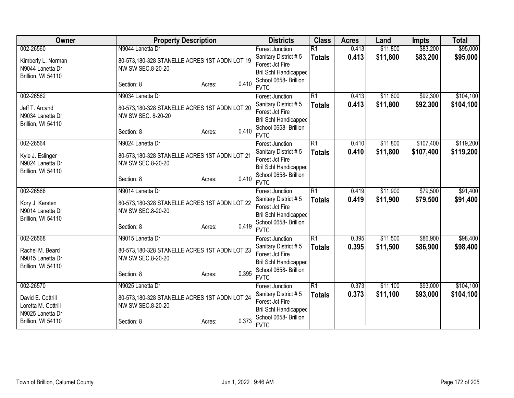| Owner                               | <b>Property Description</b>                                        |                 | <b>Districts</b>                        | <b>Class</b>    | <b>Acres</b> | Land     | <b>Impts</b> | <b>Total</b> |
|-------------------------------------|--------------------------------------------------------------------|-----------------|-----------------------------------------|-----------------|--------------|----------|--------------|--------------|
| 002-26560                           | N9044 Lanetta Dr                                                   |                 | <b>Forest Junction</b>                  | $\overline{R1}$ | 0.413        | \$11,800 | \$83,200     | \$95,000     |
| Kimberly L. Norman                  | 80-573,180-328 STANELLE ACRES 1ST ADDN LOT 19                      |                 | Sanitary District #5                    | <b>Totals</b>   | 0.413        | \$11,800 | \$83,200     | \$95,000     |
| N9044 Lanetta Dr                    | NW SW SEC.8-20-20                                                  |                 | Forest Jct Fire                         |                 |              |          |              |              |
| Brillion, WI 54110                  |                                                                    |                 | Bril Schl Handicapped                   |                 |              |          |              |              |
|                                     | Section: 8                                                         | 0.410<br>Acres: | School 0658- Brillion<br><b>FVTC</b>    |                 |              |          |              |              |
| 002-26562                           | N9034 Lanetta Dr                                                   |                 | <b>Forest Junction</b>                  | $\overline{R1}$ | 0.413        | \$11,800 | \$92,300     | \$104,100    |
| Jeff T. Arcand                      | 80-573,180-328 STANELLE ACRES 1ST ADDN LOT 20                      |                 | Sanitary District #5                    | <b>Totals</b>   | 0.413        | \$11,800 | \$92,300     | \$104,100    |
| N9034 Lanetta Dr                    | NW SW SEC. 8-20-20                                                 |                 | Forest Jct Fire                         |                 |              |          |              |              |
| Brillion, WI 54110                  |                                                                    |                 | Bril Schl Handicapped                   |                 |              |          |              |              |
|                                     | Section: 8                                                         | 0.410<br>Acres: | School 0658- Brillion                   |                 |              |          |              |              |
|                                     |                                                                    |                 | <b>FVTC</b>                             |                 |              |          |              |              |
| 002-26564                           | N9024 Lanetta Dr                                                   |                 | Forest Junction                         | $\overline{R1}$ | 0.410        | \$11,800 | \$107,400    | \$119,200    |
| Kyle J. Eslinger                    | 80-573,180-328 STANELLE ACRES 1ST ADDN LOT 21                      |                 | Sanitary District #5                    | <b>Totals</b>   | 0.410        | \$11,800 | \$107,400    | \$119,200    |
| N9024 Lanetta Dr                    | NW SW SEC.8-20-20                                                  |                 | Forest Jct Fire                         |                 |              |          |              |              |
| Brillion, WI 54110                  |                                                                    |                 | Bril Schl Handicapped                   |                 |              |          |              |              |
|                                     | Section: 8                                                         | 0.410<br>Acres: | School 0658- Brillion<br><b>FVTC</b>    |                 |              |          |              |              |
| 002-26566                           | N9014 Lanetta Dr                                                   |                 | <b>Forest Junction</b>                  | $\overline{R1}$ | 0.419        | \$11,900 | \$79,500     | \$91,400     |
|                                     |                                                                    |                 | Sanitary District #5                    | <b>Totals</b>   | 0.419        | \$11,900 | \$79,500     | \$91,400     |
| Kory J. Kersten<br>N9014 Lanetta Dr | 80-573,180-328 STANELLE ACRES 1ST ADDN LOT 22<br>NW SW SEC.8-20-20 |                 | Forest Jct Fire                         |                 |              |          |              |              |
| Brillion, WI 54110                  |                                                                    |                 | <b>Bril Schl Handicapped</b>            |                 |              |          |              |              |
|                                     | Section: 8                                                         | 0.419<br>Acres: | School 0658- Brillion                   |                 |              |          |              |              |
|                                     |                                                                    |                 | <b>FVTC</b>                             |                 |              |          |              |              |
| 002-26568                           | N9015 Lanetta Dr                                                   |                 | Forest Junction                         | $\overline{R1}$ | 0.395        | \$11,500 | \$86,900     | \$98,400     |
| Rachel M. Beard                     | 80-573,180-328 STANELLE ACRES 1ST ADDN LOT 23                      |                 | Sanitary District #5                    | <b>Totals</b>   | 0.395        | \$11,500 | \$86,900     | \$98,400     |
| N9015 Lanetta Dr                    | NW SW SEC.8-20-20                                                  |                 | Forest Jct Fire                         |                 |              |          |              |              |
| Brillion, WI 54110                  |                                                                    |                 | Bril Schl Handicapped                   |                 |              |          |              |              |
|                                     | Section: 8                                                         | 0.395<br>Acres: | School 0658- Brillion<br><b>FVTC</b>    |                 |              |          |              |              |
| 002-26570                           | N9025 Lanetta Dr                                                   |                 |                                         | R1              | 0.373        | \$11,100 | \$93,000     | \$104,100    |
|                                     |                                                                    |                 | Forest Junction<br>Sanitary District #5 |                 | 0.373        |          |              |              |
| David E. Cottrill                   | 80-573,180-328 STANELLE ACRES 1ST ADDN LOT 24                      |                 | Forest Jct Fire                         | <b>Totals</b>   |              | \$11,100 | \$93,000     | \$104,100    |
| Loretta M. Cottrill                 | NW SW SEC.8-20-20                                                  |                 | <b>Bril Schl Handicapped</b>            |                 |              |          |              |              |
| N9025 Lanetta Dr                    |                                                                    |                 | School 0658- Brillion                   |                 |              |          |              |              |
| Brillion, WI 54110                  | Section: 8                                                         | 0.373<br>Acres: | <b>FVTC</b>                             |                 |              |          |              |              |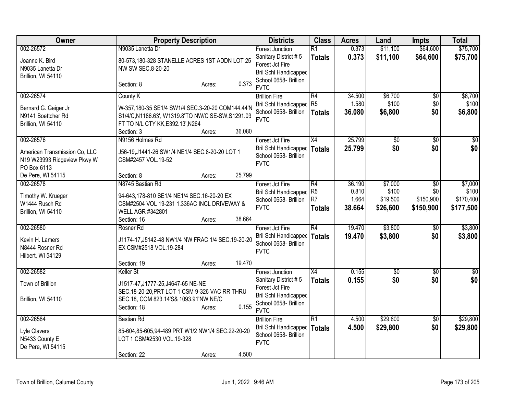| Owner                                                                                    | <b>Property Description</b>                                                                                                                                                 | <b>Districts</b>                                                                                                                   | <b>Class</b>                                | <b>Acres</b>                       | Land                                     | <b>Impts</b>                                     | <b>Total</b>                               |
|------------------------------------------------------------------------------------------|-----------------------------------------------------------------------------------------------------------------------------------------------------------------------------|------------------------------------------------------------------------------------------------------------------------------------|---------------------------------------------|------------------------------------|------------------------------------------|--------------------------------------------------|--------------------------------------------|
| 002-26572                                                                                | N9035 Lanetta Dr                                                                                                                                                            | <b>Forest Junction</b>                                                                                                             | R1                                          | 0.373                              | \$11,100                                 | \$64,600                                         | \$75,700                                   |
| Joanne K. Bird<br>N9035 Lanetta Dr<br>Brillion, WI 54110                                 | 80-573,180-328 STANELLE ACRES 1ST ADDN LOT 25<br>NW SW SEC.8-20-20                                                                                                          | Sanitary District #5<br>Forest Jct Fire<br>Bril Schl Handicapped                                                                   | <b>Totals</b>                               | 0.373                              | \$11,100                                 | \$64,600                                         | \$75,700                                   |
|                                                                                          | 0.373<br>Section: 8<br>Acres:                                                                                                                                               | School 0658- Brillion<br><b>FVTC</b>                                                                                               |                                             |                                    |                                          |                                                  |                                            |
| 002-26574                                                                                | County K                                                                                                                                                                    | <b>Brillion Fire</b>                                                                                                               | R4                                          | 34.500                             | \$6,700                                  | \$0                                              | \$6,700                                    |
| Bernard G. Geiger Jr<br>N9141 Boettcher Rd<br>Brillion, WI 54110                         | W-357,180-35 SE1/4 SW1/4 SEC.3-20-20 COM144.44'N<br>S1/4/C,N1186.63', W1319.8'TO NW/C SE-SW,S1291.03<br>FT TO N/L CTY KK, E392.13', N264                                    | Bril Schl Handicapped R5<br>School 0658- Brillion<br><b>FVTC</b>                                                                   | Totals                                      | 1.580<br>36.080                    | \$100<br>\$6,800                         | \$0<br>\$0                                       | \$100<br>\$6,800                           |
|                                                                                          | 36.080<br>Section: 3<br>Acres:                                                                                                                                              |                                                                                                                                    |                                             |                                    |                                          |                                                  |                                            |
| 002-26576<br>American Transmission Co, LLC<br>N19 W23993 Ridgeview Pkwy W<br>PO Box 6113 | N9156 Holmes Rd<br>J56-19, J1441-26 SW1/4 NE1/4 SEC.8-20-20 LOT 1<br>CSM#2457 VOL.19-52                                                                                     | Forest Jct Fire<br>Bril Schl Handicapped<br>School 0658- Brillion<br><b>FVTC</b>                                                   | $\overline{X4}$<br><b>Totals</b>            | 25.799<br>25.799                   | $\overline{50}$<br>\$0                   | $\overline{50}$<br>\$0                           | $\overline{30}$<br>\$0                     |
| De Pere, WI 54115                                                                        | 25.799<br>Section: 8<br>Acres:                                                                                                                                              |                                                                                                                                    |                                             |                                    |                                          |                                                  |                                            |
| 002-26578<br>Timothy W. Krueger<br>W1444 Rusch Rd<br>Brillion, WI 54110                  | N8745 Bastian Rd<br>94-643,178-810 SE1/4 NE1/4 SEC.16-20-20 EX<br>CSM#2504 VOL 19-231 1.336AC INCL DRIVEWAY &<br>WELL AGR #342801<br>38.664<br>Section: 16<br>Acres:        | Forest Jct Fire<br><b>Bril Schl Handicapped</b><br>School 0658- Brillion<br><b>FVTC</b>                                            | R4<br>R <sub>5</sub><br>R7<br><b>Totals</b> | 36.190<br>0.810<br>1.664<br>38.664 | \$7,000<br>\$100<br>\$19,500<br>\$26,600 | $\overline{50}$<br>\$0<br>\$150,900<br>\$150,900 | \$7,000<br>\$100<br>\$170,400<br>\$177,500 |
| 002-26580                                                                                | Rosner Rd                                                                                                                                                                   | Forest Jct Fire                                                                                                                    | R4                                          | 19.470                             | \$3,800                                  | $\overline{50}$                                  | \$3,800                                    |
| Kevin H. Lamers<br>N8444 Rosner Rd<br>Hilbert, WI 54129                                  | J1174-17, J5142-48 NW1/4 NW FRAC 1/4 SEC.19-20-20<br>EX CSM#2518 VOL.19-284                                                                                                 | Bril Schl Handicapped<br>School 0658- Brillion<br><b>FVTC</b>                                                                      | Totals                                      | 19.470                             | \$3,800                                  | \$0                                              | \$3,800                                    |
|                                                                                          | 19.470<br>Section: 19<br>Acres:                                                                                                                                             |                                                                                                                                    |                                             |                                    |                                          |                                                  |                                            |
| 002-26582<br>Town of Brillion<br>Brillion, WI 54110                                      | Keller St<br>J1517-47, J1777-25, J4647-65 NE-NE<br>SEC.18-20-20, PRT LOT 1 CSM 9-326 VAC RR THRU<br>SEC.18, COM 823.14'S& 1093.91'NW NE/C<br>0.155<br>Section: 18<br>Acres: | <b>Forest Junction</b><br>Sanitary District #5<br>Forest Jct Fire<br>Bril Schl Handicapped<br>School 0658- Brillion<br><b>FVTC</b> | X4<br><b>Totals</b>                         | 0.155<br>0.155                     | $\overline{50}$<br>\$0                   | $\overline{50}$<br>\$0                           | \$0<br>\$0                                 |
| 002-26584                                                                                | <b>Bastian Rd</b>                                                                                                                                                           | <b>Brillion Fire</b>                                                                                                               | R1                                          | 4.500                              | \$29,800                                 | $\overline{50}$                                  | \$29,800                                   |
| Lyle Clavers<br>N5433 County E<br>De Pere, WI 54115                                      | 85-604,85-605,94-489 PRT W1/2 NW1/4 SEC.22-20-20<br>LOT 1 CSM#2530 VOL.19-328                                                                                               | Bril Schl Handicapped<br>School 0658- Brillion<br><b>FVTC</b>                                                                      | Totals                                      | 4.500                              | \$29,800                                 | \$0                                              | \$29,800                                   |
|                                                                                          | 4.500<br>Section: 22<br>Acres:                                                                                                                                              |                                                                                                                                    |                                             |                                    |                                          |                                                  |                                            |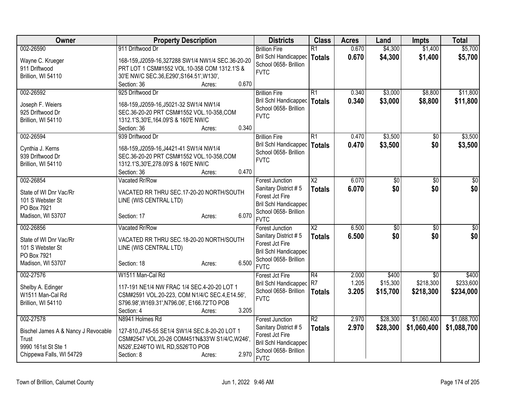| 002-26590<br>911 Driftwood Dr<br>0.670<br>\$4,300<br>\$1,400<br><b>Brillion Fire</b><br>R1<br>Bril Schl Handicapped   Totals<br>0.670<br>\$4,300<br>\$1,400<br>\$5,700<br>Wayne C. Krueger<br>168-159, J2059-16, 327288 SW1/4 NW1/4 SEC. 36-20-20<br>School 0658- Brillion<br>911 Driftwood<br>PRT LOT 1 CSM#1552 VOL.10-358 COM 1312.1'S &<br><b>FVTC</b><br>Brillion, WI 54110<br>30'E NW/C SEC.36, E290', S164.51', W130',<br>0.670<br>Section: 36<br>Acres:<br>925 Driftwood Dr<br>\$3,000<br>002-26592<br>R1<br>0.340<br>\$8,800<br><b>Brillion Fire</b><br>Bril Schl Handicapped   Totals<br>0.340<br>\$3,000<br>\$8,800<br>168-159, J2059-16, J5021-32 SW1/4 NW1/4<br>Joseph F. Weiers<br>School 0658- Brillion<br>925 Driftwood Dr<br>SEC.36-20-20 PRT CSM#1552 VOL.10-358,COM<br><b>FVTC</b><br>Brillion, WI 54110<br>1312.1'S, 30'E, 164.09'S & 160'E NW/C<br>0.340<br>Section: 36<br>Acres:<br>\$3,500<br>002-26594<br>939 Driftwood Dr<br><b>Brillion Fire</b><br>R1<br>0.470<br>$\sqrt{50}$<br>\$0<br>Bril Schl Handicapped<br>0.470<br>\$3,500<br>\$3,500<br><b>Totals</b><br>Cynthia J. Kerns<br>168-159, J2059-16, J4421-41 SW1/4 NW1/4<br>School 0658- Brillion<br>SEC.36-20-20 PRT CSM#1552 VOL.10-358,COM<br>939 Driftwood Dr<br><b>FVTC</b><br>1312.1'S, 30'E, 278.09'S & 160'E NW/C<br>Brillion, WI 54110<br>0.470<br>Section: 36<br>Acres:<br>002-26854<br>Vacated Rr/Row<br>$\overline{\text{X2}}$<br>6.070<br>$\overline{50}$<br><b>Forest Junction</b><br>$\sqrt{6}$<br>\$0<br>\$0<br>\$0<br>Sanitary District #5<br>6.070<br><b>Totals</b><br>State of WI Dnr Vac/Rr<br>VACATED RR THRU SEC.17-20-20 NORTH/SOUTH<br>Forest Jct Fire<br>101 S Webster St<br>LINE (WIS CENTRAL LTD)<br><b>Bril Schl Handicapped</b><br>PO Box 7921<br>School 0658- Brillion<br>6.070<br>Madison, WI 53707<br>Section: 17<br>Acres:<br><b>FVTC</b><br>6.500<br>X <sub>2</sub><br>$\overline{50}$<br>002-26856<br>Vacated Rr/Row<br>\$0<br>Forest Junction<br>\$0<br>\$0<br>6.500<br>Sanitary District #5<br><b>Totals</b><br>VACATED RR THRU SEC.18-20-20 NORTH/SOUTH<br>State of WI Dnr Vac/Rr<br>Forest Jct Fire<br>101 S Webster St<br>LINE (WIS CENTRAL LTD)<br><b>Bril Schl Handicapped</b><br>PO Box 7921<br>School 0658- Brillion<br>6.500<br>Madison, WI 53707<br>Section: 18<br>Acres:<br><b>FVTC</b><br>002-27576<br>W1511 Man-Cal Rd<br>R4<br>2.000<br>\$400<br>$\overline{50}$<br>Forest Jct Fire<br>\$218,300<br>Bril Schl Handicapped R7<br>1.205<br>\$15,300<br>117-191 NE1/4 NW FRAC 1/4 SEC.4-20-20 LOT 1<br>Shelby A. Edinger<br>School 0658- Brillion<br>3.205<br>\$15,700<br>\$218,300<br>\$234,000<br>Totals<br>CSM#2591 VOL.20-223, COM N1/4/C SEC.4, E14.56',<br>W1511 Man-Cal Rd<br><b>FVTC</b><br>S796.98', W169.31', N796.06', E166.72'TO POB<br>Brillion, WI 54110<br>3.205<br>Section: 4<br>Acres:<br>002-27578<br>R2<br>\$28,300<br>\$1,060,400<br>N8941 Holmes Rd<br>2.970<br><b>Forest Junction</b><br>\$1,088,700<br>2.970<br>\$28,300<br>\$1,060,400<br>Sanitary District #5<br><b>Totals</b><br>127-810, J745-55 SE1/4 SW1/4 SEC.8-20-20 LOT 1<br>Bischel James A & Nancy J Revocable<br>Forest Jct Fire<br>CSM#2547 VOL.20-26 COM451'N&33'W S1/4/C, W246',<br>Trust<br><b>Bril Schl Handicapped</b><br>9990 161st St Ste 1<br>N526', E246'TO W/L RD, S526'TO POB<br>School 0658- Brillion<br>2.970<br>Chippewa Falls, WI 54729<br>Section: 8<br>Acres: | Owner | <b>Property Description</b> | <b>Districts</b> | <b>Class</b> | <b>Acres</b> | Land | <b>Impts</b> | <b>Total</b> |
|--------------------------------------------------------------------------------------------------------------------------------------------------------------------------------------------------------------------------------------------------------------------------------------------------------------------------------------------------------------------------------------------------------------------------------------------------------------------------------------------------------------------------------------------------------------------------------------------------------------------------------------------------------------------------------------------------------------------------------------------------------------------------------------------------------------------------------------------------------------------------------------------------------------------------------------------------------------------------------------------------------------------------------------------------------------------------------------------------------------------------------------------------------------------------------------------------------------------------------------------------------------------------------------------------------------------------------------------------------------------------------------------------------------------------------------------------------------------------------------------------------------------------------------------------------------------------------------------------------------------------------------------------------------------------------------------------------------------------------------------------------------------------------------------------------------------------------------------------------------------------------------------------------------------------------------------------------------------------------------------------------------------------------------------------------------------------------------------------------------------------------------------------------------------------------------------------------------------------------------------------------------------------------------------------------------------------------------------------------------------------------------------------------------------------------------------------------------------------------------------------------------------------------------------------------------------------------------------------------------------------------------------------------------------------------------------------------------------------------------------------------------------------------------------------------------------------------------------------------------------------------------------------------------------------------------------------------------------------------------------------------------------------------------------------------------------------------------------------------------------------------------------------------------------------------------------------------------------------------------------------------------------------------------------------------------------------------------------------------------------------------------------------|-------|-----------------------------|------------------|--------------|--------------|------|--------------|--------------|
|                                                                                                                                                                                                                                                                                                                                                                                                                                                                                                                                                                                                                                                                                                                                                                                                                                                                                                                                                                                                                                                                                                                                                                                                                                                                                                                                                                                                                                                                                                                                                                                                                                                                                                                                                                                                                                                                                                                                                                                                                                                                                                                                                                                                                                                                                                                                                                                                                                                                                                                                                                                                                                                                                                                                                                                                                                                                                                                                                                                                                                                                                                                                                                                                                                                                                                                                                                                                  |       |                             |                  |              |              |      |              | \$5,700      |
|                                                                                                                                                                                                                                                                                                                                                                                                                                                                                                                                                                                                                                                                                                                                                                                                                                                                                                                                                                                                                                                                                                                                                                                                                                                                                                                                                                                                                                                                                                                                                                                                                                                                                                                                                                                                                                                                                                                                                                                                                                                                                                                                                                                                                                                                                                                                                                                                                                                                                                                                                                                                                                                                                                                                                                                                                                                                                                                                                                                                                                                                                                                                                                                                                                                                                                                                                                                                  |       |                             |                  |              |              |      |              |              |
| \$11,800<br>\$11,800<br>\$3,500<br>$\overline{30}$<br>$\sqrt{50}$<br>\$0 <br>\$400<br>\$1,088,700                                                                                                                                                                                                                                                                                                                                                                                                                                                                                                                                                                                                                                                                                                                                                                                                                                                                                                                                                                                                                                                                                                                                                                                                                                                                                                                                                                                                                                                                                                                                                                                                                                                                                                                                                                                                                                                                                                                                                                                                                                                                                                                                                                                                                                                                                                                                                                                                                                                                                                                                                                                                                                                                                                                                                                                                                                                                                                                                                                                                                                                                                                                                                                                                                                                                                                |       |                             |                  |              |              |      |              |              |
|                                                                                                                                                                                                                                                                                                                                                                                                                                                                                                                                                                                                                                                                                                                                                                                                                                                                                                                                                                                                                                                                                                                                                                                                                                                                                                                                                                                                                                                                                                                                                                                                                                                                                                                                                                                                                                                                                                                                                                                                                                                                                                                                                                                                                                                                                                                                                                                                                                                                                                                                                                                                                                                                                                                                                                                                                                                                                                                                                                                                                                                                                                                                                                                                                                                                                                                                                                                                  |       |                             |                  |              |              |      |              |              |
|                                                                                                                                                                                                                                                                                                                                                                                                                                                                                                                                                                                                                                                                                                                                                                                                                                                                                                                                                                                                                                                                                                                                                                                                                                                                                                                                                                                                                                                                                                                                                                                                                                                                                                                                                                                                                                                                                                                                                                                                                                                                                                                                                                                                                                                                                                                                                                                                                                                                                                                                                                                                                                                                                                                                                                                                                                                                                                                                                                                                                                                                                                                                                                                                                                                                                                                                                                                                  |       |                             |                  |              |              |      |              |              |
|                                                                                                                                                                                                                                                                                                                                                                                                                                                                                                                                                                                                                                                                                                                                                                                                                                                                                                                                                                                                                                                                                                                                                                                                                                                                                                                                                                                                                                                                                                                                                                                                                                                                                                                                                                                                                                                                                                                                                                                                                                                                                                                                                                                                                                                                                                                                                                                                                                                                                                                                                                                                                                                                                                                                                                                                                                                                                                                                                                                                                                                                                                                                                                                                                                                                                                                                                                                                  |       |                             |                  |              |              |      |              |              |
|                                                                                                                                                                                                                                                                                                                                                                                                                                                                                                                                                                                                                                                                                                                                                                                                                                                                                                                                                                                                                                                                                                                                                                                                                                                                                                                                                                                                                                                                                                                                                                                                                                                                                                                                                                                                                                                                                                                                                                                                                                                                                                                                                                                                                                                                                                                                                                                                                                                                                                                                                                                                                                                                                                                                                                                                                                                                                                                                                                                                                                                                                                                                                                                                                                                                                                                                                                                                  |       |                             |                  |              |              |      |              |              |
|                                                                                                                                                                                                                                                                                                                                                                                                                                                                                                                                                                                                                                                                                                                                                                                                                                                                                                                                                                                                                                                                                                                                                                                                                                                                                                                                                                                                                                                                                                                                                                                                                                                                                                                                                                                                                                                                                                                                                                                                                                                                                                                                                                                                                                                                                                                                                                                                                                                                                                                                                                                                                                                                                                                                                                                                                                                                                                                                                                                                                                                                                                                                                                                                                                                                                                                                                                                                  |       |                             |                  |              |              |      |              |              |
|                                                                                                                                                                                                                                                                                                                                                                                                                                                                                                                                                                                                                                                                                                                                                                                                                                                                                                                                                                                                                                                                                                                                                                                                                                                                                                                                                                                                                                                                                                                                                                                                                                                                                                                                                                                                                                                                                                                                                                                                                                                                                                                                                                                                                                                                                                                                                                                                                                                                                                                                                                                                                                                                                                                                                                                                                                                                                                                                                                                                                                                                                                                                                                                                                                                                                                                                                                                                  |       |                             |                  |              |              |      |              |              |
|                                                                                                                                                                                                                                                                                                                                                                                                                                                                                                                                                                                                                                                                                                                                                                                                                                                                                                                                                                                                                                                                                                                                                                                                                                                                                                                                                                                                                                                                                                                                                                                                                                                                                                                                                                                                                                                                                                                                                                                                                                                                                                                                                                                                                                                                                                                                                                                                                                                                                                                                                                                                                                                                                                                                                                                                                                                                                                                                                                                                                                                                                                                                                                                                                                                                                                                                                                                                  |       |                             |                  |              |              |      |              |              |
|                                                                                                                                                                                                                                                                                                                                                                                                                                                                                                                                                                                                                                                                                                                                                                                                                                                                                                                                                                                                                                                                                                                                                                                                                                                                                                                                                                                                                                                                                                                                                                                                                                                                                                                                                                                                                                                                                                                                                                                                                                                                                                                                                                                                                                                                                                                                                                                                                                                                                                                                                                                                                                                                                                                                                                                                                                                                                                                                                                                                                                                                                                                                                                                                                                                                                                                                                                                                  |       |                             |                  |              |              |      |              |              |
|                                                                                                                                                                                                                                                                                                                                                                                                                                                                                                                                                                                                                                                                                                                                                                                                                                                                                                                                                                                                                                                                                                                                                                                                                                                                                                                                                                                                                                                                                                                                                                                                                                                                                                                                                                                                                                                                                                                                                                                                                                                                                                                                                                                                                                                                                                                                                                                                                                                                                                                                                                                                                                                                                                                                                                                                                                                                                                                                                                                                                                                                                                                                                                                                                                                                                                                                                                                                  |       |                             |                  |              |              |      |              |              |
|                                                                                                                                                                                                                                                                                                                                                                                                                                                                                                                                                                                                                                                                                                                                                                                                                                                                                                                                                                                                                                                                                                                                                                                                                                                                                                                                                                                                                                                                                                                                                                                                                                                                                                                                                                                                                                                                                                                                                                                                                                                                                                                                                                                                                                                                                                                                                                                                                                                                                                                                                                                                                                                                                                                                                                                                                                                                                                                                                                                                                                                                                                                                                                                                                                                                                                                                                                                                  |       |                             |                  |              |              |      |              |              |
|                                                                                                                                                                                                                                                                                                                                                                                                                                                                                                                                                                                                                                                                                                                                                                                                                                                                                                                                                                                                                                                                                                                                                                                                                                                                                                                                                                                                                                                                                                                                                                                                                                                                                                                                                                                                                                                                                                                                                                                                                                                                                                                                                                                                                                                                                                                                                                                                                                                                                                                                                                                                                                                                                                                                                                                                                                                                                                                                                                                                                                                                                                                                                                                                                                                                                                                                                                                                  |       |                             |                  |              |              |      |              |              |
|                                                                                                                                                                                                                                                                                                                                                                                                                                                                                                                                                                                                                                                                                                                                                                                                                                                                                                                                                                                                                                                                                                                                                                                                                                                                                                                                                                                                                                                                                                                                                                                                                                                                                                                                                                                                                                                                                                                                                                                                                                                                                                                                                                                                                                                                                                                                                                                                                                                                                                                                                                                                                                                                                                                                                                                                                                                                                                                                                                                                                                                                                                                                                                                                                                                                                                                                                                                                  |       |                             |                  |              |              |      |              |              |
|                                                                                                                                                                                                                                                                                                                                                                                                                                                                                                                                                                                                                                                                                                                                                                                                                                                                                                                                                                                                                                                                                                                                                                                                                                                                                                                                                                                                                                                                                                                                                                                                                                                                                                                                                                                                                                                                                                                                                                                                                                                                                                                                                                                                                                                                                                                                                                                                                                                                                                                                                                                                                                                                                                                                                                                                                                                                                                                                                                                                                                                                                                                                                                                                                                                                                                                                                                                                  |       |                             |                  |              |              |      |              |              |
|                                                                                                                                                                                                                                                                                                                                                                                                                                                                                                                                                                                                                                                                                                                                                                                                                                                                                                                                                                                                                                                                                                                                                                                                                                                                                                                                                                                                                                                                                                                                                                                                                                                                                                                                                                                                                                                                                                                                                                                                                                                                                                                                                                                                                                                                                                                                                                                                                                                                                                                                                                                                                                                                                                                                                                                                                                                                                                                                                                                                                                                                                                                                                                                                                                                                                                                                                                                                  |       |                             |                  |              |              |      |              |              |
|                                                                                                                                                                                                                                                                                                                                                                                                                                                                                                                                                                                                                                                                                                                                                                                                                                                                                                                                                                                                                                                                                                                                                                                                                                                                                                                                                                                                                                                                                                                                                                                                                                                                                                                                                                                                                                                                                                                                                                                                                                                                                                                                                                                                                                                                                                                                                                                                                                                                                                                                                                                                                                                                                                                                                                                                                                                                                                                                                                                                                                                                                                                                                                                                                                                                                                                                                                                                  |       |                             |                  |              |              |      |              |              |
|                                                                                                                                                                                                                                                                                                                                                                                                                                                                                                                                                                                                                                                                                                                                                                                                                                                                                                                                                                                                                                                                                                                                                                                                                                                                                                                                                                                                                                                                                                                                                                                                                                                                                                                                                                                                                                                                                                                                                                                                                                                                                                                                                                                                                                                                                                                                                                                                                                                                                                                                                                                                                                                                                                                                                                                                                                                                                                                                                                                                                                                                                                                                                                                                                                                                                                                                                                                                  |       |                             |                  |              |              |      |              |              |
| \$233,600                                                                                                                                                                                                                                                                                                                                                                                                                                                                                                                                                                                                                                                                                                                                                                                                                                                                                                                                                                                                                                                                                                                                                                                                                                                                                                                                                                                                                                                                                                                                                                                                                                                                                                                                                                                                                                                                                                                                                                                                                                                                                                                                                                                                                                                                                                                                                                                                                                                                                                                                                                                                                                                                                                                                                                                                                                                                                                                                                                                                                                                                                                                                                                                                                                                                                                                                                                                        |       |                             |                  |              |              |      |              |              |
|                                                                                                                                                                                                                                                                                                                                                                                                                                                                                                                                                                                                                                                                                                                                                                                                                                                                                                                                                                                                                                                                                                                                                                                                                                                                                                                                                                                                                                                                                                                                                                                                                                                                                                                                                                                                                                                                                                                                                                                                                                                                                                                                                                                                                                                                                                                                                                                                                                                                                                                                                                                                                                                                                                                                                                                                                                                                                                                                                                                                                                                                                                                                                                                                                                                                                                                                                                                                  |       |                             |                  |              |              |      |              |              |
|                                                                                                                                                                                                                                                                                                                                                                                                                                                                                                                                                                                                                                                                                                                                                                                                                                                                                                                                                                                                                                                                                                                                                                                                                                                                                                                                                                                                                                                                                                                                                                                                                                                                                                                                                                                                                                                                                                                                                                                                                                                                                                                                                                                                                                                                                                                                                                                                                                                                                                                                                                                                                                                                                                                                                                                                                                                                                                                                                                                                                                                                                                                                                                                                                                                                                                                                                                                                  |       |                             |                  |              |              |      |              |              |
|                                                                                                                                                                                                                                                                                                                                                                                                                                                                                                                                                                                                                                                                                                                                                                                                                                                                                                                                                                                                                                                                                                                                                                                                                                                                                                                                                                                                                                                                                                                                                                                                                                                                                                                                                                                                                                                                                                                                                                                                                                                                                                                                                                                                                                                                                                                                                                                                                                                                                                                                                                                                                                                                                                                                                                                                                                                                                                                                                                                                                                                                                                                                                                                                                                                                                                                                                                                                  |       |                             |                  |              |              |      |              |              |
|                                                                                                                                                                                                                                                                                                                                                                                                                                                                                                                                                                                                                                                                                                                                                                                                                                                                                                                                                                                                                                                                                                                                                                                                                                                                                                                                                                                                                                                                                                                                                                                                                                                                                                                                                                                                                                                                                                                                                                                                                                                                                                                                                                                                                                                                                                                                                                                                                                                                                                                                                                                                                                                                                                                                                                                                                                                                                                                                                                                                                                                                                                                                                                                                                                                                                                                                                                                                  |       |                             |                  |              |              |      |              |              |
|                                                                                                                                                                                                                                                                                                                                                                                                                                                                                                                                                                                                                                                                                                                                                                                                                                                                                                                                                                                                                                                                                                                                                                                                                                                                                                                                                                                                                                                                                                                                                                                                                                                                                                                                                                                                                                                                                                                                                                                                                                                                                                                                                                                                                                                                                                                                                                                                                                                                                                                                                                                                                                                                                                                                                                                                                                                                                                                                                                                                                                                                                                                                                                                                                                                                                                                                                                                                  |       |                             |                  |              |              |      |              |              |
|                                                                                                                                                                                                                                                                                                                                                                                                                                                                                                                                                                                                                                                                                                                                                                                                                                                                                                                                                                                                                                                                                                                                                                                                                                                                                                                                                                                                                                                                                                                                                                                                                                                                                                                                                                                                                                                                                                                                                                                                                                                                                                                                                                                                                                                                                                                                                                                                                                                                                                                                                                                                                                                                                                                                                                                                                                                                                                                                                                                                                                                                                                                                                                                                                                                                                                                                                                                                  |       |                             |                  |              |              |      |              |              |
|                                                                                                                                                                                                                                                                                                                                                                                                                                                                                                                                                                                                                                                                                                                                                                                                                                                                                                                                                                                                                                                                                                                                                                                                                                                                                                                                                                                                                                                                                                                                                                                                                                                                                                                                                                                                                                                                                                                                                                                                                                                                                                                                                                                                                                                                                                                                                                                                                                                                                                                                                                                                                                                                                                                                                                                                                                                                                                                                                                                                                                                                                                                                                                                                                                                                                                                                                                                                  |       |                             |                  |              |              |      |              |              |
|                                                                                                                                                                                                                                                                                                                                                                                                                                                                                                                                                                                                                                                                                                                                                                                                                                                                                                                                                                                                                                                                                                                                                                                                                                                                                                                                                                                                                                                                                                                                                                                                                                                                                                                                                                                                                                                                                                                                                                                                                                                                                                                                                                                                                                                                                                                                                                                                                                                                                                                                                                                                                                                                                                                                                                                                                                                                                                                                                                                                                                                                                                                                                                                                                                                                                                                                                                                                  |       |                             |                  |              |              |      |              |              |
|                                                                                                                                                                                                                                                                                                                                                                                                                                                                                                                                                                                                                                                                                                                                                                                                                                                                                                                                                                                                                                                                                                                                                                                                                                                                                                                                                                                                                                                                                                                                                                                                                                                                                                                                                                                                                                                                                                                                                                                                                                                                                                                                                                                                                                                                                                                                                                                                                                                                                                                                                                                                                                                                                                                                                                                                                                                                                                                                                                                                                                                                                                                                                                                                                                                                                                                                                                                                  |       |                             |                  |              |              |      |              |              |
|                                                                                                                                                                                                                                                                                                                                                                                                                                                                                                                                                                                                                                                                                                                                                                                                                                                                                                                                                                                                                                                                                                                                                                                                                                                                                                                                                                                                                                                                                                                                                                                                                                                                                                                                                                                                                                                                                                                                                                                                                                                                                                                                                                                                                                                                                                                                                                                                                                                                                                                                                                                                                                                                                                                                                                                                                                                                                                                                                                                                                                                                                                                                                                                                                                                                                                                                                                                                  |       |                             |                  |              |              |      |              |              |
|                                                                                                                                                                                                                                                                                                                                                                                                                                                                                                                                                                                                                                                                                                                                                                                                                                                                                                                                                                                                                                                                                                                                                                                                                                                                                                                                                                                                                                                                                                                                                                                                                                                                                                                                                                                                                                                                                                                                                                                                                                                                                                                                                                                                                                                                                                                                                                                                                                                                                                                                                                                                                                                                                                                                                                                                                                                                                                                                                                                                                                                                                                                                                                                                                                                                                                                                                                                                  |       |                             |                  |              |              |      |              |              |
|                                                                                                                                                                                                                                                                                                                                                                                                                                                                                                                                                                                                                                                                                                                                                                                                                                                                                                                                                                                                                                                                                                                                                                                                                                                                                                                                                                                                                                                                                                                                                                                                                                                                                                                                                                                                                                                                                                                                                                                                                                                                                                                                                                                                                                                                                                                                                                                                                                                                                                                                                                                                                                                                                                                                                                                                                                                                                                                                                                                                                                                                                                                                                                                                                                                                                                                                                                                                  |       |                             |                  |              |              |      |              |              |
|                                                                                                                                                                                                                                                                                                                                                                                                                                                                                                                                                                                                                                                                                                                                                                                                                                                                                                                                                                                                                                                                                                                                                                                                                                                                                                                                                                                                                                                                                                                                                                                                                                                                                                                                                                                                                                                                                                                                                                                                                                                                                                                                                                                                                                                                                                                                                                                                                                                                                                                                                                                                                                                                                                                                                                                                                                                                                                                                                                                                                                                                                                                                                                                                                                                                                                                                                                                                  |       |                             |                  |              |              |      |              |              |
|                                                                                                                                                                                                                                                                                                                                                                                                                                                                                                                                                                                                                                                                                                                                                                                                                                                                                                                                                                                                                                                                                                                                                                                                                                                                                                                                                                                                                                                                                                                                                                                                                                                                                                                                                                                                                                                                                                                                                                                                                                                                                                                                                                                                                                                                                                                                                                                                                                                                                                                                                                                                                                                                                                                                                                                                                                                                                                                                                                                                                                                                                                                                                                                                                                                                                                                                                                                                  |       |                             |                  |              |              |      |              |              |
|                                                                                                                                                                                                                                                                                                                                                                                                                                                                                                                                                                                                                                                                                                                                                                                                                                                                                                                                                                                                                                                                                                                                                                                                                                                                                                                                                                                                                                                                                                                                                                                                                                                                                                                                                                                                                                                                                                                                                                                                                                                                                                                                                                                                                                                                                                                                                                                                                                                                                                                                                                                                                                                                                                                                                                                                                                                                                                                                                                                                                                                                                                                                                                                                                                                                                                                                                                                                  |       |                             |                  |              |              |      |              |              |
|                                                                                                                                                                                                                                                                                                                                                                                                                                                                                                                                                                                                                                                                                                                                                                                                                                                                                                                                                                                                                                                                                                                                                                                                                                                                                                                                                                                                                                                                                                                                                                                                                                                                                                                                                                                                                                                                                                                                                                                                                                                                                                                                                                                                                                                                                                                                                                                                                                                                                                                                                                                                                                                                                                                                                                                                                                                                                                                                                                                                                                                                                                                                                                                                                                                                                                                                                                                                  |       |                             |                  |              |              |      |              |              |
|                                                                                                                                                                                                                                                                                                                                                                                                                                                                                                                                                                                                                                                                                                                                                                                                                                                                                                                                                                                                                                                                                                                                                                                                                                                                                                                                                                                                                                                                                                                                                                                                                                                                                                                                                                                                                                                                                                                                                                                                                                                                                                                                                                                                                                                                                                                                                                                                                                                                                                                                                                                                                                                                                                                                                                                                                                                                                                                                                                                                                                                                                                                                                                                                                                                                                                                                                                                                  |       |                             | <b>FVTC</b>      |              |              |      |              |              |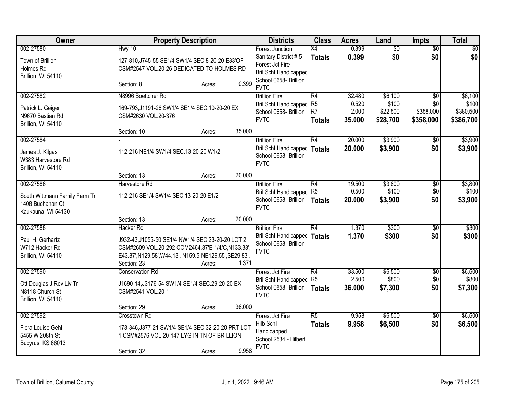| Owner                                                                                | <b>Property Description</b>                                                                                                                                                                  |                  | <b>Districts</b>                                                                                                    | <b>Class</b>                                | <b>Acres</b>                       | Land                                     | <b>Impts</b>                                     | <b>Total</b>                               |
|--------------------------------------------------------------------------------------|----------------------------------------------------------------------------------------------------------------------------------------------------------------------------------------------|------------------|---------------------------------------------------------------------------------------------------------------------|---------------------------------------------|------------------------------------|------------------------------------------|--------------------------------------------------|--------------------------------------------|
| 002-27580<br>Town of Brillion<br>Holmes Rd<br>Brillion, WI 54110                     | Hwy 10<br>127-810, J745-55 SE1/4 SW1/4 SEC.8-20-20 E33'OF<br>CSM#2547 VOL.20-26 DEDICATED TO HOLMES RD<br>Section: 8                                                                         | 0.399<br>Acres:  | <b>Forest Junction</b><br>Sanitary District #5<br>Forest Jct Fire<br>Bril Schl Handicapped<br>School 0658- Brillion | X4<br><b>Totals</b>                         | 0.399<br>0.399                     | $\overline{50}$<br>\$0                   | $\overline{50}$<br>\$0                           | \$0<br>\$0                                 |
| 002-27582<br>Patrick L. Geiger<br>N9670 Bastian Rd<br>Brillion, WI 54110             | N8996 Boettcher Rd<br>169-793, J1191-26 SW1/4 SE1/4 SEC.10-20-20 EX<br>CSM#2630 VOL.20-376<br>Section: 10                                                                                    | 35.000<br>Acres: | <b>FVTC</b><br><b>Brillion Fire</b><br>Bril Schl Handicapped<br>School 0658- Brillion<br><b>FVTC</b>                | R4<br>R <sub>5</sub><br>R7<br><b>Totals</b> | 32.480<br>0.520<br>2.000<br>35.000 | \$6,100<br>\$100<br>\$22,500<br>\$28,700 | $\overline{50}$<br>\$0<br>\$358,000<br>\$358,000 | \$6,100<br>\$100<br>\$380,500<br>\$386,700 |
| 002-27584<br>James J. Kilgas<br>W383 Harvestore Rd<br>Brillion, WI 54110             | 112-216 NE1/4 SW1/4 SEC.13-20-20 W1/2                                                                                                                                                        |                  | <b>Brillion Fire</b><br>Bril Schl Handicapped<br>School 0658- Brillion<br><b>FVTC</b>                               | R4<br>Totals                                | 20.000<br>20.000                   | \$3,900<br>\$3,900                       | $\overline{50}$<br>\$0                           | \$3,900<br>\$3,900                         |
|                                                                                      | Section: 13                                                                                                                                                                                  | 20.000<br>Acres: |                                                                                                                     |                                             |                                    |                                          |                                                  |                                            |
| 002-27586<br>South Wittmann Family Farm Tr<br>1408 Buchanan Ct<br>Kaukauna, WI 54130 | Harvestore Rd<br>112-216 SE1/4 SW1/4 SEC.13-20-20 E1/2                                                                                                                                       |                  | <b>Brillion Fire</b><br><b>Bril Schl Handicapped</b><br>School 0658- Brillion<br><b>FVTC</b>                        | R4<br>R <sub>5</sub><br>Totals              | 19.500<br>0.500<br>20.000          | \$3,800<br>\$100<br>\$3,900              | $\overline{60}$<br>\$0<br>\$0                    | \$3,800<br>\$100<br>\$3,900                |
|                                                                                      | Section: 13                                                                                                                                                                                  | 20.000<br>Acres: |                                                                                                                     |                                             |                                    |                                          |                                                  |                                            |
| 002-27588<br>Paul H. Gerhartz<br>W712 Hacker Rd<br>Brillion, WI 54110                | Hacker Rd<br>J932-43, J1055-50 SE1/4 NW1/4 SEC.23-20-20 LOT 2<br>CSM#2609 VOL.20-292 COM2464.87'E 1/4/C,N133.33',<br>E43.87', N129.58', W44.13', N159.5, NE129.55', SE29.83',<br>Section: 23 | 1.371<br>Acres:  | <b>Brillion Fire</b><br>Bril Schl Handicapped<br>School 0658- Brillion<br><b>FVTC</b>                               | R4<br><b>Totals</b>                         | 1.370<br>1.370                     | \$300<br>\$300                           | $\sqrt{6}$<br>\$0                                | \$300<br>\$300                             |
| 002-27590<br>Ott Douglas J Rev Liv Tr<br>N8118 Church St<br>Brillion, WI 54110       | <b>Conservation Rd</b><br>J1690-14, J3176-54 SW1/4 SE1/4 SEC. 29-20-20 EX<br>CSM#2541 VOL.20-1<br>Section: 29                                                                                | 36.000<br>Acres: | Forest Jct Fire<br>Bril Schl Handicapped<br>School 0658- Brillion<br><b>FVTC</b>                                    | R4<br>R <sub>5</sub><br>Totals              | 33.500<br>2.500<br>36.000          | \$6,500<br>\$800<br>\$7,300              | $\sqrt[6]{}$<br>\$0<br>\$0                       | \$6,500<br>\$800<br>\$7,300                |
| 002-27592<br>Flora Louise Gehl<br>5455 W 208th St<br>Bucyrus, KS 66013               | Crosstown Rd<br>178-346, J377-21 SW1/4 SE1/4 SEC.32-20-20 PRT LOT<br>1 CSM#2576 VOL.20-147 LYG IN TN OF BRILLION<br>Section: 32                                                              | 9.958<br>Acres:  | Forest Jct Fire<br>Hilb Schl<br>Handicapped<br>School 2534 - Hilbert<br><b>FVTC</b>                                 | R <sub>5</sub><br><b>Totals</b>             | 9.958<br>9.958                     | \$6,500<br>\$6,500                       | \$0<br>\$0                                       | \$6,500<br>\$6,500                         |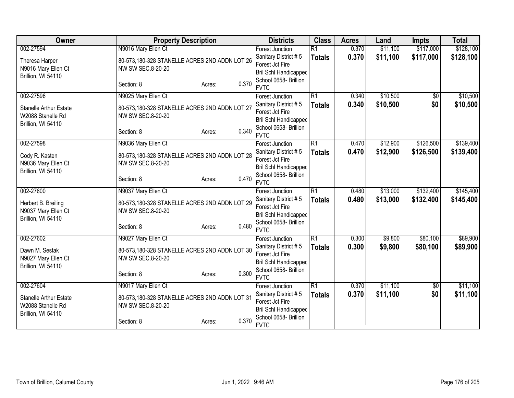| Owner                                      | <b>Property Description</b>                                        |                 | <b>Districts</b>                        | <b>Class</b>    | <b>Acres</b> | Land     | <b>Impts</b>    | <b>Total</b> |
|--------------------------------------------|--------------------------------------------------------------------|-----------------|-----------------------------------------|-----------------|--------------|----------|-----------------|--------------|
| 002-27594                                  | N9016 Mary Ellen Ct                                                |                 | Forest Junction                         | $\overline{R1}$ | 0.370        | \$11,100 | \$117,000       | \$128,100    |
| Theresa Harper                             | 80-573,180-328 STANELLE ACRES 2ND ADDN LOT 26                      |                 | Sanitary District #5                    | <b>Totals</b>   | 0.370        | \$11,100 | \$117,000       | \$128,100    |
| N9016 Mary Ellen Ct                        | NW SW SEC.8-20-20                                                  |                 | Forest Jct Fire                         |                 |              |          |                 |              |
| Brillion, WI 54110                         |                                                                    |                 | <b>Bril Schl Handicapped</b>            |                 |              |          |                 |              |
|                                            | Section: 8                                                         | 0.370<br>Acres: | School 0658- Brillion                   |                 |              |          |                 |              |
|                                            |                                                                    |                 | <b>FVTC</b>                             |                 |              |          |                 |              |
| 002-27596                                  | N9025 Mary Ellen Ct                                                |                 | <b>Forest Junction</b>                  | $\overline{R1}$ | 0.340        | \$10,500 | $\overline{50}$ | \$10,500     |
| <b>Stanelle Arthur Estate</b>              | 80-573,180-328 STANELLE ACRES 2ND ADDN LOT 27                      |                 | Sanitary District #5                    | <b>Totals</b>   | 0.340        | \$10,500 | \$0             | \$10,500     |
| W2088 Stanelle Rd                          | NW SW SEC.8-20-20                                                  |                 | Forest Jct Fire                         |                 |              |          |                 |              |
| Brillion, WI 54110                         |                                                                    |                 | <b>Bril Schl Handicapped</b>            |                 |              |          |                 |              |
|                                            | Section: 8                                                         | 0.340<br>Acres: | School 0658- Brillion<br><b>FVTC</b>    |                 |              |          |                 |              |
| 002-27598                                  | N9036 Mary Ellen Ct                                                |                 | Forest Junction                         | $\overline{R1}$ | 0.470        | \$12,900 | \$126,500       | \$139,400    |
|                                            |                                                                    |                 | Sanitary District #5                    |                 | 0.470        | \$12,900 | \$126,500       | \$139,400    |
| Cody R. Kasten                             | 80-573,180-328 STANELLE ACRES 2ND ADDN LOT 28                      |                 | Forest Jct Fire                         | <b>Totals</b>   |              |          |                 |              |
| N9036 Mary Ellen Ct                        | NW SW SEC.8-20-20                                                  |                 | <b>Bril Schl Handicapped</b>            |                 |              |          |                 |              |
| Brillion, WI 54110                         |                                                                    |                 | School 0658- Brillion                   |                 |              |          |                 |              |
|                                            | Section: 8                                                         | 0.470<br>Acres: | <b>FVTC</b>                             |                 |              |          |                 |              |
| 002-27600                                  | N9037 Mary Ellen Ct                                                |                 | <b>Forest Junction</b>                  | $\overline{R1}$ | 0.480        | \$13,000 | \$132,400       | \$145,400    |
|                                            |                                                                    |                 | Sanitary District #5                    | <b>Totals</b>   | 0.480        | \$13,000 | \$132,400       | \$145,400    |
| Herbert B. Breiling<br>N9037 Mary Ellen Ct | 80-573,180-328 STANELLE ACRES 2ND ADDN LOT 29<br>NW SW SEC.8-20-20 |                 | Forest Jct Fire                         |                 |              |          |                 |              |
| Brillion, WI 54110                         |                                                                    |                 | <b>Bril Schl Handicapped</b>            |                 |              |          |                 |              |
|                                            | Section: 8                                                         | 0.480<br>Acres: | School 0658- Brillion                   |                 |              |          |                 |              |
|                                            |                                                                    |                 | <b>FVTC</b>                             |                 |              |          |                 |              |
| 002-27602                                  | N9027 Mary Ellen Ct                                                |                 | Forest Junction                         | $\overline{R1}$ | 0.300        | \$9,800  | \$80,100        | \$89,900     |
| Dawn M. Sestak                             | 80-573,180-328 STANELLE ACRES 2ND ADDN LOT 30                      |                 | Sanitary District #5                    | <b>Totals</b>   | 0.300        | \$9,800  | \$80,100        | \$89,900     |
| N9027 Mary Ellen Ct                        | NW SW SEC.8-20-20                                                  |                 | Forest Jct Fire                         |                 |              |          |                 |              |
| Brillion, WI 54110                         |                                                                    |                 | <b>Bril Schl Handicapped</b>            |                 |              |          |                 |              |
|                                            | Section: 8                                                         | 0.300<br>Acres: | School 0658- Brillion                   |                 |              |          |                 |              |
|                                            |                                                                    |                 | <b>FVTC</b>                             |                 |              |          |                 |              |
| 002-27604                                  | N9017 Mary Ellen Ct                                                |                 | Forest Junction                         | R1              | 0.370        | \$11,100 | $\frac{1}{20}$  | \$11,100     |
| <b>Stanelle Arthur Estate</b>              | 80-573,180-328 STANELLE ACRES 2ND ADDN LOT 31                      |                 | Sanitary District #5<br>Forest Jct Fire | <b>Totals</b>   | 0.370        | \$11,100 | \$0             | \$11,100     |
| W2088 Stanelle Rd                          | NW SW SEC.8-20-20                                                  |                 | <b>Bril Schl Handicapped</b>            |                 |              |          |                 |              |
| Brillion, WI 54110                         |                                                                    |                 | School 0658- Brillion                   |                 |              |          |                 |              |
|                                            | Section: 8                                                         | 0.370<br>Acres: | <b>FVTC</b>                             |                 |              |          |                 |              |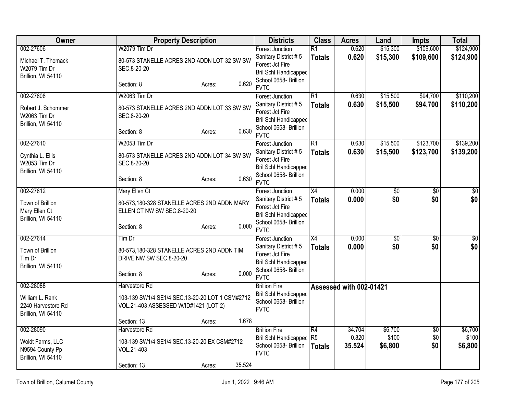| Owner                                                                        | <b>Property Description</b>                                                                                        | <b>Districts</b>                                                                                                                          | <b>Class</b>                                       | <b>Acres</b>              | Land                        | <b>Impts</b>           | <b>Total</b>                |
|------------------------------------------------------------------------------|--------------------------------------------------------------------------------------------------------------------|-------------------------------------------------------------------------------------------------------------------------------------------|----------------------------------------------------|---------------------------|-----------------------------|------------------------|-----------------------------|
| 002-27606<br>Michael T. Thomack<br><b>W2079 Tim Dr</b><br>Brillion, WI 54110 | W2079 Tim Dr<br>80-573 STANELLE ACRES 2ND ADDN LOT 32 SW SW<br>SEC.8-20-20                                         | <b>Forest Junction</b><br>Sanitary District #5<br>Forest Jct Fire<br><b>Bril Schl Handicapped</b>                                         | $\overline{R1}$<br><b>Totals</b>                   | 0.620<br>0.620            | \$15,300<br>\$15,300        | \$109,600<br>\$109,600 | \$124,900<br>\$124,900      |
|                                                                              | 0.620<br>Section: 8<br>Acres:                                                                                      | School 0658- Brillion<br><b>FVTC</b>                                                                                                      |                                                    |                           |                             |                        |                             |
| 002-27608<br>Robert J. Schommer<br>W2063 Tim Dr<br>Brillion, WI 54110        | W2063 Tim Dr<br>80-573 STANELLE ACRES 2ND ADDN LOT 33 SW SW<br>SEC.8-20-20                                         | <b>Forest Junction</b><br>Sanitary District #5<br>Forest Jct Fire<br><b>Bril Schl Handicapped</b><br>School 0658- Brillion                | $\overline{R1}$<br><b>Totals</b>                   | 0.630<br>0.630            | \$15,500<br>\$15,500        | \$94,700<br>\$94,700   | \$110,200<br>\$110,200      |
| 002-27610                                                                    | 0.630<br>Section: 8<br>Acres:<br>W2053 Tim Dr                                                                      | <b>FVTC</b><br><b>Forest Junction</b>                                                                                                     | $\overline{R1}$                                    | 0.630                     | \$15,500                    | \$123,700              | \$139,200                   |
| Cynthia L. Ellis<br>W2053 Tim Dr<br>Brillion, WI 54110                       | 80-573 STANELLE ACRES 2ND ADDN LOT 34 SW SW<br>SEC.8-20-20                                                         | Sanitary District #5<br>Forest Jct Fire<br><b>Bril Schl Handicapped</b>                                                                   | <b>Totals</b>                                      | 0.630                     | \$15,500                    | \$123,700              | \$139,200                   |
|                                                                              | 0.630<br>Section: 8<br>Acres:                                                                                      | School 0658- Brillion<br><b>FVTC</b>                                                                                                      |                                                    |                           |                             |                        |                             |
| 002-27612<br>Town of Brillion<br>Mary Ellen Ct<br>Brillion, WI 54110         | Mary Ellen Ct<br>80-573,180-328 STANELLE ACRES 2ND ADDN MARY<br>ELLEN CT NW SW SEC.8-20-20                         | <b>Forest Junction</b><br>Sanitary District #5<br>Forest Jct Fire<br>Bril Schl Handicapped<br>School 0658- Brillion                       | X4<br><b>Totals</b>                                | 0.000<br>0.000            | $\sqrt{60}$<br>\$0          | $\overline{50}$<br>\$0 | $\overline{50}$<br>\$0      |
| 002-27614                                                                    | 0.000<br>Section: 8<br>Acres:                                                                                      | <b>FVTC</b>                                                                                                                               | $\overline{X4}$                                    | 0.000                     |                             |                        |                             |
| Town of Brillion<br>Tim Dr<br>Brillion, WI 54110                             | $Tim$ Dr<br>80-573,180-328 STANELLE ACRES 2ND ADDN TIM<br>DRIVE NW SW SEC.8-20-20<br>0.000<br>Section: 8<br>Acres: | <b>Forest Junction</b><br>Sanitary District #5<br>Forest Jct Fire<br><b>Bril Schl Handicapped</b><br>School 0658- Brillion<br><b>FVTC</b> | <b>Totals</b>                                      | 0.000                     | \$0<br>\$0                  | $\overline{50}$<br>\$0 | $\overline{\$0}$<br>\$0     |
| 002-28088<br>William L. Rank<br>2240 Harvestore Rd<br>Brillion, WI 54110     | Harvestore Rd<br>103-139 SW1/4 SE1/4 SEC.13-20-20 LOT 1 CSM#2712<br>VOL.21-403 ASSESSED W/ID#1421 (LOT 2)          | <b>Brillion Fire</b><br>Bril Schl Handicapped<br>School 0658- Brillion<br><b>FVTC</b>                                                     |                                                    | Assessed with 002-01421   |                             |                        |                             |
|                                                                              | 1.678<br>Section: 13<br>Acres:                                                                                     |                                                                                                                                           |                                                    |                           |                             |                        |                             |
| 002-28090<br>Woldt Farms, LLC<br>N9594 County Pp<br>Brillion, WI 54110       | Harvestore Rd<br>103-139 SW1/4 SE1/4 SEC.13-20-20 EX CSM#2712<br>VOL.21-403                                        | <b>Brillion Fire</b><br><b>Bril Schl Handicapped</b><br>School 0658- Brillion<br><b>FVTC</b>                                              | $\overline{R4}$<br>R <sub>5</sub><br><b>Totals</b> | 34.704<br>0.820<br>35.524 | \$6,700<br>\$100<br>\$6,800 | \$0<br>\$0<br>\$0      | \$6,700<br>\$100<br>\$6,800 |
|                                                                              | 35.524<br>Section: 13<br>Acres:                                                                                    |                                                                                                                                           |                                                    |                           |                             |                        |                             |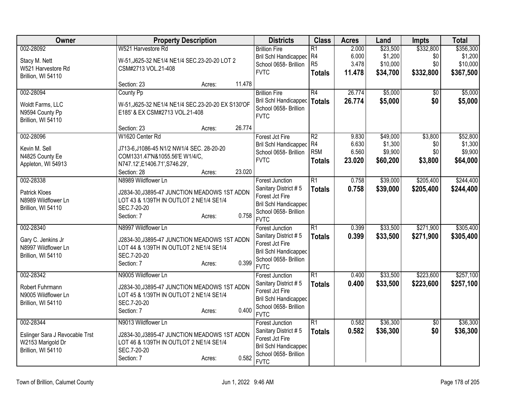| Owner                          | <b>Property Description</b>                            | <b>Districts</b>                                      | <b>Class</b>     | <b>Acres</b> | Land     | <b>Impts</b>    | <b>Total</b> |
|--------------------------------|--------------------------------------------------------|-------------------------------------------------------|------------------|--------------|----------|-----------------|--------------|
| 002-28092                      | W521 Harvestore Rd                                     | <b>Brillion Fire</b>                                  | $\overline{R1}$  | 2.000        | \$23,500 | \$332,800       | \$356,300    |
| Stacy M. Nett                  | W-51, J625-32 NE1/4 NE1/4 SEC.23-20-20 LOT 2           | Bril Schl Handicapped                                 | R4               | 6.000        | \$1,200  | \$0             | \$1,200      |
| W521 Harvestore Rd             | CSM#2713 VOL.21-408                                    | School 0658- Brillion                                 | R <sub>5</sub>   | 3.478        | \$10,000 | \$0             | \$10,000     |
| Brillion, WI 54110             |                                                        | <b>FVTC</b>                                           | <b>Totals</b>    | 11.478       | \$34,700 | \$332,800       | \$367,500    |
|                                | 11.478<br>Section: 23<br>Acres:                        |                                                       |                  |              |          |                 |              |
| 002-28094                      | County Pp                                              | <b>Brillion Fire</b>                                  | R4               | 26.774       | \$5,000  | $\overline{50}$ | \$5,000      |
| Woldt Farms, LLC               | W-51, J625-32 NE1/4 NE1/4 SEC.23-20-20 EX S130'OF      | Bril Schl Handicapped                                 | <b>Totals</b>    | 26.774       | \$5,000  | \$0             | \$5,000      |
| N9594 County Pp                | E185' & EX CSM#2713 VOL.21-408                         | School 0658- Brillion                                 |                  |              |          |                 |              |
| Brillion, WI 54110             |                                                        | <b>FVTC</b>                                           |                  |              |          |                 |              |
|                                | 26.774<br>Section: 23<br>Acres:                        |                                                       |                  |              |          |                 |              |
| 002-28096                      | W1620 Center Rd                                        | Forest Jct Fire                                       | $\overline{R2}$  | 9.830        | \$49,000 | \$3,800         | \$52,800     |
| Kevin M. Sell                  | J713-6, J1086-45 N1/2 NW1/4 SEC. 28-20-20              | <b>Bril Schl Handicapped</b>                          | R4               | 6.630        | \$1,300  | \$0             | \$1,300      |
| N4825 County Ee                | COM1331.47'N&1055.56'E W1/4/C,                         | School 0658- Brillion                                 | R <sub>5</sub> M | 6.560        | \$9,900  | \$0             | \$9,900      |
| Appleton, WI 54913             | N747.12', E1406.71', S746.29',                         | <b>FVTC</b>                                           | <b>Totals</b>    | 23.020       | \$60,200 | \$3,800         | \$64,000     |
|                                | 23.020<br>Section: 28<br>Acres:                        |                                                       |                  |              |          |                 |              |
| 002-28338                      | N8989 Wildflower Ln                                    | <b>Forest Junction</b>                                | $\overline{R1}$  | 0.758        | \$39,000 | \$205,400       | \$244,400    |
|                                |                                                        | Sanitary District #5                                  | <b>Totals</b>    | 0.758        | \$39,000 | \$205,400       | \$244,400    |
| <b>Patrick Kloes</b>           | J2834-30, J3895-47 JUNCTION MEADOWS 1ST ADDN           | Forest Jct Fire                                       |                  |              |          |                 |              |
| N8989 Wildflower Ln            | LOT 43 & 1/39TH IN OUTLOT 2 NE1/4 SE1/4                | <b>Bril Schl Handicapped</b>                          |                  |              |          |                 |              |
| Brillion, WI 54110             | SEC.7-20-20                                            | School 0658- Brillion                                 |                  |              |          |                 |              |
|                                | 0.758<br>Section: 7<br>Acres:                          | <b>FVTC</b>                                           |                  |              |          |                 |              |
| 002-28340                      | N8997 Wildflower Ln                                    | <b>Forest Junction</b>                                | $\overline{R1}$  | 0.399        | \$33,500 | \$271,900       | \$305,400    |
| Gary C. Jenkins Jr             | J2834-30, J3895-47 JUNCTION MEADOWS 1ST ADDN           | Sanitary District #5                                  | <b>Totals</b>    | 0.399        | \$33,500 | \$271,900       | \$305,400    |
| N8997 Wildflower Ln            | LOT 44 & 1/39TH IN OUTLOT 2 NE1/4 SE1/4                | Forest Jct Fire                                       |                  |              |          |                 |              |
| Brillion, WI 54110             | SEC.7-20-20                                            | <b>Bril Schl Handicapped</b>                          |                  |              |          |                 |              |
|                                | 0.399<br>Section: 7<br>Acres:                          | School 0658- Brillion                                 |                  |              |          |                 |              |
|                                |                                                        | <b>FVTC</b>                                           |                  |              |          |                 |              |
| 002-28342                      | N9005 Wildflower Ln                                    | <b>Forest Junction</b>                                | $\overline{R1}$  | 0.400        | \$33,500 | \$223,600       | \$257,100    |
| Robert Fuhrmann                | J2834-30, J3895-47 JUNCTION MEADOWS 1ST ADDN           | Sanitary District #5                                  | <b>Totals</b>    | 0.400        | \$33,500 | \$223,600       | \$257,100    |
| N9005 Wildflower Ln            | LOT 45 & 1/39TH IN OUTLOT 2 NE1/4 SE1/4                | Forest Jct Fire                                       |                  |              |          |                 |              |
| Brillion, WI 54110             | SEC.7-20-20                                            | <b>Bril Schl Handicapped</b><br>School 0658- Brillion |                  |              |          |                 |              |
|                                | 0.400<br>Section: 7<br>Acres:                          | <b>FVTC</b>                                           |                  |              |          |                 |              |
| 002-28344                      | N9013 Wildflower Ln                                    | <b>Forest Junction</b>                                | $\overline{R1}$  | 0.582        | \$36,300 | \$0             | \$36,300     |
|                                |                                                        | Sanitary District #5                                  | <b>Totals</b>    | 0.582        | \$36,300 | \$0             | \$36,300     |
| Eslinger Sara J Revocable Trst | J2834-30, J3895-47 JUNCTION MEADOWS 1ST ADDN           | Forest Jct Fire                                       |                  |              |          |                 |              |
| W2153 Marigold Dr              | LOT 46 & 1/39TH IN OUTLOT 2 NE1/4 SE1/4<br>SEC.7-20-20 | <b>Bril Schl Handicapped</b>                          |                  |              |          |                 |              |
| Brillion, WI 54110             | 0.582                                                  | School 0658- Brillion                                 |                  |              |          |                 |              |
|                                | Section: 7<br>Acres:                                   | <b>FVTC</b>                                           |                  |              |          |                 |              |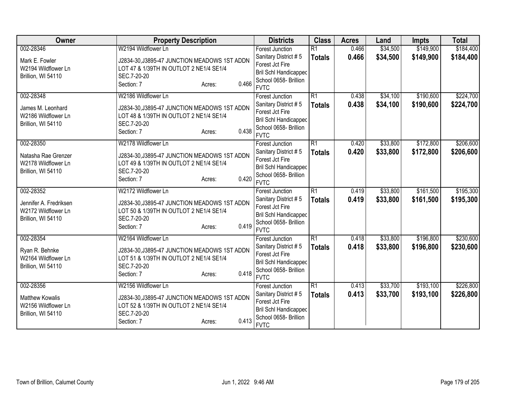| 002-28346<br>W2194 Wildflower Ln<br>\$34,500<br>\$149,900<br>\$184,400<br>$\overline{R1}$<br>0.466<br><b>Forest Junction</b><br>0.466<br>\$34,500<br>\$149,900<br>Sanitary District #5<br>\$184,400<br><b>Totals</b><br>J2834-30, J3895-47 JUNCTION MEADOWS 1ST ADDN<br>Mark E. Fowler<br>Forest Jct Fire<br>LOT 47 & 1/39TH IN OUTLOT 2 NE1/4 SE1/4<br>W2194 Wildflower Ln<br><b>Bril Schl Handicapped</b><br>Brillion, WI 54110<br>SEC.7-20-20<br>School 0658- Brillion<br>0.466<br>Section: 7<br>Acres:<br><b>FVTC</b><br>$\overline{R1}$<br>\$190,600<br>002-28348<br>W2186 Wildflower Ln<br>\$34,100<br><b>Forest Junction</b><br>0.438<br>0.438<br>\$34,100<br>\$190,600<br>Sanitary District #5<br><b>Totals</b><br>J2834-30, J3895-47 JUNCTION MEADOWS 1ST ADDN<br>James M. Leonhard<br>Forest Jct Fire<br>LOT 48 & 1/39TH IN OUTLOT 2 NE1/4 SE1/4<br>W2186 Wildflower Ln<br><b>Bril Schl Handicapped</b><br>SEC.7-20-20<br>Brillion, WI 54110<br>School 0658- Brillion<br>0.438<br>Section: 7<br>Acres:<br><b>FVTC</b><br>002-28350<br>W2178 Wildflower Ln<br>$\overline{R1}$<br>\$33,800<br>\$172,800<br>0.420<br><b>Forest Junction</b><br>Sanitary District #5<br>0.420<br>\$33,800<br>\$172,800<br><b>Totals</b><br>J2834-30, J3895-47 JUNCTION MEADOWS 1ST ADDN<br>Natasha Rae Grenzer<br>Forest Jct Fire<br>LOT 49 & 1/39TH IN OUTLOT 2 NE1/4 SE1/4<br>W2178 Wildflower Ln<br><b>Bril Schl Handicapped</b><br>SEC.7-20-20<br>Brillion, WI 54110<br>School 0658- Brillion<br>0.420<br>Section: 7<br>Acres:<br><b>FVTC</b><br>$\overline{R1}$<br>\$33,800<br>\$161,500<br>002-28352<br>W2172 Wildflower Ln<br>0.419<br><b>Forest Junction</b><br>\$33,800<br>0.419<br>\$161,500<br>Sanitary District #5<br><b>Totals</b><br>J2834-30, J3895-47 JUNCTION MEADOWS 1ST ADDN<br>Jennifer A. Fredriksen<br>Forest Jct Fire<br>W2172 Wildflower Ln<br>LOT 50 & 1/39TH IN OUTLOT 2 NE1/4 SE1/4<br><b>Bril Schl Handicapped</b><br>SEC.7-20-20<br>Brillion, WI 54110<br>School 0658- Brillion<br>0.419<br>Section: 7<br>Acres:<br><b>FVTC</b><br>002-28354<br>$\overline{R1}$<br>\$33,800<br>\$196,800<br>W2164 Wildflower Ln<br>0.418<br><b>Forest Junction</b><br>0.418<br>\$33,800<br>Sanitary District #5<br>\$196,800<br><b>Totals</b><br>J2834-30, J3895-47 JUNCTION MEADOWS 1ST ADDN<br>Ryan R. Behnke<br>Forest Jct Fire<br>W2164 Wildflower Ln<br>LOT 51 & 1/39TH IN OUTLOT 2 NE1/4 SE1/4<br>Bril Schl Handicapped<br>SEC.7-20-20<br>Brillion, WI 54110<br>School 0658- Brillion<br>0.418<br>Section: 7<br>Acres:<br><b>FVTC</b><br>\$193,100<br>002-28356<br>W2156 Wildflower Ln<br>$\overline{R1}$<br>\$33,700<br>0.413<br>Forest Junction<br>Sanitary District #5<br>0.413<br>\$33,700<br>\$193,100<br><b>Totals</b><br><b>Matthew Kowalis</b><br>J2834-30, J3895-47 JUNCTION MEADOWS 1ST ADDN<br>Forest Jct Fire<br>W2156 Wildflower Ln<br>LOT 52 & 1/39TH IN OUTLOT 2 NE1/4 SE1/4<br>Bril Schl Handicapped<br>SEC.7-20-20<br>Brillion, WI 54110<br>School 0658- Brillion<br>0.413<br>Section: 7<br>Acres:<br><b>FVTC</b> | Owner | <b>Property Description</b> | <b>Districts</b> | <b>Class</b> | <b>Acres</b> | Land | <b>Impts</b> | <b>Total</b> |
|---------------------------------------------------------------------------------------------------------------------------------------------------------------------------------------------------------------------------------------------------------------------------------------------------------------------------------------------------------------------------------------------------------------------------------------------------------------------------------------------------------------------------------------------------------------------------------------------------------------------------------------------------------------------------------------------------------------------------------------------------------------------------------------------------------------------------------------------------------------------------------------------------------------------------------------------------------------------------------------------------------------------------------------------------------------------------------------------------------------------------------------------------------------------------------------------------------------------------------------------------------------------------------------------------------------------------------------------------------------------------------------------------------------------------------------------------------------------------------------------------------------------------------------------------------------------------------------------------------------------------------------------------------------------------------------------------------------------------------------------------------------------------------------------------------------------------------------------------------------------------------------------------------------------------------------------------------------------------------------------------------------------------------------------------------------------------------------------------------------------------------------------------------------------------------------------------------------------------------------------------------------------------------------------------------------------------------------------------------------------------------------------------------------------------------------------------------------------------------------------------------------------------------------------------------------------------------------------------------------------------------------------------------------------------------------------------------------------------------------------------------------------------------------------------------------------------------------------------------------------------------------------------------------------------------------------------------------------------------------------------------------------------------------------|-------|-----------------------------|------------------|--------------|--------------|------|--------------|--------------|
|                                                                                                                                                                                                                                                                                                                                                                                                                                                                                                                                                                                                                                                                                                                                                                                                                                                                                                                                                                                                                                                                                                                                                                                                                                                                                                                                                                                                                                                                                                                                                                                                                                                                                                                                                                                                                                                                                                                                                                                                                                                                                                                                                                                                                                                                                                                                                                                                                                                                                                                                                                                                                                                                                                                                                                                                                                                                                                                                                                                                                                             |       |                             |                  |              |              |      |              |              |
|                                                                                                                                                                                                                                                                                                                                                                                                                                                                                                                                                                                                                                                                                                                                                                                                                                                                                                                                                                                                                                                                                                                                                                                                                                                                                                                                                                                                                                                                                                                                                                                                                                                                                                                                                                                                                                                                                                                                                                                                                                                                                                                                                                                                                                                                                                                                                                                                                                                                                                                                                                                                                                                                                                                                                                                                                                                                                                                                                                                                                                             |       |                             |                  |              |              |      |              |              |
|                                                                                                                                                                                                                                                                                                                                                                                                                                                                                                                                                                                                                                                                                                                                                                                                                                                                                                                                                                                                                                                                                                                                                                                                                                                                                                                                                                                                                                                                                                                                                                                                                                                                                                                                                                                                                                                                                                                                                                                                                                                                                                                                                                                                                                                                                                                                                                                                                                                                                                                                                                                                                                                                                                                                                                                                                                                                                                                                                                                                                                             |       |                             |                  |              |              |      |              |              |
| \$224,700<br>\$224,700<br>\$206,600<br>\$206,600<br>\$195,300<br>\$195,300<br>\$230,600<br>\$230,600<br>\$226,800<br>\$226,800                                                                                                                                                                                                                                                                                                                                                                                                                                                                                                                                                                                                                                                                                                                                                                                                                                                                                                                                                                                                                                                                                                                                                                                                                                                                                                                                                                                                                                                                                                                                                                                                                                                                                                                                                                                                                                                                                                                                                                                                                                                                                                                                                                                                                                                                                                                                                                                                                                                                                                                                                                                                                                                                                                                                                                                                                                                                                                              |       |                             |                  |              |              |      |              |              |
|                                                                                                                                                                                                                                                                                                                                                                                                                                                                                                                                                                                                                                                                                                                                                                                                                                                                                                                                                                                                                                                                                                                                                                                                                                                                                                                                                                                                                                                                                                                                                                                                                                                                                                                                                                                                                                                                                                                                                                                                                                                                                                                                                                                                                                                                                                                                                                                                                                                                                                                                                                                                                                                                                                                                                                                                                                                                                                                                                                                                                                             |       |                             |                  |              |              |      |              |              |
|                                                                                                                                                                                                                                                                                                                                                                                                                                                                                                                                                                                                                                                                                                                                                                                                                                                                                                                                                                                                                                                                                                                                                                                                                                                                                                                                                                                                                                                                                                                                                                                                                                                                                                                                                                                                                                                                                                                                                                                                                                                                                                                                                                                                                                                                                                                                                                                                                                                                                                                                                                                                                                                                                                                                                                                                                                                                                                                                                                                                                                             |       |                             |                  |              |              |      |              |              |
|                                                                                                                                                                                                                                                                                                                                                                                                                                                                                                                                                                                                                                                                                                                                                                                                                                                                                                                                                                                                                                                                                                                                                                                                                                                                                                                                                                                                                                                                                                                                                                                                                                                                                                                                                                                                                                                                                                                                                                                                                                                                                                                                                                                                                                                                                                                                                                                                                                                                                                                                                                                                                                                                                                                                                                                                                                                                                                                                                                                                                                             |       |                             |                  |              |              |      |              |              |
|                                                                                                                                                                                                                                                                                                                                                                                                                                                                                                                                                                                                                                                                                                                                                                                                                                                                                                                                                                                                                                                                                                                                                                                                                                                                                                                                                                                                                                                                                                                                                                                                                                                                                                                                                                                                                                                                                                                                                                                                                                                                                                                                                                                                                                                                                                                                                                                                                                                                                                                                                                                                                                                                                                                                                                                                                                                                                                                                                                                                                                             |       |                             |                  |              |              |      |              |              |
|                                                                                                                                                                                                                                                                                                                                                                                                                                                                                                                                                                                                                                                                                                                                                                                                                                                                                                                                                                                                                                                                                                                                                                                                                                                                                                                                                                                                                                                                                                                                                                                                                                                                                                                                                                                                                                                                                                                                                                                                                                                                                                                                                                                                                                                                                                                                                                                                                                                                                                                                                                                                                                                                                                                                                                                                                                                                                                                                                                                                                                             |       |                             |                  |              |              |      |              |              |
|                                                                                                                                                                                                                                                                                                                                                                                                                                                                                                                                                                                                                                                                                                                                                                                                                                                                                                                                                                                                                                                                                                                                                                                                                                                                                                                                                                                                                                                                                                                                                                                                                                                                                                                                                                                                                                                                                                                                                                                                                                                                                                                                                                                                                                                                                                                                                                                                                                                                                                                                                                                                                                                                                                                                                                                                                                                                                                                                                                                                                                             |       |                             |                  |              |              |      |              |              |
|                                                                                                                                                                                                                                                                                                                                                                                                                                                                                                                                                                                                                                                                                                                                                                                                                                                                                                                                                                                                                                                                                                                                                                                                                                                                                                                                                                                                                                                                                                                                                                                                                                                                                                                                                                                                                                                                                                                                                                                                                                                                                                                                                                                                                                                                                                                                                                                                                                                                                                                                                                                                                                                                                                                                                                                                                                                                                                                                                                                                                                             |       |                             |                  |              |              |      |              |              |
|                                                                                                                                                                                                                                                                                                                                                                                                                                                                                                                                                                                                                                                                                                                                                                                                                                                                                                                                                                                                                                                                                                                                                                                                                                                                                                                                                                                                                                                                                                                                                                                                                                                                                                                                                                                                                                                                                                                                                                                                                                                                                                                                                                                                                                                                                                                                                                                                                                                                                                                                                                                                                                                                                                                                                                                                                                                                                                                                                                                                                                             |       |                             |                  |              |              |      |              |              |
|                                                                                                                                                                                                                                                                                                                                                                                                                                                                                                                                                                                                                                                                                                                                                                                                                                                                                                                                                                                                                                                                                                                                                                                                                                                                                                                                                                                                                                                                                                                                                                                                                                                                                                                                                                                                                                                                                                                                                                                                                                                                                                                                                                                                                                                                                                                                                                                                                                                                                                                                                                                                                                                                                                                                                                                                                                                                                                                                                                                                                                             |       |                             |                  |              |              |      |              |              |
|                                                                                                                                                                                                                                                                                                                                                                                                                                                                                                                                                                                                                                                                                                                                                                                                                                                                                                                                                                                                                                                                                                                                                                                                                                                                                                                                                                                                                                                                                                                                                                                                                                                                                                                                                                                                                                                                                                                                                                                                                                                                                                                                                                                                                                                                                                                                                                                                                                                                                                                                                                                                                                                                                                                                                                                                                                                                                                                                                                                                                                             |       |                             |                  |              |              |      |              |              |
|                                                                                                                                                                                                                                                                                                                                                                                                                                                                                                                                                                                                                                                                                                                                                                                                                                                                                                                                                                                                                                                                                                                                                                                                                                                                                                                                                                                                                                                                                                                                                                                                                                                                                                                                                                                                                                                                                                                                                                                                                                                                                                                                                                                                                                                                                                                                                                                                                                                                                                                                                                                                                                                                                                                                                                                                                                                                                                                                                                                                                                             |       |                             |                  |              |              |      |              |              |
|                                                                                                                                                                                                                                                                                                                                                                                                                                                                                                                                                                                                                                                                                                                                                                                                                                                                                                                                                                                                                                                                                                                                                                                                                                                                                                                                                                                                                                                                                                                                                                                                                                                                                                                                                                                                                                                                                                                                                                                                                                                                                                                                                                                                                                                                                                                                                                                                                                                                                                                                                                                                                                                                                                                                                                                                                                                                                                                                                                                                                                             |       |                             |                  |              |              |      |              |              |
|                                                                                                                                                                                                                                                                                                                                                                                                                                                                                                                                                                                                                                                                                                                                                                                                                                                                                                                                                                                                                                                                                                                                                                                                                                                                                                                                                                                                                                                                                                                                                                                                                                                                                                                                                                                                                                                                                                                                                                                                                                                                                                                                                                                                                                                                                                                                                                                                                                                                                                                                                                                                                                                                                                                                                                                                                                                                                                                                                                                                                                             |       |                             |                  |              |              |      |              |              |
|                                                                                                                                                                                                                                                                                                                                                                                                                                                                                                                                                                                                                                                                                                                                                                                                                                                                                                                                                                                                                                                                                                                                                                                                                                                                                                                                                                                                                                                                                                                                                                                                                                                                                                                                                                                                                                                                                                                                                                                                                                                                                                                                                                                                                                                                                                                                                                                                                                                                                                                                                                                                                                                                                                                                                                                                                                                                                                                                                                                                                                             |       |                             |                  |              |              |      |              |              |
|                                                                                                                                                                                                                                                                                                                                                                                                                                                                                                                                                                                                                                                                                                                                                                                                                                                                                                                                                                                                                                                                                                                                                                                                                                                                                                                                                                                                                                                                                                                                                                                                                                                                                                                                                                                                                                                                                                                                                                                                                                                                                                                                                                                                                                                                                                                                                                                                                                                                                                                                                                                                                                                                                                                                                                                                                                                                                                                                                                                                                                             |       |                             |                  |              |              |      |              |              |
|                                                                                                                                                                                                                                                                                                                                                                                                                                                                                                                                                                                                                                                                                                                                                                                                                                                                                                                                                                                                                                                                                                                                                                                                                                                                                                                                                                                                                                                                                                                                                                                                                                                                                                                                                                                                                                                                                                                                                                                                                                                                                                                                                                                                                                                                                                                                                                                                                                                                                                                                                                                                                                                                                                                                                                                                                                                                                                                                                                                                                                             |       |                             |                  |              |              |      |              |              |
|                                                                                                                                                                                                                                                                                                                                                                                                                                                                                                                                                                                                                                                                                                                                                                                                                                                                                                                                                                                                                                                                                                                                                                                                                                                                                                                                                                                                                                                                                                                                                                                                                                                                                                                                                                                                                                                                                                                                                                                                                                                                                                                                                                                                                                                                                                                                                                                                                                                                                                                                                                                                                                                                                                                                                                                                                                                                                                                                                                                                                                             |       |                             |                  |              |              |      |              |              |
|                                                                                                                                                                                                                                                                                                                                                                                                                                                                                                                                                                                                                                                                                                                                                                                                                                                                                                                                                                                                                                                                                                                                                                                                                                                                                                                                                                                                                                                                                                                                                                                                                                                                                                                                                                                                                                                                                                                                                                                                                                                                                                                                                                                                                                                                                                                                                                                                                                                                                                                                                                                                                                                                                                                                                                                                                                                                                                                                                                                                                                             |       |                             |                  |              |              |      |              |              |
|                                                                                                                                                                                                                                                                                                                                                                                                                                                                                                                                                                                                                                                                                                                                                                                                                                                                                                                                                                                                                                                                                                                                                                                                                                                                                                                                                                                                                                                                                                                                                                                                                                                                                                                                                                                                                                                                                                                                                                                                                                                                                                                                                                                                                                                                                                                                                                                                                                                                                                                                                                                                                                                                                                                                                                                                                                                                                                                                                                                                                                             |       |                             |                  |              |              |      |              |              |
|                                                                                                                                                                                                                                                                                                                                                                                                                                                                                                                                                                                                                                                                                                                                                                                                                                                                                                                                                                                                                                                                                                                                                                                                                                                                                                                                                                                                                                                                                                                                                                                                                                                                                                                                                                                                                                                                                                                                                                                                                                                                                                                                                                                                                                                                                                                                                                                                                                                                                                                                                                                                                                                                                                                                                                                                                                                                                                                                                                                                                                             |       |                             |                  |              |              |      |              |              |
|                                                                                                                                                                                                                                                                                                                                                                                                                                                                                                                                                                                                                                                                                                                                                                                                                                                                                                                                                                                                                                                                                                                                                                                                                                                                                                                                                                                                                                                                                                                                                                                                                                                                                                                                                                                                                                                                                                                                                                                                                                                                                                                                                                                                                                                                                                                                                                                                                                                                                                                                                                                                                                                                                                                                                                                                                                                                                                                                                                                                                                             |       |                             |                  |              |              |      |              |              |
|                                                                                                                                                                                                                                                                                                                                                                                                                                                                                                                                                                                                                                                                                                                                                                                                                                                                                                                                                                                                                                                                                                                                                                                                                                                                                                                                                                                                                                                                                                                                                                                                                                                                                                                                                                                                                                                                                                                                                                                                                                                                                                                                                                                                                                                                                                                                                                                                                                                                                                                                                                                                                                                                                                                                                                                                                                                                                                                                                                                                                                             |       |                             |                  |              |              |      |              |              |
|                                                                                                                                                                                                                                                                                                                                                                                                                                                                                                                                                                                                                                                                                                                                                                                                                                                                                                                                                                                                                                                                                                                                                                                                                                                                                                                                                                                                                                                                                                                                                                                                                                                                                                                                                                                                                                                                                                                                                                                                                                                                                                                                                                                                                                                                                                                                                                                                                                                                                                                                                                                                                                                                                                                                                                                                                                                                                                                                                                                                                                             |       |                             |                  |              |              |      |              |              |
|                                                                                                                                                                                                                                                                                                                                                                                                                                                                                                                                                                                                                                                                                                                                                                                                                                                                                                                                                                                                                                                                                                                                                                                                                                                                                                                                                                                                                                                                                                                                                                                                                                                                                                                                                                                                                                                                                                                                                                                                                                                                                                                                                                                                                                                                                                                                                                                                                                                                                                                                                                                                                                                                                                                                                                                                                                                                                                                                                                                                                                             |       |                             |                  |              |              |      |              |              |
|                                                                                                                                                                                                                                                                                                                                                                                                                                                                                                                                                                                                                                                                                                                                                                                                                                                                                                                                                                                                                                                                                                                                                                                                                                                                                                                                                                                                                                                                                                                                                                                                                                                                                                                                                                                                                                                                                                                                                                                                                                                                                                                                                                                                                                                                                                                                                                                                                                                                                                                                                                                                                                                                                                                                                                                                                                                                                                                                                                                                                                             |       |                             |                  |              |              |      |              |              |
|                                                                                                                                                                                                                                                                                                                                                                                                                                                                                                                                                                                                                                                                                                                                                                                                                                                                                                                                                                                                                                                                                                                                                                                                                                                                                                                                                                                                                                                                                                                                                                                                                                                                                                                                                                                                                                                                                                                                                                                                                                                                                                                                                                                                                                                                                                                                                                                                                                                                                                                                                                                                                                                                                                                                                                                                                                                                                                                                                                                                                                             |       |                             |                  |              |              |      |              |              |
|                                                                                                                                                                                                                                                                                                                                                                                                                                                                                                                                                                                                                                                                                                                                                                                                                                                                                                                                                                                                                                                                                                                                                                                                                                                                                                                                                                                                                                                                                                                                                                                                                                                                                                                                                                                                                                                                                                                                                                                                                                                                                                                                                                                                                                                                                                                                                                                                                                                                                                                                                                                                                                                                                                                                                                                                                                                                                                                                                                                                                                             |       |                             |                  |              |              |      |              |              |
|                                                                                                                                                                                                                                                                                                                                                                                                                                                                                                                                                                                                                                                                                                                                                                                                                                                                                                                                                                                                                                                                                                                                                                                                                                                                                                                                                                                                                                                                                                                                                                                                                                                                                                                                                                                                                                                                                                                                                                                                                                                                                                                                                                                                                                                                                                                                                                                                                                                                                                                                                                                                                                                                                                                                                                                                                                                                                                                                                                                                                                             |       |                             |                  |              |              |      |              |              |
|                                                                                                                                                                                                                                                                                                                                                                                                                                                                                                                                                                                                                                                                                                                                                                                                                                                                                                                                                                                                                                                                                                                                                                                                                                                                                                                                                                                                                                                                                                                                                                                                                                                                                                                                                                                                                                                                                                                                                                                                                                                                                                                                                                                                                                                                                                                                                                                                                                                                                                                                                                                                                                                                                                                                                                                                                                                                                                                                                                                                                                             |       |                             |                  |              |              |      |              |              |
|                                                                                                                                                                                                                                                                                                                                                                                                                                                                                                                                                                                                                                                                                                                                                                                                                                                                                                                                                                                                                                                                                                                                                                                                                                                                                                                                                                                                                                                                                                                                                                                                                                                                                                                                                                                                                                                                                                                                                                                                                                                                                                                                                                                                                                                                                                                                                                                                                                                                                                                                                                                                                                                                                                                                                                                                                                                                                                                                                                                                                                             |       |                             |                  |              |              |      |              |              |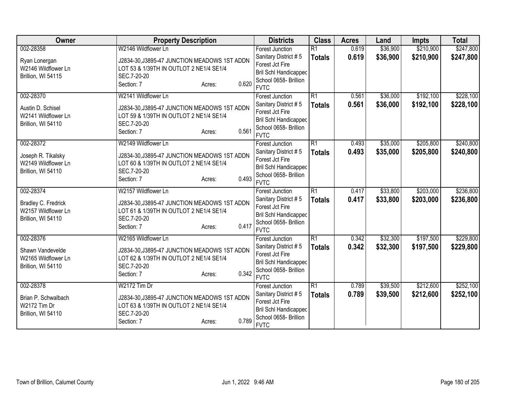| Owner                                                                         | <b>Property Description</b>                                                                                                                                    | <b>Districts</b>                                                                                                                          | <b>Class</b>                     | <b>Acres</b>   | Land                 | <b>Impts</b>           | <b>Total</b>           |
|-------------------------------------------------------------------------------|----------------------------------------------------------------------------------------------------------------------------------------------------------------|-------------------------------------------------------------------------------------------------------------------------------------------|----------------------------------|----------------|----------------------|------------------------|------------------------|
| 002-28358                                                                     | W2146 Wildflower Ln                                                                                                                                            | <b>Forest Junction</b>                                                                                                                    | $\overline{R1}$                  | 0.619          | \$36,900             | \$210,900              | \$247,800              |
| Ryan Lonergan<br>W2146 Wildflower Ln<br>Brillion, WI 54115                    | J2834-30, J3895-47 JUNCTION MEADOWS 1ST ADDN<br>LOT 53 & 1/39TH IN OUTLOT 2 NE1/4 SE1/4<br>SEC.7-20-20<br>0.620<br>Section: 7<br>Acres:                        | Sanitary District #5<br>Forest Jct Fire<br><b>Bril Schl Handicapped</b><br>School 0658- Brillion                                          | <b>Totals</b>                    | 0.619          | \$36,900             | \$210,900              | \$247,800              |
|                                                                               |                                                                                                                                                                | <b>FVTC</b>                                                                                                                               |                                  |                |                      |                        |                        |
| 002-28370<br>Austin D. Schisel<br>W2141 Wildflower Ln<br>Brillion, WI 54110   | W2141 Wildflower Ln<br>J2834-30, J3895-47 JUNCTION MEADOWS 1ST ADDN<br>LOT 59 & 1/39TH IN OUTLOT 2 NE1/4 SE1/4<br>SEC.7-20-20<br>0.561<br>Section: 7<br>Acres: | Forest Junction<br>Sanitary District #5<br>Forest Jct Fire<br><b>Bril Schl Handicapped</b><br>School 0658- Brillion<br><b>FVTC</b>        | $\overline{R1}$<br><b>Totals</b> | 0.561<br>0.561 | \$36,000<br>\$36,000 | \$192,100<br>\$192,100 | \$228,100<br>\$228,100 |
| 002-28372<br>Joseph R. Tikalsky<br>W2149 Wildflower Ln<br>Brillion, WI 54110  | W2149 Wildflower Ln<br>J2834-30, J3895-47 JUNCTION MEADOWS 1ST ADDN<br>LOT 60 & 1/39TH IN OUTLOT 2 NE1/4 SE1/4<br>SEC.7-20-20<br>0.493<br>Section: 7<br>Acres: | <b>Forest Junction</b><br>Sanitary District #5<br>Forest Jct Fire<br><b>Bril Schl Handicapped</b><br>School 0658- Brillion<br><b>FVTC</b> | $\overline{R1}$<br><b>Totals</b> | 0.493<br>0.493 | \$35,000<br>\$35,000 | \$205,800<br>\$205,800 | \$240,800<br>\$240,800 |
| 002-28374<br>Bradley C. Fredrick<br>W2157 Wildflower Ln<br>Brillion, WI 54110 | W2157 Wildflower Ln<br>J2834-30, J3895-47 JUNCTION MEADOWS 1ST ADDN<br>LOT 61 & 1/39TH IN OUTLOT 2 NE1/4 SE1/4<br>SEC.7-20-20<br>0.417<br>Section: 7<br>Acres: | Forest Junction<br>Sanitary District #5<br>Forest Jct Fire<br>Bril Schl Handicapped<br>School 0658- Brillion<br><b>FVTC</b>               | $\overline{R1}$<br><b>Totals</b> | 0.417<br>0.417 | \$33,800<br>\$33,800 | \$203,000<br>\$203,000 | \$236,800<br>\$236,800 |
| 002-28376<br>Shawn Vandevelde<br>W2165 Wildflower Ln<br>Brillion, WI 54110    | W2165 Wildflower Ln<br>J2834-30, J3895-47 JUNCTION MEADOWS 1ST ADDN<br>LOT 62 & 1/39TH IN OUTLOT 2 NE1/4 SE1/4<br>SEC.7-20-20<br>0.342<br>Section: 7<br>Acres: | <b>Forest Junction</b><br>Sanitary District #5<br>Forest Jct Fire<br><b>Bril Schl Handicapped</b><br>School 0658- Brillion<br><b>FVTC</b> | $\overline{R1}$<br><b>Totals</b> | 0.342<br>0.342 | \$32,300<br>\$32,300 | \$197,500<br>\$197,500 | \$229,800<br>\$229,800 |
| 002-28378<br>Brian P. Schwalbach<br>W2172 Tim Dr<br>Brillion, WI 54110        | W2172 Tim Dr<br>J2834-30, J3895-47 JUNCTION MEADOWS 1ST ADDN<br>LOT 63 & 1/39TH IN OUTLOT 2 NE1/4 SE1/4<br>SEC.7-20-20<br>0.789<br>Section: 7<br>Acres:        | Forest Junction<br>Sanitary District #5<br>Forest Jct Fire<br>Bril Schl Handicapped<br>School 0658- Brillion<br><b>FVTC</b>               | $\overline{R1}$<br><b>Totals</b> | 0.789<br>0.789 | \$39,500<br>\$39,500 | \$212,600<br>\$212,600 | \$252,100<br>\$252,100 |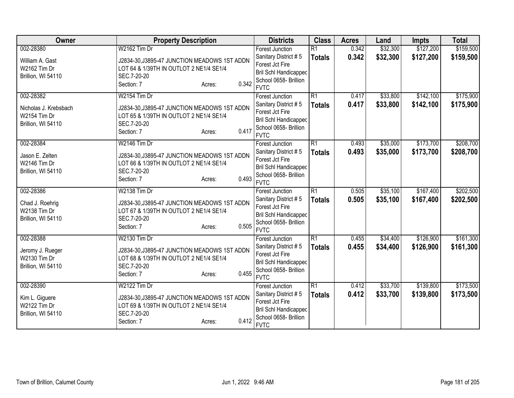| Owner                 | <b>Property Description</b>                  | <b>Districts</b>                               | <b>Class</b>    | <b>Acres</b> | Land     | <b>Impts</b> | <b>Total</b> |
|-----------------------|----------------------------------------------|------------------------------------------------|-----------------|--------------|----------|--------------|--------------|
| 002-28380             | W2162 Tim Dr                                 | <b>Forest Junction</b>                         | $\overline{R1}$ | 0.342        | \$32,300 | \$127,200    | \$159,500    |
| William A. Gast       | J2834-30, J3895-47 JUNCTION MEADOWS 1ST ADDN | Sanitary District #5                           | <b>Totals</b>   | 0.342        | \$32,300 | \$127,200    | \$159,500    |
| W2162 Tim Dr          | LOT 64 & 1/39TH IN OUTLOT 2 NE1/4 SE1/4      | Forest Jct Fire                                |                 |              |          |              |              |
| Brillion, WI 54110    | SEC.7-20-20                                  | Bril Schl Handicapped                          |                 |              |          |              |              |
|                       | 0.342<br>Section: 7<br>Acres:                | School 0658- Brillion                          |                 |              |          |              |              |
|                       |                                              | <b>FVTC</b>                                    |                 |              |          |              |              |
| 002-28382             | W2154 Tim Dr                                 | <b>Forest Junction</b>                         | $\overline{R1}$ | 0.417        | \$33,800 | \$142,100    | \$175,900    |
| Nicholas J. Krebsbach | J2834-30, J3895-47 JUNCTION MEADOWS 1ST ADDN | Sanitary District #5                           | <b>Totals</b>   | 0.417        | \$33,800 | \$142,100    | \$175,900    |
| W2154 Tim Dr          | LOT 65 & 1/39TH IN OUTLOT 2 NE1/4 SE1/4      | Forest Jct Fire                                |                 |              |          |              |              |
| Brillion, WI 54110    | SEC.7-20-20                                  | <b>Bril Schl Handicapped</b>                   |                 |              |          |              |              |
|                       | 0.417<br>Section: 7<br>Acres:                | School 0658- Brillion<br><b>FVTC</b>           |                 |              |          |              |              |
| 002-28384             | W2146 Tim Dr                                 | <b>Forest Junction</b>                         | $\overline{R1}$ | 0.493        | \$35,000 | \$173,700    | \$208,700    |
|                       |                                              | Sanitary District #5                           | <b>Totals</b>   | 0.493        | \$35,000 | \$173,700    | \$208,700    |
| Jason E. Zelten       | J2834-30, J3895-47 JUNCTION MEADOWS 1ST ADDN | Forest Jct Fire                                |                 |              |          |              |              |
| W2146 Tim Dr          | LOT 66 & 1/39TH IN OUTLOT 2 NE1/4 SE1/4      | <b>Bril Schl Handicapped</b>                   |                 |              |          |              |              |
| Brillion, WI 54110    | SEC.7-20-20                                  | School 0658- Brillion                          |                 |              |          |              |              |
|                       | 0.493<br>Section: 7<br>Acres:                | <b>FVTC</b>                                    |                 |              |          |              |              |
| 002-28386             | W2138 Tim Dr                                 | <b>Forest Junction</b>                         | $\overline{R1}$ | 0.505        | \$35,100 | \$167,400    | \$202,500    |
| Chad J. Roehrig       | J2834-30, J3895-47 JUNCTION MEADOWS 1ST ADDN | Sanitary District #5                           | <b>Totals</b>   | 0.505        | \$35,100 | \$167,400    | \$202,500    |
| W2138 Tim Dr          | LOT 67 & 1/39TH IN OUTLOT 2 NE1/4 SE1/4      | Forest Jct Fire                                |                 |              |          |              |              |
| Brillion, WI 54110    | SEC.7-20-20                                  | <b>Bril Schl Handicapped</b>                   |                 |              |          |              |              |
|                       | 0.505<br>Section: 7<br>Acres:                | School 0658- Brillion                          |                 |              |          |              |              |
|                       |                                              | <b>FVTC</b>                                    |                 |              |          |              |              |
| 002-28388             | W2130 Tim Dr                                 | <b>Forest Junction</b>                         | $\overline{R1}$ | 0.455        | \$34,400 | \$126,900    | \$161,300    |
| Jeromy J. Rueger      | J2834-30, J3895-47 JUNCTION MEADOWS 1ST ADDN | Sanitary District #5                           | <b>Totals</b>   | 0.455        | \$34,400 | \$126,900    | \$161,300    |
| W2130 Tim Dr          | LOT 68 & 1/39TH IN OUTLOT 2 NE1/4 SE1/4      | Forest Jct Fire                                |                 |              |          |              |              |
| Brillion, WI 54110    | SEC.7-20-20                                  | Bril Schl Handicapped                          |                 |              |          |              |              |
|                       | 0.455<br>Section: 7<br>Acres:                | School 0658- Brillion                          |                 |              |          |              |              |
|                       | W2122 Tim Dr                                 | <b>FVTC</b>                                    | $\overline{R1}$ |              |          |              | \$173,500    |
| 002-28390             |                                              | <b>Forest Junction</b><br>Sanitary District #5 |                 | 0.412        | \$33,700 | \$139,800    |              |
| Kim L. Giguere        | J2834-30, J3895-47 JUNCTION MEADOWS 1ST ADDN | Forest Jct Fire                                | <b>Totals</b>   | 0.412        | \$33,700 | \$139,800    | \$173,500    |
| W2122 Tim Dr          | LOT 69 & 1/39TH IN OUTLOT 2 NE1/4 SE1/4      | Bril Schl Handicapped                          |                 |              |          |              |              |
| Brillion, WI 54110    | SEC.7-20-20                                  | School 0658- Brillion                          |                 |              |          |              |              |
|                       | 0.412<br>Section: 7<br>Acres:                | <b>FVTC</b>                                    |                 |              |          |              |              |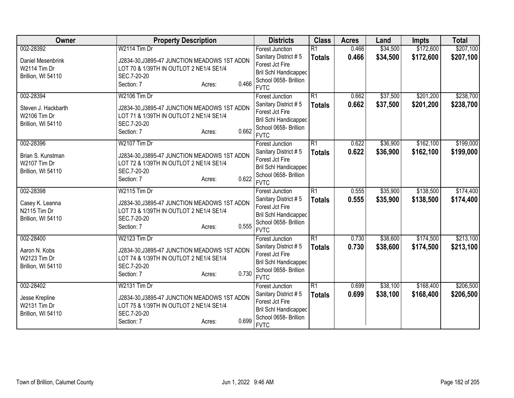| Owner               | <b>Property Description</b>                            | <b>Districts</b>                     | <b>Class</b>    | <b>Acres</b> | Land     | <b>Impts</b> | <b>Total</b> |
|---------------------|--------------------------------------------------------|--------------------------------------|-----------------|--------------|----------|--------------|--------------|
| 002-28392           | W2114 Tim Dr                                           | <b>Forest Junction</b>               | $\overline{R1}$ | 0.466        | \$34,500 | \$172,600    | \$207,100    |
| Daniel Mesenbrink   | J2834-30, J3895-47 JUNCTION MEADOWS 1ST ADDN           | Sanitary District #5                 | <b>Totals</b>   | 0.466        | \$34,500 | \$172,600    | \$207,100    |
| W2114 Tim Dr        | LOT 70 & 1/39TH IN OUTLOT 2 NE1/4 SE1/4                | Forest Jct Fire                      |                 |              |          |              |              |
| Brillion, WI 54110  | SEC.7-20-20                                            | <b>Bril Schl Handicapped</b>         |                 |              |          |              |              |
|                     | 0.466<br>Section: 7<br>Acres:                          | School 0658- Brillion                |                 |              |          |              |              |
|                     |                                                        | <b>FVTC</b>                          |                 |              |          |              |              |
| 002-28394           | W2106 Tim Dr                                           | <b>Forest Junction</b>               | $\overline{R1}$ | 0.662        | \$37,500 | \$201,200    | \$238,700    |
| Steven J. Hackbarth | J2834-30, J3895-47 JUNCTION MEADOWS 1ST ADDN           | Sanitary District #5                 | <b>Totals</b>   | 0.662        | \$37,500 | \$201,200    | \$238,700    |
| W2106 Tim Dr        | LOT 71 & 1/39TH IN OUTLOT 2 NE1/4 SE1/4                | Forest Jct Fire                      |                 |              |          |              |              |
| Brillion, WI 54110  | SEC.7-20-20                                            | <b>Bril Schl Handicapped</b>         |                 |              |          |              |              |
|                     | 0.662<br>Section: 7<br>Acres:                          | School 0658- Brillion<br><b>FVTC</b> |                 |              |          |              |              |
| 002-28396           | W2107 Tim Dr                                           | <b>Forest Junction</b>               | $\overline{R1}$ | 0.622        | \$36,900 | \$162,100    | \$199,000    |
|                     |                                                        | Sanitary District #5                 |                 | 0.622        | \$36,900 |              |              |
| Brian S. Kunstman   | J2834-30, J3895-47 JUNCTION MEADOWS 1ST ADDN           | Forest Jct Fire                      | <b>Totals</b>   |              |          | \$162,100    | \$199,000    |
| W2107 Tim Dr        | LOT 72 & 1/39TH IN OUTLOT 2 NE1/4 SE1/4                | <b>Bril Schl Handicapped</b>         |                 |              |          |              |              |
| Brillion, WI 54110  | SEC.7-20-20                                            | School 0658- Brillion                |                 |              |          |              |              |
|                     | 0.622<br>Section: 7<br>Acres:                          | <b>FVTC</b>                          |                 |              |          |              |              |
| 002-28398           | W2115 Tim Dr                                           | <b>Forest Junction</b>               | $\overline{R1}$ | 0.555        | \$35,900 | \$138,500    | \$174,400    |
|                     |                                                        | Sanitary District #5                 | <b>Totals</b>   | 0.555        | \$35,900 | \$138,500    | \$174,400    |
| Casey K. Leanna     | J2834-30, J3895-47 JUNCTION MEADOWS 1ST ADDN           | Forest Jct Fire                      |                 |              |          |              |              |
| N2115 Tim Dr        | LOT 73 & 1/39TH IN OUTLOT 2 NE1/4 SE1/4<br>SEC.7-20-20 | <b>Bril Schl Handicapped</b>         |                 |              |          |              |              |
| Brillion, WI 54110  | 0.555<br>Section: 7                                    | School 0658- Brillion                |                 |              |          |              |              |
|                     | Acres:                                                 | <b>FVTC</b>                          |                 |              |          |              |              |
| 002-28400           | W2123 Tim Dr                                           | <b>Forest Junction</b>               | $\overline{R1}$ | 0.730        | \$38,600 | \$174,500    | \$213,100    |
| Aaron N. Kobs       | J2834-30, J3895-47 JUNCTION MEADOWS 1ST ADDN           | Sanitary District #5                 | <b>Totals</b>   | 0.730        | \$38,600 | \$174,500    | \$213,100    |
| W2123 Tim Dr        | LOT 74 & 1/39TH IN OUTLOT 2 NE1/4 SE1/4                | Forest Jct Fire                      |                 |              |          |              |              |
| Brillion, WI 54110  | SEC.7-20-20                                            | Bril Schl Handicapped                |                 |              |          |              |              |
|                     | 0.730<br>Section: 7<br>Acres:                          | School 0658- Brillion                |                 |              |          |              |              |
|                     |                                                        | <b>FVTC</b>                          |                 |              |          |              |              |
| 002-28402           | W2131 Tim Dr                                           | Forest Junction                      | $\overline{R1}$ | 0.699        | \$38,100 | \$168,400    | \$206,500    |
| Jesse Krepline      | J2834-30, J3895-47 JUNCTION MEADOWS 1ST ADDN           | Sanitary District #5                 | <b>Totals</b>   | 0.699        | \$38,100 | \$168,400    | \$206,500    |
| W2131 Tim Dr        | LOT 75 & 1/39TH IN OUTLOT 2 NE1/4 SE1/4                | Forest Jct Fire                      |                 |              |          |              |              |
| Brillion, WI 54110  | SEC.7-20-20                                            | <b>Bril Schl Handicapped</b>         |                 |              |          |              |              |
|                     | 0.699<br>Section: 7<br>Acres:                          | School 0658- Brillion                |                 |              |          |              |              |
|                     |                                                        | <b>FVTC</b>                          |                 |              |          |              |              |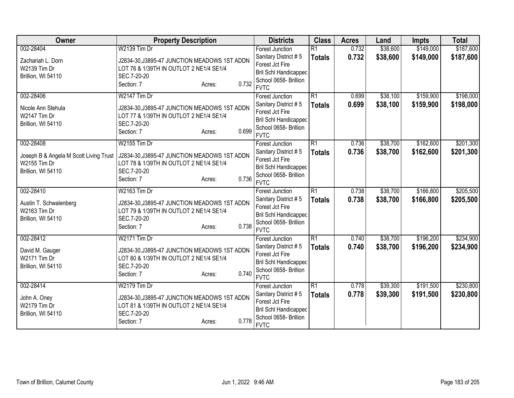| Owner                                  | <b>Property Description</b>                                                             | <b>Districts</b>                                      | <b>Class</b>    | <b>Acres</b> | Land     | <b>Impts</b> | <b>Total</b> |
|----------------------------------------|-----------------------------------------------------------------------------------------|-------------------------------------------------------|-----------------|--------------|----------|--------------|--------------|
| 002-28404                              | W2139 Tim Dr                                                                            | <b>Forest Junction</b>                                | $\overline{R1}$ | 0.732        | \$38,600 | \$149,000    | \$187,600    |
| Zachariah L. Dorn                      | J2834-30, J3895-47 JUNCTION MEADOWS 1ST ADDN                                            | Sanitary District #5                                  | <b>Totals</b>   | 0.732        | \$38,600 | \$149,000    | \$187,600    |
| W2139 Tim Dr                           | LOT 76 & 1/39TH IN OUTLOT 2 NE1/4 SE1/4                                                 | Forest Jct Fire                                       |                 |              |          |              |              |
| Brillion, WI 54110                     | SEC.7-20-20                                                                             | <b>Bril Schl Handicapped</b><br>School 0658- Brillion |                 |              |          |              |              |
|                                        | 0.732<br>Section: 7<br>Acres:                                                           | <b>FVTC</b>                                           |                 |              |          |              |              |
| 002-28406                              | W2147 Tim Dr                                                                            | <b>Forest Junction</b>                                | $\overline{R1}$ | 0.699        | \$38,100 | \$159,900    | \$198,000    |
| Nicole Ann Stehula                     | J2834-30, J3895-47 JUNCTION MEADOWS 1ST ADDN                                            | Sanitary District #5                                  | <b>Totals</b>   | 0.699        | \$38,100 | \$159,900    | \$198,000    |
| W2147 Tim Dr                           | LOT 77 & 1/39TH IN OUTLOT 2 NE1/4 SE1/4                                                 | Forest Jct Fire                                       |                 |              |          |              |              |
| Brillion, WI 54110                     | SEC.7-20-20                                                                             | Bril Schl Handicapped                                 |                 |              |          |              |              |
|                                        | 0.699<br>Section: 7<br>Acres:                                                           | School 0658- Brillion<br><b>FVTC</b>                  |                 |              |          |              |              |
| 002-28408                              | <b>W2155 Tim Dr</b>                                                                     | <b>Forest Junction</b>                                | $\overline{R1}$ | 0.736        | \$38,700 | \$162,600    | \$201,300    |
| Joseph B & Angela M Scott Living Trust | J2834-30, J3895-47 JUNCTION MEADOWS 1ST ADDN                                            | Sanitary District #5                                  | <b>Totals</b>   | 0.736        | \$38,700 | \$162,600    | \$201,300    |
| W2155 Tim Dr                           | LOT 78 & 1/39TH IN OUTLOT 2 NE1/4 SE1/4                                                 | Forest Jct Fire                                       |                 |              |          |              |              |
| Brillion, WI 54110                     | SEC.7-20-20                                                                             | Bril Schl Handicapped                                 |                 |              |          |              |              |
|                                        | 0.736<br>Section: 7<br>Acres:                                                           | School 0658- Brillion<br><b>FVTC</b>                  |                 |              |          |              |              |
| 002-28410                              | W2163 Tim Dr                                                                            | Forest Junction                                       | $\overline{R1}$ | 0.738        | \$38,700 | \$166,800    | \$205,500    |
|                                        |                                                                                         | Sanitary District #5                                  | <b>Totals</b>   | 0.738        | \$38,700 | \$166,800    | \$205,500    |
| Austin T. Schwalenberg                 | J2834-30, J3895-47 JUNCTION MEADOWS 1ST ADDN                                            | Forest Jct Fire                                       |                 |              |          |              |              |
| W2163 Tim Dr                           | LOT 79 & 1/39TH IN OUTLOT 2 NE1/4 SE1/4                                                 | Bril Schl Handicapped                                 |                 |              |          |              |              |
| Brillion, WI 54110                     | SEC.7-20-20<br>0.738                                                                    | School 0658- Brillion                                 |                 |              |          |              |              |
|                                        | Section: 7<br>Acres:                                                                    | <b>FVTC</b>                                           |                 |              |          |              |              |
| 002-28412                              | W2171 Tim Dr                                                                            | <b>Forest Junction</b>                                | $\overline{R1}$ | 0.740        | \$38,700 | \$196,200    | \$234,900    |
| David M. Gauger                        | J2834-30, J3895-47 JUNCTION MEADOWS 1ST ADDN                                            | Sanitary District #5                                  | <b>Totals</b>   | 0.740        | \$38,700 | \$196,200    | \$234,900    |
| W2171 Tim Dr                           | LOT 80 & 1/39TH IN OUTLOT 2 NE1/4 SE1/4                                                 | Forest Jct Fire                                       |                 |              |          |              |              |
| Brillion, WI 54110                     | SEC.7-20-20                                                                             | <b>Bril Schl Handicapped</b>                          |                 |              |          |              |              |
|                                        | 0.740<br>Section: 7<br>Acres:                                                           | School 0658- Brillion<br><b>FVTC</b>                  |                 |              |          |              |              |
| 002-28414                              | W2179 Tim Dr                                                                            | Forest Junction                                       | $\overline{R1}$ | 0.778        | \$39,300 | \$191,500    | \$230,800    |
|                                        |                                                                                         | Sanitary District #5                                  | <b>Totals</b>   | 0.778        | \$39,300 | \$191,500    | \$230,800    |
| John A. Oney<br>W2179 Tim Dr           | J2834-30, J3895-47 JUNCTION MEADOWS 1ST ADDN<br>LOT 81 & 1/39TH IN OUTLOT 2 NE1/4 SE1/4 | Forest Jct Fire                                       |                 |              |          |              |              |
| Brillion, WI 54110                     | SEC.7-20-20                                                                             | <b>Bril Schl Handicapped</b>                          |                 |              |          |              |              |
|                                        | 0.778<br>Section: 7<br>Acres:                                                           | School 0658- Brillion                                 |                 |              |          |              |              |
|                                        |                                                                                         | <b>FVTC</b>                                           |                 |              |          |              |              |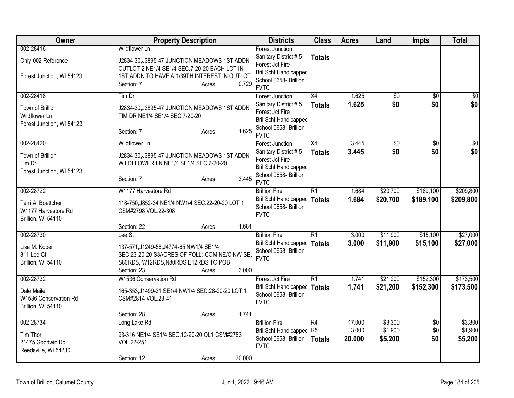| Owner                                                                        | <b>Property Description</b>                                                                                                                                                                           | <b>Districts</b>                                                                                                                   | <b>Class</b>                                       | <b>Acres</b>              | Land                          | <b>Impts</b>           | <b>Total</b>                  |
|------------------------------------------------------------------------------|-------------------------------------------------------------------------------------------------------------------------------------------------------------------------------------------------------|------------------------------------------------------------------------------------------------------------------------------------|----------------------------------------------------|---------------------------|-------------------------------|------------------------|-------------------------------|
| 002-28416<br>Only-002 Reference<br>Forest Junction, WI 54123                 | <b>Wildflower Ln</b><br>J2834-30, J3895-47 JUNCTION MEADOWS 1ST ADDN<br>OUTLOT 2 NE1/4 SE1/4 SEC.7-20-20 EACH LOT IN<br>1ST ADDN TO HAVE A 1/39TH INTEREST IN OUTLOT<br>0.729<br>Section: 7<br>Acres: | <b>Forest Junction</b><br>Sanitary District #5<br>Forest Jct Fire<br>Bril Schl Handicapped<br>School 0658- Brillion<br><b>FVTC</b> | <b>Totals</b>                                      |                           |                               |                        |                               |
| 002-28418<br>Town of Brillion<br>Wildflower Ln<br>Forest Junction, WI 54123  | Tim Dr<br>J2834-30, J3895-47 JUNCTION MEADOWS 1ST ADDN<br>TIM DR NE1/4 SE1/4 SEC.7-20-20<br>1.625<br>Section: 7<br>Acres:                                                                             | Forest Junction<br>Sanitary District #5<br>Forest Jct Fire<br><b>Bril Schl Handicapped</b><br>School 0658- Brillion<br><b>FVTC</b> | X4<br><b>Totals</b>                                | 1.625<br>1.625            | $\overline{50}$<br>\$0        | $\overline{50}$<br>\$0 | $\overline{30}$<br>\$0        |
| 002-28420<br>Town of Brillion<br>Tim Dr<br>Forest Junction, WI 54123         | <b>Wildflower Ln</b><br>J2834-30, J3895-47 JUNCTION MEADOWS 1ST ADDN<br>WILDFLOWER LN NE1/4 SE1/4 SEC.7-20-20<br>3.445<br>Section: 7<br>Acres:                                                        | <b>Forest Junction</b><br>Sanitary District #5<br>Forest Jct Fire<br>Bril Schl Handicapped<br>School 0658- Brillion<br><b>FVTC</b> | X4<br><b>Totals</b>                                | 3.445<br>3.445            | $\overline{50}$<br>\$0        | $\overline{50}$<br>\$0 | \$0<br>\$0                    |
| 002-28722<br>Terri A. Boettcher<br>W1177 Harvestore Rd<br>Brillion, WI 54110 | W1177 Harvestore Rd<br>118-750, J852-34 NE1/4 NW1/4 SEC.22-20-20 LOT 1<br>CSM#2798 VOL.22-308<br>Section: 22<br>1.684<br>Acres:                                                                       | <b>Brillion Fire</b><br>Bril Schl Handicapped<br>School 0658- Brillion<br><b>FVTC</b>                                              | $\overline{R1}$<br><b>Totals</b>                   | 1.684<br>1.684            | \$20,700<br>\$20,700          | \$189,100<br>\$189,100 | \$209,800<br>\$209,800        |
| 002-28730<br>Lisa M. Kober<br>811 Lee Ct<br>Brillion, WI 54110               | Lee St<br>137-571, J1249-58, J4774-65 NW1/4 SE1/4<br>SEC.23-20-20 S3ACRES OF FOLL: COM NE/C NW-SE,<br>S80RDS, W12RDS, N80RDS, E12RDS TO POB<br>3.000<br>Section: 23<br>Acres:                         | <b>Brillion Fire</b><br>Bril Schl Handicapped<br>School 0658- Brillion<br><b>FVTC</b>                                              | $\overline{R1}$<br>Totals                          | 3.000<br>3.000            | \$11,900<br>\$11,900          | \$15,100<br>\$15,100   | \$27,000<br>\$27,000          |
| 002-28732<br>Dale Maile<br>W1536 Conservation Rd<br>Brillion, WI 54110       | W1536 Conservation Rd<br>165-353, J1499-31 SE1/4 NW1/4 SEC. 28-20-20 LOT 1<br>CSM#2814 VOL.23-41<br>1.741<br>Section: 28<br>Acres:                                                                    | Forest Jct Fire<br>Bril Schl Handicapped<br>School 0658- Brillion<br><b>FVTC</b>                                                   | $\overline{R1}$<br>Totals                          | 1.741<br>1.741            | \$21,200<br>\$21,200          | \$152,300<br>\$152,300 | \$173,500<br>\$173,500        |
| 002-28734<br>Tim Thor<br>21475 Goodwin Rd<br>Reedsville, WI 54230            | Long Lake Rd<br>93-316 NE1/4 SE1/4 SEC.12-20-20 OL1 CSM#2783<br>VOL.22-251<br>20.000<br>Section: 12<br>Acres:                                                                                         | <b>Brillion Fire</b><br><b>Bril Schl Handicapped</b><br>School 0658- Brillion<br><b>FVTC</b>                                       | $\overline{R4}$<br>R <sub>5</sub><br><b>Totals</b> | 17.000<br>3.000<br>20.000 | \$3,300<br>\$1,900<br>\$5,200 | \$0<br>\$0<br>\$0      | \$3,300<br>\$1,900<br>\$5,200 |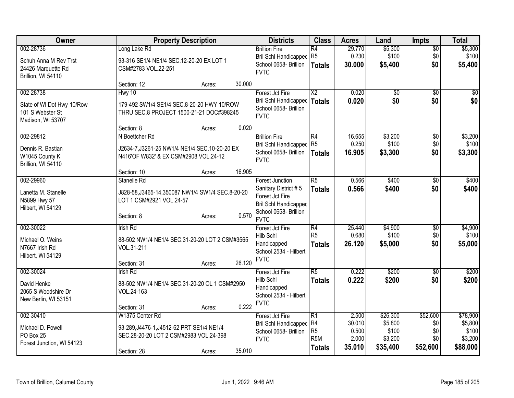| Owner                      |                                                   | <b>Property Description</b> |        | <b>Districts</b>                                      | <b>Class</b>                       | <b>Acres</b>    | Land                | <b>Impts</b>    | <b>Total</b>        |
|----------------------------|---------------------------------------------------|-----------------------------|--------|-------------------------------------------------------|------------------------------------|-----------------|---------------------|-----------------|---------------------|
| 002-28736                  | Long Lake Rd                                      |                             |        | <b>Brillion Fire</b>                                  | $\overline{R4}$                    | 29.770          | \$5,300             | $\overline{60}$ | \$5,300             |
| Schuh Anna M Rev Trst      | 93-316 SE1/4 NE1/4 SEC.12-20-20 EX LOT 1          |                             |        | Bril Schl Handicapped R5                              |                                    | 0.230           | \$100               | \$0             | \$100               |
| 24426 Marquette Rd         | CSM#2783 VOL.22-251                               |                             |        | School 0658- Brillion                                 | <b>Totals</b>                      | 30,000          | \$5,400             | \$0             | \$5,400             |
| Brillion, WI 54110         |                                                   |                             |        | <b>FVTC</b>                                           |                                    |                 |                     |                 |                     |
|                            | Section: 12                                       | Acres:                      | 30.000 |                                                       |                                    |                 |                     |                 |                     |
| 002-28738                  | Hwy 10                                            |                             |        | Forest Jct Fire                                       | $\overline{X2}$                    | 0.020           | \$0                 | $\sqrt{6}$      | \$0                 |
| State of WI Dot Hwy 10/Row | 179-492 SW1/4 SE1/4 SEC.8-20-20 HWY 10/ROW        |                             |        | <b>Bril Schl Handicapped</b>                          | <b>Totals</b>                      | 0.020           | \$0                 | \$0             | \$0                 |
| 101 S Webster St           | THRU SEC.8 PROJECT 1500-21-21 DOC#398245          |                             |        | School 0658- Brillion<br><b>FVTC</b>                  |                                    |                 |                     |                 |                     |
| Madison, WI 53707          |                                                   |                             |        |                                                       |                                    |                 |                     |                 |                     |
|                            | Section: 8                                        | Acres:                      | 0.020  |                                                       |                                    |                 |                     |                 |                     |
| 002-29812                  | N Boettcher Rd                                    |                             |        | <b>Brillion Fire</b>                                  | $\overline{R4}$                    | 16.655          | \$3,200             | \$0             | \$3,200             |
| Dennis R. Bastian          | J2634-7, J3261-25 NW1/4 NE1/4 SEC.10-20-20 EX     |                             |        | Bril Schl Handicapped                                 | R <sub>5</sub>                     | 0.250           | \$100               | \$0             | \$100               |
| W1045 County K             | N416'OF W832' & EX CSM#2908 VOL.24-12             |                             |        | School 0658- Brillion<br><b>FVTC</b>                  | <b>Totals</b>                      | 16.905          | \$3,300             | \$0             | \$3,300             |
| Brillion, WI 54110         |                                                   |                             |        |                                                       |                                    |                 |                     |                 |                     |
|                            | Section: 10                                       | Acres:                      | 16.905 |                                                       |                                    |                 |                     |                 |                     |
| 002-29960                  | Stanelle Rd                                       |                             |        | <b>Forest Junction</b>                                | $\overline{R5}$                    | 0.566           | \$400               | $\sqrt[6]{3}$   | \$400               |
| Lanetta M. Stanelle        | J828-58, J3465-14, 350087 NW1/4 SW1/4 SEC.8-20-20 |                             |        | Sanitary District #5                                  | <b>Totals</b>                      | 0.566           | \$400               | \$0             | \$400               |
| N5899 Hwy 57               | LOT 1 CSM#2921 VOL.24-57                          |                             |        | Forest Jct Fire                                       |                                    |                 |                     |                 |                     |
| Hilbert, WI 54129          |                                                   |                             |        | <b>Bril Schl Handicapped</b><br>School 0658- Brillion |                                    |                 |                     |                 |                     |
|                            | Section: 8                                        | Acres:                      | 0.570  | <b>FVTC</b>                                           |                                    |                 |                     |                 |                     |
| 002-30022                  | <b>Irish Rd</b>                                   |                             |        | Forest Jct Fire                                       | R4                                 | 25.440          | \$4,900             | $\overline{60}$ | \$4,900             |
| Michael O. Weins           | 88-502 NW1/4 NE1/4 SEC.31-20-20 LOT 2 CSM#3565    |                             |        | Hilb Schl                                             | R <sub>5</sub>                     | 0.680           | \$100               | \$0             | \$100               |
| N7667 Irish Rd             | VOL.31-211                                        |                             |        | Handicapped                                           | <b>Totals</b>                      | 26.120          | \$5,000             | \$0             | \$5,000             |
| Hilbert, WI 54129          |                                                   |                             |        | School 2534 - Hilbert                                 |                                    |                 |                     |                 |                     |
|                            | Section: 31                                       | Acres:                      | 26.120 | <b>FVTC</b>                                           |                                    |                 |                     |                 |                     |
| 002-30024                  | <b>Irish Rd</b>                                   |                             |        | Forest Jct Fire                                       | R5                                 | 0.222           | \$200               | \$0             | \$200               |
| David Henke                | 88-502 NW1/4 NE1/4 SEC.31-20-20 OL 1 CSM#2950     |                             |        | Hilb Schl                                             | <b>Totals</b>                      | 0.222           | \$200               | \$0             | \$200               |
| 2065 S Woodshire Dr        | VOL.24-163                                        |                             |        | Handicapped                                           |                                    |                 |                     |                 |                     |
| New Berlin, WI 53151       |                                                   |                             |        | School 2534 - Hilbert<br><b>FVTC</b>                  |                                    |                 |                     |                 |                     |
|                            | Section: 31                                       | Acres:                      | 0.222  |                                                       |                                    |                 |                     |                 |                     |
| 002-30410                  | W1375 Center Rd                                   |                             |        | Forest Jct Fire                                       | R1                                 | 2.500           | \$26,300            | \$52,600        | \$78,900            |
| Michael D. Powell          | 93-289, J4476-1, J4512-62 PRT SE1/4 NE1/4         |                             |        | <b>Bril Schl Handicapped</b>                          | R <sub>4</sub>                     | 30.010          | \$5,800             | \$0             | \$5,800             |
| PO Box 25                  | SEC.28-20-20 LOT 2 CSM#2983 VOL.24-398            |                             |        | School 0658- Brillion                                 | R <sub>5</sub><br>R <sub>5</sub> M | 0.500           | \$100               | \$0             | \$100               |
| Forest Junction, WI 54123  |                                                   |                             |        | <b>FVTC</b>                                           |                                    | 2.000<br>35.010 | \$3,200<br>\$35,400 | \$0<br>\$52,600 | \$3,200<br>\$88,000 |
|                            | Section: 28                                       | Acres:                      | 35.010 |                                                       | <b>Totals</b>                      |                 |                     |                 |                     |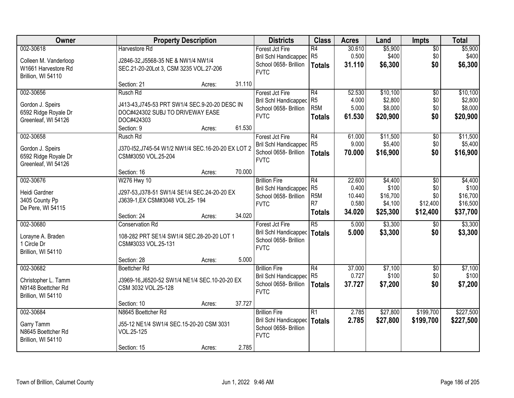| Owner                                                                           |                                                                                                                            | <b>Property Description</b> |        | <b>Districts</b>                                                                        | <b>Class</b>                                                                | <b>Acres</b>                                 | Land                                                | <b>Impts</b>                                     | <b>Total</b>                                         |
|---------------------------------------------------------------------------------|----------------------------------------------------------------------------------------------------------------------------|-----------------------------|--------|-----------------------------------------------------------------------------------------|-----------------------------------------------------------------------------|----------------------------------------------|-----------------------------------------------------|--------------------------------------------------|------------------------------------------------------|
| 002-30618<br>Colleen M. Vanderloop<br>W1661 Harvestore Rd<br>Brillion, WI 54110 | Harvestore Rd<br>J2846-32, J5568-35 NE & NW1/4 NW1/4<br>SEC.21-20-20Lot 3, CSM 3235 VOL.27-206                             |                             |        | Forest Jct Fire<br><b>Bril Schl Handicapped</b><br>School 0658- Brillion<br><b>FVTC</b> | R4<br>R <sub>5</sub><br><b>Totals</b>                                       | 30.610<br>0.500<br>31.110                    | \$5,900<br>\$400<br>\$6,300                         | $\overline{50}$<br>\$0<br>\$0                    | \$5,900<br>\$400<br>\$6,300                          |
|                                                                                 | Section: 21                                                                                                                | Acres:                      | 31.110 |                                                                                         |                                                                             |                                              |                                                     |                                                  |                                                      |
| 002-30656<br>Gordon J. Speirs<br>6592 Ridge Royale Dr<br>Greenleaf, WI 54126    | Rusch Rd<br>J413-43, J745-53 PRT SW1/4 SEC.9-20-20 DESC IN<br>DOC#424302 SUBJ TO DRIVEWAY EASE<br>DOC#424303<br>Section: 9 | Acres:                      | 61.530 | Forest Jct Fire<br><b>Bril Schl Handicapped</b><br>School 0658- Brillion<br><b>FVTC</b> | R4<br>R <sub>5</sub><br>R <sub>5</sub> M<br><b>Totals</b>                   | 52.530<br>4.000<br>5.000<br>61.530           | \$10,100<br>\$2,800<br>\$8,000<br>\$20,900          | $\overline{50}$<br>\$0<br>\$0<br>\$0             | \$10,100<br>\$2,800<br>\$8,000<br>\$20,900           |
| 002-30658<br>Gordon J. Speirs<br>6592 Ridge Royale Dr<br>Greenleaf, WI 54126    | Rusch Rd<br>J370-I52, J745-54 W1/2 NW1/4 SEC.16-20-20 EX LOT 2<br>CSM#3050 VOL.25-204<br>Section: 16                       | Acres:                      | 70.000 | Forest Jct Fire<br>Bril Schl Handicapped R5<br>School 0658- Brillion<br><b>FVTC</b>     | R4<br><b>Totals</b>                                                         | 61.000<br>9.000<br>70.000                    | \$11,500<br>\$5,400<br>\$16,900                     | \$0<br>\$0<br>\$0                                | \$11,500<br>\$5,400<br>\$16,900                      |
| 002-30676<br>Heidi Gardner<br>3405 County Pp<br>De Pere, WI 54115               | W276 Hwy 10<br>J297-53, J378-51 SW1/4 SE1/4 SEC.24-20-20 EX<br>J3639-1, EX CSM#3048 VOL.25-194<br>Section: 24              | Acres:                      | 34.020 | <b>Brillion Fire</b><br>Bril Schl Handicapped<br>School 0658- Brillion<br><b>FVTC</b>   | R4<br>R <sub>5</sub><br>R <sub>5</sub> M<br>R <sub>7</sub><br><b>Totals</b> | 22.600<br>0.400<br>10.440<br>0.580<br>34.020 | \$4,400<br>\$100<br>\$16,700<br>\$4,100<br>\$25,300 | $\sqrt{6}$<br>\$0<br>\$0<br>\$12,400<br>\$12,400 | \$4,400<br>\$100<br>\$16,700<br>\$16,500<br>\$37,700 |
| 002-30680<br>Lorayne A. Braden<br>1 Circle Dr<br>Brillion, WI 54110             | <b>Conservation Rd</b><br>108-282 PRT SE1/4 SW1/4 SEC.28-20-20 LOT 1<br>CSM#3033 VOL.25-131<br>Section: 28                 | Acres:                      | 5.000  | Forest Jct Fire<br>Bril Schl Handicapped<br>School 0658- Brillion<br><b>FVTC</b>        | $\overline{R5}$<br>Totals                                                   | 5.000<br>5.000                               | \$3,300<br>\$3,300                                  | \$0<br>\$0                                       | \$3,300<br>\$3,300                                   |
| 002-30682<br>Christopher L. Tamm<br>N9148 Boettcher Rd<br>Brillion, WI 54110    | Boettcher Rd<br>J3969-16, J6520-52 SW1/4 NE1/4 SEC. 10-20-20 EX<br>CSM 3032 VOL.25-128<br>Section: 10                      | Acres:                      | 37.727 | <b>Brillion Fire</b><br>Bril Schl Handicapped<br>School 0658- Brillion<br><b>FVTC</b>   | R4<br>R <sub>5</sub><br><b>Totals</b>                                       | 37.000<br>0.727<br>37.727                    | \$7,100<br>\$100<br>\$7,200                         | $\overline{50}$<br>\$0<br>\$0                    | \$7,100<br>\$100<br>\$7,200                          |
| 002-30684<br>Garry Tamm<br>N8645 Boettcher Rd<br>Brillion, WI 54110             | N8645 Boettcher Rd<br>J55-12 NE1/4 SW1/4 SEC.15-20-20 CSM 3031<br>VOL.25-125<br>Section: 15                                | Acres:                      | 2.785  | <b>Brillion Fire</b><br>Bril Schl Handicapped<br>School 0658- Brillion<br><b>FVTC</b>   | $\overline{R1}$<br><b>Totals</b>                                            | 2.785<br>2.785                               | \$27,800<br>\$27,800                                | \$199,700<br>\$199,700                           | \$227,500<br>\$227,500                               |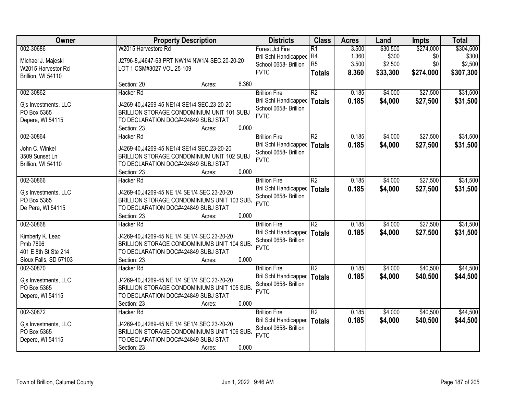| Owner                 |                           | <b>Property Description</b>                    |       | <b>Districts</b>             | <b>Class</b>    | <b>Acres</b> | Land     | <b>Impts</b> | <b>Total</b> |
|-----------------------|---------------------------|------------------------------------------------|-------|------------------------------|-----------------|--------------|----------|--------------|--------------|
| 002-30686             | W2015 Harvestore Rd       |                                                |       | Forest Jct Fire              | $\overline{R1}$ | 3.500        | \$30,500 | \$274,000    | \$304,500    |
| Michael J. Majeski    |                           | J2796-8, J4647-63 PRT NW1/4 NW1/4 SEC.20-20-20 |       | <b>Bril Schl Handicapped</b> | R4              | 1.360        | \$300    | \$0          | \$300        |
| W2015 Harvestor Rd    | LOT 1 CSM#3027 VOL.25-109 |                                                |       | School 0658- Brillion        | R <sub>5</sub>  | 3.500        | \$2,500  | \$0          | \$2,500      |
| Brillion, WI 54110    |                           |                                                |       | <b>FVTC</b>                  | <b>Totals</b>   | 8.360        | \$33,300 | \$274,000    | \$307,300    |
|                       | Section: 20               | Acres:                                         | 8.360 |                              |                 |              |          |              |              |
| 002-30862             | <b>Hacker Rd</b>          |                                                |       | <b>Brillion Fire</b>         | $\overline{R2}$ | 0.185        | \$4,000  | \$27,500     | \$31,500     |
|                       |                           |                                                |       | <b>Bril Schl Handicapped</b> | <b>Totals</b>   | 0.185        | \$4,000  | \$27,500     | \$31,500     |
| Gjs Investments, LLC  |                           | J4269-40, J4269-45 NE1/4 SE1/4 SEC.23-20-20    |       | School 0658- Brillion        |                 |              |          |              |              |
| PO Box 5365           |                           | BRILLION STORAGE CONDOMINIUM UNIT 101 SUBJ     |       | <b>FVTC</b>                  |                 |              |          |              |              |
| Depere, WI 54115      | Section: 23               | TO DECLARATION DOC#424849 SUBJ STAT            | 0.000 |                              |                 |              |          |              |              |
| 002-30864             | Hacker Rd                 | Acres:                                         |       | <b>Brillion Fire</b>         | $\overline{R2}$ | 0.185        | \$4,000  | \$27,500     | \$31,500     |
|                       |                           |                                                |       | <b>Bril Schl Handicapped</b> |                 |              |          |              |              |
| John C. Winkel        |                           | J4269-40, J4269-45 NE1/4 SE1/4 SEC.23-20-20    |       | School 0658- Brillion        | <b>Totals</b>   | 0.185        | \$4,000  | \$27,500     | \$31,500     |
| 3509 Sunset Ln        |                           | BRILLION STORAGE CONDOMINIUM UNIT 102 SUBJ     |       | <b>FVTC</b>                  |                 |              |          |              |              |
| Brillion, WI 54110    |                           | TO DECLARATION DOC#424849 SUBJ STAT            |       |                              |                 |              |          |              |              |
|                       | Section: 23               | Acres:                                         | 0.000 |                              |                 |              |          |              |              |
| 002-30866             | <b>Hacker Rd</b>          |                                                |       | <b>Brillion Fire</b>         | $\overline{R2}$ | 0.185        | \$4,000  | \$27,500     | \$31,500     |
| Gjs Investments, LLC  |                           | J4269-40, J4269-45 NE 1/4 SE1/4 SEC.23-20-20   |       | <b>Bril Schl Handicapped</b> | <b>Totals</b>   | 0.185        | \$4,000  | \$27,500     | \$31,500     |
| PO Box 5365           |                           | BRILLION STORAGE CONDOMINIUMS UNIT 103 SUB.    |       | School 0658- Brillion        |                 |              |          |              |              |
| De Pere, WI 54115     |                           | TO DECLARATION DOC#424849 SUBJ STAT            |       | <b>FVTC</b>                  |                 |              |          |              |              |
|                       | Section: 23               | Acres:                                         | 0.000 |                              |                 |              |          |              |              |
| 002-30868             | <b>Hacker Rd</b>          |                                                |       | <b>Brillion Fire</b>         | $\overline{R2}$ | 0.185        | \$4,000  | \$27,500     | \$31,500     |
|                       |                           |                                                |       | <b>Bril Schl Handicapped</b> | <b>Totals</b>   | 0.185        | \$4,000  | \$27,500     | \$31,500     |
| Kimberly K. Leao      |                           | J4269-40, J4269-45 NE 1/4 SE1/4 SEC.23-20-20   |       | School 0658- Brillion        |                 |              |          |              |              |
| Pmb 7896              |                           | BRILLION STORAGE CONDOMINIUMS UNIT 104 SUB.    |       | <b>FVTC</b>                  |                 |              |          |              |              |
| 401 E 8th St Ste 214  |                           | TO DECLARATION DOC#424849 SUBJ STAT            |       |                              |                 |              |          |              |              |
| Sioux Falls, SD 57103 | Section: 23               | Acres:                                         | 0.000 |                              |                 |              |          |              |              |
| 002-30870             | Hacker Rd                 |                                                |       | <b>Brillion Fire</b>         | $\overline{R2}$ | 0.185        | \$4,000  | \$40,500     | \$44,500     |
| Gjs Investments, LLC  |                           | J4269-40, J4269-45 NE 1/4 SE1/4 SEC.23-20-20   |       | Bril Schl Handicapped        | <b>Totals</b>   | 0.185        | \$4,000  | \$40,500     | \$44,500     |
| PO Box 5365           |                           | BRILLION STORAGE CONDOMINIUMS UNIT 105 SUB.    |       | School 0658- Brillion        |                 |              |          |              |              |
| Depere, WI 54115      |                           | TO DECLARATION DOC#424849 SUBJ STAT            |       | <b>FVTC</b>                  |                 |              |          |              |              |
|                       | Section: 23               | Acres:                                         | 0.000 |                              |                 |              |          |              |              |
| 002-30872             | Hacker Rd                 |                                                |       | <b>Brillion Fire</b>         | $\overline{R2}$ | 0.185        | \$4,000  | \$40,500     | \$44,500     |
|                       |                           |                                                |       | Bril Schl Handicapped        | <b>Totals</b>   | 0.185        | \$4,000  | \$40,500     | \$44,500     |
| Gjs Investments, LLC  |                           | J4269-40, J4269-45 NE 1/4 SE1/4 SEC.23-20-20   |       | School 0658- Brillion        |                 |              |          |              |              |
| PO Box 5365           |                           | BRILLION STORAGE CONDOMINIUMS UNIT 106 SUB.    |       | <b>FVTC</b>                  |                 |              |          |              |              |
| Depere, WI 54115      |                           | TO DECLARATION DOC#424849 SUBJ STAT            |       |                              |                 |              |          |              |              |
|                       | Section: 23               | Acres:                                         | 0.000 |                              |                 |              |          |              |              |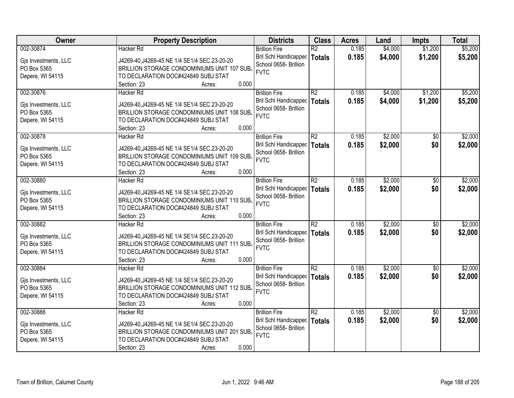| Owner                               | <b>Property Description</b>                  | <b>Districts</b>             | <b>Class</b>    | <b>Acres</b> | Land    | <b>Impts</b>    | <b>Total</b> |
|-------------------------------------|----------------------------------------------|------------------------------|-----------------|--------------|---------|-----------------|--------------|
| 002-30874                           | <b>Hacker Rd</b>                             | <b>Brillion Fire</b>         | $\overline{R2}$ | 0.185        | \$4,000 | \$1,200         | \$5,200      |
| Gjs Investments, LLC                | J4269-40, J4269-45 NE 1/4 SE1/4 SEC.23-20-20 | <b>Bril Schl Handicapped</b> | <b>Totals</b>   | 0.185        | \$4,000 | \$1,200         | \$5,200      |
| PO Box 5365                         | BRILLION STORAGE CONDOMINIUMS UNIT 107 SUB.  | School 0658- Brillion        |                 |              |         |                 |              |
| Depere, WI 54115                    | TO DECLARATION DOC#424849 SUBJ STAT          | <b>FVTC</b>                  |                 |              |         |                 |              |
|                                     | 0.000<br>Section: 23<br>Acres:               |                              |                 |              |         |                 |              |
| 002-30876                           | <b>Hacker Rd</b>                             | <b>Brillion Fire</b>         | $\overline{R2}$ | 0.185        | \$4,000 | \$1,200         | \$5,200      |
|                                     |                                              | <b>Bril Schl Handicapped</b> | <b>Totals</b>   | 0.185        | \$4,000 | \$1,200         | \$5,200      |
| Gjs Investments, LLC                | J4269-40, J4269-45 NE 1/4 SE1/4 SEC.23-20-20 | School 0658- Brillion        |                 |              |         |                 |              |
| PO Box 5365                         | BRILLION STORAGE CONDOMINIUMS UNIT 108 SUB.  | <b>FVTC</b>                  |                 |              |         |                 |              |
| Depere, WI 54115                    | TO DECLARATION DOC#424849 SUBJ STAT          |                              |                 |              |         |                 |              |
|                                     | 0.000<br>Section: 23<br>Acres:               |                              |                 |              |         |                 |              |
| 002-30878                           | Hacker Rd                                    | <b>Brillion Fire</b>         | $\overline{R2}$ | 0.185        | \$2,000 | \$0             | \$2,000      |
| Gjs Investments, LLC                | J4269-40, J4269-45 NE 1/4 SE1/4 SEC.23-20-20 | <b>Bril Schl Handicapped</b> | <b>Totals</b>   | 0.185        | \$2,000 | \$0             | \$2,000      |
| PO Box 5365                         | BRILLION STORAGE CONDOMINIUMS UNIT 109 SUB.  | School 0658- Brillion        |                 |              |         |                 |              |
| Depere, WI 54115                    | TO DECLARATION DOC#424849 SUBJ STAT          | <b>FVTC</b>                  |                 |              |         |                 |              |
|                                     | 0.000<br>Section: 23<br>Acres:               |                              |                 |              |         |                 |              |
| 002-30880                           | Hacker Rd                                    | <b>Brillion Fire</b>         | R2              | 0.185        | \$2,000 | \$0             | \$2,000      |
|                                     |                                              | <b>Bril Schl Handicapped</b> | <b>Totals</b>   | 0.185        | \$2,000 | \$0             | \$2,000      |
| Gis Investments, LLC                | J4269-40, J4269-45 NE 1/4 SE1/4 SEC.23-20-20 | School 0658- Brillion        |                 |              |         |                 |              |
| PO Box 5365                         | BRILLION STORAGE CONDOMINIUMS UNIT 110 SUB.  | <b>FVTC</b>                  |                 |              |         |                 |              |
| Depere, WI 54115                    | TO DECLARATION DOC#424849 SUBJ STAT          |                              |                 |              |         |                 |              |
|                                     | 0.000<br>Section: 23<br>Acres:               |                              |                 |              |         |                 |              |
| 002-30882                           | <b>Hacker Rd</b>                             | <b>Brillion Fire</b>         | $\overline{R2}$ | 0.185        | \$2,000 | $\overline{50}$ | \$2,000      |
| Gjs Investments, LLC                | J4269-40, J4269-45 NE 1/4 SE1/4 SEC.23-20-20 | Bril Schl Handicapped        | <b>Totals</b>   | 0.185        | \$2,000 | \$0             | \$2,000      |
| PO Box 5365                         | BRILLION STORAGE CONDOMINIUMS UNIT 111 SUB.  | School 0658- Brillion        |                 |              |         |                 |              |
| Depere, WI 54115                    | TO DECLARATION DOC#424849 SUBJ STAT          | <b>FVTC</b>                  |                 |              |         |                 |              |
|                                     | 0.000<br>Section: 23<br>Acres:               |                              |                 |              |         |                 |              |
| 002-30884                           | <b>Hacker Rd</b>                             | <b>Brillion Fire</b>         | $\overline{R2}$ | 0.185        | \$2,000 | $\overline{50}$ | \$2,000      |
|                                     | J4269-40, J4269-45 NE 1/4 SE1/4 SEC.23-20-20 | <b>Bril Schl Handicapped</b> | <b>Totals</b>   | 0.185        | \$2,000 | \$0             | \$2,000      |
| Gjs Investments, LLC<br>PO Box 5365 | BRILLION STORAGE CONDOMINIUMS UNIT 112 SUB.  | School 0658- Brillion        |                 |              |         |                 |              |
| Depere, WI 54115                    | TO DECLARATION DOC#424849 SUBJ STAT          | <b>FVTC</b>                  |                 |              |         |                 |              |
|                                     | 0.000<br>Section: 23<br>Acres:               |                              |                 |              |         |                 |              |
| 002-30886                           | <b>Hacker Rd</b>                             | <b>Brillion Fire</b>         | $\overline{R2}$ | 0.185        | \$2,000 | $\overline{50}$ | \$2,000      |
|                                     |                                              | <b>Bril Schl Handicapped</b> |                 | 0.185        |         | \$0             |              |
| Gjs Investments, LLC                | J4269-40, J4269-45 NE 1/4 SE1/4 SEC.23-20-20 | School 0658- Brillion        | <b>Totals</b>   |              | \$2,000 |                 | \$2,000      |
| PO Box 5365                         | BRILLION STORAGE CONDOMINIUMS UNIT 201 SUB.  | <b>FVTC</b>                  |                 |              |         |                 |              |
| Depere, WI 54115                    | TO DECLARATION DOC#424849 SUBJ STAT          |                              |                 |              |         |                 |              |
|                                     | 0.000<br>Section: 23<br>Acres:               |                              |                 |              |         |                 |              |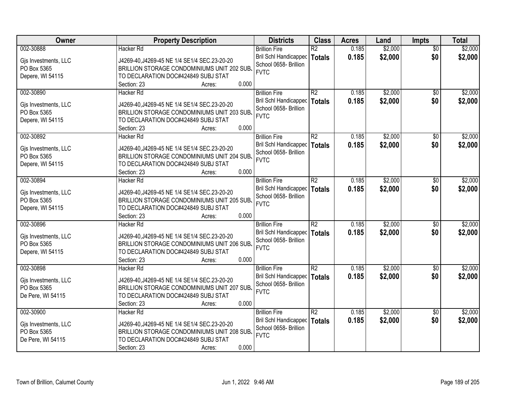| Owner                | <b>Property Description</b>                  | <b>Districts</b>             | <b>Class</b>    | <b>Acres</b> | Land    | <b>Impts</b>    | <b>Total</b> |
|----------------------|----------------------------------------------|------------------------------|-----------------|--------------|---------|-----------------|--------------|
| 002-30888            | <b>Hacker Rd</b>                             | <b>Brillion Fire</b>         | $\overline{R2}$ | 0.185        | \$2,000 | $\overline{30}$ | \$2,000      |
| Gjs Investments, LLC | J4269-40, J4269-45 NE 1/4 SE1/4 SEC.23-20-20 | <b>Bril Schl Handicapped</b> | <b>Totals</b>   | 0.185        | \$2,000 | \$0             | \$2,000      |
| PO Box 5365          | BRILLION STORAGE CONDOMINIUMS UNIT 202 SUB.  | School 0658- Brillion        |                 |              |         |                 |              |
| Depere, WI 54115     | TO DECLARATION DOC#424849 SUBJ STAT          | <b>FVTC</b>                  |                 |              |         |                 |              |
|                      | 0.000<br>Section: 23<br>Acres:               |                              |                 |              |         |                 |              |
| 002-30890            | Hacker Rd                                    | <b>Brillion Fire</b>         | R2              | 0.185        | \$2,000 | $\overline{50}$ | \$2,000      |
|                      |                                              | <b>Bril Schl Handicapped</b> | <b>Totals</b>   | 0.185        | \$2,000 | \$0             | \$2,000      |
| Gjs Investments, LLC | J4269-40, J4269-45 NE 1/4 SE1/4 SEC.23-20-20 | School 0658- Brillion        |                 |              |         |                 |              |
| PO Box 5365          | BRILLION STORAGE CONDOMINIUMS UNIT 203 SUB.  | <b>FVTC</b>                  |                 |              |         |                 |              |
| Depere, WI 54115     | TO DECLARATION DOC#424849 SUBJ STAT          |                              |                 |              |         |                 |              |
|                      | 0.000<br>Section: 23<br>Acres:               |                              |                 |              |         |                 |              |
| 002-30892            | Hacker Rd                                    | <b>Brillion Fire</b>         | $\overline{R2}$ | 0.185        | \$2,000 | \$0             | \$2,000      |
| Gjs Investments, LLC | J4269-40, J4269-45 NE 1/4 SE1/4 SEC.23-20-20 | <b>Bril Schl Handicapped</b> | <b>Totals</b>   | 0.185        | \$2,000 | \$0             | \$2,000      |
| PO Box 5365          | BRILLION STORAGE CONDOMINIUMS UNIT 204 SUB.  | School 0658- Brillion        |                 |              |         |                 |              |
| Depere, WI 54115     | TO DECLARATION DOC#424849 SUBJ STAT          | <b>FVTC</b>                  |                 |              |         |                 |              |
|                      | 0.000<br>Section: 23<br>Acres:               |                              |                 |              |         |                 |              |
| 002-30894            | Hacker Rd                                    | <b>Brillion Fire</b>         | R2              | 0.185        | \$2,000 | \$0             | \$2,000      |
|                      |                                              | <b>Bril Schl Handicapped</b> | <b>Totals</b>   | 0.185        | \$2,000 | \$0             | \$2,000      |
| Gjs Investments, LLC | J4269-40, J4269-45 NE 1/4 SE1/4 SEC.23-20-20 | School 0658- Brillion        |                 |              |         |                 |              |
| PO Box 5365          | BRILLION STORAGE CONDOMINIUMS UNIT 205 SUB.  | <b>FVTC</b>                  |                 |              |         |                 |              |
| Depere, WI 54115     | TO DECLARATION DOC#424849 SUBJ STAT          |                              |                 |              |         |                 |              |
|                      | 0.000<br>Section: 23<br>Acres:               |                              |                 |              |         |                 |              |
| 002-30896            | <b>Hacker Rd</b>                             | <b>Brillion Fire</b>         | $\overline{R2}$ | 0.185        | \$2,000 | $\overline{50}$ | \$2,000      |
| Gjs Investments, LLC | J4269-40, J4269-45 NE 1/4 SE1/4 SEC.23-20-20 | <b>Bril Schl Handicapped</b> | <b>Totals</b>   | 0.185        | \$2,000 | \$0             | \$2,000      |
| PO Box 5365          | BRILLION STORAGE CONDOMINIUMS UNIT 206 SUB.  | School 0658- Brillion        |                 |              |         |                 |              |
| Depere, WI 54115     | TO DECLARATION DOC#424849 SUBJ STAT          | <b>FVTC</b>                  |                 |              |         |                 |              |
|                      | 0.000<br>Section: 23<br>Acres:               |                              |                 |              |         |                 |              |
| 002-30898            | Hacker Rd                                    | <b>Brillion Fire</b>         | $\overline{R2}$ | 0.185        | \$2,000 | \$0             | \$2,000      |
|                      |                                              | Bril Schl Handicapped        | <b>Totals</b>   | 0.185        | \$2,000 | \$0             | \$2,000      |
| Gjs Investments, LLC | J4269-40, J4269-45 NE 1/4 SE1/4 SEC.23-20-20 | School 0658- Brillion        |                 |              |         |                 |              |
| PO Box 5365          | BRILLION STORAGE CONDOMINIUMS UNIT 207 SUB.  | <b>FVTC</b>                  |                 |              |         |                 |              |
| De Pere, WI 54115    | TO DECLARATION DOC#424849 SUBJ STAT          |                              |                 |              |         |                 |              |
|                      | 0.000<br>Section: 23<br>Acres:               |                              |                 |              |         |                 |              |
| 002-30900            | Hacker Rd                                    | <b>Brillion Fire</b>         | $\overline{R2}$ | 0.185        | \$2,000 | $\overline{50}$ | \$2,000      |
| Gjs Investments, LLC | J4269-40, J4269-45 NE 1/4 SE1/4 SEC.23-20-20 | <b>Bril Schl Handicapped</b> | <b>Totals</b>   | 0.185        | \$2,000 | \$0             | \$2,000      |
| PO Box 5365          | BRILLION STORAGE CONDOMINIUMS UNIT 208 SUB.  | School 0658- Brillion        |                 |              |         |                 |              |
| De Pere, WI 54115    | TO DECLARATION DOC#424849 SUBJ STAT          | <b>FVTC</b>                  |                 |              |         |                 |              |
|                      | 0.000<br>Section: 23<br>Acres:               |                              |                 |              |         |                 |              |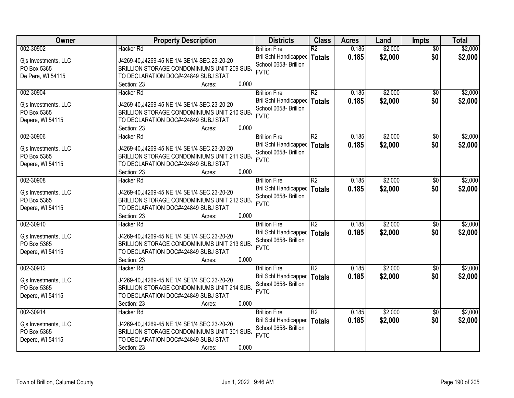| Owner                | <b>Property Description</b>                  | <b>Districts</b>      | <b>Class</b>    | <b>Acres</b> | Land    | <b>Impts</b>    | <b>Total</b> |
|----------------------|----------------------------------------------|-----------------------|-----------------|--------------|---------|-----------------|--------------|
| 002-30902            | <b>Hacker Rd</b>                             | <b>Brillion Fire</b>  | $\overline{R2}$ | 0.185        | \$2,000 | $\overline{50}$ | \$2,000      |
| Gjs Investments, LLC | J4269-40, J4269-45 NE 1/4 SE1/4 SEC.23-20-20 | Bril Schl Handicapped | Totals          | 0.185        | \$2,000 | \$0             | \$2,000      |
| PO Box 5365          | BRILLION STORAGE CONDOMINIUMS UNIT 209 SUB.  | School 0658- Brillion |                 |              |         |                 |              |
| De Pere, WI 54115    | TO DECLARATION DOC#424849 SUBJ STAT          | <b>FVTC</b>           |                 |              |         |                 |              |
|                      | 0.000<br>Section: 23<br>Acres:               |                       |                 |              |         |                 |              |
| 002-30904            | Hacker Rd                                    | <b>Brillion Fire</b>  | R <sub>2</sub>  | 0.185        | \$2,000 | \$0             | \$2,000      |
|                      |                                              | Bril Schl Handicapped | Totals          | 0.185        | \$2,000 | \$0             | \$2,000      |
| Gjs Investments, LLC | J4269-40, J4269-45 NE 1/4 SE1/4 SEC.23-20-20 | School 0658- Brillion |                 |              |         |                 |              |
| PO Box 5365          | BRILLION STORAGE CONDOMINIUMS UNIT 210 SUB.  | <b>FVTC</b>           |                 |              |         |                 |              |
| Depere, WI 54115     | TO DECLARATION DOC#424849 SUBJ STAT          |                       |                 |              |         |                 |              |
|                      | 0.000<br>Section: 23<br>Acres:               |                       |                 |              |         |                 |              |
| 002-30906            | <b>Hacker Rd</b>                             | <b>Brillion Fire</b>  | R2              | 0.185        | \$2,000 | \$0             | \$2,000      |
| Gjs Investments, LLC | J4269-40, J4269-45 NE 1/4 SE1/4 SEC.23-20-20 | Bril Schl Handicapped | Totals          | 0.185        | \$2,000 | \$0             | \$2,000      |
| PO Box 5365          | BRILLION STORAGE CONDOMINIUMS UNIT 211 SUB.  | School 0658- Brillion |                 |              |         |                 |              |
| Depere, WI 54115     | TO DECLARATION DOC#424849 SUBJ STAT          | <b>FVTC</b>           |                 |              |         |                 |              |
|                      | 0.000<br>Section: 23<br>Acres:               |                       |                 |              |         |                 |              |
| 002-30908            | Hacker Rd                                    | <b>Brillion Fire</b>  | R <sub>2</sub>  | 0.185        | \$2,000 | $\sqrt[6]{}$    | \$2,000      |
|                      |                                              | Bril Schl Handicapped | <b>Totals</b>   | 0.185        | \$2,000 | \$0             | \$2,000      |
| Gjs Investments, LLC | J4269-40, J4269-45 NE 1/4 SE1/4 SEC.23-20-20 | School 0658- Brillion |                 |              |         |                 |              |
| PO Box 5365          | BRILLION STORAGE CONDOMINIUMS UNIT 212 SUB.  | <b>FVTC</b>           |                 |              |         |                 |              |
| Depere, WI 54115     | TO DECLARATION DOC#424849 SUBJ STAT          |                       |                 |              |         |                 |              |
|                      | 0.000<br>Section: 23<br>Acres:               |                       |                 |              |         |                 |              |
| 002-30910            | <b>Hacker Rd</b>                             | <b>Brillion Fire</b>  | $\overline{R2}$ | 0.185        | \$2,000 | \$0             | \$2,000      |
| Gjs Investments, LLC | J4269-40, J4269-45 NE 1/4 SE1/4 SEC.23-20-20 | Bril Schl Handicapped | Totals          | 0.185        | \$2,000 | \$0             | \$2,000      |
| PO Box 5365          | BRILLION STORAGE CONDOMINIUMS UNIT 213 SUB.  | School 0658- Brillion |                 |              |         |                 |              |
| Depere, WI 54115     | TO DECLARATION DOC#424849 SUBJ STAT          | <b>FVTC</b>           |                 |              |         |                 |              |
|                      | 0.000<br>Section: 23<br>Acres:               |                       |                 |              |         |                 |              |
| 002-30912            | Hacker Rd                                    | <b>Brillion Fire</b>  | $\overline{R2}$ | 0.185        | \$2,000 | \$0             | \$2,000      |
|                      |                                              | Bril Schl Handicapped | Totals          | 0.185        | \$2,000 | \$0             | \$2,000      |
| Gjs Investments, LLC | J4269-40, J4269-45 NE 1/4 SE1/4 SEC.23-20-20 | School 0658- Brillion |                 |              |         |                 |              |
| PO Box 5365          | BRILLION STORAGE CONDOMINIUMS UNIT 214 SUB.  | <b>FVTC</b>           |                 |              |         |                 |              |
| Depere, WI 54115     | TO DECLARATION DOC#424849 SUBJ STAT          |                       |                 |              |         |                 |              |
|                      | 0.000<br>Section: 23<br>Acres:               |                       |                 |              |         |                 |              |
| 002-30914            | Hacker Rd                                    | <b>Brillion Fire</b>  | $\overline{R2}$ | 0.185        | \$2,000 | $\overline{50}$ | \$2,000      |
| Gjs Investments, LLC | J4269-40, J4269-45 NE 1/4 SE1/4 SEC.23-20-20 | Bril Schl Handicapped | Totals          | 0.185        | \$2,000 | \$0             | \$2,000      |
| PO Box 5365          | BRILLION STORAGE CONDOMINIUMS UNIT 301 SUB.  | School 0658- Brillion |                 |              |         |                 |              |
| Depere, WI 54115     | TO DECLARATION DOC#424849 SUBJ STAT          | <b>FVTC</b>           |                 |              |         |                 |              |
|                      | 0.000<br>Section: 23<br>Acres:               |                       |                 |              |         |                 |              |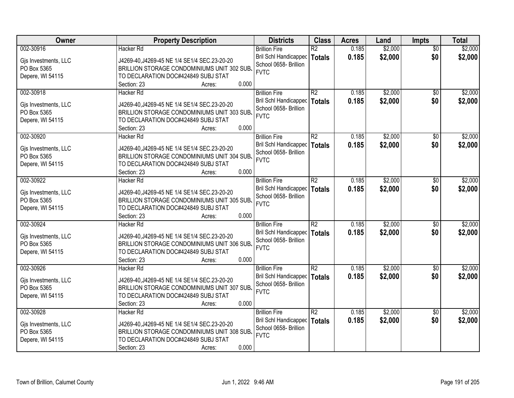| Owner                               | <b>Property Description</b>                                                                 | <b>Districts</b>                     | <b>Class</b>    | <b>Acres</b> | Land    | <b>Impts</b>    | <b>Total</b> |
|-------------------------------------|---------------------------------------------------------------------------------------------|--------------------------------------|-----------------|--------------|---------|-----------------|--------------|
| 002-30916                           | <b>Hacker Rd</b>                                                                            | <b>Brillion Fire</b>                 | $\overline{R2}$ | 0.185        | \$2,000 | $\overline{50}$ | \$2,000      |
| Gjs Investments, LLC                | J4269-40, J4269-45 NE 1/4 SE1/4 SEC.23-20-20                                                | Bril Schl Handicapped                | Totals          | 0.185        | \$2,000 | \$0             | \$2,000      |
| PO Box 5365                         | BRILLION STORAGE CONDOMINIUMS UNIT 302 SUB.                                                 | School 0658- Brillion                |                 |              |         |                 |              |
| Depere, WI 54115                    | TO DECLARATION DOC#424849 SUBJ STAT                                                         | <b>FVTC</b>                          |                 |              |         |                 |              |
|                                     | 0.000<br>Section: 23<br>Acres:                                                              |                                      |                 |              |         |                 |              |
| 002-30918                           | Hacker Rd                                                                                   | <b>Brillion Fire</b>                 | R <sub>2</sub>  | 0.185        | \$2,000 | \$0             | \$2,000      |
|                                     |                                                                                             | Bril Schl Handicapped                | Totals          | 0.185        | \$2,000 | \$0             | \$2,000      |
| Gjs Investments, LLC                | J4269-40, J4269-45 NE 1/4 SE1/4 SEC.23-20-20                                                | School 0658- Brillion                |                 |              |         |                 |              |
| PO Box 5365                         | BRILLION STORAGE CONDOMINIUMS UNIT 303 SUB.                                                 | <b>FVTC</b>                          |                 |              |         |                 |              |
| Depere, WI 54115                    | TO DECLARATION DOC#424849 SUBJ STAT                                                         |                                      |                 |              |         |                 |              |
|                                     | 0.000<br>Section: 23<br>Acres:                                                              |                                      |                 |              |         |                 |              |
| 002-30920                           | <b>Hacker Rd</b>                                                                            | <b>Brillion Fire</b>                 | R2              | 0.185        | \$2,000 | \$0             | \$2,000      |
| Gjs Investments, LLC                | J4269-40, J4269-45 NE 1/4 SE1/4 SEC.23-20-20                                                | Bril Schl Handicapped                | Totals          | 0.185        | \$2,000 | \$0             | \$2,000      |
| PO Box 5365                         | BRILLION STORAGE CONDOMINIUMS UNIT 304 SUB.                                                 | School 0658- Brillion<br><b>FVTC</b> |                 |              |         |                 |              |
| Depere, WI 54115                    | TO DECLARATION DOC#424849 SUBJ STAT                                                         |                                      |                 |              |         |                 |              |
|                                     | 0.000<br>Section: 23<br>Acres:                                                              |                                      |                 |              |         |                 |              |
| 002-30922                           | Hacker Rd                                                                                   | <b>Brillion Fire</b>                 | R <sub>2</sub>  | 0.185        | \$2,000 | $\sqrt[6]{3}$   | \$2,000      |
|                                     |                                                                                             | Bril Schl Handicapped                | <b>Totals</b>   | 0.185        | \$2,000 | \$0             | \$2,000      |
| Gjs Investments, LLC<br>PO Box 5365 | J4269-40, J4269-45 NE 1/4 SE1/4 SEC.23-20-20<br>BRILLION STORAGE CONDOMINIUMS UNIT 305 SUB. | School 0658- Brillion                |                 |              |         |                 |              |
| Depere, WI 54115                    | TO DECLARATION DOC#424849 SUBJ STAT                                                         | <b>FVTC</b>                          |                 |              |         |                 |              |
|                                     | 0.000<br>Section: 23<br>Acres:                                                              |                                      |                 |              |         |                 |              |
| 002-30924                           | <b>Hacker Rd</b>                                                                            | <b>Brillion Fire</b>                 | $\overline{R2}$ | 0.185        | \$2,000 | \$0             | \$2,000      |
|                                     |                                                                                             | Bril Schl Handicapped                |                 | 0.185        | \$2,000 | \$0             | \$2,000      |
| Gjs Investments, LLC                | J4269-40, J4269-45 NE 1/4 SE1/4 SEC.23-20-20                                                | School 0658- Brillion                | Totals          |              |         |                 |              |
| PO Box 5365                         | BRILLION STORAGE CONDOMINIUMS UNIT 306 SUB.                                                 | <b>FVTC</b>                          |                 |              |         |                 |              |
| Depere, WI 54115                    | TO DECLARATION DOC#424849 SUBJ STAT                                                         |                                      |                 |              |         |                 |              |
|                                     | 0.000<br>Section: 23<br>Acres:                                                              |                                      |                 |              |         |                 |              |
| 002-30926                           | Hacker Rd                                                                                   | <b>Brillion Fire</b>                 | $\overline{R2}$ | 0.185        | \$2,000 | \$0             | \$2,000      |
| Gjs Investments, LLC                | J4269-40, J4269-45 NE 1/4 SE1/4 SEC.23-20-20                                                | Bril Schl Handicapped                | Totals          | 0.185        | \$2,000 | \$0             | \$2,000      |
| PO Box 5365                         | BRILLION STORAGE CONDOMINIUMS UNIT 307 SUB.                                                 | School 0658- Brillion                |                 |              |         |                 |              |
| Depere, WI 54115                    | TO DECLARATION DOC#424849 SUBJ STAT                                                         | <b>FVTC</b>                          |                 |              |         |                 |              |
|                                     | 0.000<br>Section: 23<br>Acres:                                                              |                                      |                 |              |         |                 |              |
| 002-30928                           | Hacker Rd                                                                                   | <b>Brillion Fire</b>                 | $\overline{R2}$ | 0.185        | \$2,000 | $\overline{50}$ | \$2,000      |
|                                     |                                                                                             | Bril Schl Handicapped                | Totals          | 0.185        | \$2,000 | \$0             | \$2,000      |
| Gjs Investments, LLC                | J4269-40, J4269-45 NE 1/4 SE1/4 SEC.23-20-20                                                | School 0658- Brillion                |                 |              |         |                 |              |
| PO Box 5365                         | BRILLION STORAGE CONDOMINIUMS UNIT 308 SUB.                                                 | <b>FVTC</b>                          |                 |              |         |                 |              |
| Depere, WI 54115                    | TO DECLARATION DOC#424849 SUBJ STAT                                                         |                                      |                 |              |         |                 |              |
|                                     | 0.000<br>Section: 23<br>Acres:                                                              |                                      |                 |              |         |                 |              |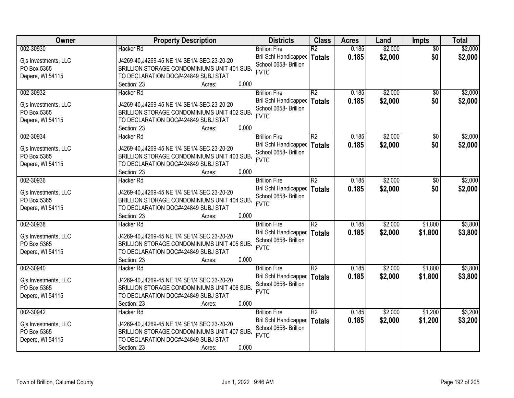| Owner                | <b>Property Description</b>                  | <b>Districts</b>             | <b>Class</b>    | <b>Acres</b> | Land    | <b>Impts</b>    | <b>Total</b> |
|----------------------|----------------------------------------------|------------------------------|-----------------|--------------|---------|-----------------|--------------|
| 002-30930            | <b>Hacker Rd</b>                             | <b>Brillion Fire</b>         | $\overline{R2}$ | 0.185        | \$2,000 | $\overline{30}$ | \$2,000      |
| Gjs Investments, LLC | J4269-40, J4269-45 NE 1/4 SE1/4 SEC.23-20-20 | <b>Bril Schl Handicapped</b> | <b>Totals</b>   | 0.185        | \$2,000 | \$0             | \$2,000      |
| PO Box 5365          | BRILLION STORAGE CONDOMINIUMS UNIT 401 SUB.  | School 0658- Brillion        |                 |              |         |                 |              |
| Depere, WI 54115     | TO DECLARATION DOC#424849 SUBJ STAT          | <b>FVTC</b>                  |                 |              |         |                 |              |
|                      | 0.000<br>Section: 23<br>Acres:               |                              |                 |              |         |                 |              |
| 002-30932            | Hacker Rd                                    | <b>Brillion Fire</b>         | R2              | 0.185        | \$2,000 | $\overline{50}$ | \$2,000      |
|                      |                                              | <b>Bril Schl Handicapped</b> | <b>Totals</b>   | 0.185        | \$2,000 | \$0             | \$2,000      |
| Gjs Investments, LLC | J4269-40, J4269-45 NE 1/4 SE1/4 SEC.23-20-20 | School 0658- Brillion        |                 |              |         |                 |              |
| PO Box 5365          | BRILLION STORAGE CONDOMINIUMS UNIT 402 SUB.  | <b>FVTC</b>                  |                 |              |         |                 |              |
| Depere, WI 54115     | TO DECLARATION DOC#424849 SUBJ STAT          |                              |                 |              |         |                 |              |
|                      | 0.000<br>Section: 23<br>Acres:               |                              |                 |              |         |                 |              |
| 002-30934            | Hacker Rd                                    | <b>Brillion Fire</b>         | $\overline{R2}$ | 0.185        | \$2,000 | \$0             | \$2,000      |
| Gjs Investments, LLC | J4269-40, J4269-45 NE 1/4 SE1/4 SEC.23-20-20 | <b>Bril Schl Handicapped</b> | <b>Totals</b>   | 0.185        | \$2,000 | \$0             | \$2,000      |
| PO Box 5365          | BRILLION STORAGE CONDOMINIUMS UNIT 403 SUB.  | School 0658- Brillion        |                 |              |         |                 |              |
| Depere, WI 54115     | TO DECLARATION DOC#424849 SUBJ STAT          | <b>FVTC</b>                  |                 |              |         |                 |              |
|                      | 0.000<br>Section: 23<br>Acres:               |                              |                 |              |         |                 |              |
| 002-30936            | Hacker Rd                                    | <b>Brillion Fire</b>         | R2              | 0.185        | \$2,000 | \$0             | \$2,000      |
|                      |                                              | <b>Bril Schl Handicapped</b> | <b>Totals</b>   | 0.185        | \$2,000 | \$0             | \$2,000      |
| Gjs Investments, LLC | J4269-40, J4269-45 NE 1/4 SE1/4 SEC.23-20-20 | School 0658- Brillion        |                 |              |         |                 |              |
| PO Box 5365          | BRILLION STORAGE CONDOMINIUMS UNIT 404 SUB.  | <b>FVTC</b>                  |                 |              |         |                 |              |
| Depere, WI 54115     | TO DECLARATION DOC#424849 SUBJ STAT          |                              |                 |              |         |                 |              |
|                      | 0.000<br>Section: 23<br>Acres:               |                              |                 |              |         |                 |              |
| 002-30938            | <b>Hacker Rd</b>                             | <b>Brillion Fire</b>         | $\overline{R2}$ | 0.185        | \$2,000 | \$1,800         | \$3,800      |
| Gjs Investments, LLC | J4269-40, J4269-45 NE 1/4 SE1/4 SEC.23-20-20 | <b>Bril Schl Handicapped</b> | <b>Totals</b>   | 0.185        | \$2,000 | \$1,800         | \$3,800      |
| PO Box 5365          | BRILLION STORAGE CONDOMINIUMS UNIT 405 SUB.  | School 0658- Brillion        |                 |              |         |                 |              |
| Depere, WI 54115     | TO DECLARATION DOC#424849 SUBJ STAT          | <b>FVTC</b>                  |                 |              |         |                 |              |
|                      | 0.000<br>Section: 23<br>Acres:               |                              |                 |              |         |                 |              |
| 002-30940            | Hacker Rd                                    | <b>Brillion Fire</b>         | $\overline{R2}$ | 0.185        | \$2,000 | \$1,800         | \$3,800      |
|                      |                                              | Bril Schl Handicapped        | <b>Totals</b>   | 0.185        | \$2,000 | \$1,800         | \$3,800      |
| Gjs Investments, LLC | J4269-40, J4269-45 NE 1/4 SE1/4 SEC.23-20-20 | School 0658- Brillion        |                 |              |         |                 |              |
| PO Box 5365          | BRILLION STORAGE CONDOMINIUMS UNIT 406 SUB.  | <b>FVTC</b>                  |                 |              |         |                 |              |
| Depere, WI 54115     | TO DECLARATION DOC#424849 SUBJ STAT          |                              |                 |              |         |                 |              |
|                      | 0.000<br>Section: 23<br>Acres:               |                              |                 |              |         |                 |              |
| 002-30942            | Hacker Rd                                    | <b>Brillion Fire</b>         | $\overline{R2}$ | 0.185        | \$2,000 | \$1,200         | \$3,200      |
| Gjs Investments, LLC | J4269-40, J4269-45 NE 1/4 SE1/4 SEC.23-20-20 | <b>Bril Schl Handicapped</b> | <b>Totals</b>   | 0.185        | \$2,000 | \$1,200         | \$3,200      |
| PO Box 5365          | BRILLION STORAGE CONDOMINIUMS UNIT 407 SUB.  | School 0658- Brillion        |                 |              |         |                 |              |
| Depere, WI 54115     | TO DECLARATION DOC#424849 SUBJ STAT          | <b>FVTC</b>                  |                 |              |         |                 |              |
|                      | 0.000<br>Section: 23<br>Acres:               |                              |                 |              |         |                 |              |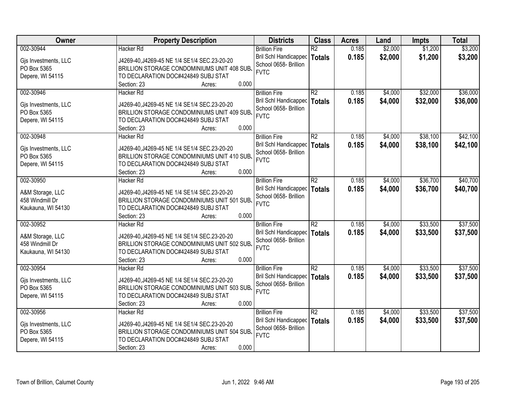| Owner                               | <b>Property Description</b>                                                                 | <b>Districts</b>                     | <b>Class</b>    | <b>Acres</b> | Land    | <b>Impts</b> | <b>Total</b> |
|-------------------------------------|---------------------------------------------------------------------------------------------|--------------------------------------|-----------------|--------------|---------|--------------|--------------|
| 002-30944                           | <b>Hacker Rd</b>                                                                            | <b>Brillion Fire</b>                 | $\overline{R2}$ | 0.185        | \$2,000 | \$1,200      | \$3,200      |
| Gjs Investments, LLC                | J4269-40, J4269-45 NE 1/4 SE1/4 SEC.23-20-20                                                | <b>Bril Schl Handicapped</b>         | <b>Totals</b>   | 0.185        | \$2,000 | \$1,200      | \$3,200      |
| PO Box 5365                         | BRILLION STORAGE CONDOMINIUMS UNIT 408 SUB.                                                 | School 0658- Brillion                |                 |              |         |              |              |
| Depere, WI 54115                    | TO DECLARATION DOC#424849 SUBJ STAT                                                         | <b>FVTC</b>                          |                 |              |         |              |              |
|                                     | 0.000<br>Section: 23<br>Acres:                                                              |                                      |                 |              |         |              |              |
| 002-30946                           | <b>Hacker Rd</b>                                                                            | <b>Brillion Fire</b>                 | $\overline{R2}$ | 0.185        | \$4,000 | \$32,000     | \$36,000     |
|                                     |                                                                                             | <b>Bril Schl Handicapped</b>         | <b>Totals</b>   | 0.185        | \$4,000 | \$32,000     | \$36,000     |
| Gjs Investments, LLC                | J4269-40, J4269-45 NE 1/4 SE1/4 SEC.23-20-20                                                | School 0658- Brillion                |                 |              |         |              |              |
| PO Box 5365                         | BRILLION STORAGE CONDOMINIUMS UNIT 409 SUB.                                                 | <b>FVTC</b>                          |                 |              |         |              |              |
| Depere, WI 54115                    | TO DECLARATION DOC#424849 SUBJ STAT                                                         |                                      |                 |              |         |              |              |
|                                     | 0.000<br>Section: 23<br>Acres:                                                              |                                      |                 |              |         |              |              |
| 002-30948                           | Hacker Rd                                                                                   | <b>Brillion Fire</b>                 | $\overline{R2}$ | 0.185        | \$4,000 | \$38,100     | \$42,100     |
| Gjs Investments, LLC                | J4269-40, J4269-45 NE 1/4 SE1/4 SEC.23-20-20                                                | <b>Bril Schl Handicapped</b>         | <b>Totals</b>   | 0.185        | \$4,000 | \$38,100     | \$42,100     |
| PO Box 5365                         | BRILLION STORAGE CONDOMINIUMS UNIT 410 SUB.                                                 | School 0658- Brillion<br><b>FVTC</b> |                 |              |         |              |              |
| Depere, WI 54115                    | TO DECLARATION DOC#424849 SUBJ STAT                                                         |                                      |                 |              |         |              |              |
|                                     | 0.000<br>Section: 23<br>Acres:                                                              |                                      |                 |              |         |              |              |
| 002-30950                           | Hacker Rd                                                                                   | <b>Brillion Fire</b>                 | R2              | 0.185        | \$4,000 | \$36,700     | \$40,700     |
|                                     |                                                                                             | <b>Bril Schl Handicapped</b>         | <b>Totals</b>   | 0.185        | \$4,000 | \$36,700     | \$40,700     |
| A&M Storage, LLC<br>458 Windmill Dr | J4269-40, J4269-45 NE 1/4 SE1/4 SEC.23-20-20<br>BRILLION STORAGE CONDOMINIUMS UNIT 501 SUB. | School 0658- Brillion                |                 |              |         |              |              |
| Kaukauna, WI 54130                  | TO DECLARATION DOC#424849 SUBJ STAT                                                         | <b>FVTC</b>                          |                 |              |         |              |              |
|                                     | 0.000<br>Section: 23<br>Acres:                                                              |                                      |                 |              |         |              |              |
| 002-30952                           | <b>Hacker Rd</b>                                                                            | <b>Brillion Fire</b>                 | $\overline{R2}$ | 0.185        | \$4,000 | \$33,500     | \$37,500     |
|                                     |                                                                                             | Bril Schl Handicapped                | <b>Totals</b>   | 0.185        | \$4,000 | \$33,500     | \$37,500     |
| A&M Storage, LLC                    | J4269-40, J4269-45 NE 1/4 SE1/4 SEC.23-20-20                                                | School 0658- Brillion                |                 |              |         |              |              |
| 458 Windmill Dr                     | BRILLION STORAGE CONDOMINIUMS UNIT 502 SUB.                                                 | <b>FVTC</b>                          |                 |              |         |              |              |
| Kaukauna, WI 54130                  | TO DECLARATION DOC#424849 SUBJ STAT                                                         |                                      |                 |              |         |              |              |
|                                     | 0.000<br>Section: 23<br>Acres:                                                              |                                      |                 |              |         |              |              |
| 002-30954                           | <b>Hacker Rd</b>                                                                            | <b>Brillion Fire</b>                 | $\overline{R2}$ | 0.185        | \$4,000 | \$33,500     | \$37,500     |
| Gjs Investments, LLC                | J4269-40, J4269-45 NE 1/4 SE1/4 SEC.23-20-20                                                | <b>Bril Schl Handicapped</b>         | <b>Totals</b>   | 0.185        | \$4,000 | \$33,500     | \$37,500     |
| PO Box 5365                         | BRILLION STORAGE CONDOMINIUMS UNIT 503 SUB.                                                 | School 0658- Brillion                |                 |              |         |              |              |
| Depere, WI 54115                    | TO DECLARATION DOC#424849 SUBJ STAT                                                         | <b>FVTC</b>                          |                 |              |         |              |              |
|                                     | 0.000<br>Section: 23<br>Acres:                                                              |                                      |                 |              |         |              |              |
| 002-30956                           | <b>Hacker Rd</b>                                                                            | <b>Brillion Fire</b>                 | $\overline{R2}$ | 0.185        | \$4,000 | \$33,500     | \$37,500     |
|                                     |                                                                                             | <b>Bril Schl Handicapped</b>         | <b>Totals</b>   | 0.185        | \$4,000 | \$33,500     | \$37,500     |
| Gjs Investments, LLC                | J4269-40, J4269-45 NE 1/4 SE1/4 SEC.23-20-20                                                | School 0658- Brillion                |                 |              |         |              |              |
| PO Box 5365                         | BRILLION STORAGE CONDOMINIUMS UNIT 504 SUB.                                                 | <b>FVTC</b>                          |                 |              |         |              |              |
| Depere, WI 54115                    | TO DECLARATION DOC#424849 SUBJ STAT                                                         |                                      |                 |              |         |              |              |
|                                     | 0.000<br>Section: 23<br>Acres:                                                              |                                      |                 |              |         |              |              |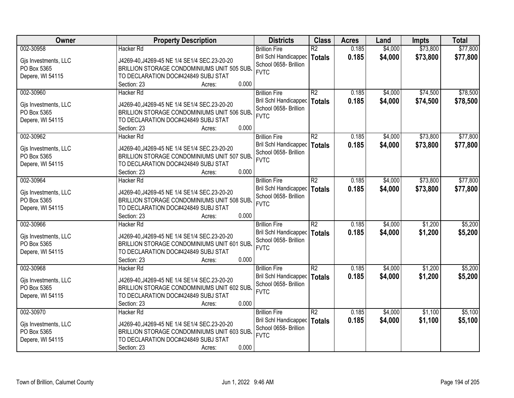| Owner                               | <b>Property Description</b>                                                                  | <b>Districts</b>                     | <b>Class</b>    | <b>Acres</b> | Land    | <b>Impts</b> | <b>Total</b> |
|-------------------------------------|----------------------------------------------------------------------------------------------|--------------------------------------|-----------------|--------------|---------|--------------|--------------|
| 002-30958                           | <b>Hacker Rd</b>                                                                             | <b>Brillion Fire</b>                 | $\overline{R2}$ | 0.185        | \$4,000 | \$73,800     | \$77,800     |
| Gjs Investments, LLC                | J4269-40, J4269-45 NE 1/4 SE1/4 SEC.23-20-20                                                 | <b>Bril Schl Handicapped</b>         | <b>Totals</b>   | 0.185        | \$4,000 | \$73,800     | \$77,800     |
| PO Box 5365                         | BRILLION STORAGE CONDOMINIUMS UNIT 505 SUB.                                                  | School 0658- Brillion                |                 |              |         |              |              |
| Depere, WI 54115                    | TO DECLARATION DOC#424849 SUBJ STAT                                                          | <b>FVTC</b>                          |                 |              |         |              |              |
|                                     | 0.000<br>Section: 23<br>Acres:                                                               |                                      |                 |              |         |              |              |
| 002-30960                           | <b>Hacker Rd</b>                                                                             | <b>Brillion Fire</b>                 | $\overline{R2}$ | 0.185        | \$4,000 | \$74,500     | \$78,500     |
|                                     |                                                                                              | <b>Bril Schl Handicapped</b>         | <b>Totals</b>   | 0.185        | \$4,000 | \$74,500     | \$78,500     |
| Gjs Investments, LLC                | J4269-40, J4269-45 NE 1/4 SE1/4 SEC.23-20-20                                                 | School 0658- Brillion                |                 |              |         |              |              |
| PO Box 5365                         | BRILLION STORAGE CONDOMINIUMS UNIT 506 SUB.                                                  | <b>FVTC</b>                          |                 |              |         |              |              |
| Depere, WI 54115                    | TO DECLARATION DOC#424849 SUBJ STAT                                                          |                                      |                 |              |         |              |              |
|                                     | 0.000<br>Section: 23<br>Acres:                                                               |                                      |                 |              |         |              |              |
| 002-30962                           | Hacker Rd                                                                                    | <b>Brillion Fire</b>                 | $\overline{R2}$ | 0.185        | \$4,000 | \$73,800     | \$77,800     |
| Gjs Investments, LLC                | J4269-40, J4269-45 NE 1/4 SE1/4 SEC.23-20-20                                                 | <b>Bril Schl Handicapped</b>         | <b>Totals</b>   | 0.185        | \$4,000 | \$73,800     | \$77,800     |
| PO Box 5365                         | BRILLION STORAGE CONDOMINIUMS UNIT 507 SUB.                                                  | School 0658- Brillion<br><b>FVTC</b> |                 |              |         |              |              |
| Depere, WI 54115                    | TO DECLARATION DOC#424849 SUBJ STAT                                                          |                                      |                 |              |         |              |              |
|                                     | 0.000<br>Section: 23<br>Acres:                                                               |                                      |                 |              |         |              |              |
| 002-30964                           | Hacker Rd                                                                                    | <b>Brillion Fire</b>                 | R2              | 0.185        | \$4,000 | \$73,800     | \$77,800     |
|                                     |                                                                                              | <b>Bril Schl Handicapped</b>         | <b>Totals</b>   | 0.185        | \$4,000 | \$73,800     | \$77,800     |
| Gis Investments, LLC<br>PO Box 5365 | J4269-40, J4269-45 NE 1/4 SE1/4 SEC. 23-20-20<br>BRILLION STORAGE CONDOMINIUMS UNIT 508 SUB. | School 0658- Brillion                |                 |              |         |              |              |
| Depere, WI 54115                    | TO DECLARATION DOC#424849 SUBJ STAT                                                          | <b>FVTC</b>                          |                 |              |         |              |              |
|                                     | 0.000<br>Section: 23<br>Acres:                                                               |                                      |                 |              |         |              |              |
| 002-30966                           | <b>Hacker Rd</b>                                                                             | <b>Brillion Fire</b>                 | $\overline{R2}$ | 0.185        | \$4,000 | \$1,200      | \$5,200      |
|                                     |                                                                                              | Bril Schl Handicapped                | <b>Totals</b>   | 0.185        | \$4,000 | \$1,200      | \$5,200      |
| Gjs Investments, LLC                | J4269-40, J4269-45 NE 1/4 SE1/4 SEC.23-20-20                                                 | School 0658- Brillion                |                 |              |         |              |              |
| PO Box 5365                         | BRILLION STORAGE CONDOMINIUMS UNIT 601 SUB.                                                  | <b>FVTC</b>                          |                 |              |         |              |              |
| Depere, WI 54115                    | TO DECLARATION DOC#424849 SUBJ STAT                                                          |                                      |                 |              |         |              |              |
|                                     | 0.000<br>Section: 23<br>Acres:                                                               |                                      |                 |              |         |              |              |
| 002-30968                           | <b>Hacker Rd</b>                                                                             | <b>Brillion Fire</b>                 | $\overline{R2}$ | 0.185        | \$4,000 | \$1,200      | \$5,200      |
| Gjs Investments, LLC                | J4269-40, J4269-45 NE 1/4 SE1/4 SEC.23-20-20                                                 | <b>Bril Schl Handicapped</b>         | <b>Totals</b>   | 0.185        | \$4,000 | \$1,200      | \$5,200      |
| PO Box 5365                         | BRILLION STORAGE CONDOMINIUMS UNIT 602 SUB.                                                  | School 0658- Brillion                |                 |              |         |              |              |
| Depere, WI 54115                    | TO DECLARATION DOC#424849 SUBJ STAT                                                          | <b>FVTC</b>                          |                 |              |         |              |              |
|                                     | 0.000<br>Section: 23<br>Acres:                                                               |                                      |                 |              |         |              |              |
| 002-30970                           | <b>Hacker Rd</b>                                                                             | <b>Brillion Fire</b>                 | $\overline{R2}$ | 0.185        | \$4,000 | \$1,100      | \$5,100      |
|                                     |                                                                                              | <b>Bril Schl Handicapped</b>         | <b>Totals</b>   | 0.185        | \$4,000 | \$1,100      | \$5,100      |
| Gjs Investments, LLC                | J4269-40, J4269-45 NE 1/4 SE1/4 SEC.23-20-20                                                 | School 0658- Brillion                |                 |              |         |              |              |
| PO Box 5365                         | BRILLION STORAGE CONDOMINIUMS UNIT 603 SUB.                                                  | <b>FVTC</b>                          |                 |              |         |              |              |
| Depere, WI 54115                    | TO DECLARATION DOC#424849 SUBJ STAT                                                          |                                      |                 |              |         |              |              |
|                                     | 0.000<br>Section: 23<br>Acres:                                                               |                                      |                 |              |         |              |              |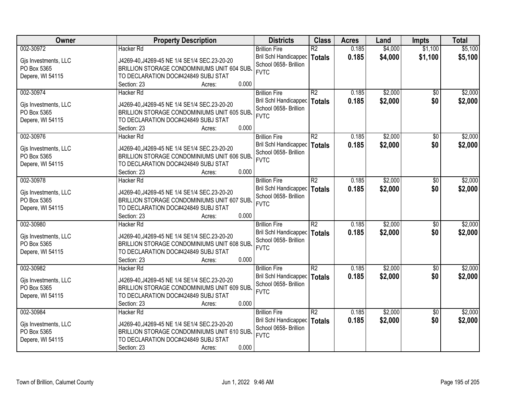| Owner                | <b>Property Description</b>                  | <b>Districts</b>             | <b>Class</b>    | <b>Acres</b> | Land    | <b>Impts</b>    | <b>Total</b> |
|----------------------|----------------------------------------------|------------------------------|-----------------|--------------|---------|-----------------|--------------|
| 002-30972            | <b>Hacker Rd</b>                             | <b>Brillion Fire</b>         | $\overline{R2}$ | 0.185        | \$4,000 | \$1,100         | \$5,100      |
| Gjs Investments, LLC | J4269-40, J4269-45 NE 1/4 SE1/4 SEC.23-20-20 | <b>Bril Schl Handicapped</b> | <b>Totals</b>   | 0.185        | \$4,000 | \$1,100         | \$5,100      |
| PO Box 5365          | BRILLION STORAGE CONDOMINIUMS UNIT 604 SUB.  | School 0658- Brillion        |                 |              |         |                 |              |
| Depere, WI 54115     | TO DECLARATION DOC#424849 SUBJ STAT          | <b>FVTC</b>                  |                 |              |         |                 |              |
|                      | 0.000<br>Section: 23<br>Acres:               |                              |                 |              |         |                 |              |
| 002-30974            | Hacker Rd                                    | <b>Brillion Fire</b>         | R2              | 0.185        | \$2,000 | $\overline{50}$ | \$2,000      |
|                      |                                              | <b>Bril Schl Handicapped</b> | <b>Totals</b>   | 0.185        | \$2,000 | \$0             | \$2,000      |
| Gjs Investments, LLC | J4269-40, J4269-45 NE 1/4 SE1/4 SEC.23-20-20 | School 0658- Brillion        |                 |              |         |                 |              |
| PO Box 5365          | BRILLION STORAGE CONDOMINIUMS UNIT 605 SUB.  | <b>FVTC</b>                  |                 |              |         |                 |              |
| Depere, WI 54115     | TO DECLARATION DOC#424849 SUBJ STAT          |                              |                 |              |         |                 |              |
|                      | 0.000<br>Section: 23<br>Acres:               |                              |                 |              |         |                 |              |
| 002-30976            | Hacker Rd                                    | <b>Brillion Fire</b>         | $\overline{R2}$ | 0.185        | \$2,000 | \$0             | \$2,000      |
| Gjs Investments, LLC | J4269-40, J4269-45 NE 1/4 SE1/4 SEC.23-20-20 | <b>Bril Schl Handicapped</b> | <b>Totals</b>   | 0.185        | \$2,000 | \$0             | \$2,000      |
| PO Box 5365          | BRILLION STORAGE CONDOMINIUMS UNIT 606 SUB.  | School 0658- Brillion        |                 |              |         |                 |              |
| Depere, WI 54115     | TO DECLARATION DOC#424849 SUBJ STAT          | <b>FVTC</b>                  |                 |              |         |                 |              |
|                      | 0.000<br>Section: 23<br>Acres:               |                              |                 |              |         |                 |              |
| 002-30978            | Hacker Rd                                    | <b>Brillion Fire</b>         | R2              | 0.185        | \$2,000 | \$0             | \$2,000      |
|                      |                                              | <b>Bril Schl Handicapped</b> | <b>Totals</b>   | 0.185        | \$2,000 | \$0             | \$2,000      |
| Gjs Investments, LLC | J4269-40, J4269-45 NE 1/4 SE1/4 SEC.23-20-20 | School 0658- Brillion        |                 |              |         |                 |              |
| PO Box 5365          | BRILLION STORAGE CONDOMINIUMS UNIT 607 SUB.  | <b>FVTC</b>                  |                 |              |         |                 |              |
| Depere, WI 54115     | TO DECLARATION DOC#424849 SUBJ STAT          |                              |                 |              |         |                 |              |
|                      | 0.000<br>Section: 23<br>Acres:               |                              |                 |              |         |                 |              |
| 002-30980            | <b>Hacker Rd</b>                             | <b>Brillion Fire</b>         | $\overline{R2}$ | 0.185        | \$2,000 | $\overline{50}$ | \$2,000      |
| Gjs Investments, LLC | J4269-40, J4269-45 NE 1/4 SE1/4 SEC.23-20-20 | <b>Bril Schl Handicapped</b> | <b>Totals</b>   | 0.185        | \$2,000 | \$0             | \$2,000      |
| PO Box 5365          | BRILLION STORAGE CONDOMINIUMS UNIT 608 SUB.  | School 0658- Brillion        |                 |              |         |                 |              |
| Depere, WI 54115     | TO DECLARATION DOC#424849 SUBJ STAT          | <b>FVTC</b>                  |                 |              |         |                 |              |
|                      | 0.000<br>Section: 23<br>Acres:               |                              |                 |              |         |                 |              |
| 002-30982            | Hacker Rd                                    | <b>Brillion Fire</b>         | $\overline{R2}$ | 0.185        | \$2,000 | \$0             | \$2,000      |
|                      |                                              | Bril Schl Handicapped        | <b>Totals</b>   | 0.185        | \$2,000 | \$0             | \$2,000      |
| Gjs Investments, LLC | J4269-40, J4269-45 NE 1/4 SE1/4 SEC.23-20-20 | School 0658- Brillion        |                 |              |         |                 |              |
| PO Box 5365          | BRILLION STORAGE CONDOMINIUMS UNIT 609 SUB.  | <b>FVTC</b>                  |                 |              |         |                 |              |
| Depere, WI 54115     | TO DECLARATION DOC#424849 SUBJ STAT          |                              |                 |              |         |                 |              |
|                      | 0.000<br>Section: 23<br>Acres:               |                              |                 |              |         |                 |              |
| 002-30984            | Hacker Rd                                    | <b>Brillion Fire</b>         | $\overline{R2}$ | 0.185        | \$2,000 | $\overline{50}$ | \$2,000      |
| Gjs Investments, LLC | J4269-40, J4269-45 NE 1/4 SE1/4 SEC.23-20-20 | <b>Bril Schl Handicapped</b> | <b>Totals</b>   | 0.185        | \$2,000 | \$0             | \$2,000      |
| PO Box 5365          | BRILLION STORAGE CONDOMINIUMS UNIT 610 SUB.  | School 0658- Brillion        |                 |              |         |                 |              |
| Depere, WI 54115     | TO DECLARATION DOC#424849 SUBJ STAT          | <b>FVTC</b>                  |                 |              |         |                 |              |
|                      | 0.000<br>Section: 23<br>Acres:               |                              |                 |              |         |                 |              |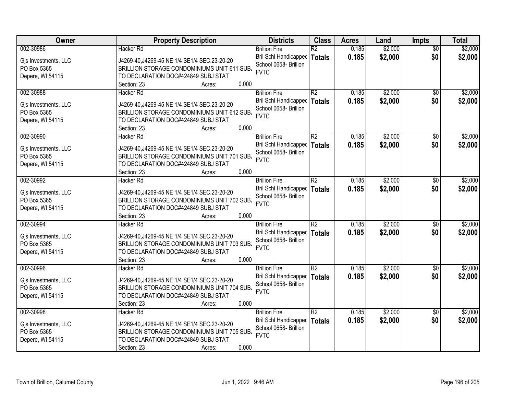| Owner                               | <b>Property Description</b>                  | <b>Districts</b>             | <b>Class</b>    | <b>Acres</b> | Land    | <b>Impts</b>    | <b>Total</b> |
|-------------------------------------|----------------------------------------------|------------------------------|-----------------|--------------|---------|-----------------|--------------|
| 002-30986                           | <b>Hacker Rd</b>                             | <b>Brillion Fire</b>         | $\overline{R2}$ | 0.185        | \$2,000 | $\overline{30}$ | \$2,000      |
| Gjs Investments, LLC                | J4269-40, J4269-45 NE 1/4 SE1/4 SEC.23-20-20 | <b>Bril Schl Handicapped</b> | <b>Totals</b>   | 0.185        | \$2,000 | \$0             | \$2,000      |
| PO Box 5365                         | BRILLION STORAGE CONDOMINIUMS UNIT 611 SUB.  | School 0658- Brillion        |                 |              |         |                 |              |
| Depere, WI 54115                    | TO DECLARATION DOC#424849 SUBJ STAT          | <b>FVTC</b>                  |                 |              |         |                 |              |
|                                     | 0.000<br>Section: 23<br>Acres:               |                              |                 |              |         |                 |              |
| 002-30988                           | Hacker Rd                                    | <b>Brillion Fire</b>         | R2              | 0.185        | \$2,000 | $\overline{50}$ | \$2,000      |
|                                     |                                              | Bril Schl Handicapped        | <b>Totals</b>   | 0.185        | \$2,000 | \$0             | \$2,000      |
| Gjs Investments, LLC                | J4269-40, J4269-45 NE 1/4 SE1/4 SEC.23-20-20 | School 0658- Brillion        |                 |              |         |                 |              |
| PO Box 5365                         | BRILLION STORAGE CONDOMINIUMS UNIT 612 SUB.  | <b>FVTC</b>                  |                 |              |         |                 |              |
| Depere, WI 54115                    | TO DECLARATION DOC#424849 SUBJ STAT          |                              |                 |              |         |                 |              |
|                                     | 0.000<br>Section: 23<br>Acres:               |                              |                 |              |         |                 |              |
| 002-30990                           | Hacker Rd                                    | <b>Brillion Fire</b>         | $\overline{R2}$ | 0.185        | \$2,000 | \$0             | \$2,000      |
| Gjs Investments, LLC                | J4269-40, J4269-45 NE 1/4 SE1/4 SEC.23-20-20 | <b>Bril Schl Handicapped</b> | <b>Totals</b>   | 0.185        | \$2,000 | \$0             | \$2,000      |
| PO Box 5365                         | BRILLION STORAGE CONDOMINIUMS UNIT 701 SUB.  | School 0658- Brillion        |                 |              |         |                 |              |
| Depere, WI 54115                    | TO DECLARATION DOC#424849 SUBJ STAT          | <b>FVTC</b>                  |                 |              |         |                 |              |
|                                     | 0.000<br>Section: 23<br>Acres:               |                              |                 |              |         |                 |              |
| 002-30992                           | Hacker Rd                                    | <b>Brillion Fire</b>         | R2              | 0.185        | \$2,000 | $\sqrt{6}$      | \$2,000      |
|                                     | J4269-40, J4269-45 NE 1/4 SE1/4 SEC.23-20-20 | <b>Bril Schl Handicapped</b> | <b>Totals</b>   | 0.185        | \$2,000 | \$0             | \$2,000      |
| Gis Investments, LLC<br>PO Box 5365 | BRILLION STORAGE CONDOMINIUMS UNIT 702 SUB.  | School 0658- Brillion        |                 |              |         |                 |              |
| Depere, WI 54115                    | TO DECLARATION DOC#424849 SUBJ STAT          | <b>FVTC</b>                  |                 |              |         |                 |              |
|                                     | 0.000<br>Section: 23<br>Acres:               |                              |                 |              |         |                 |              |
| 002-30994                           | <b>Hacker Rd</b>                             | <b>Brillion Fire</b>         | $\overline{R2}$ | 0.185        | \$2,000 | \$0             | \$2,000      |
|                                     |                                              | Bril Schl Handicapped        | <b>Totals</b>   | 0.185        | \$2,000 | \$0             | \$2,000      |
| Gjs Investments, LLC                | J4269-40, J4269-45 NE 1/4 SE1/4 SEC.23-20-20 | School 0658- Brillion        |                 |              |         |                 |              |
| PO Box 5365                         | BRILLION STORAGE CONDOMINIUMS UNIT 703 SUB.  | <b>FVTC</b>                  |                 |              |         |                 |              |
| Depere, WI 54115                    | TO DECLARATION DOC#424849 SUBJ STAT          |                              |                 |              |         |                 |              |
|                                     | 0.000<br>Section: 23<br>Acres:               |                              |                 |              |         |                 |              |
| 002-30996                           | Hacker Rd                                    | <b>Brillion Fire</b>         | $\overline{R2}$ | 0.185        | \$2,000 | \$0             | \$2,000      |
| Gjs Investments, LLC                | J4269-40, J4269-45 NE 1/4 SE1/4 SEC.23-20-20 | <b>Bril Schl Handicapped</b> | <b>Totals</b>   | 0.185        | \$2,000 | \$0             | \$2,000      |
| PO Box 5365                         | BRILLION STORAGE CONDOMINIUMS UNIT 704 SUB.  | School 0658- Brillion        |                 |              |         |                 |              |
| Depere, WI 54115                    | TO DECLARATION DOC#424849 SUBJ STAT          | <b>FVTC</b>                  |                 |              |         |                 |              |
|                                     | 0.000<br>Section: 23<br>Acres:               |                              |                 |              |         |                 |              |
| 002-30998                           | <b>Hacker Rd</b>                             | <b>Brillion Fire</b>         | $\overline{R2}$ | 0.185        | \$2,000 | $\overline{50}$ | \$2,000      |
|                                     |                                              | Bril Schl Handicapped        | <b>Totals</b>   | 0.185        | \$2,000 | \$0             | \$2,000      |
| Gjs Investments, LLC                | J4269-40, J4269-45 NE 1/4 SE1/4 SEC.23-20-20 | School 0658- Brillion        |                 |              |         |                 |              |
| PO Box 5365                         | BRILLION STORAGE CONDOMINIUMS UNIT 705 SUB.  | <b>FVTC</b>                  |                 |              |         |                 |              |
| Depere, WI 54115                    | TO DECLARATION DOC#424849 SUBJ STAT          |                              |                 |              |         |                 |              |
|                                     | 0.000<br>Section: 23<br>Acres:               |                              |                 |              |         |                 |              |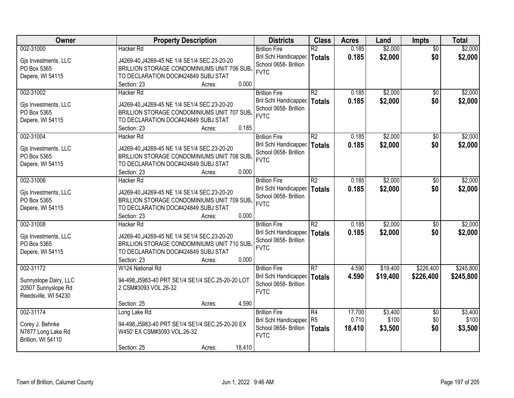| Owner                 | <b>Property Description</b>                       | <b>Districts</b>             | <b>Class</b>    | <b>Acres</b> | Land     | <b>Impts</b>    | <b>Total</b> |
|-----------------------|---------------------------------------------------|------------------------------|-----------------|--------------|----------|-----------------|--------------|
| 002-31000             | <b>Hacker Rd</b>                                  | <b>Brillion Fire</b>         | $\overline{R2}$ | 0.185        | \$2,000  | $\overline{30}$ | \$2,000      |
| Gjs Investments, LLC  | J4269-40, J4269-45 NE 1/4 SE1/4 SEC.23-20-20      | Bril Schl Handicapped        | <b>Totals</b>   | 0.185        | \$2,000  | \$0             | \$2,000      |
| PO Box 5365           | BRILLION STORAGE CONDOMINIUMS UNIT 706 SUB.       | School 0658- Brillion        |                 |              |          |                 |              |
| Depere, WI 54115      | TO DECLARATION DOC#424849 SUBJ STAT               | <b>FVTC</b>                  |                 |              |          |                 |              |
|                       | 0.000<br>Section: 23<br>Acres:                    |                              |                 |              |          |                 |              |
| 002-31002             | Hacker Rd                                         | <b>Brillion Fire</b>         | R2              | 0.185        | \$2,000  | $\overline{50}$ | \$2,000      |
|                       |                                                   | Bril Schl Handicapped        |                 |              |          |                 |              |
| Gjs Investments, LLC  | J4269-40, J4269-45 NE 1/4 SE1/4 SEC.23-20-20      | School 0658- Brillion        | <b>Totals</b>   | 0.185        | \$2,000  | \$0             | \$2,000      |
| PO Box 5365           | BRILLION STORAGE CONDOMINIUMS UNIT 707 SUB.       | <b>FVTC</b>                  |                 |              |          |                 |              |
| Depere, WI 54115      | TO DECLARATION DOC#424849 SUBJ STAT               |                              |                 |              |          |                 |              |
|                       | 0.185<br>Section: 23<br>Acres:                    |                              |                 |              |          |                 |              |
| 002-31004             | Hacker Rd                                         | <b>Brillion Fire</b>         | $\overline{R2}$ | 0.185        | \$2,000  | \$0             | \$2,000      |
|                       |                                                   | <b>Bril Schl Handicapped</b> | <b>Totals</b>   | 0.185        | \$2,000  | \$0             | \$2,000      |
| Gjs Investments, LLC  | J4269-40, J4269-45 NE 1/4 SE1/4 SEC.23-20-20      | School 0658- Brillion        |                 |              |          |                 |              |
| PO Box 5365           | BRILLION STORAGE CONDOMINIUMS UNIT 708 SUB.       | <b>FVTC</b>                  |                 |              |          |                 |              |
| Depere, WI 54115      | TO DECLARATION DOC#424849 SUBJ STAT               |                              |                 |              |          |                 |              |
|                       | 0.000<br>Section: 23<br>Acres:                    |                              |                 |              |          |                 |              |
| 002-31006             | <b>Hacker Rd</b>                                  | <b>Brillion Fire</b>         | $\overline{R2}$ | 0.185        | \$2,000  | \$0             | \$2,000      |
| Gis Investments, LLC  | J4269-40, J4269-45 NE 1/4 SE1/4 SEC.23-20-20      | <b>Bril Schl Handicapped</b> | <b>Totals</b>   | 0.185        | \$2,000  | \$0             | \$2,000      |
| PO Box 5365           | BRILLION STORAGE CONDOMINIUMS UNIT 709 SUB.       | School 0658- Brillion        |                 |              |          |                 |              |
| Depere, WI 54115      | TO DECLARATION DOC#424849 SUBJ STAT               | <b>FVTC</b>                  |                 |              |          |                 |              |
|                       | 0.000<br>Section: 23<br>Acres:                    |                              |                 |              |          |                 |              |
| 002-31008             | Hacker Rd                                         | <b>Brillion Fire</b>         | $\overline{R2}$ | 0.185        | \$2,000  | $\overline{30}$ | \$2,000      |
|                       |                                                   | Bril Schl Handicapped        | <b>Totals</b>   | 0.185        | \$2,000  | \$0             | \$2,000      |
| Gjs Investments, LLC  | J4269-40, J4269-45 NE 1/4 SE1/4 SEC.23-20-20      | School 0658- Brillion        |                 |              |          |                 |              |
| PO Box 5365           | BRILLION STORAGE CONDOMINIUMS UNIT 710 SUB.       | <b>FVTC</b>                  |                 |              |          |                 |              |
| Depere, WI 54115      | TO DECLARATION DOC#424849 SUBJ STAT               |                              |                 |              |          |                 |              |
|                       | Section: 23<br>0.000<br>Acres:                    |                              |                 |              |          |                 |              |
| 002-31172             | W124 National Rd                                  | <b>Brillion Fire</b>         | $\overline{R7}$ | 4.590        | \$19,400 | \$226,400       | \$245,800    |
| Sunnyslope Dairy, LLC | 94-498, J5983-40 PRT SE1/4 SE1/4 SEC.25-20-20 LOT | Bril Schl Handicapped        | <b>Totals</b>   | 4.590        | \$19,400 | \$226,400       | \$245,800    |
| 20507 Sunnyslope Rd   | 2 CSM#3093 VOL.26-32                              | School 0658- Brillion        |                 |              |          |                 |              |
| Reedsville, WI 54230  |                                                   | <b>FVTC</b>                  |                 |              |          |                 |              |
|                       | 4.590<br>Section: 25<br>Acres:                    |                              |                 |              |          |                 |              |
| 002-31174             | Long Lake Rd                                      | <b>Brillion Fire</b>         | $\overline{R4}$ | 17.700       | \$3,400  | $\overline{50}$ | \$3,400      |
|                       |                                                   | Bril Schl Handicapped        | R <sub>5</sub>  | 0.710        | \$100    | \$0             | \$100        |
| Corey J. Behnke       | 94-498, J5983-40 PRT SE1/4 SE1/4 SEC.25-20-20 EX  | School 0658- Brillion        | <b>Totals</b>   | 18.410       | \$3,500  | \$0             | \$3,500      |
| N7877 Long Lake Rd    | W450' EX CSM#3093 VOL.26-32                       | <b>FVTC</b>                  |                 |              |          |                 |              |
| Brillion, WI 54110    |                                                   |                              |                 |              |          |                 |              |
|                       | 18.410<br>Section: 25<br>Acres:                   |                              |                 |              |          |                 |              |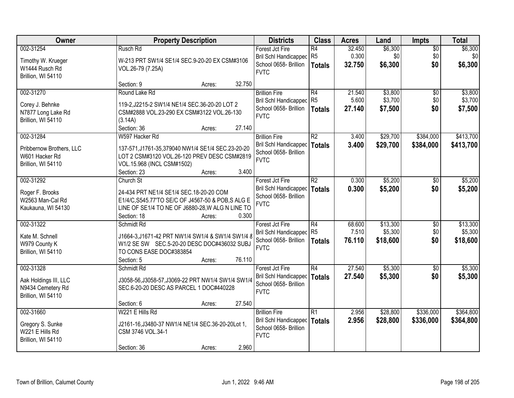| Owner                    |                                                    | <b>Property Description</b> |        | <b>Districts</b>             | <b>Class</b>    | <b>Acres</b> | Land     | <b>Impts</b>    | <b>Total</b> |
|--------------------------|----------------------------------------------------|-----------------------------|--------|------------------------------|-----------------|--------------|----------|-----------------|--------------|
| 002-31254                | Rusch Rd                                           |                             |        | Forest Jct Fire              | R4              | 32.450       | \$6,300  | $\overline{50}$ | \$6,300      |
| Timothy W. Krueger       | W-213 PRT SW1/4 SE1/4 SEC.9-20-20 EX CSM#3106      |                             |        | Bril Schl Handicapped R5     |                 | 0.300        | \$0      | \$0             | \$0          |
| W1444 Rusch Rd           | VOL.26-79 (7.25A)                                  |                             |        | School 0658- Brillion        | Totals          | 32.750       | \$6,300  | \$0             | \$6,300      |
| Brillion, WI 54110       |                                                    |                             |        | <b>FVTC</b>                  |                 |              |          |                 |              |
|                          | Section: 9                                         | Acres:                      | 32.750 |                              |                 |              |          |                 |              |
| 002-31270                | Round Lake Rd                                      |                             |        | <b>Brillion Fire</b>         | R4              | 21.540       | \$3,800  | $\overline{50}$ | \$3,800      |
| Corey J. Behnke          | 119-2, J2215-2 SW1/4 NE1/4 SEC.36-20-20 LOT 2      |                             |        | <b>Bril Schl Handicapped</b> | R <sub>5</sub>  | 5.600        | \$3,700  | \$0             | \$3,700      |
| N7877 Long Lake Rd       | CSM#2888 VOL.23-290 EX CSM#3122 VOL.26-130         |                             |        | School 0658- Brillion        | <b>Totals</b>   | 27.140       | \$7,500  | \$0             | \$7,500      |
| Brillion, WI 54110       | (3.14A)                                            |                             |        | <b>FVTC</b>                  |                 |              |          |                 |              |
|                          | Section: 36                                        | Acres:                      | 27.140 |                              |                 |              |          |                 |              |
| 002-31284                | W597 Hacker Rd                                     |                             |        | <b>Brillion Fire</b>         | R2              | 3.400        | \$29,700 | \$384,000       | \$413,700    |
| Pribbernow Brothers, LLC | 137-571, J1761-35, 379040 NW1/4 SE1/4 SEC.23-20-20 |                             |        | Bril Schl Handicapped        | Totals          | 3.400        | \$29,700 | \$384,000       | \$413,700    |
| W601 Hacker Rd           | LOT 2 CSM#3120 VOL.26-120 PREV DESC CSM#2819       |                             |        | School 0658- Brillion        |                 |              |          |                 |              |
| Brillion, WI 54110       | VOL.15.968 (INCL CSM#1502)                         |                             |        | <b>FVTC</b>                  |                 |              |          |                 |              |
|                          | Section: 23                                        | Acres:                      | 3.400  |                              |                 |              |          |                 |              |
| 002-31292                | Church St                                          |                             |        | Forest Jct Fire              | $\overline{R2}$ | 0.300        | \$5,200  | $\sqrt{6}$      | \$5,200      |
| Roger F. Brooks          | 24-434 PRT NE1/4 SE1/4 SEC.18-20-20 COM            |                             |        | Bril Schl Handicapped        | <b>Totals</b>   | 0.300        | \$5,200  | \$0             | \$5,200      |
| W2563 Man-Cal Rd         | E1/4/C, S545.77'TO SE/C OF J4567-50 & POB, SALG E  |                             |        | School 0658- Brillion        |                 |              |          |                 |              |
| Kaukauna, WI 54130       | LINE OF SE1/4 TO NE OF J6880-28, W ALG N LINE TO   |                             |        | <b>FVTC</b>                  |                 |              |          |                 |              |
|                          | Section: 18                                        | Acres:                      | 0.300  |                              |                 |              |          |                 |              |
| 002-31322                | Schmidt Rd                                         |                             |        | Forest Jct Fire              | R4              | 68.600       | \$13,300 | $\overline{30}$ | \$13,300     |
| Kate M. Schnell          | J1664-3, J1671-42 PRT NW1/4 SW1/4 & SW1/4 SW1/4 8  |                             |        | <b>Bril Schl Handicapped</b> | R <sub>5</sub>  | 7.510        | \$5,300  | \$0             | \$5,300      |
| W979 County K            | W1/2 SE SW SEC.5-20-20 DESC DOC#436032 SUBJ        |                             |        | School 0658- Brillion        | Totals          | 76.110       | \$18,600 | \$0             | \$18,600     |
| Brillion, WI 54110       | TO CONS EASE DOC#383854                            |                             |        | <b>FVTC</b>                  |                 |              |          |                 |              |
|                          | Section: 5                                         | Acres:                      | 76.110 |                              |                 |              |          |                 |              |
| 002-31328                | Schmidt Rd                                         |                             |        | Forest Jct Fire              | R4              | 27.540       | \$5,300  | \$0             | \$5,300      |
| Aak Holdings III, LLC    | J3058-56, J3058-57, J3069-22 PRT NW1/4 SW1/4 SW1/4 |                             |        | Bril Schl Handicapped        | Totals          | 27.540       | \$5,300  | \$0             | \$5,300      |
| N9434 Cemetery Rd        | SEC.6-20-20 DESC AS PARCEL 1 DOC#440228            |                             |        | School 0658- Brillion        |                 |              |          |                 |              |
| Brillion, WI 54110       |                                                    |                             |        | <b>FVTC</b>                  |                 |              |          |                 |              |
|                          | Section: 6                                         | Acres:                      | 27.540 |                              |                 |              |          |                 |              |
| 002-31660                | W221 E Hills Rd                                    |                             |        | <b>Brillion Fire</b>         | R1              | 2.956        | \$28,800 | \$336,000       | \$364,800    |
| Gregory S. Sunke         | J2161-16, J3480-37 NW1/4 NE1/4 SEC.36-20-20Lot 1,  |                             |        | Bril Schl Handicapped        | <b>Totals</b>   | 2.956        | \$28,800 | \$336,000       | \$364,800    |
| W221 E Hills Rd          | CSM 3746 VOL.34-1                                  |                             |        | School 0658- Brillion        |                 |              |          |                 |              |
| Brillion, WI 54110       |                                                    |                             |        | <b>FVTC</b>                  |                 |              |          |                 |              |
|                          | Section: 36                                        | Acres:                      | 2.960  |                              |                 |              |          |                 |              |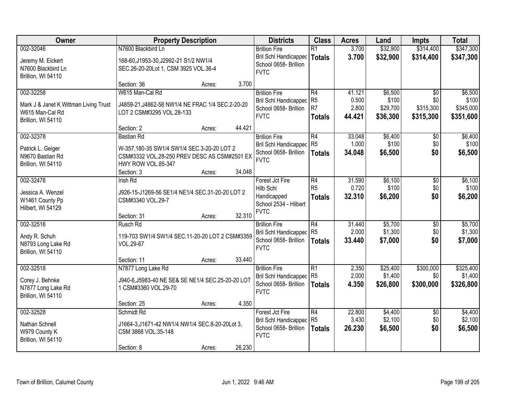| Owner                                 | <b>Property Description</b>                       | <b>Districts</b>             | <b>Class</b>    | <b>Acres</b> | Land     | <b>Impts</b>    | <b>Total</b> |
|---------------------------------------|---------------------------------------------------|------------------------------|-----------------|--------------|----------|-----------------|--------------|
| 002-32046                             | N7600 Blackbird Ln                                | <b>Brillion Fire</b>         | $\overline{R1}$ | 3.700        | \$32,900 | \$314,400       | \$347,300    |
| Jeremy M. Eickert                     | 168-60, J1953-30, J2992-21 S1/2 NW1/4             | Bril Schl Handicapped        | <b>Totals</b>   | 3.700        | \$32,900 | \$314,400       | \$347,300    |
| N7600 Blackbird Ln                    | SEC.26-20-20Lot 1, CSM 3925 VOL.36-4              | School 0658- Brillion        |                 |              |          |                 |              |
| Brillion, WI 54110                    |                                                   | <b>FVTC</b>                  |                 |              |          |                 |              |
|                                       | 3.700<br>Section: 36<br>Acres:                    |                              |                 |              |          |                 |              |
| 002-32258                             | W615 Man-Cal Rd                                   | <b>Brillion Fire</b>         | R4              | 41.121       | \$6,500  | $\overline{50}$ | \$6,500      |
| Mark J & Janet K Wittman Living Trust | J4859-21, J4862-58 NW1/4 NE FRAC 1/4 SEC.2-20-20  | <b>Bril Schl Handicapped</b> | R <sub>5</sub>  | 0.500        | \$100    | \$0             | \$100        |
| W615 Man-Cal Rd                       | LOT 2 CSM#3295 VOL.28-133                         | School 0658- Brillion        | R <sub>7</sub>  | 2.800        | \$29,700 | \$315,300       | \$345,000    |
| Brillion, WI 54110                    |                                                   | <b>FVTC</b>                  | <b>Totals</b>   | 44.421       | \$36,300 | \$315,300       | \$351,600    |
|                                       | 44.421<br>Section: 2<br>Acres:                    |                              |                 |              |          |                 |              |
| 002-32378                             | <b>Bastian Rd</b>                                 | <b>Brillion Fire</b>         | R4              | 33.048       | \$6,400  | \$0             | \$6,400      |
| Patrick L. Geiger                     | W-357,180-35 SW1/4 SW1/4 SEC.3-20-20 LOT 2        | Bril Schl Handicapped        | R <sub>5</sub>  | 1.000        | \$100    | \$0             | \$100        |
| N9670 Bastian Rd                      | CSM#3332 VOL.28-250 PREV DESC AS CSM#2501 EX      | School 0658- Brillion        | <b>Totals</b>   | 34.048       | \$6,500  | \$0             | \$6,500      |
| Brillion, WI 54110                    | HWY ROW VOL.85-347                                | <b>FVTC</b>                  |                 |              |          |                 |              |
|                                       | 34.048<br>Section: 3<br>Acres:                    |                              |                 |              |          |                 |              |
| 002-32476                             | <b>Irish Rd</b>                                   | Forest Jct Fire              | R4              | 31.590       | \$6,100  | $\sqrt[6]{3}$   | \$6,100      |
| Jessica A. Wenzel                     | J926-15-J1269-56 SE1/4 NE1/4 SEC.31-20-20 LOT 2   | Hilb Schl                    | R <sub>5</sub>  | 0.720        | \$100    | \$0             | \$100        |
| W1461 County Pp                       | CSM#3340 VOL.29-7                                 | Handicapped                  | <b>Totals</b>   | 32.310       | \$6,200  | \$0             | \$6,200      |
| Hilbert, WI 54129                     |                                                   | School 2534 - Hilbert        |                 |              |          |                 |              |
|                                       | 32.310<br>Section: 31<br>Acres:                   | <b>FVTC</b>                  |                 |              |          |                 |              |
| 002-32516                             | Rusch Rd                                          | <b>Brillion Fire</b>         | $\overline{R4}$ | 31.440       | \$5,700  | $\overline{50}$ | \$5,700      |
| Andy R. Schuh                         | 119-703 SW1/4 SW1/4 SEC.11-20-20 LOT 2 CSM#3359   | Bril Schl Handicapped        | R <sub>5</sub>  | 2.000        | \$1,300  | \$0             | \$1,300      |
| N8793 Long Lake Rd                    | VOL.29-67                                         | School 0658- Brillion        | <b>Totals</b>   | 33.440       | \$7,000  | \$0             | \$7,000      |
| Brillion, WI 54110                    |                                                   | <b>FVTC</b>                  |                 |              |          |                 |              |
|                                       | 33.440<br>Section: 11<br>Acres:                   |                              |                 |              |          |                 |              |
| 002-32518                             | N7877 Long Lake Rd                                | <b>Brillion Fire</b>         | R1              | 2.350        | \$25,400 | \$300,000       | \$325,400    |
| Corey J. Behnke                       | J940-6, J5983-40 NE SE& SE NE1/4 SEC.25-20-20 LOT | Bril Schl Handicapped R5     |                 | 2.000        | \$1,400  | \$0             | \$1,400      |
| N7877 Long Lake Rd                    | 1 CSM#3360 VOL.29-70                              | School 0658- Brillion        | <b>Totals</b>   | 4.350        | \$26,800 | \$300,000       | \$326,800    |
| Brillion, WI 54110                    |                                                   | <b>FVTC</b>                  |                 |              |          |                 |              |
|                                       | 4.350<br>Section: 25<br>Acres:                    |                              |                 |              |          |                 |              |
| 002-32528                             | Schmidt Rd                                        | Forest Jct Fire              | R4              | 22.800       | \$4,400  | $\overline{50}$ | \$4,400      |
| Nathan Schnell                        | J1664-3, J1671-42 NW1/4 NW1/4 SEC.8-20-20Lot 3,   | <b>Bril Schl Handicapped</b> | R <sub>5</sub>  | 3.430        | \$2,100  | \$0             | \$2,100      |
| W979 County K                         | CSM 3868 VOL.35-148                               | School 0658- Brillion        | <b>Totals</b>   | 26.230       | \$6,500  | \$0             | \$6,500      |
| Brillion, WI 54110                    |                                                   | <b>FVTC</b>                  |                 |              |          |                 |              |
|                                       | 26.230<br>Section: 8<br>Acres:                    |                              |                 |              |          |                 |              |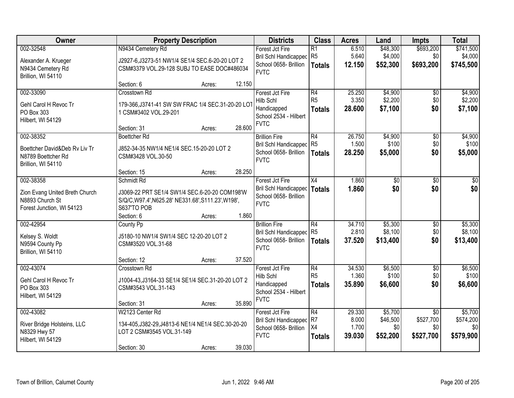| Owner                                       |                                                                                 | <b>Property Description</b> |        | <b>Districts</b>                                      | <b>Class</b>                      | <b>Acres</b>    | Land                | <b>Impts</b>           | <b>Total</b>         |
|---------------------------------------------|---------------------------------------------------------------------------------|-----------------------------|--------|-------------------------------------------------------|-----------------------------------|-----------------|---------------------|------------------------|----------------------|
| 002-32548<br>Alexander A. Krueger           | N9434 Cemetery Rd<br>J2927-6, J3273-51 NW1/4 SE1/4 SEC.6-20-20 LOT 2            |                             |        | Forest Jct Fire<br>Bril Schl Handicapped R5           | $\overline{R1}$                   | 6.510<br>5.640  | \$48,300<br>\$4,000 | \$693,200<br>\$0       | \$741,500<br>\$4,000 |
| N9434 Cemetery Rd<br>Brillion, WI 54110     | CSM#3379 VOL.29-128 SUBJ TO EASE DOC#486034                                     |                             |        | School 0658- Brillion<br><b>FVTC</b>                  | <b>Totals</b>                     | 12.150          | \$52,300            | \$693,200              | \$745,500            |
|                                             | Section: 6                                                                      | Acres:                      | 12.150 |                                                       |                                   |                 |                     |                        |                      |
| 002-33090                                   | Crosstown Rd                                                                    |                             |        | Forest Jct Fire                                       | $\overline{R4}$<br>R <sub>5</sub> | 25.250<br>3.350 | \$4,900             | $\overline{50}$        | \$4,900              |
| Gehl Carol H Revoc Tr                       | 179-366, J3741-41 SW SW FRAC 1/4 SEC.31-20-20 LOT                               |                             |        | Hilb Schl<br>Handicapped                              | <b>Totals</b>                     | 28.600          | \$2,200<br>\$7,100  | \$0<br>\$0             | \$2,200<br>\$7,100   |
| PO Box 303                                  | 1 CSM#3402 VOL.29-201                                                           |                             |        | School 2534 - Hilbert                                 |                                   |                 |                     |                        |                      |
| Hilbert, WI 54129                           | Section: 31                                                                     | Acres:                      | 28.600 | <b>FVTC</b>                                           |                                   |                 |                     |                        |                      |
| 002-38352                                   | <b>Boettcher Rd</b>                                                             |                             |        | <b>Brillion Fire</b>                                  | R4                                | 26.750          | \$4,900             | \$0                    | \$4,900              |
| Boettcher David&Deb Ry Liv Tr               | J852-34-35 NW1/4 NE1/4 SEC.15-20-20 LOT 2                                       |                             |        | Bril Schl Handicapped                                 | R <sub>5</sub>                    | 1.500           | \$100               | \$0                    | \$100                |
| N8789 Boettcher Rd                          | CSM#3428 VOL.30-50                                                              |                             |        | School 0658- Brillion<br><b>FVTC</b>                  | <b>Totals</b>                     | 28.250          | \$5,000             | \$0                    | \$5,000              |
| Brillion, WI 54110                          |                                                                                 |                             |        |                                                       |                                   |                 |                     |                        |                      |
|                                             | Section: 15                                                                     | Acres:                      | 28.250 |                                                       |                                   |                 |                     |                        |                      |
| 002-38358                                   | Schmidt Rd                                                                      |                             |        | Forest Jct Fire                                       | X4                                | 1.860           | \$0                 | \$0                    | \$0                  |
| Zion Evang United Breth Church              | J3069-22 PRT SE1/4 SW1/4 SEC.6-20-20 COM198'W                                   |                             |        | <b>Bril Schl Handicapped</b><br>School 0658- Brillion | <b>Totals</b>                     | 1.860           | \$0                 | \$0                    | \$0                  |
| N8893 Church St                             | S/Q/C, W97.4', N625.28' NE331.68', S111.23', W198',                             |                             |        | <b>FVTC</b>                                           |                                   |                 |                     |                        |                      |
| Forest Junction, WI 54123                   | S637'TO POB                                                                     |                             |        |                                                       |                                   |                 |                     |                        |                      |
|                                             | Section: 6                                                                      | Acres:                      | 1.860  |                                                       |                                   |                 |                     |                        |                      |
| 002-42954                                   | County Pp                                                                       |                             |        | <b>Brillion Fire</b>                                  | R4<br>R <sub>5</sub>              | 34.710<br>2.810 | \$5,300<br>\$8,100  | $\overline{50}$<br>\$0 | \$5,300<br>\$8,100   |
| Kelsey S. Woldt                             | J5180-10 NW1/4 SW1/4 SEC 12-20-20 LOT 2                                         |                             |        | <b>Bril Schl Handicapped</b><br>School 0658- Brillion | <b>Totals</b>                     | 37.520          | \$13,400            | \$0                    | \$13,400             |
| N9594 County Pp                             | CSM#3520 VOL.31-68                                                              |                             |        | <b>FVTC</b>                                           |                                   |                 |                     |                        |                      |
| Brillion, WI 54110                          | Section: 12                                                                     |                             | 37.520 |                                                       |                                   |                 |                     |                        |                      |
| 002-43074                                   | Crosstown Rd                                                                    | Acres:                      |        | Forest Jct Fire                                       | $\overline{R4}$                   | 34.530          | \$6,500             | $\overline{50}$        | \$6,500              |
|                                             |                                                                                 |                             |        | Hilb Schl                                             | R <sub>5</sub>                    | 1.360           | \$100               | \$0                    | \$100                |
| Gehl Carol H Revoc Tr                       | J1004-43, J3164-33 SE1/4 SE1/4 SEC.31-20-20 LOT 2                               |                             |        | Handicapped                                           | <b>Totals</b>                     | 35,890          | \$6,600             | \$0                    | \$6,600              |
| PO Box 303<br>Hilbert, WI 54129             | CSM#3543 VOL.31-143                                                             |                             |        | School 2534 - Hilbert                                 |                                   |                 |                     |                        |                      |
|                                             | Section: 31                                                                     | Acres:                      | 35.890 | <b>FVTC</b>                                           |                                   |                 |                     |                        |                      |
| 002-43082                                   | W2123 Center Rd                                                                 |                             |        | Forest Jct Fire                                       | $\overline{R4}$                   | 29.330          | \$5,700             | $\overline{30}$        | \$5,700              |
|                                             |                                                                                 |                             |        | <b>Bril Schl Handicapped</b>                          | R <sub>7</sub>                    | 8.000           | \$46,500            | \$527,700              | \$574,200            |
| River Bridge Holsteins, LLC<br>N8329 Hwy 57 | 134-405, J382-29, J4813-6 NE1/4 NE1/4 SEC.30-20-20<br>LOT 2 CSM#3545 VOL.31-149 |                             |        | School 0658- Brillion                                 | X4                                | 1.700           | \$0                 | \$0                    | \$0                  |
| Hilbert, WI 54129                           |                                                                                 |                             |        | <b>FVTC</b>                                           | <b>Totals</b>                     | 39.030          | \$52,200            | \$527,700              | \$579,900            |
|                                             | Section: 30                                                                     | Acres:                      | 39.030 |                                                       |                                   |                 |                     |                        |                      |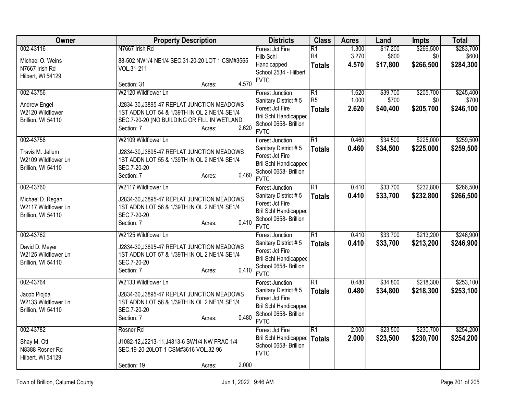| Owner                                                         | <b>Property Description</b>                                                                                                                | <b>Districts</b>                                                                                                | <b>Class</b>                                       | <b>Acres</b>            | Land                          | <b>Impts</b>                  | <b>Total</b>                    |
|---------------------------------------------------------------|--------------------------------------------------------------------------------------------------------------------------------------------|-----------------------------------------------------------------------------------------------------------------|----------------------------------------------------|-------------------------|-------------------------------|-------------------------------|---------------------------------|
| 002-43116                                                     | N7667 Irish Rd                                                                                                                             | Forest Jct Fire<br>Hilb Schl                                                                                    | $\overline{R1}$<br>R <sub>4</sub>                  | 1.300<br>3.270          | \$17,200<br>\$600             | \$266,500<br>\$0              | \$283,700<br>\$600              |
| Michael O. Weins<br>N7667 Irish Rd<br>Hilbert, WI 54129       | 88-502 NW1/4 NE1/4 SEC.31-20-20 LOT 1 CSM#3565<br>VOL.31-211<br>4.570<br>Section: 31<br>Acres:                                             | Handicapped<br>School 2534 - Hilbert<br><b>FVTC</b>                                                             | <b>Totals</b>                                      | 4.570                   | \$17,800                      | \$266,500                     | \$284,300                       |
| 002-43756<br><b>Andrew Engel</b>                              | W2120 Wildflower Ln<br>J2834-30, J3895-47 REPLAT JUNCTION MEADOWS                                                                          | <b>Forest Junction</b><br>Sanitary District #5<br>Forest Jct Fire                                               | $\overline{R1}$<br>R <sub>5</sub><br><b>Totals</b> | 1.620<br>1.000<br>2.620 | \$39,700<br>\$700<br>\$40,400 | \$205,700<br>\$0<br>\$205,700 | \$245,400<br>\$700<br>\$246,100 |
| W2120 Wildflower<br>Brillion, WI 54110                        | 1ST ADDN LOT 54 & 1/39TH IN OL 2 NE1/4 SE1/4<br>SEC.7-20-20 (NO BUILDING OR FILL IN WETLAND<br>2.620<br>Section: 7<br>Acres:               | <b>Bril Schl Handicapped</b><br>School 0658- Brillion<br><b>FVTC</b>                                            |                                                    |                         |                               |                               |                                 |
| 002-43758                                                     | W2109 Wildflower Ln                                                                                                                        | <b>Forest Junction</b>                                                                                          | $\overline{R1}$                                    | 0.460                   | \$34,500                      | \$225,000                     | \$259,500                       |
| Travis M. Jellum<br>W2109 Wildflower Ln<br>Brillion, WI 54110 | J2834-30, J3895-47 REPLAT JUNCTION MEADOWS<br>1ST ADDN LOT 55 & 1/39TH IN OL 2 NE1/4 SE1/4<br>SEC.7-20-20<br>0.460<br>Section: 7<br>Acres: | Sanitary District #5<br>Forest Jct Fire<br><b>Bril Schl Handicapped</b><br>School 0658- Brillion<br><b>FVTC</b> | <b>Totals</b>                                      | 0.460                   | \$34,500                      | \$225,000                     | \$259,500                       |
| 002-43760                                                     | W2117 Wildflower Ln                                                                                                                        | <b>Forest Junction</b>                                                                                          | $\overline{R1}$                                    | 0.410                   | \$33,700                      | \$232,800                     | \$266,500                       |
| Michael D. Regan<br>W2117 Wildflower Ln<br>Brillion, WI 54110 | J2834-30, J3895-47 REPLAT JUNCTION MEADOWS<br>1ST ADDN LOT 56 & 1/39TH IN OL 2 NE1/4 SE1/4<br>SEC.7-20-20<br>0.410<br>Section: 7<br>Acres: | Sanitary District #5<br>Forest Jct Fire<br><b>Bril Schl Handicapped</b><br>School 0658- Brillion<br><b>FVTC</b> | <b>Totals</b>                                      | 0.410                   | \$33,700                      | \$232,800                     | \$266,500                       |
| 002-43762                                                     | W2125 Wildflower Ln                                                                                                                        | Forest Junction                                                                                                 | $\overline{R1}$                                    | 0.410                   | \$33,700                      | \$213,200                     | \$246,900                       |
| David D. Meyer<br>W2125 Wildflower Ln<br>Brillion, WI 54110   | J2834-30, J3895-47 REPLAT JUNCTION MEADOWS<br>1ST ADDN LOT 57 & 1/39TH IN OL 2 NE1/4 SE1/4<br>SEC.7-20-20<br>0.410<br>Section: 7<br>Acres: | Sanitary District #5<br>Forest Jct Fire<br>Bril Schl Handicapped<br>School 0658- Brillion<br><b>FVTC</b>        | <b>Totals</b>                                      | 0.410                   | \$33,700                      | \$213,200                     | \$246,900                       |
| 002-43764                                                     | W2133 Wildflower Ln                                                                                                                        | Forest Junction                                                                                                 | $\overline{R1}$                                    | 0.480                   | \$34,800                      | \$218,300                     | \$253,100                       |
| Jacob Piojda<br>W2133 Wildflower Ln<br>Brillion, WI 54110     | J2834-30, J3895-47 REPLAT JUNCTION MEADOWS<br>1ST ADDN LOT 58 & 1/39TH IN OL 2 NE1/4 SE1/4<br>SEC.7-20-20<br>0.480<br>Section: 7<br>Acres: | Sanitary District #5<br>Forest Jct Fire<br>Bril Schl Handicapped<br>School 0658- Brillion<br><b>FVTC</b>        | <b>Totals</b>                                      | 0.480                   | \$34,800                      | \$218,300                     | \$253,100                       |
| 002-43782                                                     | Rosner Rd                                                                                                                                  | Forest Jct Fire                                                                                                 | $\overline{R1}$                                    | 2.000                   | \$23,500                      | \$230,700                     | \$254,200                       |
| Shay M. Ott<br>N8388 Rosner Rd<br>Hilbert, WI 54129           | J1082-12, J2213-11, J4813-6 SW1/4 NW FRAC 1/4<br>SEC.19-20-20LOT 1 CSM#3616 VOL.32-96                                                      | <b>Bril Schl Handicapped</b><br>School 0658- Brillion<br><b>FVTC</b>                                            | <b>Totals</b>                                      | 2.000                   | \$23,500                      | \$230,700                     | \$254,200                       |
|                                                               | 2.000<br>Section: 19<br>Acres:                                                                                                             |                                                                                                                 |                                                    |                         |                               |                               |                                 |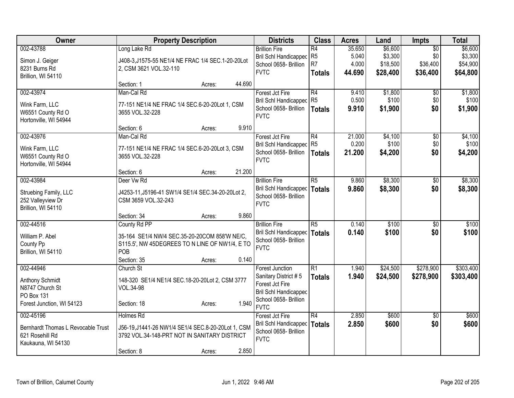| Owner                              |                                                    | <b>Property Description</b> |        | <b>Districts</b>                     | <b>Class</b>    | <b>Acres</b> | Land     | <b>Impts</b>    | <b>Total</b> |
|------------------------------------|----------------------------------------------------|-----------------------------|--------|--------------------------------------|-----------------|--------------|----------|-----------------|--------------|
| 002-43788                          | Long Lake Rd                                       |                             |        | <b>Brillion Fire</b>                 | $\overline{R4}$ | 35.650       | \$6,600  | $\overline{50}$ | \$6,600      |
| Simon J. Geiger                    | J408-3, J1575-55 NE1/4 NE FRAC 1/4 SEC.1-20-20Lot  |                             |        | <b>Bril Schl Handicapped</b>         | R <sub>5</sub>  | 5.040        | \$3,300  | \$0             | \$3,300      |
| 8231 Burns Rd                      | 2, CSM 3621 VOL.32-110                             |                             |        | School 0658- Brillion                | R <sub>7</sub>  | 4.000        | \$18,500 | \$36,400        | \$54,900     |
| Brillion, WI 54110                 |                                                    |                             |        | <b>FVTC</b>                          | <b>Totals</b>   | 44.690       | \$28,400 | \$36,400        | \$64,800     |
|                                    | Section: 1                                         | Acres:                      | 44.690 |                                      |                 |              |          |                 |              |
| 002-43974                          | Man-Cal Rd                                         |                             |        | Forest Jct Fire                      | $\overline{R4}$ | 9.410        | \$1,800  | $\overline{50}$ | \$1,800      |
| Wink Farm, LLC                     | 77-151 NE1/4 NE FRAC 1/4 SEC.6-20-20Lot 1, CSM     |                             |        | Bril Schl Handicapped                | R <sub>5</sub>  | 0.500        | \$100    | \$0             | \$100        |
| W6551 County Rd O                  | 3655 VOL.32-228                                    |                             |        | School 0658- Brillion                | <b>Totals</b>   | 9.910        | \$1,900  | \$0             | \$1,900      |
| Hortonville, WI 54944              |                                                    |                             |        | <b>FVTC</b>                          |                 |              |          |                 |              |
|                                    | Section: 6                                         | Acres:                      | 9.910  |                                      |                 |              |          |                 |              |
| 002-43976                          | Man-Cal Rd                                         |                             |        | Forest Jct Fire                      | $\overline{R4}$ | 21.000       | \$4,100  | $\overline{50}$ | \$4,100      |
| Wink Farm, LLC                     | 77-151 NE1/4 NE FRAC 1/4 SEC.6-20-20Lot 3, CSM     |                             |        | <b>Bril Schl Handicapped</b>         | R <sub>5</sub>  | 0.200        | \$100    | \$0             | \$100        |
| W6551 County Rd O                  | 3655 VOL.32-228                                    |                             |        | School 0658- Brillion                | <b>Totals</b>   | 21.200       | \$4,200  | \$0             | \$4,200      |
| Hortonville, WI 54944              |                                                    |                             |        | <b>FVTC</b>                          |                 |              |          |                 |              |
|                                    | Section: 6                                         | Acres:                      | 21.200 |                                      |                 |              |          |                 |              |
| 002-43984                          | Deer Vw Rd                                         |                             |        | <b>Brillion Fire</b>                 | $\overline{R5}$ | 9.860        | \$8,300  | $\overline{50}$ | \$8,300      |
| Struebing Family, LLC              | J4253-11, J5196-41 SW1/4 SE1/4 SEC.34-20-20Lot 2,  |                             |        | Bril Schl Handicapped                | <b>Totals</b>   | 9.860        | \$8,300  | \$0             | \$8,300      |
| 252 Valleyview Dr                  | CSM 3659 VOL.32-243                                |                             |        | School 0658- Brillion                |                 |              |          |                 |              |
| Brillion, WI 54110                 |                                                    |                             |        | <b>FVTC</b>                          |                 |              |          |                 |              |
|                                    | Section: 34                                        | Acres:                      | 9.860  |                                      |                 |              |          |                 |              |
| 002-44516                          | County Rd PP                                       |                             |        | <b>Brillion Fire</b>                 | $\overline{R5}$ | 0.140        | \$100    | \$0             | \$100        |
| William P. Abel                    | 35-164 SE1/4 NW/4 SEC.35-20-20COM 858'W NE/C,      |                             |        | <b>Bril Schl Handicapped</b>         | <b>Totals</b>   | 0.140        | \$100    | \$0             | \$100        |
| County Pp                          | S115.5', NW 45DEGREES TO N LINE OF NW1/4, E TO     |                             |        | School 0658- Brillion                |                 |              |          |                 |              |
| Brillion, WI 54110                 | POB                                                |                             |        | <b>FVTC</b>                          |                 |              |          |                 |              |
|                                    | Section: 35                                        | Acres:                      | 0.140  |                                      |                 |              |          |                 |              |
| 002-44946                          | Church St                                          |                             |        | <b>Forest Junction</b>               | $\overline{R1}$ | 1.940        | \$24,500 | \$278,900       | \$303,400    |
| Anthony Schmidt                    | 148-320 SE1/4 NE1/4 SEC.18-20-20Lot 2, CSM 3777    |                             |        | Sanitary District #5                 | <b>Totals</b>   | 1.940        | \$24,500 | \$278,900       | \$303,400    |
| N8747 Church St                    | VOL.34-98                                          |                             |        | Forest Jct Fire                      |                 |              |          |                 |              |
| PO Box 131                         |                                                    |                             |        | <b>Bril Schl Handicapped</b>         |                 |              |          |                 |              |
| Forest Junction, WI 54123          | Section: 18                                        | Acres:                      | 1.940  | School 0658- Brillion<br><b>FVTC</b> |                 |              |          |                 |              |
| 002-45196                          | Holmes Rd                                          |                             |        | Forest Jct Fire                      | R4              | 2.850        | \$600    | $\overline{50}$ | \$600        |
| Bernhardt Thomas L Revocable Trust | J56-19, J1441-26 NW1/4 SE1/4 SEC.8-20-20Lot 1, CSM |                             |        | Bril Schl Handicapped                | <b>Totals</b>   | 2.850        | \$600    | \$0             | \$600        |
| 621 Rosehill Rd                    | 3792 VOL.34-148-PRT NOT IN SANITARY DISTRICT       |                             |        | School 0658- Brillion                |                 |              |          |                 |              |
| Kaukauna, WI 54130                 |                                                    |                             |        | <b>FVTC</b>                          |                 |              |          |                 |              |
|                                    | Section: 8                                         | Acres:                      | 2.850  |                                      |                 |              |          |                 |              |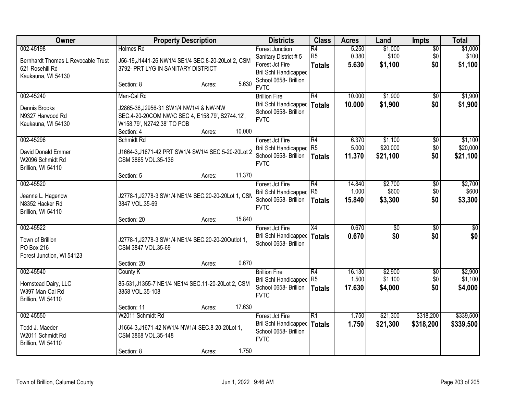| Owner                                                                                    | <b>Property Description</b>                                                                                                                     | <b>Districts</b>                                                                             | <b>Class</b>                                       | <b>Acres</b>              | Land                          | <b>Impts</b>                  | <b>Total</b>                  |
|------------------------------------------------------------------------------------------|-------------------------------------------------------------------------------------------------------------------------------------------------|----------------------------------------------------------------------------------------------|----------------------------------------------------|---------------------------|-------------------------------|-------------------------------|-------------------------------|
| 002-45198<br>Bernhardt Thomas L Revocable Trust<br>621 Rosehill Rd<br>Kaukauna, WI 54130 | Holmes Rd<br>J56-19, J1441-26 NW1/4 SE1/4 SEC.8-20-20Lot 2, CSM<br>3792- PRT LYG IN SANITARY DISTRICT                                           | <b>Forest Junction</b><br>Sanitary District #5<br>Forest Jct Fire<br>Bril Schl Handicapped   | $\overline{R4}$<br>R <sub>5</sub><br><b>Totals</b> | 5.250<br>0.380<br>5.630   | \$1,000<br>\$100<br>\$1,100   | $\overline{50}$<br>\$0<br>\$0 | \$1,000<br>\$100<br>\$1,100   |
|                                                                                          | Section: 8<br>Acres:                                                                                                                            | School 0658- Brillion<br>5.630<br><b>FVTC</b>                                                |                                                    |                           |                               |                               |                               |
| 002-45240                                                                                | Man-Cal Rd                                                                                                                                      | <b>Brillion Fire</b>                                                                         | R4                                                 | 10.000                    | \$1,900                       | \$0                           | \$1,900                       |
| Dennis Brooks<br>N9327 Harwood Rd<br>Kaukauna, WI 54130                                  | J2865-36, J2956-31 SW1/4 NW1/4 & NW-NW<br>SEC.4-20-20COM NW/C SEC 4, E158.79', S2744.12',<br>W158.79', N2742.38' TO POB<br>Section: 4<br>Acres: | Bril Schl Handicapped<br>School 0658- Brillion<br><b>FVTC</b><br>10.000                      | <b>Totals</b>                                      | 10,000                    | \$1,900                       | \$0                           | \$1,900                       |
| 002-45296                                                                                | Schmidt Rd                                                                                                                                      | Forest Jct Fire                                                                              | R4                                                 | 6.370                     | \$1,100                       | $\overline{50}$               | \$1.100                       |
| David Donald Emmer<br>W2096 Schmidt Rd<br>Brillion, WI 54110                             | J1664-3, J1671-42 PRT SW1/4 SW1/4 SEC 5-20-20Lot 2<br>CSM 3865 VOL.35-136                                                                       | <b>Bril Schl Handicapped</b><br>School 0658- Brillion<br><b>FVTC</b>                         | R <sub>5</sub><br><b>Totals</b>                    | 5.000<br>11.370           | \$20,000<br>\$21,100          | \$0<br>\$0                    | \$20,000<br>\$21,100          |
|                                                                                          | 11.370<br>Section: 5<br>Acres:                                                                                                                  |                                                                                              |                                                    |                           |                               |                               |                               |
| 002-45520<br>Jeanne L. Hagenow<br>N8352 Hacker Rd                                        | J2778-1, J2778-3 SW1/4 NE1/4 SEC.20-20-20Lot 1, CSM<br>3847 VOL.35-69                                                                           | Forest Jct Fire<br>Bril Schl Handicapped<br>School 0658- Brillion<br><b>FVTC</b>             | R4<br>R <sub>5</sub><br><b>Totals</b>              | 14.840<br>1.000<br>15.840 | \$2,700<br>\$600<br>\$3,300   | $\overline{60}$<br>\$0<br>\$0 | \$2,700<br>\$600<br>\$3,300   |
| Brillion, WI 54110                                                                       | Section: 20<br>Acres:                                                                                                                           | 15.840                                                                                       |                                                    |                           |                               |                               |                               |
| 002-45522<br>Town of Brillion<br>PO Box 216<br>Forest Junction, WI 54123                 | J2778-1, J2778-3 SW1/4 NE1/4 SEC.20-20-20Outlot 1,<br>CSM 3847 VOL.35-69                                                                        | Forest Jct Fire<br>Bril Schl Handicapped   Totals<br>School 0658- Brillion                   | X4                                                 | 0.670<br>0.670            | \$0<br>\$0                    | \$0<br>\$0                    | $\overline{50}$<br>\$0        |
|                                                                                          | Section: 20<br>Acres:                                                                                                                           | 0.670                                                                                        |                                                    |                           |                               |                               |                               |
| 002-45540<br>Hornstead Dairy, LLC<br>W397 Man-Cal Rd<br>Brillion, WI 54110               | County K<br>85-531, J1355-7 NE1/4 NE1/4 SEC.11-20-20Lot 2, CSM<br>3858 VOL.35-108                                                               | <b>Brillion Fire</b><br><b>Bril Schl Handicapped</b><br>School 0658- Brillion<br><b>FVTC</b> | R4<br>R5<br><b>Totals</b>                          | 16.130<br>1.500<br>17.630 | \$2,900<br>\$1,100<br>\$4,000 | \$0<br>\$0<br>\$0             | \$2,900<br>\$1,100<br>\$4,000 |
|                                                                                          | 17.630<br>Section: 11<br>Acres:                                                                                                                 |                                                                                              |                                                    |                           |                               |                               |                               |
| 002-45550<br>Todd J. Maeder<br>W2011 Schmidt Rd<br>Brillion, WI 54110                    | W2011 Schmidt Rd<br>J1664-3, J1671-42 NW1/4 NW1/4 SEC.8-20-20Lot 1,<br>CSM 3868 VOL.35-148                                                      | Forest Jct Fire<br>Bril Schl Handicapped<br>School 0658- Brillion<br><b>FVTC</b>             | $\overline{R1}$<br><b>Totals</b>                   | 1.750<br>1.750            | \$21,300<br>\$21,300          | \$318,200<br>\$318,200        | \$339,500<br>\$339,500        |
|                                                                                          | Section: 8<br>Acres:                                                                                                                            | 1.750                                                                                        |                                                    |                           |                               |                               |                               |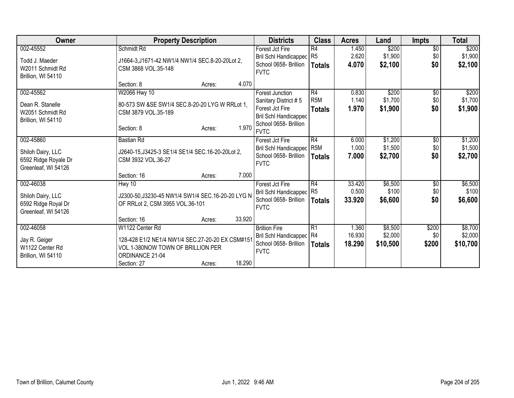| Owner                | <b>Property Description</b>                        | <b>Districts</b>                                      | <b>Class</b>  | <b>Acres</b>   | Land               | <b>Impts</b>           | <b>Total</b>       |
|----------------------|----------------------------------------------------|-------------------------------------------------------|---------------|----------------|--------------------|------------------------|--------------------|
| 002-45552            | Schmidt Rd                                         | Forest Jct Fire                                       | R4            | 1.450          | \$200              | $\overline{50}$        | \$200              |
| Todd J. Maeder       | J1664-3, J1671-42 NW1/4 NW1/4 SEC.8-20-20Lot 2,    | Bril Schl Handicapped R5                              |               | 2.620          | \$1,900            | \$0                    | \$1,900            |
| W2011 Schmidt Rd     | CSM 3868 VOL.35-148                                | School 0658- Brillion                                 | <b>Totals</b> | 4.070          | \$2,100            | \$0                    | \$2,100            |
| Brillion, WI 54110   |                                                    | <b>FVTC</b>                                           |               |                |                    |                        |                    |
|                      | 4.070<br>Section: 8<br>Acres:                      |                                                       |               |                |                    |                        |                    |
| 002-45562            | W2066 Hwy 10                                       | Forest Junction                                       | R4            | 0.830          | \$200              | \$0                    | \$200              |
| Dean R. Stanelle     | 80-573 SW &SE SW1/4 SEC.8-20-20 LYG W RRLot 1,     | Sanitary District #5                                  | R5M           | 1.140          | \$1,700            | \$0                    | \$1,700            |
| W2051 Schmidt Rd     | CSM 3879 VOL.35-189                                | Forest Jct Fire                                       | <b>Totals</b> | 1.970          | \$1,900            | \$0                    | \$1,900            |
| Brillion, WI 54110   |                                                    | <b>Bril Schl Handicapped</b>                          |               |                |                    |                        |                    |
|                      | 1.970<br>Section: 8<br>Acres:                      | School 0658- Brillion                                 |               |                |                    |                        |                    |
|                      |                                                    | <b>FVTC</b>                                           |               |                |                    |                        |                    |
| 002-45860            | <b>Bastian Rd</b>                                  | Forest Jct Fire                                       | R4<br>R5M     | 6.000<br>1.000 | \$1,200<br>\$1,500 | $\overline{60}$<br>\$0 | \$1,200<br>\$1,500 |
| Shiloh Dairy, LLC    | J2640-15, J3425-3 SE1/4 SE1/4 SEC. 16-20-20Lot 2,  | <b>Bril Schl Handicapped</b><br>School 0658- Brillion |               | 7.000          | \$2,700            | \$0                    | \$2,700            |
| 6592 Ridge Royale Dr | CSM 3932 VOL.36-27                                 | <b>FVTC</b>                                           | Totals        |                |                    |                        |                    |
| Greenleaf, WI 54126  |                                                    |                                                       |               |                |                    |                        |                    |
|                      | 7.000<br>Section: 16<br>Acres:                     |                                                       |               |                |                    |                        |                    |
| 002-46038            | Hwy 10                                             | Forest Jct Fire                                       | R4            | 33.420         | \$6,500            | $\overline{60}$        | \$6,500            |
| Shiloh Dairy, LLC    | J2300-50, J3230-45 NW1/4 SW1/4 SEC. 16-20-20 LYG N | Bril Schl Handicapped R5                              |               | 0.500          | \$100              | \$0                    | \$100              |
| 6592 Ridge Royal Dr  | OF RRLot 2, CSM 3955 VOL.36-101                    | School 0658- Brillion                                 | Totals        | 33.920         | \$6,600            | \$0                    | \$6,600            |
| Greenleaf, WI 54126  |                                                    | <b>FVTC</b>                                           |               |                |                    |                        |                    |
|                      | 33.920<br>Section: 16<br>Acres:                    |                                                       |               |                |                    |                        |                    |
| 002-46058            | W1122 Center Rd                                    | <b>Brillion Fire</b>                                  | R1            | 1.360          | \$8,500            | \$200                  | \$8,700            |
| Jay R. Geiger        | 128-428 E1/2 NE1/4 NW1/4 SEC.27-20-20 EX CSM#151   | Bril Schl Handicapped R4                              |               | 16.930         | \$2,000            | \$0                    | \$2,000            |
| W1122 Center Rd      | VOL.1-380NOW TOWN OF BRILLION PER                  | School 0658- Brillion                                 | <b>Totals</b> | 18.290         | \$10,500           | \$200                  | \$10,700           |
| Brillion, WI 54110   | ORDINANCE 21-04                                    | <b>FVTC</b>                                           |               |                |                    |                        |                    |
|                      | 18.290<br>Section: 27<br>Acres:                    |                                                       |               |                |                    |                        |                    |